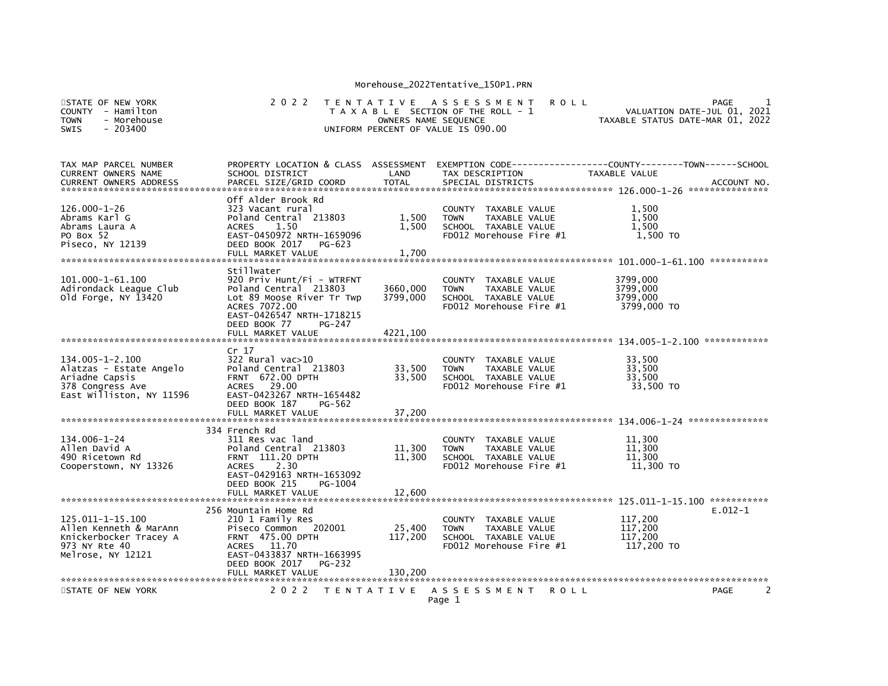| STATE OF NEW YORK<br><b>COUNTY</b><br>- Hamilton<br><b>TOWN</b><br>- Morehouse<br><b>SWIS</b><br>$-203400$         | 2 0 2 2                                                                                                                                                                                  | T E N T A T I V E            | A S S E S S M E N T<br><b>ROLL</b><br>T A X A B L E SECTION OF THE ROLL - 1<br>OWNERS NAME SEQUENCE<br>UNIFORM PERCENT OF VALUE IS 090.00 | VALUATION DATE-JUL 01, 2021<br>TAXABLE STATUS DATE-MAR 01, 2022 | PAGE         |
|--------------------------------------------------------------------------------------------------------------------|------------------------------------------------------------------------------------------------------------------------------------------------------------------------------------------|------------------------------|-------------------------------------------------------------------------------------------------------------------------------------------|-----------------------------------------------------------------|--------------|
| TAX MAP PARCEL NUMBER<br>CURRENT OWNERS NAME<br><b>CURRENT OWNERS ADDRESS</b>                                      | PROPERTY LOCATION & CLASS ASSESSMENT<br>SCHOOL DISTRICT<br>PARCEL SIZE/GRID COORD                                                                                                        | LAND<br><b>TOTAL</b>         | EXEMPTION CODE-----------------COUNTY-------TOWN------SCHOOL<br>TAX DESCRIPTION<br>SPECIAL DISTRICTS                                      | TAXABLE VALUE                                                   | ACCOUNT NO.  |
| $126.000 - 1 - 26$<br>Abrams Karl G<br>Abrams Laura A<br>PO Box 52<br>Piseco, NY 12139                             | Off Alder Brook Rd<br>323 Vacant rural<br>Poland Central 213803<br><b>ACRES</b><br>1.50<br>EAST-0450972 NRTH-1659096<br>DEED BOOK 2017<br>PG-623<br>FULL MARKET VALUE                    | 1,500<br>1,500<br>1,700      | COUNTY TAXABLE VALUE<br><b>TOWN</b><br>TAXABLE VALUE<br>SCHOOL TAXABLE VALUE<br>FD012 Morehouse Fire #1                                   | 1,500<br>1,500<br>1,500<br>1,500 TO                             |              |
| 101.000-1-61.100<br>Adirondack Leaque Club<br>Old Forge, NY 13420                                                  | Stillwater<br>920 Priv Hunt/Fi - WTRFNT<br>Poland Central 213803<br>Lot 89 Moose River Tr Twp<br>ACRES 7072.00<br>EAST-0426547 NRTH-1718215<br>DEED BOOK 77<br>PG-247                    | 3660,000<br>3799.000         | COUNTY TAXABLE VALUE<br><b>TOWN</b><br>TAXABLE VALUE<br>SCHOOL TAXABLE VALUE<br>FD012 Morehouse Fire #1                                   | 3799,000<br>3799,000<br>3799,000<br>3799,000 TO                 |              |
| $134.005 - 1 - 2.100$<br>Alatzas - Estate Angelo<br>Ariadne Capsis<br>378 Congress Ave<br>East Williston, NY 11596 | Cr <sub>17</sub><br>$322$ Rural vac $>10$<br>Poland Central 213803<br>FRNT 672.00 DPTH<br>ACRES 29.00<br>EAST-0423267 NRTH-1654482                                                       | 33,500<br>33,500             | COUNTY TAXABLE VALUE<br>TAXABLE VALUE<br><b>TOWN</b><br>SCHOOL TAXABLE VALUE<br>FD012 Morehouse Fire #1                                   | 33,500<br>33,500<br>33,500<br>33,500 TO                         | ************ |
|                                                                                                                    | DEED BOOK 187<br>PG-562<br>FULL MARKET VALUE                                                                                                                                             | 37,200                       |                                                                                                                                           |                                                                 |              |
| 134.006-1-24<br>Allen David A<br>490 Ricetown Rd<br>Cooperstown, NY 13326                                          | 334 French Rd<br>311 Res vac land<br>Poland Central 213803<br><b>FRNT</b> 111.20 DPTH<br>2.30<br><b>ACRES</b><br>EAST-0429163 NRTH-1653092<br>DEED BOOK 215<br>PG-1004                   | 11,300<br>11,300             | COUNTY TAXABLE VALUE<br>TAXABLE VALUE<br><b>TOWN</b><br>SCHOOL TAXABLE VALUE<br>FD012 Morehouse Fire #1                                   | 11,300<br>11,300<br>11,300<br>11,300 TO                         |              |
|                                                                                                                    | FULL MARKET VALUE                                                                                                                                                                        | 12.600                       |                                                                                                                                           |                                                                 |              |
| 125.011-1-15.100<br>Allen Kenneth & MarAnn<br>Knickerbocker Tracey A<br>973 NY Rte 40<br>Melrose, NY 12121         | 256 Mountain Home Rd<br>210 1 Family Res<br>Piseco Common 202001<br><b>FRNT 475.00 DPTH</b><br>ACRES 11.70<br>EAST-0433837 NRTH-1663995<br>DEED BOOK 2017<br>PG-232<br>FULL MARKET VALUE | 25,400<br>117,200<br>130,200 | COUNTY TAXABLE VALUE<br>TAXABLE VALUE<br><b>TOWN</b><br>SCHOOL TAXABLE VALUE<br>FD012 Morehouse Fire #1                                   | 117,200<br>117,200<br>117,200<br>117,200 TO                     | $E.012-1$    |
| STATE OF NEW YORK                                                                                                  | 2 0 2 2                                                                                                                                                                                  | T E N T A T I V E            | A S S E S S M E N T<br><b>ROLL</b>                                                                                                        |                                                                 | 2<br>PAGE    |
|                                                                                                                    |                                                                                                                                                                                          |                              | Page 1                                                                                                                                    |                                                                 |              |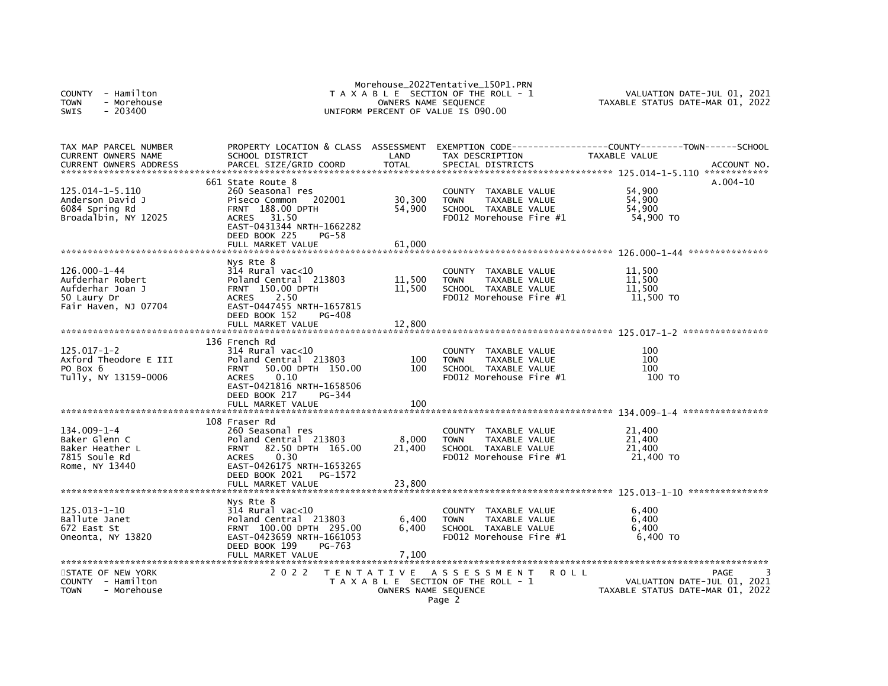| - Hamilton<br><b>COUNTY</b><br><b>TOWN</b><br>- Morehouse<br>- 203400<br>SWIS                     |                                                                                                                                                                                                       | OWNERS NAME SEQUENCE                         | Morehouse_2022Tentative_150P1.PRN<br>T A X A B L E SECTION OF THE ROLL - 1<br>UNIFORM PERCENT OF VALUE IS 090.00                                 | VALUATION DATE-JUL 01, 2021<br>TAXABLE STATUS DATE-MAR 01, 2022 |
|---------------------------------------------------------------------------------------------------|-------------------------------------------------------------------------------------------------------------------------------------------------------------------------------------------------------|----------------------------------------------|--------------------------------------------------------------------------------------------------------------------------------------------------|-----------------------------------------------------------------|
| TAX MAP PARCEL NUMBER<br><b>CURRENT OWNERS NAME</b><br><b>CURRENT OWNERS ADDRESS</b>              | PROPERTY LOCATION & CLASS ASSESSMENT<br>SCHOOL DISTRICT<br>PARCEL SIZE/GRID COORD                                                                                                                     | LAND<br><b>TOTAL</b>                         | TAX DESCRIPTION<br>SPECIAL DISTRICTS                                                                                                             | TAXABLE VALUE<br>ACCOUNT NO.                                    |
| 125.014-1-5.110<br>Anderson David J<br>6084 Spring Rd<br>Broadalbin, NY 12025                     | 661 State Route 8<br>260 Seasonal res<br>Piseco Common<br>202001<br>188.00 DPTH<br><b>FRNT</b><br>31.50<br><b>ACRES</b><br>EAST-0431344 NRTH-1662282<br>DEED BOOK 225<br>PG-58<br>FULL MARKET VALUE   | 30,300<br>54,900<br>61,000                   | <b>COUNTY</b><br>TAXABLE VALUE<br><b>TOWN</b><br>TAXABLE VALUE<br>SCHOOL TAXABLE VALUE<br>FD012 Morehouse Fire #1                                | $A.004-10$<br>54,900<br>54,900<br>54,900<br>54,900 TO           |
| $126.000 - 1 - 44$<br>Aufderhar Robert<br>Aufderhar Joan J<br>50 Laury Dr<br>Fair Haven, NJ 07704 | Nys Rte 8<br>$314$ Rural vac<10<br>Poland Central 213803<br><b>FRNT 150.00 DPTH</b><br><b>ACRES</b><br>2.50<br>EAST-0447455 NRTH-1657815<br>DEED BOOK 152<br>PG-408<br>FULL MARKET VALUE              | 11,500<br>11,500<br>12,800                   | <b>COUNTY</b><br>TAXABLE VALUE<br><b>TOWN</b><br>TAXABLE VALUE<br>SCHOOL TAXABLE VALUE<br>FD012 Morehouse Fire #1                                | 11,500<br>11,500<br>11,500<br>11,500 TO<br>****************     |
| 125.017-1-2<br>Axford Theodore E III<br>PO Box 6<br>Tully, NY 13159-0006                          | 136 French Rd<br>314 Rural vac<10<br>Poland Central 213803<br>50.00 DPTH 150.00<br><b>FRNT</b><br>0.10<br><b>ACRES</b><br>EAST-0421816 NRTH-1658506<br>DEED BOOK 217<br>PG-344<br>FULL MARKET VALUE   | 100<br>100<br>100                            | TAXABLE VALUE<br><b>COUNTY</b><br><b>TOWN</b><br>TAXABLE VALUE<br>SCHOOL TAXABLE VALUE<br>FD012 Morehouse Fire #1                                | 100<br>100<br>100<br>100 TO                                     |
| $134.009 - 1 - 4$<br>Baker Glenn C<br>Baker Heather L<br>7815 Soule Rd<br>Rome, NY 13440          | 108 Fraser Rd<br>260 Seasonal res<br>Poland Central 213803<br>82.50 DPTH 165.00<br><b>FRNT</b><br>0.30<br><b>ACRES</b><br>EAST-0426175 NRTH-1653265<br>DEED BOOK 2021<br>PG-1572<br>FULL MARKET VALUE | 8,000<br>21,400<br>23,800                    | <b>COUNTY</b><br>TAXABLE VALUE<br><b>TOWN</b><br>TAXABLE VALUE<br>SCHOOL TAXABLE VALUE<br>FD012 Morehouse Fire #1                                | 21,400<br>21,400<br>21,400<br>21,400 TO                         |
| $125.013 - 1 - 10$<br>Ballute Janet<br>672 East St<br>Oneonta, NY 13820<br>STATE OF NEW YORK      | Nys Rte 8<br>$314$ Rural vac<10<br>Poland Central 213803<br>FRNT 100.00 DPTH 295.00<br>EAST-0423659 NRTH-1661053<br>DEED BOOK 199<br>PG-763<br>FULL MARKET VALUE<br>2022                              | 6,400<br>6,400<br>7,100<br>T E N T A T I V E | <b>COUNTY</b><br>TAXABLE VALUE<br>TAXABLE VALUE<br><b>TOWN</b><br>SCHOOL TAXABLE VALUE<br>FD012 Morehouse Fire #1<br>A S S E S S M E N T<br>ROLL | 6,400<br>6,400<br>6,400<br>6,400 TO<br>PAGE                     |
| <b>COUNTY</b><br>- Hamilton<br><b>TOWN</b><br>- Morehouse                                         |                                                                                                                                                                                                       | OWNERS NAME SEQUENCE                         | T A X A B L E SECTION OF THE ROLL - 1<br>Page 2                                                                                                  | VALUATION DATE-JUL 01, 2021<br>TAXABLE STATUS DATE-MAR 01, 2022 |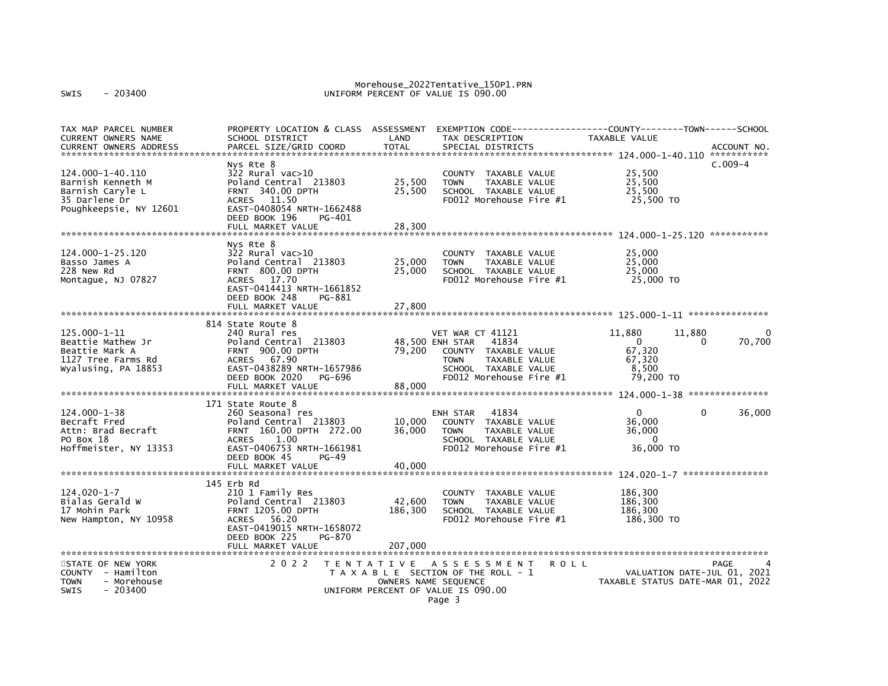| TAX MAP PARCEL NUMBER         | PROPERTY LOCATION & CLASS ASSESSMENT EXEMPTION CODE----------------COUNTY-------TOWN------SCHOOL |                   |                                             |                                  |             |
|-------------------------------|--------------------------------------------------------------------------------------------------|-------------------|---------------------------------------------|----------------------------------|-------------|
| CURRENT OWNERS NAME           | SCHOOL DISTRICT                                                                                  | LAND              | TAX DESCRIPTION                             | TAXABLE VALUE                    |             |
| <b>CURRENT OWNERS ADDRESS</b> | PARCEL SIZE/GRID COORD                                                                           | <b>TOTAL</b>      | SPECIAL DISTRICTS                           |                                  | ACCOUNT NO. |
|                               |                                                                                                  |                   |                                             |                                  |             |
|                               | Nys Rte 8                                                                                        |                   |                                             |                                  | $C.009-4$   |
| 124.000-1-40.110              | $322$ Rural vac $>10$                                                                            |                   | COUNTY TAXABLE VALUE                        | 25,500                           |             |
| Barnish Kenneth M             | Poland Central 213803                                                                            | 25,500            | TAXABLE VALUE<br><b>TOWN</b>                | 25,500                           |             |
| Barnish Caryle L              | FRNT 340.00 DPTH                                                                                 | 25,500            | SCHOOL TAXABLE VALUE                        | 25,500                           |             |
| 35 Darlene Dr                 | ACRES 11.50                                                                                      |                   | FD012 Morehouse Fire #1                     | 25,500 TO                        |             |
| Poughkeepsie, NY 12601        | EAST-0408054 NRTH-1662488                                                                        |                   |                                             |                                  |             |
|                               | DEED BOOK 196<br>PG-401                                                                          |                   |                                             |                                  |             |
|                               | FULL MARKET VALUE                                                                                | 28,300            |                                             |                                  |             |
|                               |                                                                                                  |                   |                                             |                                  |             |
|                               | Nys Rte 8                                                                                        |                   |                                             |                                  |             |
| 124.000-1-25.120              | $322$ Rural vac $>10$                                                                            |                   | COUNTY TAXABLE VALUE                        | 25,000                           |             |
| Basso James A                 | Poland Central 213803                                                                            | 25,000            | <b>TOWN</b><br>TAXABLE VALUE                | 25,000                           |             |
| 228 New Rd                    | FRNT 800.00 DPTH                                                                                 | 25,000            | SCHOOL TAXABLE VALUE                        | 25,000                           |             |
| Montaque, NJ 07827            | ACRES 17.70                                                                                      |                   | FD012 Morehouse Fire #1                     | 25,000 TO                        |             |
|                               | EAST-0414413 NRTH-1661852                                                                        |                   |                                             |                                  |             |
|                               | DEED BOOK 248<br>PG-881                                                                          |                   |                                             |                                  |             |
|                               | FULL MARKET VALUE                                                                                | 27,800            |                                             |                                  |             |
|                               |                                                                                                  |                   |                                             |                                  |             |
|                               | 814 State Route 8                                                                                |                   |                                             |                                  |             |
| 125.000-1-11                  | 240 Rural res                                                                                    |                   | VET WAR CT 41121                            | 11,880<br>11,880                 | 0           |
| Beattie Mathew Jr             | Poland Central 213803                                                                            |                   | 48,500 ENH STAR<br>41834                    | $\Omega$<br>$\Omega$             | 70,700      |
| Beattie Mark A                | <b>FRNT 900.00 DPTH</b>                                                                          | 79,200            | COUNTY TAXABLE VALUE                        | 67,320                           |             |
| 1127 Tree Farms Rd            | ACRES 67.90                                                                                      |                   | TAXABLE VALUE<br><b>TOWN</b>                | 67,320                           |             |
| Wyalusing, PA 18853           | EAST-0438289 NRTH-1657986                                                                        |                   | SCHOOL TAXABLE VALUE                        | 8,500                            |             |
|                               | DEED BOOK 2020 PG-696                                                                            |                   | FD012 Morehouse Fire #1                     | 79,200 TO                        |             |
|                               |                                                                                                  |                   |                                             |                                  |             |
|                               |                                                                                                  |                   |                                             |                                  |             |
|                               | 171 State Route 8                                                                                |                   |                                             |                                  |             |
| 124.000-1-38                  | 260 Seasonal res                                                                                 |                   | 41834<br>ENH STAR                           | $\Omega$<br>$\Omega$             | 36,000      |
| Becraft Fred                  | Poland Central 213803                                                                            | 10,000            | COUNTY TAXABLE VALUE                        | 36,000                           |             |
| Attn: Brad Becraft            | FRNT 160.00 DPTH 272.00                                                                          | 36,000            | TAXABLE VALUE<br><b>TOWN</b>                | 36,000                           |             |
| PO Box 18                     | <b>ACRES</b><br>1.00                                                                             |                   | SCHOOL TAXABLE VALUE                        | $\Omega$                         |             |
| Hoffmeister, NY 13353         | EAST-0406753 NRTH-1661981                                                                        |                   | FD012 Morehouse Fire #1                     | 36,000 TO                        |             |
|                               | DEED BOOK 45<br>PG-49                                                                            |                   |                                             |                                  |             |
|                               | FULL MARKET VALUE                                                                                | 40,000            |                                             |                                  |             |
|                               |                                                                                                  |                   |                                             |                                  |             |
|                               | 145 Erb Rd                                                                                       |                   |                                             |                                  |             |
| 124.020-1-7                   | 210 1 Family Res                                                                                 |                   | COUNTY TAXABLE VALUE                        | 186,300                          |             |
| Bialas Gerald W               | Poland Central 213803                                                                            | 42,600            | <b>TOWN</b><br>TAXABLE VALUE                | 186,300                          |             |
| 17 Mohin Park                 | <b>FRNT 1205.00 DPTH</b>                                                                         | 186,300           | SCHOOL TAXABLE VALUE                        | 186,300                          |             |
|                               | ACRES 56.20                                                                                      |                   | FD012 Morehouse Fire #1                     | 186,300 TO                       |             |
| New Hampton, NY 10958         | EAST-0419015 NRTH-1658072                                                                        |                   |                                             |                                  |             |
|                               |                                                                                                  |                   |                                             |                                  |             |
|                               | DEED BOOK 225<br>PG-870                                                                          |                   |                                             |                                  |             |
|                               | FULL MARKET VALUE                                                                                | 207,000           |                                             |                                  |             |
| STATE OF NEW YORK             | 2 0 2 2                                                                                          | T E N T A T I V E | <b>ROLL</b>                                 |                                  | PAGE        |
|                               |                                                                                                  |                   | ASSESSMENT                                  |                                  |             |
| COUNTY - Hamilton             |                                                                                                  |                   | T A X A B L E SECTION OF THE ROLL - 1       | VALUATION DATE-JUL 01, 2021      |             |
| TOWN<br>- Morehouse           |                                                                                                  |                   | OWNERS NAME SEQUENCE                        | TAXABLE STATUS DATE-MAR 01, 2022 |             |
| <b>SWIS</b><br>$-203400$      |                                                                                                  |                   | UNIFORM PERCENT OF VALUE IS 090.00<br>$P^2$ |                                  |             |
|                               |                                                                                                  |                   |                                             |                                  |             |

Page 3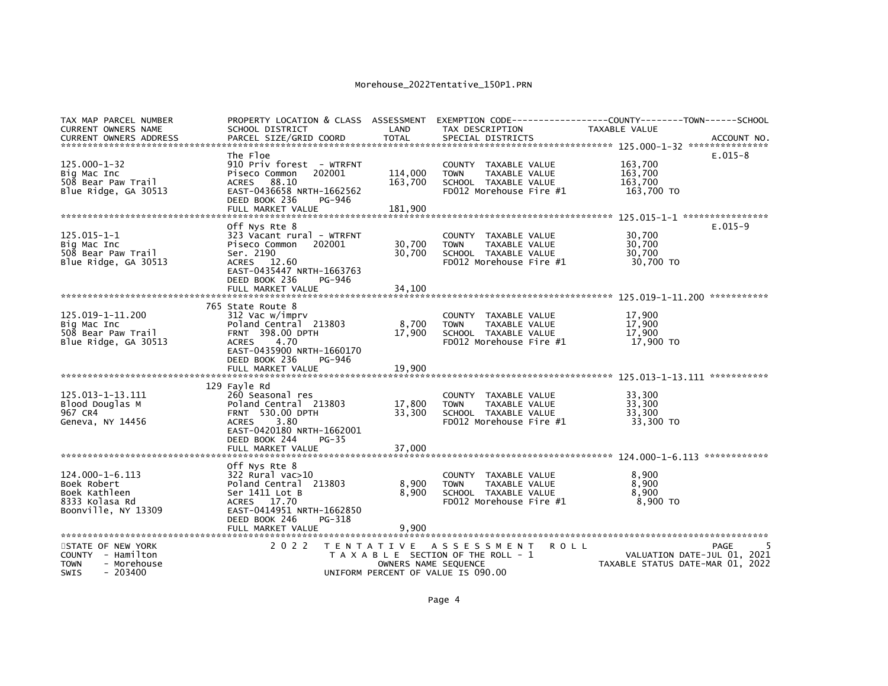| TAX MAP PARCEL NUMBER      | PROPERTY LOCATION & CLASS ASSESSMENT         |                      |                                       | EXEMPTION CODE-----------------COUNTY-------TOWN------SCHOOL |           |
|----------------------------|----------------------------------------------|----------------------|---------------------------------------|--------------------------------------------------------------|-----------|
| <b>CURRENT OWNERS NAME</b> | SCHOOL DISTRICT                              | LAND                 | TAX DESCRIPTION                       | <b>TAXABLE VALUE</b>                                         |           |
|                            |                                              |                      |                                       |                                                              |           |
|                            | The Floe                                     |                      |                                       |                                                              | $E.015-8$ |
| $125.000 - 1 - 32$         | 910 Priv forest - WTRFNT                     |                      | COUNTY TAXABLE VALUE                  | 163,700                                                      |           |
| Big Mac Inc                | Piseco Common<br>202001                      | 114,000              | TAXABLE VALUE<br><b>TOWN</b>          | 163.700                                                      |           |
| 508 Bear Paw Trail         | 88.10<br>ACRES                               | 163,700              | SCHOOL TAXABLE VALUE                  | 163,700                                                      |           |
| Blue Ridge, GA 30513       | EAST-0436658 NRTH-1662562                    |                      | FD012 Morehouse Fire #1               | 163,700 TO                                                   |           |
|                            | DEED BOOK 236<br>PG-946                      |                      |                                       |                                                              |           |
|                            | FULL MARKET VALUE                            | 181,900              |                                       |                                                              |           |
|                            |                                              |                      |                                       |                                                              |           |
|                            | Off Nys Rte 8                                |                      |                                       |                                                              | $E.015-9$ |
| 125.015-1-1                | 323 Vacant rural - WTRFNT                    |                      | COUNTY TAXABLE VALUE                  | 30,700                                                       |           |
| Big Mac Inc                | Piseco Common<br>202001                      | 30,700               | TAXABLE VALUE<br><b>TOWN</b>          | 30,700                                                       |           |
| 508 Bear Paw Trail         | Ser. 2190                                    | 30,700               | SCHOOL TAXABLE VALUE                  | 30,700                                                       |           |
| Blue Ridge, GA 30513       | <b>ACRES</b><br>12.60                        |                      | FD012 Morehouse Fire #1               | 30,700 TO                                                    |           |
|                            | EAST-0435447 NRTH-1663763                    |                      |                                       |                                                              |           |
|                            | DEED BOOK 236<br>PG-946                      |                      |                                       |                                                              |           |
|                            | FULL MARKET VALUE                            | 34,100               |                                       |                                                              |           |
|                            |                                              |                      |                                       |                                                              |           |
|                            | 765 State Route 8                            |                      |                                       |                                                              |           |
| 125.019-1-11.200           | 312 Vac w/imprv                              |                      | COUNTY TAXABLE VALUE                  | 17,900                                                       |           |
| Big Mac Inc                | Poland Central 213803                        | 8,700                | TAXABLE VALUE<br><b>TOWN</b>          | 17,900                                                       |           |
| 508 Bear Paw Trail         | FRNT 398.00 DPTH                             | 17,900               | SCHOOL TAXABLE VALUE                  | 17,900                                                       |           |
| Blue Ridge, GA 30513       | 4.70<br><b>ACRES</b>                         |                      | FD012 Morehouse Fire #1               | 17,900 TO                                                    |           |
|                            | EAST-0435900 NRTH-1660170                    |                      |                                       |                                                              |           |
|                            | DEED BOOK 236<br>PG-946<br>FULL MARKET VALUE | 19,900               |                                       |                                                              |           |
|                            |                                              |                      |                                       |                                                              |           |
|                            | 129 Fayle Rd                                 |                      |                                       |                                                              |           |
| 125.013-1-13.111           | 260 Seasonal res                             |                      | COUNTY TAXABLE VALUE                  | 33,300                                                       |           |
| Blood Douglas M            | Poland Central 213803                        | 17,800               | TAXABLE VALUE<br><b>TOWN</b>          | 33,300                                                       |           |
| 967 CR4                    | <b>FRNT 530.00 DPTH</b>                      | 33,300               | SCHOOL TAXABLE VALUE                  | 33,300                                                       |           |
| Geneva, NY 14456           | <b>ACRES</b><br>3.80                         |                      | $FD012$ Morehouse Fire $#1$           | 33,300 TO                                                    |           |
|                            | EAST-0420180 NRTH-1662001                    |                      |                                       |                                                              |           |
|                            | DEED BOOK 244<br>$PG-35$                     |                      |                                       |                                                              |           |
|                            | FULL MARKET VALUE                            | 37,000               |                                       |                                                              |           |
|                            |                                              |                      |                                       |                                                              |           |
|                            | Off Nys Rte 8                                |                      |                                       |                                                              |           |
| $124.000 - 1 - 6.113$      | 322 Rural vac>10                             |                      | COUNTY TAXABLE VALUE                  | 8,900                                                        |           |
| Boek Robert                | Poland Central 213803                        | 8,900                | TAXABLE VALUE<br><b>TOWN</b>          | 8,900                                                        |           |
| Boek Kathleen              | Ser 1411 Lot B                               | 8,900                | SCHOOL TAXABLE VALUE                  | 8,900                                                        |           |
| 8333 Kolasa Rd             | ACRES 17.70                                  |                      | FD012 Morehouse Fire #1               | 8,900 TO                                                     |           |
| Boonville, NY 13309        | EAST-0414951 NRTH-1662850                    |                      |                                       |                                                              |           |
|                            | DEED BOOK 246<br>PG-318                      |                      |                                       |                                                              |           |
|                            | FULL MARKET VALUE                            | 9.900                |                                       |                                                              |           |
|                            |                                              |                      |                                       |                                                              |           |
| STATE OF NEW YORK          | 2 0 2 2                                      | T E N T A T I V E    | A S S E S S M E N T                   | <b>ROLL</b>                                                  | PAGE      |
| COUNTY - Hamilton          |                                              |                      | T A X A B L E SECTION OF THE ROLL - 1 | VALUATION DATE-JUL 01, 2021                                  |           |
| - Morehouse<br><b>TOWN</b> |                                              | OWNERS NAME SEQUENCE |                                       | TAXABLE STATUS DATE-MAR 01, 2022                             |           |
| <b>SWIS</b><br>$-203400$   |                                              |                      | UNIFORM PERCENT OF VALUE IS 090.00    |                                                              |           |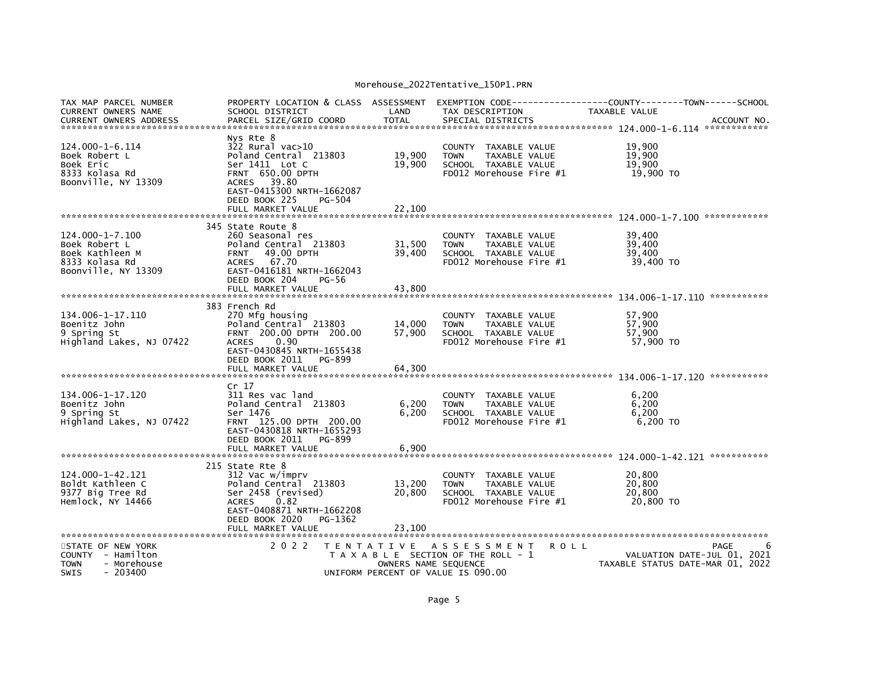| TAX MAP PARCEL NUMBER<br>CURRENT OWNERS NAME<br><b>CURRENT OWNERS ADDRESS</b>                      | PROPERTY LOCATION & CLASS ASSESSMENT<br>SCHOOL DISTRICT<br>PARCEL SIZE/GRID COORD                                                                                                                         | LAND<br><b>TOTAL</b>                                                            | EXEMPTION CODE----<br>TAX DESCRIPTION<br>SPECIAL DISTRICTS                                                        | -----------COUNTY--------TOWN------SCHOOL<br>TAXABLE VALUE                     | ACCOUNT NO. |
|----------------------------------------------------------------------------------------------------|-----------------------------------------------------------------------------------------------------------------------------------------------------------------------------------------------------------|---------------------------------------------------------------------------------|-------------------------------------------------------------------------------------------------------------------|--------------------------------------------------------------------------------|-------------|
| 124.000-1-6.114<br>Boek Robert L<br>Boek Eric<br>8333 Kolasa Rd<br>Boonville, NY 13309             | Nys Rte 8<br>322 Rural vac>10<br>Poland Central 213803<br>Ser 1411 Lot C<br><b>FRNT 650.00 DPTH</b><br>39.80<br><b>ACRES</b><br>EAST-0415300 NRTH-1662087<br>DEED BOOK 225<br>PG-504<br>FULL MARKET VALUE | 19,900<br>19,900<br>22,100                                                      | <b>COUNTY</b><br>TAXABLE VALUE<br>TAXABLE VALUE<br><b>TOWN</b><br>SCHOOL TAXABLE VALUE<br>FD012 Morehouse Fire #1 | 19,900<br>19,900<br>19,900<br>19,900 TO                                        |             |
|                                                                                                    | 345 State Route 8                                                                                                                                                                                         |                                                                                 |                                                                                                                   |                                                                                |             |
| $124.000 - 1 - 7.100$<br>Boek Robert L<br>Boek Kathleen M<br>8333 Kolasa Rd<br>Boonville, NY 13309 | 260 Seasonal res<br>Poland Central 213803<br>49.00 DPTH<br><b>FRNT</b><br>ACRES 67.70<br>EAST-0416181 NRTH-1662043<br>DEED BOOK 204<br>PG-56<br>FULL MARKET VALUE                                         | 31,500<br>39,400<br>43,800                                                      | <b>COUNTY</b><br>TAXABLE VALUE<br>TAXABLE VALUE<br><b>TOWN</b><br>SCHOOL TAXABLE VALUE<br>FD012 Morehouse Fire #1 | 39.400<br>39,400<br>39.400<br>39,400 TO                                        |             |
|                                                                                                    |                                                                                                                                                                                                           |                                                                                 |                                                                                                                   |                                                                                |             |
| 134.006-1-17.110<br>Boenitz John<br>9 Spring St<br>Highland Lakes, NJ 07422                        | 383 French Rd<br>270 Mfg housing<br>Poland Central 213803<br>200.00 DPTH 200.00<br><b>FRNT</b><br>0.90<br><b>ACRES</b><br>EAST-0430845 NRTH-1655438<br>DEED BOOK 2011<br>PG-899<br>FULL MARKET VALUE      | 14.000<br>57,900<br>64.300                                                      | <b>COUNTY</b><br>TAXABLE VALUE<br>TAXABLE VALUE<br><b>TOWN</b><br>SCHOOL TAXABLE VALUE<br>FD012 Morehouse Fire #1 | 57,900<br>57.900<br>57,900<br>57,900 TO                                        |             |
|                                                                                                    | Cr 17                                                                                                                                                                                                     |                                                                                 |                                                                                                                   |                                                                                | *********** |
| 134.006-1-17.120<br>Boenitz John<br>9 Spring St<br>Highland Lakes, NJ 07422                        | 311 Res vac land<br>Poland Central 213803<br>Ser 1476<br>FRNT 125.00 DPTH 200.00<br>EAST-0430818 NRTH-1655293<br>DEED BOOK 2011<br>PG-899<br>FULL MARKET VALUE                                            | 6,200<br>6.200<br>6.900                                                         | COUNTY<br>TAXABLE VALUE<br><b>TOWN</b><br>TAXABLE VALUE<br>SCHOOL TAXABLE VALUE<br>FD012 Morehouse Fire #1        | 6,200<br>6,200<br>6,200<br>6,200 TO                                            |             |
|                                                                                                    |                                                                                                                                                                                                           |                                                                                 |                                                                                                                   |                                                                                |             |
| 124.000-1-42.121<br>Boldt Kathleen C<br>9377 Big Tree Rd<br>Hemlock, NY 14466                      | 215 State Rte 8<br>312 Vac w/imprv<br>Poland Central 213803<br>Ser 2458 (revised)<br>0.82<br><b>ACRES</b><br>EAST-0408871 NRTH-1662208<br>DEED BOOK 2020<br>PG-1362<br>FULL MARKET VALUE                  | 13,200<br>20.800<br>23,100                                                      | COUNTY TAXABLE VALUE<br><b>TOWN</b><br>TAXABLE VALUE<br>SCHOOL TAXABLE VALUE<br>FD012 Morehouse Fire #1           | 20,800<br>20,800<br>20.800<br>20,800 TO                                        |             |
| **********************                                                                             | **********************                                                                                                                                                                                    |                                                                                 |                                                                                                                   |                                                                                |             |
| STATE OF NEW YORK<br>COUNTY - Hamilton<br>- Morehouse<br>TOWN<br>- 203400<br>SWIS                  | 2 0 2 2                                                                                                                                                                                                   | T E N T A T I V E<br>OWNERS NAME SEQUENCE<br>UNIFORM PERCENT OF VALUE IS 090.00 | A S S E S S M E N T<br>T A X A B L E SECTION OF THE ROLL - 1                                                      | <b>ROLL</b><br>VALUATION DATE-JUL 01, 2021<br>TAXABLE STATUS DATE-MAR 01, 2022 | PAGE        |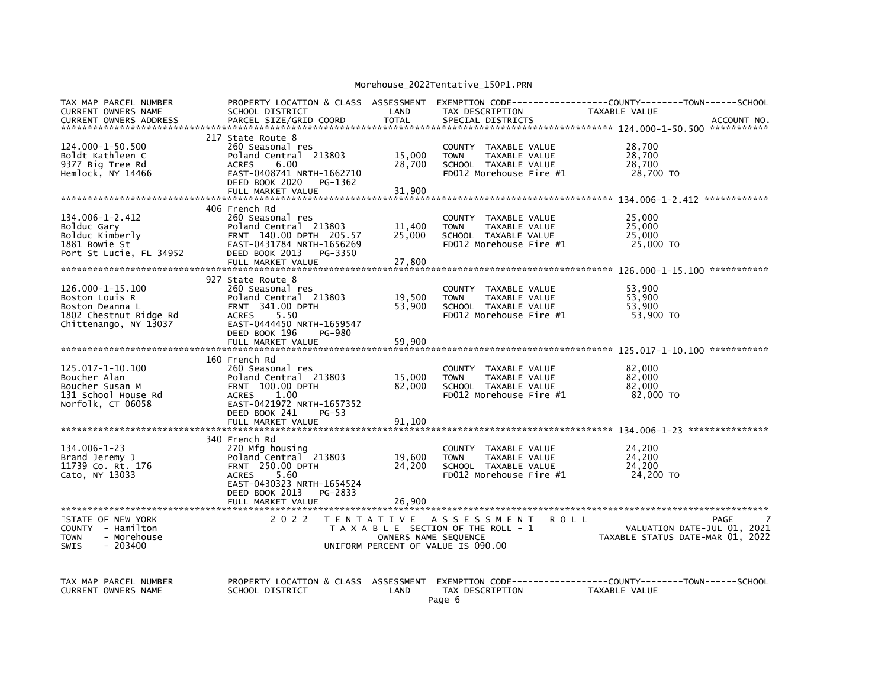| TAX MAP PARCEL NUMBER<br>CURRENT OWNERS NAME<br><b>CURRENT OWNERS ADDRESS</b>                            | PROPERTY LOCATION & CLASS ASSESSMENT<br>SCHOOL DISTRICT<br>PARCEL SIZE/GRID COORD                                                                                                              | LAND<br>TOTAL                            | TAX DESCRIPTION<br>SPECIAL DISTRICTS                                                                              | TAXABLE VALUE<br>ACCOUNT NO.                                                         |
|----------------------------------------------------------------------------------------------------------|------------------------------------------------------------------------------------------------------------------------------------------------------------------------------------------------|------------------------------------------|-------------------------------------------------------------------------------------------------------------------|--------------------------------------------------------------------------------------|
| 124.000-1-50.500<br>Boldt Kathleen C<br>9377 Big Tree Rd<br>Hemlock, NY 14466                            | 217 State Route 8<br>260 Seasonal res<br>Poland Central 213803<br>6.00<br><b>ACRES</b><br>EAST-0408741 NRTH-1662710<br>DEED BOOK 2020<br>PG-1362<br>FULL MARKET VALUE                          | 15,000<br>28,700<br>31,900               | COUNTY TAXABLE VALUE<br>TAXABLE VALUE<br><b>TOWN</b><br>SCHOOL TAXABLE VALUE<br>FD012 Morehouse Fire #1           | 28,700<br>28,700<br>28,700<br>28,700 TO                                              |
| 134.006-1-2.412<br>Bolduc Gary<br>Bolduc Kimberly<br>1881 Bowie St<br>Port St Lucie, FL 34952            | 406 French Rd<br>260 Seasonal res<br>Poland Central 213803<br>FRNT 140.00 DPTH 205.57<br>EAST-0431784 NRTH-1656269<br>DEED BOOK 2013<br>PG-3350<br>FULL MARKET VALUE                           | 11,400<br>25,000<br>27,800               | COUNTY TAXABLE VALUE<br>TAXABLE VALUE<br><b>TOWN</b><br>SCHOOL TAXABLE VALUE<br>FD012 Morehouse Fire #1           | 25,000<br>25,000<br>25,000<br>25,000 TO                                              |
| 126.000-1-15.100<br>Boston Louis R<br>Boston Deanna L<br>1802 Chestnut Ridge Rd<br>Chittenango, NY 13037 | 927 State Route 8<br>260 Seasonal res<br>Poland Central 213803<br><b>FRNT 341.00 DPTH</b><br><b>ACRES</b><br>5.50<br>EAST-0444450 NRTH-1659547<br>DEED BOOK 196<br>PG-980<br>FULL MARKET VALUE | 19,500<br>53,900<br>59,900               | COUNTY TAXABLE VALUE<br><b>TOWN</b><br>TAXABLE VALUE<br>SCHOOL TAXABLE VALUE<br>FD012 Morehouse Fire #1           | 53,900<br>53.900<br>53,900<br>53,900 TO                                              |
| 125.017-1-10.100<br>Boucher Alan<br>Boucher Susan M<br>131 School House Rd<br>Norfolk, CT 06058          | 160 French Rd<br>260 Seasonal res<br>Poland Central 213803<br><b>FRNT 100.00 DPTH</b><br><b>ACRES</b><br>1.00<br>EAST-0421972 NRTH-1657352<br>DEED BOOK 241<br>PG-53<br>FULL MARKET VALUE      | 15,000<br>82,000<br>91.100               | COUNTY TAXABLE VALUE<br><b>TOWN</b><br>TAXABLE VALUE<br>SCHOOL TAXABLE VALUE<br>FD012 Morehouse Fire #1           | 82,000<br>82,000<br>82.000<br>82,000 TO                                              |
| $134.006 - 1 - 23$<br>Brand Jeremy J<br>11739 Co. Rt. 176<br>Cato, NY 13033                              | 340 French Rd<br>270 Mfg housing<br>Poland Central 213803<br><b>FRNT 250.00 DPTH</b><br>5.60<br><b>ACRES</b><br>EAST-0430323 NRTH-1654524<br>DEED BOOK 2013<br>PG-2833<br>FULL MARKET VALUE    | 19,600<br>24,200<br>26,900               | COUNTY TAXABLE VALUE<br><b>TOWN</b><br>TAXABLE VALUE<br>SCHOOL TAXABLE VALUE<br>FD012 Morehouse Fire #1           | 24,200<br>24,200<br>24,200<br>24,200 TO                                              |
| STATE OF NEW YORK<br>COUNTY - Hamilton<br><b>TOWN</b><br>- Morehouse<br>$-203400$<br><b>SWIS</b>         | 2 0 2 2                                                                                                                                                                                        | <b>TENTATIVE</b><br>OWNERS NAME SEQUENCE | A S S E S S M E N T<br><b>ROLL</b><br>T A X A B L E SECTION OF THE ROLL - 1<br>UNIFORM PERCENT OF VALUE IS 090.00 | PAGE<br>VALUATION DATE-JUL 01, 2021<br>TAXABLE STATUS DATE-MAR 01, 2022              |
| TAX MAP PARCEL NUMBER<br><b>CURRENT OWNERS NAME</b>                                                      | PROPERTY LOCATION & CLASS ASSESSMENT<br>SCHOOL DISTRICT                                                                                                                                        | LAND                                     | TAX DESCRIPTION                                                                                                   | EXEMPTION CODE-----------------COUNTY-------TOWN------SCHOOL<br><b>TAXABLE VALUE</b> |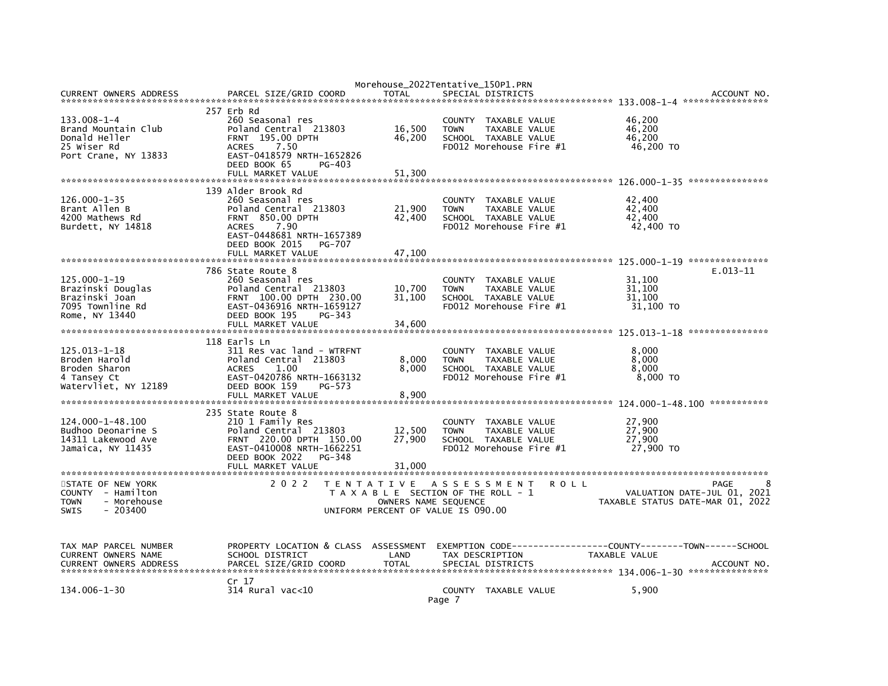|                                        |                                                       | Morehouse_2022Tentative_150P1.PRN     |                 |                                                 |                                                              |                     |                                            |
|----------------------------------------|-------------------------------------------------------|---------------------------------------|-----------------|-------------------------------------------------|--------------------------------------------------------------|---------------------|--------------------------------------------|
| <b>CURRENT OWNERS ADDRESS</b>          | PARCEL SIZE/GRID COORD                                | <b>TOTAL</b>                          |                 | SPECIAL DISTRICTS                               |                                                              |                     | ACCOUNT NO                                 |
|                                        | 257 Erb Rd                                            |                                       |                 |                                                 |                                                              |                     |                                            |
| 133.008-1-4                            | 260 Seasonal res                                      |                                       |                 | COUNTY TAXABLE VALUE                            |                                                              | 46,200              |                                            |
| Brand Mountain Club                    | Poland Central 213803                                 | 16,500                                | <b>TOWN</b>     | TAXABLE VALUE                                   |                                                              | 46,200              |                                            |
| Donald Heller                          | FRNT 195.00 DPTH                                      | 46,200                                |                 | SCHOOL TAXABLE VALUE                            |                                                              | 46,200              |                                            |
| 25 Wiser Rd                            | <b>ACRES</b><br>7.50                                  |                                       |                 | FD012 Morehouse Fire #1                         |                                                              | 46,200 TO           |                                            |
| Port Crane, NY 13833                   | EAST-0418579 NRTH-1652826<br>DEED BOOK 65<br>$PG-403$ |                                       |                 |                                                 |                                                              |                     |                                            |
|                                        | FULL MARKET VALUE                                     | 51,300                                |                 |                                                 |                                                              |                     |                                            |
|                                        |                                                       |                                       |                 |                                                 |                                                              |                     |                                            |
|                                        | 139 Alder Brook Rd                                    |                                       |                 |                                                 |                                                              |                     |                                            |
| $126.000 - 1 - 35$                     | 260 Seasonal res                                      |                                       |                 | COUNTY TAXABLE VALUE                            |                                                              | 42,400              |                                            |
| Brant Allen B                          | Poland Central 213803                                 | 21,900                                | <b>TOWN</b>     | TAXABLE VALUE                                   |                                                              | 42,400              |                                            |
| 4200 Mathews Rd                        | <b>FRNT 850.00 DPTH</b>                               | 42,400                                |                 | SCHOOL TAXABLE VALUE                            |                                                              | 42,400              |                                            |
| Burdett, NY 14818                      | 7.90<br><b>ACRES</b><br>EAST-0448681 NRTH-1657389     |                                       |                 | FD012 Morehouse Fire #1                         |                                                              | 42,400 TO           |                                            |
|                                        | DEED BOOK 2015<br><b>PG-707</b>                       |                                       |                 |                                                 |                                                              |                     |                                            |
|                                        |                                                       |                                       |                 |                                                 |                                                              |                     |                                            |
|                                        |                                                       |                                       |                 |                                                 |                                                              |                     |                                            |
|                                        | 786 State Route 8                                     |                                       |                 |                                                 |                                                              |                     | $E.013-11$                                 |
| 125.000-1-19                           | 260 Seasonal res                                      |                                       |                 | COUNTY TAXABLE VALUE                            |                                                              | 31,100              |                                            |
| Brazinski Douglas                      | Poland Central 213803                                 | 10,700                                | <b>TOWN</b>     | TAXABLE VALUE                                   |                                                              | 31,100              |                                            |
| Brazinski Joan<br>7095 Townline Rd     | FRNT 100.00 DPTH 230.00<br>EAST-0436916 NRTH-1659127  | 31,100                                |                 | SCHOOL TAXABLE VALUE<br>FD012 Morehouse Fire #1 |                                                              | 31,100<br>31,100 TO |                                            |
| Rome, NY 13440                         | DEED BOOK 195<br>PG-343                               |                                       |                 |                                                 |                                                              |                     |                                            |
|                                        | FULL MARKET VALUE                                     | 34,600                                |                 |                                                 |                                                              |                     |                                            |
|                                        |                                                       |                                       |                 |                                                 |                                                              |                     |                                            |
|                                        | 118 Earls Ln                                          |                                       |                 |                                                 |                                                              |                     |                                            |
| 125.013-1-18                           | 311 Res vac land - WTRFNT                             |                                       |                 | COUNTY TAXABLE VALUE                            |                                                              | 8,000               |                                            |
| Broden Harold<br>Broden Sharon         | Poland Central 213803<br>1.00<br><b>ACRES</b>         | 8,000<br>8,000                        | <b>TOWN</b>     | TAXABLE VALUE<br>SCHOOL TAXABLE VALUE           |                                                              | 8,000<br>8.000      |                                            |
| 4 Tansey Ct                            | EAST-0420786 NRTH-1663132                             |                                       |                 | FD012 Morehouse Fire #1                         |                                                              | 8,000 TO            |                                            |
| Watervliet, NY 12189                   | DEED BOOK 159<br>$PG-573$                             |                                       |                 |                                                 |                                                              |                     |                                            |
|                                        | FULL MARKET VALUE                                     | 8,900                                 |                 |                                                 |                                                              |                     |                                            |
|                                        |                                                       |                                       |                 |                                                 |                                                              |                     |                                            |
| 124.000-1-48.100                       | 235 State Route 8<br>210 1 Family Res                 |                                       |                 |                                                 |                                                              | 27,900              |                                            |
| Budhoo Deonarine S                     | Poland Central 213803                                 | 12,500                                | <b>TOWN</b>     | COUNTY TAXABLE VALUE<br>TAXABLE VALUE           |                                                              | 27,900              |                                            |
| 14311 Lakewood Ave                     | FRNT 220.00 DPTH 150.00                               | 27,900                                |                 | SCHOOL TAXABLE VALUE                            |                                                              | 27,900              |                                            |
| Jamaica, NY 11435                      | EAST-0410008 NRTH-1662251                             |                                       |                 | FD012 Morehouse Fire #1                         |                                                              | 27,900 TO           |                                            |
|                                        | DEED BOOK 2022<br>PG-348                              |                                       |                 |                                                 |                                                              |                     |                                            |
|                                        | FULL MARKET VALUE                                     | 31,000                                |                 |                                                 |                                                              |                     |                                            |
|                                        |                                                       |                                       |                 |                                                 |                                                              |                     |                                            |
| STATE OF NEW YORK<br>COUNTY - Hamilton | 2 0 2 2<br>TENTATIVE ASSESSMENT                       | T A X A B L E SECTION OF THE ROLL - 1 |                 |                                                 | <b>ROLL</b>                                                  |                     | <b>PAGE</b><br>VALUATION DATE-JUL 01, 2021 |
| <b>TOWN</b><br>- Morehouse             |                                                       | OWNERS NAME SEQUENCE                  |                 |                                                 |                                                              |                     | TAXABLE STATUS DATE-MAR 01, 2022           |
| <b>SWIS</b><br>$-203400$               | UNIFORM PERCENT OF VALUE IS 090.00                    |                                       |                 |                                                 |                                                              |                     |                                            |
|                                        |                                                       |                                       |                 |                                                 |                                                              |                     |                                            |
|                                        |                                                       |                                       |                 |                                                 |                                                              |                     |                                            |
| TAX MAP PARCEL NUMBER                  | PROPERTY LOCATION & CLASS ASSESSMENT                  |                                       |                 |                                                 | EXEMPTION CODE-----------------COUNTY-------TOWN------SCHOOL |                     |                                            |
| CURRENT OWNERS NAME                    | SCHOOL DISTRICT                                       | LAND                                  | TAX DESCRIPTION |                                                 |                                                              | TAXABLE VALUE       |                                            |
| <b>CURRENT OWNERS ADDRESS</b>          | PARCEL SIZE/GRID COORD                                | <b>TOTAL</b>                          |                 | SPECIAL DISTRICTS                               |                                                              |                     | ACCOUNT NO.                                |
|                                        |                                                       |                                       |                 |                                                 |                                                              |                     |                                            |
|                                        | Cr 17                                                 |                                       |                 |                                                 |                                                              |                     |                                            |
| 134.006-1-30                           | 314 Rural vac<10                                      |                                       |                 | COUNTY TAXABLE VALUE                            |                                                              | 5,900               |                                            |
|                                        |                                                       |                                       | Page 7          |                                                 |                                                              |                     |                                            |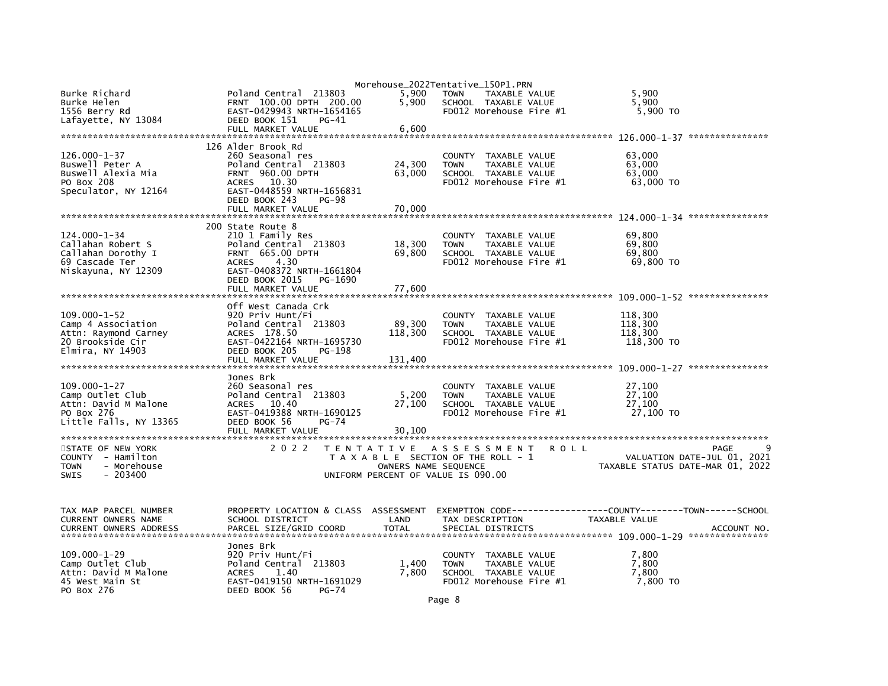|                               |                                      |                      | Morehouse_2022Tentative_150P1.PRN                    |                                  |
|-------------------------------|--------------------------------------|----------------------|------------------------------------------------------|----------------------------------|
| Burke Richard                 | Poland Central 213803                | 5,900                | TAXABLE VALUE<br><b>TOWN</b>                         | 5,900                            |
| Burke Helen                   | FRNT 100.00 DPTH 200.00              | 5,900                | SCHOOL TAXABLE VALUE                                 | 5,900                            |
| 1556 Berry Rd                 | EAST-0429943 NRTH-1654165            |                      | FD012 Morehouse Fire #1                              | 5,900 TO                         |
| Lafayette, NY 13084           | DEED BOOK 151<br>$PG-41$             |                      |                                                      |                                  |
|                               | FULL MARKET VALUE                    | 6,600                |                                                      |                                  |
|                               |                                      |                      |                                                      |                                  |
|                               | 126 Alder Brook Rd                   |                      |                                                      |                                  |
| $126.000 - 1 - 37$            | 260 Seasonal res                     |                      |                                                      |                                  |
|                               |                                      |                      | COUNTY TAXABLE VALUE                                 | 63,000                           |
| Buswell Peter A               | Poland Central 213803                | 24,300               | <b>TOWN</b><br>TAXABLE VALUE                         | 63.000                           |
| Buswell Alexia Mia            | FRNT 960.00 DPTH                     | 63,000               | SCHOOL TAXABLE VALUE                                 | 63,000                           |
| PO Box 208                    | ACRES 10.30                          |                      | $FD012$ Morehouse Fire $#1$                          | 63,000 TO                        |
| Speculator, NY 12164          | EAST-0448559 NRTH-1656831            |                      |                                                      |                                  |
|                               | DEED BOOK 243<br><b>PG-98</b>        |                      |                                                      |                                  |
|                               | FULL MARKET VALUE                    | 70,000               |                                                      |                                  |
|                               |                                      |                      |                                                      |                                  |
|                               | 200 State Route 8                    |                      |                                                      |                                  |
| $124.000 - 1 - 34$            | 210 1 Family Res                     |                      | COUNTY TAXABLE VALUE                                 | 69,800                           |
| Callahan Robert S             | Poland Central 213803                | 18,300               | <b>TOWN</b><br>TAXABLE VALUE                         | 69,800                           |
| Callahan Dorothy I            | FRNT 665.00 DPTH                     | 69,800               | SCHOOL TAXABLE VALUE                                 | 69,800                           |
| 69 Cascade Ter                | <b>ACRES</b><br>4.30                 |                      | FD012 Morehouse Fire #1                              | 69,800 TO                        |
| Niskayuna, NY 12309           | EAST-0408372 NRTH-1661804            |                      |                                                      |                                  |
|                               | DEED BOOK 2015<br>PG-1690            |                      |                                                      |                                  |
|                               | FULL MARKET VALUE                    | 77.600               |                                                      |                                  |
|                               |                                      |                      |                                                      |                                  |
|                               | Off West Canada Crk                  |                      |                                                      |                                  |
| $109.000 - 1 - 52$            | 920 Priv Hunt/Fi                     |                      |                                                      | 118,300                          |
| Camp 4 Association            | Poland Central 213803                | 89,300               | COUNTY TAXABLE VALUE<br><b>TOWN</b><br>TAXABLE VALUE | 118,300                          |
|                               |                                      |                      |                                                      |                                  |
| Attn: Raymond Carney          | ACRES 178.50                         | 118,300              | SCHOOL TAXABLE VALUE                                 | 118,300                          |
| 20 Brookside Cir              | EAST-0422164 NRTH-1695730            |                      | FD012 Morehouse Fire #1                              | 118,300 TO                       |
| Elmira. NY 14903              | DEED BOOK 205<br>PG-198              |                      |                                                      |                                  |
|                               | FULL MARKET VALUE                    | 131.400              |                                                      |                                  |
|                               |                                      |                      |                                                      |                                  |
|                               | Jones Brk                            |                      |                                                      |                                  |
| $109.000 - 1 - 27$            | 260 Seasonal res                     |                      | COUNTY TAXABLE VALUE                                 | 27,100                           |
| Camp Outlet Club              | Poland Central 213803                | 5,200                | TAXABLE VALUE<br><b>TOWN</b>                         | 27,100                           |
| Attn: David M Malone          | <b>ACRES</b><br>10.40                | 27,100               | SCHOOL TAXABLE VALUE                                 | 27,100                           |
| PO Box 276                    | EAST-0419388 NRTH-1690125            |                      | FD012 Morehouse Fire #1                              | 27,100 TO                        |
| Little Falls, NY 13365        | DEED BOOK 56<br>PG-74                |                      |                                                      |                                  |
|                               | FULL MARKET VALUE                    | 30.100               |                                                      |                                  |
|                               |                                      |                      |                                                      |                                  |
| STATE OF NEW YORK             | 2 0 2 2                              |                      | TENTATIVE ASSESSMENT<br><b>ROLL</b>                  | PAGE                             |
| COUNTY - Hamilton             |                                      |                      | T A X A B L E SECTION OF THE ROLL - 1                | VALUATION DATE-JUL 01, 2021      |
| - Morehouse<br><b>TOWN</b>    |                                      | OWNERS NAME SEQUENCE |                                                      | TAXABLE STATUS DATE-MAR 01, 2022 |
| <b>SWIS</b><br>$-203400$      |                                      |                      | UNIFORM PERCENT OF VALUE IS 090.00                   |                                  |
|                               |                                      |                      |                                                      |                                  |
|                               |                                      |                      |                                                      |                                  |
|                               |                                      |                      |                                                      |                                  |
| TAX MAP PARCEL NUMBER         | PROPERTY LOCATION & CLASS ASSESSMENT |                      |                                                      |                                  |
| CURRENT OWNERS NAME           | SCHOOL DISTRICT                      | LAND                 | TAX DESCRIPTION                                      | TAXABLE VALUE                    |
| <b>CURRENT OWNERS ADDRESS</b> | PARCEL SIZE/GRID COORD               | <b>TOTAL</b>         | SPECIAL DISTRICTS                                    | ACCOUNT NO.                      |
|                               |                                      |                      |                                                      |                                  |
|                               | Jones Brk                            |                      |                                                      |                                  |
| $109.000 - 1 - 29$            | 920 Priv Hunt/Fi                     |                      | COUNTY TAXABLE VALUE                                 | 7,800                            |
| Camp Outlet Club              | Poland Central 213803                | 1,400                | TAXABLE VALUE<br><b>TOWN</b>                         | 7,800                            |
|                               |                                      |                      |                                                      |                                  |
| Attn: David M Malone          | <b>ACRES</b><br>1.40                 | 7,800                | SCHOOL TAXABLE VALUE                                 | 7,800                            |
| 45 West Main St               | EAST-0419150 NRTH-1691029            |                      | FD012 Morehouse Fire #1                              | 7,800 TO                         |
| PO Box 276                    | DEED BOOK 56<br><b>PG-74</b>         |                      |                                                      |                                  |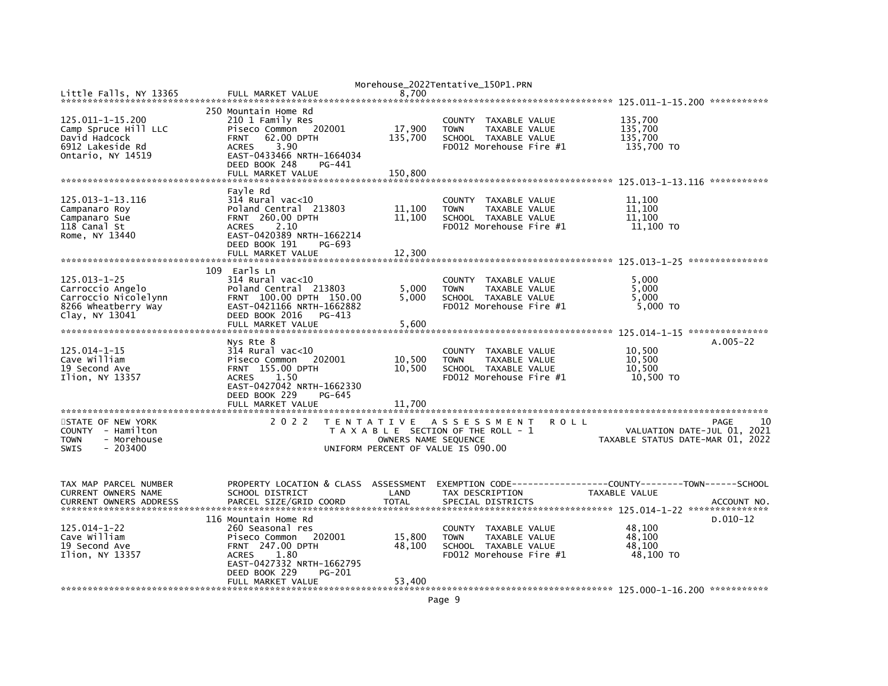|                                          |                                                                           |                                    | Morehouse_2022Tentative_150P1.PRN                              |             |                                             |
|------------------------------------------|---------------------------------------------------------------------------|------------------------------------|----------------------------------------------------------------|-------------|---------------------------------------------|
| Little Falls, NY 13365                   | FULL MARKET VALUE                                                         | 8,700                              |                                                                |             |                                             |
|                                          | 250 Mountain Home Rd                                                      |                                    |                                                                |             |                                             |
| 125.011-1-15.200<br>Camp Spruce Hill LLC | 210 1 Family Res<br>202001<br>Piseco Common                               | 17,900                             | COUNTY TAXABLE VALUE<br>TAXABLE VALUE<br><b>TOWN</b>           |             | 135,700<br>135,700                          |
| David Hadcock<br>6912 Lakeside Rd        | 62.00 DPTH<br><b>FRNT</b><br>3.90<br><b>ACRES</b>                         | 135,700                            | SCHOOL TAXABLE VALUE<br>FD012 Morehouse Fire #1                |             | 135,700<br>135,700 TO                       |
| Ontario, NY 14519                        | EAST-0433466 NRTH-1664034<br>DEED BOOK 248<br>PG-441<br>FULL MARKET VALUE | 150,800                            |                                                                |             |                                             |
|                                          |                                                                           |                                    |                                                                |             |                                             |
|                                          | Fayle Rd                                                                  |                                    |                                                                |             |                                             |
| 125.013-1-13.116                         | $314$ Rural vac<10<br>Poland Central 213803                               | 11,100                             | COUNTY TAXABLE VALUE<br><b>TOWN</b>                            |             | 11,100<br>11,100                            |
| Campanaro Roy<br>Campanaro Sue           | <b>FRNT 260.00 DPTH</b>                                                   | 11,100                             | TAXABLE VALUE<br>SCHOOL TAXABLE VALUE                          |             | 11,100                                      |
| 118 Canal St                             | <b>ACRES</b><br>2.10                                                      |                                    | FD012 Morehouse Fire #1                                        |             | 11,100 TO                                   |
| Rome, NY 13440                           | EAST-0420389 NRTH-1662214<br>DEED BOOK 191<br>PG-693                      |                                    |                                                                |             |                                             |
|                                          | FULL MARKET VALUE                                                         | 12,300                             |                                                                |             |                                             |
|                                          |                                                                           |                                    |                                                                |             |                                             |
|                                          | 109 Earls Ln                                                              |                                    |                                                                |             |                                             |
| 125.013-1-25                             | $314$ Rural vac<10<br>Poland Central 213803                               |                                    | <b>COUNTY</b><br>TAXABLE VALUE<br><b>TOWN</b><br>TAXABLE VALUE |             | 5,000                                       |
| Carroccio Angelo<br>Carroccio Nicolelynn | FRNT 100.00 DPTH 150.00                                                   | 5,000<br>5.000                     | SCHOOL TAXABLE VALUE                                           |             | 5,000<br>5.000                              |
| 8266 Wheatberry Way                      | EAST-0421166 NRTH-1662882                                                 |                                    | FD012 Morehouse Fire #1                                        |             | 5,000 TO                                    |
| Clay, NY 13041                           | DEED BOOK 2016<br>PG-413                                                  |                                    |                                                                |             |                                             |
|                                          | FULL MARKET VALUE                                                         | 5,600                              |                                                                |             |                                             |
|                                          |                                                                           |                                    |                                                                |             |                                             |
|                                          | Nys Rte 8                                                                 |                                    |                                                                |             | $A.005 - 22$                                |
| 125.014-1-15                             | $314$ Rural vac<10                                                        |                                    | COUNTY<br>TAXABLE VALUE                                        |             | 10,500                                      |
| Cave William                             | Piseco Common<br>202001                                                   | 10,500                             | TAXABLE VALUE<br><b>TOWN</b>                                   |             | 10,500                                      |
| 19 Second Ave                            | <b>FRNT 155.00 DPTH</b>                                                   | 10,500                             | SCHOOL TAXABLE VALUE                                           |             | 10,500                                      |
| Ilion, NY 13357                          | 1.50<br><b>ACRES</b>                                                      |                                    | FD012 Morehouse Fire #1                                        |             | 10,500 TO                                   |
|                                          | EAST-0427042 NRTH-1662330                                                 |                                    |                                                                |             |                                             |
|                                          | DEED BOOK 229<br>$PG-645$<br>FULL MARKET VALUE                            | 11.700                             |                                                                |             |                                             |
|                                          |                                                                           |                                    |                                                                |             |                                             |
| STATE OF NEW YORK                        | 2 0 2 2                                                                   |                                    | TENTATIVE ASSESSMENT                                           | <b>ROLL</b> | 10<br>PAGE                                  |
| COUNTY - Hamilton                        |                                                                           |                                    | T A X A B L E SECTION OF THE ROLL - 1                          |             | VALUATION DATE-JUL 01, 2021                 |
| - Morehouse<br><b>TOWN</b>               |                                                                           | OWNERS NAME SEQUENCE               |                                                                |             | TAXABLE STATUS DATE-MAR 01, 2022            |
| <b>SWIS</b><br>$-203400$                 |                                                                           | UNIFORM PERCENT OF VALUE IS 090.00 |                                                                |             |                                             |
|                                          |                                                                           |                                    |                                                                |             |                                             |
|                                          |                                                                           |                                    |                                                                |             |                                             |
| TAX MAP PARCEL NUMBER                    | PROPERTY LOCATION & CLASS ASSESSMENT                                      |                                    | EXEMPTION CODE-----                                            |             | -------------COUNTY--------TOWN------SCHOOL |
| CURRENT OWNERS NAME                      | SCHOOL DISTRICT                                                           | LAND                               | TAX DESCRIPTION                                                |             | TAXABLE VALUE                               |
| <b>CURRENT OWNERS ADDRESS</b>            | PARCEL SIZE/GRID COORD                                                    | <b>TOTAL</b>                       | SPECIAL DISTRICTS                                              |             | ACCOUNT NO                                  |
|                                          |                                                                           |                                    |                                                                |             |                                             |
|                                          | 116 Mountain Home Rd                                                      |                                    |                                                                |             | $D.010-12$                                  |
| $125.014 - 1 - 22$                       | 260 Seasonal res                                                          |                                    | COUNTY<br>TAXABLE VALUE                                        |             | 48,100                                      |
| Cave William                             | Piseco Common<br>202001                                                   | 15,800                             | TAXABLE VALUE<br><b>TOWN</b>                                   |             | 48.100                                      |
| 19 Second Ave                            | <b>FRNT 247.00 DPTH</b>                                                   | 48,100                             | SCHOOL TAXABLE VALUE                                           |             | 48,100                                      |
| Ilion, NY 13357                          | <b>ACRES</b><br>1.80<br>EAST-0427332 NRTH-1662795                         |                                    | FD012 Morehouse Fire #1                                        |             | 48.100 TO                                   |
|                                          | DEED BOOK 229<br>PG-201                                                   |                                    |                                                                |             |                                             |
|                                          | FULL MARKET VALUE                                                         | 53,400                             |                                                                |             |                                             |
|                                          |                                                                           |                                    |                                                                |             |                                             |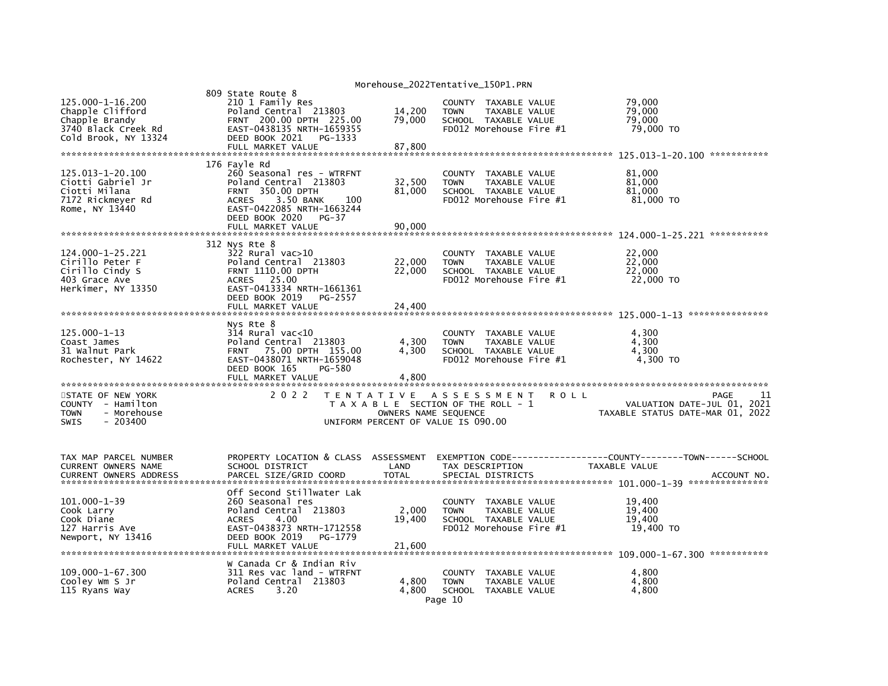|                                                                                                       |                                                                                                                                                                                                      |                                           | Morehouse_2022Tentative_150P1.PRN                                                                          |                                                                                        |
|-------------------------------------------------------------------------------------------------------|------------------------------------------------------------------------------------------------------------------------------------------------------------------------------------------------------|-------------------------------------------|------------------------------------------------------------------------------------------------------------|----------------------------------------------------------------------------------------|
| 125.000-1-16.200<br>Chapple Clifford<br>Chapple Brandy<br>3740 Black Creek Rd<br>Cold Brook, NY 13324 | 809 State Route 8<br>210 1 Family Res<br>Poland Central 213803<br>FRNT 200.00 DPTH 225.00<br>EAST-0438135 NRTH-1659355<br>DEED BOOK 2021<br>PG-1333<br>FULL MARKET VALUE                             | 14,200<br>79,000<br>87,800                | COUNTY TAXABLE VALUE<br><b>TOWN</b><br>TAXABLE VALUE<br>SCHOOL TAXABLE VALUE<br>FD012 Morehouse Fire #1    | 79,000<br>79,000<br>79.000<br>79,000 TO                                                |
| 125.013-1-20.100<br>Ciotti Gabriel Jr<br>Ciotti Milana<br>7172 Rickmeyer Rd<br>Rome, NY 13440         | 176 Fayle Rd<br>260 Seasonal res - WTRFNT<br>Poland Central 213803<br>FRNT 350.00 DPTH<br>3.50 BANK<br><b>ACRES</b><br>100<br>EAST-0422085 NRTH-1663244<br>DEED BOOK 2020 PG-37<br>FULL MARKET VALUE | 32,500<br>81,000<br>90,000                | COUNTY TAXABLE VALUE<br>TAXABLE VALUE<br><b>TOWN</b><br>SCHOOL TAXABLE VALUE<br>FD012 Morehouse Fire #1    | 81,000<br>81,000<br>81.000<br>81,000 TO<br>***********                                 |
| 124.000-1-25.221<br>Cirillo Peter F<br>Cirillo Cindy S<br>403 Grace Ave<br>Herkimer, NY 13350         | 312 Nys Rte 8<br>322 Rural vac>10<br>Poland Central 213803<br><b>FRNT 1110.00 DPTH</b><br>ACRES 25.00<br>EAST-0413334 NRTH-1661361<br>DEED BOOK 2019<br>PG-2557<br>FULL MARKET VALUE                 | 22,000<br>22,000<br>24,400                | COUNTY TAXABLE VALUE<br><b>TOWN</b><br>TAXABLE VALUE<br>SCHOOL TAXABLE VALUE<br>FD012 Morehouse Fire #1    | 22,000<br>22,000<br>22,000<br>22,000 TO                                                |
| 125.000-1-13<br>Coast James<br>31 Walnut Park<br>Rochester, NY 14622                                  | Nys Rte 8<br>$314$ Rural vac<10<br>Poland Central 213803<br>75.00 DPTH 155.00<br><b>FRNT</b><br>EAST-0438071 NRTH-1659048<br>DEED BOOK 165<br>PG-580<br>FULL MARKET VALUE                            | 4,300<br>4,300<br>4,800                   | COUNTY<br>TAXABLE VALUE<br><b>TOWN</b><br>TAXABLE VALUE<br>SCHOOL TAXABLE VALUE<br>FD012 Morehouse Fire #1 | 4,300<br>4,300<br>4,300<br>4,300 TO                                                    |
| STATE OF NEW YORK<br>COUNTY - Hamilton<br><b>TOWN</b><br>- Morehouse<br><b>SWIS</b><br>- 203400       | 2 0 2 2                                                                                                                                                                                              | T E N T A T I V E<br>OWNERS NAME SEQUENCE | A S S E S S M E N T<br>T A X A B L E SECTION OF THE ROLL - 1<br>UNIFORM PERCENT OF VALUE IS 090.00         | <b>ROLL</b><br>PAGE<br>VALUATION DATE-JUL 01, 2021<br>TAXABLE STATUS DATE-MAR 01, 2022 |
| TAX MAP PARCEL NUMBER<br>CURRENT OWNERS NAME<br><b>CURRENT OWNERS ADDRESS</b>                         | PROPERTY LOCATION & CLASS ASSESSMENT<br>SCHOOL DISTRICT<br>PARCEL SIZE/GRID COORD                                                                                                                    | LAND<br><b>TOTAL</b>                      | TAX DESCRIPTION<br>SPECIAL DISTRICTS                                                                       | TAXABLE VALUE<br>ACCOUNT NO.                                                           |
| 101.000-1-39<br>Cook Larry<br>Cook Diane<br>127 Harris Ave<br>Newport, NY 13416                       | Off Second Stillwater Lak<br>260 Seasonal res<br>Poland Central 213803<br>4.00<br><b>ACRES</b><br>EAST-0438373 NRTH-1712558<br>DEED BOOK 2019<br>PG-1779<br>FULL MARKET VALUE                        | 2,000<br>19,400<br>21,600                 | COUNTY TAXABLE VALUE<br>TAXABLE VALUE<br><b>TOWN</b><br>SCHOOL TAXABLE VALUE<br>FD012 Morehouse Fire #1    | 19,400<br>19,400<br>19,400<br>19,400 TO                                                |
| 109.000-1-67.300<br>Cooley Wm S Jr<br>115 Ryans Way                                                   | W Canada Cr & Indian Riv<br>311 Res vac land - WTRFNT<br>Poland Central 213803<br>3.20<br><b>ACRES</b>                                                                                               | 4,800<br>4.800                            | COUNTY<br>TAXABLE VALUE<br><b>TOWN</b><br>TAXABLE VALUE<br>SCHOOL TAXABLE VALUE<br>Page 10                 | 4,800<br>4,800<br>4,800                                                                |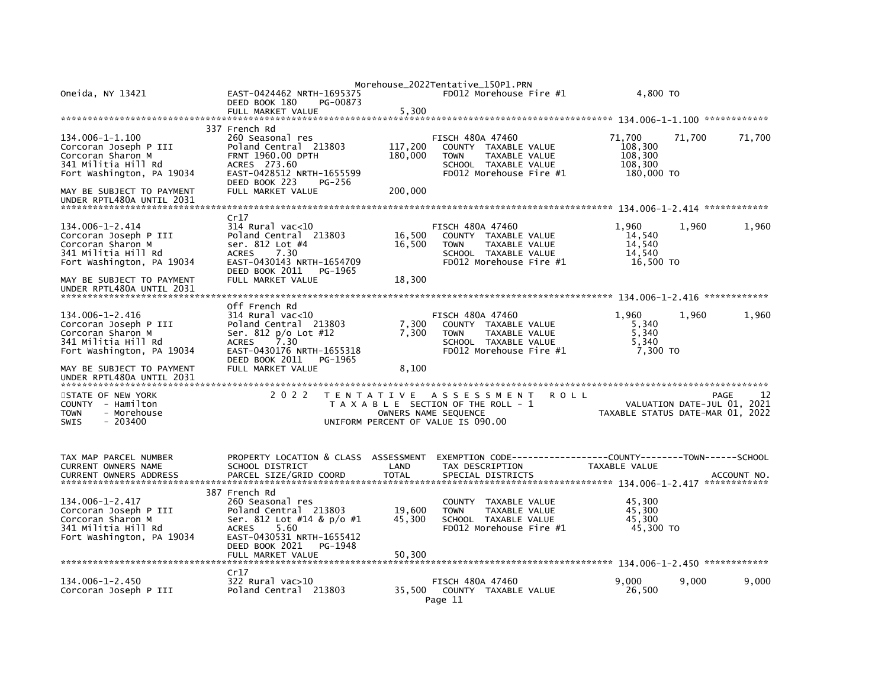| Oneida, NY 13421                                                                                                  | EAST-0424462 NRTH-1695375<br>DEED BOOK 180<br>PG-00873                                                                                                                                         |                            | Morehouse_2022Tentative_150P1.PRN<br>FD012 Morehouse Fire #1                                                                              | 4.800 TO                                              |                                                                               |
|-------------------------------------------------------------------------------------------------------------------|------------------------------------------------------------------------------------------------------------------------------------------------------------------------------------------------|----------------------------|-------------------------------------------------------------------------------------------------------------------------------------------|-------------------------------------------------------|-------------------------------------------------------------------------------|
| 134.006-1-1.100<br>Corcoran Joseph P III<br>Corcoran Sharon M<br>341 Militia Hill Rd<br>Fort Washington, PA 19034 | 337 French Rd<br>260 Seasonal res<br>Poland Central 213803<br>FRNT 1960.00 DPTH<br>ACRES 273.60<br>EAST-0428512 NRTH-1655599<br>DEED BOOK 223<br>PG-256                                        | 117,200<br>180,000         | <b>FISCH 480A 47460</b><br>COUNTY TAXABLE VALUE<br><b>TOWN</b><br><b>TAXABLE VALUE</b><br>SCHOOL TAXABLE VALUE<br>FD012 Morehouse Fire #1 | 71,700<br>108,300<br>108,300<br>108,300<br>180,000 TO | 71,700<br>71,700                                                              |
| MAY BE SUBJECT TO PAYMENT<br>UNDER RPTL480A UNTIL 2031                                                            | FULL MARKET VALUE                                                                                                                                                                              | 200,000                    |                                                                                                                                           |                                                       |                                                                               |
| 134.006-1-2.414<br>Corcoran Joseph P III<br>Corcoran Sharon M<br>341 Militia Hill Rd<br>Fort Washington, PA 19034 | Cr17<br>314 Rural vac<10<br>Poland Central 213803<br>ser. 812 Lot #4<br><b>ACRES</b><br>7.30<br>EAST-0430143 NRTH-1654709<br>DEED BOOK 2011<br>PG-1965                                         | 16,500<br>16,500           | <b>FISCH 480A 47460</b><br>COUNTY TAXABLE VALUE<br>TAXABLE VALUE<br><b>TOWN</b><br>SCHOOL TAXABLE VALUE<br>FD012 Morehouse Fire #1        | 1,960<br>14,540<br>14,540<br>14.540<br>16,500 TO      | 1,960<br>1,960                                                                |
| MAY BE SUBJECT TO PAYMENT<br>UNDER RPTL480A UNTIL 2031                                                            | FULL MARKET VALUE                                                                                                                                                                              | 18,300                     |                                                                                                                                           |                                                       |                                                                               |
| 134.006-1-2.416<br>Corcoran Joseph P III<br>Corcoran Sharon M<br>341 Militia Hill Rd<br>Fort Washington, PA 19034 | Off French Rd<br>$314$ Rural vac<10<br>Poland Central 213803<br>Ser. 812 p/o Lot #12<br>7.30<br><b>ACRES</b><br>EAST-0430176 NRTH-1655318<br>DEED BOOK 2011<br>PG-1965                         | 7,300<br>7,300             | <b>FISCH 480A 47460</b><br>COUNTY TAXABLE VALUE<br><b>TAXABLE VALUE</b><br><b>TOWN</b><br>SCHOOL TAXABLE VALUE<br>FD012 Morehouse Fire #1 | 1,960<br>5,340<br>5,340<br>5,340<br>7,300 TO          | 1,960<br>1,960                                                                |
| MAY BE SUBJECT TO PAYMENT<br>UNDER RPTL480A UNTIL 2031                                                            | FULL MARKET VALUE                                                                                                                                                                              | 8,100                      |                                                                                                                                           |                                                       |                                                                               |
| STATE OF NEW YORK<br>COUNTY - Hamilton<br>- Morehouse<br><b>TOWN</b><br>$-203400$<br><b>SWIS</b>                  | 2 0 2 2                                                                                                                                                                                        | T E N T A T I V E          | A S S E S S M E N T<br>ROLL<br>T A X A B L E SECTION OF THE ROLL - 1<br>OWNERS NAME SEQUENCE<br>UNIFORM PERCENT OF VALUE IS 090.00        |                                                       | 12<br>PAGE<br>VALUATION DATE-JUL 01, 2021<br>TAXABLE STATUS DATE-MAR 01, 2022 |
| TAX MAP PARCEL NUMBER<br>CURRENT OWNERS NAME<br><b>CURRENT OWNERS ADDRESS</b>                                     | PROPERTY LOCATION & CLASS ASSESSMENT<br>SCHOOL DISTRICT<br>PARCEL SIZE/GRID COORD                                                                                                              | LAND<br><b>TOTAL</b>       | EXEMPTION        CODE-----------------COUNTY-------TOWN------SCHOOL<br>TAX DESCRIPTION<br>SPECIAL DISTRICTS                               | TAXABLE VALUE                                         | ACCOUNT NO.                                                                   |
| 134.006-1-2.417<br>Corcoran Joseph P III<br>Corcoran Sharon M<br>341 Militia Hill Rd<br>Fort Washington, PA 19034 | 387 French Rd<br>260 Seasonal res<br>Poland Central 213803<br>Ser. 812 Lot #14 & p/o #1<br>5.60<br><b>ACRES</b><br>EAST-0430531 NRTH-1655412<br>DEED BOOK 2021<br>PG-1948<br>FULL MARKET VALUE | 19,600<br>45,300<br>50,300 | <b>COUNTY</b><br>TAXABLE VALUE<br><b>TOWN</b><br>TAXABLE VALUE<br>SCHOOL TAXABLE VALUE<br>FD012 Morehouse Fire $#1$                       | 45,300<br>45.300<br>45.300<br>45,300 TO               |                                                                               |
| $134.006 - 1 - 2.450$<br>Corcoran Joseph P III                                                                    | Cr17<br>322 Rural vac>10<br>Poland Central 213803                                                                                                                                              | 35.500                     | <b>FISCH 480A 47460</b><br>COUNTY TAXABLE VALUE<br>Page 11                                                                                | 9,000<br>26,500                                       | 9,000<br>9,000                                                                |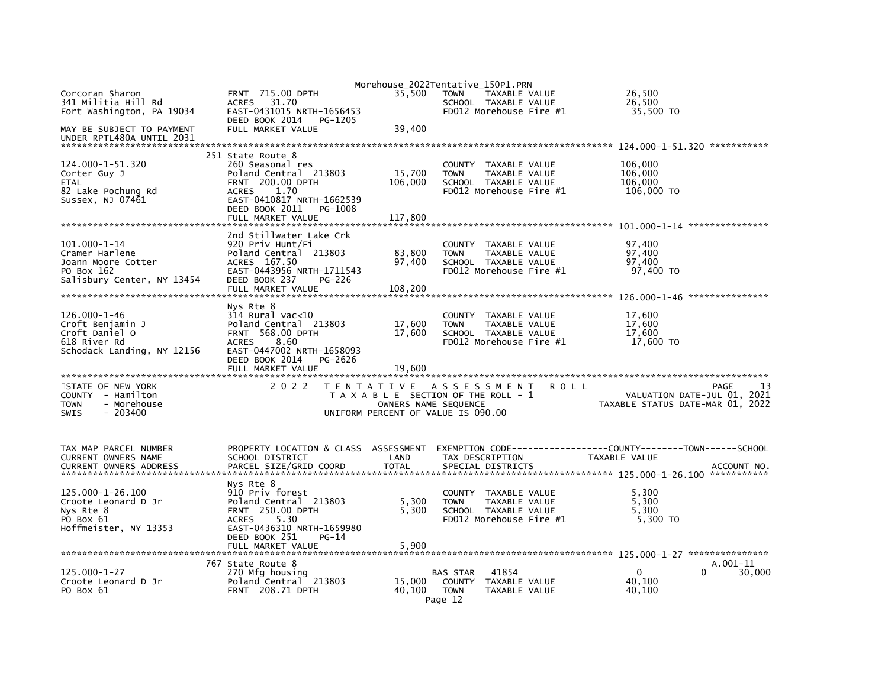|                                                                                                        |                                                                                                                                                                                                  |                              | Morehouse_2022Tentative_150P1.PRN                                                                                           |                                |                                                                 |                            |
|--------------------------------------------------------------------------------------------------------|--------------------------------------------------------------------------------------------------------------------------------------------------------------------------------------------------|------------------------------|-----------------------------------------------------------------------------------------------------------------------------|--------------------------------|-----------------------------------------------------------------|----------------------------|
| Corcoran Sharon<br>341 Militia Hill Rd<br>Fort Washington, PA 19034                                    | <b>FRNT 715.00 DPTH</b><br>ACRES 31.70<br>EAST-0431015 NRTH-1656453<br>DEED BOOK 2014<br>PG-1205                                                                                                 | 35.500                       | <b>TOWN</b><br>SCHOOL TAXABLE VALUE<br>FD012 Morehouse Fire #1                                                              | TAXABLE VALUE                  | 26,500<br>26,500<br>35,500 TO                                   |                            |
| MAY BE SUBJECT TO PAYMENT<br>UNDER RPTL480A UNTIL 2031                                                 | FULL MARKET VALUE                                                                                                                                                                                | 39,400                       |                                                                                                                             |                                | 124.000-1-51.320 ***********                                    |                            |
| 124.000-1-51.320<br>Corter Guy J<br>ETAL<br>82 Lake Pochung Rd<br>Sussex, NJ 07461                     | 251 State Route 8<br>260 Seasonal res<br>Poland Central 213803<br><b>FRNT 200.00 DPTH</b><br>1.70<br><b>ACRES</b><br>EAST-0410817 NRTH-1662539<br>DEED BOOK 2011<br>PG-1008<br>FULL MARKET VALUE | 15,700<br>106,000<br>117,800 | COUNTY TAXABLE VALUE<br><b>TOWN</b><br>SCHOOL TAXABLE VALUE<br>FD012 Morehouse Fire #1                                      | TAXABLE VALUE                  | 106,000<br>106,000<br>106,000<br>106,000 TO                     |                            |
| $101.000 - 1 - 14$<br>Cramer Harlene<br>Joann Moore Cotter<br>PO Box 162<br>Salisbury Center, NY 13454 | 2nd Stillwater Lake Crk<br>920 Priv Hunt/Fi<br>Poland Central 213803<br>ACRES 167.50<br>EAST-0443956 NRTH-1711543<br>DEED BOOK 237<br>PG-226<br>FULL MARKET VALUE                                | 83,800<br>97,400<br>108,200  | <b>COUNTY</b><br><b>TOWN</b><br>SCHOOL TAXABLE VALUE<br>FD012 Morehouse Fire #1                                             | TAXABLE VALUE<br>TAXABLE VALUE | 97,400<br>97,400<br>97,400<br>97,400 TO                         |                            |
| $126.000 - 1 - 46$<br>Croft Benjamin J<br>Croft Daniel O<br>618 River Rd<br>Schodack Landing, NY 12156 | Nys Rte 8<br>$314$ Rural vac<10<br>Poland Central 213803<br><b>FRNT 568.00 DPTH</b><br><b>ACRES</b><br>8.60<br>EAST-0447002 NRTH-1658093<br>DEED BOOK 2014<br>PG-2626<br>FULL MARKET VALUE       | 17,600<br>17,600<br>19,600   | <b>COUNTY</b><br><b>TOWN</b><br>SCHOOL TAXABLE VALUE<br>FD012 Morehouse Fire #1                                             | TAXABLE VALUE<br>TAXABLE VALUE | 17,600<br>17,600<br>17,600<br>17,600 TO                         |                            |
| STATE OF NEW YORK<br>COUNTY - Hamilton<br>- Morehouse<br><b>TOWN</b><br>$-203400$<br><b>SWIS</b>       | 2 0 2 2                                                                                                                                                                                          |                              | TENTATIVE ASSESSMENT<br>T A X A B L E SECTION OF THE ROLL - 1<br>OWNERS NAME SEQUENCE<br>UNIFORM PERCENT OF VALUE IS 090.00 | <b>ROLL</b>                    | VALUATION DATE-JUL 01, 2021<br>TAXABLE STATUS DATE-MAR 01, 2022 | 13<br>PAGE                 |
| TAX MAP PARCEL NUMBER<br>CURRENT OWNERS NAME<br><b>CURRENT OWNERS ADDRESS</b>                          | PROPERTY LOCATION & CLASS ASSESSMENT<br>SCHOOL DISTRICT<br>PARCEL SIZE/GRID COORD                                                                                                                | LAND<br><b>TOTAL</b>         | TAX DESCRIPTION<br>SPECIAL DISTRICTS                                                                                        |                                | TAXABLE VALUE                                                   | ACCOUNT NO.<br>*********** |
| 125.000-1-26.100<br>Croote Leonard D Jr<br>Nys Rte 8<br>PO Box 61<br>Hoffmeister, NY 13353             | Nys Rte 8<br>910 Priv forest<br>Poland Central 213803<br><b>FRNT 250.00 DPTH</b><br>5.30<br><b>ACRES</b><br>EAST-0436310 NRTH-1659980<br>DEED BOOK 251<br>PG-14<br>FULL MARKET VALUE             | 5,300<br>5.300<br>5,900      | COUNTY TAXABLE VALUE<br><b>TOWN</b><br>SCHOOL TAXABLE VALUE<br>FD012 Morehouse Fire #1                                      | TAXABLE VALUE                  | 5,300<br>5,300<br>5,300<br>5,300 TO                             |                            |
| $125.000 - 1 - 27$<br>Croote Leonard D Jr<br>PO Box 61                                                 | 767 State Route 8<br>270 Mfg housing<br>Poland Central 213803<br><b>FRNT 208.71 DPTH</b>                                                                                                         | 15,000<br>40.100             | 41854<br><b>BAS STAR</b><br>COUNTY<br><b>TOWN</b><br>Page 12                                                                | TAXABLE VALUE<br>TAXABLE VALUE | 0<br>0<br>40,100<br>40,100                                      | A.001-11<br>30,000         |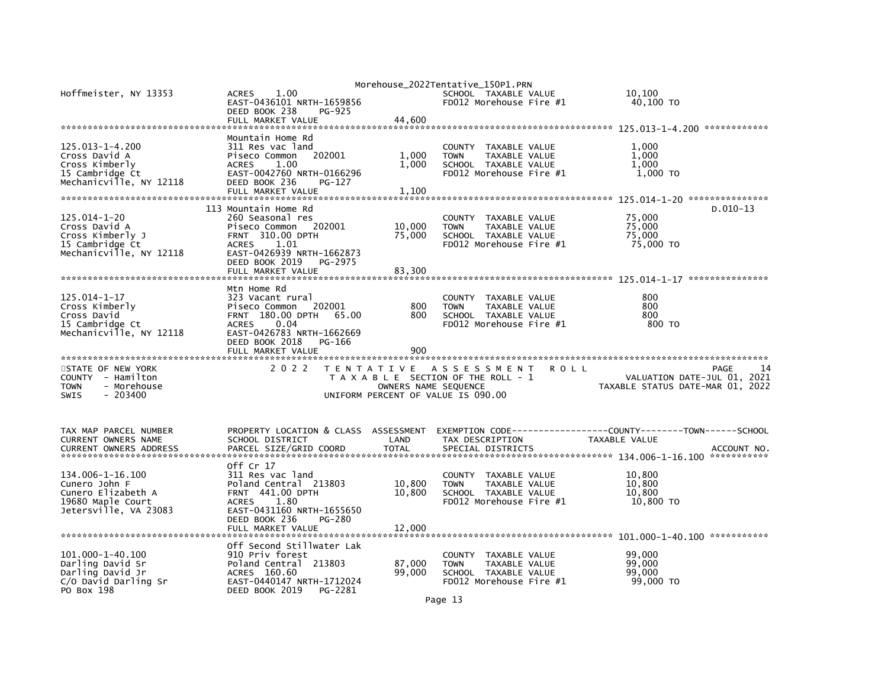| Hoffmeister, NY 13353                                                                                  | 1.00<br><b>ACRES</b><br>EAST-0436101 NRTH-1659856<br>DEED BOOK 238<br>PG-925<br>FULL MARKET VALUE                                                                                              | 44,600                             | Morehouse_2022Tentative_150P1.PRN<br>SCHOOL TAXABLE VALUE<br>FD012 Morehouse Fire #1                              | 10.100<br>40,100 TO                                                                          |
|--------------------------------------------------------------------------------------------------------|------------------------------------------------------------------------------------------------------------------------------------------------------------------------------------------------|------------------------------------|-------------------------------------------------------------------------------------------------------------------|----------------------------------------------------------------------------------------------|
| $125.013 - 1 - 4.200$<br>Cross David A<br>Cross Kimberly<br>15 Cambridge Ct<br>Mechanicville, NY 12118 | Mountain Home Rd<br>311 Res vac land<br>Piseco Common<br>202001<br><b>ACRES</b><br>1.00<br>EAST-0042760 NRTH-0166296<br>DEED BOOK 236<br>PG-127<br>FULL MARKET VALUE                           | 1,000<br>1,000<br>1,100            | <b>COUNTY</b><br>TAXABLE VALUE<br>TAXABLE VALUE<br><b>TOWN</b><br>SCHOOL TAXABLE VALUE<br>FD012 Morehouse Fire #1 | 1,000<br>1,000<br>1.000<br>1,000 TO                                                          |
| 125.014-1-20<br>Cross David A<br>Cross Kimberly J<br>15 Cambridge Ct<br>Mechanicville, NY 12118        | 113 Mountain Home Rd<br>260 Seasonal res<br>Piseco Common<br>202001<br>FRNT 310.00 DPTH<br>1.01<br><b>ACRES</b><br>EAST-0426939 NRTH-1662873<br>DEED BOOK 2019<br>PG-2975<br>FULL MARKET VALUE | 10,000<br>75,000<br>83,300         | TAXABLE VALUE<br><b>COUNTY</b><br><b>TOWN</b><br>TAXABLE VALUE<br>SCHOOL TAXABLE VALUE<br>FD012 Morehouse Fire #1 | $D.010-13$<br>75,000<br>75,000<br>75,000<br>75,000 TO                                        |
| 125.014-1-17<br>Cross Kimberly<br>Cross David<br>15 Cambridge Ct<br>Mechanicville, NY 12118            | Mtn Home Rd<br>323 Vacant rural<br>Piseco Common<br>202001<br>FRNT 180.00 DPTH<br>65.00<br>0.04<br><b>ACRES</b><br>EAST-0426783 NRTH-1662669<br>DEED BOOK 2018<br>PG-166<br>FULL MARKET VALUE  | 800<br>800<br>900                  | <b>COUNTY</b><br>TAXABLE VALUE<br>TAXABLE VALUE<br><b>TOWN</b><br>SCHOOL TAXABLE VALUE<br>FD012 Morehouse Fire #1 | 800<br>800<br>800<br>800 TO                                                                  |
| STATE OF NEW YORK<br>COUNTY - Hamilton<br>- Morehouse<br>TOWN<br>$-203400$<br><b>SWIS</b>              | 2 0 2 2                                                                                                                                                                                        | OWNERS NAME SEQUENCE               | TENTATIVE ASSESSMENT<br>T A X A B L E SECTION OF THE ROLL - 1<br>UNIFORM PERCENT OF VALUE IS 090.00               | 14<br><b>ROLL</b><br>PAGE<br>VALUATION DATE-JUL 01, 2021<br>TAXABLE STATUS DATE-MAR 01, 2022 |
| TAX MAP PARCEL NUMBER<br>CURRENT OWNERS NAME<br><b>CURRENT OWNERS ADDRESS</b>                          | PROPERTY LOCATION & CLASS<br>SCHOOL DISTRICT<br>PARCEL SIZE/GRID COORD                                                                                                                         | ASSESSMENT<br>LAND<br><b>TOTAL</b> | EXEMPTION CODE---<br>TAX DESCRIPTION<br>SPECIAL DISTRICTS                                                         | -------------COUNTY--------TOWN------SCHOOL<br>TAXABLE VALUE<br>ACCOUNT NO.                  |
| 134.006-1-16.100<br>Cunero John F<br>Cunero Elizabeth A<br>19680 Maple Court<br>Jetersville, VA 23083  | off Cr 17<br>311 Res vac land<br>Poland Central 213803<br><b>FRNT 441.00 DPTH</b><br>1.80<br><b>ACRES</b><br>EAST-0431160 NRTH-1655650<br>DEED BOOK 236<br>PG-280<br>FULL MARKET VALUE         | 10,800<br>10,800<br>12,000         | TAXABLE VALUE<br><b>COUNTY</b><br><b>TOWN</b><br>TAXABLE VALUE<br>SCHOOL TAXABLE VALUE<br>FD012 Morehouse Fire #1 | 10,800<br>10,800<br>10,800<br>10,800 TO                                                      |
| 101.000-1-40.100<br>Darling David Sr<br>Darling David Jr<br>C/O David Darling Sr<br>PO Box 198         | Off Second Stillwater Lak<br>910 Priv forest<br>Poland Central 213803<br>ACRES 160.60<br>EAST-0440147 NRTH-1712024<br>DEED BOOK 2019<br>PG-2281                                                | 87,000<br>99,000                   | <b>COUNTY</b><br>TAXABLE VALUE<br>TAXABLE VALUE<br><b>TOWN</b><br>SCHOOL TAXABLE VALUE<br>FD012 Morehouse Fire #1 | 99,000<br>99,000<br>99,000<br>99,000 TO                                                      |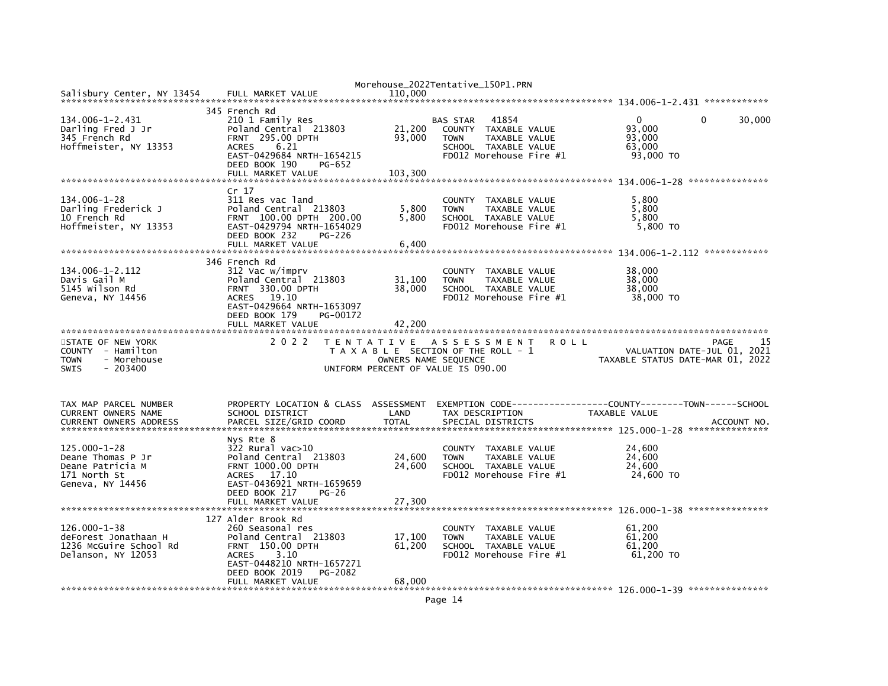|                                        |                                      |                      | Morehouse_2022Tentative_150P1.PRN     |                                  |        |
|----------------------------------------|--------------------------------------|----------------------|---------------------------------------|----------------------------------|--------|
| Salisbury Center, NY 13454             | FULL MARKET VALUE                    | 110,000              |                                       |                                  |        |
|                                        |                                      |                      |                                       |                                  |        |
|                                        | 345 French Rd                        |                      |                                       |                                  |        |
| 134.006-1-2.431                        | 210 1 Family Res                     |                      | <b>BAS STAR</b><br>41854              | $\Omega$<br>0                    | 30,000 |
| Darling Fred J Jr                      | Poland Central 213803                | 21,200               | COUNTY TAXABLE VALUE                  | 93,000                           |        |
| 345 French Rd                          | <b>FRNT 295.00 DPTH</b>              | 93,000               | TAXABLE VALUE<br><b>TOWN</b>          | 93,000                           |        |
| Hoffmeister, NY 13353                  | <b>ACRES</b><br>6.21                 |                      | SCHOOL TAXABLE VALUE                  | 63.000                           |        |
|                                        | EAST-0429684 NRTH-1654215            |                      | FD012 Morehouse Fire #1               | 93,000 TO                        |        |
|                                        | DEED BOOK 190<br>PG-652              |                      |                                       |                                  |        |
|                                        | FULL MARKET VALUE                    | 103,300              |                                       |                                  |        |
|                                        |                                      |                      |                                       |                                  |        |
|                                        |                                      |                      |                                       |                                  |        |
|                                        | Cr 17                                |                      |                                       |                                  |        |
| 134.006-1-28                           | 311 Res vac land                     |                      | COUNTY TAXABLE VALUE                  | 5,800                            |        |
| Darling Frederick J                    | Poland Central 213803                | 5,800                | TAXABLE VALUE<br><b>TOWN</b>          | 5,800                            |        |
| 10 French Rd                           | FRNT 100.00 DPTH 200.00              | 5.800                | SCHOOL TAXABLE VALUE                  | 5,800                            |        |
| Hoffmeister, NY 13353                  | EAST-0429794 NRTH-1654029            |                      | FD012 Morehouse Fire #1               | 5,800 TO                         |        |
|                                        | DEED BOOK 232<br><b>PG-226</b>       |                      |                                       |                                  |        |
|                                        | FULL MARKET VALUE                    | 6,400                |                                       |                                  |        |
|                                        |                                      |                      |                                       |                                  |        |
|                                        | 346 French Rd                        |                      |                                       |                                  |        |
| 134.006-1-2.112                        | 312 Vac w/imprv                      |                      | COUNTY TAXABLE VALUE                  | 38,000                           |        |
| Davis Gail M                           | Poland Central 213803                |                      |                                       | 38,000                           |        |
|                                        |                                      | 31,100               | <b>TOWN</b><br>TAXABLE VALUE          |                                  |        |
| 5145 Wilson Rd                         | FRNT 330.00 DPTH                     | 38,000               | SCHOOL TAXABLE VALUE                  | 38,000                           |        |
| Geneva, NY 14456                       | 19.10<br><b>ACRES</b>                |                      | FD012 Morehouse Fire #1               | 38,000 TO                        |        |
|                                        | EAST-0429664 NRTH-1653097            |                      |                                       |                                  |        |
|                                        | DEED BOOK 179<br>PG-00172            |                      |                                       |                                  |        |
|                                        | FULL MARKET VALUE                    | 42,200               |                                       |                                  |        |
|                                        |                                      |                      |                                       |                                  |        |
|                                        |                                      |                      |                                       |                                  |        |
|                                        | 2 0 2 2                              |                      | TENTATIVE ASSESSMENT<br><b>ROLL</b>   | PAGE                             | 15     |
| STATE OF NEW YORK<br>COUNTY - Hamilton |                                      |                      |                                       |                                  |        |
|                                        |                                      |                      | T A X A B L E SECTION OF THE ROLL - 1 | VALUATION DATE-JUL 01, 2021      |        |
| - Morehouse<br><b>TOWN</b>             |                                      | OWNERS NAME SEQUENCE |                                       | TAXABLE STATUS DATE-MAR 01, 2022 |        |
| <b>SWIS</b><br>$-203400$               |                                      |                      | UNIFORM PERCENT OF VALUE IS 090.00    |                                  |        |
|                                        |                                      |                      |                                       |                                  |        |
|                                        |                                      |                      |                                       |                                  |        |
|                                        |                                      |                      |                                       |                                  |        |
| TAX MAP PARCEL NUMBER                  | PROPERTY LOCATION & CLASS ASSESSMENT |                      |                                       |                                  |        |
| CURRENT OWNERS NAME                    | SCHOOL DISTRICT                      | LAND                 | TAX DESCRIPTION                       | <b>TAXABLE VALUE</b>             |        |
| <b>CURRENT OWNERS ADDRESS</b>          | PARCEL SIZE/GRID COORD               | <b>TOTAL</b>         | SPECIAL DISTRICTS                     | ACCOUNT NO.                      |        |
|                                        |                                      |                      |                                       |                                  |        |
|                                        | Nys Rte 8                            |                      |                                       |                                  |        |
| 125.000-1-28                           | $322$ Rural vac $>10$                |                      | COUNTY TAXABLE VALUE                  | 24,600                           |        |
| Deane Thomas P Jr                      | Poland Central 213803                | 24,600               | TAXABLE VALUE<br><b>TOWN</b>          | 24,600                           |        |
| Deane Patricia M                       | <b>FRNT 1000.00 DPTH</b>             | 24,600               | SCHOOL TAXABLE VALUE                  | 24,600                           |        |
|                                        | 17.10<br>ACRES                       |                      |                                       |                                  |        |
| 171 North St                           |                                      |                      | FD012 Morehouse Fire #1               | 24,600 TO                        |        |
| Geneva, NY 14456                       | EAST-0436921 NRTH-1659659            |                      |                                       |                                  |        |
|                                        | DEED BOOK 217<br>$PG-26$             |                      |                                       |                                  |        |
|                                        |                                      |                      |                                       |                                  |        |
|                                        |                                      |                      |                                       |                                  |        |
|                                        | 127 Alder Brook Rd                   |                      |                                       |                                  |        |
| $126.000 - 1 - 38$                     | 260 Seasonal res                     |                      | COUNTY<br>TAXABLE VALUE               | 61,200                           |        |
| deForest Jonathaan H                   | Poland Central 213803                | 17,100               | TAXABLE VALUE<br><b>TOWN</b>          | 61.200                           |        |
| 1236 McGuire School Rd                 | FRNT 150.00 DPTH                     | 61,200               | SCHOOL TAXABLE VALUE                  | 61,200                           |        |
| Delanson, NY 12053                     | <b>ACRES</b><br>3.10                 |                      | FD012 Morehouse Fire #1               | 61,200 TO                        |        |
|                                        | EAST-0448210 NRTH-1657271            |                      |                                       |                                  |        |
|                                        | DEED BOOK 2019<br>PG-2082            |                      |                                       |                                  |        |
|                                        | FULL MARKET VALUE                    | 68,000               |                                       |                                  |        |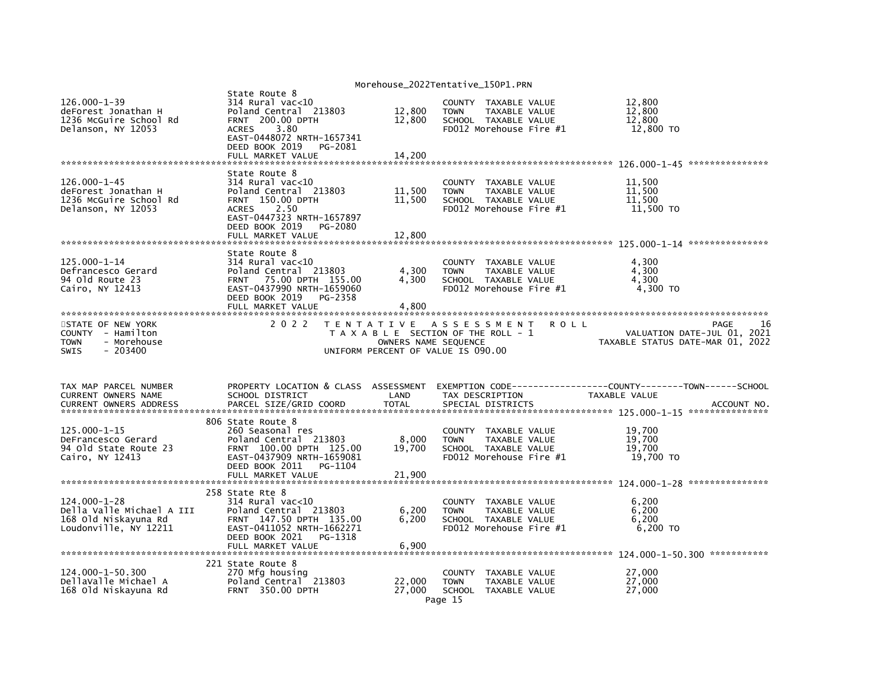|                                                                                                  |                                                                                                                                                                                                |                                           | Morehouse_2022Tentative_150P1.PRN                                                                                 |                                                                               |
|--------------------------------------------------------------------------------------------------|------------------------------------------------------------------------------------------------------------------------------------------------------------------------------------------------|-------------------------------------------|-------------------------------------------------------------------------------------------------------------------|-------------------------------------------------------------------------------|
| $126.000 - 1 - 39$<br>deForest Jonathan H<br>1236 McGuire School Rd<br>Delanson, NY 12053        | State Route 8<br>$314$ Rural vac<10<br>Poland Central 213803<br><b>FRNT 200.00 DPTH</b><br>3.80<br><b>ACRES</b><br>EAST-0448072 NRTH-1657341<br>DEED BOOK 2019<br>PG-2081<br>FULL MARKET VALUE | 12,800<br>12,800<br>14,200                | COUNTY TAXABLE VALUE<br><b>TOWN</b><br>TAXABLE VALUE<br>SCHOOL TAXABLE VALUE<br>FD012 Morehouse Fire #1           | 12,800<br>12,800<br>12,800<br>12,800 TO                                       |
|                                                                                                  |                                                                                                                                                                                                |                                           |                                                                                                                   |                                                                               |
| 126.000-1-45<br>deForest Jonathan H<br>1236 McGuire School Rd<br>Delanson, NY 12053              | State Route 8<br>$314$ Rural vac<10<br>Poland Central 213803<br>FRNT 150.00 DPTH<br><b>ACRES</b><br>2.50<br>EAST-0447323 NRTH-1657897<br>DEED BOOK 2019<br>PG-2080<br>FULL MARKET VALUE        | 11,500<br>11,500<br>12,800                | COUNTY TAXABLE VALUE<br>TAXABLE VALUE<br><b>TOWN</b><br>SCHOOL TAXABLE VALUE<br>FD012 Morehouse Fire #1           | 11,500<br>11.500<br>11,500<br>11,500 TO                                       |
|                                                                                                  |                                                                                                                                                                                                |                                           |                                                                                                                   |                                                                               |
| 125.000-1-14<br>Defrancesco Gerard<br>94 Old Route 23<br>Cairo, NY 12413                         | State Route 8<br>$314$ Rural vac< $10$<br>Poland Central 213803<br>75.00 DPTH 155.00<br>FRNT<br>EAST-0437990 NRTH-1659060<br>DEED BOOK 2019<br>PG-2358<br>FULL MARKET VALUE                    | 4,300<br>4,300<br>4,800                   | COUNTY TAXABLE VALUE<br>TAXABLE VALUE<br><b>TOWN</b><br>SCHOOL TAXABLE VALUE<br>FD012 Morehouse Fire #1           | 4,300<br>4,300<br>4,300<br>4,300 TO                                           |
|                                                                                                  |                                                                                                                                                                                                |                                           |                                                                                                                   |                                                                               |
| STATE OF NEW YORK<br>COUNTY - Hamilton<br>- Morehouse<br><b>TOWN</b><br>$-203400$<br><b>SWIS</b> | 2 0 2 2                                                                                                                                                                                        | T E N T A T I V E<br>OWNERS NAME SEQUENCE | A S S E S S M E N T<br><b>ROLL</b><br>T A X A B L E SECTION OF THE ROLL - 1<br>UNIFORM PERCENT OF VALUE IS 090.00 | 16<br>PAGE<br>VALUATION DATE-JUL 01, 2021<br>TAXABLE STATUS DATE-MAR 01, 2022 |
| TAX MAP PARCEL NUMBER                                                                            | PROPERTY LOCATION & CLASS ASSESSMENT                                                                                                                                                           |                                           |                                                                                                                   | EXEMPTION        CODE-----------------COUNTY-------TOWN------SCHOOL           |
| CURRENT OWNERS NAME<br><b>CURRENT OWNERS ADDRESS</b>                                             | SCHOOL DISTRICT<br>PARCEL SIZE/GRID COORD                                                                                                                                                      | LAND<br><b>TOTAL</b>                      | TAX DESCRIPTION<br>SPECIAL DISTRICTS                                                                              | TAXABLE VALUE<br>ACCOUNT NO.                                                  |
|                                                                                                  | 806 State Route 8                                                                                                                                                                              |                                           |                                                                                                                   |                                                                               |
| 125.000-1-15<br>DeFrancesco Gerard<br>94 Old State Route 23<br>Cairo, NY 12413                   | 260 Seasonal res<br>Poland Central 213803<br>FRNT 100.00 DPTH 125.00<br>EAST-0437909 NRTH-1659081<br>DEED BOOK 2011<br>PG-1104                                                                 | 8,000<br>19,700                           | COUNTY TAXABLE VALUE<br><b>TOWN</b><br>TAXABLE VALUE<br>SCHOOL TAXABLE VALUE<br>FD012 Morehouse Fire #1           | 19,700<br>19,700<br>19,700<br>19,700 TO                                       |
|                                                                                                  | FULL MARKET VALUE                                                                                                                                                                              | 21,900                                    |                                                                                                                   |                                                                               |
| $124.000 - 1 - 28$<br>Della Valle Michael A III<br>168 Old Niskayuna Rd<br>Loudonville, NY 12211 | 258 State Rte 8<br>$314$ Rural vac<10<br>Poland Central 213803<br>FRNT 147.50 DPTH 135.00<br>EAST-0411052 NRTH-1662271<br>DEED BOOK 2021<br>PG-1318<br>FULL MARKET VALUE                       | 6,200<br>6,200<br>6,900                   | COUNTY TAXABLE VALUE<br><b>TOWN</b><br>TAXABLE VALUE<br>SCHOOL TAXABLE VALUE<br>FD012 Morehouse Fire #1           | 6,200<br>6,200<br>6,200<br>6,200 TO                                           |
| 124.000-1-50.300<br>DellaValle Michael A<br>168 Old Niskayuna Rd                                 | 221 State Route 8<br>270 Mfg housing<br>Poland Central 213803<br><b>FRNT 350.00 DPTH</b>                                                                                                       | 22,000<br>27,000                          | TAXABLE VALUE<br><b>COUNTY</b><br>TAXABLE VALUE<br><b>TOWN</b><br>SCHOOL TAXABLE VALUE<br>Page 15                 | 27,000<br>27,000<br>27,000                                                    |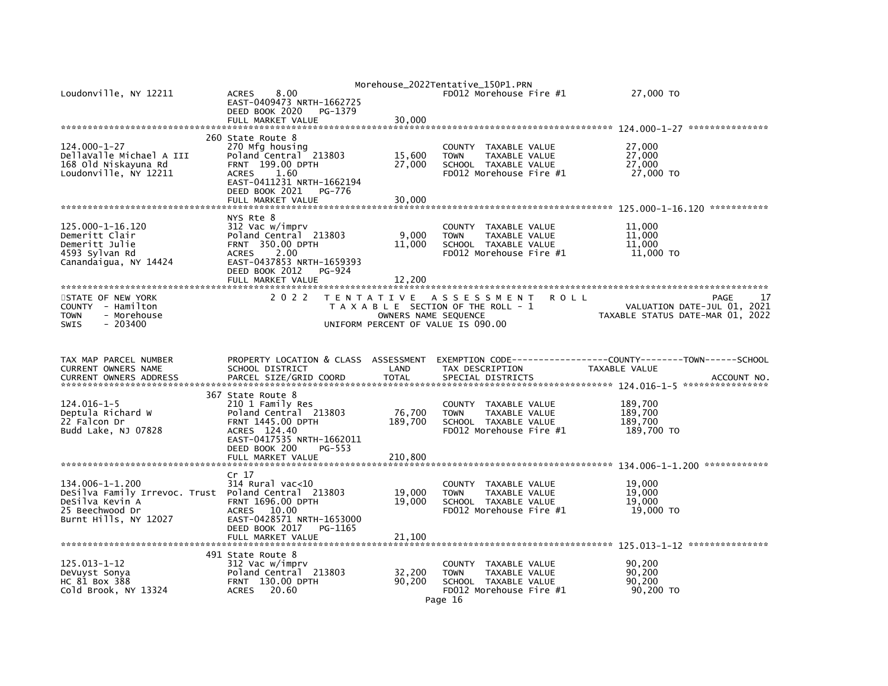| Loudonville, NY 12211                                                                                                                 | 8.00<br><b>ACRES</b><br>EAST-0409473 NRTH-1662725<br>DEED BOOK 2020<br>PG-1379<br>FULL MARKET VALUE                                                                                       | 30,000                                                                          | Morehouse_2022Tentative_150P1.PRN<br>FD012 Morehouse Fire #1                                                       | 27,000 TO                                                               |
|---------------------------------------------------------------------------------------------------------------------------------------|-------------------------------------------------------------------------------------------------------------------------------------------------------------------------------------------|---------------------------------------------------------------------------------|--------------------------------------------------------------------------------------------------------------------|-------------------------------------------------------------------------|
| 124.000-1-27<br>DellaValle Michael A III<br>168 Old Niskayuna Rd<br>Loudonville, NY 12211                                             | 260 State Route 8<br>270 Mfg housing<br>Poland Central 213803<br>FRNT 199.00 DPTH<br>1.60<br><b>ACRES</b><br>EAST-0411231 NRTH-1662194<br>DEED BOOK 2021<br>PG-776<br>FULL MARKET VALUE   | 15,600<br>27,000<br>30,000                                                      | COUNTY TAXABLE VALUE<br>TAXABLE VALUE<br><b>TOWN</b><br>SCHOOL TAXABLE VALUE<br>FD012 Morehouse Fire #1            | 27,000<br>27,000<br>27,000<br>27,000 TO                                 |
| 125.000-1-16.120<br>Demeritt Clair<br>Demeritt Julie<br>4593 Sylvan Rd<br>Canandaigua, NY 14424                                       | NYS Rte 8<br>312 Vac w/imprv<br>Poland Central 213803<br><b>FRNT 350.00 DPTH</b><br><b>ACRES</b><br>2.00<br>EAST-0437853 NRTH-1659393<br>DEED BOOK 2012<br>PG-924<br>FULL MARKET VALUE    | 9,000<br>11,000<br>12,200                                                       | COUNTY TAXABLE VALUE<br>TAXABLE VALUE<br><b>TOWN</b><br>SCHOOL TAXABLE VALUE<br>FD012 Morehouse Fire #1            | 11,000<br>11,000<br>11.000<br>11,000 TO                                 |
| STATE OF NEW YORK<br>COUNTY - Hamilton<br>- Morehouse<br><b>TOWN</b><br><b>SWIS</b><br>- 203400                                       | 2 0 2 2                                                                                                                                                                                   | T E N T A T I V E<br>OWNERS NAME SEQUENCE<br>UNIFORM PERCENT OF VALUE IS 090.00 | A S S E S S M E N T<br><b>ROLL</b><br>T A X A B L E SECTION OF THE ROLL - 1                                        | PAGE<br>VALUATION DATE-JUL 01, 2021<br>TAXABLE STATUS DATE-MAR 01, 2022 |
| TAX MAP PARCEL NUMBER<br>CURRENT OWNERS NAME<br><b>CURRENT OWNERS ADDRESS</b>                                                         | PROPERTY LOCATION & CLASS ASSESSMENT<br>SCHOOL DISTRICT<br>PARCEL SIZE/GRID COORD                                                                                                         | LAND<br><b>TOTAL</b>                                                            | EXEMPTION CODE-----------<br>TAX DESCRIPTION<br>SPECIAL DISTRICTS                                                  | ----COUNTY--------TOWN------SCHOOL<br>TAXABLE VALUE<br>ACCOUNT NO.      |
| 124.016-1-5<br>Deptula Richard W<br>22 Falcon Dr<br>Budd Lake, NJ 07828                                                               | 367 State Route 8<br>210 1 Family Res<br>Poland Central 213803<br><b>FRNT 1445.00 DPTH</b><br>ACRES 124.40<br>EAST-0417535 NRTH-1662011<br>DEED BOOK 200<br>$PG-553$<br>FULL MARKET VALUE | 76,700<br>189,700<br>210,800                                                    | COUNTY TAXABLE VALUE<br><b>TOWN</b><br>TAXABLE VALUE<br>SCHOOL TAXABLE VALUE<br>FD012 Morehouse Fire #1            | 189,700<br>189,700<br>189,700<br>189,700 TO                             |
| 134.006-1-1.200<br>DeSilva Family Irrevoc. Trust Poland Central 213803<br>DeSilva Kevin A<br>25 Beechwood Dr<br>Burnt Hills, NY 12027 | Cr <sub>17</sub><br>$314$ Rural vac<10<br><b>FRNT 1696.00 DPTH</b><br><b>ACRES</b><br>10.00<br>EAST-0428571 NRTH-1653000<br>DEED BOOK 2017<br>PG-1165<br>FULL MARKET VALUE                | 19,000<br>19.000<br>21,100                                                      | <b>COUNTY</b><br>TAXABLE VALUE<br><b>TOWN</b><br>TAXABLE VALUE<br>SCHOOL TAXABLE VALUE<br>FD012 Morehouse Fire #1  | 19,000<br>19,000<br>19,000<br>19,000 TO                                 |
| 125.013-1-12<br>DeVuyst Sonya<br>HC 81 Box 388<br>Cold Brook, NY 13324                                                                | 491 State Route 8<br>312 Vac w/imprv<br>Poland Central 213803<br>FRNT 130.00 DPTH<br><b>ACRES</b><br>20.60                                                                                | 32,200<br>90,200                                                                | COUNTY TAXABLE VALUE<br>TAXABLE VALUE<br><b>TOWN</b><br>SCHOOL TAXABLE VALUE<br>FD012 Morehouse Fire #1<br>Page 16 | 90,200<br>90.200<br>90,200<br>90,200 TO                                 |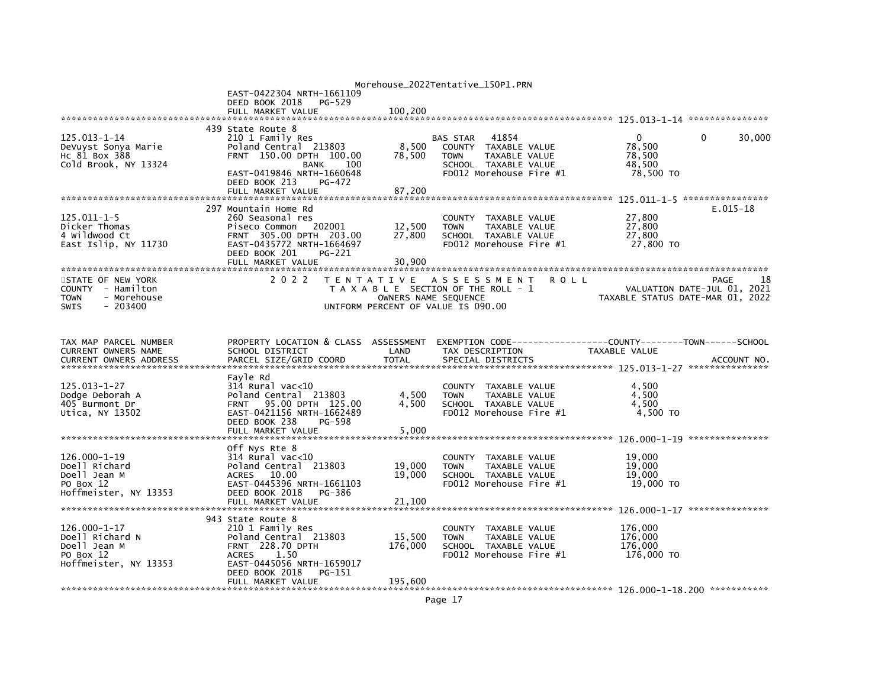|                               |                                      |                   | Morehouse_2022Tentative_150P1.PRN     |                                  |
|-------------------------------|--------------------------------------|-------------------|---------------------------------------|----------------------------------|
|                               | EAST-0422304 NRTH-1661109            |                   |                                       |                                  |
|                               | DEED BOOK 2018<br>PG-529             |                   |                                       |                                  |
|                               | FULL MARKET VALUE                    | 100,200           |                                       |                                  |
|                               | 439 State Route 8                    |                   |                                       |                                  |
| 125.013-1-14                  | 210 1 Family Res                     |                   | 41854<br><b>BAS STAR</b>              | $\Omega$<br>30,000<br>$\Omega$   |
| DeVuyst Sonya Marie           | Poland Central 213803                | 8,500             | COUNTY TAXABLE VALUE                  | 78,500                           |
| HC 81 Box 388                 | FRNT 150.00 DPTH 100.00              | 78,500            | TAXABLE VALUE<br><b>TOWN</b>          | 78.500                           |
| Cold Brook, NY 13324          | 100<br><b>BANK</b>                   |                   | SCHOOL TAXABLE VALUE                  | 48.500                           |
|                               | EAST-0419846 NRTH-1660648            |                   | FD012 Morehouse Fire #1               | 78,500 TO                        |
|                               | DEED BOOK 213<br>PG-472              |                   |                                       |                                  |
|                               | FULL MARKET VALUE                    | 87,200            |                                       |                                  |
|                               |                                      |                   |                                       |                                  |
|                               | 297 Mountain Home Rd                 |                   |                                       | $E.015 - 18$                     |
| $125.011 - 1 - 5$             | 260 Seasonal res                     |                   | COUNTY TAXABLE VALUE                  | 27,800                           |
| Dicker Thomas                 | Piseco Common<br>202001              | 12,500            | <b>TOWN</b><br>TAXABLE VALUE          | 27,800                           |
| 4 Wildwood Ct                 | FRNT 305.00 DPTH 203.00              | 27,800            | SCHOOL TAXABLE VALUE                  | 27,800                           |
| East Islip, NY 11730          | EAST-0435772 NRTH-1664697            |                   | FD012 Morehouse Fire #1               | 27,800 TO                        |
|                               | DEED BOOK 201<br>PG-221              |                   |                                       |                                  |
|                               | FULL MARKET VALUE                    | 30,900            |                                       |                                  |
|                               |                                      |                   |                                       |                                  |
| STATE OF NEW YORK             | 2 0 2 2                              | T E N T A T I V E | A S S E S S M E N T<br><b>ROLL</b>    | PAGE<br>18                       |
| COUNTY - Hamilton             |                                      |                   | T A X A B L E SECTION OF THE ROLL - 1 | VALUATION DATE-JUL 01, 2021      |
| <b>TOWN</b><br>- Morehouse    |                                      |                   | OWNERS NAME SEQUENCE                  | TAXABLE STATUS DATE-MAR 01, 2022 |
| <b>SWIS</b><br>$-203400$      |                                      |                   | UNIFORM PERCENT OF VALUE IS 090.00    |                                  |
|                               |                                      |                   |                                       |                                  |
|                               |                                      |                   |                                       |                                  |
|                               |                                      |                   |                                       |                                  |
| TAX MAP PARCEL NUMBER         | PROPERTY LOCATION & CLASS ASSESSMENT |                   |                                       |                                  |
| CURRENT OWNERS NAME           | SCHOOL DISTRICT                      | LAND              | TAX DESCRIPTION                       | TAXABLE VALUE                    |
| <b>CURRENT OWNERS ADDRESS</b> | PARCEL SIZE/GRID COORD               | <b>TOTAL</b>      | SPECIAL DISTRICTS                     | ACCOUNT NO.                      |
|                               |                                      |                   |                                       |                                  |
|                               | Fayle Rd                             |                   |                                       |                                  |
| $125.013 - 1 - 27$            | $314$ Rural vac<10                   |                   | COUNTY TAXABLE VALUE                  | 4.500                            |
| Dodge Deborah A               | Poland Central 213803                | 4,500             | TAXABLE VALUE<br><b>TOWN</b>          | 4,500                            |
| 405 Burmont Dr                | 95.00 DPTH 125.00<br><b>FRNT</b>     | 4.500             | SCHOOL TAXABLE VALUE                  | 4.500                            |
| Utica, NY 13502               | EAST-0421156 NRTH-1662489            |                   | FD012 Morehouse Fire #1               | 4,500 TO                         |
|                               | DEED BOOK 238<br>PG-598              |                   |                                       |                                  |
|                               | FULL MARKET VALUE                    | 5,000             |                                       |                                  |
|                               |                                      |                   |                                       |                                  |
|                               | Off Nys Rte 8                        |                   |                                       |                                  |
| $126.000 - 1 - 19$            | $314$ Rural vac<10                   |                   | TAXABLE VALUE<br><b>COUNTY</b>        | 19,000                           |
| Doell Richard                 | Poland Central 213803                | 19,000            | TAXABLE VALUE<br><b>TOWN</b>          | 19,000                           |
| Doell Jean M                  | <b>ACRES</b><br>10.00                | 19,000            | SCHOOL TAXABLE VALUE                  | 19,000                           |
| PO Box 12                     | EAST-0445396 NRTH-1661103            |                   | FD012 Morehouse Fire #1               | 19,000 TO                        |
| Hoffmeister, NY 13353         | DEED BOOK 2018<br>PG-386             |                   |                                       |                                  |
|                               | FULL MARKET VALUE                    | 21,100            |                                       |                                  |
|                               |                                      |                   |                                       |                                  |
|                               | 943 State Route 8                    |                   |                                       |                                  |
| $126.000 - 1 - 17$            | 210 1 Family Res                     |                   | <b>COUNTY</b><br>TAXABLE VALUE        | 176,000                          |
| Doell Richard N               | Poland Central 213803                | 15,500            | TAXABLE VALUE<br><b>TOWN</b>          | 176,000                          |
| Doell Jean M                  | <b>FRNT 228.70 DPTH</b>              | 176,000           | SCHOOL TAXABLE VALUE                  | 176,000                          |
| PO Box 12                     | <b>ACRES</b><br>1.50                 |                   | FD012 Morehouse Fire #1               | 176,000 TO                       |
| Hoffmeister, NY 13353         | EAST-0445056 NRTH-1659017            |                   |                                       |                                  |
|                               | DEED BOOK 2018<br>PG-151             |                   |                                       |                                  |
|                               | FULL MARKET VALUE                    | 195,600           |                                       |                                  |
|                               |                                      |                   |                                       |                                  |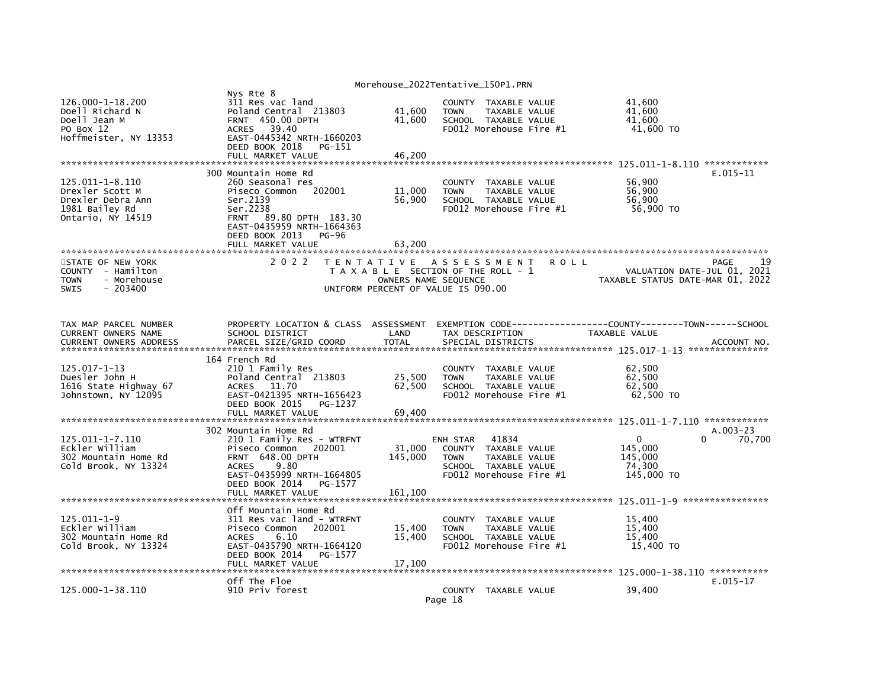|                                                                                                |                                                                                                                                                                                                      |                            | Morehouse_2022Tentative_150P1.PRN                                                                                                             |                            |                                                                     |              |
|------------------------------------------------------------------------------------------------|------------------------------------------------------------------------------------------------------------------------------------------------------------------------------------------------------|----------------------------|-----------------------------------------------------------------------------------------------------------------------------------------------|----------------------------|---------------------------------------------------------------------|--------------|
| 126.000-1-18.200<br>Doell Richard N<br>Doell Jean M<br>PO Box 12<br>Hoffmeister, NY 13353      | Nys Rte 8<br>311 Res vac land<br>Poland Central 213803<br><b>FRNT 450.00 DPTH</b><br>39.40<br><b>ACRES</b><br>EAST-0445342 NRTH-1660203<br>DEED BOOK 2018<br>PG-151<br>FULL MARKET VALUE             | 41,600<br>41.600<br>46,200 | COUNTY TAXABLE VALUE<br><b>TOWN</b><br><b>TAXABLE VALUE</b><br>SCHOOL TAXABLE VALUE<br>FD012 Morehouse Fire #1                                |                            | 41.600<br>41,600<br>41.600<br>41,600 TO                             |              |
|                                                                                                |                                                                                                                                                                                                      |                            |                                                                                                                                               |                            |                                                                     |              |
| 125.011-1-8.110<br>Drexler Scott M<br>Drexler Debra Ann<br>1981 Bailey Rd<br>Ontario, NY 14519 | 300 Mountain Home Rd<br>260 Seasonal res<br>Piseco Common<br>202001<br>Ser.2139<br>Ser.2238<br>FRNT 89.80 DPTH 183.30<br>EAST-0435959 NRTH-1664363<br>DEED BOOK 2013<br>$PG-96$<br>FULL MARKET VALUE | 11,000<br>56,900<br>63.200 | <b>COUNTY</b><br>TAXABLE VALUE<br>TAXABLE VALUE<br><b>TOWN</b><br>SCHOOL TAXABLE VALUE<br>FD012 Morehouse Fire #1                             |                            | 56,900<br>56,900<br>56,900<br>56,900 TO                             | $E.015 - 11$ |
| STATE OF NEW YORK<br>- Hamilton<br>COUNTY<br>- Morehouse<br><b>TOWN</b><br>SWIS<br>$-203400$   | 2 0 2 2                                                                                                                                                                                              | OWNERS NAME SEQUENCE       | TENTATIVE ASSESSMENT<br>T A X A B L E SECTION OF THE ROLL - 1<br>UNIFORM PERCENT OF VALUE IS 090.00                                           | ROLL                       | VALUATION DATE-JUL 01, 2021<br>TAXABLE STATUS DATE-MAR 01, 2022     | 19<br>PAGE   |
| TAX MAP PARCEL NUMBER<br>CURRENT OWNERS NAME<br><b>CURRENT OWNERS ADDRESS</b>                  | PROPERTY LOCATION & CLASS ASSESSMENT<br>SCHOOL DISTRICT<br>PARCEL SIZE/GRID COORD                                                                                                                    | LAND<br><b>TOTAL</b>       | EXEMPTION CODE-----<br>TAX DESCRIPTION<br>SPECIAL DISTRICTS                                                                                   |                            | -------------COUNTY--------TOWN------SCHOOL<br><b>TAXABLE VALUE</b> | ACCOUNT NO   |
| 125.017-1-13<br>Duesler John H<br>1616 State Highway 67<br>Johnstown, NY 12095                 | 164 French Rd<br>210 1 Family Res<br>Poland Central 213803<br><b>ACRES</b><br>11.70<br>EAST-0421395 NRTH-1656423<br>DEED BOOK 2015<br>PG-1237<br>FULL MARKET VALUE                                   | 25,500<br>62,500<br>69,400 | <b>COUNTY</b><br>TAXABLE VALUE<br>TAXABLE VALUE<br><b>TOWN</b><br>SCHOOL TAXABLE VALUE<br>FD012 Morehouse Fire #1                             |                            | 62,500<br>62,500<br>62,500<br>62,500 TO                             |              |
|                                                                                                | 302 Mountain Home Rd                                                                                                                                                                                 |                            |                                                                                                                                               |                            |                                                                     | $A.003-23$   |
| 125.011-1-7.110<br>Eckler William<br>302 Mountain Home Rd<br>Cold Brook, NY 13324              | 210 1 Family Res - WTRFNT<br>Piseco Common<br>202001<br>FRNT 648.00 DPTH<br>9.80<br><b>ACRES</b><br>EAST-0435999 NRTH-1664805<br>DEED BOOK 2014<br>PG-1577                                           | 31,000<br>145,000          | 41834<br>ENH STAR<br><b>COUNTY</b><br>TAXABLE VALUE<br><b>TOWN</b><br><b>TAXABLE VALUE</b><br>SCHOOL TAXABLE VALUE<br>FD012 Morehouse Fire #1 |                            | 0<br>0<br>145,000<br>145,000<br>74,300<br>145,000 TO                | 70,700       |
|                                                                                                | FULL MARKET VALUE                                                                                                                                                                                    | 161.100                    |                                                                                                                                               |                            |                                                                     |              |
|                                                                                                |                                                                                                                                                                                                      |                            |                                                                                                                                               |                            |                                                                     |              |
| $125.011 - 1 - 9$<br>Eckler William<br>302 Mountain Home Rd<br>Cold Brook, NY 13324            | Off Mountain Home Rd<br>311 Res vac land - WTRFNT<br>Piseco Common<br>202001<br><b>ACRES</b><br>6.10<br>EAST-0435790 NRTH-1664120<br>DEED BOOK 2014<br>PG-1577<br>FULL MARKET VALUE                  | 15,400<br>15,400<br>17,100 | TAXABLE VALUE<br><b>COUNTY</b><br><b>TAXABLE VALUE</b><br><b>TOWN</b><br>SCHOOL TAXABLE VALUE<br>FD012 Morehouse Fire $#1$                    |                            | 15,400<br>15,400<br>15,400<br>15,400 TO                             |              |
|                                                                                                | Off The Floe                                                                                                                                                                                         |                            |                                                                                                                                               | ************************** | 125.000-1-38.110 ************                                       | $E.015 - 17$ |
| 125.000-1-38.110                                                                               | 910 Priv forest                                                                                                                                                                                      |                            | COUNTY TAXABLE VALUE<br>Page 18                                                                                                               |                            | 39,400                                                              |              |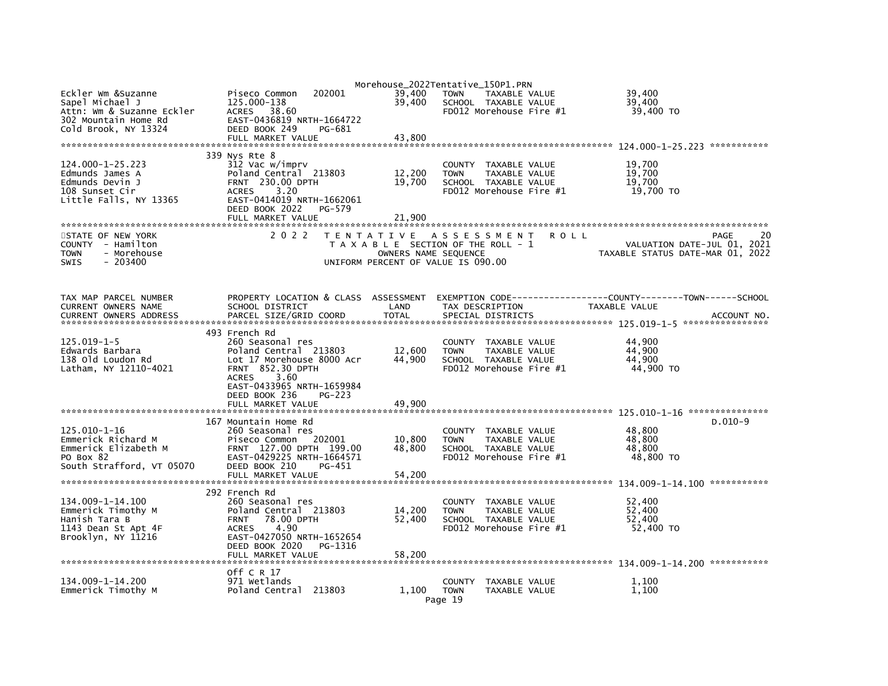| Eckler Wm &Suzanne<br>Sapel Michael J<br>Attn: Wm & Suzanne Eckler                                   | 202001<br>Piseco Common<br>125.000-138<br>38.60<br><b>ACRES</b>                                                                                                                            | 39,400<br>39,400                          | Morehouse_2022Tentative_150P1.PRN<br><b>TOWN</b><br>TAXABLE VALUE<br>SCHOOL TAXABLE VALUE<br>FD012 Morehouse Fire #1     | 39,400<br>39.400<br>39,400 TO                                                 |
|------------------------------------------------------------------------------------------------------|--------------------------------------------------------------------------------------------------------------------------------------------------------------------------------------------|-------------------------------------------|--------------------------------------------------------------------------------------------------------------------------|-------------------------------------------------------------------------------|
| 302 Mountain Home Rd<br>Cold Brook, NY 13324                                                         | EAST-0436819 NRTH-1664722<br>DEED BOOK 249<br>PG-681<br>FULL MARKET VALUE                                                                                                                  | 43,800                                    |                                                                                                                          |                                                                               |
|                                                                                                      |                                                                                                                                                                                            |                                           |                                                                                                                          |                                                                               |
| 124.000-1-25.223<br>Edmunds James A<br>Edmunds Devin J<br>108 Sunset Cir<br>Little Falls, NY 13365   | 339 Nys Rte 8<br>312 Vac w/imprv<br>Poland Central 213803<br><b>FRNT 230.00 DPTH</b><br><b>ACRES</b><br>3.20<br>EAST-0414019 NRTH-1662061<br>DEED BOOK 2022<br>PG-579<br>FULL MARKET VALUE | 12,200<br>19,700<br>21.900                | TAXABLE VALUE<br><b>COUNTY</b><br><b>TAXABLE VALUE</b><br><b>TOWN</b><br>SCHOOL TAXABLE VALUE<br>FD012 Morehouse Fire #1 | 19,700<br>19,700<br>19.700<br>19,700 TO                                       |
|                                                                                                      |                                                                                                                                                                                            |                                           |                                                                                                                          |                                                                               |
| STATE OF NEW YORK<br>COUNTY - Hamilton<br>- Morehouse<br><b>TOWN</b><br>$-203400$<br><b>SWIS</b>     | 2 0 2 2                                                                                                                                                                                    | T E N T A T I V E<br>OWNERS NAME SEQUENCE | A S S E S S M E N T<br>ROLL<br>T A X A B L E SECTION OF THE ROLL - 1<br>UNIFORM PERCENT OF VALUE IS 090.00               | 20<br>PAGE<br>VALUATION DATE-JUL 01, 2021<br>TAXABLE STATUS DATE-MAR 01, 2022 |
| TAX MAP PARCEL NUMBER<br>CURRENT OWNERS NAME<br><b>CURRENT OWNERS ADDRESS</b>                        | PROPERTY LOCATION & CLASS ASSESSMENT<br>SCHOOL DISTRICT<br>PARCEL SIZE/GRID COORD                                                                                                          | LAND<br><b>TOTAL</b>                      | EXEMPTION CODE-----------<br>TAX DESCRIPTION<br>SPECIAL DISTRICTS                                                        | ------COUNTY--------TOWN------SCHOOL<br>TAXABLE VALUE<br>ACCOUNT NO           |
|                                                                                                      | 493 French Rd                                                                                                                                                                              |                                           |                                                                                                                          |                                                                               |
| $125.019 - 1 - 5$<br>Edwards Barbara<br>138 Old Loudon Rd<br>Latham, NY 12110-4021                   | 260 Seasonal res<br>Poland Central 213803<br>Lot 17 Morehouse 8000 Acr<br><b>FRNT 852.30 DPTH</b><br>3.60<br><b>ACRES</b><br>EAST-0433965 NRTH-1659984                                     | 12,600<br>44,900                          | COUNTY TAXABLE VALUE<br>TAXABLE VALUE<br><b>TOWN</b><br>SCHOOL TAXABLE VALUE<br>FD012 Morehouse Fire #1                  | 44,900<br>44.900<br>44,900<br>44,900 TO                                       |
|                                                                                                      | DEED BOOK 236<br>PG-223<br>FULL MARKET VALUE                                                                                                                                               | 49.900                                    |                                                                                                                          |                                                                               |
|                                                                                                      | 167 Mountain Home Rd                                                                                                                                                                       |                                           |                                                                                                                          | $D.010-9$                                                                     |
| 125.010-1-16<br>Emmerick Richard M<br>Emmerick Elizabeth M<br>PO Box 82<br>South Strafford, VT 05070 | 260 Seasonal res<br>202001<br>Piseco Common<br>FRNT 127.00 DPTH 199.00<br>EAST-0429225 NRTH-1664571<br>DEED BOOK 210<br>PG-451<br>FULL MARKET VALUE                                        | 10,800<br>48,800<br>54.200                | COUNTY TAXABLE VALUE<br><b>TAXABLE VALUE</b><br><b>TOWN</b><br>SCHOOL TAXABLE VALUE<br>FD012 Morehouse Fire #1           | 48,800<br>48,800<br>48,800<br>48,800 TO                                       |
|                                                                                                      |                                                                                                                                                                                            |                                           |                                                                                                                          |                                                                               |
| 134.009-1-14.100<br>Emmerick Timothy M<br>Hanish Tara B<br>1143 Dean St Apt 4F<br>Brooklyn, NY 11216 | 292 French Rd<br>260 Seasonal res<br>Poland Central 213803<br>78.00 DPTH<br><b>FRNT</b><br>4.90<br><b>ACRES</b><br>EAST-0427050 NRTH-1652654<br>DEED BOOK 2020<br>PG-1316                  | 14,200<br>52,400                          | TAXABLE VALUE<br><b>COUNTY</b><br>TAXABLE VALUE<br><b>TOWN</b><br>SCHOOL TAXABLE VALUE<br>FD012 Morehouse Fire #1        | 52,400<br>52,400<br>52,400<br>52,400 TO                                       |
|                                                                                                      | FULL MARKET VALUE                                                                                                                                                                          | 58,200                                    |                                                                                                                          |                                                                               |
| 134.009-1-14.200<br>Emmerick Timothy M                                                               | Off C R 17<br>971 Wetlands<br>Poland Central 213803                                                                                                                                        | 1,100                                     | COUNTY<br>TAXABLE VALUE<br><b>TOWN</b><br>TAXABLE VALUE<br>Page 19                                                       | 1,100<br>1,100                                                                |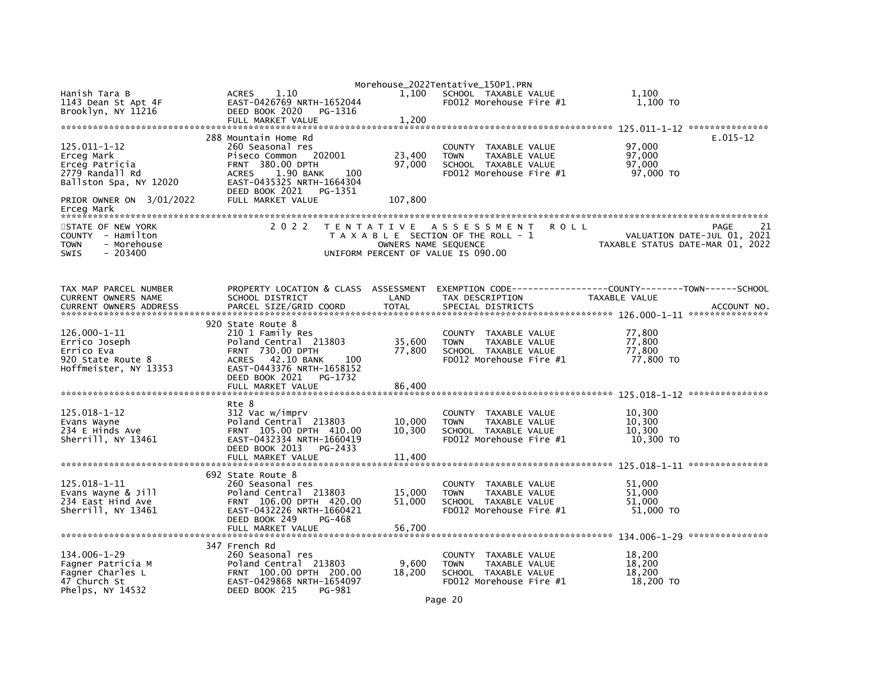|                                         |                                                  |                  | Morehouse_2022Tentative_150P1.PRN                           |      |                                                              |              |
|-----------------------------------------|--------------------------------------------------|------------------|-------------------------------------------------------------|------|--------------------------------------------------------------|--------------|
| Hanish Tara B                           | 1.10<br><b>ACRES</b>                             | 1,100            | SCHOOL TAXABLE VALUE                                        |      | 1,100                                                        |              |
| 1143 Dean St Apt 4F                     | EAST-0426769 NRTH-1652044                        |                  | FD012 Morehouse Fire #1                                     |      | 1,100 TO                                                     |              |
| Brooklyn, NY 11216                      | DEED BOOK 2020<br>PG-1316                        |                  |                                                             |      |                                                              |              |
|                                         | FULL MARKET VALUE                                | 1,200            |                                                             |      |                                                              |              |
|                                         | 288 Mountain Home Rd                             |                  |                                                             |      |                                                              | $E.015 - 12$ |
| 125.011-1-12                            | 260 Seasonal res                                 |                  | <b>COUNTY</b><br>TAXABLE VALUE                              |      | 97,000                                                       |              |
| Erceg Mark                              | Piseco Common 202001                             | 23,400           | TAXABLE VALUE<br><b>TOWN</b>                                |      | 97,000                                                       |              |
| Erceg Patricia                          | <b>FRNT 380.00 DPTH</b>                          | 97,000           | SCHOOL TAXABLE VALUE                                        |      | 97.000                                                       |              |
| 2779 Randall Rd                         | <b>ACRES</b><br>1.90 BANK<br>100                 |                  | FD012 Morehouse Fire #1                                     |      | 97,000 TO                                                    |              |
| Ballston Spa, NY 12020                  | EAST-0435325 NRTH-1664304                        |                  |                                                             |      |                                                              |              |
|                                         | DEED BOOK 2021<br>PG-1351                        |                  |                                                             |      |                                                              |              |
| PRIOR OWNER ON 3/01/2022                | FULL MARKET VALUE                                | 107,800          |                                                             |      |                                                              |              |
| Erceg Mark                              |                                                  |                  |                                                             |      |                                                              |              |
| STATE OF NEW YORK                       | 2 0 2 2                                          |                  | TENTATIVE ASSESSMENT                                        | ROLL |                                                              | PAGE         |
| COUNTY - Hamilton                       |                                                  |                  | T A X A B L E SECTION OF THE ROLL - 1                       |      | VALUATION DATE-JUL 01, 2021                                  |              |
| <b>TOWN</b><br>- Morehouse              |                                                  |                  | OWNERS NAME SEQUENCE                                        |      | TAXABLE STATUS DATE-MAR 01, 2022                             |              |
| SWIS<br>$-203400$                       |                                                  |                  | UNIFORM PERCENT OF VALUE IS 090.00                          |      |                                                              |              |
|                                         |                                                  |                  |                                                             |      |                                                              |              |
|                                         |                                                  |                  |                                                             |      |                                                              |              |
| TAX MAP PARCEL NUMBER                   | PROPERTY LOCATION & CLASS ASSESSMENT             |                  |                                                             |      | EXEMPTION CODE-----------------COUNTY-------TOWN------SCHOOL |              |
| CURRENT OWNERS NAME                     | SCHOOL DISTRICT                                  | LAND             | TAX DESCRIPTION                                             |      | TAXABLE VALUE                                                |              |
| <b>CURRENT OWNERS ADDRESS</b>           | PARCEL SIZE/GRID COORD                           | <b>TOTAL</b>     | SPECIAL DISTRICTS                                           |      |                                                              | ACCOUNT NO.  |
|                                         |                                                  |                  |                                                             |      |                                                              |              |
|                                         | 920 State Route 8                                |                  |                                                             |      |                                                              |              |
| 126.000-1-11                            | 210 1 Family Res                                 |                  | COUNTY TAXABLE VALUE                                        |      | 77,800                                                       |              |
| Errico Joseph<br>Errico Eva             | Poland Central 213803<br><b>FRNT 730.00 DPTH</b> | 35,600<br>77,800 | <b>TOWN</b><br>TAXABLE VALUE<br>SCHOOL TAXABLE VALUE        |      | 77,800<br>77,800                                             |              |
| 920 State Route 8                       | 42.10 BANK<br><b>ACRES</b><br>100                |                  | FD012 Morehouse Fire #1                                     |      | 77,800 TO                                                    |              |
| Hoffmeister, NY 13353                   | EAST-0443376 NRTH-1658152                        |                  |                                                             |      |                                                              |              |
|                                         | DEED BOOK 2021<br>PG-1732                        |                  |                                                             |      |                                                              |              |
|                                         | FULL MARKET VALUE                                | 86,400           |                                                             |      |                                                              |              |
|                                         |                                                  |                  |                                                             |      |                                                              |              |
|                                         | Rte 8                                            |                  |                                                             |      |                                                              |              |
| 125.018-1-12                            | 312 Vac w/imprv<br>Poland Central 213803         |                  | COUNTY TAXABLE VALUE                                        |      | 10,300<br>10.300                                             |              |
| Evans Wayne<br>234 E Hinds Ave          | FRNT 105.00 DPTH 410.00                          | 10,000<br>10,300 | <b>TAXABLE VALUE</b><br><b>TOWN</b><br>SCHOOL TAXABLE VALUE |      | 10,300                                                       |              |
| Sherrill, NY 13461                      | EAST-0432334 NRTH-1660419                        |                  | FD012 Morehouse Fire #1                                     |      | 10,300 TO                                                    |              |
|                                         | DEED BOOK 2013<br>PG-2433                        |                  |                                                             |      |                                                              |              |
|                                         | FULL MARKET VALUE                                | 11,400           |                                                             |      |                                                              |              |
|                                         |                                                  |                  |                                                             |      |                                                              |              |
|                                         | 692 State Route 8                                |                  |                                                             |      |                                                              |              |
| 125.018-1-11                            | 260 Seasonal res<br>Poland Central 213803        |                  | COUNTY TAXABLE VALUE<br><b>TOWN</b><br>TAXABLE VALUE        |      | 51.000<br>51.000                                             |              |
| Evans Wayne & Jill<br>234 East Hind Ave | FRNT 106.00 DPTH 420.00                          | 15,000<br>51,000 | SCHOOL TAXABLE VALUE                                        |      | 51,000                                                       |              |
| Sherrill, NY 13461                      | EAST-0432226 NRTH-1660421                        |                  | FD012 Morehouse Fire #1                                     |      | 51,000 TO                                                    |              |
|                                         | DEED BOOK 249<br>PG-468                          |                  |                                                             |      |                                                              |              |
|                                         | FULL MARKET VALUE                                | 56.700           |                                                             |      |                                                              |              |
|                                         |                                                  |                  |                                                             |      |                                                              |              |
|                                         | 347 French Rd                                    |                  |                                                             |      |                                                              |              |
| 134.006-1-29                            | 260 Seasonal res                                 |                  | COUNTY TAXABLE VALUE                                        |      | 18,200                                                       |              |
| Fagner Patricia M<br>Fagner Charles L   | Poland Central 213803<br>FRNT 100.00 DPTH 200.00 | 9,600<br>18,200  | TAXABLE VALUE<br><b>TOWN</b><br>SCHOOL TAXABLE VALUE        |      | 18,200<br>18,200                                             |              |
| 47 Church St                            | EAST-0429868 NRTH-1654097                        |                  | FD012 Morehouse Fire #1                                     |      | 18,200 TO                                                    |              |
| Phelps, $NY$ 14532                      | DEED BOOK 215<br>PG-981                          |                  |                                                             |      |                                                              |              |
|                                         |                                                  |                  |                                                             |      |                                                              |              |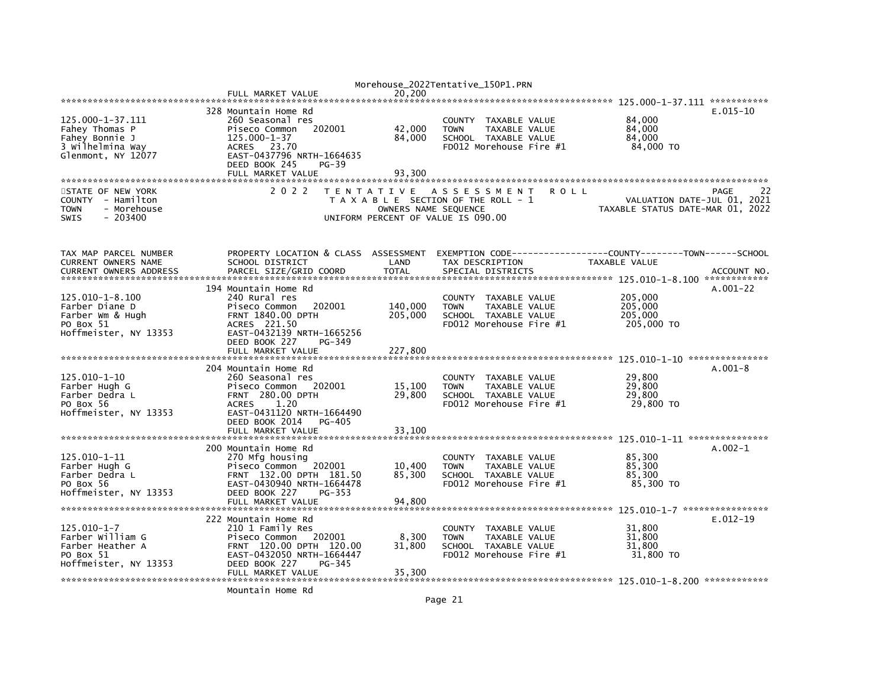|                               |                                      |                      | Morehouse_2022Tentative_150P1.PRN     |                                      |             |
|-------------------------------|--------------------------------------|----------------------|---------------------------------------|--------------------------------------|-------------|
|                               | FULL MARKET VALUE                    | 20.200               |                                       |                                      |             |
|                               |                                      |                      |                                       |                                      |             |
|                               | 328 Mountain Home Rd                 |                      |                                       |                                      | $E.015-10$  |
| 125.000-1-37.111              | 260 Seasonal res                     |                      | COUNTY<br>TAXABLE VALUE               | 84,000                               |             |
| Fahey Thomas P                | Piseco Common<br>202001              | 42,000               | TAXABLE VALUE<br><b>TOWN</b>          | 84,000                               |             |
| Fahey Bonnie J                | 125.000-1-37                         | 84,000               | SCHOOL TAXABLE VALUE                  | 84,000                               |             |
| 3 Wilhelmina Way              | 23.70<br><b>ACRES</b>                |                      | FD012 Morehouse Fire #1               | 84,000 TO                            |             |
| Glenmont, NY 12077            | EAST-0437796 NRTH-1664635            |                      |                                       |                                      |             |
|                               | DEED BOOK 245<br>PG-39               |                      |                                       |                                      |             |
|                               | FULL MARKET VALUE                    | 93,300               |                                       |                                      |             |
|                               |                                      |                      |                                       |                                      |             |
| STATE OF NEW YORK             | 2 0 2 2                              | T E N T A T I V E    | A S S E S S M E N T<br>ROLL           |                                      | 22<br>PAGE  |
| COUNTY - Hamilton             |                                      |                      | T A X A B L E SECTION OF THE ROLL - 1 | VALUATION DATE-JUL 01, 2021          |             |
| - Morehouse<br><b>TOWN</b>    |                                      | OWNERS NAME SEQUENCE |                                       | TAXABLE STATUS DATE-MAR 01, 2022     |             |
| <b>SWIS</b><br>$-203400$      |                                      |                      | UNIFORM PERCENT OF VALUE IS 090.00    |                                      |             |
|                               |                                      |                      |                                       |                                      |             |
|                               |                                      |                      |                                       |                                      |             |
|                               |                                      |                      |                                       |                                      |             |
| TAX MAP PARCEL NUMBER         | PROPERTY LOCATION & CLASS ASSESSMENT |                      | EXEMPTION CODE----                    | ------COUNTY--------TOWN------SCHOOL |             |
| <b>CURRENT OWNERS NAME</b>    | SCHOOL DISTRICT                      | LAND                 | TAX DESCRIPTION                       | TAXABLE VALUE                        |             |
| <b>CURRENT OWNERS ADDRESS</b> | PARCEL SIZE/GRID COORD               | <b>TOTAL</b>         | SPECIAL DISTRICTS                     |                                      | ACCOUNT NO. |
|                               |                                      |                      |                                       |                                      |             |
|                               | 194 Mountain Home Rd                 |                      |                                       |                                      | $A.001-22$  |
| 125.010-1-8.100               | 240 Rural res                        |                      | <b>COUNTY</b><br>TAXABLE VALUE        | 205,000                              |             |
| Farber Diane D                | 202001<br>Piseco Common              | 140,000              | TAXABLE VALUE<br><b>TOWN</b>          | 205,000                              |             |
| Farber Wm & Hugh              | <b>FRNT 1840.00 DPTH</b>             | 205,000              | SCHOOL TAXABLE VALUE                  | 205,000                              |             |
| PO Box 51                     | ACRES 221.50                         |                      | FD012 Morehouse Fire #1               | 205,000 TO                           |             |
| Hoffmeister, NY 13353         | EAST-0432139 NRTH-1665256            |                      |                                       |                                      |             |
|                               | DEED BOOK 227<br>PG-349              |                      |                                       |                                      |             |
|                               | FULL MARKET VALUE                    | 227,800              |                                       |                                      |             |
|                               |                                      |                      |                                       |                                      |             |
|                               | 204 Mountain Home Rd                 |                      |                                       |                                      | $A.001-8$   |
| 125.010-1-10                  | 260 Seasonal res                     |                      | TAXABLE VALUE<br><b>COUNTY</b>        | 29,800                               |             |
| Farber Hugh G                 | Piseco Common<br>202001              | 15,100               | <b>TOWN</b><br>TAXABLE VALUE          | 29,800                               |             |
| Farber Dedra L                | <b>FRNT 280.00 DPTH</b>              | 29,800               | SCHOOL TAXABLE VALUE                  | 29,800                               |             |
| PO Box 56                     | 1.20<br><b>ACRES</b>                 |                      | FD012 Morehouse Fire #1               | 29,800 TO                            |             |
| Hoffmeister, NY 13353         | EAST-0431120 NRTH-1664490            |                      |                                       |                                      |             |
|                               | DEED BOOK 2014<br>PG-405             |                      |                                       |                                      |             |
|                               | FULL MARKET VALUE                    | 33,100               |                                       |                                      |             |
|                               |                                      |                      |                                       |                                      |             |
|                               | 200 Mountain Home Rd                 |                      |                                       |                                      | $A.002-1$   |
| 125.010-1-11                  | 270 Mfg housing                      |                      | <b>TAXABLE VALUE</b><br><b>COUNTY</b> | 85,300                               |             |
| Farber Hugh G                 | Piseco Common<br>202001              | 10,400               | <b>TAXABLE VALUE</b><br><b>TOWN</b>   | 85,300                               |             |
| Farber Dedra L                | FRNT 132.00 DPTH 181.50              | 85,300               | SCHOOL TAXABLE VALUE                  | 85,300                               |             |
| PO Box 56                     | EAST-0430940 NRTH-1664478            |                      | FD012 Morehouse Fire #1               | 85,300 TO                            |             |
| Hoffmeister, NY 13353         | DEED BOOK 227<br>PG-353              |                      |                                       |                                      |             |
|                               | FULL MARKET VALUE                    | 94,800               |                                       |                                      |             |
|                               |                                      |                      |                                       |                                      |             |
|                               | 222 Mountain Home Rd                 |                      |                                       |                                      | $E.012-19$  |
| 125.010-1-7                   | 210 1 Family Res                     |                      | TAXABLE VALUE<br><b>COUNTY</b>        | 31,800                               |             |
| Farber William G              | Piseco Common<br>202001              | 8,300                | TAXABLE VALUE<br><b>TOWN</b>          | 31,800                               |             |
| Farber Heather A              | FRNT 120.00 DPTH 120.00              | 31,800               | SCHOOL TAXABLE VALUE                  | 31,800                               |             |
| PO Box 51                     | EAST-0432050 NRTH-1664447            |                      | FD012 Morehouse Fire #1               | 31,800 TO                            |             |
| Hoffmeister, NY 13353         | DEED BOOK 227<br>PG-345              |                      |                                       |                                      |             |
|                               | FULL MARKET VALUE                    | 35,300               |                                       |                                      |             |
|                               |                                      |                      |                                       |                                      |             |
|                               | Mountain Home Rd                     |                      |                                       |                                      |             |
|                               |                                      |                      |                                       |                                      |             |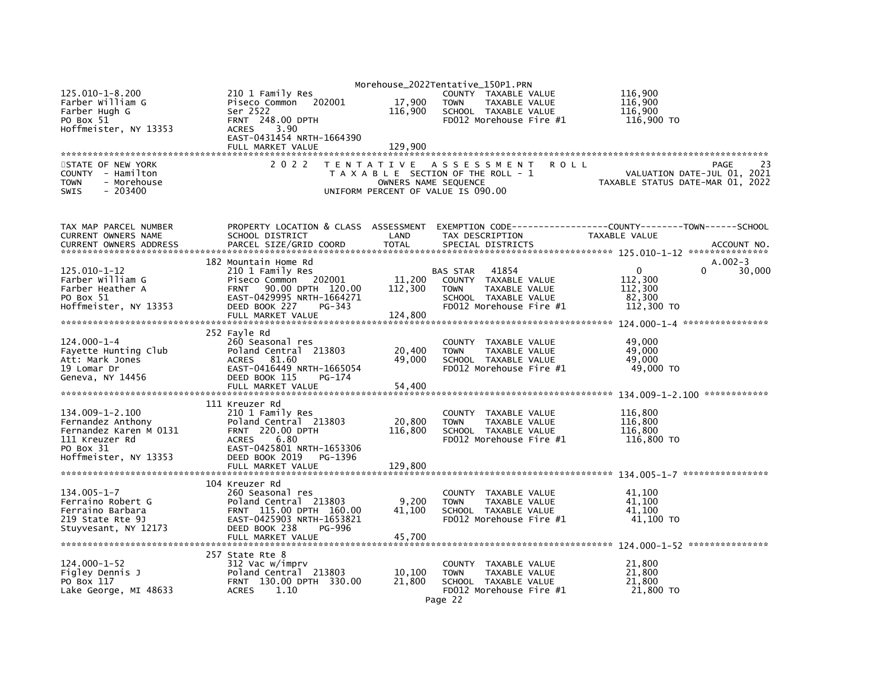|                               |                                      |                   | Morehouse_2022Tentative_150P1.PRN     |                                  |
|-------------------------------|--------------------------------------|-------------------|---------------------------------------|----------------------------------|
| $125.010 - 1 - 8.200$         | 210 1 Family Res                     |                   | COUNTY TAXABLE VALUE                  | 116,900                          |
| Farber William G              | Piseco Common 202001                 | 17,900            | <b>TOWN</b><br>TAXABLE VALUE          | 116,900                          |
| Farber Hugh G                 | Ser 2522                             | 116,900           | SCHOOL TAXABLE VALUE                  | 116,900                          |
| PO Box 51                     | FRNT 248.00 DPTH                     |                   | FD012 Morehouse Fire #1               | 116,900 TO                       |
| Hoffmeister, NY 13353         | 3.90<br><b>ACRES</b>                 |                   |                                       |                                  |
|                               | EAST-0431454 NRTH-1664390            |                   |                                       |                                  |
|                               | FULL MARKET VALUE                    | 129,900           |                                       |                                  |
|                               |                                      |                   |                                       |                                  |
| STATE OF NEW YORK             | 2 0 2 2                              | T E N T A T I V E | A S S E S S M E N T<br><b>ROLL</b>    | PAGE                             |
| COUNTY - Hamilton             |                                      |                   | T A X A B L E SECTION OF THE ROLL - 1 | VALUATION DATE-JUL 01, 2021      |
| <b>TOWN</b><br>- Morehouse    |                                      |                   | OWNERS NAME SEQUENCE                  | TAXABLE STATUS DATE-MAR 01, 2022 |
| <b>SWIS</b><br>- 203400       |                                      |                   | UNIFORM PERCENT OF VALUE IS 090.00    |                                  |
|                               |                                      |                   |                                       |                                  |
| TAX MAP PARCEL NUMBER         | PROPERTY LOCATION & CLASS ASSESSMENT |                   |                                       |                                  |
| CURRENT OWNERS NAME           | SCHOOL DISTRICT                      | LAND              | TAX DESCRIPTION                       | TAXABLE VALUE                    |
| <b>CURRENT OWNERS ADDRESS</b> | PARCEL SIZE/GRID COORD               | <b>TOTAL</b>      | SPECIAL DISTRICTS                     | ACCOUNT NO.                      |
|                               |                                      |                   |                                       |                                  |
|                               | 182 Mountain Home Rd                 |                   |                                       | $A.002-3$                        |
| 125.010-1-12                  | 210 1 Family Res                     |                   | 41854<br><b>BAS STAR</b>              | 0<br>$\Omega$<br>30,000          |
| Farber William G              | Piseco Common 202001                 | 11,200            | COUNTY TAXABLE VALUE                  | 112,300                          |
| Farber Heather A              | 90.00 DPTH 120.00<br><b>FRNT</b>     | 112,300           | <b>TAXABLE VALUE</b><br><b>TOWN</b>   | 112,300                          |
| PO Box 51                     | EAST-0429995 NRTH-1664271            |                   | SCHOOL TAXABLE VALUE                  | 82,300                           |
| Hoffmeister, NY 13353         | DEED BOOK 227<br>PG-343              |                   | FD012 Morehouse Fire #1               | 112,300 TO                       |
|                               | FULL MARKET VALUE                    | 124,800           |                                       |                                  |
|                               |                                      |                   |                                       |                                  |
|                               | 252 Fayle Rd                         |                   |                                       |                                  |
| 124.000-1-4                   | 260 Seasonal res                     |                   | COUNTY TAXABLE VALUE                  | 49,000                           |
| Fayette Hunting Club          | Poland Central 213803                | 20,400            | TAXABLE VALUE<br><b>TOWN</b>          | 49,000                           |
| Att: Mark Jones               | 81.60<br><b>ACRES</b>                | 49,000            | SCHOOL TAXABLE VALUE                  | 49,000                           |
| 19 Lomar Dr                   | EAST-0416449 NRTH-1665054            |                   | FD012 Morehouse Fire #1               | 49,000 TO                        |
| Geneva, NY 14456              | DEED BOOK 115<br>PG-174              |                   |                                       |                                  |
|                               | FULL MARKET VALUE                    | 54,400            |                                       |                                  |
|                               |                                      |                   |                                       |                                  |
|                               | 111 Kreuzer Rd                       |                   |                                       |                                  |
| $134.009 - 1 - 2.100$         | 210 1 Family Res                     |                   | COUNTY TAXABLE VALUE                  | 116,800                          |
| Fernandez Anthony             | Poland Central 213803                | 20,800            | <b>TOWN</b><br>TAXABLE VALUE          | 116,800                          |
| Fernandez Karen M 0131        | <b>FRNT 220.00 DPTH</b>              | 116,800           | SCHOOL TAXABLE VALUE                  | 116,800                          |
| 111 Kreuzer Rd                | <b>ACRES</b><br>6.80                 |                   | FD012 Morehouse Fire #1               | 116,800 TO                       |
| PO Box 31                     | EAST-0425801 NRTH-1653306            |                   |                                       |                                  |
| Hoffmeister, NY 13353         | DEED BOOK 2019<br>PG-1396            |                   |                                       |                                  |
|                               | FULL MARKET VALUE                    | 129,800           |                                       |                                  |
|                               |                                      |                   |                                       |                                  |
|                               | 104 Kreuzer Rd                       |                   |                                       |                                  |
| $134.005 - 1 - 7$             | 260 Seasonal res                     |                   | COUNTY<br>TAXABLE VALUE               | 41.100                           |
| Ferraino Robert G             | Poland Central 213803                | 9,200             | <b>TOWN</b><br>TAXABLE VALUE          | 41,100                           |
| Ferraino Barbara              | FRNT 115.00 DPTH 160.00              | 41,100            | SCHOOL TAXABLE VALUE                  | 41.100                           |
| 219 State Rte 9J              | EAST-0425903 NRTH-1653821            |                   | $FD012$ Morehouse Fire $#1$           | 41,100 TO                        |
| Stuyvesant, NY 12173          | DEED BOOK 238<br>PG-996              |                   |                                       |                                  |
|                               | FULL MARKET VALUE                    | 45,700            |                                       |                                  |
|                               |                                      |                   |                                       |                                  |
|                               | 257 State Rte 8                      |                   |                                       |                                  |
| $124.000 - 1 - 52$            | 312 Vac w/imprv                      |                   | COUNTY TAXABLE VALUE                  | 21,800                           |
| Figley Dennis J               | Poland Central 213803                | 10,100            | TAXABLE VALUE<br><b>TOWN</b>          | 21,800                           |
| PO Box 117                    | FRNT 130.00 DPTH 330.00              | 21,800            | SCHOOL TAXABLE VALUE                  | 21,800                           |
| Lake George, MI 48633         | 1.10<br><b>ACRES</b>                 |                   | FD012 Morehouse Fire #1               | 21,800 TO                        |
|                               |                                      |                   | Page 22                               |                                  |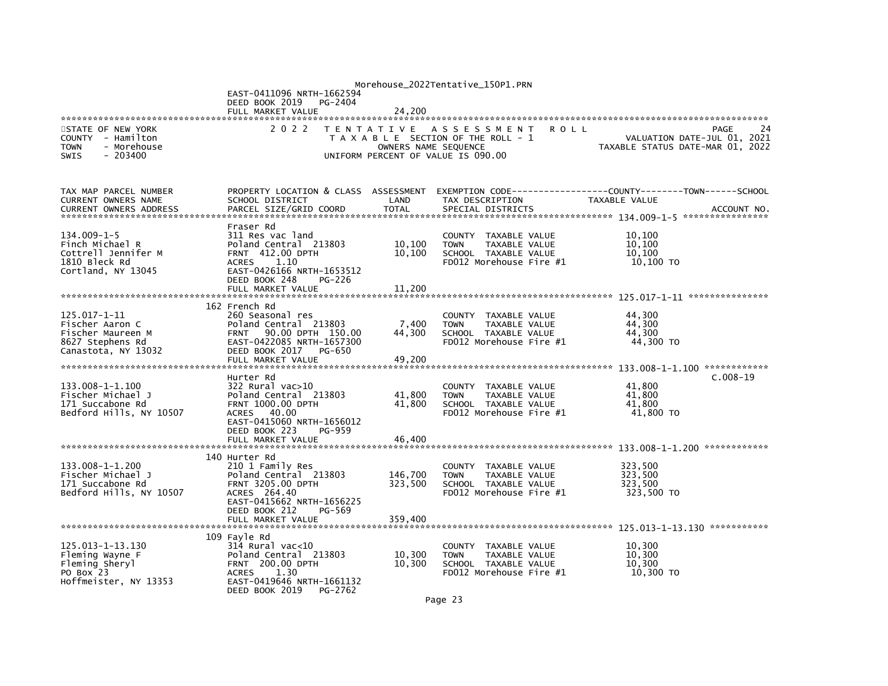|                                                      |                                                           |                      | Morehouse_2022Tentative_150P1.PRN                           |                                                                 |
|------------------------------------------------------|-----------------------------------------------------------|----------------------|-------------------------------------------------------------|-----------------------------------------------------------------|
|                                                      | EAST-0411096 NRTH-1662594                                 |                      |                                                             |                                                                 |
|                                                      | DEED BOOK 2019<br>PG-2404<br>FULL MARKET VALUE            | 24,200               |                                                             |                                                                 |
|                                                      |                                                           |                      |                                                             |                                                                 |
| STATE OF NEW YORK                                    | 2 0 2 2                                                   |                      | TENTATIVE ASSESSMENT<br><b>ROLL</b>                         | PAGE<br>24                                                      |
| COUNTY - Hamilton<br><b>TOWN</b><br>- Morehouse      |                                                           | OWNERS NAME SEQUENCE | T A X A B L E SECTION OF THE ROLL - 1                       | VALUATION DATE-JUL 01, 2021<br>TAXABLE STATUS DATE-MAR 01, 2022 |
| $-203400$<br><b>SWIS</b>                             |                                                           |                      | UNIFORM PERCENT OF VALUE IS 090.00                          |                                                                 |
|                                                      |                                                           |                      |                                                             |                                                                 |
|                                                      |                                                           |                      |                                                             |                                                                 |
| TAX MAP PARCEL NUMBER                                | PROPERTY LOCATION & CLASS ASSESSMENT                      |                      | EXEMPTION CODE-----                                         | -------------COUNTY--------TOWN------SCHOOL                     |
| CURRENT OWNERS NAME<br><b>CURRENT OWNERS ADDRESS</b> | SCHOOL DISTRICT<br>PARCEL SIZE/GRID COORD                 | LAND<br><b>TOTAL</b> | TAX DESCRIPTION<br>SPECIAL DISTRICTS                        | TAXABLE VALUE<br>ACCOUNT NO.                                    |
|                                                      |                                                           |                      |                                                             |                                                                 |
|                                                      | Fraser Rd                                                 |                      |                                                             |                                                                 |
| $134.009 - 1 - 5$<br>Finch Michael R                 | 311 Res vac land<br>Poland Central 213803                 | 10,100               | COUNTY TAXABLE VALUE<br><b>TOWN</b><br>TAXABLE VALUE        | 10.100<br>10,100                                                |
| Cottrell Jennifer M                                  | FRNT 412.00 DPTH                                          | 10,100               | SCHOOL TAXABLE VALUE                                        | 10,100                                                          |
| 1810 Bleck Rd                                        | 1.10<br><b>ACRES</b>                                      |                      | FD012 Morehouse Fire #1                                     | 10,100 TO                                                       |
| Cortland, NY 13045                                   | EAST-0426166 NRTH-1653512                                 |                      |                                                             |                                                                 |
|                                                      | DEED BOOK 248<br>PG-226<br>FULL MARKET VALUE              | 11,200               |                                                             |                                                                 |
|                                                      |                                                           |                      |                                                             |                                                                 |
|                                                      | 162 French Rd                                             |                      |                                                             |                                                                 |
| 125.017-1-11                                         | 260 Seasonal res                                          |                      | COUNTY TAXABLE VALUE                                        | 44,300<br>44,300                                                |
| Fischer Aaron C<br>Fischer Maureen M                 | Poland Central 213803<br>90.00 DPTH 150.00<br><b>FRNT</b> | 7,400<br>44,300      | <b>TAXABLE VALUE</b><br><b>TOWN</b><br>SCHOOL TAXABLE VALUE | 44.300                                                          |
| 8627 Stephens Rd                                     | EAST-0422085 NRTH-1657300                                 |                      | FD012 Morehouse Fire #1                                     | 44,300 TO                                                       |
| Canastota, NY 13032                                  | DEED BOOK 2017<br>PG-650                                  |                      |                                                             |                                                                 |
|                                                      | FULL MARKET VALUE                                         | 49,200               |                                                             | 133.008-1-1.100 *************                                   |
|                                                      | Hurter Rd                                                 |                      |                                                             | $C.008-19$                                                      |
| 133.008-1-1.100                                      | 322 Rural vac>10                                          |                      | COUNTY TAXABLE VALUE                                        | 41.800                                                          |
| Fischer Michael J                                    | Poland Central 213803                                     | 41,800               | <b>TAXABLE VALUE</b><br><b>TOWN</b>                         | 41,800                                                          |
| 171 Succabone Rd<br>Bedford Hills, NY 10507          | <b>FRNT 1000.00 DPTH</b><br>40.00<br>ACRES                | 41.800               | SCHOOL TAXABLE VALUE<br>FD012 Morehouse Fire #1             | 41.800<br>41,800 TO                                             |
|                                                      | EAST-0415060 NRTH-1656012                                 |                      |                                                             |                                                                 |
|                                                      | DEED BOOK 223<br>PG-959                                   |                      |                                                             |                                                                 |
|                                                      | FULL MARKET VALUE                                         | 46,400               |                                                             |                                                                 |
|                                                      | 140 Hurter Rd                                             |                      |                                                             |                                                                 |
| 133.008-1-1.200                                      | 210 1 Family Res                                          |                      | COUNTY TAXABLE VALUE                                        | 323,500                                                         |
| Fischer Michael J                                    | Poland Central 213803                                     | 146,700              | <b>TOWN</b><br>TAXABLE VALUE                                | 323.500                                                         |
| 171 Succabone Rd<br>Bedford Hills, NY 10507          | <b>FRNT 3205.00 DPTH</b><br>ACRES 264.40                  | 323.500              | SCHOOL TAXABLE VALUE<br>FD012 Morehouse Fire #1             | 323.500<br>323,500 TO                                           |
|                                                      | EAST-0415662 NRTH-1656225                                 |                      |                                                             |                                                                 |
|                                                      | DEED BOOK 212<br>PG-569                                   |                      |                                                             |                                                                 |
|                                                      | FULL MARKET VALUE                                         | 359,400              |                                                             |                                                                 |
|                                                      | 109 Fayle Rd                                              |                      |                                                             |                                                                 |
| 125.013-1-13.130                                     | $314$ Rural vac<10                                        |                      | COUNTY TAXABLE VALUE                                        | 10,300                                                          |
| Fleming Wayne F                                      | Poland Central 213803                                     | 10,300               | <b>TOWN</b><br>TAXABLE VALUE                                | 10.300                                                          |
| Fleming Sheryl                                       | <b>FRNT 200.00 DPTH</b>                                   | 10,300               | SCHOOL TAXABLE VALUE                                        | 10,300                                                          |
| PO Box 23<br>Hoffmeister, NY 13353                   | <b>ACRES</b><br>1.30<br>EAST-0419646 NRTH-1661132         |                      | FD012 Morehouse Fire #1                                     | 10,300 TO                                                       |
|                                                      | DEED BOOK 2019<br>PG-2762                                 |                      |                                                             |                                                                 |
|                                                      |                                                           |                      | $\sim$ $\sim$                                               |                                                                 |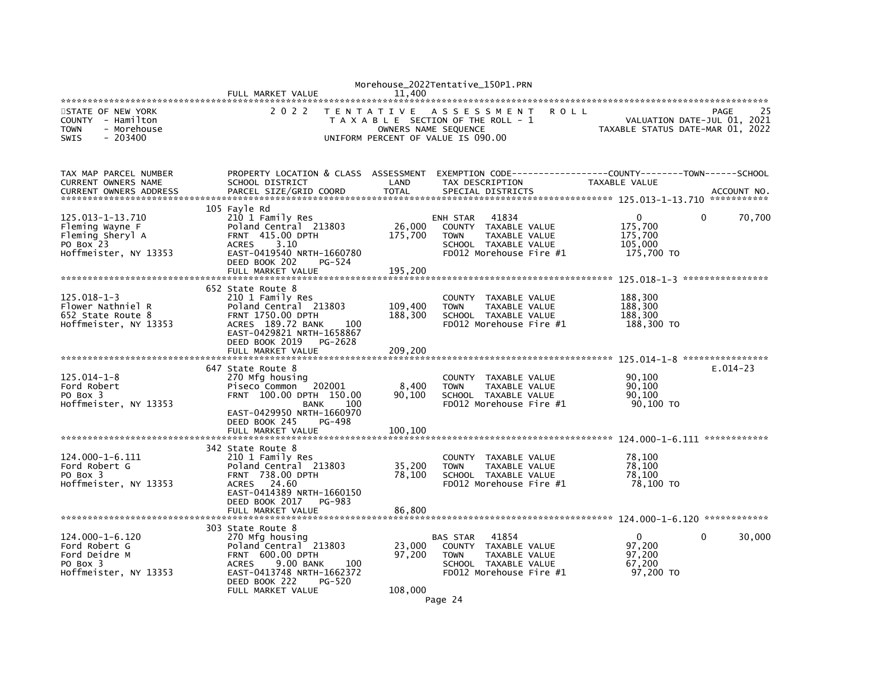|                                                                                                  | FULL MARKET VALUE                                                                                                                                                                                     | 11.400                        | Morehouse_2022Tentative_150P1.PRN                                                                                                                              |                                                            |                                           |
|--------------------------------------------------------------------------------------------------|-------------------------------------------------------------------------------------------------------------------------------------------------------------------------------------------------------|-------------------------------|----------------------------------------------------------------------------------------------------------------------------------------------------------------|------------------------------------------------------------|-------------------------------------------|
| STATE OF NEW YORK<br>COUNTY - Hamilton<br><b>TOWN</b><br>- Morehouse<br>$-203400$<br><b>SWIS</b> | 2 0 2 2<br>T E N T A T I V E                                                                                                                                                                          |                               | A S S E S S M E N T<br><b>ROLL</b><br>T A X A B L E SECTION OF THE ROLL - 1<br>OWNERS NAME SEQUENCE<br>UNIFORM PERCENT OF VALUE IS 090.00                      | TAXABLE STATUS DATE-MAR 01, 2022                           | 25<br>PAGE<br>VALUATION DATE-JUL 01, 2021 |
| TAX MAP PARCEL NUMBER<br>CURRENT OWNERS NAME<br><b>CURRENT OWNERS ADDRESS</b>                    | PROPERTY LOCATION & CLASS ASSESSMENT<br>SCHOOL DISTRICT<br>PARCEL SIZE/GRID COORD                                                                                                                     | LAND<br><b>TOTAL</b>          | TAX DESCRIPTION<br>SPECIAL DISTRICTS                                                                                                                           | TAXABLE VALUE                                              | ACCOUNT NO.                               |
| 125.013-1-13.710<br>Fleming Wayne F<br>Fleming Sheryl A<br>PO Box 23<br>Hoffmeister, NY 13353    | 105 Fayle Rd<br>210 1 Family Res<br>Poland Central 213803<br><b>FRNT 415.00 DPTH</b><br>3.10<br><b>ACRES</b><br>EAST-0419540 NRTH-1660780<br>DEED BOOK 202<br>PG-524<br>FULL MARKET VALUE             | 26,000<br>175,700<br>195,200  | 41834<br>ENH STAR<br>COUNTY<br>TAXABLE VALUE<br><b>TOWN</b><br>TAXABLE VALUE<br>SCHOOL TAXABLE VALUE<br>FD012 Morehouse Fire #1                                | $\mathbf 0$<br>175,700<br>175,700<br>105,000<br>175,700 TO | 70,700<br>$\mathbf{0}$                    |
| $125.018 - 1 - 3$<br>Flower Nathniel R<br>652 State Route 8<br>Hoffmeister, NY 13353             | 652 State Route 8<br>210 1 Family Res<br>Poland Central 213803<br><b>FRNT 1750.00 DPTH</b><br>ACRES 189.72 BANK<br>100<br>EAST-0429821 NRTH-1658867<br>DEED BOOK 2019<br>PG-2628<br>FULL MARKET VALUE | 109,400<br>188,300<br>209,200 | <b>COUNTY</b><br>TAXABLE VALUE<br>TAXABLE VALUE<br><b>TOWN</b><br>SCHOOL TAXABLE VALUE<br>FD012 Morehouse Fire #1                                              | 188,300<br>188,300<br>188,300<br>188,300 TO                |                                           |
| $125.014 - 1 - 8$<br>Ford Robert<br>PO Box 3<br>Hoffmeister, NY 13353                            | 647 State Route 8<br>270 Mfg housing<br>202001<br>Piseco Common<br>FRNT 100.00 DPTH 150.00<br>100<br><b>BANK</b><br>EAST-0429950 NRTH-1660970<br>DEED BOOK 245<br>PG-498<br>FULL MARKET VALUE         | 8,400<br>90,100<br>100,100    | <b>COUNTY</b><br>TAXABLE VALUE<br><b>TOWN</b><br>TAXABLE VALUE<br>SCHOOL TAXABLE VALUE<br>FD012 Morehouse Fire #1                                              | 90,100<br>90,100<br>90,100<br>90,100 TO                    | $E.014-23$                                |
| 124.000-1-6.111<br>Ford Robert G<br>PO Box 3<br>Hoffmeister, NY 13353                            | 342 State Route 8<br>210 1 Family Res<br>Poland Central 213803<br><b>FRNT 738.00 DPTH</b><br>24.60<br><b>ACRES</b><br>EAST-0414389 NRTH-1660150<br>DEED BOOK 2017<br>PG-983<br>FULL MARKET VALUE      | 35,200<br>78,100<br>86,800    | COUNTY<br>TAXABLE VALUE<br>TAXABLE VALUE<br><b>TOWN</b><br>SCHOOL TAXABLE VALUE<br>FD012 Morehouse Fire #1                                                     | 78,100<br>78,100<br>78,100<br>78,100 TO                    |                                           |
| $124.000 - 1 - 6.120$<br>Ford Robert G<br>Ford Deidre M<br>PO Box 3<br>Hoffmeister, NY 13353     | 303 State Route 8<br>270 Mfg housing<br>Poland Central 213803<br>FRNT 600.00 DPTH<br>9.00 BANK<br><b>ACRES</b><br>100<br>EAST-0413748 NRTH-1662372<br>DEED BOOK 222<br>PG-520<br>FULL MARKET VALUE    | 23,000<br>97,200<br>108,000   | 41854<br><b>BAS STAR</b><br><b>COUNTY</b><br>TAXABLE VALUE<br><b>TOWN</b><br>TAXABLE VALUE<br>SCHOOL TAXABLE VALUE<br>FD012 Morehouse Fire #1<br>$\sim$ $\sim$ | $\mathbf{0}$<br>97,200<br>97,200<br>67,200<br>97,200 TO    | 30,000<br>$\mathbf{0}$                    |

Page 24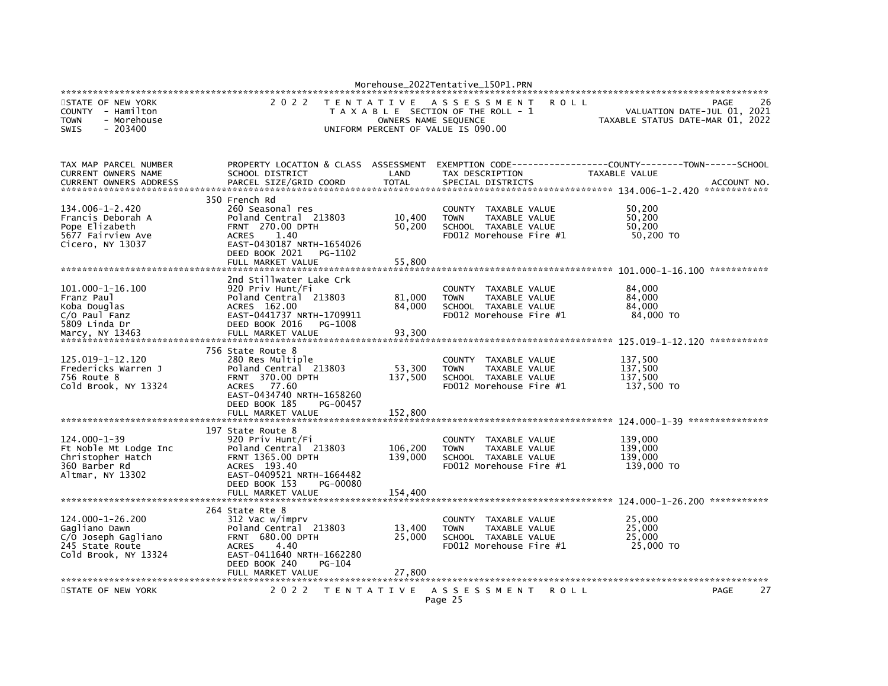|                                                                                                       |                                                                                                                                                                                              |                                          | Morehouse_2022Tentative_150P1.PRN                                                                                 |                                                                 |             |
|-------------------------------------------------------------------------------------------------------|----------------------------------------------------------------------------------------------------------------------------------------------------------------------------------------------|------------------------------------------|-------------------------------------------------------------------------------------------------------------------|-----------------------------------------------------------------|-------------|
| STATE OF NEW YORK<br>COUNTY - Hamilton<br>- Morehouse<br><b>TOWN</b><br>$-203400$<br><b>SWIS</b>      | 2 0 2 2                                                                                                                                                                                      | <b>TENTATIVE</b><br>OWNERS NAME SEQUENCE | ASSESSMENT<br><b>ROLL</b><br>T A X A B L E SECTION OF THE ROLL - 1<br>UNIFORM PERCENT OF VALUE IS 090.00          | VALUATION DATE-JUL 01, 2021<br>TAXABLE STATUS DATE-MAR 01, 2022 | 26<br>PAGE  |
| TAX MAP PARCEL NUMBER<br>CURRENT OWNERS NAME<br><b>CURRENT OWNERS ADDRESS</b>                         | PROPERTY LOCATION & CLASS ASSESSMENT<br>SCHOOL DISTRICT<br>PARCEL SIZE/GRID COORD                                                                                                            | LAND<br><b>TOTAL</b>                     | EXEMPTION        CODE-----------------COUNTY-------TOWN------SCHOOL<br>TAX DESCRIPTION<br>SPECIAL DISTRICTS       | TAXABLE VALUE                                                   | ACCOUNT NO. |
| 134.006-1-2.420<br>Francis Deborah A<br>Pope Elizabeth<br>5677 Fairview Ave<br>Cicero, NY 13037       | 350 French Rd<br>260 Seasonal res<br>Poland Central 213803<br><b>FRNT 270.00 DPTH</b><br>1.40<br><b>ACRES</b><br>EAST-0430187 NRTH-1654026<br>DEED BOOK 2021<br>PG-1102<br>FULL MARKET VALUE | 10,400<br>50,200<br>55,800               | COUNTY<br>TAXABLE VALUE<br><b>TOWN</b><br>TAXABLE VALUE<br>SCHOOL TAXABLE VALUE<br>FD012 Morehouse Fire #1        | 50.200<br>50,200<br>50,200<br>50,200 TO                         |             |
| 101.000-1-16.100<br>Franz Paul<br>Koba Douglas<br>$C/O$ Paul Fanz<br>5809 Linda Dr<br>Marcy, NY 13463 | 2nd Stillwater Lake Crk<br>920 Priv Hunt/Fi<br>Poland Central 213803<br>ACRES 162.00<br>EAST-0441737 NRTH-1709911<br>DEED BOOK 2016<br>PG-1008<br>FULL MARKET VALUE                          | 81,000<br>84,000<br>93,300               | <b>COUNTY</b><br>TAXABLE VALUE<br><b>TOWN</b><br>TAXABLE VALUE<br>SCHOOL TAXABLE VALUE<br>FD012 Morehouse Fire #1 | 84,000<br>84,000<br>84.000<br>84,000 TO                         |             |
| 125.019-1-12.120<br>Fredericks Warren J<br>756 Route 8<br>Cold Brook, NY 13324                        | 756 State Route 8<br>280 Res Multiple<br>Poland Central 213803<br>FRNT 370.00 DPTH<br>77.60<br><b>ACRES</b><br>EAST-0434740 NRTH-1658260<br>DEED BOOK 185<br>PG-00457                        | 53,300<br>137,500                        | <b>COUNTY</b><br>TAXABLE VALUE<br>TAXABLE VALUE<br><b>TOWN</b><br>SCHOOL TAXABLE VALUE<br>FD012 Morehouse Fire #1 | 137,500<br>137,500<br>137,500<br>137,500 TO                     |             |
| $124.000 - 1 - 39$<br>Ft Noble Mt Lodge Inc<br>Christopher Hatch<br>360 Barber Rd<br>Altmar, NY 13302 | 197 State Route 8<br>920 Priv Hunt/Fi<br>Poland Central 213803<br><b>FRNT 1365.00 DPTH</b><br>ACRES 193.40<br>EAST-0409521 NRTH-1664482<br>DEED BOOK 153<br>PG-00080<br>FULL MARKET VALUE    | 106,200<br>139,000<br>154,400            | COUNTY TAXABLE VALUE<br>TAXABLE VALUE<br><b>TOWN</b><br>SCHOOL TAXABLE VALUE<br>FD012 Morehouse Fire #1           | 139,000<br>139,000<br>139,000<br>139,000 TO                     |             |
| 124.000-1-26.200<br>Gagliano Dawn<br>C/O Joseph Gagliano<br>245 State Route<br>Cold Brook, NY 13324   | 264 State Rte 8<br>312 Vac w/imprv<br>Poland Central 213803<br>FRNT 680.00 DPTH<br><b>ACRES</b><br>4.40<br>EAST-0411640 NRTH-1662280<br>DEED BOOK 240<br>PG-104<br>FULL MARKET VALUE         | 13,400<br>25,000<br>27.800               | COUNTY TAXABLE VALUE<br><b>TOWN</b><br>TAXABLE VALUE<br>SCHOOL TAXABLE VALUE<br>FD012 Morehouse Fire #1           | 25,000<br>25,000<br>25,000<br>25,000 TO                         |             |
| STATE OF NEW YORK                                                                                     | 2 0 2 2                                                                                                                                                                                      | T E N T A T I V E                        | A S S E S S M E N T<br><b>ROLL</b><br>Page 25                                                                     |                                                                 | 27<br>PAGE  |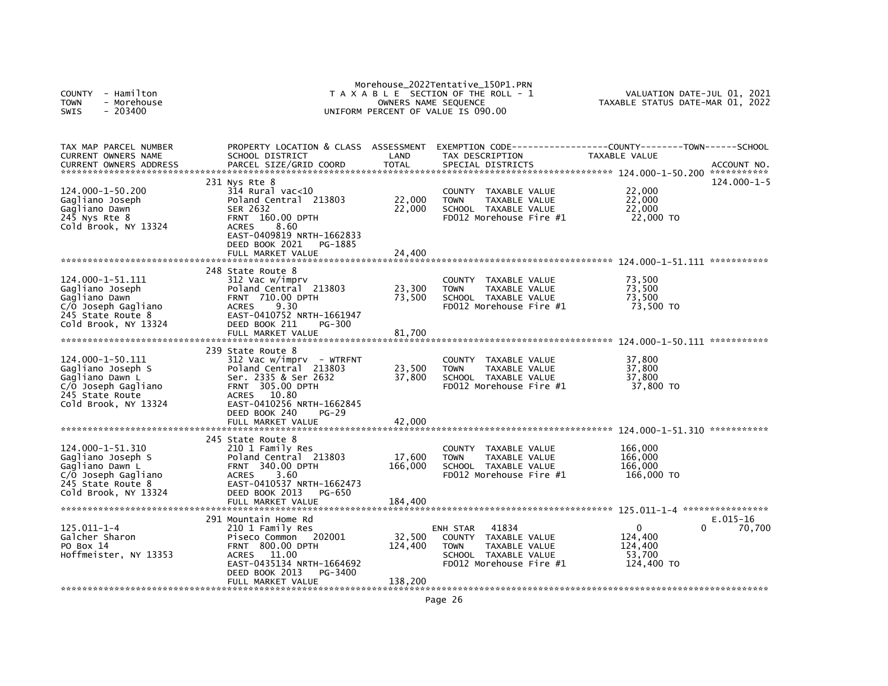| - Hamilton<br><b>COUNTY</b><br><b>TOWN</b><br>- Morehouse<br><b>SWIS</b><br>- 203400                                         |                                                                                                                                                                                                                      | OWNERS NAME SEQUENCE         | Morehouse_2022Tentative_150P1.PRN<br>T A X A B L E SECTION OF THE ROLL - 1<br>UNIFORM PERCENT OF VALUE IS 090.00             | VALUATION DATE-JUL 01, 2021<br>TAXABLE STATUS DATE-MAR 01, 2022 |                      |  |
|------------------------------------------------------------------------------------------------------------------------------|----------------------------------------------------------------------------------------------------------------------------------------------------------------------------------------------------------------------|------------------------------|------------------------------------------------------------------------------------------------------------------------------|-----------------------------------------------------------------|----------------------|--|
| TAX MAP PARCEL NUMBER<br><b>CURRENT OWNERS NAME</b><br><b>CURRENT OWNERS ADDRESS</b>                                         | PROPERTY LOCATION & CLASS ASSESSMENT<br>SCHOOL DISTRICT<br>PARCEL SIZE/GRID COORD                                                                                                                                    | LAND<br><b>TOTAL</b>         | EXEMPTION CODE-----------------COUNTY-------TOWN------SCHOOL<br>TAX DESCRIPTION<br>SPECIAL DISTRICTS                         | TAXABLE VALUE                                                   | ACCOUNT NO.          |  |
| 124.000-1-50.200<br>Gagliano Joseph<br>Gagliano Dawn<br>245 Nys Rte 8<br>Cold Brook, NY 13324                                | 231 Nys Rte 8<br>$314$ Rural vac< $10$<br>Poland Central 213803<br><b>SER 2632</b><br><b>FRNT 160.00 DPTH</b><br>8.60<br><b>ACRES</b><br>EAST-0409819 NRTH-1662833<br>DEED BOOK 2021<br>PG-1885<br>FULL MARKET VALUE | 22,000<br>22,000<br>24,400   | COUNTY TAXABLE VALUE<br>TAXABLE VALUE<br><b>TOWN</b><br>SCHOOL TAXABLE VALUE<br>$FD012$ Morehouse Fire $#1$                  | 22,000<br>22,000<br>22,000<br>22,000 TO                         | 124.000-1-5          |  |
|                                                                                                                              |                                                                                                                                                                                                                      |                              |                                                                                                                              |                                                                 | ***********          |  |
| 124.000-1-51.111<br>Gagliano Joseph<br>Gagliano Dawn<br>C/O Joseph Gagliano<br>245 State Route 8                             | 248 State Route 8<br>312 Vac w/imprv<br>Poland Central 213803<br><b>FRNT 710.00 DPTH</b><br>9.30<br><b>ACRES</b><br>EAST-0410752 NRTH-1661947<br>PG-300                                                              | 23,300<br>73,500             | TAXABLE VALUE<br>COUNTY<br><b>TOWN</b><br>TAXABLE VALUE<br>SCHOOL TAXABLE VALUE<br>FD012 Morehouse Fire #1                   | 73,500<br>73,500<br>73.500<br>73,500 TO                         |                      |  |
| Cold Brook, NY 13324                                                                                                         | DEED BOOK 211<br>FULL MARKET VALUE                                                                                                                                                                                   | 81,700                       |                                                                                                                              |                                                                 |                      |  |
| 124.000-1-50.111<br>Gagliano Joseph S<br>Gagliano Dawn L<br>C/O Joseph Gagliano<br>245 State Route<br>Cold Brook, NY 13324   | 239 State Route 8<br>$312$ Vac w/imprv - WTRFNT<br>Poland Central 213803<br>Ser. 2335 & Ser 2632<br><b>FRNT 305.00 DPTH</b><br>ACRES 10.80<br>EAST-0410256 NRTH-1662845                                              | 23,500<br>37,800             | COUNTY TAXABLE VALUE<br><b>TOWN</b><br>TAXABLE VALUE<br>SCHOOL TAXABLE VALUE<br>FD012 Morehouse Fire #1                      | 37,800<br>37,800<br>37,800<br>37,800 TO                         | ***********          |  |
|                                                                                                                              | DEED BOOK 240<br>$PG-29$<br>FULL MARKET VALUE                                                                                                                                                                        | 42,000                       |                                                                                                                              |                                                                 |                      |  |
|                                                                                                                              | 245 State Route 8                                                                                                                                                                                                    |                              |                                                                                                                              |                                                                 |                      |  |
| 124.000-1-51.310<br>Gagliano Joseph S<br>Gagliano Dawn L<br>C/O Joseph Gagliano<br>245 State Route 8<br>Cold Brook, NY 13324 | 210 1 Family Res<br>Poland Central 213803<br><b>FRNT 340.00 DPTH</b><br><b>ACRES</b><br>3.60<br>EAST-0410537 NRTH-1662473<br>DEED BOOK 2013<br><b>PG-650</b>                                                         | 17,600<br>166,000            | TAXABLE VALUE<br>COUNTY<br><b>TOWN</b><br>TAXABLE VALUE<br>SCHOOL TAXABLE VALUE<br>$FD012$ Morehouse Fire $#1$               | 166,000<br>166,000<br>166,000<br>166,000 TO                     |                      |  |
|                                                                                                                              | FULL MARKET VALUE                                                                                                                                                                                                    | 184,400                      |                                                                                                                              |                                                                 |                      |  |
| 125.011-1-4<br>Galcher Sharon<br>PO Box 14<br>Hoffmeister, NY 13353                                                          | 291 Mountain Home Rd<br>210 1 Family Res<br>202001<br>Piseco Common<br>FRNT 800.00 DPTH<br><b>ACRES</b><br>11.00<br>EAST-0435134 NRTH-1664692<br>DEED BOOK 2013<br>PG-3400<br>FULL MARKET VALUE                      | 32,500<br>124,400<br>138,200 | 41834<br>ENH STAR<br>COUNTY TAXABLE VALUE<br>TAXABLE VALUE<br><b>TOWN</b><br>SCHOOL TAXABLE VALUE<br>FD012 Morehouse Fire #1 | $\Omega$<br>0<br>124,400<br>124,400<br>53.700<br>124,400 TO     | $E.015-16$<br>70,700 |  |
|                                                                                                                              |                                                                                                                                                                                                                      |                              |                                                                                                                              |                                                                 |                      |  |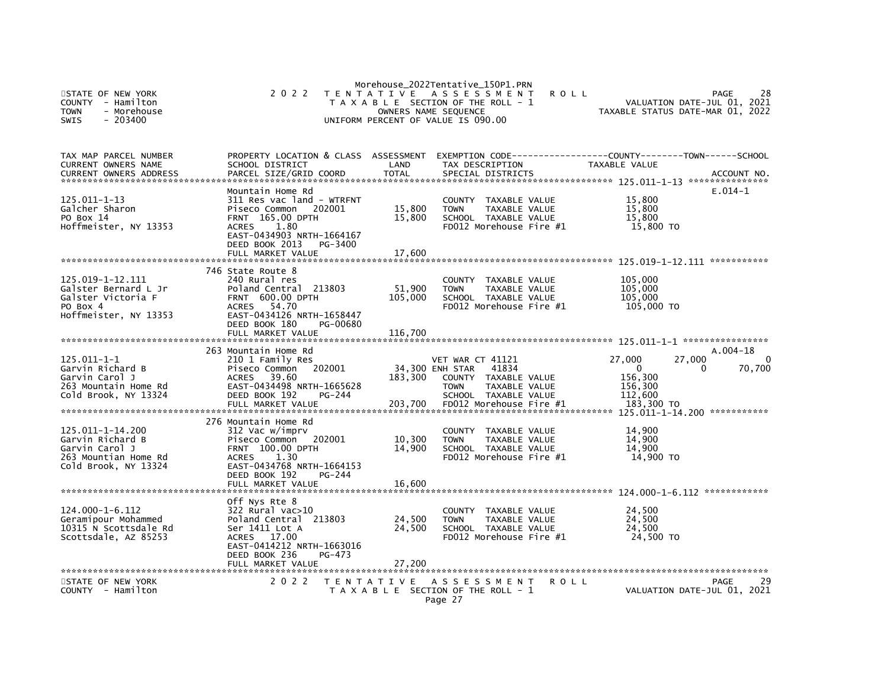| STATE OF NEW YORK<br><b>COUNTY</b><br>- Hamilton<br><b>TOWN</b><br>- Morehouse<br>SWIS<br>$-203400$    | 2 0 2 2                                                                                                                                                                                             | OWNERS NAME SEQUENCE         | Morehouse_2022Tentative_150P1.PRN<br>TENTATIVE ASSESSMENT<br>T A X A B L E SECTION OF THE ROLL - 1<br>UNIFORM PERCENT OF VALUE IS 090.00                | <b>ROLL</b> |                                                            | 28<br>PAGE<br>2021<br>VALUATION DATE-JUL 01,<br>TAXABLE STATUS DATE-MAR 01, 2022 |
|--------------------------------------------------------------------------------------------------------|-----------------------------------------------------------------------------------------------------------------------------------------------------------------------------------------------------|------------------------------|---------------------------------------------------------------------------------------------------------------------------------------------------------|-------------|------------------------------------------------------------|----------------------------------------------------------------------------------|
| TAX MAP PARCEL NUMBER<br><b>CURRENT OWNERS NAME</b><br><b>CURRENT OWNERS ADDRESS</b>                   | PROPERTY LOCATION & CLASS ASSESSMENT<br>SCHOOL DISTRICT<br>PARCEL SIZE/GRID COORD                                                                                                                   | LAND<br><b>TOTAL</b>         | EXEMPTION CODE-----<br>TAX DESCRIPTION<br>SPECIAL DISTRICTS                                                                                             |             | TAXABLE VALUE                                              | -------------COUNTY--------TOWN------SCHOOL<br>ACCOUNT NO.                       |
| $125.011 - 1 - 13$<br>Galcher Sharon<br>PO Box 14<br>Hoffmeister, NY 13353                             | Mountain Home Rd<br>311 Res vac land - WTRFNT<br>Piseco Common<br>202001<br>FRNT 165.00 DPTH<br><b>ACRES</b><br>1.80<br>EAST-0434903 NRTH-1664167<br>DEED BOOK 2013<br>PG-3400<br>FULL MARKET VALUE | 15,800<br>15,800<br>17,600   | <b>COUNTY</b><br>TAXABLE VALUE<br><b>TOWN</b><br>TAXABLE VALUE<br>SCHOOL TAXABLE VALUE<br>FD012 Morehouse Fire #1                                       |             | 15,800<br>15,800<br>15,800<br>15,800 TO                    | $E.014-1$                                                                        |
| 125.019-1-12.111<br>Galster Bernard L Jr<br>Galster Victoria F<br>PO Box 4<br>Hoffmeister, NY 13353    | 746 State Route 8<br>240 Rural res<br>Poland Central 213803<br>FRNT 600.00 DPTH<br>54.70<br><b>ACRES</b><br>EAST-0434126 NRTH-1658447<br>DEED BOOK 180<br>PG-00680<br>FULL MARKET VALUE             | 51,900<br>105,000<br>116,700 | TAXABLE VALUE<br><b>COUNTY</b><br><b>TOWN</b><br>TAXABLE VALUE<br>SCHOOL TAXABLE VALUE<br>FD012 Morehouse Fire #1                                       |             | 105,000<br>105,000<br>105.000<br>105,000 TO                | 125.019-1-12.111 ***********                                                     |
|                                                                                                        |                                                                                                                                                                                                     |                              |                                                                                                                                                         |             |                                                            |                                                                                  |
| 125.011-1-1<br>Garvin Richard B<br>Garvin Carol J<br>263 Mountain Home Rd<br>Cold Brook, NY 13324      | 263 Mountain Home Rd<br>210 1 Family Res<br>202001<br>Piseco Common<br>39.60<br><b>ACRES</b><br>EAST-0434498 NRTH-1665628<br>DEED BOOK 192<br>PG-244<br>FULL MARKET VALUE                           | 183,300<br>203,700           | VET WAR CT 41121<br>34,300 ENH STAR<br>41834<br>COUNTY TAXABLE VALUE<br><b>TOWN</b><br>TAXABLE VALUE<br>SCHOOL TAXABLE VALUE<br>FD012 Morehouse Fire #1 |             | 27,000<br>0<br>156,300<br>156,300<br>112,600<br>183,300 TO | A.004-18<br>27,000<br>$\Omega$<br>70,700<br>0<br>125.011-1-14.200 ***********    |
| 125.011-1-14.200<br>Garvin Richard B<br>Garvin Carol J<br>263 Mountian Home Rd<br>Cold Brook, NY 13324 | 276 Mountain Home Rd<br>312 Vac w/imprv<br>Piseco Common<br>202001<br>FRNT 100.00 DPTH<br><b>ACRES</b><br>1.30<br>EAST-0434768 NRTH-1664153<br>DEED BOOK 192<br>$PG-244$<br>FULL MARKET VALUE       | 10,300<br>14,900<br>16,600   | COUNTY TAXABLE VALUE<br>TAXABLE VALUE<br><b>TOWN</b><br>SCHOOL TAXABLE VALUE<br>FD012 Morehouse Fire #1                                                 |             | 14,900<br>14.900<br>14,900<br>14,900 TO                    |                                                                                  |
|                                                                                                        | Off Nys Rte 8                                                                                                                                                                                       |                              |                                                                                                                                                         |             |                                                            |                                                                                  |
| 124.000-1-6.112<br>Geramipour Mohammed<br>10315 N Scottsdale Rd<br>Scottsdale, AZ 85253                | 322 Rural vac>10<br>Poland Central 213803<br>Ser 1411 Lot A<br>ACRES 17.00<br>EAST-0414212 NRTH-1663016<br>DEED BOOK 236<br>PG-473                                                                  | 24,500<br>24,500             | <b>COUNTY</b><br>TAXABLE VALUE<br>TAXABLE VALUE<br><b>TOWN</b><br>SCHOOL TAXABLE VALUE<br>FD012 Morehouse Fire #1                                       |             | 24,500<br>24,500<br>24,500<br>24,500 TO                    |                                                                                  |
|                                                                                                        | FULL MARKET VALUE                                                                                                                                                                                   | 27,200                       |                                                                                                                                                         |             |                                                            | ***********                                                                      |
| STATE OF NEW YORK<br>COUNTY - Hamilton                                                                 | 2 0 2 2                                                                                                                                                                                             | T E N T A T I V E            | A S S E S S M E N T<br>T A X A B L E SECTION OF THE ROLL - 1<br>Page 27                                                                                 | ROLL        |                                                            | PAGE<br>29<br>VALUATION DATE-JUL 01, 2021                                        |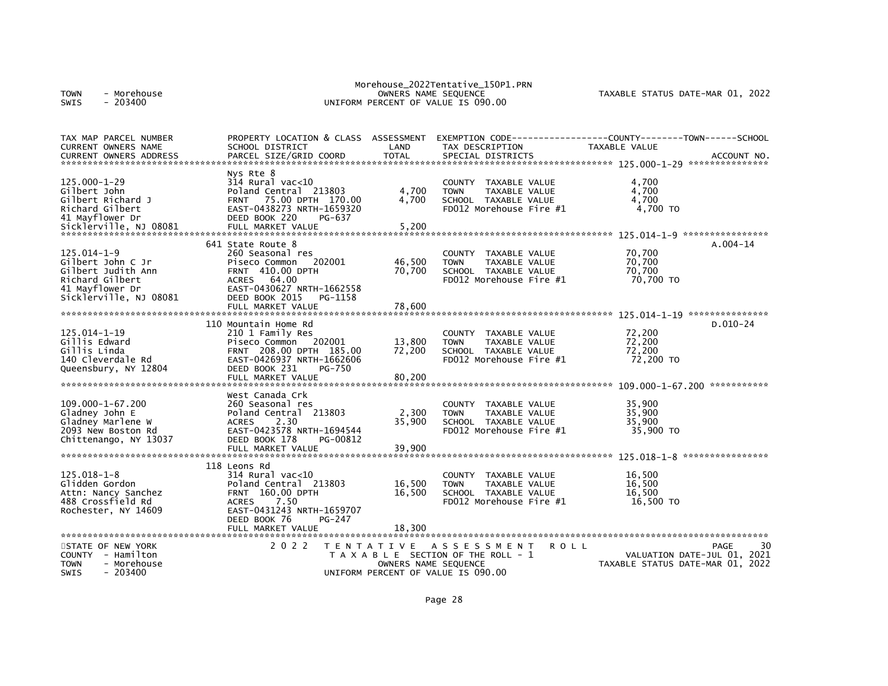| - Morehouse<br><b>TOWN</b><br>$-203400$<br><b>SWIS</b>                                                                       |                                                                                                                                                                                                     |                            | Morehouse_2022Tentative_150P1.PRN<br>OWNERS NAME SEQUENCE<br>UNIFORM PERCENT OF VALUE IS 090.00                                    | TAXABLE STATUS DATE-MAR 01, 2022                                            |    |
|------------------------------------------------------------------------------------------------------------------------------|-----------------------------------------------------------------------------------------------------------------------------------------------------------------------------------------------------|----------------------------|------------------------------------------------------------------------------------------------------------------------------------|-----------------------------------------------------------------------------|----|
| TAX MAP PARCEL NUMBER<br>CURRENT OWNERS NAME<br><b>CURRENT OWNERS ADDRESS</b>                                                | PROPERTY LOCATION & CLASS ASSESSMENT<br>SCHOOL DISTRICT<br>PARCEL SIZE/GRID COORD                                                                                                                   | LAND<br><b>TOTAL</b>       | EXEMPTION CODE-----<br>TAX DESCRIPTION<br>SPECIAL DISTRICTS                                                                        | -------------COUNTY--------TOWN------SCHOOL<br>TAXABLE VALUE<br>ACCOUNT NO. |    |
| $125.000 - 1 - 29$<br>Gilbert John<br>Gilbert Richard J<br>Richard Gilbert<br>41 Mayflower Dr<br>Sicklerville, NJ 08081      | Nys Rte 8<br>314 Rural vac<10<br>Poland Central 213803<br>75.00 DPTH 170.00<br><b>FRNT</b><br>EAST-0438273 NRTH-1659320<br>DEED BOOK 220<br>PG-637<br>FULL MARKET VALUE                             | 4,700<br>4.700<br>5,200    | <b>COUNTY</b><br>TAXABLE VALUE<br>TAXABLE VALUE<br><b>TOWN</b><br>SCHOOL TAXABLE VALUE<br>FD012 Morehouse Fire #1                  | 4,700<br>4,700<br>4.700<br>4,700 TO                                         |    |
| $125.014 - 1 - 9$<br>Gilbert John C Jr<br>Gilbert Judith Ann<br>Richard Gilbert<br>41 Mayflower Dr<br>Sicklerville, NJ 08081 | 641 State Route 8<br>260 Seasonal res<br>Piseco Common<br>202001<br><b>FRNT 410.00 DPTH</b><br><b>ACRES</b><br>64.00<br>EAST-0430627 NRTH-1662558<br>DEED BOOK 2015<br>PG-1158<br>FULL MARKET VALUE | 46,500<br>70,700<br>78,600 | <b>COUNTY</b><br>TAXABLE VALUE<br>TAXABLE VALUE<br><b>TOWN</b><br>SCHOOL TAXABLE VALUE<br>FD012 Morehouse Fire #1                  | $A.004-14$<br>70,700<br>70,700<br>70,700<br>70,700 TO                       |    |
| $125.014 - 1 - 19$<br>Gillis Edward<br>Gillis Linda<br>140 Cleverdale Rd<br>Queensbury, NY 12804                             | 110 Mountain Home Rd<br>210 1 Family Res<br>Piseco Common 202001<br>FRNT 208.00 DPTH 185.00<br>EAST-0426937 NRTH-1662606<br>DEED BOOK 231<br>PG-750<br>FULL MARKET VALUE                            | 13,800<br>72,200<br>80,200 | <b>COUNTY</b><br>TAXABLE VALUE<br><b>TOWN</b><br>TAXABLE VALUE<br>SCHOOL TAXABLE VALUE<br>FD012 Morehouse Fire #1                  | $D.010-24$<br>72,200<br>72,200<br>72,200<br>72,200 TO                       |    |
| 109.000-1-67.200<br>Gladney John E<br>Gladney Marlene W<br>2093 New Boston Rd<br>Chittenango, NY 13037                       | West Canada Crk<br>260 Seasonal res<br>Poland Central 213803<br>2.30<br><b>ACRES</b><br>EAST-0423578 NRTH-1694544<br>DEED BOOK 178<br>PG-00812<br>FULL MARKET VALUE                                 | 2,300<br>35,900<br>39,900  | <b>COUNTY</b><br>TAXABLE VALUE<br>TAXABLE VALUE<br><b>TOWN</b><br>SCHOOL TAXABLE VALUE<br>FD012 Morehouse Fire #1                  | 35,900<br>35,900<br>35,900<br>35,900 TO                                     |    |
| $125.018 - 1 - 8$<br>Glidden Gordon<br>Attn: Nancy Sanchez<br>488 Crossfield Rd<br>Rochester, NY 14609                       | 118 Leons Rd<br>314 Rural vac<10<br>Poland Central 213803<br>FRNT 160.00 DPTH<br><b>ACRES</b><br>7.50<br>EAST-0431243 NRTH-1659707<br>DEED BOOK 76<br>PG-247<br>FULL MARKET VALUE                   | 16,500<br>16,500<br>18,300 | <b>COUNTY</b><br>TAXABLE VALUE<br><b>TAXABLE VALUE</b><br><b>TOWN</b><br>SCHOOL TAXABLE VALUE<br>FD012 Morehouse Fire #1           | 16,500<br>16.500<br>16,500<br>16,500 TO                                     |    |
| STATE OF NEW YORK<br><b>COUNTY</b><br>- Hamilton<br><b>TOWN</b><br>- Morehouse<br>$-203400$<br><b>SWIS</b>                   | 2 0 2 2                                                                                                                                                                                             | T E N T A T I V E          | A S S E S S M E N T<br>ROLL<br>T A X A B L E SECTION OF THE ROLL - 1<br>OWNERS NAME SEQUENCE<br>UNIFORM PERCENT OF VALUE IS 090.00 | PAGE<br>VALUATION DATE-JUL 01, 2021<br>TAXABLE STATUS DATE-MAR 01, 2022     | 30 |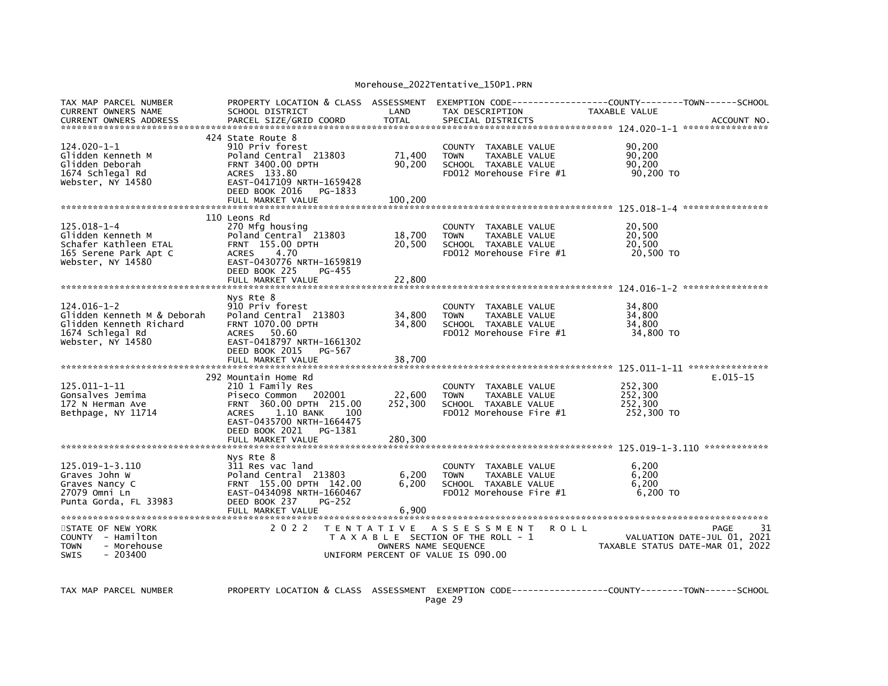| TAX MAP PARCEL NUMBER<br>CURRENT OWNERS NAME<br><b>CURRENT OWNERS ADDRESS</b>                                        | PROPERTY LOCATION & CLASS ASSESSMENT<br>SCHOOL DISTRICT<br>PARCEL SIZE/GRID COORD                                                                                                                                | LAND<br><b>TOTAL</b>         | TAX DESCRIPTION<br>SPECIAL DISTRICTS                                                                    | EXEMPTION CODE-----------------COUNTY-------TOWN------SCHOOL<br><b>TAXABLE VALUE</b> | ACCOUNT NO.                               |
|----------------------------------------------------------------------------------------------------------------------|------------------------------------------------------------------------------------------------------------------------------------------------------------------------------------------------------------------|------------------------------|---------------------------------------------------------------------------------------------------------|--------------------------------------------------------------------------------------|-------------------------------------------|
| 124.020-1-1<br>Glidden Kenneth M<br>Glidden Deborah<br>1674 Schlegal Rd<br>Webster, NY 14580                         | 424 State Route 8<br>910 Priv forest<br>Poland Central 213803<br><b>FRNT 3400.00 DPTH</b><br>ACRES 133.80<br>EAST-0417109 NRTH-1659428<br>DEED BOOK 2016<br>PG-1833<br>FULL MARKET VALUE                         | 71,400<br>90,200<br>100.200  | COUNTY TAXABLE VALUE<br>TAXABLE VALUE<br><b>TOWN</b><br>SCHOOL TAXABLE VALUE<br>FD012 Morehouse Fire #1 | 90,200<br>90,200<br>90.200<br>90,200 TO                                              |                                           |
| 125.018-1-4<br>Glidden Kenneth M<br>Schafer Kathleen ETAL<br>165 Serene Park Apt C<br>Webster, NY 14580              | 110 Leons Rd<br>270 Mfg housing<br>Poland Central 213803<br>FRNT 155.00 DPTH<br><b>ACRES</b><br>4.70<br>EAST-0430776 NRTH-1659819<br>DEED BOOK 225<br>PG-455<br>FULL MARKET VALUE                                | 18,700<br>20,500<br>22,800   | COUNTY TAXABLE VALUE<br>TAXABLE VALUE<br><b>TOWN</b><br>SCHOOL TAXABLE VALUE<br>FD012 Morehouse Fire #1 | 20,500<br>20,500<br>20.500<br>20,500 TO                                              |                                           |
| $124.016 - 1 - 2$<br>Glidden Kenneth M & Deborah<br>Glidden Kenneth Richard<br>1674 Schlegal Rd<br>Webster, NY 14580 | Nys Rte 8<br>910 Priv forest<br>Poland Central 213803<br>FRNT 1070.00 DPTH<br>ACRES 50.60<br>EAST-0418797 NRTH-1661302<br>DEED BOOK 2015<br>PG-567<br>FULL MARKET VALUE                                          | 34,800<br>34,800<br>38,700   | COUNTY TAXABLE VALUE<br>TAXABLE VALUE<br><b>TOWN</b><br>SCHOOL TAXABLE VALUE<br>FD012 Morehouse Fire #1 | 34.800<br>34,800<br>34,800<br>34,800 TO                                              |                                           |
| 125.011-1-11<br>Gonsalves Jemima<br>172 N Herman Ave<br>Bethpage, NY 11714                                           | 292 Mountain Home Rd<br>210 1 Family Res<br>Piseco Common 202001<br>FRNT 360.00 DPTH 215.00<br><b>ACRES</b><br>1.10 BANK<br>- 100<br>EAST-0435700 NRTH-1664475<br>DEED BOOK 2021<br>PG-1381<br>FULL MARKET VALUE | 22,600<br>252,300<br>280,300 | COUNTY TAXABLE VALUE<br>TAXABLE VALUE<br><b>TOWN</b><br>SCHOOL TAXABLE VALUE<br>FD012 Morehouse Fire #1 | 252,300<br>252,300<br>252,300<br>252,300 TO                                          | $E.015 - 15$                              |
| 125.019-1-3.110<br>Graves John W<br>Graves Nancy C<br>27079 Omni Ln<br>Punta Gorda, FL 33983                         | Nys Rte 8<br>311 Res vac land<br>Poland Central 213803<br>FRNT 155.00 DPTH 142.00<br>EAST-0434098 NRTH-1660467<br>DEED BOOK 237<br><b>PG-252</b>                                                                 | 6,200<br>6.200<br>6,900      | COUNTY TAXABLE VALUE<br><b>TOWN</b><br>TAXABLE VALUE<br>SCHOOL TAXABLE VALUE<br>FD012 Morehouse Fire #1 | 6,200<br>6,200<br>6.200<br>$6,200$ TO                                                |                                           |
| STATE OF NEW YORK<br>COUNTY - Hamilton<br><b>TOWN</b><br>- Morehouse<br>SWIS<br>$-203400$                            | 2 0 2 2                                                                                                                                                                                                          | OWNERS NAME SEQUENCE         | TENTATIVE ASSESSMENT<br>T A X A B L E SECTION OF THE ROLL - 1<br>UNIFORM PERCENT OF VALUE IS 090.00     | <b>ROLL</b><br>TAXABLE STATUS DATE-MAR 01, 2022                                      | 31<br>PAGE<br>VALUATION DATE-JUL 01, 2021 |

TAX MAP PARCEL NUMBER PROPERTY LOCATION & CLASS ASSESSMENT EXEMPTION CODE----------------COUNTY-------TOWN-----SCHOOL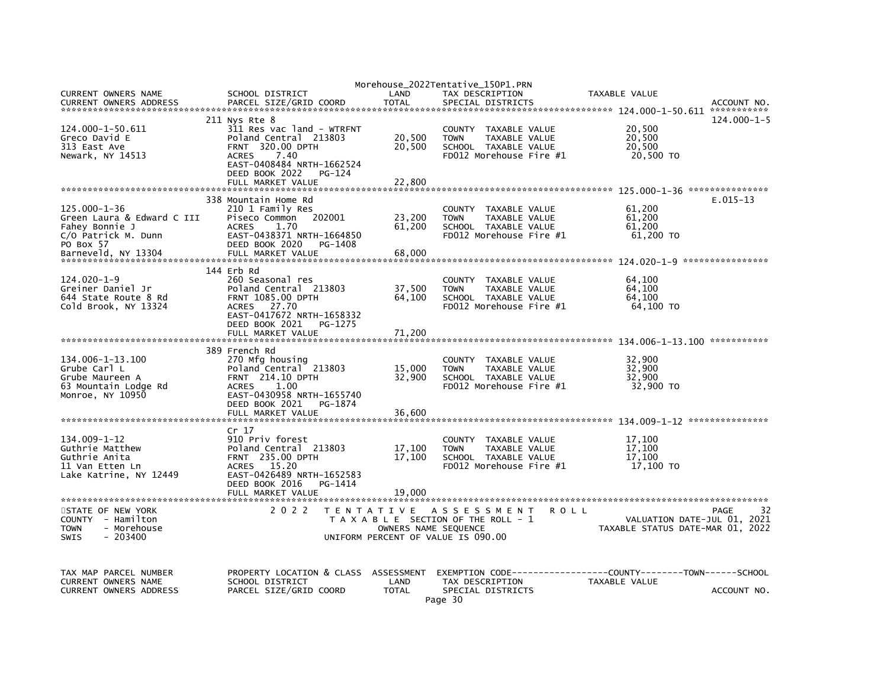|                               |                           |                                    | Morehouse_2022Tentative_150P1.PRN     |                                     |
|-------------------------------|---------------------------|------------------------------------|---------------------------------------|-------------------------------------|
| CURRENT OWNERS NAME           | SCHOOL DISTRICT           | LAND                               | TAX DESCRIPTION                       | TAXABLE VALUE                       |
| <b>CURRENT OWNERS ADDRESS</b> | PARCEL SIZE/GRID COORD    | <b>TOTAL</b>                       | SPECIAL DISTRICTS                     | ACCOUNT NO.                         |
|                               |                           |                                    |                                       |                                     |
|                               | 211 Nys Rte 8             |                                    |                                       | $124.000 - 1 - 5$                   |
| 124.000-1-50.611              | 311 Res vac land - WTRFNT |                                    | COUNTY TAXABLE VALUE                  | 20,500                              |
| Greco David E                 | Poland Central 213803     | 20,500                             | <b>TOWN</b><br>TAXABLE VALUE          | 20,500                              |
| 313 East Ave                  | FRNT 320.00 DPTH          | 20,500                             | SCHOOL TAXABLE VALUE                  | 20,500                              |
| Newark, NY 14513              | <b>ACRES</b><br>7.40      |                                    | FD012 Morehouse Fire #1               | 20,500 TO                           |
|                               | EAST-0408484 NRTH-1662524 |                                    |                                       |                                     |
|                               | DEED BOOK 2022<br>PG-124  |                                    |                                       |                                     |
|                               | FULL MARKET VALUE         | 22,800                             |                                       |                                     |
|                               |                           |                                    |                                       |                                     |
|                               |                           |                                    |                                       | $E.015 - 13$                        |
|                               | 338 Mountain Home Rd      |                                    |                                       |                                     |
| $125.000 - 1 - 36$            | 210 1 Family Res          |                                    | COUNTY<br>TAXABLE VALUE               | 61,200                              |
| Green Laura & Edward C III    | Piseco Common<br>202001   | 23,200                             | <b>TOWN</b><br>TAXABLE VALUE          | 61,200                              |
| Fahey Bonnie J                | <b>ACRES</b><br>1.70      | 61,200                             | SCHOOL TAXABLE VALUE                  | 61,200                              |
| C/O Patrick M. Dunn           | EAST-0438371 NRTH-1664850 |                                    | FD012 Morehouse Fire #1               | 61,200 TO                           |
| PO Box 57                     | DEED BOOK 2020<br>PG-1408 |                                    |                                       |                                     |
| Barneveld. NY 13304           | FULL MARKET VALUE         | 68,000                             |                                       |                                     |
|                               |                           |                                    |                                       |                                     |
|                               | 144 Erb Rd                |                                    |                                       |                                     |
| $124.020 - 1 - 9$             | 260 Seasonal res          |                                    | COUNTY TAXABLE VALUE                  | 64,100                              |
| Greiner Daniel Jr             | Poland Central 213803     | 37,500                             | <b>TOWN</b><br>TAXABLE VALUE          | 64,100                              |
| 644 State Route 8 Rd          | <b>FRNT 1085.00 DPTH</b>  | 64,100                             | SCHOOL TAXABLE VALUE                  | 64,100                              |
| Cold Brook, NY 13324          | <b>ACRES</b><br>27.70     |                                    | FD012 Morehouse Fire #1               | 64,100 TO                           |
|                               | EAST-0417672 NRTH-1658332 |                                    |                                       |                                     |
|                               | DEED BOOK 2021            |                                    |                                       |                                     |
|                               | PG-1275                   |                                    |                                       |                                     |
|                               | FULL MARKET VALUE         | 71,200                             |                                       |                                     |
|                               |                           |                                    |                                       |                                     |
|                               | 389 French Rd             |                                    |                                       |                                     |
| 134.006-1-13.100              | 270 Mfg housing           |                                    | COUNTY<br>TAXABLE VALUE               | 32,900                              |
| Grube Carl L                  | Poland Central 213803     | 15,000                             | <b>TOWN</b><br>TAXABLE VALUE          | 32,900                              |
| Grube Maureen A               | <b>FRNT</b> 214.10 DPTH   | 32,900                             | SCHOOL TAXABLE VALUE                  | 32,900                              |
| 63 Mountain Lodge Rd          | 1.00<br><b>ACRES</b>      |                                    | FD012 Morehouse Fire #1               | 32,900 TO                           |
| Monroe, NY 10950              | EAST-0430958 NRTH-1655740 |                                    |                                       |                                     |
|                               | DEED BOOK 2021<br>PG-1874 |                                    |                                       |                                     |
|                               | FULL MARKET VALUE         | 36,600                             |                                       |                                     |
|                               |                           |                                    |                                       |                                     |
|                               | Cr 17                     |                                    |                                       |                                     |
| $134.009 - 1 - 12$            | 910 Priv forest           |                                    | COUNTY TAXABLE VALUE                  | 17,100                              |
| Guthrie Matthew               | Poland Central 213803     | 17,100                             | <b>TOWN</b><br><b>TAXABLE VALUE</b>   | 17.100                              |
| Guthrie Anita                 | <b>FRNT 235.00 DPTH</b>   |                                    | SCHOOL TAXABLE VALUE                  | 17.100                              |
|                               |                           | 17,100                             |                                       |                                     |
| 11 Van Etten Ln               | <b>ACRES</b><br>15.20     |                                    | FD012 Morehouse Fire #1               | 17,100 TO                           |
| Lake Katrine, NY 12449        | EAST-0426489 NRTH-1652583 |                                    |                                       |                                     |
|                               | DEED BOOK 2016<br>PG-1414 |                                    |                                       |                                     |
|                               | FULL MARKET VALUE         | 19.000                             |                                       |                                     |
|                               |                           |                                    |                                       |                                     |
| STATE OF NEW YORK             | 2 0 2 2                   | T E N T A T I V E                  | A S S E S S M E N T                   | <b>ROLL</b><br>32<br>PAGE           |
| COUNTY - Hamilton             |                           |                                    | T A X A B L E SECTION OF THE ROLL - 1 | VALUATION DATE-JUL 01, 2021         |
| - Morehouse<br><b>TOWN</b>    |                           | OWNERS NAME SEQUENCE               |                                       | TAXABLE STATUS DATE-MAR 01, 2022    |
| $-203400$<br><b>SWIS</b>      |                           | UNIFORM PERCENT OF VALUE IS 090.00 |                                       |                                     |
|                               |                           |                                    |                                       |                                     |
|                               |                           |                                    |                                       |                                     |
|                               |                           |                                    |                                       |                                     |
| TAX MAP PARCEL NUMBER         | PROPERTY LOCATION & CLASS | ASSESSMENT                         | EXEMPTION CODE---------               | -----COUNTY--------TOWN------SCHOOL |
| <b>CURRENT OWNERS NAME</b>    | SCHOOL DISTRICT           | LAND                               | TAX DESCRIPTION                       | TAXABLE VALUE                       |
| <b>CURRENT OWNERS ADDRESS</b> | PARCEL SIZE/GRID COORD    | <b>TOTAL</b>                       | SPECIAL DISTRICTS                     | ACCOUNT NO.                         |
|                               |                           |                                    |                                       |                                     |
|                               |                           |                                    | Page 30                               |                                     |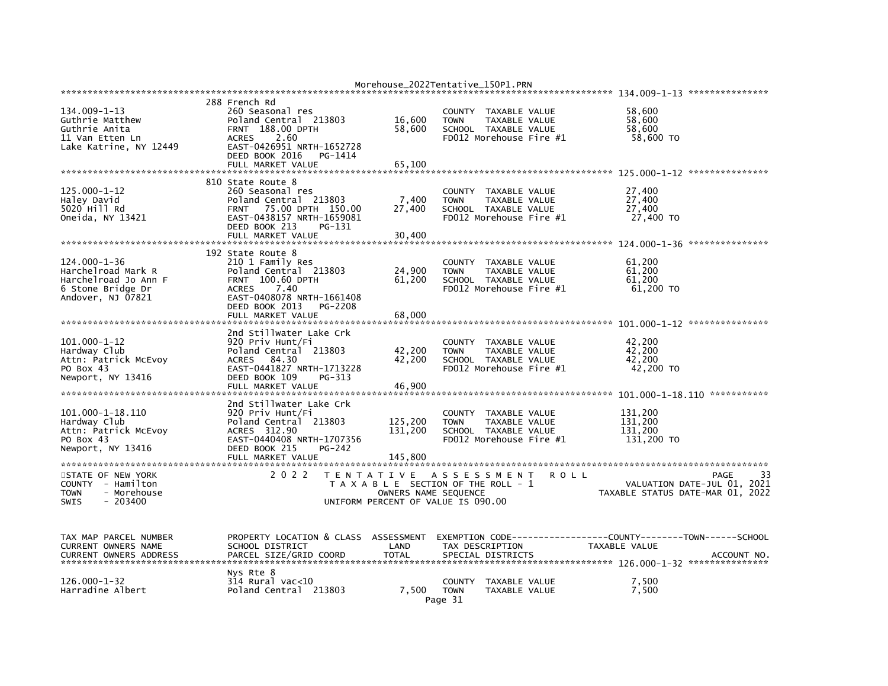|                                                                                                           |                                                                                                                                                                                                     | Morehouse_2022Tentative_150P1.PRN                                                                                        |                                                             |                                                                  |                                                            |                              |
|-----------------------------------------------------------------------------------------------------------|-----------------------------------------------------------------------------------------------------------------------------------------------------------------------------------------------------|--------------------------------------------------------------------------------------------------------------------------|-------------------------------------------------------------|------------------------------------------------------------------|------------------------------------------------------------|------------------------------|
| 134.009-1-13<br>Guthrie Matthew<br>Guthrie Anita<br>11 Van Etten Ln<br>Lake Katrine, NY 12449             | 288 French Rd<br>260 Seasonal res<br>Poland Central 213803<br>FRNT 188.00 DPTH<br>2.60<br><b>ACRES</b><br>EAST-0426951 NRTH-1652728<br>DEED BOOK 2016<br>PG-1414<br>FULL MARKET VALUE               | 16,600<br>58,600<br>65,100                                                                                               | COUNTY TAXABLE VALUE<br><b>TOWN</b><br>SCHOOL TAXABLE VALUE | <b>TAXABLE VALUE</b><br>FD012 Morehouse Fire #1                  | 58,600<br>58,600<br>58,600<br>58,600 TO                    |                              |
| 125.000-1-12<br>Haley David<br>5020 Hill Rd<br>Oneida, NY 13421                                           | 810 State Route 8<br>260 Seasonal res<br>Poland Central 213803<br>75.00 DPTH 150.00<br><b>FRNT</b><br>EAST-0438157 NRTH-1659081<br>DEED BOOK 213<br>PG-131<br>FULL MARKET VALUE                     | 7,400<br>27,400<br>30,400                                                                                                | <b>COUNTY</b><br><b>TOWN</b><br>SCHOOL TAXABLE VALUE        | TAXABLE VALUE<br><b>TAXABLE VALUE</b><br>FD012 Morehouse Fire #1 | 27,400<br>27,400<br>27,400<br>27,400 TO                    |                              |
| 124.000-1-36<br>Harchelroad Mark R<br>Harchelroad Jo Ann F<br>6 Stone Bridge Dr<br>Andover, NJ 07821      | 192 State Route 8<br>210 1 Family Res<br>Poland Central 213803<br><b>FRNT</b><br>100.60 DPTH<br><b>ACRES</b><br>7.40<br>EAST-0408078 NRTH-1661408<br>DEED BOOK 2013<br>PG-2208<br>FULL MARKET VALUE | 24,900<br>61,200<br>68,000                                                                                               | <b>COUNTY</b><br><b>TOWN</b><br>SCHOOL TAXABLE VALUE        | TAXABLE VALUE<br>TAXABLE VALUE<br>FD012 Morehouse Fire #1        | 61.200<br>61,200<br>61,200<br>61,200 TO                    |                              |
| $101.000 - 1 - 12$<br>Hardway Club<br>Attn: Patrick McEvoy<br>PO Box 43<br>Newport, NY 13416              | 2nd Stillwater Lake Crk<br>920 Priv Hunt/Fi<br>Poland Central 213803<br>84.30<br><b>ACRES</b><br>EAST-0441827 NRTH-1713228<br>DEED BOOK 109<br>PG-313<br>FULL MARKET VALUE                          | 42,200<br>42,200<br>46,900                                                                                               | <b>COUNTY</b><br><b>TOWN</b><br>SCHOOL TAXABLE VALUE        | TAXABLE VALUE<br>TAXABLE VALUE<br>FD012 Morehouse Fire #1        | 42,200<br>42,200<br>42,200<br>42,200 TO                    | 101.000-1-18.110 *********** |
| 101.000-1-18.110<br>Hardway Club<br>Attn: Patrick McEvoy<br>PO Box 43<br>Newport, NY 13416                | 2nd Stillwater Lake Crk<br>920 Priv Hunt/Fi<br>Poland Central 213803<br>ACRES 312.90<br>EAST-0440408 NRTH-1707356<br>DEED BOOK 215<br>PG-242<br>FULL MARKET VALUE                                   | 125,200<br>131,200<br>145,800                                                                                            | <b>COUNTY</b><br><b>TOWN</b><br>SCHOOL TAXABLE VALUE        | TAXABLE VALUE<br>TAXABLE VALUE<br>FD012 Morehouse Fire #1        | 131,200<br>131,200<br>131.200<br>131,200 TO                |                              |
| STATE OF NEW YORK<br><b>COUNTY</b><br>- Hamilton<br><b>TOWN</b><br>- Morehouse<br><b>SWIS</b><br>- 203400 | 2 0 2 2                                                                                                                                                                                             | T E N T A T I V E<br>T A X A B L E SECTION OF THE ROLL - 1<br>OWNERS NAME SEQUENCE<br>UNIFORM PERCENT OF VALUE IS 090.00 | A S S E S S M E N T                                         | <b>ROLL</b>                                                      | VALUATION DATE-JUL 01,<br>TAXABLE STATUS DATE-MAR 01, 2022 | 33<br>PAGE<br>2021           |
| TAX MAP PARCEL NUMBER<br>CURRENT OWNERS NAME<br><b>CURRENT OWNERS ADDRESS</b>                             | PROPERTY LOCATION & CLASS ASSESSMENT<br>SCHOOL DISTRICT<br>PARCEL SIZE/GRID COORD                                                                                                                   | LAND<br><b>TOTAL</b>                                                                                                     | TAX DESCRIPTION<br>SPECIAL DISTRICTS                        |                                                                  | TAXABLE VALUE                                              | ACCOUNT NO.                  |
| 126.000-1-32<br>Harradine Albert                                                                          | Nys Rte 8<br>$314$ Rural vac<10<br>Poland Central 213803                                                                                                                                            | 7.500                                                                                                                    | <b>COUNTY</b><br><b>TOWN</b><br>Page 31                     | TAXABLE VALUE<br>TAXABLE VALUE                                   | 7,500<br>7,500                                             |                              |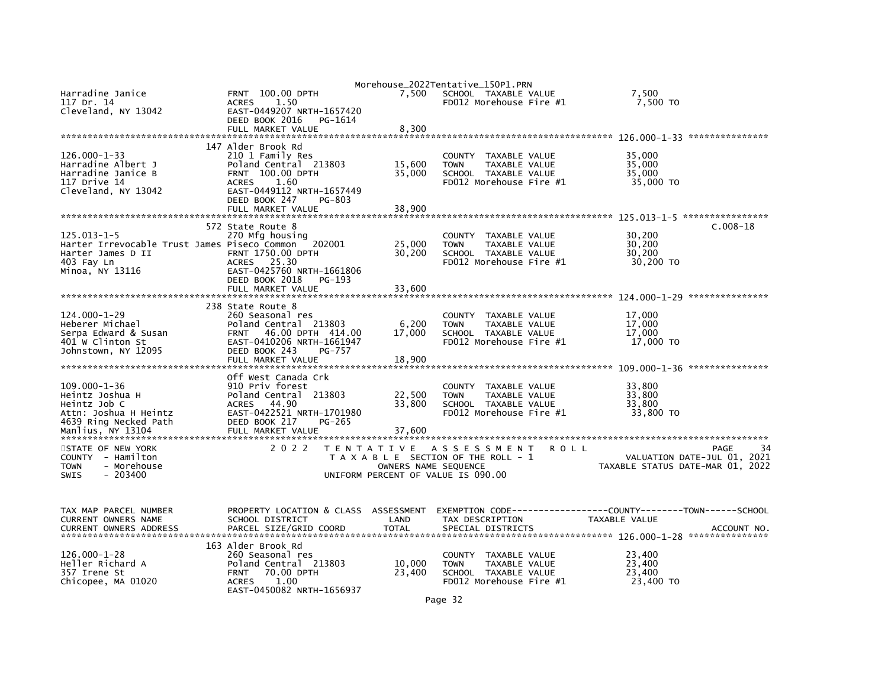| Harradine Janice<br>117 Dr. 14<br>Cleveland, NY 13042                                                                        | 100.00 DPTH<br><b>FRNT</b><br>1.50<br><b>ACRES</b><br>EAST-0449207 NRTH-1657420<br>DEED BOOK 2016<br>PG-1614<br>FULL MARKET VALUE                                                        | 7,500<br>8,300                                             | Morehouse_2022Tentative_150P1.PRN<br>SCHOOL TAXABLE VALUE<br>FD012 Morehouse Fire #1                              | 7,500<br>7,500 TO                                                              |    |
|------------------------------------------------------------------------------------------------------------------------------|------------------------------------------------------------------------------------------------------------------------------------------------------------------------------------------|------------------------------------------------------------|-------------------------------------------------------------------------------------------------------------------|--------------------------------------------------------------------------------|----|
| $126.000 - 1 - 33$<br>Harradine Albert J<br>Harradine Janice B<br>117 Drive 14<br>Cleveland, NY 13042                        | 147 Alder Brook Rd<br>210 1 Family Res<br>Poland Central 213803<br>FRNT 100.00 DPTH<br><b>ACRES</b><br>1.60<br>EAST-0449112 NRTH-1657449<br>DEED BOOK 247<br>PG-803<br>FULL MARKET VALUE | 15,600<br>35,000<br>38,900                                 | <b>COUNTY</b><br>TAXABLE VALUE<br>TAXABLE VALUE<br><b>TOWN</b><br>SCHOOL TAXABLE VALUE<br>FD012 Morehouse Fire #1 | 35,000<br>35,000<br>35,000<br>35,000 TO                                        |    |
| 125.013-1-5<br>Harter Irrevocable Trust James Piseco Common<br>Harter James D II<br>403 Fay Ln<br>Minoa, NY 13116            | 572 State Route 8<br>270 Mfg housing<br>202001<br><b>FRNT 1750.00 DPTH</b><br>ACRES 25.30<br>EAST-0425760 NRTH-1661806<br>DEED BOOK 2018<br>PG-193<br>FULL MARKET VALUE                  | 25,000<br>30,200<br>33.600                                 | <b>COUNTY</b><br>TAXABLE VALUE<br><b>TOWN</b><br>TAXABLE VALUE<br>SCHOOL TAXABLE VALUE<br>FD012 Morehouse Fire #1 | $C.008-18$<br>30,200<br>30,200<br>30,200<br>30,200 TO                          |    |
| 124.000-1-29<br>Heberer Michael<br>Serpa Edward & Susan<br>401 W Clinton St<br>Johnstown, NY 12095                           | 238 State Route 8<br>260 Seasonal res<br>Poland Central 213803<br>46.00 DPTH 414.00<br><b>FRNT</b><br>EAST-0410206 NRTH-1661947<br>DEED BOOK 243<br><b>PG-757</b><br>FULL MARKET VALUE   | 6,200<br>17,000<br>18,900                                  | COUNTY TAXABLE VALUE<br><b>TOWN</b><br>TAXABLE VALUE<br>SCHOOL TAXABLE VALUE<br>FD012 Morehouse Fire #1           | 17,000<br>17,000<br>17,000<br>17,000 TO<br>***************                     |    |
| $109.000 - 1 - 36$<br>Heintz Joshua H<br>Heintz Job C<br>Attn: Joshua H Heintz<br>4639 Ring Necked Path<br>Manlius, NY 13104 | Off West Canada Crk<br>910 Priv forest<br>Poland Central 213803<br>44.90<br><b>ACRES</b><br>EAST-0422521 NRTH-1701980<br>DEED BOOK 217<br>PG-265<br>FULL MARKET VALUE                    | 22,500<br>33,800<br>37,600                                 | TAXABLE VALUE<br><b>COUNTY</b><br>TAXABLE VALUE<br><b>TOWN</b><br>SCHOOL TAXABLE VALUE<br>FD012 Morehouse Fire #1 | 33,800<br>33,800<br>33.800<br>33,800 TO                                        |    |
| STATE OF NEW YORK<br>COUNTY - Hamilton<br>- Morehouse<br>TOWN<br>SWIS<br>$-203400$                                           | 2 0 2 2                                                                                                                                                                                  | OWNERS NAME SEQUENCE<br>UNIFORM PERCENT OF VALUE IS 090.00 | TENTATIVE ASSESSMENT<br>ROLL<br>T A X A B L E SECTION OF THE ROLL - 1                                             | <b>PAGE</b><br>VALUATION DATE-JUL 01, 2021<br>TAXABLE STATUS DATE-MAR 01, 2022 | 34 |
| TAX MAP PARCEL NUMBER<br>CURRENT OWNERS NAME<br><b>CURRENT OWNERS ADDRESS</b>                                                | PROPERTY LOCATION & CLASS ASSESSMENT<br>SCHOOL DISTRICT<br>PARCEL SIZE/GRID COORD                                                                                                        | LAND<br><b>TOTAL</b>                                       | TAX DESCRIPTION<br>SPECIAL DISTRICTS                                                                              | TAXABLE VALUE<br>ACCOUNT NO.                                                   |    |
| $126.000 - 1 - 28$<br>Heller Richard A<br>357 Irene St<br>Chicopee, MA 01020                                                 | 163 Alder Brook Rd<br>260 Seasonal res<br>Poland Central 213803<br>70.00 DPTH<br><b>FRNT</b><br>1.00<br><b>ACRES</b><br>EAST-0450082 NRTH-1656937                                        | 10,000<br>23,400                                           | COUNTY<br>TAXABLE VALUE<br>TAXABLE VALUE<br><b>TOWN</b><br>SCHOOL TAXABLE VALUE<br>FD012 Morehouse Fire #1        | 23.400<br>23,400<br>23,400<br>23,400 TO                                        |    |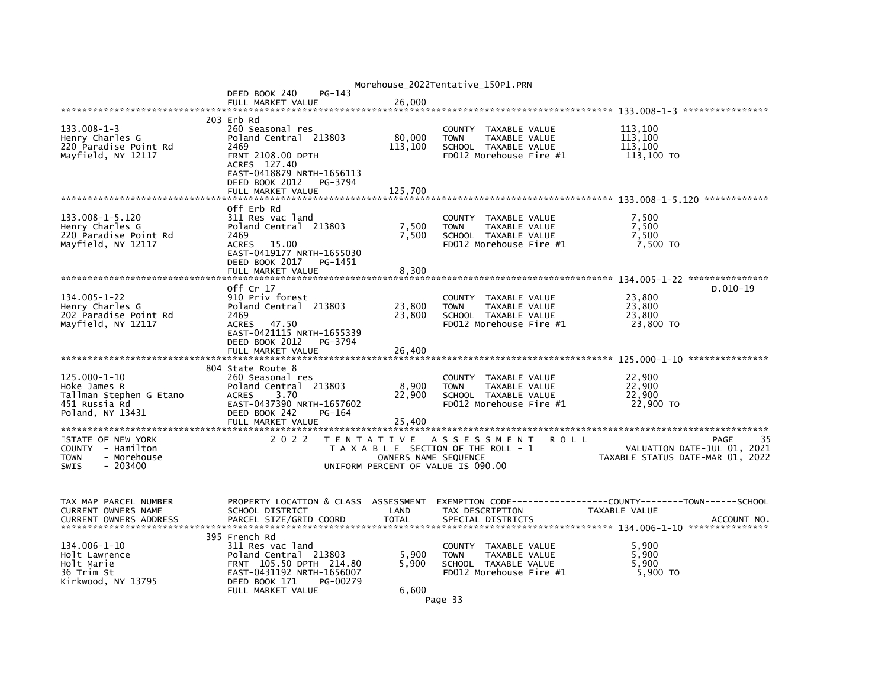| Morehouse_2022Tentative_150P1.PRN                             |                                                                                                                         |                      |                                                                                        |                                  |  |  |
|---------------------------------------------------------------|-------------------------------------------------------------------------------------------------------------------------|----------------------|----------------------------------------------------------------------------------------|----------------------------------|--|--|
|                                                               | PG-143<br>DEED BOOK 240                                                                                                 |                      |                                                                                        |                                  |  |  |
|                                                               | FULL MARKET VALUE                                                                                                       | 26,000               |                                                                                        |                                  |  |  |
|                                                               | 203 Erb Rd                                                                                                              |                      |                                                                                        |                                  |  |  |
| $133.008 - 1 - 3$<br>Henry Charles G<br>220 Paradise Point Rd | 260 Seasonal res<br>Poland Central 213803<br>2469                                                                       | 80,000<br>113,100    | <b>COUNTY</b><br>TAXABLE VALUE<br>TAXABLE VALUE<br><b>TOWN</b><br>SCHOOL TAXABLE VALUE | 113,100<br>113,100<br>113,100    |  |  |
| Mayfield, NY 12117                                            | <b>FRNT 2108.00 DPTH</b><br>ACRES 127.40<br>EAST-0418879 NRTH-1656113<br>DEED BOOK 2012<br>PG-3794<br>FULL MARKET VALUE | 125,700              | FD012 Morehouse Fire #1                                                                | 113,100 TO                       |  |  |
|                                                               |                                                                                                                         |                      |                                                                                        |                                  |  |  |
|                                                               | Off Erb Rd                                                                                                              |                      |                                                                                        |                                  |  |  |
| 133.008-1-5.120                                               | 311 Res vac land                                                                                                        |                      | <b>COUNTY</b><br>TAXABLE VALUE                                                         | 7,500                            |  |  |
| Henry Charles G<br>220 Paradise Point Rd                      | Poland Central 213803<br>2469                                                                                           | 7,500<br>7,500       | <b>TOWN</b><br>TAXABLE VALUE<br>SCHOOL TAXABLE VALUE                                   | 7,500<br>7,500                   |  |  |
| Mayfield, NY 12117                                            | 15.00<br><b>ACRES</b>                                                                                                   |                      | FD012 Morehouse Fire #1                                                                | 7,500 TO                         |  |  |
|                                                               | EAST-0419177 NRTH-1655030<br>DEED BOOK 2017<br>PG-1451                                                                  |                      |                                                                                        |                                  |  |  |
|                                                               | FULL MARKET VALUE                                                                                                       | 8,300                |                                                                                        |                                  |  |  |
|                                                               | off Cr 17                                                                                                               |                      |                                                                                        | D.010-19                         |  |  |
| 134.005-1-22                                                  | 910 Priv forest                                                                                                         |                      | <b>COUNTY</b><br>TAXABLE VALUE                                                         | 23,800                           |  |  |
| Henry Charles G                                               | Poland Central 213803                                                                                                   | 23,800               | <b>TOWN</b><br>TAXABLE VALUE                                                           | 23,800                           |  |  |
| 202 Paradise Point Rd                                         | 2469                                                                                                                    | 23,800               | SCHOOL TAXABLE VALUE                                                                   | 23.800                           |  |  |
| Mayfield, NY 12117                                            | ACRES 47.50<br>EAST-0421115 NRTH-1655339<br>DEED BOOK 2012<br>PG-3794<br>FULL MARKET VALUE                              | 26,400               | FD012 Morehouse Fire #1                                                                | 23,800 TO                        |  |  |
|                                                               |                                                                                                                         |                      |                                                                                        |                                  |  |  |
|                                                               | 804 State Route 8                                                                                                       |                      |                                                                                        |                                  |  |  |
| 125.000-1-10                                                  | 260 Seasonal res                                                                                                        |                      | TAXABLE VALUE<br>COUNTY                                                                | 22,900                           |  |  |
| Hoke James R                                                  | Poland Central 213803                                                                                                   | 8,900                | TAXABLE VALUE<br><b>TOWN</b>                                                           | 22,900                           |  |  |
| Tallman Stephen G Etano                                       | 3.70<br><b>ACRES</b>                                                                                                    | 22,900               | SCHOOL TAXABLE VALUE                                                                   | 22,900                           |  |  |
| 451 Russia Rd<br>Poland, NY 13431                             | EAST-0437390 NRTH-1657602<br>DEED BOOK 242<br>PG-164                                                                    |                      | FD012 Morehouse Fire #1                                                                | 22,900 TO                        |  |  |
|                                                               | FULL MARKET VALUE                                                                                                       | 25,400               |                                                                                        |                                  |  |  |
|                                                               |                                                                                                                         |                      |                                                                                        |                                  |  |  |
| STATE OF NEW YORK                                             | 2 0 2 2                                                                                                                 |                      | TENTATIVE ASSESSMENT<br>R O L L                                                        | 35<br>PAGE                       |  |  |
| COUNTY - Hamilton                                             |                                                                                                                         |                      | T A X A B L E SECTION OF THE ROLL - 1                                                  | VALUATION DATE-JUL 01, 2021      |  |  |
| - Morehouse<br><b>TOWN</b><br>$-203400$<br><b>SWIS</b>        |                                                                                                                         | OWNERS NAME SEQUENCE | UNIFORM PERCENT OF VALUE IS 090.00                                                     | TAXABLE STATUS DATE-MAR 01, 2022 |  |  |
| TAX MAP PARCEL NUMBER                                         | PROPERTY LOCATION & CLASS                                                                                               | ASSESSMENT           |                                                                                        |                                  |  |  |
| CURRENT OWNERS NAME                                           | SCHOOL DISTRICT                                                                                                         | LAND                 | TAX DESCRIPTION                                                                        | TAXABLE VALUE                    |  |  |
| <b>CURRENT OWNERS ADDRESS</b>                                 | PARCEL SIZE/GRID COORD                                                                                                  | <b>TOTAL</b>         | SPECIAL DISTRICTS                                                                      | ACCOUNT NO.                      |  |  |
|                                                               | 395 French Rd                                                                                                           |                      |                                                                                        |                                  |  |  |
| 134.006-1-10<br>Holt Lawrence                                 | 311 Res vac land<br>Poland Central 213803                                                                               | 5,900                | COUNTY<br>TAXABLE VALUE<br><b>TOWN</b><br>TAXABLE VALUE                                | 5,900<br>5,900                   |  |  |
| Holt Marie                                                    | FRNT 105.50 DPTH 214.80                                                                                                 | 5,900                | SCHOOL TAXABLE VALUE                                                                   | 5,900                            |  |  |
| 36 Trim St                                                    | EAST-0431192 NRTH-1656007                                                                                               |                      | FD012 Morehouse Fire #1                                                                | 5,900 TO                         |  |  |
| Kirkwood, NY 13795                                            | DEED BOOK 171<br>PG-00279                                                                                               |                      |                                                                                        |                                  |  |  |
|                                                               | FULL MARKET VALUE                                                                                                       | 6,600                | $\sim$ $\sim$                                                                          |                                  |  |  |

Page 33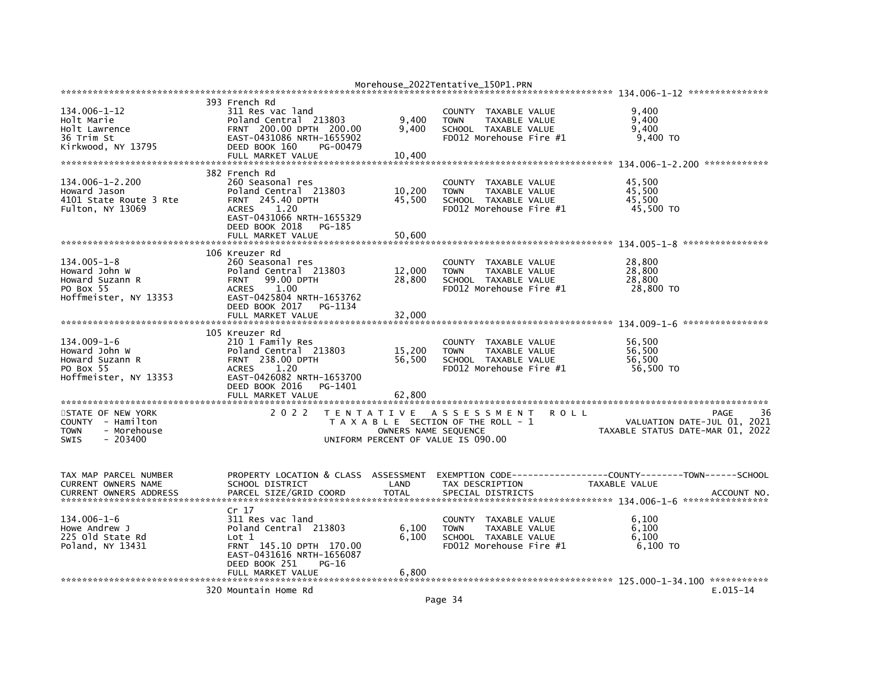|                               |                                    |                      | Morehouse_2022Tentative_150P1.PRN     |                                  |
|-------------------------------|------------------------------------|----------------------|---------------------------------------|----------------------------------|
|                               |                                    |                      |                                       |                                  |
|                               | 393 French Rd                      |                      |                                       |                                  |
| 134.006-1-12                  | 311 Res vac land                   |                      | COUNTY TAXABLE VALUE                  | 9.400                            |
| Holt Marie                    | Poland Central 213803              | 9,400                | TAXABLE VALUE<br><b>TOWN</b>          | 9.400                            |
| Holt Lawrence                 | FRNT 200.00 DPTH 200.00            | 9,400                | SCHOOL TAXABLE VALUE                  | 9,400                            |
| 36 Trim St                    | EAST-0431086 NRTH-1655902          |                      | FD012 Morehouse Fire #1               | 9,400 TO                         |
| Kirkwood, NY 13795            | DEED BOOK 160<br>PG-00479          |                      |                                       |                                  |
|                               | FULL MARKET VALUE                  | 10,400               |                                       |                                  |
|                               |                                    |                      |                                       |                                  |
|                               | 382 French Rd                      |                      |                                       |                                  |
| 134.006-1-2.200               | 260 Seasonal res                   |                      | TAXABLE VALUE<br>COUNTY               | 45.500                           |
| Howard Jason                  | Poland Central 213803              | 10,200               | <b>TOWN</b><br>TAXABLE VALUE          | 45,500                           |
| 4101 State Route 3 Rte        | <b>FRNT 245.40 DPTH</b>            | 45,500               | SCHOOL TAXABLE VALUE                  | 45,500                           |
| Fulton, NY 13069              | <b>ACRES</b><br>1.20               |                      | FD012 Morehouse Fire #1               | 45,500 TO                        |
|                               | EAST-0431066 NRTH-1655329          |                      |                                       |                                  |
|                               | DEED BOOK 2018<br>PG-185           |                      |                                       |                                  |
|                               | FULL MARKET VALUE                  | 50,600               |                                       |                                  |
|                               |                                    |                      |                                       |                                  |
|                               | 106 Kreuzer Rd                     |                      |                                       |                                  |
| $134.005 - 1 - 8$             | 260 Seasonal res                   |                      | COUNTY TAXABLE VALUE                  | 28,800                           |
| Howard John W                 | Poland Central 213803              | 12,000               | <b>TOWN</b><br>TAXABLE VALUE          | 28,800                           |
| Howard Suzann R               | 99.00 DPTH<br><b>FRNT</b>          | 28,800               | SCHOOL TAXABLE VALUE                  | 28,800                           |
| PO Box 55                     | 1.00<br><b>ACRES</b>               |                      | FD012 Morehouse Fire #1               | 28,800 TO                        |
| Hoffmeister, NY 13353         | EAST-0425804 NRTH-1653762          |                      |                                       |                                  |
|                               | DEED BOOK 2017<br>PG-1134          |                      |                                       |                                  |
|                               | FULL MARKET VALUE                  | 32,000               |                                       |                                  |
|                               |                                    |                      |                                       |                                  |
| 134.009-1-6                   | 105 Kreuzer Rd<br>210 1 Family Res |                      | TAXABLE VALUE<br>COUNTY               | 56,500                           |
| Howard John W                 | Poland Central 213803              | 15,200               | <b>TOWN</b><br>TAXABLE VALUE          | 56.500                           |
| Howard Suzann R               | FRNT 238.00 DPTH                   | 56,500               | SCHOOL TAXABLE VALUE                  | 56,500                           |
| PO Box 55                     | 1.20<br><b>ACRES</b>               |                      | FD012 Morehouse Fire #1               | 56,500 TO                        |
| Hoffmeister, NY 13353         | EAST-0426082 NRTH-1653700          |                      |                                       |                                  |
|                               | DEED BOOK 2016<br>PG-1401          |                      |                                       |                                  |
|                               | FULL MARKET VALUE                  | 62,800               |                                       |                                  |
|                               |                                    |                      |                                       |                                  |
| STATE OF NEW YORK             | 2 0 2 2                            |                      | TENTATIVE ASSESSMENT<br><b>ROLL</b>   | 36<br>PAGE                       |
| COUNTY - Hamilton             |                                    |                      | T A X A B L E SECTION OF THE ROLL - 1 | VALUATION DATE-JUL 01, 2021      |
| - Morehouse<br>TOWN           |                                    | OWNERS NAME SEQUENCE |                                       | TAXABLE STATUS DATE-MAR 01, 2022 |
| - 203400<br><b>SWIS</b>       |                                    |                      | UNIFORM PERCENT OF VALUE IS 090.00    |                                  |
|                               |                                    |                      |                                       |                                  |
|                               |                                    |                      |                                       |                                  |
|                               |                                    |                      |                                       |                                  |
| TAX MAP PARCEL NUMBER         | PROPERTY LOCATION & CLASS          | ASSESSMENT           |                                       |                                  |
| CURRENT OWNERS NAME           | SCHOOL DISTRICT                    | LAND                 | TAX DESCRIPTION                       | TAXABLE VALUE                    |
| <b>CURRENT OWNERS ADDRESS</b> | PARCEL SIZE/GRID COORD             | <b>TOTAL</b>         | SPECIAL DISTRICTS                     | ACCOUNT NO.                      |
|                               |                                    |                      |                                       |                                  |
|                               | Cr 17                              |                      |                                       |                                  |
| 134.006-1-6                   | 311 Res vac land                   |                      | TAXABLE VALUE<br><b>COUNTY</b>        | 6,100                            |
| Howe Andrew J                 | Poland Central 213803              | 6,100                | TAXABLE VALUE<br><b>TOWN</b>          | 6.100                            |
| 225 old State Rd              | Lot 1                              | 6,100                | SCHOOL TAXABLE VALUE                  | 6,100                            |
| Poland, NY 13431              | FRNT 145.10 DPTH 170.00            |                      | FD012 Morehouse Fire #1               | $6,100$ TO                       |
|                               | EAST-0431616 NRTH-1656087          |                      |                                       |                                  |
|                               | DEED BOOK 251<br>$PG-16$           |                      |                                       |                                  |
|                               | FULL MARKET VALUE                  | 6,800                |                                       |                                  |
|                               | 320 Mountain Home Rd               |                      |                                       | $E.015 - 14$                     |
|                               |                                    |                      |                                       |                                  |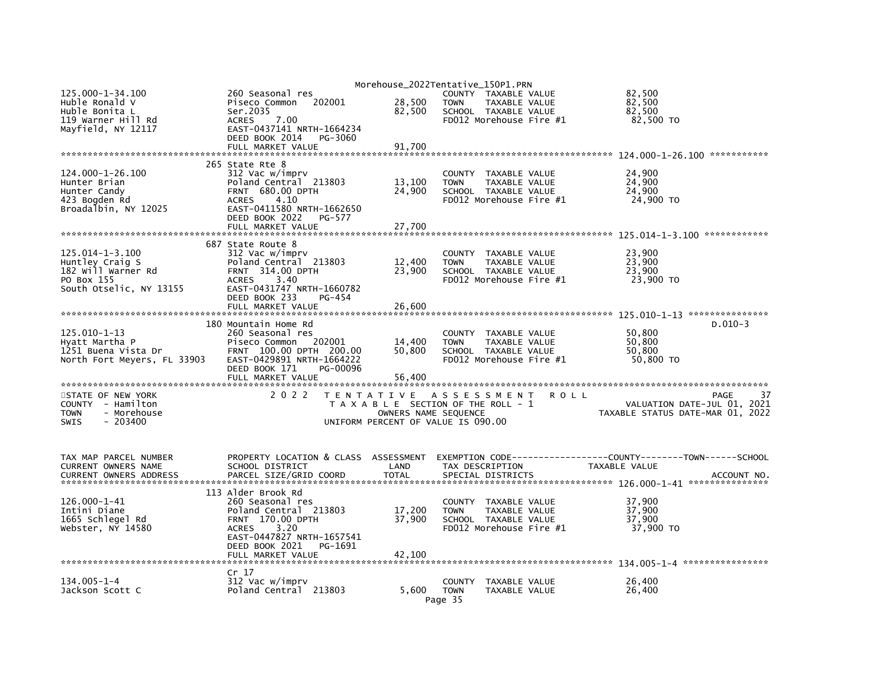| 125.000-1-34.100                                       | 260 Seasonal res                                        |                      | Morehouse_2022Tentative_150P1.PRN<br>COUNTY TAXABLE VALUE |                                | 82,500                           |             |
|--------------------------------------------------------|---------------------------------------------------------|----------------------|-----------------------------------------------------------|--------------------------------|----------------------------------|-------------|
| Huble Ronald V                                         | 202001<br>Piseco Common                                 | 28,500               | <b>TOWN</b>                                               | TAXABLE VALUE                  | 82,500                           |             |
| Huble Bonita L                                         | Ser.2035                                                | 82,500               | SCHOOL TAXABLE VALUE                                      |                                | 82,500                           |             |
| 119 Warner Hill Rd                                     | <b>ACRES</b><br>7.00                                    |                      |                                                           | FD012 Morehouse Fire #1        | 82,500 TO                        |             |
| Mayfield, NY 12117                                     | EAST-0437141 NRTH-1664234                               |                      |                                                           |                                |                                  |             |
|                                                        | DEED BOOK 2014<br>PG-3060<br>FULL MARKET VALUE          | 91,700               |                                                           |                                |                                  |             |
|                                                        |                                                         |                      |                                                           |                                |                                  |             |
|                                                        | 265 State Rte 8                                         |                      |                                                           |                                |                                  |             |
| 124.000-1-26.100                                       | 312 Vac w/imprv                                         |                      | COUNTY                                                    | TAXABLE VALUE                  | 24,900                           |             |
| Hunter Brian                                           | Poland Central 213803                                   | 13,100               | <b>TOWN</b>                                               | TAXABLE VALUE                  | 24,900                           |             |
| Hunter Candy                                           | FRNT 680.00 DPTH<br>4.10                                | 24,900               | SCHOOL TAXABLE VALUE                                      | FD012 Morehouse Fire $#1$      | 24,900                           |             |
| 423 Bogden Rd<br>Broadalbin, NY 12025                  | <b>ACRES</b><br>EAST-0411580 NRTH-1662650               |                      |                                                           |                                | 24,900 TO                        |             |
|                                                        | DEED BOOK 2022<br>PG-577                                |                      |                                                           |                                |                                  |             |
|                                                        | FULL MARKET VALUE                                       | 27,700               |                                                           |                                |                                  |             |
|                                                        |                                                         |                      |                                                           |                                |                                  |             |
|                                                        | 687 State Route 8                                       |                      |                                                           |                                |                                  |             |
| 125.014-1-3.100<br>Huntley Craig S                     | 312 Vac w/imprv<br>Poland Central 213803                | 12,400               | <b>COUNTY</b><br><b>TOWN</b>                              | TAXABLE VALUE<br>TAXABLE VALUE | 23,900<br>23,900                 |             |
| 182 Will Warner Rd                                     | FRNT 314.00 DPTH                                        | 23,900               | SCHOOL TAXABLE VALUE                                      |                                | 23,900                           |             |
| PO Box 155                                             | <b>ACRES</b><br>3.40                                    |                      |                                                           | FD012 Morehouse Fire #1        | 23,900 TO                        |             |
| South Otselic, NY 13155                                | EAST-0431747 NRTH-1660782                               |                      |                                                           |                                |                                  |             |
|                                                        | DEED BOOK 233<br>PG-454                                 |                      |                                                           |                                |                                  |             |
|                                                        | FULL MARKET VALUE                                       | 26,600               |                                                           |                                |                                  |             |
|                                                        | 180 Mountain Home Rd                                    |                      |                                                           |                                |                                  | $D.010-3$   |
| $125.010 - 1 - 13$                                     | 260 Seasonal res                                        |                      | COUNTY                                                    | TAXABLE VALUE                  | 50.800                           |             |
| Hyatt Martha P                                         | Piseco Common 202001                                    | 14,400               | <b>TOWN</b>                                               | TAXABLE VALUE                  | 50.800                           |             |
| 1251 Buena Vista Dr                                    | FRNT 100.00 DPTH 200.00                                 | 50,800               | SCHOOL TAXABLE VALUE                                      |                                | 50,800                           |             |
| North Fort Meyers, FL 33903                            | EAST-0429891 NRTH-1664222<br>PG-00096<br>DEED BOOK 171  |                      |                                                           | FD012 Morehouse Fire #1        | 50,800 TO                        |             |
|                                                        | FULL MARKET VALUE                                       | 56,400               |                                                           |                                |                                  |             |
|                                                        |                                                         |                      |                                                           |                                |                                  |             |
| STATE OF NEW YORK                                      | 2 0 2 2                                                 | <b>TENTATIVE</b>     | ASSESSMENT                                                | <b>ROLL</b>                    |                                  | PAGE        |
| COUNTY - Hamilton                                      |                                                         |                      | T A X A B L E SECTION OF THE ROLL - 1                     |                                | VALUATION DATE-JUL 01, 2021      |             |
| - Morehouse<br><b>TOWN</b><br><b>SWIS</b><br>$-203400$ |                                                         | OWNERS NAME SEQUENCE | UNIFORM PERCENT OF VALUE IS 090.00                        |                                | TAXABLE STATUS DATE-MAR 01, 2022 |             |
|                                                        |                                                         |                      |                                                           |                                |                                  |             |
|                                                        |                                                         |                      |                                                           |                                |                                  |             |
|                                                        |                                                         |                      |                                                           |                                |                                  |             |
| TAX MAP PARCEL NUMBER<br>CURRENT OWNERS NAME           | PROPERTY LOCATION & CLASS ASSESSMENT<br>SCHOOL DISTRICT | LAND                 | TAX DESCRIPTION                                           |                                | TAXABLE VALUE                    |             |
| <b>CURRENT OWNERS ADDRESS</b>                          | PARCEL SIZE/GRID COORD                                  | <b>TOTAL</b>         | SPECIAL DISTRICTS                                         |                                |                                  | ACCOUNT NO. |
|                                                        |                                                         |                      |                                                           |                                |                                  |             |
|                                                        | 113 Alder Brook Rd                                      |                      |                                                           |                                |                                  |             |
| 126.000-1-41                                           | 260 Seasonal res                                        |                      | COUNTY                                                    | TAXABLE VALUE                  | 37.900                           |             |
| Intini Diane<br>1665 Schlegel Rd                       | Poland Central 213803<br>FRNT 170.00 DPTH               | 17,200<br>37,900     | <b>TOWN</b><br>SCHOOL TAXABLE VALUE                       | TAXABLE VALUE                  | 37,900<br>37,900                 |             |
| Webster, NY 14580                                      | <b>ACRES</b><br>3.20                                    |                      |                                                           | FD012 Morehouse Fire #1        | 37,900 TO                        |             |
|                                                        | EAST-0447827 NRTH-1657541                               |                      |                                                           |                                |                                  |             |
|                                                        | DEED BOOK 2021<br>PG-1691                               |                      |                                                           |                                |                                  |             |
|                                                        | FULL MARKET VALUE                                       | 42,100               |                                                           |                                |                                  |             |
|                                                        | Cr 17                                                   |                      |                                                           |                                |                                  |             |
| $134.005 - 1 - 4$                                      | 312 Vac w/imprv                                         |                      | <b>COUNTY</b>                                             | TAXABLE VALUE                  | 26.400                           |             |
| Jackson Scott C                                        | Poland Central 213803                                   | 5.600                | <b>TOWN</b>                                               | TAXABLE VALUE                  | 26,400                           |             |
|                                                        |                                                         |                      | Page 35                                                   |                                |                                  |             |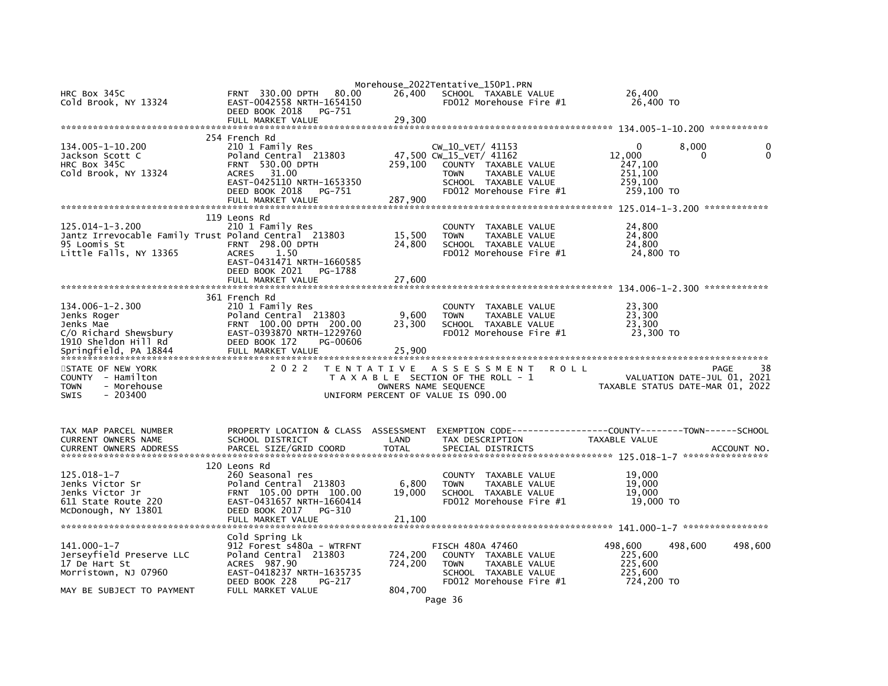| HRC Box 345C                                                         | <b>FRNT 330.00 DPTH</b><br>80.00                       | 26,400               | Morehouse_2022Tentative_150P1.PRN<br>SCHOOL TAXABLE VALUE  |               | 26,400                           |
|----------------------------------------------------------------------|--------------------------------------------------------|----------------------|------------------------------------------------------------|---------------|----------------------------------|
| Cold Brook, NY 13324                                                 | EAST-0042558 NRTH-1654150                              |                      | $FD012$ Morehouse Fire $#1$                                |               | 26,400 TO                        |
|                                                                      | DEED BOOK 2018<br>PG-751<br>FULL MARKET VALUE          | 29,300               |                                                            |               |                                  |
|                                                                      |                                                        |                      |                                                            |               |                                  |
| 134.005-1-10.200                                                     | 254 French Rd<br>210 1 Family Res                      |                      | CW_10_VET/ 41153                                           |               | 8,000<br>0                       |
| Jackson Scott C                                                      | Poland Central 213803                                  |                      | 47,500 CW_15_VET/ 41162                                    | 12,000        | $\mathbf{0}$<br>0                |
| HRC Box 345C                                                         | <b>FRNT 530.00 DPTH</b>                                | 259,100              | COUNTY TAXABLE VALUE                                       |               | 247,100                          |
| Cold Brook, NY 13324                                                 | <b>ACRES</b><br>31.00<br>EAST-0425110 NRTH-1653350     |                      | <b>TOWN</b><br>TAXABLE VALUE<br>SCHOOL TAXABLE VALUE       |               | 251,100<br>259,100               |
|                                                                      | DEED BOOK 2018<br>PG-751                               |                      | FD012 Morehouse Fire #1                                    |               | 259,100 TO                       |
|                                                                      | FULL MARKET VALUE                                      | 287,900              |                                                            |               |                                  |
|                                                                      | 119 Leons Rd                                           |                      |                                                            |               |                                  |
| 125.014-1-3.200                                                      | 210 1 Family Res                                       |                      | COUNTY TAXABLE VALUE                                       |               | 24,800                           |
| Jantz Irrevocable Family Trust Poland Central 213803<br>95 Loomis St | <b>FRNT 298.00 DPTH</b>                                | 15,500<br>24,800     | TAXABLE VALUE<br><b>TOWN</b><br>SCHOOL TAXABLE VALUE       |               | 24,800<br>24,800                 |
| Little Falls, NY 13365                                               | <b>ACRES</b><br>1.50                                   |                      | FD012 Morehouse Fire #1                                    |               | 24,800 TO                        |
|                                                                      | EAST-0431471 NRTH-1660585<br>DEED BOOK 2021<br>PG-1788 |                      |                                                            |               |                                  |
|                                                                      | FULL MARKET VALUE                                      | 27,600               |                                                            |               |                                  |
|                                                                      |                                                        |                      |                                                            |               |                                  |
| 134.006-1-2.300                                                      | 361 French Rd<br>210 1 Family Res                      |                      | COUNTY TAXABLE VALUE                                       |               | 23,300                           |
| Jenks Roger                                                          | Poland Central 213803                                  | 9,600                | <b>TOWN</b><br>TAXABLE VALUE                               |               | 23,300                           |
| Jenks Mae<br>C/O Richard Shewsbury                                   | FRNT 100.00 DPTH 200.00<br>EAST-0393870 NRTH-1229760   | 23,300               | SCHOOL TAXABLE VALUE<br>FD012 Morehouse Fire $#1$          |               | 23,300<br>23,300 TO              |
| 1910 Sheldon Hill Rd                                                 | DEED BOOK 172<br>PG-00606                              |                      |                                                            |               |                                  |
|                                                                      |                                                        |                      |                                                            |               |                                  |
| STATE OF NEW YORK                                                    | 2 0 2 2                                                |                      | TENTATIVE ASSESSMENT                                       | <b>ROLL</b>   | PAGE<br>38                       |
| COUNTY - Hamilton                                                    |                                                        |                      | T A X A B L E SECTION OF THE ROLL - 1                      |               | VALUATION DATE-JUL 01, 2021      |
| - Morehouse<br><b>TOWN</b><br><b>SWIS</b><br>$-203400$               |                                                        |                      | OWNERS NAME SEQUENCE<br>UNIFORM PERCENT OF VALUE IS 090.00 |               | TAXABLE STATUS DATE-MAR 01, 2022 |
|                                                                      |                                                        |                      |                                                            |               |                                  |
|                                                                      |                                                        |                      |                                                            |               |                                  |
| TAX MAP PARCEL NUMBER                                                | PROPERTY LOCATION & CLASS ASSESSMENT                   |                      |                                                            |               |                                  |
| CURRENT OWNERS NAME<br><b>CURRENT OWNERS ADDRESS</b>                 | SCHOOL DISTRICT<br>PARCEL SIZE/GRID COORD              | LAND<br><b>TOTAL</b> | TAX DESCRIPTION<br>SPECIAL DISTRICTS                       | TAXABLE VALUE | ACCOUNT NO.                      |
|                                                                      |                                                        |                      |                                                            |               |                                  |
| 125.018-1-7                                                          | 120 Leons Rd<br>260 Seasonal res                       |                      | COUNTY TAXABLE VALUE                                       |               | 19,000                           |
| Jenks Victor Sr                                                      | Poland Central 213803                                  | 6,800                | <b>TOWN</b><br>TAXABLE VALUE                               |               | 19,000                           |
| Jenks Victor Jr                                                      | FRNT 105.00 DPTH 100.00                                | 19,000               | SCHOOL TAXABLE VALUE                                       |               | 19,000                           |
| 611 State Route 220<br>McDonough, NY 13801                           | EAST-0431657 NRTH-1660414<br>DEED BOOK 2017<br>PG-310  |                      | FD012 Morehouse Fire #1                                    |               | 19,000 TO                        |
|                                                                      | FULL MARKET VALUE                                      | 21,100               |                                                            |               |                                  |
|                                                                      | Cold Spring Lk                                         |                      |                                                            |               |                                  |
| $141.000 - 1 - 7$                                                    | 912 Forest s480a - WTRFNT                              |                      | <b>FISCH 480A 47460</b>                                    | 498,600       | 498,600<br>498,600               |
| Jerseyfield Preserve LLC                                             | Poland Central 213803                                  | 724,200              | COUNTY TAXABLE VALUE                                       |               | 225,600                          |
| 17 De Hart St<br>Morristown, NJ 07960                                | ACRES 987.90<br>EAST-0418237 NRTH-1635735              | 724,200              | <b>TOWN</b><br>TAXABLE VALUE<br>SCHOOL TAXABLE VALUE       |               | 225,600<br>225,600               |
|                                                                      | DEED BOOK 228<br>PG-217                                |                      | FD012 Morehouse Fire #1                                    |               | 724,200 то                       |
| MAY BE SUBJECT TO PAYMENT                                            | FULL MARKET VALUE                                      | 804,700              | Page 36                                                    |               |                                  |
|                                                                      |                                                        |                      |                                                            |               |                                  |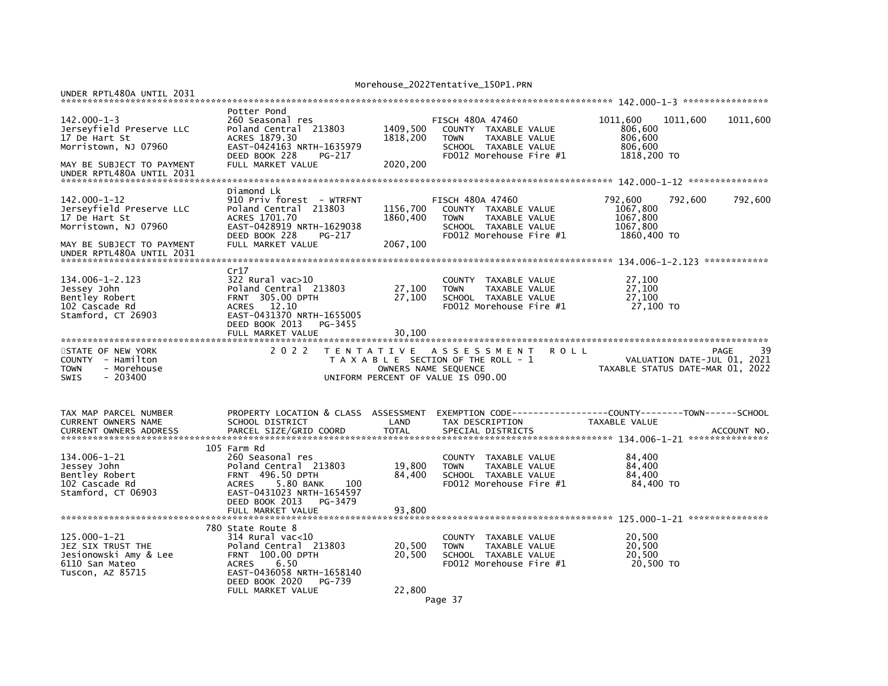UNDER RPTL480A UNTIL 2031

## Morehouse\_2022Tentative\_150P1.PRN

|                                            | Potter Pond                                        |                  |                                                               |                                                                 |    |
|--------------------------------------------|----------------------------------------------------|------------------|---------------------------------------------------------------|-----------------------------------------------------------------|----|
| $142.000 - 1 - 3$                          | 260 Seasonal res                                   |                  | <b>FISCH 480A 47460</b>                                       | 1011,600<br>1011.600<br>1011,600                                |    |
| Jerseyfield Preserve LLC                   | Poland Central 213803                              | 1409,500         | COUNTY TAXABLE VALUE                                          | 806,600                                                         |    |
| 17 De Hart St                              | ACRES 1879.30                                      | 1818,200         | <b>TOWN</b><br><b>TAXABLE VALUE</b>                           | 806,600                                                         |    |
| Morristown, NJ 07960                       | EAST-0424163 NRTH-1635979                          |                  | SCHOOL TAXABLE VALUE                                          | 806,600                                                         |    |
|                                            | DEED BOOK 228<br>PG-217                            |                  | FD012 Morehouse Fire #1                                       | 1818,200 TO                                                     |    |
| MAY BE SUBJECT TO PAYMENT                  | FULL MARKET VALUE                                  | 2020,200         |                                                               |                                                                 |    |
| UNDER RPTL480A UNTIL 2031                  |                                                    |                  |                                                               |                                                                 |    |
|                                            |                                                    |                  |                                                               |                                                                 |    |
| $142.000 - 1 - 12$                         | Diamond Lk<br>910 Priv forest - WTRFNT             |                  | <b>FISCH 480A 47460</b>                                       | 792.600<br>792.600<br>792,600                                   |    |
| Jerseyfield Preserve LLC                   | Poland Central 213803                              | 1156,700         | COUNTY TAXABLE VALUE                                          | 1067,800                                                        |    |
| 17 De Hart St                              | ACRES 1701.70                                      | 1860.400         | <b>TOWN</b><br>TAXABLE VALUE                                  | 1067,800                                                        |    |
| Morristown, NJ 07960                       | EAST-0428919 NRTH-1629038                          |                  | SCHOOL TAXABLE VALUE                                          | 1067.800                                                        |    |
|                                            | DEED BOOK 228<br>PG-217                            |                  | FD012 Morehouse Fire #1                                       | 1860,400 TO                                                     |    |
| MAY BE SUBJECT TO PAYMENT                  | FULL MARKET VALUE                                  | 2067,100         |                                                               |                                                                 |    |
| UNDER RPTL480A UNTIL 2031                  |                                                    |                  |                                                               |                                                                 |    |
|                                            |                                                    |                  |                                                               |                                                                 |    |
|                                            | Cr17                                               |                  |                                                               |                                                                 |    |
| 134.006-1-2.123                            | $322$ Rural vac $>10$                              |                  | COUNTY TAXABLE VALUE                                          | 27,100                                                          |    |
| Jessey John                                | Poland Central 213803                              | 27,100           | TAXABLE VALUE<br><b>TOWN</b>                                  | 27,100                                                          |    |
| Bentley Robert                             | <b>FRNT 305.00 DPTH</b>                            | 27,100           | SCHOOL TAXABLE VALUE                                          | 27.100                                                          |    |
| 102 Cascade Rd                             | 12.10<br><b>ACRES</b><br>EAST-0431370 NRTH-1655005 |                  | FD012 Morehouse Fire #1                                       | 27,100 TO                                                       |    |
| Stamford, CT 26903                         | DEED BOOK 2013<br>PG-3455                          |                  |                                                               |                                                                 |    |
|                                            | FULL MARKET VALUE                                  | 30,100           |                                                               |                                                                 |    |
|                                            |                                                    |                  |                                                               |                                                                 |    |
|                                            |                                                    |                  |                                                               |                                                                 |    |
|                                            | 2 0 2 2                                            |                  | <b>ROLL</b>                                                   | <b>PAGE</b>                                                     | 39 |
| STATE OF NEW YORK<br>COUNTY - Hamilton     |                                                    |                  | TENTATIVE ASSESSMENT<br>T A X A B L E SECTION OF THE ROLL - 1 |                                                                 |    |
| - Morehouse<br><b>TOWN</b>                 |                                                    |                  | OWNERS NAME SEQUENCE                                          | VALUATION DATE-JUL 01, 2021<br>TAXABLE STATUS DATE-MAR 01, 2022 |    |
| $-203400$<br><b>SWIS</b>                   |                                                    |                  | UNIFORM PERCENT OF VALUE IS 090.00                            |                                                                 |    |
|                                            |                                                    |                  |                                                               |                                                                 |    |
|                                            |                                                    |                  |                                                               |                                                                 |    |
|                                            |                                                    |                  |                                                               |                                                                 |    |
| TAX MAP PARCEL NUMBER                      | PROPERTY LOCATION & CLASS ASSESSMENT               |                  |                                                               | EXEMPTION CODE-----------------COUNTY-------TOWN------SCHOOL    |    |
| CURRENT OWNERS NAME                        | SCHOOL DISTRICT                                    | LAND             | TAX DESCRIPTION                                               | TAXABLE VALUE                                                   |    |
|                                            |                                                    |                  |                                                               |                                                                 |    |
|                                            | 105 Farm Rd                                        |                  |                                                               |                                                                 |    |
| 134.006-1-21                               | 260 Seasonal res                                   |                  | COUNTY TAXABLE VALUE                                          | 84,400                                                          |    |
| Jessey John                                | Poland Central 213803                              | 19,800           | TAXABLE VALUE<br><b>TOWN</b>                                  | 84,400                                                          |    |
| Bentley Robert                             | <b>FRNT 496.50 DPTH</b>                            | 84,400           | SCHOOL TAXABLE VALUE                                          | 84,400                                                          |    |
| 102 Cascade Rd                             | 5.80 BANK<br><b>ACRES</b><br>100                   |                  | FD012 Morehouse Fire #1                                       | 84,400 TO                                                       |    |
| Stamford, CT 06903                         | EAST-0431023 NRTH-1654597                          |                  |                                                               |                                                                 |    |
|                                            | DEED BOOK 2013<br>PG-3479                          |                  |                                                               |                                                                 |    |
|                                            | FULL MARKET VALUE                                  | 93,800           |                                                               |                                                                 |    |
|                                            |                                                    |                  |                                                               |                                                                 |    |
|                                            | 780 State Route 8                                  |                  |                                                               |                                                                 |    |
| 125.000-1-21                               | 314 Rural vac<10                                   |                  | COUNTY TAXABLE VALUE<br><b>TOWN</b>                           | 20,500                                                          |    |
| JEZ SIX TRUST THE<br>Jesionowski Amy & Lee | Poland Central 213803<br>FRNT 100.00 DPTH          | 20,500<br>20,500 | TAXABLE VALUE<br>SCHOOL TAXABLE VALUE                         | 20,500<br>20,500                                                |    |
| 6110 San Mateo                             | 6.50<br><b>ACRES</b>                               |                  | FD012 Morehouse Fire #1                                       | 20,500 TO                                                       |    |
| Tuscon, AZ 85715                           | EAST-0436058 NRTH-1658140                          |                  |                                                               |                                                                 |    |
|                                            | DEED BOOK 2020<br>PG-739<br>FULL MARKET VALUE      | 22,800           |                                                               |                                                                 |    |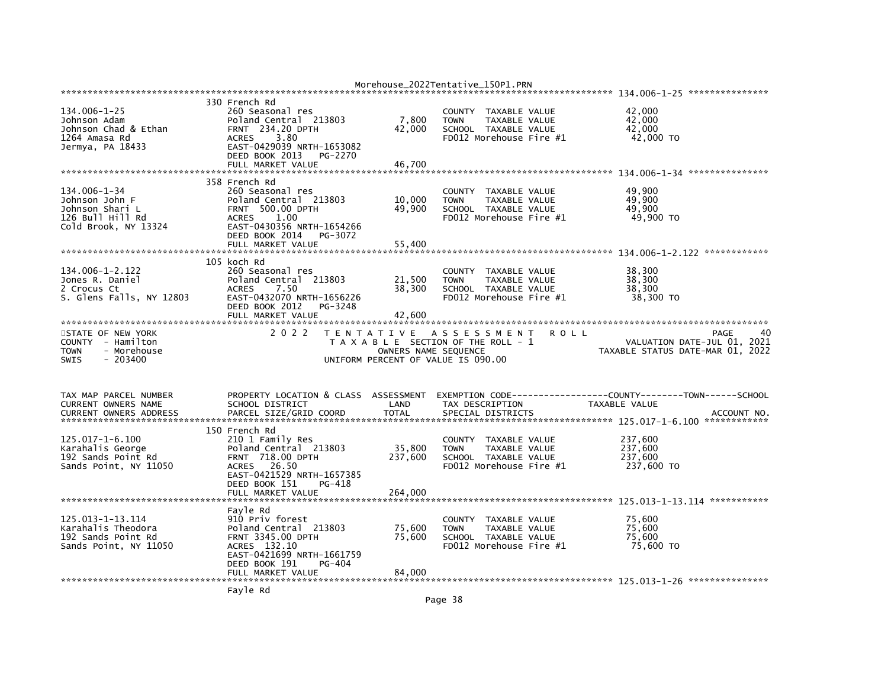|                                                                                           |                                                                                                                           |                 | Morehouse_2022Tentative_150P1.PRN                                                                       |                                         |
|-------------------------------------------------------------------------------------------|---------------------------------------------------------------------------------------------------------------------------|-----------------|---------------------------------------------------------------------------------------------------------|-----------------------------------------|
|                                                                                           | 330 French Rd                                                                                                             |                 |                                                                                                         |                                         |
| 134.006-1-25<br>Johnson Adam<br>Johnson Chad & Ethan<br>1264 Amasa Rd<br>Jermya, PA 18433 | 260 Seasonal res<br>Poland Central 213803<br><b>FRNT 234.20 DPTH</b><br>3.80<br><b>ACRES</b><br>EAST-0429039 NRTH-1653082 | 7,800<br>42,000 | COUNTY TAXABLE VALUE<br>TAXABLE VALUE<br><b>TOWN</b><br>SCHOOL TAXABLE VALUE<br>FD012 Morehouse Fire #1 | 42,000<br>42,000<br>42.000<br>42,000 TO |
|                                                                                           | DEED BOOK 2013<br>PG-2270                                                                                                 |                 |                                                                                                         |                                         |
|                                                                                           | FULL MARKET VALUE                                                                                                         | 46.700          |                                                                                                         |                                         |
|                                                                                           | 358 French Rd                                                                                                             |                 |                                                                                                         |                                         |
| 134.006-1-34                                                                              | 260 Seasonal res                                                                                                          |                 | COUNTY<br>TAXABLE VALUE                                                                                 | 49.900                                  |
| Johnson John F                                                                            | Poland Central 213803                                                                                                     | 10,000          | TAXABLE VALUE<br><b>TOWN</b>                                                                            | 49,900                                  |
| Johnson Shari L<br>126 Bull Hill Rd                                                       | <b>FRNT 500.00 DPTH</b><br><b>ACRES</b><br>1.00                                                                           | 49,900          | SCHOOL TAXABLE VALUE<br>FD012 Morehouse Fire #1                                                         | 49,900<br>49,900 TO                     |
| Cold Brook, NY 13324                                                                      | EAST-0430356 NRTH-1654266                                                                                                 |                 |                                                                                                         |                                         |
|                                                                                           | DEED BOOK 2014<br>PG-3072                                                                                                 |                 |                                                                                                         |                                         |
|                                                                                           | FULL MARKET VALUE                                                                                                         | 55.400          |                                                                                                         |                                         |
|                                                                                           |                                                                                                                           |                 |                                                                                                         |                                         |
| 134.006-1-2.122                                                                           | 105 koch Rd                                                                                                               |                 |                                                                                                         | 38,300                                  |
| Jones R. Daniel                                                                           | 260 Seasonal res<br>Poland Central 213803                                                                                 | 21,500          | <b>COUNTY</b><br>TAXABLE VALUE<br>TAXABLE VALUE<br><b>TOWN</b>                                          | 38,300                                  |
| 2 Crocus Ct                                                                               | <b>ACRES</b><br>7.50                                                                                                      | 38,300          | SCHOOL TAXABLE VALUE                                                                                    | 38,300                                  |
| S. Glens Falls, NY 12803                                                                  | EAST-0432070 NRTH-1656226                                                                                                 |                 | FD012 Morehouse Fire #1                                                                                 | 38,300 TO                               |
|                                                                                           | DEED BOOK 2012<br>PG-3248                                                                                                 |                 |                                                                                                         |                                         |
|                                                                                           | FULL MARKET VALUE                                                                                                         | 42.600          |                                                                                                         |                                         |
| STATE OF NEW YORK                                                                         | 2 0 2 2                                                                                                                   |                 | TENTATIVE ASSESSMENT<br>R O L L                                                                         | 40<br>PAGE                              |
| COUNTY - Hamilton                                                                         |                                                                                                                           |                 | T A X A B L E SECTION OF THE ROLL - 1                                                                   | VALUATION DATE-JUL 01, 2021             |
| - Morehouse<br><b>TOWN</b>                                                                |                                                                                                                           |                 |                                                                                                         |                                         |
|                                                                                           |                                                                                                                           |                 | OWNERS NAME SEQUENCE                                                                                    | TAXABLE STATUS DATE-MAR 01, 2022        |
| $-203400$<br><b>SWIS</b>                                                                  |                                                                                                                           |                 | UNIFORM PERCENT OF VALUE IS 090.00                                                                      |                                         |
|                                                                                           |                                                                                                                           |                 |                                                                                                         |                                         |
|                                                                                           |                                                                                                                           |                 |                                                                                                         |                                         |
| TAX MAP PARCEL NUMBER                                                                     | PROPERTY LOCATION & CLASS                                                                                                 | ASSESSMENT      |                                                                                                         |                                         |
| CURRENT OWNERS NAME                                                                       | SCHOOL DISTRICT                                                                                                           | LAND            | TAX DESCRIPTION                                                                                         | <b>TAXABLE VALUE</b>                    |
| <b>CURRENT OWNERS ADDRESS</b>                                                             | PARCEL SIZE/GRID COORD                                                                                                    | <b>TOTAL</b>    | SPECIAL DISTRICTS                                                                                       | ACCOUNT NO.                             |
|                                                                                           |                                                                                                                           |                 |                                                                                                         |                                         |
| $125.017 - 1 - 6.100$                                                                     | 150 French Rd<br>210 1 Family Res                                                                                         |                 | COUNTY<br>TAXABLE VALUE                                                                                 | 237,600                                 |
| Karahalis George                                                                          | Poland Central 213803                                                                                                     | 35,800          | <b>TOWN</b><br>TAXABLE VALUE                                                                            | 237,600                                 |
| 192 Sands Point Rd                                                                        | <b>FRNT 718.00 DPTH</b>                                                                                                   | 237,600         | SCHOOL TAXABLE VALUE                                                                                    | 237,600                                 |
| Sands Point, NY 11050                                                                     | ACRES 26.50                                                                                                               |                 | FD012 Morehouse Fire #1                                                                                 | 237,600 TO                              |
|                                                                                           | EAST-0421529 NRTH-1657385                                                                                                 |                 |                                                                                                         |                                         |
|                                                                                           | DEED BOOK 151<br>PG-418<br>FULL MARKET VALUE                                                                              |                 |                                                                                                         |                                         |
|                                                                                           |                                                                                                                           | 264,000         |                                                                                                         |                                         |
|                                                                                           | Fayle Rd                                                                                                                  |                 |                                                                                                         |                                         |
| 125.013-1-13.114                                                                          | 910 Priv forest                                                                                                           |                 | TAXABLE VALUE<br>COUNTY                                                                                 | 75,600                                  |
| Karahalis Theodora                                                                        | Poland Central 213803                                                                                                     | 75,600          | <b>TOWN</b><br>TAXABLE VALUE                                                                            | 75.600                                  |
| 192 Sands Point Rd                                                                        | <b>FRNT 3345.00 DPTH</b>                                                                                                  | 75,600          | SCHOOL TAXABLE VALUE                                                                                    | 75,600                                  |
| Sands Point, NY 11050                                                                     | ACRES 132.10<br>EAST-0421699 NRTH-1661759                                                                                 |                 | FD012 Morehouse Fire #1                                                                                 | 75,600 TO                               |
|                                                                                           | DEED BOOK 191<br>PG-404                                                                                                   |                 |                                                                                                         |                                         |
|                                                                                           | FULL MARKET VALUE                                                                                                         | 84.000          |                                                                                                         |                                         |
|                                                                                           | Fayle Rd                                                                                                                  |                 |                                                                                                         |                                         |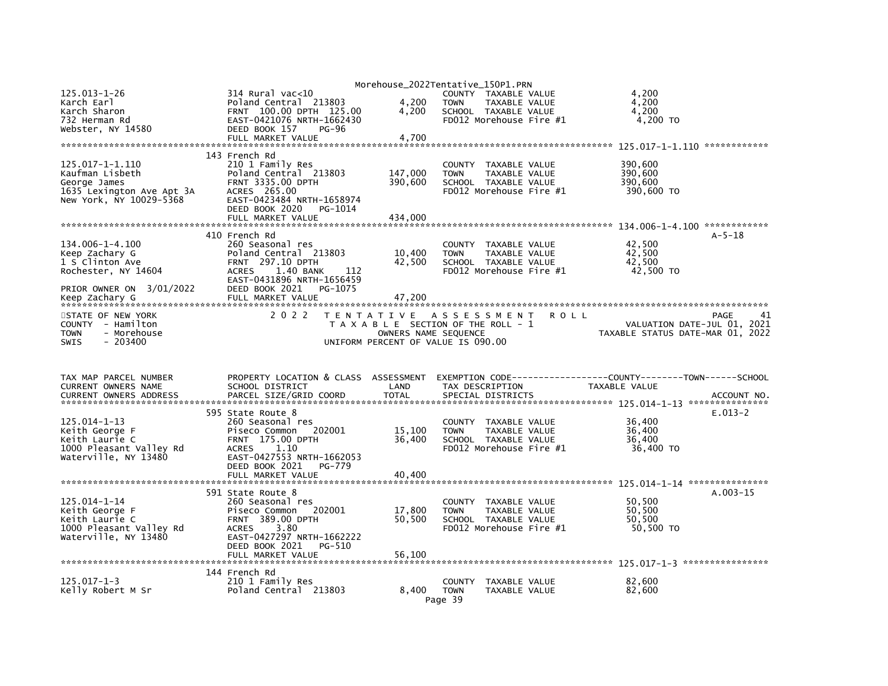|                               |                                                 |                      | Morehouse_2022Tentative_150P1.PRN       |                                  |              |
|-------------------------------|-------------------------------------------------|----------------------|-----------------------------------------|----------------------------------|--------------|
| $125.013 - 1 - 26$            | $314$ Rural vac<10                              |                      | COUNTY TAXABLE VALUE                    | 4,200                            |              |
| Karch Earl                    | Poland Central 213803                           | 4,200                | <b>TOWN</b><br>TAXABLE VALUE            | 4,200                            |              |
| Karch Sharon                  | FRNT 100.00 DPTH 125.00                         | 4,200                | SCHOOL TAXABLE VALUE                    | 4,200                            |              |
| 732 Herman Rd                 | EAST-0421076 NRTH-1662430                       |                      | FD012 Morehouse Fire #1                 | 4,200 TO                         |              |
| Webster, NY 14580             | DEED BOOK 157<br><b>PG-96</b>                   |                      |                                         |                                  |              |
|                               | FULL MARKET VALUE                               | 4.700                |                                         |                                  |              |
|                               |                                                 |                      |                                         |                                  |              |
|                               |                                                 |                      |                                         |                                  |              |
|                               | 143 French Rd                                   |                      |                                         |                                  |              |
| 125.017-1-1.110               | 210 1 Family Res                                |                      | COUNTY TAXABLE VALUE                    | 390,600                          |              |
| Kaufman Lisbeth               | Poland Central 213803                           | 147,000              | <b>TOWN</b><br>TAXABLE VALUE            | 390,600                          |              |
| George James                  | <b>FRNT 3335.00 DPTH</b>                        | 390,600              | SCHOOL TAXABLE VALUE                    | 390,600                          |              |
| 1635 Lexington Ave Apt 3A     | ACRES 265.00                                    |                      | FD012 Morehouse Fire #1                 | 390,600 TO                       |              |
| New York, NY 10029-5368       | EAST-0423484 NRTH-1658974                       |                      |                                         |                                  |              |
|                               | DEED BOOK 2020<br>PG-1014                       |                      |                                         |                                  |              |
|                               | FULL MARKET VALUE                               | 434,000              |                                         |                                  |              |
|                               |                                                 |                      |                                         |                                  |              |
|                               | 410 French Rd                                   |                      |                                         |                                  | $A - 5 - 18$ |
| 134.006-1-4.100               | 260 Seasonal res                                |                      | COUNTY TAXABLE VALUE                    | 42.500                           |              |
| Keep Zachary G                | Poland Central 213803                           | 10,400               | TAXABLE VALUE<br><b>TOWN</b>            | 42,500                           |              |
|                               |                                                 |                      |                                         |                                  |              |
| 1 S Clinton Ave               | FRNT 297.10 DPTH                                | 42,500               | SCHOOL TAXABLE VALUE                    | 42,500                           |              |
| Rochester, NY 14604           | <b>ACRES</b><br>1.40 BANK<br>112                |                      | FD012 Morehouse Fire #1                 | 42,500 TO                        |              |
|                               | EAST-0431896 NRTH-1656459                       |                      |                                         |                                  |              |
| PRIOR OWNER ON 3/01/2022      | DEED BOOK 2021<br>PG-1075                       |                      |                                         |                                  |              |
|                               |                                                 |                      |                                         |                                  |              |
|                               |                                                 |                      |                                         |                                  |              |
| STATE OF NEW YORK             | 2 0 2 2                                         | <b>TENTATIVE</b>     | ASSESSMENT<br><b>ROLL</b>               |                                  | PAGE         |
| COUNTY - Hamilton             |                                                 |                      | T A X A B L E SECTION OF THE ROLL - 1   | VALUATION DATE-JUL 01, 2021      |              |
| <b>TOWN</b><br>- Morehouse    |                                                 | OWNERS NAME SEQUENCE |                                         | TAXABLE STATUS DATE-MAR 01, 2022 |              |
|                               |                                                 |                      |                                         |                                  |              |
| $-203400$<br><b>SWIS</b>      |                                                 |                      | UNIFORM PERCENT OF VALUE IS 090.00      |                                  |              |
|                               |                                                 |                      |                                         |                                  |              |
|                               |                                                 |                      |                                         |                                  |              |
|                               |                                                 |                      |                                         |                                  |              |
| TAX MAP PARCEL NUMBER         | PROPERTY LOCATION & CLASS ASSESSMENT            |                      |                                         |                                  |              |
| CURRENT OWNERS NAME           | SCHOOL DISTRICT                                 | LAND                 | TAX DESCRIPTION                         | TAXABLE VALUE                    |              |
| <b>CURRENT OWNERS ADDRESS</b> | PARCEL SIZE/GRID COORD                          | <b>TOTAL</b>         | SPECIAL DISTRICTS                       |                                  | ACCOUNT NO.  |
|                               |                                                 |                      |                                         |                                  |              |
|                               |                                                 |                      |                                         |                                  |              |
|                               | 595 State Route 8                               |                      |                                         |                                  | $E.013-2$    |
| 125.014-1-13                  | 260 Seasonal res                                |                      | COUNTY TAXABLE VALUE                    | 36,400                           |              |
| Keith George F                | Piseco Common 202001                            | 15,100               | TAXABLE VALUE<br><b>TOWN</b>            | 36,400                           |              |
| Keith Laurie C                | <b>FRNT 175.00 DPTH</b>                         | 36.400               | SCHOOL TAXABLE VALUE                    | 36.400                           |              |
| 1000 Pleasant Valley Rd       | <b>ACRES</b><br>1.10                            |                      | FD012 Morehouse Fire #1                 | 36,400 TO                        |              |
| Waterville, NY 13480          | EAST-0427553 NRTH-1662053                       |                      |                                         |                                  |              |
|                               | DEED BOOK 2021<br>PG-779                        |                      |                                         |                                  |              |
|                               | FULL MARKET VALUE                               | 40.400               |                                         |                                  |              |
|                               |                                                 |                      |                                         |                                  |              |
|                               | 591 State Route 8                               |                      |                                         |                                  | $A.003-15$   |
| $125.014 - 1 - 14$            | 260 Seasonal res                                |                      | COUNTY TAXABLE VALUE                    | 50,500                           |              |
| Keith George F                |                                                 | 17,800               | <b>TOWN</b><br>TAXABLE VALUE            | 50.500                           |              |
| Keith Laurie C                | Piseco Common 202001<br><b>FRNT 389.00 DPTH</b> | 50,500               | SCHOOL TAXABLE VALUE                    | 50,500                           |              |
|                               |                                                 |                      |                                         |                                  |              |
| 1000 Pleasant Valley Rd       | 3.80<br><b>ACRES</b>                            |                      | FD012 Morehouse Fire #1                 | 50,500 TO                        |              |
| Waterville, NY 13480          | EAST-0427297 NRTH-1662222                       |                      |                                         |                                  |              |
|                               | DEED BOOK 2021<br>PG-510                        |                      |                                         |                                  |              |
|                               | FULL MARKET VALUE                               | 56,100               |                                         |                                  |              |
|                               |                                                 |                      |                                         |                                  |              |
|                               | 144 French Rd                                   |                      |                                         |                                  |              |
| $125.017 - 1 - 3$             | 210 1 Family Res                                |                      | COUNTY<br>TAXABLE VALUE                 | 82.600                           |              |
| Kelly Robert M Sr             | Poland Central 213803                           | 8.400                | <b>TOWN</b><br>TAXABLE VALUE<br>Page 39 | 82,600                           |              |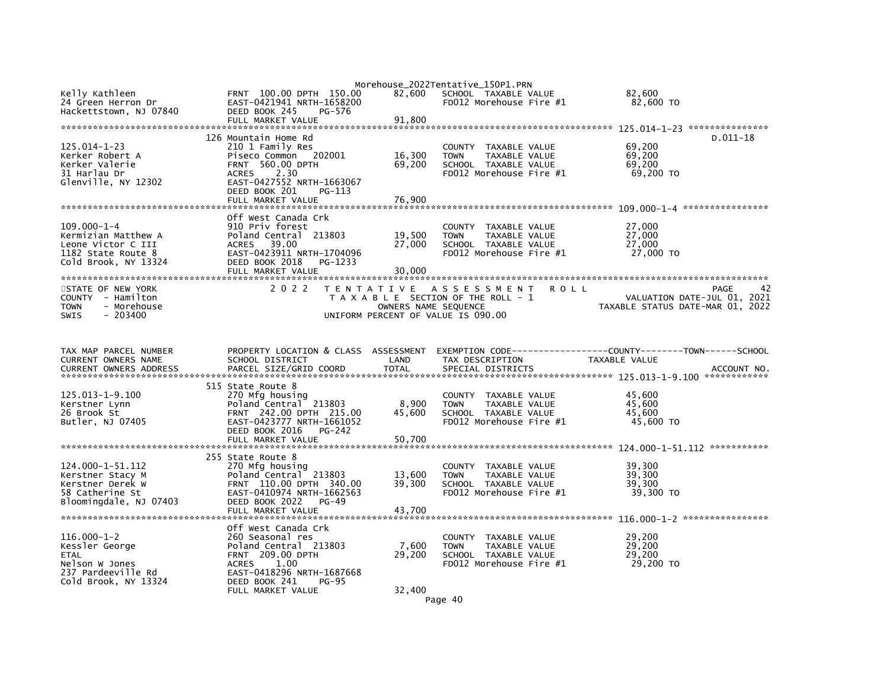| Kelly Kathleen<br>24 Green Herron Dr<br>Hackettstown, NJ 07840                                               | FRNT 100.00 DPTH 150.00<br>EAST-0421941 NRTH-1658200<br>DEED BOOK 245<br>PG-576                                                                                                                   | 82,600                     | Morehouse_2022Tentative_150P1.PRN<br>SCHOOL TAXABLE VALUE<br>FD012 Morehouse Fire #1                                                | 82,600<br>82,600 TO                                                           |
|--------------------------------------------------------------------------------------------------------------|---------------------------------------------------------------------------------------------------------------------------------------------------------------------------------------------------|----------------------------|-------------------------------------------------------------------------------------------------------------------------------------|-------------------------------------------------------------------------------|
|                                                                                                              | FULL MARKET VALUE                                                                                                                                                                                 | 91,800                     |                                                                                                                                     |                                                                               |
|                                                                                                              |                                                                                                                                                                                                   |                            |                                                                                                                                     |                                                                               |
| $125.014 - 1 - 23$<br>Kerker Robert A<br>Kerker Valerie<br>31 Harlau Dr                                      | 126 Mountain Home Rd<br>210 1 Family Res<br>Piseco Common<br>202001<br><b>FRNT 560.00 DPTH</b><br>2.30<br><b>ACRES</b>                                                                            | 16,300<br>69,200           | COUNTY TAXABLE VALUE<br><b>TOWN</b><br>TAXABLE VALUE<br>SCHOOL TAXABLE VALUE<br>FD012 Morehouse Fire #1                             | $D.011-18$<br>69,200<br>69,200<br>69,200<br>69,200 TO                         |
| Glenville, NY 12302                                                                                          | EAST-0427552 NRTH-1663067<br>DEED BOOK 201<br>PG-113<br>FULL MARKET VALUE                                                                                                                         | 76,900                     |                                                                                                                                     |                                                                               |
| $109.000 - 1 - 4$<br>Kermizian Matthew A<br>Leone Victor C III<br>1182 State Route 8<br>Cold Brook, NY 13324 | Off West Canada Crk<br>910 Priv forest<br>Poland Central 213803<br>39.00<br><b>ACRES</b><br>EAST-0423911 NRTH-1704096<br>DEED BOOK 2018<br>PG-1233<br>FULL MARKET VALUE                           | 19,500<br>27,000<br>30,000 | COUNTY TAXABLE VALUE<br><b>TOWN</b><br>TAXABLE VALUE<br>SCHOOL TAXABLE VALUE<br>FD012 Morehouse Fire #1                             | 27,000<br>27,000<br>27,000<br>27,000 TO                                       |
| STATE OF NEW YORK<br>COUNTY - Hamilton<br>- Morehouse<br>TOWN<br><b>SWIS</b><br>$-203400$                    | 2 0 2 2                                                                                                                                                                                           | OWNERS NAME SEQUENCE       | TENTATIVE ASSESSMENT<br><b>ROLL</b><br>T A X A B L E SECTION OF THE ROLL - 1<br>UNIFORM PERCENT OF VALUE IS 090.00                  | 42<br>PAGE<br>VALUATION DATE-JUL 01, 2021<br>TAXABLE STATUS DATE-MAR 01, 2022 |
| TAX MAP PARCEL NUMBER<br>CURRENT OWNERS NAME<br>CURRENT OWNERS ADDRESS                                       | PROPERTY LOCATION & CLASS ASSESSMENT<br>SCHOOL DISTRICT<br>PARCEL SIZE/GRID COORD                                                                                                                 | LAND<br><b>TOTAL</b>       | TAX DESCRIPTION<br>SPECIAL DISTRICTS                                                                                                | TAXABLE VALUE<br>ACCOUNT NO.                                                  |
| 125.013-1-9.100<br>Kerstner Lynn<br>26 Brook St<br>Butler, NJ 07405                                          | 515 State Route 8<br>270 Mfg housing<br>Poland Central 213803<br>FRNT 242.00 DPTH 215.00<br>EAST-0423777 NRTH-1661052<br>DEED BOOK 2016<br>PG-242<br>FULL MARKET VALUE                            | 8,900<br>45,600<br>50,700  | COUNTY TAXABLE VALUE<br><b>TOWN</b><br>TAXABLE VALUE<br>SCHOOL TAXABLE VALUE<br>FD012 Morehouse Fire #1                             | 45,600<br>45.600<br>45,600<br>45,600 TO                                       |
| 124.000-1-51.112<br>Kerstner Stacy M<br>Kerstner Derek W<br>58 Catherine St<br>Bloomingdale, NJ 07403        | 255 State Route 8<br>270 Mfg housing<br>Poland Central 213803<br>FRNT 110.00 DPTH 340.00<br>EAST-0410974 NRTH-1662563<br>DEED BOOK 2022<br>$PG-49$<br>FULL MARKET VALUE                           | 13,600<br>39,300<br>43.700 | COUNTY TAXABLE VALUE<br><b>TOWN</b><br>TAXABLE VALUE<br>SCHOOL TAXABLE VALUE<br>$FD012$ Morehouse Fire $#1$                         | 39,300<br>39.300<br>39.300<br>39,300 TO                                       |
| $116.000 - 1 - 2$<br>Kessler George<br>ETAL<br>Nelson W Jones<br>237 Pardeeville Rd<br>Cold Brook, NY 13324  | Off West Canada Crk<br>260 Seasonal res<br>Poland Central 213803<br><b>FRNT 209.00 DPTH</b><br>1.00<br><b>ACRES</b><br>EAST-0418296 NRTH-1687668<br>DEED BOOK 241<br>$PG-95$<br>FULL MARKET VALUE | 7,600<br>29,200<br>32,400  | <b>COUNTY</b><br>TAXABLE VALUE<br><b>TOWN</b><br>TAXABLE VALUE<br>SCHOOL TAXABLE VALUE<br>FD012 Morehouse Fire #1<br>$\cdot$ $\sim$ | 29,200<br>29,200<br>29,200<br>29,200 TO                                       |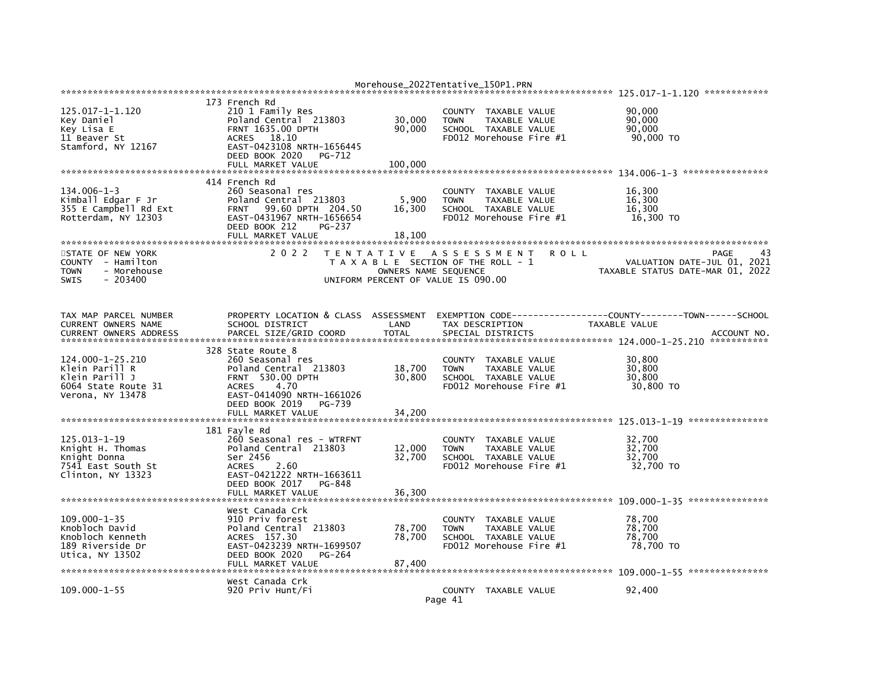|                                                                                                   |                                                                                                                                                                                                 |                                           | Morehouse_2022Tentative_150P1.PRN                                                                              |             |                                                                               |             |
|---------------------------------------------------------------------------------------------------|-------------------------------------------------------------------------------------------------------------------------------------------------------------------------------------------------|-------------------------------------------|----------------------------------------------------------------------------------------------------------------|-------------|-------------------------------------------------------------------------------|-------------|
|                                                                                                   |                                                                                                                                                                                                 |                                           |                                                                                                                |             |                                                                               |             |
| 125.017-1-1.120<br>Key Daniel<br>Key Lisa E<br>11 Beaver St<br>Stamford, NY 12167                 | 173 French Rd<br>210 1 Family Res<br>Poland Central 213803<br><b>FRNT 1635.00 DPTH</b><br>ACRES 18.10<br>EAST-0423108 NRTH-1656445<br>DEED BOOK 2020<br>PG-712                                  | 30,000<br>90,000                          | COUNTY TAXABLE VALUE<br><b>TOWN</b><br>TAXABLE VALUE<br>SCHOOL TAXABLE VALUE<br>FD012 Morehouse Fire #1        |             | 90,000<br>90,000<br>90,000<br>90,000 TO                                       |             |
|                                                                                                   | FULL MARKET VALUE                                                                                                                                                                               | 100.000                                   |                                                                                                                |             |                                                                               |             |
| $134.006 - 1 - 3$<br>Kimball Edgar F Jr<br>355 E Campbell Rd Ext<br>Rotterdam, NY 12303           | 414 French Rd<br>260 Seasonal res<br>Poland Central 213803<br>99.60 DPTH 204.50<br><b>FRNT</b><br>EAST-0431967 NRTH-1656654<br>DEED BOOK 212<br><b>PG-237</b><br>FULL MARKET VALUE              | 5,900<br>16,300<br>18,100                 | COUNTY TAXABLE VALUE<br>TAXABLE VALUE<br><b>TOWN</b><br>SCHOOL TAXABLE VALUE<br>FD012 Morehouse Fire #1        |             | 16,300<br>16,300<br>16,300<br>16,300 TO                                       |             |
| STATE OF NEW YORK<br>COUNTY - Hamilton<br><b>TOWN</b><br>- Morehouse<br><b>SWIS</b><br>- 203400   | 2 0 2 2                                                                                                                                                                                         | T E N T A T I V E<br>OWNERS NAME SEQUENCE | A S S E S S M E N T<br>T A X A B L E SECTION OF THE ROLL - 1<br>UNIFORM PERCENT OF VALUE IS 090.00             | <b>ROLL</b> | VALUATION DATE-JUL 01, 2021<br>TAXABLE STATUS DATE-MAR 01, 2022               | PAGE        |
| TAX MAP PARCEL NUMBER<br>CURRENT OWNERS NAME<br><b>CURRENT OWNERS ADDRESS</b>                     | PROPERTY LOCATION & CLASS<br>SCHOOL DISTRICT<br>PARCEL SIZE/GRID COORD                                                                                                                          | ASSESSMENT<br>LAND<br><b>TOTAL</b>        | TAX DESCRIPTION<br>SPECIAL DISTRICTS                                                                           |             | EXEMPTION CODE-----------------COUNTY-------TOWN------SCHOOL<br>TAXABLE VALUE | ACCOUNT NO. |
| 124.000-1-25.210<br>Klein Parill R<br>Klein Parill J<br>6064 State Route 31<br>Verona, NY 13478   | 328 State Route 8<br>260 Seasonal res<br>Poland Central 213803<br><b>FRNT 530.00 DPTH</b><br>4.70<br><b>ACRES</b><br>EAST-0414090 NRTH-1661026<br>DEED BOOK 2019<br>PG-739<br>FULL MARKET VALUE | 18,700<br>30,800<br>34,200                | COUNTY TAXABLE VALUE<br>TAXABLE VALUE<br><b>TOWN</b><br>SCHOOL TAXABLE VALUE<br>FD012 Morehouse Fire #1        |             | 30.800<br>30,800<br>30,800<br>30,800 TO                                       |             |
|                                                                                                   |                                                                                                                                                                                                 |                                           |                                                                                                                |             |                                                                               |             |
| $125.013 - 1 - 19$<br>Knight H. Thomas<br>Knight Donna<br>7541 East South St<br>Clinton, NY 13323 | 181 Fayle Rd<br>260 Seasonal res - WTRFNT<br>Poland Central 213803<br>Ser 2456<br><b>ACRES</b><br>2.60<br>EAST-0421222 NRTH-1663611<br>DEED BOOK 2017<br>PG-848                                 | 12,000<br>32,700                          | COUNTY<br>TAXABLE VALUE<br><b>TOWN</b><br>TAXABLE VALUE<br>SCHOOL TAXABLE VALUE<br>FD012 Morehouse Fire #1     |             | 32,700<br>32,700<br>32,700<br>32,700 TO                                       |             |
|                                                                                                   | FULL MARKET VALUE                                                                                                                                                                               | 36,300                                    |                                                                                                                |             |                                                                               |             |
| $109.000 - 1 - 35$<br>Knobloch David<br>Knobloch Kenneth<br>189 Riverside Dr<br>Utica, NY 13502   | West Canada Crk<br>910 Priv forest<br>Poland Central 213803<br>ACRES 157.30<br>EAST-0423239 NRTH-1699507<br>DEED BOOK 2020<br>PG-264<br>FULL MARKET VALUE                                       | 78,700<br>78.700<br>87,400                | COUNTY TAXABLE VALUE<br><b>TAXABLE VALUE</b><br><b>TOWN</b><br>SCHOOL TAXABLE VALUE<br>FD012 Morehouse Fire #1 |             | 78,700<br>78,700<br>78.700<br>78,700 TO                                       |             |
| $109.000 - 1 - 55$                                                                                | West Canada Crk<br>920 Priv Hunt/Fi                                                                                                                                                             |                                           | COUNTY TAXABLE VALUE<br>Page 41                                                                                |             | 92,400                                                                        |             |
|                                                                                                   |                                                                                                                                                                                                 |                                           |                                                                                                                |             |                                                                               |             |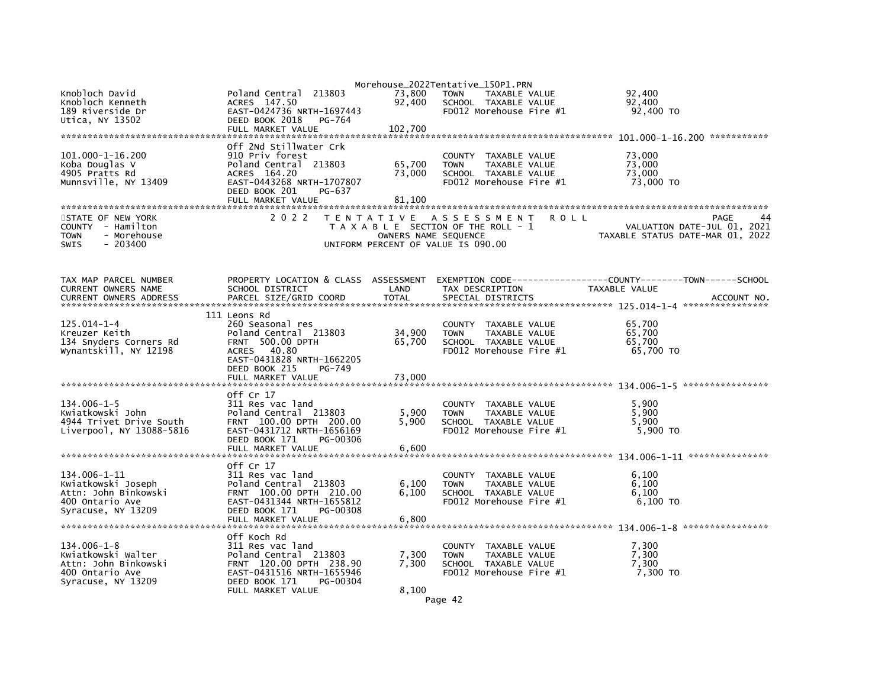| Knobloch David                                  | Poland Central 213803                                 | 73,800               | Morehouse_2022Tentative_150P1.PRN<br><b>TOWN</b><br>TAXABLE VALUE | 92,400                                                       |                             |
|-------------------------------------------------|-------------------------------------------------------|----------------------|-------------------------------------------------------------------|--------------------------------------------------------------|-----------------------------|
| Knobloch Kenneth                                | ACRES 147.50                                          | 92,400               | SCHOOL TAXABLE VALUE                                              | 92,400                                                       |                             |
| 189 Riverside Dr<br>Utica, NY 13502             | EAST-0424736 NRTH-1697443<br>DEED BOOK 2018<br>PG-764 |                      | FD012 Morehouse Fire #1                                           | 92,400 TO                                                    |                             |
|                                                 | FULL MARKET VALUE                                     | 102,700              |                                                                   |                                                              |                             |
|                                                 |                                                       |                      |                                                                   |                                                              |                             |
| 101.000-1-16.200                                | Off 2Nd Stillwater Crk<br>910 Priv forest             |                      |                                                                   |                                                              |                             |
| Koba Douglas V                                  | Poland Central 213803                                 | 65,700               | <b>COUNTY</b><br>TAXABLE VALUE<br><b>TOWN</b><br>TAXABLE VALUE    | 73,000<br>73,000                                             |                             |
| 4905 Pratts Rd                                  | ACRES 164.20                                          | 73,000               | SCHOOL TAXABLE VALUE                                              | 73,000                                                       |                             |
| Munnsville, NY 13409                            | EAST-0443268 NRTH-1707807<br>DEED BOOK 201            |                      | FD012 Morehouse Fire #1                                           | 73,000 TO                                                    |                             |
|                                                 | PG-637<br>FULL MARKET VALUE                           | 81.100               |                                                                   |                                                              |                             |
|                                                 |                                                       |                      |                                                                   |                                                              |                             |
| STATE OF NEW YORK                               | 2 0 2 2                                               |                      | TENTATIVE ASSESSMENT                                              | <b>ROLL</b>                                                  | <b>PAGE</b>                 |
| COUNTY - Hamilton<br><b>TOWN</b><br>- Morehouse |                                                       | OWNERS NAME SEQUENCE | T A X A B L E SECTION OF THE ROLL - 1                             | TAXABLE STATUS DATE-MAR 01, 2022                             | VALUATION DATE-JUL 01, 2021 |
| $-203400$<br><b>SWIS</b>                        |                                                       |                      | UNIFORM PERCENT OF VALUE IS 090.00                                |                                                              |                             |
|                                                 |                                                       |                      |                                                                   |                                                              |                             |
|                                                 |                                                       |                      |                                                                   |                                                              |                             |
| TAX MAP PARCEL NUMBER                           | PROPERTY LOCATION & CLASS ASSESSMENT                  |                      |                                                                   | EXEMPTION CODE-----------------COUNTY-------TOWN------SCHOOL |                             |
| CURRENT OWNERS NAME                             | SCHOOL DISTRICT                                       | LAND                 | TAX DESCRIPTION                                                   | TAXABLE VALUE                                                |                             |
| <b>CURRENT OWNERS ADDRESS</b>                   | PARCEL SIZE/GRID COORD                                | <b>TOTAL</b>         | SPECIAL DISTRICTS                                                 |                                                              | ACCOUNT NO.                 |
|                                                 | 111 Leons Rd                                          |                      |                                                                   |                                                              |                             |
| $125.014 - 1 - 4$                               | 260 Seasonal res                                      |                      | COUNTY<br>TAXABLE VALUE                                           | 65,700                                                       |                             |
| Kreuzer Keith<br>134 Snyders Corners Rd         | Poland Central 213803<br><b>FRNT 500.00 DPTH</b>      | 34,900<br>65,700     | <b>TOWN</b><br><b>TAXABLE VALUE</b><br>SCHOOL TAXABLE VALUE       | 65,700<br>65,700                                             |                             |
| Wynantskill, NY 12198                           | <b>ACRES</b><br>40.80                                 |                      | FD012 Morehouse Fire #1                                           | 65,700 TO                                                    |                             |
|                                                 | EAST-0431828 NRTH-1662205                             |                      |                                                                   |                                                              |                             |
|                                                 | DEED BOOK 215<br>PG-749<br>FULL MARKET VALUE          | 73,000               |                                                                   |                                                              |                             |
|                                                 |                                                       |                      |                                                                   |                                                              |                             |
|                                                 | off Cr 17                                             |                      |                                                                   |                                                              |                             |
| 134.006-1-5<br>Kwiatkowski John                 | 311 Res vac land<br>Poland Central 213803             | 5,900                | TAXABLE VALUE<br><b>COUNTY</b><br><b>TOWN</b><br>TAXABLE VALUE    | 5,900<br>5,900                                               |                             |
| 4944 Trivet Drive South                         | FRNT 100.00 DPTH 200.00                               | 5.900                | SCHOOL TAXABLE VALUE                                              | 5.900                                                        |                             |
| Liverpool, NY 13088-5816                        | EAST-0431712 NRTH-1656169                             |                      | FD012 Morehouse Fire #1                                           | 5,900 TO                                                     |                             |
|                                                 | DEED BOOK 171<br>PG-00306                             |                      |                                                                   |                                                              |                             |
|                                                 | FULL MARKET VALUE                                     | 6,600                |                                                                   |                                                              |                             |
|                                                 | off Cr 17                                             |                      |                                                                   |                                                              |                             |
| 134.006-1-11                                    | 311 Res vac land                                      |                      | TAXABLE VALUE<br><b>COUNTY</b>                                    | 6,100                                                        |                             |
| Kwiatkowski Joseph<br>Attn: John Binkowski      | Poland Central 213803<br>FRNT 100.00 DPTH 210.00      | 6,100<br>6,100       | <b>TOWN</b><br>TAXABLE VALUE<br>SCHOOL TAXABLE VALUE              | 6,100<br>6,100                                               |                             |
| 400 Ontario Ave                                 | EAST-0431344 NRTH-1655812                             |                      | FD012 Morehouse Fire #1                                           | $6,100$ TO                                                   |                             |
| Syracuse, NY 13209                              | DEED BOOK 171<br>PG-00308                             |                      |                                                                   |                                                              |                             |
|                                                 | FULL MARKET VALUE                                     | 6,800                |                                                                   |                                                              |                             |
|                                                 | Off Koch Rd                                           |                      |                                                                   |                                                              |                             |
| $134.006 - 1 - 8$                               | 311 Res vac land                                      |                      | <b>COUNTY</b><br>TAXABLE VALUE                                    | 7,300                                                        |                             |
| Kwiatkowski Walter<br>Attn: John Binkowski      | Poland Central 213803<br>FRNT 120.00 DPTH 238.90      | 7,300<br>7,300       | <b>TOWN</b><br>TAXABLE VALUE<br>SCHOOL TAXABLE VALUE              | 7,300<br>7,300                                               |                             |
| 400 Ontario Ave                                 | EAST-0431516 NRTH-1655946                             |                      | FD012 Morehouse Fire #1                                           | 7,300 TO                                                     |                             |
| Syracuse, NY 13209                              | DEED BOOK 171<br>PG-00304                             |                      |                                                                   |                                                              |                             |
|                                                 | FULL MARKET VALUE                                     | 8,100                | $\overline{\phantom{a}}$                                          |                                                              |                             |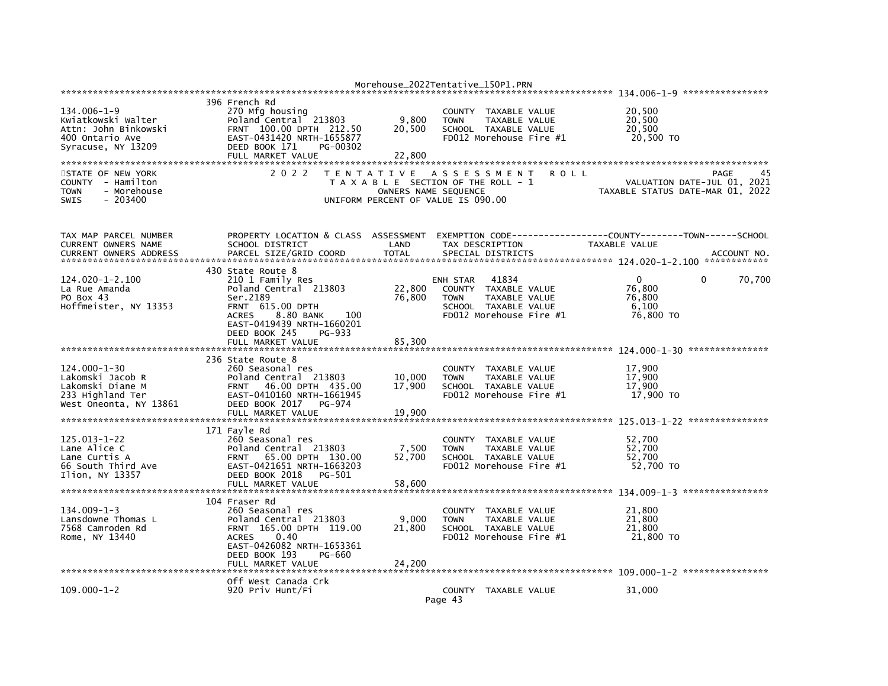|                                                                                                          |                                                                                                                                                                        |                            | Morehouse_2022Tentative_150P1.PRN                                                                                               |      |                                                    |                                                                         |
|----------------------------------------------------------------------------------------------------------|------------------------------------------------------------------------------------------------------------------------------------------------------------------------|----------------------------|---------------------------------------------------------------------------------------------------------------------------------|------|----------------------------------------------------|-------------------------------------------------------------------------|
|                                                                                                          | 396 French Rd                                                                                                                                                          |                            |                                                                                                                                 |      |                                                    |                                                                         |
| 134.006-1-9<br>Kwiatkowski Walter<br>Attn: John Binkowski<br>400 Ontario Ave<br>Syracuse, NY 13209       | 270 Mfg housing<br>Poland Central 213803<br>FRNT 100.00 DPTH 212.50<br>EAST-0431420 NRTH-1655877<br>DEED BOOK 171<br>PG-00302<br>FULL MARKET VALUE                     | 9,800<br>20,500<br>22,800  | COUNTY TAXABLE VALUE<br><b>TOWN</b><br>TAXABLE VALUE<br>SCHOOL TAXABLE VALUE<br>FD012 Morehouse Fire #1                         |      | 20,500<br>20.500<br>20,500<br>20.500 TO            |                                                                         |
|                                                                                                          |                                                                                                                                                                        |                            |                                                                                                                                 |      |                                                    |                                                                         |
| STATE OF NEW YORK<br>COUNTY - Hamilton<br><b>TOWN</b><br>- Morehouse<br><b>SWIS</b><br>$-203400$         | 2 0 2 2                                                                                                                                                                |                            | TENTATIVE ASSESSMENT<br>T A X A B L E SECTION OF THE ROLL - 1<br>OWNERS NAME SEQUENCE<br>UNIFORM PERCENT OF VALUE IS 090.00     | ROLL |                                                    | PAGE<br>VALUATION DATE-JUL 01, 2021<br>TAXABLE STATUS DATE-MAR 01, 2022 |
| TAX MAP PARCEL NUMBER<br>CURRENT OWNERS NAME<br><b>CURRENT OWNERS ADDRESS</b>                            | PROPERTY LOCATION & CLASS ASSESSMENT<br>SCHOOL DISTRICT<br>PARCEL SIZE/GRID COORD                                                                                      | LAND<br><b>TOTAL</b>       | EXEMPTION CODE-----------------COUNTY-------TOWN------SCHOOL<br>TAX DESCRIPTION<br>SPECIAL DISTRICTS                            |      | <b>TAXABLE VALUE</b>                               | ACCOUNT NO.                                                             |
| 124.020-1-2.100<br>La Rue Amanda<br>PO Box 43<br>Hoffmeister, NY 13353                                   | 430 State Route 8<br>210 1 Family Res<br>Poland Central 213803<br>Ser.2189<br>FRNT 615.00 DPTH<br><b>ACRES</b><br>8.80 BANK<br>100<br>EAST-0419439 NRTH-1660201        | 22,800<br>76,800           | ENH STAR<br>41834<br>TAXABLE VALUE<br>COUNTY<br>TAXABLE VALUE<br><b>TOWN</b><br>SCHOOL TAXABLE VALUE<br>FD012 Morehouse Fire #1 |      | $\Omega$<br>76,800<br>76,800<br>6,100<br>76,800 TO | 70,700<br>0                                                             |
|                                                                                                          | DEED BOOK 245<br>PG-933<br>FULL MARKET VALUE                                                                                                                           | 85,300                     |                                                                                                                                 |      |                                                    |                                                                         |
| $124.000 - 1 - 30$<br>Lakomski Jacob R<br>Lakomski Diane M<br>233 Highland Ter<br>West Oneonta, NY 13861 | 236 State Route 8<br>260 Seasonal res<br>Poland Central 213803<br>FRNT 46.00 DPTH 435.00<br>EAST-0410160 NRTH-1661945<br>DEED BOOK 2017<br>PG-974<br>FULL MARKET VALUE | 10,000<br>17,900<br>19,900 | COUNTY TAXABLE VALUE<br><b>TOWN</b><br>TAXABLE VALUE<br>SCHOOL TAXABLE VALUE<br>FD012 Morehouse Fire #1                         |      | 17,900<br>17,900<br>17,900<br>17,900 TO            |                                                                         |
|                                                                                                          | 171 Fayle Rd                                                                                                                                                           |                            |                                                                                                                                 |      |                                                    |                                                                         |
| $125.013 - 1 - 22$<br>Lane Alice C<br>Lane Curtis A<br>66 South Third Ave<br>Ilion, NY 13357             | 260 Seasonal res<br>Poland Central 213803<br>FRNT 65.00 DPTH 130.00<br>EAST-0421651 NRTH-1663203<br>DEED BOOK 2018<br>PG-501<br>FULL MARKET VALUE                      | 7,500<br>52,700<br>58,600  | COUNTY<br>TAXABLE VALUE<br><b>TOWN</b><br><b>TAXABLE VALUE</b><br>SCHOOL TAXABLE VALUE<br>FD012 Morehouse Fire #1               |      | 52,700<br>52,700<br>52,700<br>52,700 TO            |                                                                         |
|                                                                                                          | 104 Fraser Rd                                                                                                                                                          |                            |                                                                                                                                 |      |                                                    |                                                                         |
| $134.009 - 1 - 3$<br>Lansdowne Thomas L<br>7568 Camroden Rd<br>Rome, NY 13440                            | 260 Seasonal res<br>Poland Central 213803<br>FRNT 165.00 DPTH 119.00<br><b>ACRES</b><br>0.40<br>EAST-0426082 NRTH-1653361<br>DEED BOOK 193<br>PG-660                   | 9,000<br>21,800            | <b>COUNTY</b><br>TAXABLE VALUE<br><b>TOWN</b><br><b>TAXABLE VALUE</b><br>SCHOOL TAXABLE VALUE<br>FD012 Morehouse Fire #1        |      | 21.800<br>21,800<br>21,800<br>21,800 TO            |                                                                         |
|                                                                                                          | FULL MARKET VALUE                                                                                                                                                      | 24,200                     |                                                                                                                                 |      |                                                    |                                                                         |
| $109.000 - 1 - 2$                                                                                        | Off West Canada Crk<br>920 Priv Hunt/Fi                                                                                                                                |                            | COUNTY TAXABLE VALUE<br>Page 43                                                                                                 |      | 31,000                                             |                                                                         |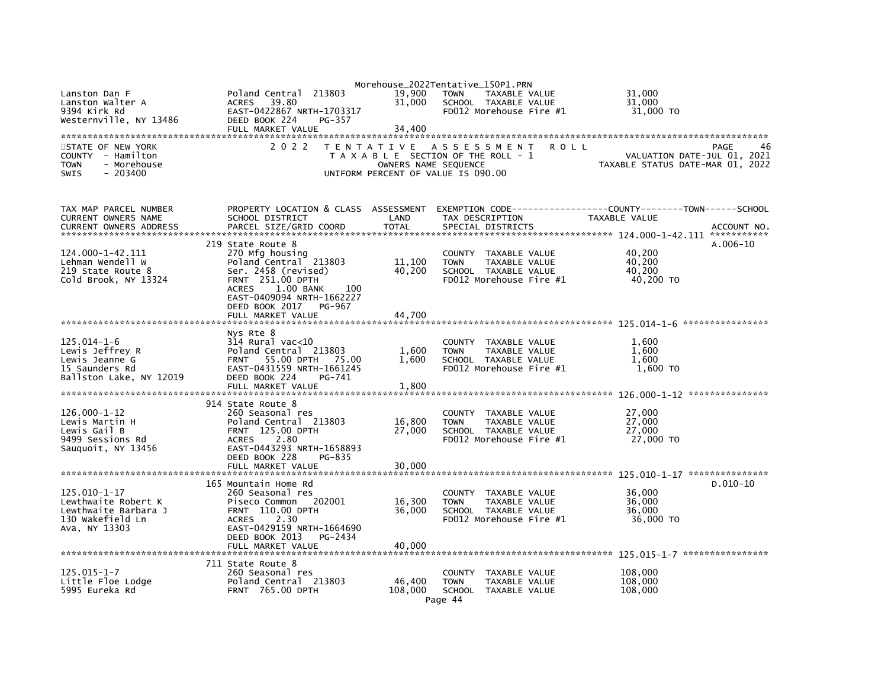|                                                                      |                                                                                                                |                      | Morehouse_2022Tentative_150P1.PRN                                               |             |                                                                 |
|----------------------------------------------------------------------|----------------------------------------------------------------------------------------------------------------|----------------------|---------------------------------------------------------------------------------|-------------|-----------------------------------------------------------------|
| Lanston Dan F<br>Lanston Walter A<br>9394 Kirk Rd                    | Poland Central<br>213803<br>39.80<br><b>ACRES</b><br>EAST-0422867 NRTH-1703317                                 | 19,900<br>31.000     | <b>TOWN</b><br>TAXABLE VALUE<br>SCHOOL TAXABLE VALUE<br>FD012 Morehouse Fire #1 |             | 31,000<br>31.000<br>31,000 TO                                   |
| Westernville, NY 13486                                               | DEED BOOK 224<br>PG-357                                                                                        |                      |                                                                                 |             |                                                                 |
|                                                                      | FULL MARKET VALUE                                                                                              | 34,400               |                                                                                 |             |                                                                 |
| STATE OF NEW YORK                                                    | 2 0 2 2                                                                                                        | T E N T A T I V E    | ASSESSMENT                                                                      | <b>ROLL</b> | PAGE<br>46                                                      |
| COUNTY - Hamilton<br><b>TOWN</b><br>- Morehouse<br>SWIS<br>$-203400$ |                                                                                                                | OWNERS NAME SEQUENCE | T A X A B L E SECTION OF THE ROLL - 1<br>UNIFORM PERCENT OF VALUE IS 090.00     |             | VALUATION DATE-JUL 01, 2021<br>TAXABLE STATUS DATE-MAR 01, 2022 |
| TAX MAP PARCEL NUMBER<br>CURRENT OWNERS NAME                         | PROPERTY LOCATION & CLASS ASSESSMENT<br>SCHOOL DISTRICT                                                        | LAND                 | TAX DESCRIPTION                                                                 |             | TAXABLE VALUE                                                   |
| <b>CURRENT OWNERS ADDRESS</b>                                        | PARCEL SIZE/GRID COORD                                                                                         | <b>TOTAL</b>         | SPECIAL DISTRICTS                                                               |             | ACCOUNT NO.                                                     |
|                                                                      |                                                                                                                |                      |                                                                                 |             |                                                                 |
|                                                                      | 219 State Route 8                                                                                              |                      |                                                                                 |             | $A.006-10$                                                      |
| 124.000-1-42.111<br>Lehman Wendell W                                 | 270 Mfg housing<br>Poland Central 213803                                                                       | 11,100               | COUNTY TAXABLE VALUE<br><b>TOWN</b><br>TAXABLE VALUE                            |             | 40,200<br>40,200                                                |
| 219 State Route 8                                                    | Ser. 2458 (revised)                                                                                            | 40,200               | SCHOOL TAXABLE VALUE                                                            |             | 40,200                                                          |
| Cold Brook, NY 13324                                                 | <b>FRNT 251.00 DPTH</b>                                                                                        |                      | FD012 Morehouse Fire #1                                                         |             | 40,200 TO                                                       |
|                                                                      | 1.00 BANK<br>100<br><b>ACRES</b><br>EAST-0409094 NRTH-1662227<br>DEED BOOK 2017<br>PG-967<br>FULL MARKET VALUE | 44,700               |                                                                                 |             |                                                                 |
|                                                                      |                                                                                                                |                      |                                                                                 |             |                                                                 |
|                                                                      | Nys Rte 8                                                                                                      |                      |                                                                                 |             |                                                                 |
| $125.014 - 1 - 6$                                                    | $314$ Rural vac< $10$                                                                                          |                      | COUNTY TAXABLE VALUE                                                            |             | 1.600                                                           |
| Lewis Jeffrey R                                                      | Poland Central 213803                                                                                          | 1,600                | <b>TOWN</b><br>TAXABLE VALUE                                                    |             | 1,600                                                           |
| Lewis Jeanne G                                                       | FRNT 55.00 DPTH 75.00                                                                                          | 1,600                | SCHOOL TAXABLE VALUE                                                            |             | 1,600                                                           |
| 15 Saunders Rd<br>Ballston Lake, NY 12019                            | EAST-0431559 NRTH-1661245<br>DEED BOOK 224<br>PG-741                                                           |                      | FD012 Morehouse Fire #1                                                         |             | 1,600 TO                                                        |
|                                                                      | FULL MARKET VALUE                                                                                              | 1,800                |                                                                                 |             |                                                                 |
|                                                                      |                                                                                                                |                      |                                                                                 |             |                                                                 |
|                                                                      | 914 State Route 8                                                                                              |                      |                                                                                 |             |                                                                 |
| $126.000 - 1 - 12$                                                   | 260 Seasonal res                                                                                               |                      | COUNTY TAXABLE VALUE                                                            |             | 27,000                                                          |
| Lewis Martin H<br>Lewis Gail B                                       | Poland Central 213803<br>FRNT 125.00 DPTH                                                                      | 16,800<br>27,000     | TAXABLE VALUE<br><b>TOWN</b><br>SCHOOL TAXABLE VALUE                            |             | 27,000<br>27,000                                                |
| 9499 Sessions Rd                                                     | <b>ACRES</b><br>2.80                                                                                           |                      | FD012 Morehouse Fire #1                                                         |             | 27,000 TO                                                       |
| Sauguoit, NY 13456                                                   | EAST-0443293 NRTH-1658893<br>DEED BOOK 228<br>PG-835<br>FULL MARKET VALUE                                      | 30,000               |                                                                                 |             |                                                                 |
|                                                                      |                                                                                                                |                      |                                                                                 |             |                                                                 |
|                                                                      | 165 Mountain Home Rd                                                                                           |                      |                                                                                 |             | $D.010-10$                                                      |
| $125.010 - 1 - 17$                                                   | 260 Seasonal res                                                                                               |                      | COUNTY TAXABLE VALUE                                                            |             | 36,000                                                          |
| Lewthwaite Robert K                                                  | Piseco Common<br>202001                                                                                        | 16,300               | TAXABLE VALUE<br><b>TOWN</b>                                                    |             | 36,000                                                          |
| Lewthwaite Barbara J<br>130 Wakefield Ln                             | FRNT 110.00 DPTH<br>2.30<br><b>ACRES</b>                                                                       | 36,000               | SCHOOL TAXABLE VALUE<br>FD012 Morehouse Fire #1                                 |             | 36,000<br>36,000 TO                                             |
| Ava, NY 13303                                                        | EAST-0429159 NRTH-1664690<br>DEED BOOK 2013<br>PG-2434<br>FULL MARKET VALUE                                    | 40.000               |                                                                                 |             |                                                                 |
|                                                                      |                                                                                                                |                      |                                                                                 |             |                                                                 |
|                                                                      | 711 State Route 8                                                                                              |                      |                                                                                 |             |                                                                 |
| $125.015 - 1 - 7$                                                    | 260 Seasonal res                                                                                               |                      | <b>COUNTY</b><br>TAXABLE VALUE                                                  |             | 108,000                                                         |
| Little Floe Lodge                                                    | Poland Central 213803                                                                                          | 46,400               | <b>TOWN</b><br>TAXABLE VALUE                                                    |             | 108,000                                                         |
| 5995 Eureka Rd                                                       | <b>FRNT 765.00 DPTH</b>                                                                                        | 108,000              | SCHOOL TAXABLE VALUE<br>Page 44                                                 |             | 108,000                                                         |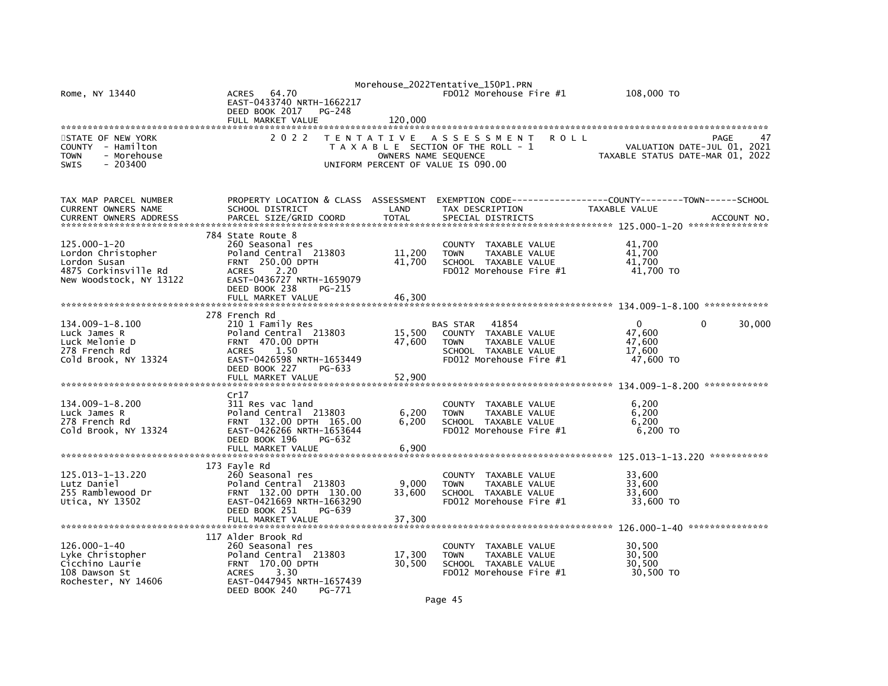| Rome, NY 13440<br>STATE OF NEW YORK<br>COUNTY - Hamilton | 64.70<br>ACRES<br>EAST-0433740 NRTH-1662217<br>DEED BOOK 2017<br>PG-248<br>FULL MARKET VALUE<br>2 0 2 2 | 120,000<br>T E N T A T I V E | Morehouse_2022Tentative_150P1.PRN<br>FD012 Morehouse Fire #1<br>A S S E S S M E N T<br><b>ROLL</b><br>T A X A B L E SECTION OF THE ROLL - 1 | 108,000 TO<br>PAGE<br>VALUATION DATE-JUL 01, 2021                   |
|----------------------------------------------------------|---------------------------------------------------------------------------------------------------------|------------------------------|---------------------------------------------------------------------------------------------------------------------------------------------|---------------------------------------------------------------------|
| - Morehouse<br><b>TOWN</b>                               |                                                                                                         |                              | OWNERS NAME SEQUENCE                                                                                                                        | TAXABLE STATUS DATE-MAR 01, 2022                                    |
| <b>SWIS</b><br>$-203400$                                 |                                                                                                         |                              | UNIFORM PERCENT OF VALUE IS 090.00                                                                                                          |                                                                     |
| TAX MAP PARCEL NUMBER                                    | PROPERTY LOCATION & CLASS ASSESSMENT                                                                    |                              |                                                                                                                                             | EXEMPTION        CODE-----------------COUNTY-------TOWN------SCHOOL |
| CURRENT OWNERS NAME<br><b>CURRENT OWNERS ADDRESS</b>     | SCHOOL DISTRICT<br>PARCEL SIZE/GRID COORD                                                               | LAND<br><b>TOTAL</b>         | TAX DESCRIPTION<br>SPECIAL DISTRICTS                                                                                                        | TAXABLE VALUE<br>ACCOUNT NO.                                        |
|                                                          | 784 State Route 8                                                                                       |                              |                                                                                                                                             |                                                                     |
| 125.000-1-20                                             | 260 Seasonal res                                                                                        |                              | COUNTY TAXABLE VALUE                                                                                                                        | 41,700                                                              |
| Lordon Christopher                                       | Poland Central 213803                                                                                   | 11,200                       | <b>TOWN</b><br>TAXABLE VALUE                                                                                                                | 41,700                                                              |
| Lordon Susan<br>4875 Corkinsville Rd                     | <b>FRNT 250.00 DPTH</b><br><b>ACRES</b><br>2.20                                                         | 41,700                       | SCHOOL TAXABLE VALUE<br>FD012 Morehouse Fire #1                                                                                             | 41,700<br>41,700 TO                                                 |
| New Woodstock, NY 13122                                  | EAST-0436727 NRTH-1659079<br>DEED BOOK 238<br>PG-215                                                    |                              |                                                                                                                                             |                                                                     |
|                                                          | FULL MARKET VALUE                                                                                       | 46.300                       |                                                                                                                                             |                                                                     |
|                                                          | 278 French Rd                                                                                           |                              |                                                                                                                                             |                                                                     |
| 134.009-1-8.100<br>Luck James R                          | 210 1 Family Res<br>Poland Central 213803                                                               | 15,500                       | BAS STAR<br>41854<br>COUNTY TAXABLE VALUE                                                                                                   | $\Omega$<br>0<br>30,000<br>47.600                                   |
| Luck Melonie D                                           | <b>FRNT 470.00 DPTH</b>                                                                                 | 47,600                       | <b>TAXABLE VALUE</b><br><b>TOWN</b>                                                                                                         | 47,600                                                              |
| 278 French Rd                                            | <b>ACRES</b><br>1.50                                                                                    |                              | SCHOOL TAXABLE VALUE                                                                                                                        | 17,600                                                              |
| Cold Brook, NY 13324                                     | EAST-0426598 NRTH-1653449                                                                               |                              | FD012 Morehouse Fire #1                                                                                                                     | 47,600 TO                                                           |
|                                                          | DEED BOOK 227<br>PG-633<br>FULL MARKET VALUE                                                            | 52,900                       |                                                                                                                                             |                                                                     |
|                                                          |                                                                                                         |                              |                                                                                                                                             |                                                                     |
|                                                          | Cr17                                                                                                    |                              |                                                                                                                                             |                                                                     |
| 134.009-1-8.200<br>Luck James R                          | 311 Res vac land<br>Poland Central 213803                                                               | 6,200                        | COUNTY TAXABLE VALUE<br><b>TOWN</b><br>TAXABLE VALUE                                                                                        | 6,200<br>6,200                                                      |
| 278 French Rd                                            | FRNT 132.00 DPTH 165.00                                                                                 | 6,200                        | SCHOOL TAXABLE VALUE                                                                                                                        | 6.200                                                               |
| Cold Brook, NY 13324                                     | EAST-0426266 NRTH-1653644                                                                               |                              | FD012 Morehouse Fire #1                                                                                                                     | 6,200 TO                                                            |
|                                                          | DEED BOOK 196<br>PG-632<br>FULL MARKET VALUE                                                            | 6,900                        |                                                                                                                                             |                                                                     |
|                                                          |                                                                                                         |                              |                                                                                                                                             |                                                                     |
| 125.013-1-13.220                                         | 173 Fayle Rd<br>260 Seasonal res                                                                        |                              |                                                                                                                                             |                                                                     |
| Lutz Daniel                                              | Poland Central 213803                                                                                   | 9,000                        | COUNTY TAXABLE VALUE<br>TAXABLE VALUE<br><b>TOWN</b>                                                                                        | 33,600<br>33,600                                                    |
| 255 Ramblewood Dr                                        | FRNT 132.00 DPTH 130.00                                                                                 | 33,600                       | SCHOOL TAXABLE VALUE                                                                                                                        | 33,600                                                              |
| Utica, NY 13502                                          | EAST-0421669 NRTH-1663290                                                                               |                              | FD012 Morehouse Fire #1                                                                                                                     | 33,600 TO                                                           |
|                                                          | DEED BOOK 251<br>PG-639<br>FULL MARKET VALUE                                                            |                              |                                                                                                                                             |                                                                     |
|                                                          |                                                                                                         | 37,300                       |                                                                                                                                             |                                                                     |
|                                                          | 117 Alder Brook Rd                                                                                      |                              |                                                                                                                                             |                                                                     |
| 126.000-1-40<br>Lyke Christopher                         | 260 Seasonal res<br>Poland Central 213803                                                               | 17,300                       | COUNTY TAXABLE VALUE<br><b>TOWN</b><br>TAXABLE VALUE                                                                                        | 30,500<br>30,500                                                    |
| Cicchino Laurie                                          | FRNT 170.00 DPTH                                                                                        | 30,500                       | SCHOOL TAXABLE VALUE                                                                                                                        | 30,500                                                              |
| 108 Dawson St                                            | <b>ACRES</b><br>3.30                                                                                    |                              | FD012 Morehouse Fire #1                                                                                                                     | 30,500 TO                                                           |
| Rochester, NY 14606                                      | EAST-0447945 NRTH-1657439                                                                               |                              |                                                                                                                                             |                                                                     |
|                                                          | DEED BOOK 240<br>PG-771                                                                                 |                              |                                                                                                                                             |                                                                     |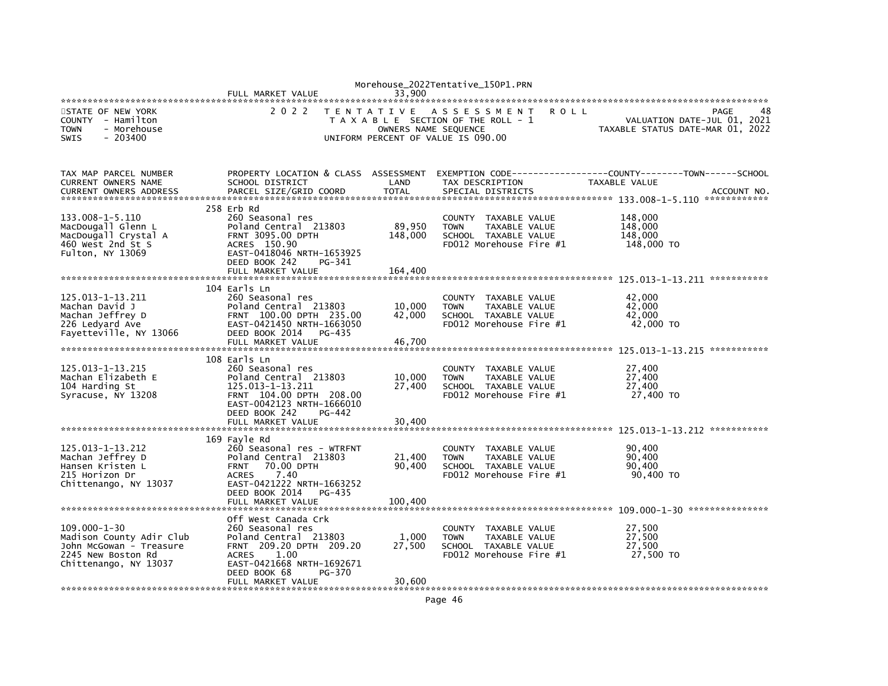|                                                                                                                          | FULL MARKET VALUE                                                                                                                                                                | 33.900                                    | Morehouse_2022Tentative_150P1.PRN                                                                                 |                                                                                                                                 |
|--------------------------------------------------------------------------------------------------------------------------|----------------------------------------------------------------------------------------------------------------------------------------------------------------------------------|-------------------------------------------|-------------------------------------------------------------------------------------------------------------------|---------------------------------------------------------------------------------------------------------------------------------|
| STATE OF NEW YORK<br>COUNTY - Hamilton<br><b>TOWN</b><br>- Morehouse<br><b>SWIS</b><br>$-203400$                         | 2 0 2 2                                                                                                                                                                          | T E N T A T I V E<br>OWNERS NAME SEQUENCE | A S S E S S M E N T<br><b>ROLL</b><br>T A X A B L E SECTION OF THE ROLL - 1<br>UNIFORM PERCENT OF VALUE IS 090.00 | 48<br>PAGE<br>VALUATION DATE-JUL 01, 2021<br>TAXABLE STATUS DATE-MAR 01, 2022                                                   |
| TAX MAP PARCEL NUMBER<br>CURRENT OWNERS NAME<br><b>CURRENT OWNERS ADDRESS</b>                                            | SCHOOL DISTRICT<br>PARCEL SIZE/GRID COORD                                                                                                                                        | LAND<br><b>TOTAL</b>                      | TAX DESCRIPTION<br>SPECIAL DISTRICTS                                                                              | PROPERTY LOCATION & CLASS ASSESSMENT EXEMPTION CODE----------------COUNTY-------TOWN-----SCHOOL<br>TAXABLE VALUE<br>ACCOUNT NO. |
| 133.008-1-5.110<br>MacDougall Glenn L<br>MacDougall Crystal A<br>460 West 2nd St S<br>Fulton, NY 13069                   | 258 Erb Rd<br>260 Seasonal res<br>Poland Central 213803<br><b>FRNT 3095.00 DPTH</b><br>ACRES 150.90<br>EAST-0418046 NRTH-1653925<br>DEED BOOK 242<br>PG-341<br>FULL MARKET VALUE | 89,950<br>148,000<br>164,400              | COUNTY TAXABLE VALUE<br>TAXABLE VALUE<br><b>TOWN</b><br>SCHOOL TAXABLE VALUE<br>FD012 Morehouse Fire #1           | 148,000<br>148,000<br>148,000<br>148,000 TO                                                                                     |
|                                                                                                                          |                                                                                                                                                                                  |                                           |                                                                                                                   |                                                                                                                                 |
| 125.013-1-13.211<br>Machan David J<br>Machan Jeffrey D<br>226 Ledyard Ave<br>Fayetteville, NY 13066                      | 104 Earls Ln<br>260 Seasonal res<br>Poland Central 213803<br>FRNT 100.00 DPTH 235.00<br>EAST-0421450 NRTH-1663050<br>DEED BOOK 2014<br>PG-435<br>FULL MARKET VALUE               | 10,000<br>42,000<br>46,700                | COUNTY TAXABLE VALUE<br>TAXABLE VALUE<br><b>TOWN</b><br>SCHOOL TAXABLE VALUE<br>FD012 Morehouse Fire #1           | 42,000<br>42,000<br>42,000<br>42,000 TO                                                                                         |
|                                                                                                                          | 108 Earls Ln                                                                                                                                                                     |                                           |                                                                                                                   |                                                                                                                                 |
| 125.013-1-13.215<br>Machan Elizabeth E<br>104 Harding St<br>Syracuse, NY 13208                                           | 260 Seasonal res<br>Poland Central 213803<br>125.013-1-13.211<br>FRNT 104.00 DPTH 208.00<br>EAST-0042123 NRTH-1666010<br>DEED BOOK 242<br>PG-442<br>FULL MARKET VALUE            | 10,000<br>27,400<br>30.400                | COUNTY TAXABLE VALUE<br><b>TOWN</b><br>TAXABLE VALUE<br>SCHOOL TAXABLE VALUE<br>FD012 Morehouse Fire #1           | 27,400<br>27,400<br>27,400<br>27,400 TO                                                                                         |
|                                                                                                                          |                                                                                                                                                                                  |                                           |                                                                                                                   |                                                                                                                                 |
| 125.013-1-13.212<br>Machan Jeffrey D<br>Hansen Kristen L<br>215 Horizon Dr<br>Chittenango, NY 13037                      | 169 Fayle Rd<br>260 Seasonal res - WTRFNT<br>Poland Central 213803<br><b>FRNT</b><br>70.00 DPTH<br>7.40<br><b>ACRES</b><br>EAST-0421222 NRTH-1663252                             | 21,400<br>90,400                          | COUNTY TAXABLE VALUE<br><b>TOWN</b><br>TAXABLE VALUE<br>SCHOOL TAXABLE VALUE<br>FD012 Morehouse Fire #1           | 90,400<br>90,400<br>90,400<br>90,400 TO                                                                                         |
|                                                                                                                          | DEED BOOK 2014<br>PG-435<br>FULL MARKET VALUE                                                                                                                                    | 100,400                                   |                                                                                                                   |                                                                                                                                 |
|                                                                                                                          |                                                                                                                                                                                  |                                           |                                                                                                                   |                                                                                                                                 |
| $109.000 - 1 - 30$<br>Madison County Adir Club<br>John McGowan - Treasure<br>2245 New Boston Rd<br>Chittenango, NY 13037 | Off West Canada Crk<br>260 Seasonal res<br>Poland Central 213803<br>FRNT 209.20 DPTH 209.20<br>1.00<br><b>ACRES</b><br>EAST-0421668 NRTH-1692671<br>DEED BOOK 68<br>PG-370       | 1.000<br>27,500                           | COUNTY TAXABLE VALUE<br>TAXABLE VALUE<br><b>TOWN</b><br>SCHOOL TAXABLE VALUE<br>FD012 Morehouse Fire #1           | 27,500<br>27.500<br>27,500<br>27,500 TO                                                                                         |
|                                                                                                                          | FULL MARKET VALUE                                                                                                                                                                | 30,600                                    |                                                                                                                   |                                                                                                                                 |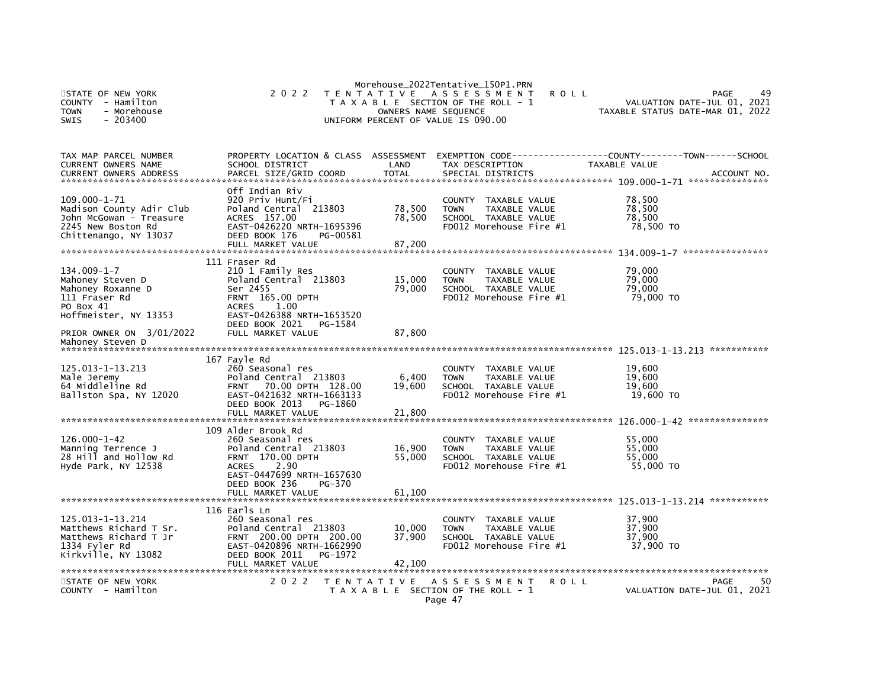| STATE OF NEW YORK<br><b>COUNTY</b><br>- Hamilton<br>- Morehouse<br><b>TOWN</b><br>$-203400$<br><b>SWIS</b>               | 2 0 2 2                                                                                                                                                             | OWNERS NAME SEQUENCE               | Morehouse_2022Tentative_150P1.PRN<br>TENTATIVE ASSESSMENT<br>T A X A B L E SECTION OF THE ROLL - 1<br>UNIFORM PERCENT OF VALUE IS 090.00 | <b>ROLL</b><br>TAXABLE STATUS DATE-MAR 01, 2022 | PAGE<br>VALUATION DATE-JUL 01, 2021       |
|--------------------------------------------------------------------------------------------------------------------------|---------------------------------------------------------------------------------------------------------------------------------------------------------------------|------------------------------------|------------------------------------------------------------------------------------------------------------------------------------------|-------------------------------------------------|-------------------------------------------|
| TAX MAP PARCEL NUMBER<br><b>CURRENT OWNERS NAME</b><br><b>CURRENT OWNERS ADDRESS</b>                                     | PROPERTY LOCATION & CLASS<br>SCHOOL DISTRICT<br>PARCEL SIZE/GRID COORD                                                                                              | ASSESSMENT<br>LAND<br><b>TOTAL</b> | TAX DESCRIPTION<br>SPECIAL DISTRICTS                                                                                                     | TAXABLE VALUE                                   | ACCOUNT NO.                               |
| $109.000 - 1 - 71$<br>Madison County Adir Club<br>John McGowan - Treasure<br>2245 New Boston Rd<br>Chittenango, NY 13037 | Off Indian Riv<br>920 Priv Hunt/Fi<br>Poland Central 213803<br>ACRES 157.00<br>EAST-0426220 NRTH-1695396<br>DEED BOOK 176<br>PG-00581<br>FULL MARKET VALUE          | 78,500<br>78,500<br>87,200         | <b>COUNTY</b><br>TAXABLE VALUE<br>TAXABLE VALUE<br><b>TOWN</b><br>SCHOOL TAXABLE VALUE<br>FD012 Morehouse Fire #1                        | 78,500<br>78,500<br>78,500<br>78,500 TO         |                                           |
|                                                                                                                          | 111 Fraser Rd                                                                                                                                                       |                                    |                                                                                                                                          |                                                 |                                           |
| 134.009-1-7<br>Mahoney Steven D<br>Mahoney Roxanne D<br>111 Fraser Rd<br>PO Box 41<br>Hoffmeister, NY 13353              | 210 1 Family Res<br>Poland Central 213803<br>Ser 2455<br>FRNT 165.00 DPTH<br>1.00<br><b>ACRES</b><br>EAST-0426388 NRTH-1653520                                      | 15,000<br>79,000                   | <b>COUNTY</b><br>TAXABLE VALUE<br>TAXABLE VALUE<br><b>TOWN</b><br>SCHOOL TAXABLE VALUE<br>FD012 Morehouse Fire $#1$                      | 79,000<br>79,000<br>79.000<br>79,000 TO         |                                           |
| PRIOR OWNER ON 3/01/2022                                                                                                 | DEED BOOK 2021<br>PG-1584<br>FULL MARKET VALUE                                                                                                                      | 87,800                             |                                                                                                                                          |                                                 |                                           |
|                                                                                                                          | 167 Fayle Rd                                                                                                                                                        |                                    |                                                                                                                                          |                                                 |                                           |
| 125.013-1-13.213<br>Male Jeremy<br>64 Middleline Rd<br>Ballston Spa, NY 12020                                            | 260 Seasonal res<br>Poland Central 213803<br><b>FRNT</b><br>70.00 DPTH 128.00<br>EAST-0421632 NRTH-1663133<br>DEED BOOK 2013<br>PG-1860                             | 6,400<br>19,600                    | <b>COUNTY</b><br>TAXABLE VALUE<br><b>TOWN</b><br>TAXABLE VALUE<br>SCHOOL TAXABLE VALUE<br>FD012 Morehouse Fire #1                        | 19,600<br>19,600<br>19,600<br>19,600 TO         |                                           |
|                                                                                                                          | FULL MARKET VALUE                                                                                                                                                   | 21,800                             |                                                                                                                                          |                                                 | 126.000-1-42 ****************             |
| $126.000 - 1 - 42$<br>Manning Terrence J<br>28 Hill and Hollow Rd<br>Hyde Park, NY 12538                                 | 109 Alder Brook Rd<br>260 Seasonal res<br>Poland Central 213803<br>FRNT 170.00 DPTH<br>2.90<br><b>ACRES</b><br>EAST-0447699 NRTH-1657630<br>DEED BOOK 236<br>PG-370 | 16,900<br>55,000                   | <b>COUNTY</b><br>TAXABLE VALUE<br>TAXABLE VALUE<br><b>TOWN</b><br>SCHOOL TAXABLE VALUE<br>FD012 Morehouse Fire #1                        | 55,000<br>55,000<br>55,000<br>55,000 TO         |                                           |
|                                                                                                                          | FULL MARKET VALUE                                                                                                                                                   | 61,100                             |                                                                                                                                          |                                                 |                                           |
|                                                                                                                          | 116 Earls Ln                                                                                                                                                        |                                    |                                                                                                                                          |                                                 |                                           |
| 125.013-1-13.214<br>Matthews Richard T Sr.<br>Matthews Richard T Jr<br>1334 Fyler Rd<br>Kirkville, NY 13082              | 260 Seasonal res<br>Poland Central 213803<br>FRNT 200.00 DPTH 200.00<br>EAST-0420896 NRTH-1662990<br>DEED BOOK 2011<br>PG-1972<br>FULL MARKET VALUE                 | 10,000<br>37.900<br>42,100         | COUNTY<br>TAXABLE VALUE<br>TAXABLE VALUE<br><b>TOWN</b><br>SCHOOL TAXABLE VALUE<br>FD012 Morehouse Fire #1                               | 37,900<br>37,900<br>37,900<br>37,900 TO         |                                           |
|                                                                                                                          |                                                                                                                                                                     |                                    |                                                                                                                                          |                                                 |                                           |
| STATE OF NEW YORK<br>COUNTY - Hamilton                                                                                   | 2 0 2 2                                                                                                                                                             | T E N T A T I V E                  | A S S E S S M E N T<br>T A X A B L E SECTION OF THE ROLL - 1<br>Page 47                                                                  | ROLL                                            | PAGE<br>50<br>VALUATION DATE-JUL 01, 2021 |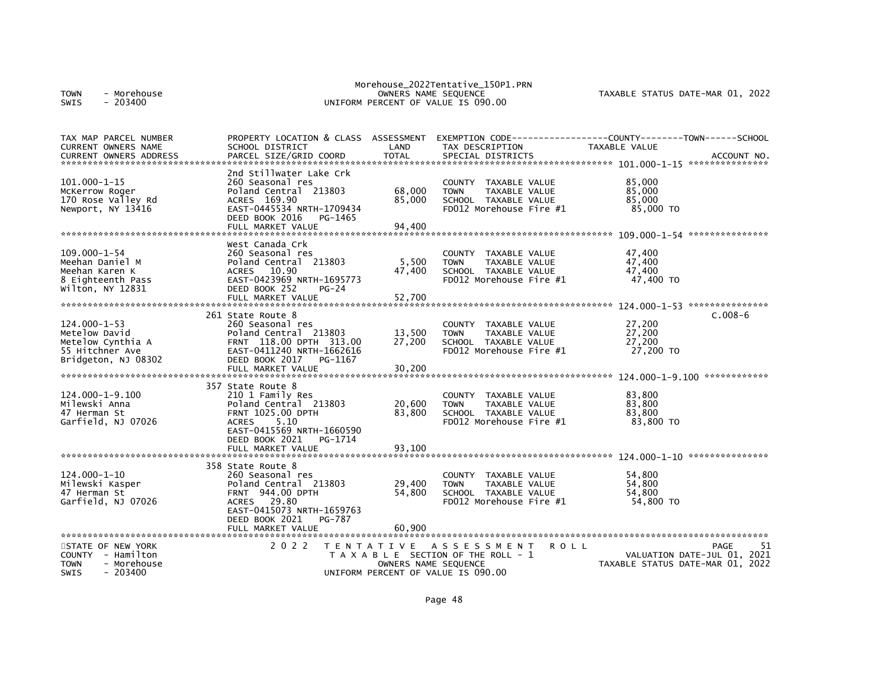| - Morehouse<br><b>TOWN</b><br>$-203400$<br><b>SWIS</b>                                                     |                                                                                                                                                                                                   |                                           | Morehouse_2022Tentative_150P1.PRN<br>OWNERS NAME SEQUENCE<br>UNIFORM PERCENT OF VALUE IS 090.00                            | TAXABLE STATUS DATE-MAR 01, 2022                                              |
|------------------------------------------------------------------------------------------------------------|---------------------------------------------------------------------------------------------------------------------------------------------------------------------------------------------------|-------------------------------------------|----------------------------------------------------------------------------------------------------------------------------|-------------------------------------------------------------------------------|
| TAX MAP PARCEL NUMBER<br>CURRENT OWNERS NAME<br><b>CURRENT OWNERS ADDRESS</b>                              | PROPERTY LOCATION & CLASS ASSESSMENT<br>SCHOOL DISTRICT<br>PARCEL SIZE/GRID COORD                                                                                                                 | LAND<br><b>TOTAL</b>                      | TAX DESCRIPTION<br>SPECIAL DISTRICTS                                                                                       | <b>TAXABLE VALUE</b><br>ACCOUNT NO.                                           |
| $101.000 - 1 - 15$<br>McKerrow Roger<br>170 Rose Valley Rd<br>Newport, NY 13416                            | 2nd Stillwater Lake Crk<br>260 Seasonal res<br>Poland Central 213803<br>ACRES 169.90<br>EAST-0445534 NRTH-1709434<br>DEED BOOK 2016<br>PG-1465<br>FULL MARKET VALUE                               | 68,000<br>85.000<br>94,400                | <b>COUNTY</b><br>TAXABLE VALUE<br><b>TOWN</b><br>TAXABLE VALUE<br>SCHOOL TAXABLE VALUE<br>FD012 Morehouse Fire $#1$        | 85,000<br>85,000<br>85.000<br>85,000 TO                                       |
| 109.000-1-54<br>Meehan Daniel M<br>Meehan Karen K<br>8 Eighteenth Pass<br>Wilton, NY 12831                 | West Canada Crk<br>260 Seasonal res<br>Poland Central 213803<br>10.90<br><b>ACRES</b><br>EAST-0423969 NRTH-1695773<br>DEED BOOK 252<br>$PG-24$<br>FULL MARKET VALUE                               | 5,500<br>47,400<br>52,700                 | <b>COUNTY</b><br>TAXABLE VALUE<br>TAXABLE VALUE<br><b>TOWN</b><br>SCHOOL TAXABLE VALUE<br>FD012 Morehouse Fire $#1$        | 47,400<br>47,400<br>47,400<br>47,400 TO                                       |
| $124.000 - 1 - 53$<br>Metelow David<br>Metelow Cynthia A<br>55 Hitchner Ave<br>Bridgeton, NJ 08302         | 261 State Route 8<br>260 Seasonal res<br>Poland Central 213803<br>FRNT 118.00 DPTH 313.00<br>EAST-0411240 NRTH-1662616<br>DEED BOOK 2017<br>PG-1167<br>FULL MARKET VALUE                          | 13,500<br>27,200<br>30,200                | TAXABLE VALUE<br><b>COUNTY</b><br><b>TOWN</b><br><b>TAXABLE VALUE</b><br>SCHOOL TAXABLE VALUE<br>FD012 Morehouse Fire $#1$ | $C.008-6$<br>27,200<br>27,200<br>27,200<br>27,200 TO                          |
| $124.000 - 1 - 9.100$<br>Milewski Anna<br>47 Herman St<br>Garfield, NJ 07026                               | 357 State Route 8<br>210 1 Family Res<br>Poland Central 213803<br><b>FRNT 1025.00 DPTH</b><br><b>ACRES</b><br>5.10<br>EAST-0415569 NRTH-1660590<br>DEED BOOK 2021<br>PG-1714<br>FULL MARKET VALUE | 20,600<br>83,800<br>93,100                | COUNTY<br>TAXABLE VALUE<br><b>TOWN</b><br>TAXABLE VALUE<br>SCHOOL TAXABLE VALUE<br>FD012 Morehouse Fire #1                 | 83,800<br>83,800<br>83,800<br>83,800 TO                                       |
| $124.000 - 1 - 10$<br>Milewski Kasper<br>47 Herman St<br>Garfield, NJ 07026                                | 358 State Route 8<br>260 Seasonal res<br>Poland Central 213803<br><b>FRNT 944.00 DPTH</b><br><b>ACRES</b><br>29.80<br>EAST-0415073 NRTH-1659763<br>DEED BOOK 2021<br>PG-787<br>FULL MARKET VALUE  | 29,400<br>54,800<br>60,900                | <b>COUNTY</b><br>TAXABLE VALUE<br><b>TAXABLE VALUE</b><br><b>TOWN</b><br>SCHOOL TAXABLE VALUE<br>FD012 Morehouse Fire #1   | 54.800<br>54,800<br>54,800<br>54,800 TO                                       |
| STATE OF NEW YORK<br><b>COUNTY</b><br>- Hamilton<br><b>TOWN</b><br>- Morehouse<br>$-203400$<br><b>SWIS</b> | 2 0 2 2                                                                                                                                                                                           | T E N T A T I V E<br>OWNERS NAME SEQUENCE | A S S E S S M E N T<br>ROLL<br>T A X A B L E SECTION OF THE ROLL - 1<br>UNIFORM PERCENT OF VALUE IS 090.00                 | 51<br>PAGE<br>VALUATION DATE-JUL 01, 2021<br>TAXABLE STATUS DATE-MAR 01, 2022 |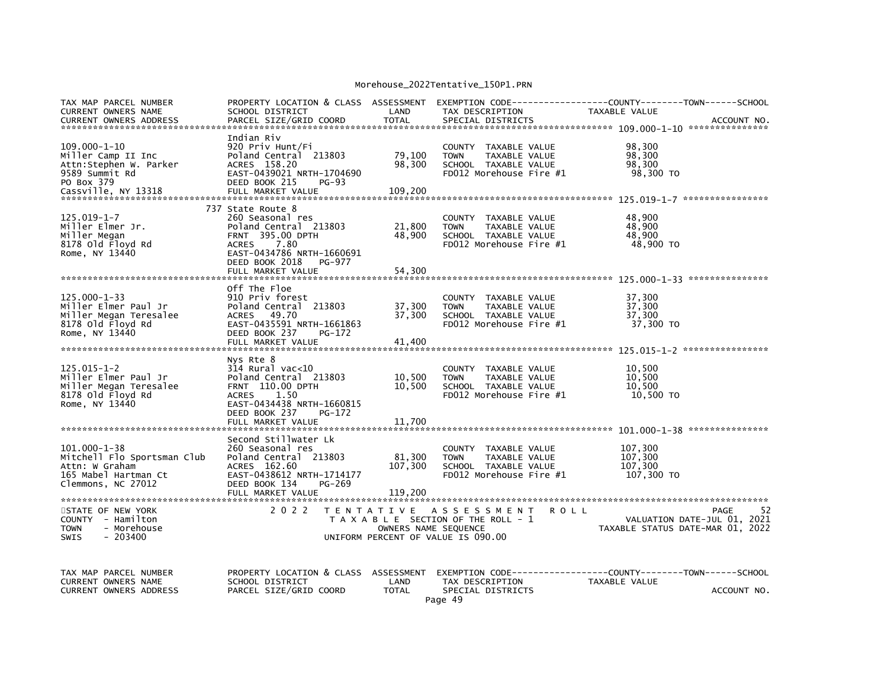## Morehouse\_2022Tentative\_150P1.PRN

| TAX MAP PARCEL NUMBER<br><b>CURRENT OWNERS NAME</b><br><b>CURRENT OWNERS ADDRESS</b>                                             | PROPERTY LOCATION & CLASS ASSESSMENT<br>SCHOOL DISTRICT<br>PARCEL SIZE/GRID COORD                                                                                                                  | LAND<br><b>TOTAL</b>                              | EXEMPTION CODE---<br>TAX DESCRIPTION<br>SPECIAL DISTRICTS                                                                                           | -----COUNTY--------TOWN------SCHOOL<br>TAXABLE VALUE<br>ACCOUNT NO. |
|----------------------------------------------------------------------------------------------------------------------------------|----------------------------------------------------------------------------------------------------------------------------------------------------------------------------------------------------|---------------------------------------------------|-----------------------------------------------------------------------------------------------------------------------------------------------------|---------------------------------------------------------------------|
| $109.000 - 1 - 10$<br>Miller Camp II Inc<br>Attn:Stephen W. Parker<br>9589 Summit Rd<br>PO Box 379                               | Indian Riv<br>920 Priv Hunt/Fi<br>Poland Central 213803<br>ACRES 158.20<br>EAST-0439021 NRTH-1704690<br>DEED BOOK 215<br>$PG-93$                                                                   | 79,100<br>98,300                                  | <b>COUNTY</b><br>TAXABLE VALUE<br>TAXABLE VALUE<br><b>TOWN</b><br>SCHOOL TAXABLE VALUE<br>FD012 Morehouse Fire #1                                   | 98,300<br>98,300<br>98,300<br>98,300 TO                             |
| $125.019 - 1 - 7$<br>Miller Elmer Jr.<br>Miller Megan<br>8178 old Floyd Rd<br>Rome, NY 13440                                     | 737 State Route 8<br>260 Seasonal res<br>Poland Central 213803<br>395.00 DPTH<br><b>FRNT</b><br>7.80<br><b>ACRES</b><br>EAST-0434786 NRTH-1660691<br>DEED BOOK 2018<br>PG-977<br>FULL MARKET VALUE | 21,800<br>48,900<br>54,300                        | TAXABLE VALUE<br><b>COUNTY</b><br>TAXABLE VALUE<br><b>TOWN</b><br>SCHOOL TAXABLE VALUE<br>$FD012$ Morehouse Fire $#1$                               | 48,900<br>48,900<br>48,900<br>48,900 TO                             |
| 125.000-1-33<br>Miller Elmer Paul Jr<br>Miller Megan Teresalee<br>8178 old Floyd Rd<br>Rome, NY 13440                            | Off The Floe<br>910 Priv forest<br>Poland Central 213803<br>49.70<br><b>ACRES</b><br>EAST-0435591 NRTH-1661863<br>DEED BOOK 237<br>PG-172<br>FULL MARKET VALUE                                     | 37,300<br>37,300<br>41,400                        | <b>COUNTY</b><br>TAXABLE VALUE<br><b>TOWN</b><br>TAXABLE VALUE<br>SCHOOL TAXABLE VALUE<br>FD012 Morehouse Fire #1                                   | 37,300<br>37,300<br>37,300<br>37,300 TO                             |
| $125.015 - 1 - 2$<br>Miller Elmer Paul Jr<br>Miller Megan Teresalee<br>8178 old Floyd Rd<br>Rome, NY 13440                       | Nys Rte 8<br>314 Rural vac<10<br>Poland Central 213803<br><b>FRNT 110.00 DPTH</b><br>1.50<br><b>ACRES</b><br>EAST-0434438 NRTH-1660815<br>DEED BOOK 237<br>PG-172<br>FULL MARKET VALUE             | 10,500<br>10,500<br>11,700                        | COUNTY<br>TAXABLE VALUE<br><b>TOWN</b><br>TAXABLE VALUE<br>SCHOOL TAXABLE VALUE<br>FD012 Morehouse Fire #1                                          | 10,500<br>10,500<br>10,500<br>10.500 TO                             |
| 101.000-1-38<br>Mitchell Flo Sportsman Club<br>Attn: W Graham<br>165 Mabel Hartman Ct<br>Clemmons, NC 27012<br>STATE OF NEW YORK | Second Stillwater Lk<br>260 Seasonal res<br>Poland Central 213803<br>ACRES 162.60<br>EAST-0438612 NRTH-1714177<br>DEED BOOK 134<br>PG-269<br>FULL MARKET VALUE<br>2 0 2 2                          | 81,300<br>107,300<br>119,200<br>T E N T A T I V E | TAXABLE VALUE<br><b>COUNTY</b><br>TAXABLE VALUE<br><b>TOWN</b><br>SCHOOL TAXABLE VALUE<br>FD012 Morehouse Fire #1<br>A S S E S S M E N T<br>R O L L | 107,300<br>107,300<br>107,300<br>107,300 TO<br>52<br>PAGE           |
| COUNTY - Hamilton<br>- Morehouse<br><b>TOWN</b><br>SWIS<br>$-203400$                                                             |                                                                                                                                                                                                    | OWNERS NAME SEQUENCE                              | T A X A B L E SECTION OF THE ROLL - 1<br>UNIFORM PERCENT OF VALUE IS 090.00                                                                         | VALUATION DATE-JUL 01, 2021<br>TAXABLE STATUS DATE-MAR 01, 2022     |
| TAX MAP PARCEL NUMBER<br>CURRENT OWNERS NAME<br><b>CURRENT OWNERS ADDRESS</b>                                                    | PROPERTY LOCATION & CLASS<br>SCHOOL DISTRICT<br>PARCEL SIZE/GRID COORD                                                                                                                             | ASSESSMENT<br>LAND<br><b>TOTAL</b>                | EXEMPTION CODE------<br>TAX DESCRIPTION<br>SPECIAL DISTRICTS<br>Page 49                                                                             | ----COUNTY--------TOWN------SCHOOL<br>TAXABLE VALUE<br>ACCOUNT NO.  |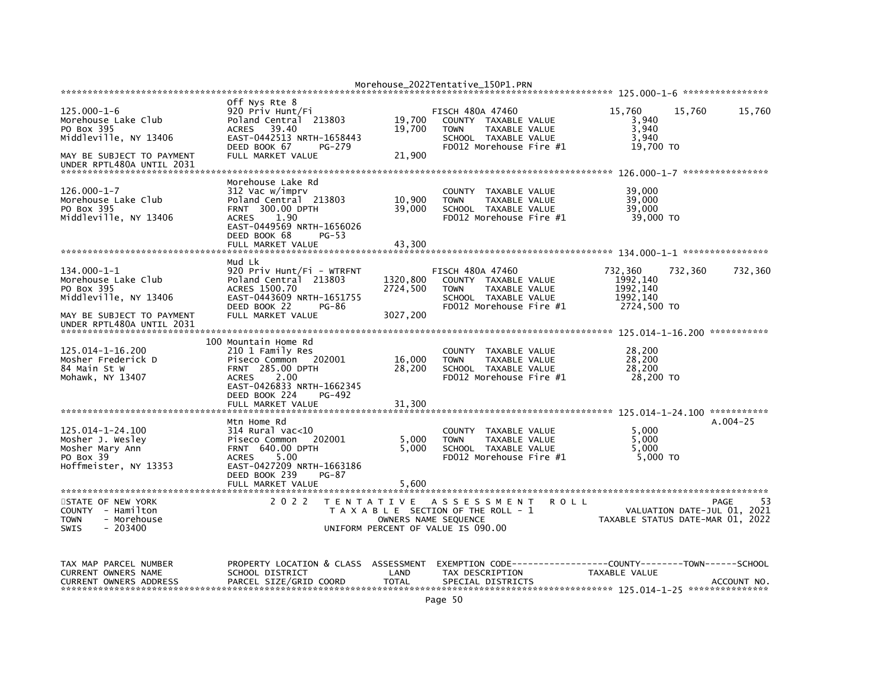| $125.000 - 1 - 6$<br>Morehouse Lake Club<br>PO Box 395<br>Middleville, NY 13406<br>MAY BE SUBJECT TO PAYMENT      | Off Nys Rte 8<br>920 Priv Hunt/Fi<br>Poland Central 213803<br>39.40<br><b>ACRES</b><br>EAST-0442513 NRTH-1658443<br>DEED BOOK 67<br>PG-279<br>FULL MARKET VALUE          | 19,700<br>19,700<br>21,900 | FISCH 480A 47460<br>COUNTY TAXABLE VALUE<br>TAXABLE VALUE<br><b>TOWN</b><br>SCHOOL TAXABLE VALUE<br>FD012 Morehouse Fire #1                | 15,760<br>15,760<br>3.940<br>3,940<br>3.940<br>19,700 TO        | 15,760       |
|-------------------------------------------------------------------------------------------------------------------|--------------------------------------------------------------------------------------------------------------------------------------------------------------------------|----------------------------|--------------------------------------------------------------------------------------------------------------------------------------------|-----------------------------------------------------------------|--------------|
| UNDER RPTL480A UNTIL 2031                                                                                         |                                                                                                                                                                          |                            |                                                                                                                                            |                                                                 |              |
| $126.000 - 1 - 7$<br>Morehouse Lake Club<br>PO Box 395<br>Middleville, NY 13406                                   | Morehouse Lake Rd<br>312 Vac w/imprv<br>Poland Central 213803<br>FRNT 300.00 DPTH<br><b>ACRES</b><br>1.90<br>EAST-0449569 NRTH-1656026<br>DEED BOOK 68<br>PG-53          | 10,900<br>39,000           | COUNTY TAXABLE VALUE<br>TAXABLE VALUE<br><b>TOWN</b><br>SCHOOL TAXABLE VALUE<br>FD012 Morehouse Fire #1                                    | 39,000<br>39,000<br>39,000<br>39,000 TO                         |              |
|                                                                                                                   | FULL MARKET VALUE                                                                                                                                                        | 43,300                     |                                                                                                                                            |                                                                 |              |
|                                                                                                                   |                                                                                                                                                                          |                            |                                                                                                                                            |                                                                 |              |
| $134.000 - 1 - 1$<br>Morehouse Lake Club<br>PO Box 395<br>Middleville, NY 13406                                   | Mud Lk<br>920 Priv Hunt/Fi - WTRFNT<br>Poland Central 213803<br>ACRES 1500.70<br>EAST-0443609 NRTH-1651755                                                               | 1320,800<br>2724,500       | <b>FISCH 480A 47460</b><br>COUNTY TAXABLE VALUE<br>TAXABLE VALUE<br><b>TOWN</b><br>SCHOOL TAXABLE VALUE                                    | 732,360<br>732,360<br>1992, 140<br>1992, 140<br>1992, 140       | 732,360      |
| MAY BE SUBJECT TO PAYMENT<br>UNDER RPTL480A UNTIL 2031                                                            | DEED BOOK 22<br>PG-86<br>FULL MARKET VALUE                                                                                                                               | 3027,200                   | FD012 Morehouse Fire #1                                                                                                                    | 2724,500 TO                                                     |              |
|                                                                                                                   | 100 Mountain Home Rd                                                                                                                                                     |                            |                                                                                                                                            |                                                                 |              |
| 125.014-1-16.200<br>Mosher Frederick D<br>84 Main St W<br>Mohawk, NY 13407                                        | 210 1 Family Res<br>Piseco Common 202001<br><b>FRNT 285.00 DPTH</b><br><b>ACRES</b><br>2.00<br>EAST-0426833 NRTH-1662345<br>DEED BOOK 224<br>PG-492<br>FULL MARKET VALUE | 16,000<br>28,200<br>31,300 | COUNTY TAXABLE VALUE<br><b>TOWN</b><br>TAXABLE VALUE<br>SCHOOL TAXABLE VALUE<br>FD012 Morehouse Fire #1                                    | 28,200<br>28,200<br>28,200<br>28,200 TO                         |              |
|                                                                                                                   |                                                                                                                                                                          |                            |                                                                                                                                            |                                                                 |              |
| 125.014-1-24.100<br>Mosher J. Wesley<br>Mosher Mary Ann<br>PO Box 39<br>Hoffmeister, NY 13353                     | Mtn Home Rd<br>$314$ Rural vac<10<br>Piseco Common<br>202001<br><b>FRNT 640.00 DPTH</b><br><b>ACRES</b><br>5.00<br>EAST-0427209 NRTH-1663186<br>DEED BOOK 239<br>PG-87   | 5,000<br>5,000             | COUNTY TAXABLE VALUE<br><b>TAXABLE VALUE</b><br><b>TOWN</b><br>SCHOOL TAXABLE VALUE<br>FD012 Morehouse Fire #1                             | 5,000<br>5.000<br>5,000<br>5,000 TO                             | $A.004 - 25$ |
|                                                                                                                   | FULL MARKET VALUE                                                                                                                                                        | 5,600                      |                                                                                                                                            |                                                                 |              |
| STATE OF NEW YORK<br>COUNTY - Hamilton<br><b>TOWN</b><br>- Morehouse<br><b>SWIS</b><br>$-203400$                  | 2 0 2 2                                                                                                                                                                  |                            | TENTATIVE ASSESSMENT<br><b>ROLL</b><br>T A X A B L E SECTION OF THE ROLL - 1<br>OWNERS NAME SEQUENCE<br>UNIFORM PERCENT OF VALUE IS 090.00 | VALUATION DATE-JUL 01, 2021<br>TAXABLE STATUS DATE-MAR 01, 2022 | 53<br>PAGE   |
| TAX MAP PARCEL NUMBER<br><b>CURRENT OWNERS NAME</b><br><b>CURRENT OWNERS ADDRESS</b><br>************************* | PROPERTY LOCATION & CLASS ASSESSMENT<br>SCHOOL DISTRICT<br>PARCEL SIZE/GRID COORD                                                                                        | LAND<br><b>TOTAL</b>       | EXEMPTION CODE-----------------COUNTY-------TOWN------SCHOOL<br>TAX DESCRIPTION<br>SPECIAL DISTRICTS                                       | TAXABLE VALUE                                                   | ACCOUNT NO   |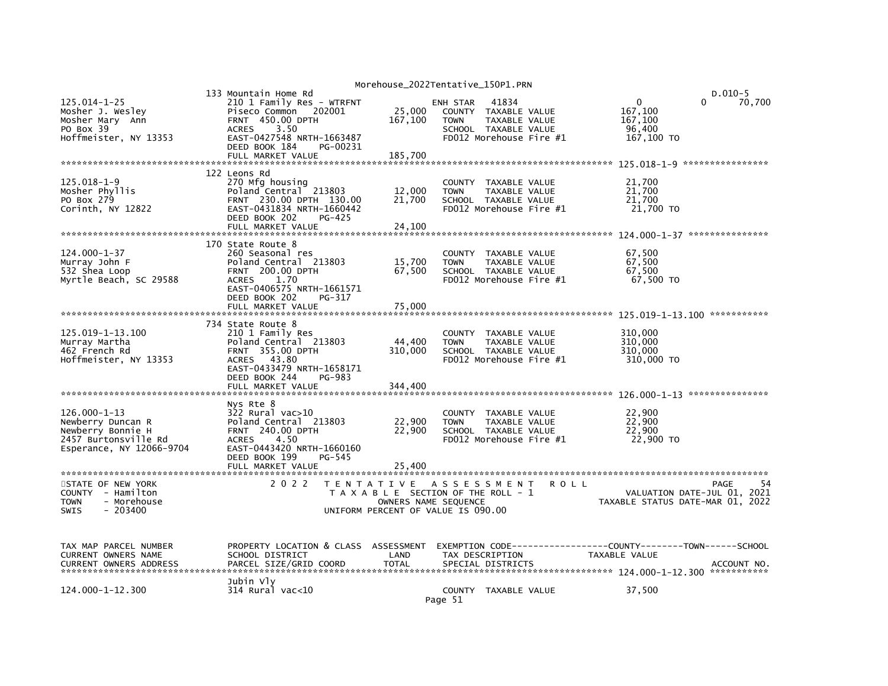|                                                                                                                  |                                                                                                                                                                                          |                              | Morehouse_2022Tentative_150P1.PRN                                                                             |                                |                                                        |                                           |
|------------------------------------------------------------------------------------------------------------------|------------------------------------------------------------------------------------------------------------------------------------------------------------------------------------------|------------------------------|---------------------------------------------------------------------------------------------------------------|--------------------------------|--------------------------------------------------------|-------------------------------------------|
| $125.014 - 1 - 25$<br>Mosher J. Wesley<br>Mosher Mary Ann<br>PO Box 39<br>Hoffmeister, NY 13353                  | 133 Mountain Home Rd<br>210 1 Family Res - WTRFNT<br>Piseco Common<br>202001<br><b>FRNT 450.00 DPTH</b><br><b>ACRES</b><br>3.50<br>EAST-0427548 NRTH-1663487                             | 25,000<br>167,100            | 41834<br>ENH STAR<br>COUNTY TAXABLE VALUE<br><b>TOWN</b><br>SCHOOL TAXABLE VALUE<br>FD012 Morehouse Fire $#1$ | TAXABLE VALUE                  | $\Omega$<br>167,100<br>167,100<br>96,400<br>167,100 TO | $D.010-5$<br>$\Omega$<br>70,700           |
|                                                                                                                  | DEED BOOK 184<br>PG-00231<br>FULL MARKET VALUE                                                                                                                                           | 185,700                      |                                                                                                               |                                |                                                        |                                           |
| $125.018 - 1 - 9$<br>Mosher Phyllis<br>PO Box 279<br>Corinth, NY 12822                                           | 122 Leons Rd<br>270 Mfg housing<br>Poland Central 213803<br>FRNT 230.00 DPTH 130.00<br>EAST-0431834 NRTH-1660442<br>DEED BOOK 202<br>PG-425<br>FULL MARKET VALUE                         | 12,000<br>21,700<br>24,100   | COUNTY<br><b>TOWN</b><br>SCHOOL TAXABLE VALUE<br>FD012 Morehouse Fire #1                                      | TAXABLE VALUE<br>TAXABLE VALUE | 21,700<br>21,700<br>21.700<br>21,700 TO                |                                           |
|                                                                                                                  |                                                                                                                                                                                          |                              |                                                                                                               |                                |                                                        |                                           |
| 124.000-1-37<br>Murray John F<br>532 Shea Loop<br>Myrtle Beach, SC 29588                                         | 170 State Route 8<br>260 Seasonal res<br>Poland Central 213803<br><b>FRNT 200.00 DPTH</b><br><b>ACRES</b><br>1.70<br>EAST-0406575 NRTH-1661571<br>DEED BOOK 202<br>PG-317                | 15,700<br>67,500             | <b>COUNTY</b><br><b>TOWN</b><br>SCHOOL TAXABLE VALUE<br>FD012 Morehouse Fire #1                               | TAXABLE VALUE<br>TAXABLE VALUE | 67.500<br>67,500<br>67,500<br>67,500 TO                |                                           |
|                                                                                                                  | FULL MARKET VALUE                                                                                                                                                                        | 75,000                       |                                                                                                               |                                | 125.019-1-13.100                                       | ***********                               |
| 125.019-1-13.100<br>Murray Martha<br>462 French Rd<br>Hoffmeister, NY 13353                                      | 734 State Route 8<br>210 1 Family Res<br>Poland Central 213803<br>FRNT 355.00 DPTH<br>43.80<br><b>ACRES</b><br>EAST-0433479 NRTH-1658171<br>DEED BOOK 244<br>PG-983<br>FULL MARKET VALUE | 44,400<br>310,000<br>344,400 | COUNTY TAXABLE VALUE<br><b>TOWN</b><br>SCHOOL TAXABLE VALUE<br>FD012 Morehouse Fire #1                        | TAXABLE VALUE                  | 310,000<br>310,000<br>310,000<br>310,000 TO            |                                           |
|                                                                                                                  | Nys Rte 8                                                                                                                                                                                |                              |                                                                                                               |                                |                                                        |                                           |
| $126.000 - 1 - 13$<br>Newberry Duncan R<br>Newberry Bonnie H<br>2457 Burtonsville Rd<br>Esperance, NY 12066-9704 | $322$ Rural vac $>10$<br>Poland Central 213803<br><b>FRNT 240.00 DPTH</b><br><b>ACRES</b><br>4.50<br>EAST-0443420 NRTH-1660160<br>DEED BOOK 199<br>PG-545                                | 22,900<br>22,900             | COUNTY TAXABLE VALUE<br><b>TOWN</b><br>SCHOOL TAXABLE VALUE<br>FD012 Morehouse Fire #1                        | TAXABLE VALUE                  | 22,900<br>22.900<br>22,900<br>22,900 TO                |                                           |
|                                                                                                                  | FULL MARKET VALUE                                                                                                                                                                        | 25,400                       |                                                                                                               |                                |                                                        |                                           |
| STATE OF NEW YORK<br>COUNTY - Hamilton<br><b>TOWN</b><br>- Morehouse<br>$-203400$<br><b>SWIS</b>                 | 2 0 2 2                                                                                                                                                                                  | OWNERS NAME SEQUENCE         | TENTATIVE ASSESSMENT<br>T A X A B L E SECTION OF THE ROLL - 1<br>UNIFORM PERCENT OF VALUE IS 090.00           | <b>ROLL</b>                    | TAXABLE STATUS DATE-MAR 01, 2022                       | PAGE<br>54<br>VALUATION DATE-JUL 01, 2021 |
| TAX MAP PARCEL NUMBER<br>CURRENT OWNERS NAME<br><b>CURRENT OWNERS ADDRESS</b><br>******************************* | PROPERTY LOCATION & CLASS ASSESSMENT<br>SCHOOL DISTRICT<br>PARCEL SIZE/GRID COORD                                                                                                        | LAND<br><b>TOTAL</b>         | TAX DESCRIPTION<br>SPECIAL DISTRICTS                                                                          |                                | TAXABLE VALUE                                          | ACCOUNT NO.<br>***********                |
| 124.000-1-12.300                                                                                                 | Jubin Vly<br>$314$ Rural vac< $10$                                                                                                                                                       |                              | COUNTY TAXABLE VALUE<br>Page 51                                                                               |                                | 37,500                                                 |                                           |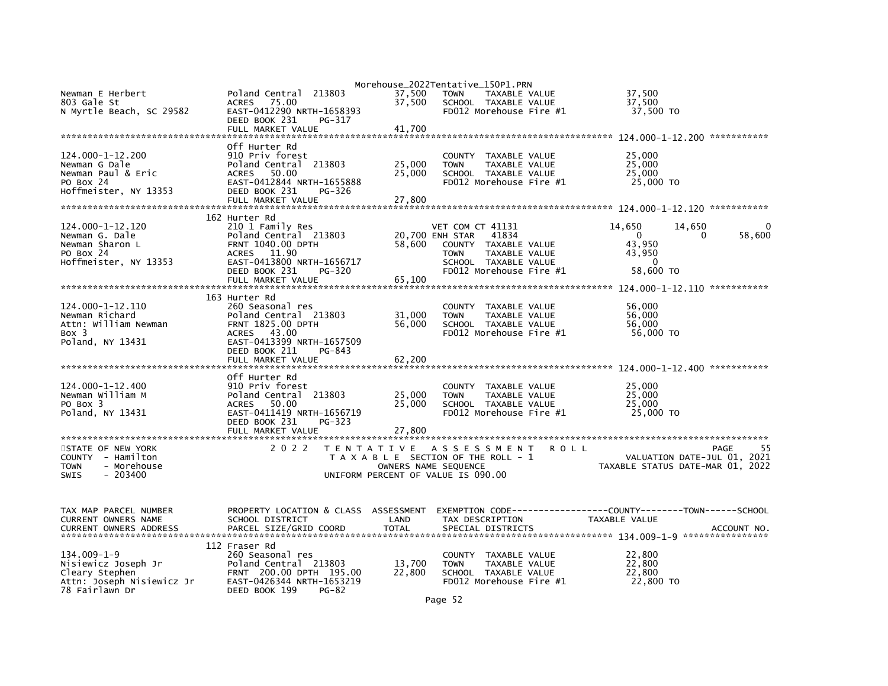| Newman E Herbert<br>803 Gale St<br>N Myrtle Beach, SC 29582                                               | Poland Central<br>213803<br>75.00<br><b>ACRES</b><br>EAST-0412290 NRTH-1658393<br>DEED BOOK 231<br>PG-317<br>FULL MARKET VALUE                                              | 37,500<br>37,500<br>41.700 | Morehouse_2022Tentative_150P1.PRN<br><b>TOWN</b><br>TAXABLE VALUE<br>SCHOOL TAXABLE VALUE<br>FD012 Morehouse Fire #1                                    | 37,500<br>37,500<br>37,500 TO                                                            |
|-----------------------------------------------------------------------------------------------------------|-----------------------------------------------------------------------------------------------------------------------------------------------------------------------------|----------------------------|---------------------------------------------------------------------------------------------------------------------------------------------------------|------------------------------------------------------------------------------------------|
| 124.000-1-12.200<br>Newman G Dale<br>Newman Paul & Eric<br>PO Box 24<br>Hoffmeister, NY 13353             | Off Hurter Rd<br>910 Priv forest<br>Poland Central 213803<br>50.00<br>ACRES<br>EAST-0412844 NRTH-1655888<br>DEED BOOK 231<br>PG-326<br>FULL MARKET VALUE                    | 25,000<br>25,000<br>27,800 | COUNTY TAXABLE VALUE<br><b>TOWN</b><br>TAXABLE VALUE<br>SCHOOL TAXABLE VALUE<br>FD012 Morehouse Fire #1                                                 | 25,000<br>25,000<br>25,000<br>25,000 TO                                                  |
| 124.000-1-12.120<br>Newman G. Dale<br>Newman Sharon L<br>PO Box 24<br>Hoffmeister, NY 13353               | 162 Hurter Rd<br>210 1 Family Res<br>Poland Central 213803<br>FRNT 1040.00 DPTH<br>ACRES 11.90<br>EAST-0413800 NRTH-1656717<br>DEED BOOK 231<br>PG-320<br>FULL MARKET VALUE | 58,600<br>65,100           | VET COM CT 41131<br>20,700 ENH STAR<br>41834<br>COUNTY TAXABLE VALUE<br>TAXABLE VALUE<br><b>TOWN</b><br>SCHOOL TAXABLE VALUE<br>FD012 Morehouse Fire #1 | 14,650<br>14,650<br>$\Omega$<br>0<br>58,600<br>43,950<br>43,950<br>$\Omega$<br>58,600 TO |
| 124.000-1-12.110<br>Newman Richard<br>Attn: William Newman<br>Box 3<br>Poland, NY 13431                   | 163 Hurter Rd<br>260 Seasonal res<br>Poland Central 213803<br>FRNT 1825.00 DPTH<br>ACRES 43.00<br>EAST-0413399 NRTH-1657509<br>DEED BOOK 211<br>PG-843<br>FULL MARKET VALUE | 31,000<br>56,000<br>62,200 | COUNTY TAXABLE VALUE<br>TAXABLE VALUE<br><b>TOWN</b><br>SCHOOL TAXABLE VALUE<br>FD012 Morehouse Fire #1                                                 | 56,000<br>56,000<br>56,000<br>56,000 TO                                                  |
| 124.000-1-12.400<br>Newman William M<br>PO Box 3<br>Poland, NY 13431                                      | Off Hurter Rd<br>910 Priv forest<br>Poland Central 213803<br>50.00<br>ACRES<br>EAST-0411419 NRTH-1656719<br>DEED BOOK 231<br>PG-323<br>FULL MARKET VALUE                    | 25,000<br>25,000<br>27,800 | COUNTY TAXABLE VALUE<br>TAXABLE VALUE<br><b>TOWN</b><br>SCHOOL TAXABLE VALUE<br>$FD012$ Morehouse Fire $#1$                                             | ***********<br>25,000<br>25,000<br>25,000<br>25,000 TO                                   |
| STATE OF NEW YORK<br>COUNTY - Hamilton<br><b>TOWN</b><br>- Morehouse<br>$-203400$<br><b>SWIS</b>          | 2 0 2 2                                                                                                                                                                     |                            | TENTATIVE ASSESSMENT<br><b>ROLL</b><br>T A X A B L E SECTION OF THE ROLL - 1<br>OWNERS NAME SEQUENCE<br>UNIFORM PERCENT OF VALUE IS 090.00              | 55<br>PAGE<br>VALUATION DATE-JUL 01, 2021<br>TAXABLE STATUS DATE-MAR 01, 2022            |
| TAX MAP PARCEL NUMBER<br>CURRENT OWNERS NAME<br><b>CURRENT OWNERS ADDRESS</b>                             | PROPERTY LOCATION & CLASS ASSESSMENT<br>SCHOOL DISTRICT<br>PARCEL SIZE/GRID COORD                                                                                           | LAND<br><b>TOTAL</b>       | TAX DESCRIPTION<br>SPECIAL DISTRICTS                                                                                                                    | TAXABLE VALUE<br>ACCOUNT NO.                                                             |
| $134.009 - 1 - 9$<br>Nisiewicz Joseph Jr<br>Cleary Stephen<br>Attn: Joseph Nisiewicz Jr<br>78 Fairlawn Dr | 112 Fraser Rd<br>260 Seasonal res<br>Poland Central 213803<br>FRNT 200.00 DPTH 195.00<br>EAST-0426344 NRTH-1653219<br>DEED BOOK 199<br>$PG-82$                              | 13,700<br>22,800           | COUNTY TAXABLE VALUE<br><b>TOWN</b><br>TAXABLE VALUE<br>SCHOOL TAXABLE VALUE<br>FD012 Morehouse Fire #1                                                 | 22.800<br>22,800<br>22,800<br>22,800 TO                                                  |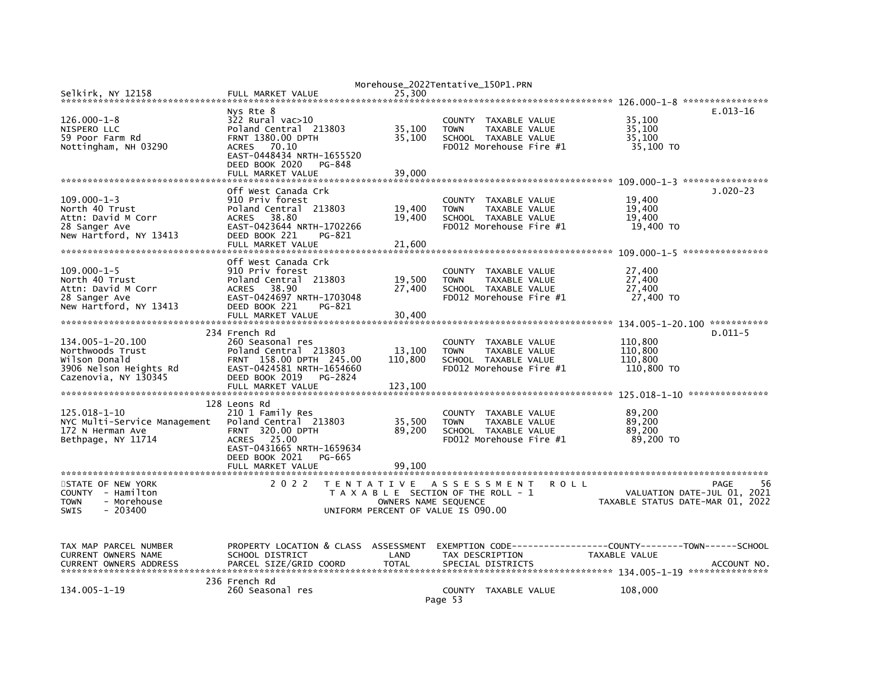| Selkirk, NY 12158             | FULL MARKET VALUE                                     | Morehouse_2022Tentative_150P1.PRN<br>25.300 |                                     |               |             |                                                              |                   |
|-------------------------------|-------------------------------------------------------|---------------------------------------------|-------------------------------------|---------------|-------------|--------------------------------------------------------------|-------------------|
|                               |                                                       |                                             |                                     |               |             |                                                              |                   |
| $126.000 - 1 - 8$             | Nys Rte 8<br>$322$ Rural vac $>10$                    |                                             | COUNTY TAXABLE VALUE                |               |             | 35,100                                                       | $E.013-16$        |
| NISPERO LLC                   | Poland Central 213803                                 | 35,100                                      | <b>TOWN</b>                         | TAXABLE VALUE |             | 35,100                                                       |                   |
| 59 Poor Farm Rd               | FRNT 1380.00 DPTH                                     | 35,100                                      | SCHOOL TAXABLE VALUE                |               |             | 35,100                                                       |                   |
| Nottingham, NH 03290          | ACRES<br>70.10                                        |                                             | FD012 Morehouse Fire #1             |               |             | 35,100 TO                                                    |                   |
|                               | EAST-0448434 NRTH-1655520<br>DEED BOOK 2020<br>PG-848 |                                             |                                     |               |             |                                                              |                   |
|                               | FULL MARKET VALUE                                     | 39,000                                      |                                     |               |             |                                                              |                   |
|                               |                                                       |                                             |                                     |               |             |                                                              |                   |
| $109.000 - 1 - 3$             | Off West Canada Crk                                   |                                             |                                     |               |             |                                                              | $J.020-23$        |
| North 40 Trust                | 910 Priv forest<br>Poland Central 213803              | 19,400                                      | COUNTY TAXABLE VALUE<br><b>TOWN</b> | TAXABLE VALUE |             | 19,400<br>19,400                                             |                   |
| Attn: David M Corr            | 38.80<br><b>ACRES</b>                                 | 19,400                                      | SCHOOL TAXABLE VALUE                |               |             | 19,400                                                       |                   |
| 28 Sanger Ave                 | EAST-0423644 NRTH-1702266                             |                                             | FD012 Morehouse Fire #1             |               |             | 19,400 TO                                                    |                   |
| New Hartford, NY 13413        | DEED BOOK 221<br>PG-821                               |                                             |                                     |               |             |                                                              |                   |
|                               | FULL MARKET VALUE                                     | 21,600                                      |                                     |               |             |                                                              |                   |
|                               |                                                       |                                             |                                     |               |             |                                                              |                   |
|                               | Off West Canada Crk                                   |                                             |                                     |               |             |                                                              |                   |
| $109.000 - 1 - 5$             | 910 Priv forest                                       |                                             | COUNTY TAXABLE VALUE                |               |             | 27,400                                                       |                   |
| North 40 Trust                | Poland Central 213803                                 | 19,500                                      | <b>TOWN</b>                         | TAXABLE VALUE |             | 27,400                                                       |                   |
| Attn: David M Corr            | 38.90<br><b>ACRES</b>                                 | 27,400                                      | SCHOOL TAXABLE VALUE                |               |             | 27,400                                                       |                   |
| 28 Sanger Ave                 | EAST-0424697 NRTH-1703048                             |                                             | FD012 Morehouse Fire #1             |               |             | 27,400 TO                                                    |                   |
| New Hartford, NY 13413        | DEED BOOK 221<br>PG-821                               |                                             |                                     |               |             |                                                              |                   |
|                               | FULL MARKET VALUE                                     | 30.400                                      |                                     |               |             |                                                              |                   |
|                               |                                                       |                                             |                                     |               |             |                                                              |                   |
|                               | 234 French Rd                                         |                                             |                                     |               |             |                                                              | $D.011 - 5$       |
| 134.005-1-20.100              | 260 Seasonal res                                      |                                             | COUNTY TAXABLE VALUE                |               |             | 110,800                                                      |                   |
| Northwoods Trust              | Poland Central 213803                                 | 13,100                                      | <b>TOWN</b>                         | TAXABLE VALUE |             | 110,800                                                      |                   |
| Wilson Donald                 | FRNT 158.00 DPTH 245.00                               | 110,800                                     | SCHOOL TAXABLE VALUE                |               |             | 110,800                                                      |                   |
| 3906 Nelson Heights Rd        | EAST-0424581 NRTH-1654660                             |                                             | FD012 Morehouse Fire #1             |               |             | 110,800 TO                                                   |                   |
| Cazenovia, NY 130345          | DEED BOOK 2019<br>PG-2824<br>FULL MARKET VALUE        | 123,100                                     |                                     |               |             |                                                              |                   |
|                               |                                                       |                                             |                                     |               |             |                                                              |                   |
|                               | 128 Leons Rd                                          |                                             |                                     |               |             |                                                              |                   |
| 125.018-1-10                  | 210 1 Family Res                                      |                                             | COUNTY                              | TAXABLE VALUE |             | 89,200                                                       |                   |
| NYC Multi-Service Management  | Poland Central 213803                                 | 35,500                                      | <b>TOWN</b>                         | TAXABLE VALUE |             | 89,200                                                       |                   |
| 172 N Herman Ave              | <b>FRNT 320.00 DPTH</b>                               | 89,200                                      | SCHOOL TAXABLE VALUE                |               |             | 89,200                                                       |                   |
| Bethpage, NY 11714            | 25.00<br><b>ACRES</b>                                 |                                             | FD012 Morehouse Fire #1             |               |             | 89,200 TO                                                    |                   |
|                               | EAST-0431665 NRTH-1659634                             |                                             |                                     |               |             |                                                              |                   |
|                               | DEED BOOK 2021<br>PG-665                              |                                             |                                     |               |             |                                                              |                   |
|                               | FULL MARKET VALUE                                     | 99.100                                      |                                     |               |             |                                                              |                   |
|                               |                                                       |                                             |                                     |               |             |                                                              |                   |
| STATE OF NEW YORK             | 2 0 2 2                                               | TENTATIVE ASSESSMENT                        |                                     |               | <b>ROLL</b> |                                                              | <b>PAGE</b><br>56 |
| COUNTY - Hamilton             |                                                       | T A X A B L E SECTION OF THE ROLL - 1       |                                     |               |             | VALUATION DATE-JUL 01, 2021                                  |                   |
| <b>TOWN</b><br>- Morehouse    |                                                       | OWNERS NAME SEQUENCE                        |                                     |               |             | TAXABLE STATUS DATE-MAR 01, 2022                             |                   |
| <b>SWIS</b><br>$-203400$      |                                                       | UNIFORM PERCENT OF VALUE IS 090.00          |                                     |               |             |                                                              |                   |
|                               |                                                       |                                             |                                     |               |             |                                                              |                   |
|                               |                                                       |                                             |                                     |               |             |                                                              |                   |
| TAX MAP PARCEL NUMBER         | PROPERTY LOCATION & CLASS ASSESSMENT                  |                                             |                                     |               |             | EXEMPTION CODE-----------------COUNTY-------TOWN------SCHOOL |                   |
| CURRENT OWNERS NAME           | SCHOOL DISTRICT                                       | LAND                                        | TAX DESCRIPTION                     |               |             | TAXABLE VALUE                                                |                   |
| <b>CURRENT OWNERS ADDRESS</b> | PARCEL SIZE/GRID COORD                                | <b>TOTAL</b>                                | SPECIAL DISTRICTS                   |               |             |                                                              | ACCOUNT NO.       |
|                               |                                                       |                                             |                                     |               |             |                                                              |                   |
|                               | 236 French Rd                                         |                                             |                                     |               |             |                                                              |                   |
| 134.005-1-19                  | 260 Seasonal res                                      |                                             | COUNTY TAXABLE VALUE                |               |             | 108,000                                                      |                   |
|                               |                                                       |                                             | Page 53                             |               |             |                                                              |                   |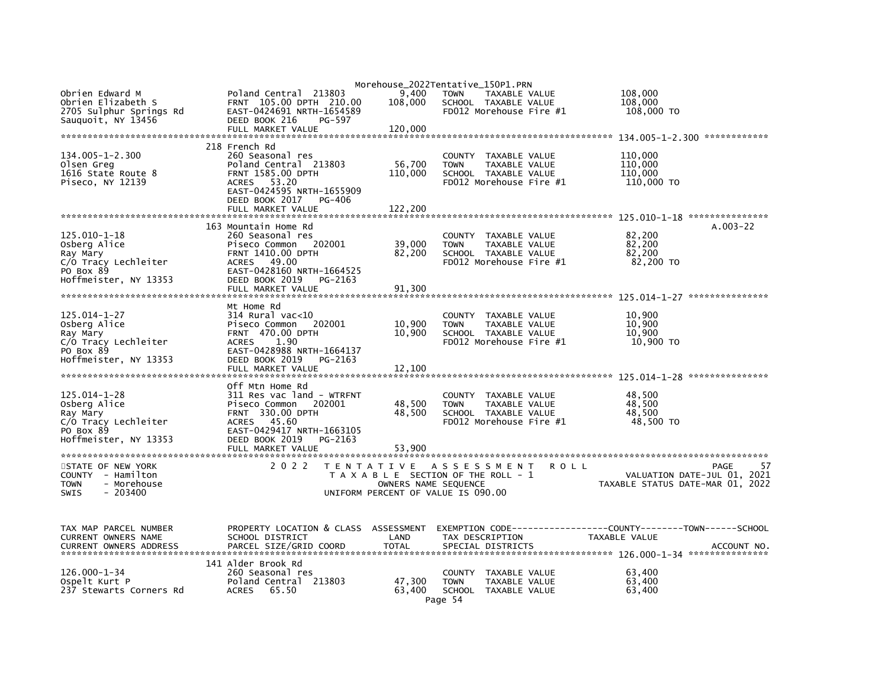|                                  |                                             |                      | Morehouse_2022Tentative_150P1.PRN                    |                                  |    |
|----------------------------------|---------------------------------------------|----------------------|------------------------------------------------------|----------------------------------|----|
| Obrien Edward M                  | Poland Central 213803                       | 9,400                | <b>TOWN</b><br>TAXABLE VALUE                         | 108,000                          |    |
| Obrien Elizabeth S               | FRNT 105.00 DPTH 210.00                     | 108,000              | SCHOOL TAXABLE VALUE                                 | 108,000                          |    |
| 2705 Sulphur Springs Rd          | EAST-0424691 NRTH-1654589                   |                      | FD012 Morehouse Fire #1                              | 108,000 TO                       |    |
| Sauguoit, NY 13456               | DEED BOOK 216<br>PG-597                     |                      |                                                      |                                  |    |
|                                  | FULL MARKET VALUE                           | 120,000              |                                                      |                                  |    |
|                                  |                                             |                      |                                                      |                                  |    |
|                                  | 218 French Rd                               |                      |                                                      |                                  |    |
| 134.005-1-2.300                  | 260 Seasonal res                            |                      | COUNTY TAXABLE VALUE                                 | 110,000                          |    |
| Olsen Greq                       | Poland Central 213803                       | 56,700               | <b>TOWN</b><br>TAXABLE VALUE                         | 110,000                          |    |
| 1616 State Route 8               | <b>FRNT 1585.00 DPTH</b>                    | 110,000              | SCHOOL TAXABLE VALUE                                 | 110.000                          |    |
| Piseco, NY 12139                 | ACRES 53.20                                 |                      | FD012 Morehouse Fire #1                              | 110,000 TO                       |    |
|                                  | EAST-0424595 NRTH-1655909                   |                      |                                                      |                                  |    |
|                                  | DEED BOOK 2017<br>PG-406                    |                      |                                                      |                                  |    |
|                                  | FULL MARKET VALUE                           | 122,200              |                                                      |                                  |    |
|                                  |                                             |                      |                                                      |                                  |    |
|                                  | 163 Mountain Home Rd                        |                      |                                                      | $A.003 - 22$                     |    |
| 125.010-1-18                     | 260 Seasonal res                            |                      | COUNTY TAXABLE VALUE                                 | 82,200                           |    |
| Osberg Alice                     | 202001<br>Piseco Common                     | 39,000               | TAXABLE VALUE<br><b>TOWN</b>                         | 82,200                           |    |
| Ray Mary                         | <b>FRNT 1410.00 DPTH</b>                    | 82,200               | SCHOOL TAXABLE VALUE                                 | 82,200                           |    |
| C/O Tracy Lechleiter             | ACRES 49.00                                 |                      | FD012 Morehouse Fire #1                              | 82,200 TO                        |    |
| PO Box 89                        | EAST-0428160 NRTH-1664525                   |                      |                                                      |                                  |    |
| Hoffmeister, NY 13353            | DEED BOOK 2019<br>PG-2163                   |                      |                                                      |                                  |    |
|                                  | FULL MARKET VALUE                           | 91,300               |                                                      |                                  |    |
|                                  |                                             |                      |                                                      |                                  |    |
|                                  | Mt Home Rd                                  |                      |                                                      |                                  |    |
| 125.014-1-27                     | $314$ Rural vac< $10$                       |                      | COUNTY TAXABLE VALUE                                 | 10,900                           |    |
| Osberg Alice                     | Piseco Common<br>202001                     | 10,900               | <b>TOWN</b><br>TAXABLE VALUE                         | 10,900                           |    |
| Ray Mary                         | <b>FRNT 470.00 DPTH</b>                     | 10,900               | SCHOOL TAXABLE VALUE                                 | 10,900                           |    |
| C/O Tracy Lechleiter             | 1.90<br><b>ACRES</b>                        |                      | FD012 Morehouse Fire #1                              | 10,900 TO                        |    |
| PO Box 89                        | EAST-0428988 NRTH-1664137                   |                      |                                                      |                                  |    |
| Hoffmeister, NY 13353            | DEED BOOK 2019<br>PG-2163                   |                      |                                                      |                                  |    |
|                                  | FULL MARKET VALUE                           | 12.100               |                                                      |                                  |    |
|                                  |                                             |                      |                                                      |                                  |    |
|                                  | Off Mtn Home Rd                             |                      |                                                      |                                  |    |
| 125.014-1-28                     | 311 Res vac land - WTRFNT                   |                      | COUNTY TAXABLE VALUE                                 | 48,500<br>48,500                 |    |
| Osberg Alice                     | Piseco Common<br>202001<br>FRNT 330.00 DPTH | 48,500<br>48.500     | <b>TOWN</b><br>TAXABLE VALUE<br>SCHOOL TAXABLE VALUE | 48.500                           |    |
| Ray Mary<br>C/O Tracy Lechleiter | 45.60<br><b>ACRES</b>                       |                      | FD012 Morehouse Fire #1                              | 48,500 TO                        |    |
| PO Box 89                        | EAST-0429417 NRTH-1663105                   |                      |                                                      |                                  |    |
| Hoffmeister, NY 13353            | DEED BOOK 2019<br>PG-2163                   |                      |                                                      |                                  |    |
|                                  | FULL MARKET VALUE                           | 53.900               |                                                      |                                  |    |
|                                  |                                             |                      |                                                      |                                  |    |
| STATE OF NEW YORK                | 2 0 2 2                                     |                      | TENTATIVE ASSESSMENT<br>R O L L                      | PAGE                             | 57 |
| COUNTY - Hamilton                |                                             |                      | T A X A B L E SECTION OF THE ROLL - 1                | VALUATION DATE-JUL 01, 2021      |    |
| <b>TOWN</b><br>- Morehouse       |                                             | OWNERS NAME SEQUENCE |                                                      | TAXABLE STATUS DATE-MAR 01, 2022 |    |
| $-203400$<br><b>SWIS</b>         |                                             |                      | UNIFORM PERCENT OF VALUE IS 090.00                   |                                  |    |
|                                  |                                             |                      |                                                      |                                  |    |
|                                  |                                             |                      |                                                      |                                  |    |
|                                  |                                             |                      |                                                      |                                  |    |
| TAX MAP PARCEL NUMBER            | PROPERTY LOCATION & CLASS ASSESSMENT        |                      |                                                      |                                  |    |
| CURRENT OWNERS NAME              | SCHOOL DISTRICT                             | LAND                 | TAX DESCRIPTION                                      | TAXABLE VALUE                    |    |
| <b>CURRENT OWNERS ADDRESS</b>    | PARCEL SIZE/GRID COORD                      | <b>TOTAL</b>         | SPECIAL DISTRICTS                                    | ACCOUNT NO.                      |    |
|                                  |                                             |                      |                                                      |                                  |    |
|                                  | 141 Alder Brook Rd                          |                      |                                                      |                                  |    |
| 126.000-1-34                     | 260 Seasonal res                            |                      | COUNTY TAXABLE VALUE                                 | 63,400                           |    |
| Ospelt Kurt P                    | Poland Central 213803                       | 47,300               | TAXABLE VALUE<br><b>TOWN</b>                         | 63,400                           |    |
| 237 Stewarts Corners Rd          | <b>ACRES</b><br>65.50                       | 63,400               | SCHOOL TAXABLE VALUE                                 | 63,400                           |    |
|                                  |                                             |                      | Page 54                                              |                                  |    |
|                                  |                                             |                      |                                                      |                                  |    |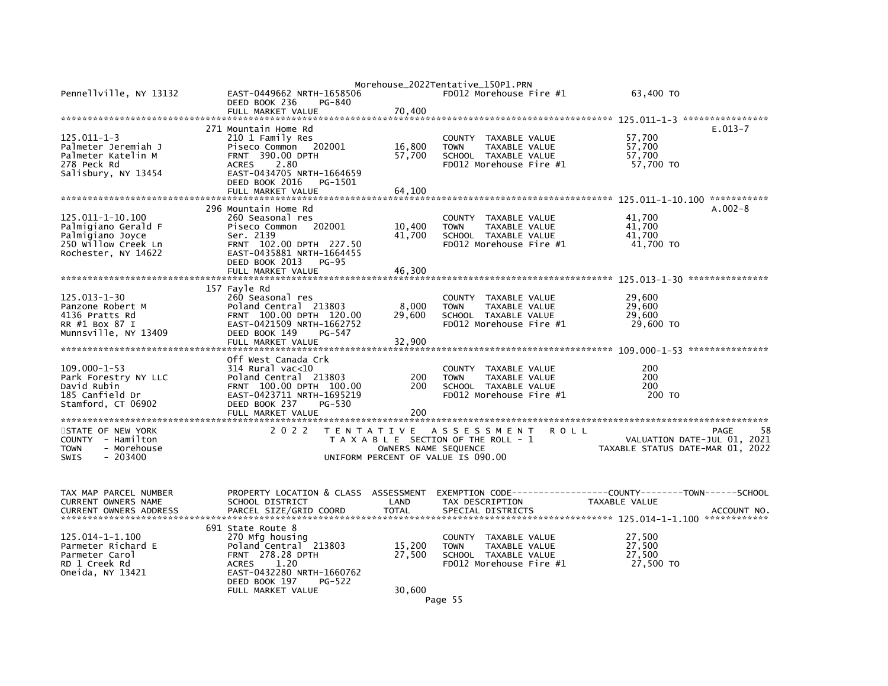| Pennellville, NY 13132                                                                                    | EAST-0449662 NRTH-1658506<br>DEED BOOK 236<br>PG-840                                                                                                                                            |                            | Morehouse_2022Tentative_150P1.PRN<br>FD012 Morehouse Fire $#1$                                                 | 63.400 TO                                                                     |            |
|-----------------------------------------------------------------------------------------------------------|-------------------------------------------------------------------------------------------------------------------------------------------------------------------------------------------------|----------------------------|----------------------------------------------------------------------------------------------------------------|-------------------------------------------------------------------------------|------------|
|                                                                                                           | FULL MARKET VALUE                                                                                                                                                                               | 70,400                     |                                                                                                                |                                                                               |            |
|                                                                                                           |                                                                                                                                                                                                 |                            |                                                                                                                |                                                                               |            |
| $125.011 - 1 - 3$<br>Palmeter Jeremiah J<br>Palmeter Katelin M<br>278 Peck Rd<br>Salisbury, NY 13454      | 271 Mountain Home Rd<br>210 1 Family Res<br>Piseco Common<br>202001<br>FRNT 390.00 DPTH<br>2.80<br><b>ACRES</b><br>EAST-0434705 NRTH-1664659<br>DEED BOOK 2016<br>PG-1501<br>FULL MARKET VALUE  | 16,800<br>57,700<br>64,100 | COUNTY TAXABLE VALUE<br>TAXABLE VALUE<br><b>TOWN</b><br>SCHOOL TAXABLE VALUE<br>FD012 Morehouse Fire #1        | $E.013-7$<br>57,700<br>57,700<br>57,700<br>57,700 TO                          |            |
|                                                                                                           |                                                                                                                                                                                                 |                            |                                                                                                                |                                                                               |            |
| 125.011-1-10.100<br>Palmigiano Gerald F<br>Palmigiano Joyce<br>250 Willow Creek Ln<br>Rochester, NY 14622 | 296 Mountain Home Rd<br>260 Seasonal res<br>Piseco Common<br>202001<br>Ser. 2139<br>FRNT 102.00 DPTH 227.50<br>EAST-0435881 NRTH-1664455<br>DEED BOOK 2013<br><b>PG-95</b><br>FULL MARKET VALUE | 10,400<br>41,700<br>46,300 | COUNTY<br>TAXABLE VALUE<br>TAXABLE VALUE<br><b>TOWN</b><br>SCHOOL TAXABLE VALUE<br>FD012 Morehouse Fire #1     | $A.002-8$<br>41,700<br>41,700<br>41,700<br>41.700 TO                          |            |
|                                                                                                           |                                                                                                                                                                                                 |                            |                                                                                                                |                                                                               |            |
| $125.013 - 1 - 30$<br>Panzone Robert M<br>4136 Pratts Rd<br>RR #1 Box 87 I<br>Munnsville, NY 13409        | 157 Fayle Rd<br>260 Seasonal res<br>Poland Central 213803<br>FRNT 100.00 DPTH 120.00<br>EAST-0421509 NRTH-1662752<br>DEED BOOK 149<br>PG-547<br>FULL MARKET VALUE                               | 8,000<br>29.600<br>32,900  | COUNTY<br>TAXABLE VALUE<br>TAXABLE VALUE<br><b>TOWN</b><br>SCHOOL TAXABLE VALUE<br>FD012 Morehouse Fire #1     | 29,600<br>29,600<br>29,600<br>29,600 TO                                       |            |
|                                                                                                           | Off West Canada Crk                                                                                                                                                                             |                            |                                                                                                                |                                                                               |            |
| $109.000 - 1 - 53$<br>Park Forestry NY LLC<br>David Rubin<br>185 Canfield Dr<br>Stamford, CT 06902        | $314$ Rural vac<10<br>Poland Central 213803<br>FRNT 100.00 DPTH 100.00<br>EAST-0423711 NRTH-1695219<br>DEED BOOK 237<br>PG-530<br>FULL MARKET VALUE                                             | 200<br>200<br>200          | COUNTY<br>TAXABLE VALUE<br><b>TOWN</b><br>TAXABLE VALUE<br>SCHOOL TAXABLE VALUE<br>FD012 Morehouse Fire #1     | 200<br>200<br>200<br>200 TO                                                   |            |
|                                                                                                           |                                                                                                                                                                                                 |                            |                                                                                                                |                                                                               |            |
| STATE OF NEW YORK<br>COUNTY - Hamilton<br><b>TOWN</b><br>- Morehouse<br><b>SWIS</b><br>$-203400$          | 2 0 2 2                                                                                                                                                                                         | OWNERS NAME SEQUENCE       | TENTATIVE ASSESSMENT<br>R O L L<br>T A X A B L E SECTION OF THE ROLL - 1<br>UNIFORM PERCENT OF VALUE IS 090.00 | PAGE<br>VALUATION DATE-JUL 01, 2021<br>TAXABLE STATUS DATE-MAR 01, 2022       | 58         |
| TAX MAP PARCEL NUMBER<br>CURRENT OWNERS NAME<br><b>CURRENT OWNERS ADDRESS</b>                             | PROPERTY LOCATION & CLASS ASSESSMENT<br>SCHOOL DISTRICT<br>PARCEL SIZE/GRID COORD                                                                                                               | LAND<br><b>TOTAL</b>       | TAX DESCRIPTION<br>SPECIAL DISTRICTS                                                                           | EXEMPTION CODE-----------------COUNTY-------TOWN------SCHOOL<br>TAXABLE VALUE | ACCOUNT NO |
| $125.014 - 1 - 1.100$<br>Parmeter Richard E<br>Parmeter Carol<br>RD 1 Creek Rd<br>Oneida, NY 13421        | 691 State Route 8<br>270 Mfg housing<br>Poland Central 213803<br><b>FRNT 278.28 DPTH</b><br>1.20<br><b>ACRES</b><br>EAST-0432280 NRTH-1660762<br>DEED BOOK 197<br>PG-522<br>FULL MARKET VALUE   | 15,200<br>27,500<br>30,600 | COUNTY TAXABLE VALUE<br>TAXABLE VALUE<br><b>TOWN</b><br>SCHOOL TAXABLE VALUE<br>FD012 Morehouse Fire #1        | 27,500<br>27,500<br>27,500<br>27,500 TO                                       |            |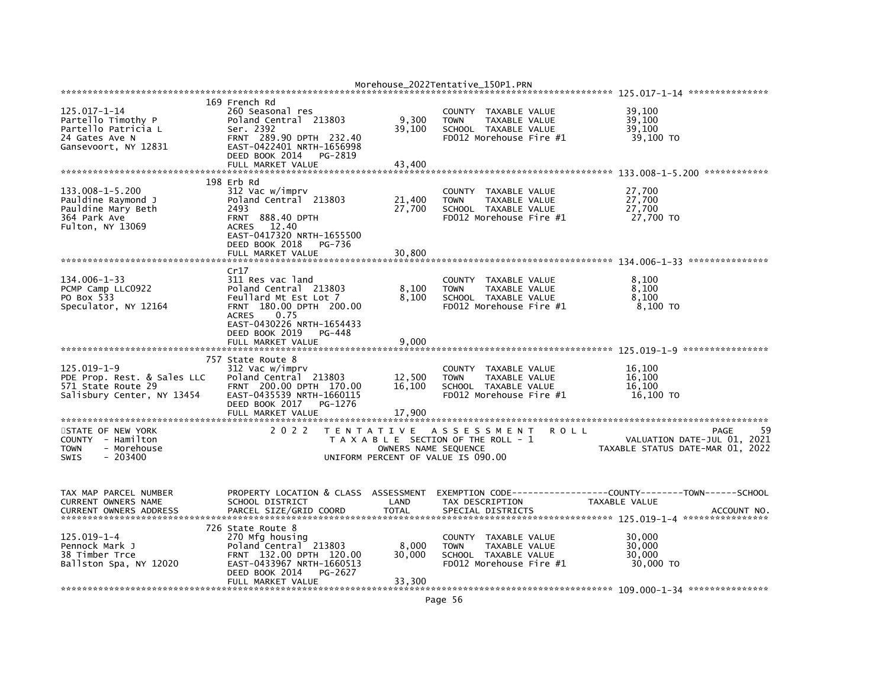|                                                                                                           |                                                                                                                                                                                                             |                            | MOLENONSE __ ZOZZIENLALIVE_IJOPI.PRN                                                                               |                                                                               |
|-----------------------------------------------------------------------------------------------------------|-------------------------------------------------------------------------------------------------------------------------------------------------------------------------------------------------------------|----------------------------|--------------------------------------------------------------------------------------------------------------------|-------------------------------------------------------------------------------|
|                                                                                                           | 169 French Rd                                                                                                                                                                                               |                            |                                                                                                                    |                                                                               |
| $125.017 - 1 - 14$<br>Partello Timothy P<br>Partello Patricia L<br>24 Gates Ave N<br>Gansevoort, NY 12831 | 260 Seasonal res<br>Poland Central 213803<br>Ser. 2392<br>FRNT 289.90 DPTH 232.40<br>EAST-0422401 NRTH-1656998                                                                                              | 9,300<br>39,100            | COUNTY TAXABLE VALUE<br><b>TOWN</b><br>TAXABLE VALUE<br>SCHOOL TAXABLE VALUE<br>FD012 Morehouse Fire #1            | 39,100<br>39,100<br>39,100<br>39,100 TO                                       |
|                                                                                                           | DEED BOOK 2014<br>PG-2819<br>FULL MARKET VALUE                                                                                                                                                              | 43,400                     |                                                                                                                    |                                                                               |
| $133.008 - 1 - 5.200$<br>Pauldine Raymond J<br>Pauldine Mary Beth<br>364 Park Ave<br>Fulton, NY 13069     | 198 Erb Rd<br>312 Vac w/imprv<br>Poland Central 213803<br>2493<br><b>FRNT 888.40 DPTH</b><br>ACRES 12.40<br>EAST-0417320 NRTH-1655500<br>DEED BOOK 2018<br>PG-736                                           | 21,400<br>27,700           | COUNTY TAXABLE VALUE<br><b>TOWN</b><br>TAXABLE VALUE<br>SCHOOL TAXABLE VALUE<br>$FD012$ Morehouse Fire $#1$        | 27,700<br>27,700<br>27,700<br>27,700 TO                                       |
|                                                                                                           | FULL MARKET VALUE                                                                                                                                                                                           | 30,800                     |                                                                                                                    |                                                                               |
| 134.006-1-33<br>PCMP Camp LLC0922<br>PO Box 533<br>Speculator, NY 12164                                   | Cr17<br>311 Res vac land<br>Poland Central 213803<br>Feullard Mt Est Lot 7<br>FRNT 180.00 DPTH 200.00<br>0.75<br><b>ACRES</b><br>EAST-0430226 NRTH-1654433<br>DEED BOOK 2019<br>PG-448<br>FULL MARKET VALUE | 8,100<br>8,100             | COUNTY TAXABLE VALUE<br>TAXABLE VALUE<br><b>TOWN</b><br>SCHOOL TAXABLE VALUE<br>FD012 Morehouse Fire #1            | 8,100<br>8,100<br>8.100<br>8,100 TO                                           |
|                                                                                                           |                                                                                                                                                                                                             | 9,000                      |                                                                                                                    |                                                                               |
| $125.019 - 1 - 9$<br>PDE Prop. Rest. & Sales LLC<br>571 State Route 29<br>Salisbury Center, NY 13454      | 757 State Route 8<br>312 Vac w/imprv<br>Poland Central 213803<br>FRNT 200.00 DPTH 170.00<br>EAST-0435539 NRTH-1660115<br>DEED BOOK 2017<br>PG-1276<br>FULL MARKET VALUE                                     | 12,500<br>16,100<br>17,900 | COUNTY TAXABLE VALUE<br><b>TAXABLE VALUE</b><br><b>TOWN</b><br>SCHOOL TAXABLE VALUE<br>FD012 Morehouse Fire #1     | 16,100<br>16.100<br>16.100<br>16,100 TO                                       |
| STATE OF NEW YORK<br>COUNTY - Hamilton<br>- Morehouse<br><b>TOWN</b><br><b>SWIS</b><br>$-203400$          | 2 0 2 2                                                                                                                                                                                                     | OWNERS NAME SEQUENCE       | TENTATIVE ASSESSMENT<br><b>ROLL</b><br>T A X A B L E SECTION OF THE ROLL - 1<br>UNIFORM PERCENT OF VALUE IS 090.00 | 59<br>PAGE<br>VALUATION DATE-JUL 01, 2021<br>TAXABLE STATUS DATE-MAR 01, 2022 |
| TAX MAP PARCEL NUMBER<br>CURRENT OWNERS NAME<br><b>CURRENT OWNERS ADDRESS</b>                             | PROPERTY LOCATION & CLASS ASSESSMENT<br>SCHOOL DISTRICT<br>PARCEL SIZE/GRID COORD                                                                                                                           | LAND<br><b>TOTAL</b>       | TAX DESCRIPTION<br>SPECIAL DISTRICTS                                                                               | <b>TAXABLE VALUE</b><br>ACCOUNT NO.                                           |
| 125.019-1-4<br>Pennock Mark J<br>38 Timber Trce<br>Ballston Spa, NY 12020                                 | 726 State Route 8<br>270 Mfg housing<br>Poland Central 213803<br>FRNT 132.00 DPTH 120.00<br>EAST-0433967 NRTH-1660513<br>DEED BOOK 2014<br>PG-2627<br>FULL MARKET VALUE                                     | 8,000<br>30,000<br>33,300  | COUNTY TAXABLE VALUE<br><b>TOWN</b><br>TAXABLE VALUE<br>SCHOOL TAXABLE VALUE<br>FD012 Morehouse Fire #1            | 30,000<br>30,000<br>30,000<br>30,000 TO                                       |

Morehouse 2022Tentative 150P1 PRN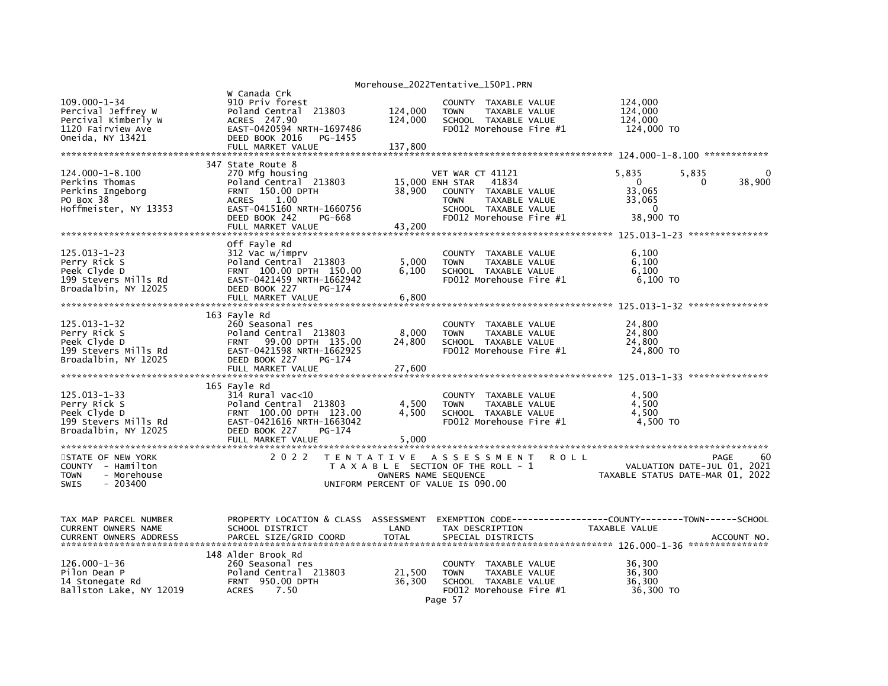|                                                                                                    |                                                                                                                                                                                        |                               | Morehouse_2022Tentative_150P1.PRN                                                                                                                       |                                                                                         |             |
|----------------------------------------------------------------------------------------------------|----------------------------------------------------------------------------------------------------------------------------------------------------------------------------------------|-------------------------------|---------------------------------------------------------------------------------------------------------------------------------------------------------|-----------------------------------------------------------------------------------------|-------------|
| 109.000-1-34<br>Percival Jeffrey W<br>Percival Kimberly W<br>1120 Fairview Ave<br>Oneida, NY 13421 | W Canada Crk<br>910 Priv forest<br>Poland Central 213803<br>ACRES 247.90<br>EAST-0420594 NRTH-1697486<br>DEED BOOK 2016<br>PG-1455<br>FULL MARKET VALUE                                | 124,000<br>124,000<br>137,800 | COUNTY TAXABLE VALUE<br><b>TOWN</b><br>TAXABLE VALUE<br>SCHOOL TAXABLE VALUE<br>FD012 Morehouse Fire #1                                                 | 124,000<br>124,000<br>124,000<br>124,000 TO                                             |             |
| 124.000-1-8.100<br>Perkins Thomas<br>Perkins Ingeborg<br>PO Box 38<br>Hoffmeister, NY 13353        | 347 State Route 8<br>270 Mfg housing<br>Poland Central 213803<br>FRNT 150.00 DPTH<br>1.00<br><b>ACRES</b><br>EAST-0415160 NRTH-1660756<br>DEED BOOK 242<br>PG-668<br>FULL MARKET VALUE | 38,900<br>43,200              | VET WAR CT 41121<br>15,000 ENH STAR<br>41834<br>COUNTY TAXABLE VALUE<br>TAXABLE VALUE<br><b>TOWN</b><br>SCHOOL TAXABLE VALUE<br>FD012 Morehouse Fire #1 | 5,835<br>5,835<br>$\mathbf{0}$<br>$\Omega$<br>33,065<br>33,065<br>$\Omega$<br>38,900 TO | 0<br>38,900 |
| 125.013-1-23<br>Perry Rick S<br>Peek Clyde D<br>199 Stevers Mills Rd<br>Broadalbin, NY 12025       | Off Fayle Rd<br>312 Vac w/imprv<br>Poland Central 213803<br>FRNT 100.00 DPTH 150.00<br>EAST-0421459 NRTH-1662942<br>DEED BOOK 227<br>PG-174<br>FULL MARKET VALUE                       | 5,000<br>6,100<br>6,800       | COUNTY TAXABLE VALUE<br><b>TOWN</b><br>TAXABLE VALUE<br>SCHOOL TAXABLE VALUE<br>$FD012$ Morehouse Fire $#1$                                             | 6,100<br>6,100<br>6,100<br>$6,100$ TO                                                   |             |
| 125.013-1-32<br>Perry Rick S<br>Peek Clyde D<br>199 Stevers Mills Rd<br>Broadalbin, NY 12025       | 163 Fayle Rd<br>260 Seasonal res<br>Poland Central 213803<br>99.00 DPTH 135.00<br><b>FRNT</b><br>EAST-0421598 NRTH-1662925<br>DEED BOOK 227<br>PG-174                                  | 8,000<br>24,800               | COUNTY TAXABLE VALUE<br>TAXABLE VALUE<br>TOWN<br>SCHOOL TAXABLE VALUE<br>FD012 Morehouse Fire #1                                                        | 24,800<br>24,800<br>24,800<br>24,800 TO                                                 |             |
| 125.013-1-33<br>Perry Rick S<br>Peek Clyde D<br>199 Stevers Mills Rd<br>Broadalbin, NY 12025       | 165 Fayle Rd<br>$314$ Rural vac< $10$<br>Poland Central 213803<br>FRNT 100.00 DPTH 123.00<br>EAST-0421616 NRTH-1663042<br>DEED BOOK 227<br>$PG-174$<br>FULL MARKET VALUE               | 4,500<br>4.500<br>5,000       | <b>COUNTY</b><br>TAXABLE VALUE<br><b>TOWN</b><br>TAXABLE VALUE<br>SCHOOL TAXABLE VALUE<br>$FD012$ Morehouse Fire $#1$                                   | 4,500<br>4,500<br>4.500<br>4.500 TO                                                     |             |
| STATE OF NEW YORK<br>COUNTY - Hamilton<br><b>TOWN</b><br>- Morehouse<br>$-203400$<br><b>SWIS</b>   | 2 0 2 2                                                                                                                                                                                |                               | TENTATIVE ASSESSMENT<br><b>ROLL</b><br>T A X A B L E SECTION OF THE ROLL - 1<br>OWNERS NAME SEQUENCE<br>UNIFORM PERCENT OF VALUE IS 090.00              | PAGE<br>VALUATION DATE-JUL 01, 2021<br>TAXABLE STATUS DATE-MAR 01, 2022                 | 60          |
| TAX MAP PARCEL NUMBER<br>CURRENT OWNERS NAME<br><b>CURRENT OWNERS ADDRESS</b>                      | PROPERTY LOCATION & CLASS ASSESSMENT<br>SCHOOL DISTRICT<br>PARCEL SIZE/GRID COORD                                                                                                      | LAND<br><b>TOTAL</b>          | TAX DESCRIPTION<br>SPECIAL DISTRICTS                                                                                                                    | TAXABLE VALUE                                                                           | ACCOUNT NO  |
| 126.000-1-36<br>Pilon Dean P<br>14 Stonegate Rd<br>Ballston Lake, NY 12019                         | 148 Alder Brook Rd<br>260 Seasonal res<br>Poland Central 213803<br><b>FRNT 950.00 DPTH</b><br>7.50<br><b>ACRES</b>                                                                     | 21,500<br>36,300              | COUNTY TAXABLE VALUE<br><b>TOWN</b><br>TAXABLE VALUE<br>SCHOOL TAXABLE VALUE<br>FD012 Morehouse Fire $#1$<br>Page 57                                    | 36,300<br>36.300<br>36.300<br>36,300 TO                                                 |             |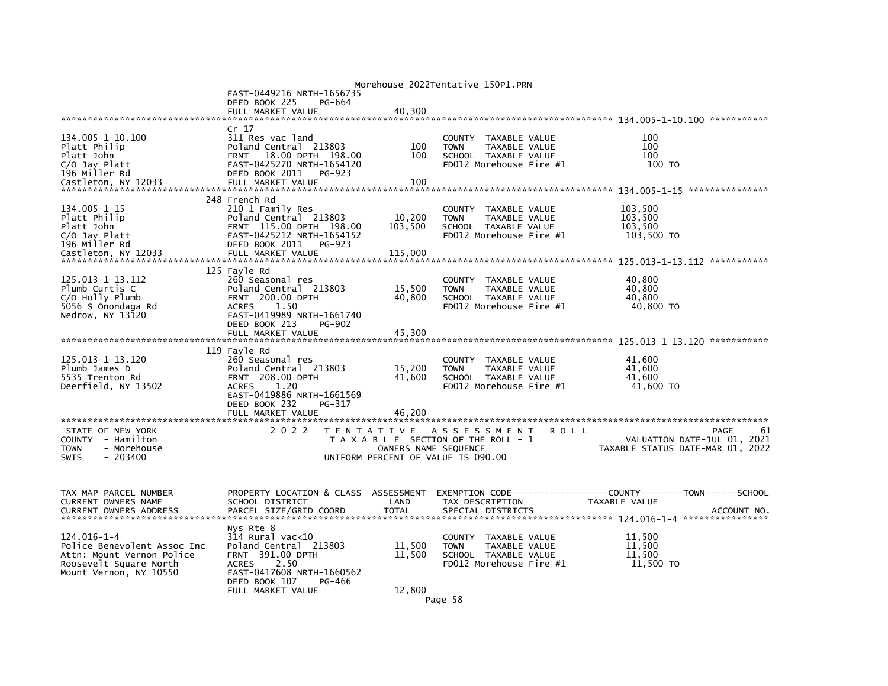| Morehouse_2022Tentative_150P1.PRN |                                                      |                      |                                                         |                                     |  |
|-----------------------------------|------------------------------------------------------|----------------------|---------------------------------------------------------|-------------------------------------|--|
|                                   | EAST-0449216 NRTH-1656735                            |                      |                                                         |                                     |  |
|                                   | DEED BOOK 225<br>PG-664                              |                      |                                                         |                                     |  |
|                                   | FULL MARKET VALUE                                    | 40,300               |                                                         |                                     |  |
|                                   | Cr 17                                                |                      |                                                         |                                     |  |
| 134.005-1-10.100                  | 311 Res vac land                                     |                      | COUNTY<br>TAXABLE VALUE                                 | 100                                 |  |
| Platt Philip                      | Poland Central 213803                                | 100                  | TAXABLE VALUE<br><b>TOWN</b>                            | 100                                 |  |
| Platt John                        | 18.00 DPTH 198.00<br><b>FRNT</b>                     | 100                  | SCHOOL TAXABLE VALUE                                    | 100                                 |  |
| C/O Jay Platt                     | EAST-0425270 NRTH-1654120                            |                      | FD012 Morehouse Fire #1                                 | 100 TO                              |  |
| 196 Miller Rd                     | DEED BOOK 2011<br>PG-923                             |                      |                                                         |                                     |  |
| Castleton, NY 12033               | FULL MARKET VALUE                                    | 100                  |                                                         |                                     |  |
|                                   |                                                      |                      |                                                         |                                     |  |
|                                   | 248 French Rd                                        |                      |                                                         |                                     |  |
| 134.005-1-15                      | 210 1 Family Res                                     |                      | <b>COUNTY</b><br>TAXABLE VALUE                          | 103,500                             |  |
| Platt Philip                      | Poland Central 213803                                | 10,200               | TAXABLE VALUE<br><b>TOWN</b>                            | 103,500                             |  |
| Platt John                        | FRNT 115.00 DPTH 198.00                              | 103,500              | SCHOOL TAXABLE VALUE                                    | 103.500                             |  |
| C/O Jay Platt                     | EAST-0425212 NRTH-1654152                            |                      | FD012 Morehouse Fire #1                                 | 103,500 TO                          |  |
| 196 Miller Rd                     | DEED BOOK 2011<br>PG-923                             |                      |                                                         |                                     |  |
| Castleton. NY 12033               | FULL MARKET VALUE                                    | 115,000              |                                                         | ***********                         |  |
|                                   | 125 Fayle Rd                                         |                      |                                                         |                                     |  |
| 125.013-1-13.112                  | 260 Seasonal res                                     |                      | COUNTY TAXABLE VALUE                                    | 40,800                              |  |
| Plumb Curtis C                    | Poland Central 213803                                | 15,500               | TAXABLE VALUE<br><b>TOWN</b>                            | 40,800                              |  |
| C/O Holly Plumb                   | <b>FRNT 200.00 DPTH</b>                              | 40,800               | SCHOOL TAXABLE VALUE                                    | 40.800                              |  |
| 5056 S Onondaga Rd                | 1.50<br><b>ACRES</b>                                 |                      | FD012 Morehouse Fire #1                                 | 40,800 TO                           |  |
| Nedrow, NY 13120                  | EAST-0419989 NRTH-1661740                            |                      |                                                         |                                     |  |
|                                   | DEED BOOK 213<br><b>PG-902</b>                       |                      |                                                         |                                     |  |
|                                   | FULL MARKET VALUE                                    | 45,300               |                                                         |                                     |  |
|                                   |                                                      |                      |                                                         |                                     |  |
|                                   | 119 Fayle Rd                                         |                      |                                                         |                                     |  |
| 125.013-1-13.120<br>Plumb James D | 260 Seasonal res<br>Poland Central 213803            | 15,200               | COUNTY<br>TAXABLE VALUE<br><b>TOWN</b><br>TAXABLE VALUE | 41,600<br>41,600                    |  |
| 5535 Trenton Rd                   | <b>FRNT 208.00 DPTH</b>                              | 41,600               | SCHOOL TAXABLE VALUE                                    | 41,600                              |  |
| Deerfield, NY 13502               | <b>ACRES</b><br>1.20                                 |                      | FD012 Morehouse Fire #1                                 | 41,600 TO                           |  |
|                                   | EAST-0419886 NRTH-1661569                            |                      |                                                         |                                     |  |
|                                   | DEED BOOK 232<br>PG-317                              |                      |                                                         |                                     |  |
|                                   | FULL MARKET VALUE                                    | 46.200               |                                                         |                                     |  |
|                                   |                                                      |                      |                                                         |                                     |  |
| STATE OF NEW YORK                 | 2 0 2 2                                              |                      | TENTATIVE ASSESSMENT<br><b>ROLL</b>                     | 61<br>PAGE                          |  |
| COUNTY - Hamilton                 |                                                      |                      | T A X A B L E SECTION OF THE ROLL - 1                   | VALUATION DATE-JUL 01, 2021         |  |
| - Morehouse<br><b>TOWN</b>        |                                                      | OWNERS NAME SEQUENCE |                                                         | TAXABLE STATUS DATE-MAR 01, 2022    |  |
| $-203400$<br>SWIS                 |                                                      |                      | UNIFORM PERCENT OF VALUE IS 090.00                      |                                     |  |
|                                   |                                                      |                      |                                                         |                                     |  |
|                                   |                                                      |                      |                                                         |                                     |  |
| TAX MAP PARCEL NUMBER             | PROPERTY LOCATION & CLASS ASSESSMENT                 |                      | EXEMPTION CODE---------                                 | -----COUNTY--------TOWN------SCHOOL |  |
| CURRENT OWNERS NAME               | SCHOOL DISTRICT                                      | LAND                 | TAX DESCRIPTION                                         | TAXABLE VALUE                       |  |
| <b>CURRENT OWNERS ADDRESS</b>     | PARCEL SIZE/GRID COORD                               | <b>TOTAL</b>         | SPECIAL DISTRICTS                                       | ACCOUNT NO.                         |  |
|                                   |                                                      |                      |                                                         |                                     |  |
|                                   | Nys Rte 8                                            |                      |                                                         |                                     |  |
| 124.016-1-4                       | 314 Rural vac<10                                     |                      | COUNTY TAXABLE VALUE                                    | 11,500                              |  |
| Police Benevolent Assoc Inc       | Poland Central 213803                                | 11,500               | TAXABLE VALUE<br><b>TOWN</b>                            | 11,500                              |  |
| Attn: Mount Vernon Police         | FRNT 391.00 DPTH                                     | 11,500               | SCHOOL TAXABLE VALUE                                    | 11,500                              |  |
| Roosevelt Square North            | 2.50<br><b>ACRES</b>                                 |                      | FD012 Morehouse Fire #1                                 | 11,500 TO                           |  |
| Mount Vernon, NY 10550            | EAST-0417608 NRTH-1660562<br>DEED BOOK 107<br>PG-466 |                      |                                                         |                                     |  |
|                                   | FULL MARKET VALUE                                    | 12,800               |                                                         |                                     |  |
|                                   |                                                      |                      |                                                         |                                     |  |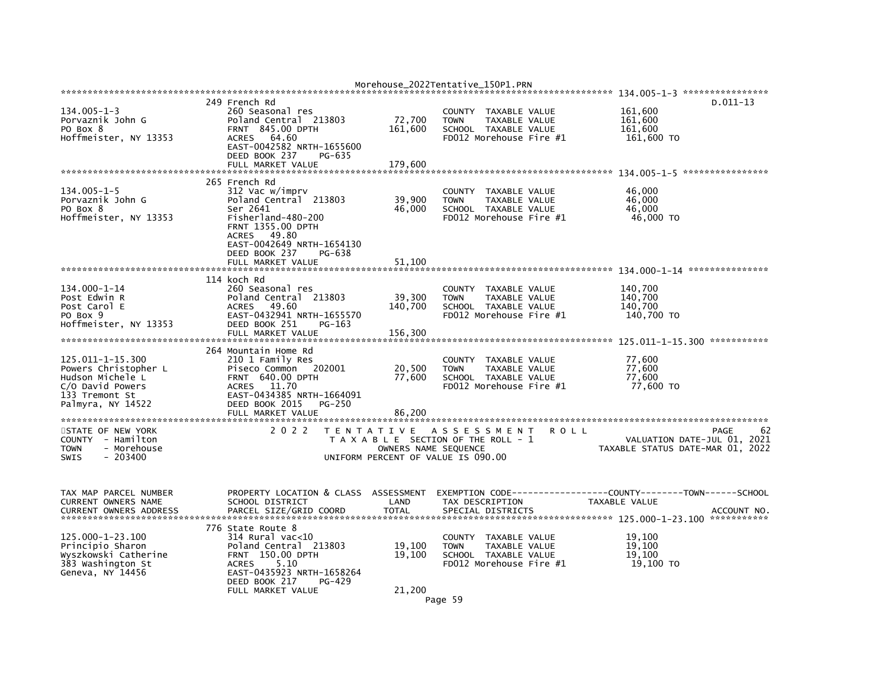|                                                 |                                            |                      | Morehouse 2022Tentative 150P1.PRN               |                                                                 |
|-------------------------------------------------|--------------------------------------------|----------------------|-------------------------------------------------|-----------------------------------------------------------------|
|                                                 | 249 French Rd                              |                      |                                                 | $D.011-13$                                                      |
| $134.005 - 1 - 3$                               | 260 Seasonal res                           |                      | COUNTY TAXABLE VALUE                            | 161,600                                                         |
| Porvaznik John G                                | Poland Central 213803                      | 72,700               | <b>TOWN</b><br>TAXABLE VALUE                    | 161,600                                                         |
| PO Box 8                                        | FRNT 845.00 DPTH                           | 161,600              | SCHOOL TAXABLE VALUE                            | 161,600                                                         |
| Hoffmeister, NY 13353                           | ACRES<br>64.60                             |                      | FD012 Morehouse Fire #1                         | 161,600 TO                                                      |
|                                                 | EAST-0042582 NRTH-1655600                  |                      |                                                 |                                                                 |
|                                                 | DEED BOOK 237<br>PG-635                    |                      |                                                 |                                                                 |
|                                                 | FULL MARKET VALUE                          | 179,600              |                                                 |                                                                 |
|                                                 |                                            |                      |                                                 |                                                                 |
| $134.005 - 1 - 5$                               | 265 French Rd<br>312 Vac w/imprv           |                      | COUNTY TAXABLE VALUE                            | 46,000                                                          |
| Porvaznik John G                                | Poland Central 213803                      | 39,900               | <b>TOWN</b><br>TAXABLE VALUE                    | 46.000                                                          |
| PO Box 8                                        | Ser 2641                                   | 46,000               | SCHOOL TAXABLE VALUE                            | 46,000                                                          |
| Hoffmeister, NY 13353                           | Fisherland-480-200                         |                      | FD012 Morehouse Fire #1                         | 46,000 TO                                                       |
|                                                 | <b>FRNT 1355.00 DPTH</b>                   |                      |                                                 |                                                                 |
|                                                 | ACRES 49.80                                |                      |                                                 |                                                                 |
|                                                 | EAST-0042649 NRTH-1654130                  |                      |                                                 |                                                                 |
|                                                 | DEED BOOK 237<br>PG-638                    |                      |                                                 |                                                                 |
|                                                 | FULL MARKET VALUE                          | 51,100               |                                                 |                                                                 |
|                                                 |                                            |                      |                                                 |                                                                 |
|                                                 | 114 koch Rd                                |                      |                                                 |                                                                 |
| 134.000-1-14                                    | 260 Seasonal res                           |                      | COUNTY TAXABLE VALUE                            | 140,700                                                         |
| Post Edwin R                                    | Poland Central 213803                      | 39,300               | <b>TOWN</b><br>TAXABLE VALUE                    | 140.700                                                         |
| Post Carol E                                    | 49.60<br><b>ACRES</b>                      | 140,700              | SCHOOL TAXABLE VALUE                            | 140.700                                                         |
| PO Box 9                                        | EAST-0432941 NRTH-1655570<br>DEED BOOK 251 |                      | FD012 Morehouse Fire #1                         | 140,700 TO                                                      |
| Hoffmeister, NY 13353                           | PG-163<br>FULL MARKET VALUE                | 156,300              |                                                 |                                                                 |
|                                                 |                                            |                      |                                                 |                                                                 |
|                                                 | 264 Mountain Home Rd                       |                      |                                                 |                                                                 |
| 125.011-1-15.300                                | 210 1 Family Res                           |                      | COUNTY TAXABLE VALUE                            | 77,600                                                          |
| Powers Christopher L                            | 202001<br>Piseco Common                    | 20,500               | <b>TOWN</b><br>TAXABLE VALUE                    | 77,600                                                          |
| Hudson Michele L                                | <b>FRNT 640.00 DPTH</b>                    | 77,600               | SCHOOL TAXABLE VALUE                            | 77,600                                                          |
| C/O David Powers                                | ACRES 11.70                                |                      | FD012 Morehouse Fire #1                         | 77,600 TO                                                       |
| 133 Tremont St                                  | EAST-0434385 NRTH-1664091                  |                      |                                                 |                                                                 |
| Palmyra, NY 14522                               | DEED BOOK 2015<br><b>PG-250</b>            |                      |                                                 |                                                                 |
|                                                 | FULL MARKET VALUE                          | 86,200               |                                                 |                                                                 |
|                                                 |                                            |                      |                                                 |                                                                 |
| STATE OF NEW YORK                               | 2 0 2 2                                    |                      | TENTATIVE ASSESSMENT<br>R O L L                 | 62<br>PAGE                                                      |
| COUNTY - Hamilton<br>- Morehouse<br><b>TOWN</b> |                                            | OWNERS NAME SEQUENCE | T A X A B L E SECTION OF THE ROLL - 1           | VALUATION DATE-JUL 01, 2021<br>TAXABLE STATUS DATE-MAR 01, 2022 |
| $-203400$<br><b>SWIS</b>                        |                                            |                      | UNIFORM PERCENT OF VALUE IS 090.00              |                                                                 |
|                                                 |                                            |                      |                                                 |                                                                 |
|                                                 |                                            |                      |                                                 |                                                                 |
|                                                 |                                            |                      |                                                 |                                                                 |
| TAX MAP PARCEL NUMBER                           | PROPERTY LOCATION & CLASS ASSESSMENT       |                      |                                                 |                                                                 |
| CURRENT OWNERS NAME                             | SCHOOL DISTRICT                            | LAND                 | TAX DESCRIPTION                                 | TAXABLE VALUE                                                   |
| <b>CURRENT OWNERS ADDRESS</b>                   | PARCEL SIZE/GRID COORD                     | <b>TOTAL</b>         | SPECIAL DISTRICTS                               | ACCOUNT NO.                                                     |
|                                                 |                                            |                      |                                                 |                                                                 |
|                                                 | 776 State Route 8                          |                      |                                                 |                                                                 |
| 125.000-1-23.100                                | $314$ Rural vac< $10$                      |                      | COUNTY<br>TAXABLE VALUE                         | 19.100                                                          |
| Principio Sharon                                | Poland Central 213803                      | 19,100<br>19.100     | <b>TOWN</b><br>TAXABLE VALUE                    | 19,100<br>19.100                                                |
| Wyszkowski Catherine<br>383 Washington St       | FRNT 150.00 DPTH<br>5.10<br><b>ACRES</b>   |                      | SCHOOL TAXABLE VALUE<br>FD012 Morehouse Fire #1 | 19,100 TO                                                       |
| Geneva, NY 14456                                | EAST-0435923 NRTH-1658264                  |                      |                                                 |                                                                 |
|                                                 | DEED BOOK 217<br>$PG-429$                  |                      |                                                 |                                                                 |
|                                                 | FULL MARKET VALUE                          | 21,200               |                                                 |                                                                 |
|                                                 |                                            |                      | $ \sim$                                         |                                                                 |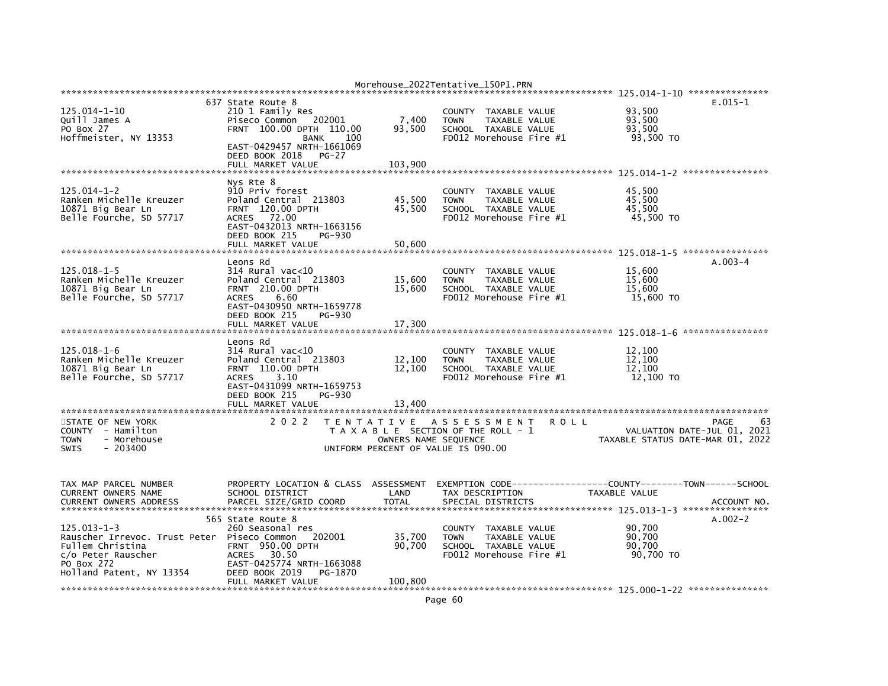|                                                                                                                                        |                                                                                                                                                                                                     |                                                            | Morehouse_2022Tentative_150P1.PRN                                                                                        |                                                 |                                           |
|----------------------------------------------------------------------------------------------------------------------------------------|-----------------------------------------------------------------------------------------------------------------------------------------------------------------------------------------------------|------------------------------------------------------------|--------------------------------------------------------------------------------------------------------------------------|-------------------------------------------------|-------------------------------------------|
|                                                                                                                                        |                                                                                                                                                                                                     |                                                            |                                                                                                                          |                                                 |                                           |
| 125.014-1-10<br>Quill James A<br>PO Box 27<br>Hoffmeister, NY 13353                                                                    | 637 State Route 8<br>210 1 Family Res<br>202001<br>Piseco Common<br>FRNT 100.00 DPTH 110.00<br><b>BANK</b><br>-- 100<br>EAST-0429457 NRTH-1661069<br>DEED BOOK 2018<br>$PG-27$<br>FULL MARKET VALUE | 7,400<br>93,500<br>103,900                                 | <b>COUNTY</b><br>TAXABLE VALUE<br><b>TAXABLE VALUE</b><br><b>TOWN</b><br>SCHOOL TAXABLE VALUE<br>FD012 Morehouse Fire #1 | 93,500<br>93,500<br>93,500<br>93,500 TO         | $E.015-1$                                 |
|                                                                                                                                        |                                                                                                                                                                                                     |                                                            |                                                                                                                          |                                                 |                                           |
| $125.014 - 1 - 2$<br>Ranken Michelle Kreuzer<br>10871 Big Bear Ln<br>Belle Fourche, SD 57717                                           | Nys Rte 8<br>910 Priv forest<br>Poland Central 213803<br><b>FRNT 120.00 DPTH</b><br>72.00<br><b>ACRES</b><br>EAST-0432013 NRTH-1663156<br>DEED BOOK 215<br>PG-930                                   | 45,500<br>45,500                                           | <b>COUNTY</b><br>TAXABLE VALUE<br>TAXABLE VALUE<br><b>TOWN</b><br>SCHOOL TAXABLE VALUE<br>FD012 Morehouse Fire #1        | 45,500<br>45,500<br>45.500<br>45,500 TO         |                                           |
|                                                                                                                                        | FULL MARKET VALUE                                                                                                                                                                                   | 50,600                                                     |                                                                                                                          |                                                 |                                           |
| 125.018-1-5<br>Ranken Michelle Kreuzer<br>10871 Big Bear Ln<br>Belle Fourche, SD 57717                                                 | Leons Rd<br>314 Rural vac<10<br>Poland Central 213803<br><b>FRNT</b> 210.00 DPTH<br>6.60<br><b>ACRES</b><br>EAST-0430950 NRTH-1659778<br>DEED BOOK 215<br>PG-930<br>FULL MARKET VALUE               | 15,600<br>15,600<br>17,300                                 | TAXABLE VALUE<br><b>COUNTY</b><br><b>TOWN</b><br>TAXABLE VALUE<br>SCHOOL TAXABLE VALUE<br>FD012 Morehouse Fire #1        | 15,600<br>15,600<br>15,600<br>15,600 TO         | $A.003-4$                                 |
|                                                                                                                                        | Leons Rd                                                                                                                                                                                            |                                                            |                                                                                                                          |                                                 |                                           |
| $125.018 - 1 - 6$<br>Ranken Michelle Kreuzer<br>10871 Big Bear Ln<br>Belle Fourche, SD 57717                                           | $314$ Rural vac<10<br>Poland Central 213803<br>FRNT 110.00 DPTH<br>3.10<br><b>ACRES</b><br>EAST-0431099 NRTH-1659753<br>DEED BOOK 215<br>PG-930<br>FULL MARKET VALUE                                | 12,100<br>12,100<br>13,400                                 | TAXABLE VALUE<br><b>COUNTY</b><br><b>TAXABLE VALUE</b><br><b>TOWN</b><br>SCHOOL TAXABLE VALUE<br>FD012 Morehouse Fire #1 | 12,100<br>12,100<br>12,100<br>12,100 TO         |                                           |
| STATE OF NEW YORK<br>COUNTY - Hamilton<br><b>TOWN</b><br>- Morehouse<br><b>SWIS</b><br>$-203400$                                       | 2 0 2 2                                                                                                                                                                                             | OWNERS NAME SEQUENCE<br>UNIFORM PERCENT OF VALUE IS 090.00 | TENTATIVE ASSESSMENT<br>T A X A B L E SECTION OF THE ROLL - 1                                                            | <b>ROLL</b><br>TAXABLE STATUS DATE-MAR 01, 2022 | 63<br>PAGE<br>VALUATION DATE-JUL 01, 2021 |
| TAX MAP PARCEL NUMBER<br>CURRENT OWNERS NAME<br><b>CURRENT OWNERS ADDRESS</b>                                                          | PROPERTY LOCATION & CLASS<br>SCHOOL DISTRICT<br>PARCEL SIZE/GRID COORD                                                                                                                              | ASSESSMENT<br>LAND<br><b>TOTAL</b>                         | TAX DESCRIPTION<br>SPECIAL DISTRICTS                                                                                     | TAXABLE VALUE                                   | ACCOUNT NO                                |
| $125.013 - 1 - 3$<br>Rauscher Irrevoc. Trust Peter<br>Fullem Christina<br>c/o Peter Rauscher<br>PO Box 272<br>Holland Patent, NY 13354 | 565 State Route 8<br>260 Seasonal res<br>Piseco Common<br>202001<br><b>FRNT 950.00 DPTH</b><br>30.50<br><b>ACRES</b><br>EAST-0425774 NRTH-1663088<br>DEED BOOK 2019<br>PG-1870<br>FULL MARKET VALUE | 35,700<br>90,700<br>100,800                                | TAXABLE VALUE<br><b>COUNTY</b><br><b>TOWN</b><br>TAXABLE VALUE<br>SCHOOL TAXABLE VALUE<br>FD012 Morehouse Fire #1        | 90,700<br>90,700<br>90,700<br>90,700 TO         | $A.002-2$                                 |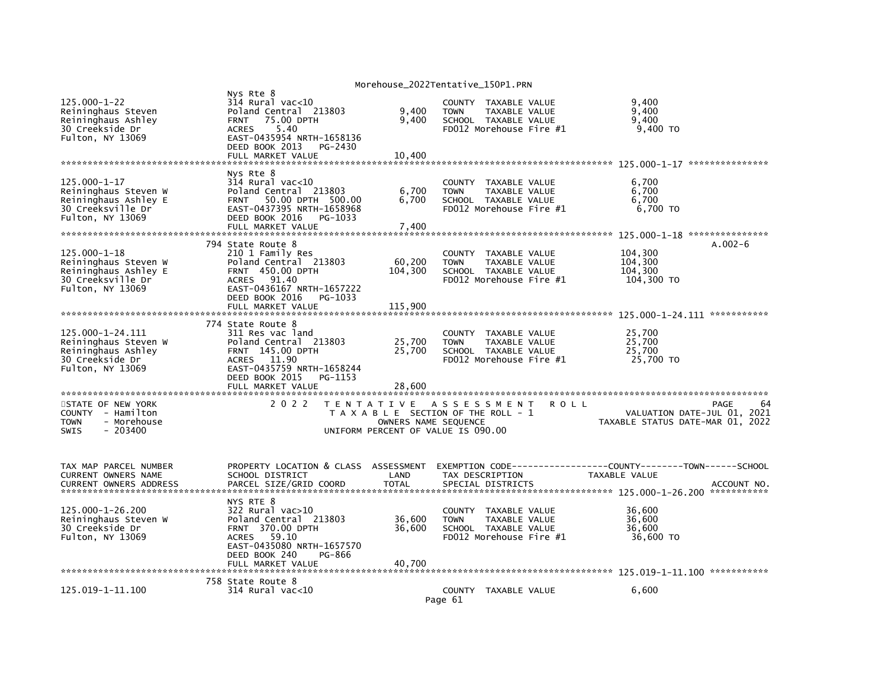|                                                                                                             |                                                                                                                                                                                         | Morehouse_2022Tentative_150P1.PRN                                                                                           |                                                                                            |                                       |             |                                                              |                                           |
|-------------------------------------------------------------------------------------------------------------|-----------------------------------------------------------------------------------------------------------------------------------------------------------------------------------------|-----------------------------------------------------------------------------------------------------------------------------|--------------------------------------------------------------------------------------------|---------------------------------------|-------------|--------------------------------------------------------------|-------------------------------------------|
| $125.000 - 1 - 22$<br>Reininghaus Steven<br>Reininghaus Ashley<br>30 Creekside Dr<br>Fulton, NY 13069       | Nys Rte 8<br>314 Rural vac<10<br>Poland Central 213803<br><b>FRNT 75.00 DPTH</b><br><b>ACRES</b><br>5.40<br>EAST-0435954 NRTH-1658136<br>DEED BOOK 2013<br>PG-2430<br>FULL MARKET VALUE | 9,400<br>9,400<br>10.400                                                                                                    | COUNTY TAXABLE VALUE<br><b>TOWN</b><br>SCHOOL TAXABLE VALUE<br>FD012 Morehouse Fire #1     | TAXABLE VALUE                         |             | 9,400<br>9,400<br>9,400<br>9,400 TO                          |                                           |
|                                                                                                             |                                                                                                                                                                                         |                                                                                                                             |                                                                                            |                                       |             |                                                              | ***************                           |
| $125.000 - 1 - 17$<br>Reininghaus Steven W<br>Reininghaus Ashley E<br>30 Creeksville Dr<br>Fulton, NY 13069 | Nvs Rte 8<br>314 Rural vac<10<br>Poland Central 213803<br>50.00 DPTH 500.00<br><b>FRNT</b><br>EAST-0437395 NRTH-1658968<br>DEED BOOK 2016<br>PG-1033                                    | 6,700<br>6.700                                                                                                              | <b>COUNTY</b><br><b>TOWN</b><br>SCHOOL TAXABLE VALUE<br>FD012 Morehouse Fire #1            | TAXABLE VALUE<br><b>TAXABLE VALUE</b> |             | 6,700<br>6,700<br>6.700<br>6,700 TO                          |                                           |
|                                                                                                             | FULL MARKET VALUE                                                                                                                                                                       | 7,400                                                                                                                       |                                                                                            |                                       |             |                                                              | ***************                           |
| 125.000-1-18<br>Reininghaus Steven W<br>Reininghaus Ashley E<br>30 Creeksville Dr                           | 794 State Route 8<br>210 1 Family Res<br>Poland Central 213803<br>FRNT 450.00 DPTH<br>91.40<br><b>ACRES</b>                                                                             | 60,200<br>104,300                                                                                                           | COUNTY TAXABLE VALUE<br><b>TOWN</b><br>SCHOOL TAXABLE VALUE<br>$FD012$ Morehouse Fire $#1$ | <b>TAXABLE VALUE</b>                  |             | 104,300<br>104,300<br>104,300<br>104,300 TO                  | $A.002-6$                                 |
| Fulton, NY 13069                                                                                            | EAST-0436167 NRTH-1657222<br>DEED BOOK 2016<br>PG-1033<br>FULL MARKET VALUE                                                                                                             | 115,900                                                                                                                     |                                                                                            |                                       |             |                                                              |                                           |
| 125.000-1-24.111<br>Reininghaus Steven W<br>Reininghaus Ashley<br>30 Creekside Dr<br>Fulton, NY 13069       | 774 State Route 8<br>311 Res vac land<br>Poland Central 213803<br>FRNT 145.00 DPTH<br>11.90<br><b>ACRES</b><br>EAST-0435759 NRTH-1658244<br>DEED BOOK 2015<br>PG-1153                   | 25,700<br>25,700                                                                                                            | <b>COUNTY</b><br><b>TOWN</b><br>SCHOOL TAXABLE VALUE<br>FD012 Morehouse Fire #1            | TAXABLE VALUE<br>TAXABLE VALUE        |             | 25,700<br>25,700<br>25,700<br>25,700 TO                      |                                           |
|                                                                                                             | FULL MARKET VALUE                                                                                                                                                                       | 28,600                                                                                                                      |                                                                                            |                                       |             |                                                              |                                           |
| STATE OF NEW YORK<br>- Hamilton<br>COUNTY<br>- Morehouse<br><b>TOWN</b><br><b>SWIS</b><br>$-203400$         | 2 0 2 2                                                                                                                                                                                 | TENTATIVE ASSESSMENT<br>T A X A B L E SECTION OF THE ROLL - 1<br>OWNERS NAME SEQUENCE<br>UNIFORM PERCENT OF VALUE IS 090.00 |                                                                                            |                                       | <b>ROLL</b> | TAXABLE STATUS DATE-MAR 01, 2022                             | PAGE<br>64<br>VALUATION DATE-JUL 01, 2021 |
| TAX MAP PARCEL NUMBER<br>CURRENT OWNERS NAME<br>CURRENT OWNERS ADDRESS                                      | PROPERTY LOCATION & CLASS ASSESSMENT<br>SCHOOL DISTRICT<br>PARCEL SIZE/GRID COORD                                                                                                       | LAND<br><b>TOTAL</b>                                                                                                        | EXEMPTION CODE-----<br>TAX DESCRIPTION<br>SPECIAL DISTRICTS                                |                                       |             | -------------COUNTY--------TOWN------SCHOOL<br>TAXABLE VALUE | ACCOUNT NO                                |
| 125.000-1-26.200<br>Reininghaus Steven W<br>30 Creekside Dr<br>Fulton, NY 13069                             | NYS RTE 8<br>322 Rural vac>10<br>Poland Central 213803<br><b>FRNT 370.00 DPTH</b><br>59.10<br><b>ACRES</b><br>EAST-0435080 NRTH-1657570<br>DEED BOOK 240<br>PG-866<br>FULL MARKET VALUE | 36,600<br>36,600<br>40,700                                                                                                  | COUNTY<br><b>TOWN</b><br>SCHOOL TAXABLE VALUE<br>$FD012$ Morehouse Fire $#1$               | TAXABLE VALUE<br>TAXABLE VALUE        |             | 36.600<br>36,600<br>36,600<br>36,600 TO                      |                                           |
|                                                                                                             | 758 State Route 8                                                                                                                                                                       |                                                                                                                             |                                                                                            |                                       |             |                                                              |                                           |
| 125.019-1-11.100                                                                                            | 314 Rural vac<10                                                                                                                                                                        |                                                                                                                             | COUNTY TAXABLE VALUE<br>Page 61                                                            |                                       |             | 6,600                                                        |                                           |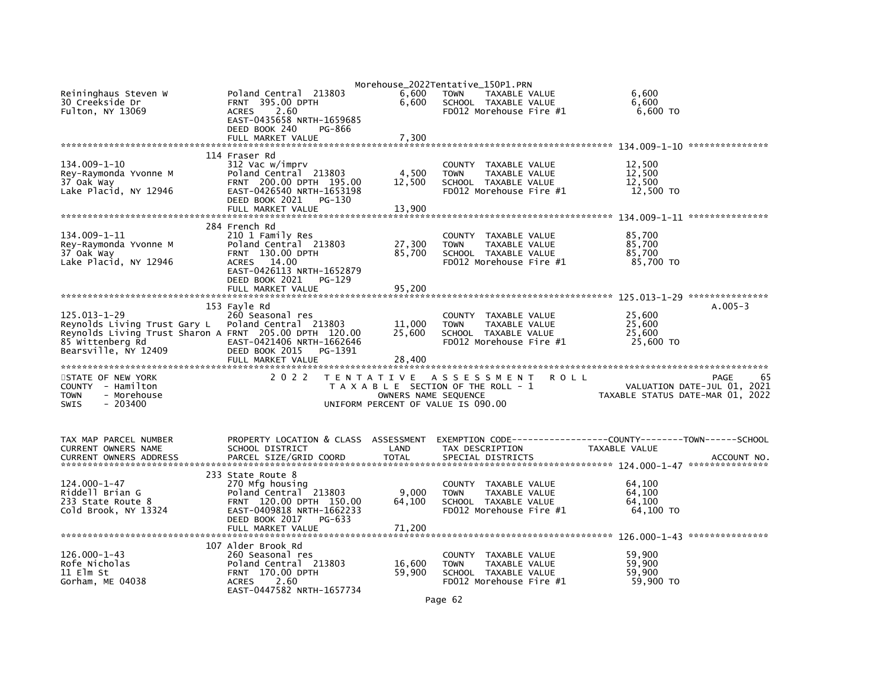| Reininghaus Steven W<br>30 Creekside Dr<br>Fulton, NY 13069                                                                                        | Poland Central 213803<br><b>FRNT 395.00 DPTH</b><br>2.60<br><b>ACRES</b><br>EAST-0435658 NRTH-1659685                                                                    | 6,600<br>6,600                                             | Morehouse_2022Tentative_150P1.PRN<br><b>TOWN</b><br>TAXABLE VALUE<br>SCHOOL TAXABLE VALUE<br>FD012 Morehouse Fire #1     | 6,600<br>6.600<br>6,600 TO               |                                           |
|----------------------------------------------------------------------------------------------------------------------------------------------------|--------------------------------------------------------------------------------------------------------------------------------------------------------------------------|------------------------------------------------------------|--------------------------------------------------------------------------------------------------------------------------|------------------------------------------|-------------------------------------------|
|                                                                                                                                                    | DEED BOOK 240<br>PG-866<br>FULL MARKET VALUE                                                                                                                             | 7,300                                                      |                                                                                                                          |                                          |                                           |
| 134.009-1-10<br>Rey-Raymonda Yvonne M<br>37 Oak Way<br>Lake Placid, NY 12946                                                                       | 114 Fraser Rd<br>312 Vac w/imprv<br>Poland Central 213803<br>FRNT 200.00 DPTH 195.00<br>EAST-0426540 NRTH-1653198<br>DEED BOOK 2021<br>PG-130<br>FULL MARKET VALUE       | 4,500<br>12,500<br>13,900                                  | <b>COUNTY</b><br>TAXABLE VALUE<br>TAXABLE VALUE<br><b>TOWN</b><br>SCHOOL TAXABLE VALUE<br>$FD012$ Morehouse Fire $#1$    | 12,500<br>12,500<br>12.500<br>12,500 TO  |                                           |
| 134.009-1-11<br>Rey-Raymonda Yvonne M<br>37 Oak Way<br>Lake Placid, NY 12946                                                                       | 284 French Rd<br>210 1 Family Res<br>Poland Central 213803<br>FRNT 130.00 DPTH<br>ACRES 14.00<br>EAST-0426113 NRTH-1652879<br>DEED BOOK 2021 PG-129<br>FULL MARKET VALUE | 27,300<br>85,700<br>95,200                                 | COUNTY TAXABLE VALUE<br><b>TOWN</b><br>TAXABLE VALUE<br>SCHOOL TAXABLE VALUE<br>FD012 Morehouse Fire #1                  | 85,700<br>85,700<br>85,700<br>85,700 TO  |                                           |
| 125.013-1-29<br>Reynolds Living Trust Gary L<br>Reynolds Living Trust Sharon A FRNT 205.00 DPTH 120.00<br>85 Wittenberg Rd<br>Bearsville, NY 12409 | 153 Fayle Rd<br>260 Seasonal res<br>Poland Central 213803<br>EAST-0421406 NRTH-1662646<br>DEED BOOK 2015<br>PG-1391<br>FULL MARKET VALUE                                 | 11,000<br>25,600<br>28,400                                 | COUNTY TAXABLE VALUE<br>TAXABLE VALUE<br><b>TOWN</b><br>SCHOOL TAXABLE VALUE<br>FD012 Morehouse Fire #1                  | 25,600<br>25,600<br>25,600<br>25,600 TO  | $A.005-3$                                 |
| STATE OF NEW YORK<br>COUNTY - Hamilton<br>- Morehouse<br><b>TOWN</b><br>$-203400$<br><b>SWIS</b>                                                   | 2 0 2 2                                                                                                                                                                  | OWNERS NAME SEQUENCE<br>UNIFORM PERCENT OF VALUE IS 090.00 | TENTATIVE ASSESSMENT<br>T A X A B L E SECTION OF THE ROLL - 1                                                            | ROLL<br>TAXABLE STATUS DATE-MAR 01, 2022 | PAGE<br>65<br>VALUATION DATE-JUL 01, 2021 |
| TAX MAP PARCEL NUMBER<br>CURRENT OWNERS NAME<br><b>CURRENT OWNERS ADDRESS</b>                                                                      | PROPERTY LOCATION & CLASS ASSESSMENT<br>SCHOOL DISTRICT<br>PARCEL SIZE/GRID COORD                                                                                        | LAND<br><b>TOTAL</b>                                       | TAX DESCRIPTION<br>SPECIAL DISTRICTS                                                                                     | TAXABLE VALUE                            | ACCOUNT NO.                               |
| $124.000 - 1 - 47$<br>Riddell Brian G<br>233 State Route 8<br>Cold Brook, NY 13324                                                                 | 233 State Route 8<br>270 Mfg housing<br>Poland Central 213803<br>FRNT 120.00 DPTH 150.00<br>EAST-0409818 NRTH-1662233<br>DEED BOOK 2017<br>PG-633<br>FULL MARKET VALUE   | 9,000<br>64,100<br>71,200                                  | <b>COUNTY</b><br>TAXABLE VALUE<br>TAXABLE VALUE<br><b>TOWN</b><br>SCHOOL TAXABLE VALUE<br>FD012 Morehouse Fire #1        | 64.100<br>64,100<br>64,100<br>64,100 TO  |                                           |
| $126.000 - 1 - 43$<br>Rofe Nicholas<br>11 Elm St<br>Gorham, ME 04038                                                                               | 107 Alder Brook Rd<br>260 Seasonal res<br>Poland Central 213803<br>FRNT 170.00 DPTH<br><b>ACRES</b><br>2.60<br>EAST-0447582 NRTH-1657734                                 | 16,600<br>59,900                                           | <b>COUNTY</b><br>TAXABLE VALUE<br><b>TOWN</b><br><b>TAXABLE VALUE</b><br>SCHOOL TAXABLE VALUE<br>FD012 Morehouse Fire #1 | 59,900<br>59.900<br>59,900<br>59,900 TO  |                                           |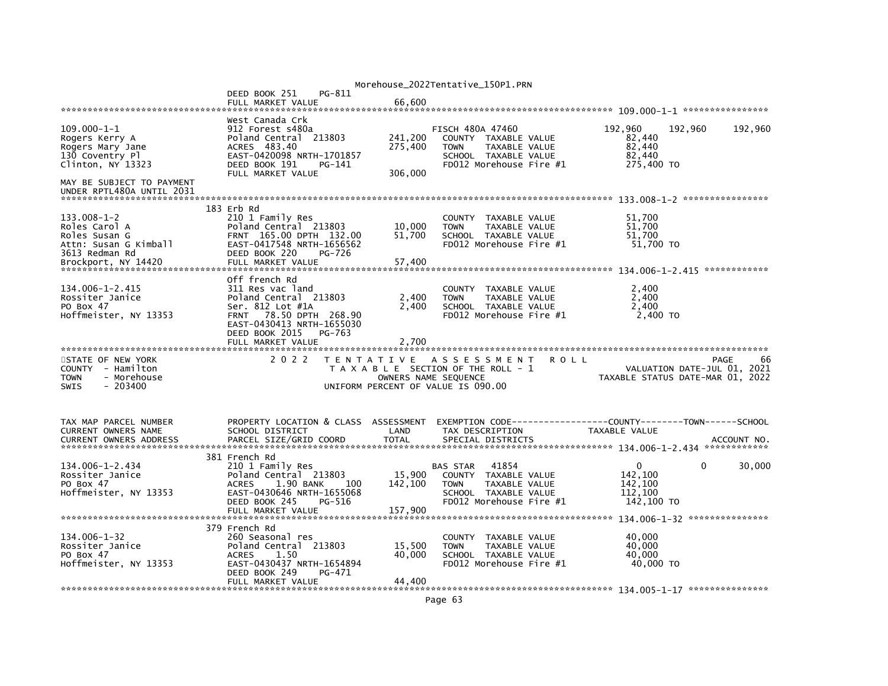|                                                                                                                              |                                                                                                                                                                       |                               | Morehouse_2022Tentative_150P1.PRN                                                                                                          |                                                                               |                                                                               |
|------------------------------------------------------------------------------------------------------------------------------|-----------------------------------------------------------------------------------------------------------------------------------------------------------------------|-------------------------------|--------------------------------------------------------------------------------------------------------------------------------------------|-------------------------------------------------------------------------------|-------------------------------------------------------------------------------|
|                                                                                                                              | DEED BOOK 251<br>PG-811<br>FULL MARKET VALUE                                                                                                                          | 66,600                        |                                                                                                                                            |                                                                               |                                                                               |
|                                                                                                                              |                                                                                                                                                                       |                               |                                                                                                                                            |                                                                               |                                                                               |
| $109.000 - 1 - 1$<br>Rogers Kerry A<br>Rogers Mary Jane<br>130 Coventry Pl<br>Clinton, NY 13323<br>MAY BE SUBJECT TO PAYMENT | West Canada Crk<br>912 Forest s480a<br>Poland Central 213803<br>ACRES 483.40<br>EAST-0420098 NRTH-1701857<br>DEED BOOK 191<br>PG-141<br>FULL MARKET VALUE             | 241,200<br>275,400<br>306,000 | <b>FISCH 480A 47460</b><br>COUNTY TAXABLE VALUE<br>TAXABLE VALUE<br><b>TOWN</b><br>SCHOOL TAXABLE VALUE<br>FD012 Morehouse Fire #1         | 192,960<br>82,440<br>82,440<br>82,440<br>275,400 TO                           | 192,960<br>192,960                                                            |
| UNDER RPTL480A UNTIL 2031                                                                                                    |                                                                                                                                                                       |                               |                                                                                                                                            |                                                                               |                                                                               |
| $133.008 - 1 - 2$<br>Roles Carol A<br>Roles Susan G<br>Attn: Susan G Kimball<br>3613 Redman Rd<br>Brockport, NY 14420        | 183 Erb Rd<br>210 1 Family Res<br>Poland Central 213803<br>FRNT 165.00 DPTH 132.00<br>EAST-0417548 NRTH-1656562<br>DEED BOOK 220<br>PG-726<br>FULL MARKET VALUE       | 10,000<br>51,700<br>57,400    | COUNTY TAXABLE VALUE<br><b>TOWN</b><br>TAXABLE VALUE<br>SCHOOL TAXABLE VALUE<br>$FD012$ Morehouse Fire $#1$                                | 51.700<br>51.700<br>51,700<br>51,700 TO                                       |                                                                               |
|                                                                                                                              | Off french Rd                                                                                                                                                         |                               |                                                                                                                                            |                                                                               |                                                                               |
| 134.006-1-2.415<br>Rossiter Janice<br>PO Box 47<br>Hoffmeister, NY 13353                                                     | 311 Res vac land<br>Poland Central 213803<br>Ser. 812 Lot #1A<br>FRNT 78.50 DPTH 268.90<br>EAST-0430413 NRTH-1655030<br>DEED BOOK 2015<br>PG-763<br>FULL MARKET VALUE | 2,400<br>2.400<br>2.700       | COUNTY TAXABLE VALUE<br>TAXABLE VALUE<br><b>TOWN</b><br>SCHOOL TAXABLE VALUE<br>FD012 Morehouse Fire #1                                    | 2,400<br>2.400<br>2.400<br>2,400 TO                                           |                                                                               |
|                                                                                                                              |                                                                                                                                                                       |                               |                                                                                                                                            |                                                                               |                                                                               |
| STATE OF NEW YORK<br>COUNTY - Hamilton<br>- Morehouse<br><b>TOWN</b><br><b>SWIS</b><br>$-203400$                             | 2 0 2 2                                                                                                                                                               | T E N T A T I V E             | A S S E S S M E N T<br>T A X A B L E SECTION OF THE ROLL - 1<br>OWNERS NAME SEQUENCE<br>UNIFORM PERCENT OF VALUE IS 090.00                 | <b>ROLL</b>                                                                   | PAGE<br>66<br>VALUATION DATE-JUL 01, 2021<br>TAXABLE STATUS DATE-MAR 01, 2022 |
| TAX MAP PARCEL NUMBER<br>CURRENT OWNERS NAME<br><b>CURRENT OWNERS ADDRESS</b>                                                | PROPERTY LOCATION & CLASS ASSESSMENT<br>SCHOOL DISTRICT<br>PARCEL SIZE/GRID COORD                                                                                     | LAND<br><b>TOTAL</b>          | TAX DESCRIPTION<br>SPECIAL DISTRICTS                                                                                                       | EXEMPTION CODE-----------------COUNTY-------TOWN------SCHOOL<br>TAXABLE VALUE | ACCOUNT NO.                                                                   |
| 134.006-1-2.434<br>Rossiter Janice<br>PO Box 47<br>Hoffmeister, NY 13353                                                     | 381 French Rd<br>210 1 Family Res<br>Poland Central 213803<br><b>ACRES</b><br>1.90 BANK<br>-- 100<br>EAST-0430646 NRTH-1655068<br>DEED BOOK 245<br>PG-516             | 15,900<br>142,100             | 41854<br><b>BAS STAR</b><br>COUNTY TAXABLE VALUE<br><b>TAXABLE VALUE</b><br><b>TOWN</b><br>SCHOOL TAXABLE VALUE<br>FD012 Morehouse Fire #1 | 0<br>142,100<br>142,100<br>112,100<br>142,100 TO                              | 30,000<br>0                                                                   |
|                                                                                                                              | 379 French Rd                                                                                                                                                         |                               |                                                                                                                                            |                                                                               |                                                                               |
| $134.006 - 1 - 32$<br>Rossiter Janice<br>PO Box 47<br>Hoffmeister, NY 13353                                                  | 260 Seasonal res<br>Poland Central 213803<br><b>ACRES</b><br>1.50<br>EAST-0430437 NRTH-1654894<br>DEED BOOK 249<br>PG-471<br>FULL MARKET VALUE                        | 15,500<br>40,000<br>44,400    | COUNTY TAXABLE VALUE<br><b>TOWN</b><br>TAXABLE VALUE<br>SCHOOL TAXABLE VALUE<br>FD012 Morehouse Fire #1                                    | 40.000<br>40.000<br>40.000<br>40,000 TO                                       |                                                                               |
|                                                                                                                              |                                                                                                                                                                       |                               |                                                                                                                                            |                                                                               |                                                                               |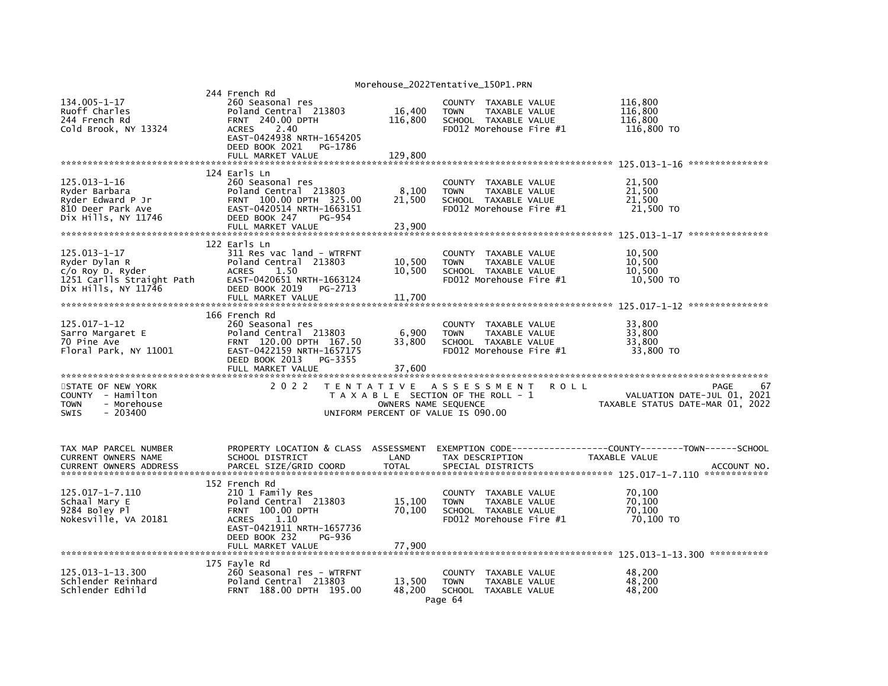|                                                                                                          |                                                                                                                                                                                              |                              | Morehouse_2022Tentative_150P1.PRN                                                                                  |                                                                               |
|----------------------------------------------------------------------------------------------------------|----------------------------------------------------------------------------------------------------------------------------------------------------------------------------------------------|------------------------------|--------------------------------------------------------------------------------------------------------------------|-------------------------------------------------------------------------------|
| 134.005-1-17<br>Ruoff Charles<br>244 French Rd<br>Cold Brook, NY 13324                                   | 244 French Rd<br>260 Seasonal res<br>Poland Central 213803<br><b>FRNT 240.00 DPTH</b><br><b>ACRES</b><br>2.40<br>EAST-0424938 NRTH-1654205<br>DEED BOOK 2021<br>PG-1786<br>FULL MARKET VALUE | 16,400<br>116,800<br>129,800 | COUNTY TAXABLE VALUE<br><b>TOWN</b><br>TAXABLE VALUE<br>SCHOOL TAXABLE VALUE<br>FD012 Morehouse Fire #1            | 116,800<br>116,800<br>116,800<br>116,800 TO                                   |
|                                                                                                          |                                                                                                                                                                                              |                              |                                                                                                                    | ****************                                                              |
| $125.013 - 1 - 16$<br>Ryder Barbara<br>Ryder Edward P Jr<br>810 Deer Park Ave<br>Dix Hills, NY 11746     | 124 Earls Ln<br>260 Seasonal res<br>Poland Central 213803<br>FRNT 100.00 DPTH 325.00<br>EAST-0420514 NRTH-1663151<br>DEED BOOK 247<br>PG-954                                                 | 8,100<br>21,500              | COUNTY TAXABLE VALUE<br><b>TOWN</b><br>TAXABLE VALUE<br>SCHOOL TAXABLE VALUE<br>FD012 Morehouse Fire #1            | 21,500<br>21,500<br>21,500<br>21,500 TO                                       |
|                                                                                                          | FULL MARKET VALUE                                                                                                                                                                            | 23,900                       |                                                                                                                    |                                                                               |
| 125.013-1-17<br>Ryder Dylan R<br>$c$ /o Roy D. Ryder<br>1251 Carlls Straight Path<br>Dix Hills, NY 11746 | 122 Earls Ln<br>311 Res vac land - WTRFNT<br>Poland Central 213803<br><b>ACRES</b><br>1.50<br>EAST-0420651 NRTH-1663124<br>DEED BOOK 2019<br>PG-2713<br>FULL MARKET VALUE                    | 10,500<br>10,500<br>11,700   | COUNTY TAXABLE VALUE<br><b>TOWN</b><br>TAXABLE VALUE<br>SCHOOL TAXABLE VALUE<br>FD012 Morehouse Fire #1            | 10,500<br>10.500<br>10,500<br>10,500 TO                                       |
|                                                                                                          |                                                                                                                                                                                              |                              |                                                                                                                    |                                                                               |
| 125.017-1-12<br>Sarro Margaret E<br>70 Pine Ave<br>Floral Park, NY 11001                                 | 166 French Rd<br>260 Seasonal res<br>Poland Central 213803<br>FRNT 120.00 DPTH 167.50<br>EAST-0422159 NRTH-1657175<br>DEED BOOK 2013<br>PG-3355<br>FULL MARKET VALUE                         | 6,900<br>33,800<br>37,600    | COUNTY TAXABLE VALUE<br>TAXABLE VALUE<br><b>TOWN</b><br>SCHOOL TAXABLE VALUE<br>FD012 Morehouse Fire #1            | 33,800<br>33.800<br>33,800<br>33,800 TO                                       |
| STATE OF NEW YORK<br>COUNTY - Hamilton<br>– Morehouse<br>TOWN<br>$-203400$<br><b>SWIS</b>                | 2 0 2 2                                                                                                                                                                                      | OWNERS NAME SEQUENCE         | TENTATIVE ASSESSMENT<br><b>ROLL</b><br>T A X A B L E SECTION OF THE ROLL - 1<br>UNIFORM PERCENT OF VALUE IS 090.00 | PAGE<br>67<br>VALUATION DATE-JUL 01, 2021<br>TAXABLE STATUS DATE-MAR 01, 2022 |
| TAX MAP PARCEL NUMBER<br>CURRENT OWNERS NAME<br><b>CURRENT OWNERS ADDRESS</b>                            | PROPERTY LOCATION & CLASS ASSESSMENT<br>SCHOOL DISTRICT<br>PARCEL SIZE/GRID COORD                                                                                                            | LAND<br><b>TOTAL</b>         | TAX DESCRIPTION<br>SPECIAL DISTRICTS                                                                               | TAXABLE VALUE<br>ACCOUNT NO                                                   |
| 125.017-1-7.110<br>Schaal Mary E<br>9284 Boley Pl<br>Nokesville, VA 20181                                | 152 French Rd<br>210 1 Family Res<br>Poland Central 213803<br>FRNT 100.00 DPTH<br><b>ACRES</b><br>1.10<br>EAST-0421911 NRTH-1657736<br>DEED BOOK 232<br>PG-936<br>FULL MARKET VALUE          | 15,100<br>70,100<br>77,900   | COUNTY TAXABLE VALUE<br>TAXABLE VALUE<br><b>TOWN</b><br>SCHOOL TAXABLE VALUE<br>FD012 Morehouse Fire #1            | 70,100<br>70.100<br>70,100<br>70,100 TO                                       |
| 125.013-1-13.300<br>Schlender Reinhard<br>Schlender Edhild                                               | 175 Fayle Rd<br>260 Seasonal res - WTRFNT<br>Poland Central 213803<br>FRNT 188.00 DPTH 195.00                                                                                                | 13,500<br>48.200             | COUNTY<br>TAXABLE VALUE<br><b>TOWN</b><br>TAXABLE VALUE<br><b>SCHOOL</b><br>TAXABLE VALUE<br>Page 64               | 48.200<br>48,200<br>48,200                                                    |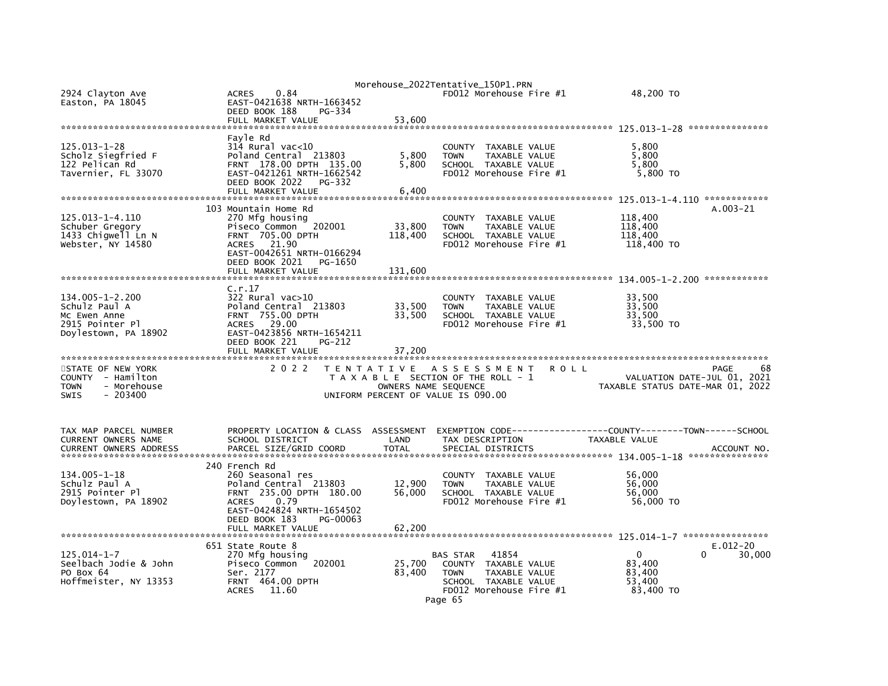|                                                                                                 |                                                                                                                                                                                              |                            | Morehouse_2022Tentative_150P1.PRN                                                                                                                 |                                                                                      |                        |
|-------------------------------------------------------------------------------------------------|----------------------------------------------------------------------------------------------------------------------------------------------------------------------------------------------|----------------------------|---------------------------------------------------------------------------------------------------------------------------------------------------|--------------------------------------------------------------------------------------|------------------------|
| 2924 Clayton Ave<br>Easton, PA 18045                                                            | 0.84<br><b>ACRES</b><br>EAST-0421638 NRTH-1663452<br>DEED BOOK 188<br>PG-334                                                                                                                 |                            | FD012 Morehouse Fire #1                                                                                                                           | 48,200 TO                                                                            |                        |
|                                                                                                 | FULL MARKET VALUE                                                                                                                                                                            | 53,600                     |                                                                                                                                                   |                                                                                      |                        |
|                                                                                                 |                                                                                                                                                                                              |                            |                                                                                                                                                   |                                                                                      |                        |
| 125.013-1-28<br>Scholz Siegfried F<br>122 Pelican Rd<br>Tavernier, FL 33070                     | Fayle Rd<br>$314$ Rural vac< $10$<br>Poland Central 213803<br>FRNT 178.00 DPTH 135.00<br>EAST-0421261 NRTH-1662542<br>DEED BOOK 2022<br>$PG-332$                                             | 5,800<br>5,800             | <b>COUNTY</b><br>TAXABLE VALUE<br><b>TOWN</b><br><b>TAXABLE VALUE</b><br>SCHOOL TAXABLE VALUE<br>FD012 Morehouse Fire #1                          | 5,800<br>5,800<br>5,800<br>5,800 TO                                                  |                        |
|                                                                                                 | FULL MARKET VALUE                                                                                                                                                                            | 6.400                      |                                                                                                                                                   |                                                                                      |                        |
|                                                                                                 |                                                                                                                                                                                              |                            |                                                                                                                                                   |                                                                                      |                        |
| 125.013-1-4.110<br>Schuber Gregory<br>1433 Chigwell Ln N<br>Webster, NY 14580                   | 103 Mountain Home Rd<br>270 Mfg housing<br>Piseco Common<br>202001<br>FRNT 705.00 DPTH<br><b>ACRES</b><br>21.90<br>EAST-0042651 NRTH-0166294<br>DEED BOOK 2021<br>PG-1650                    | 33,800<br>118,400          | <b>COUNTY</b><br>TAXABLE VALUE<br><b>TOWN</b><br><b>TAXABLE VALUE</b><br>SCHOOL TAXABLE VALUE<br>FD012 Morehouse Fire #1                          | 118,400<br>118,400<br>118,400<br>118,400 TO                                          | $A.003 - 21$           |
|                                                                                                 | FULL MARKET VALUE                                                                                                                                                                            | 131.600                    |                                                                                                                                                   |                                                                                      |                        |
| 134.005-1-2.200<br>Schulz Paul A<br>Mc Ewen Anne<br>2915 Pointer Pl                             | C.r.17<br>$322$ Rural vac $>10$<br>Poland Central 213803<br><b>FRNT 755.00 DPTH</b><br>ACRES 29.00                                                                                           | 33,500<br>33,500           | COUNTY TAXABLE VALUE<br><b>TOWN</b><br>TAXABLE VALUE<br>SCHOOL TAXABLE VALUE<br>FD012 Morehouse Fire #1                                           | 33,500<br>33,500<br>33,500<br>33,500 TO                                              |                        |
| Doylestown, PA 18902                                                                            | EAST-0423856 NRTH-1654211<br>DEED BOOK 221<br>PG-212<br>FULL MARKET VALUE                                                                                                                    | 37,200                     |                                                                                                                                                   |                                                                                      |                        |
| STATE OF NEW YORK<br>COUNTY - Hamilton<br>- Morehouse<br><b>TOWN</b><br><b>SWIS</b><br>- 203400 | 2 0 2 2                                                                                                                                                                                      | T E N T A T I V E          | A S S E S S M E N T<br>R O L L<br>T A X A B L E SECTION OF THE ROLL - 1<br>OWNERS NAME SEQUENCE<br>UNIFORM PERCENT OF VALUE IS 090.00             | VALUATION DATE-JUL 01, 2021<br>TAXABLE STATUS DATE-MAR 01, 2022                      | PAGE<br>68             |
| TAX MAP PARCEL NUMBER<br>CURRENT OWNERS NAME<br><b>CURRENT OWNERS ADDRESS</b>                   | PROPERTY LOCATION & CLASS ASSESSMENT<br>SCHOOL DISTRICT<br>PARCEL SIZE/GRID COORD                                                                                                            | LAND<br><b>TOTAL</b>       | TAX DESCRIPTION<br>SPECIAL DISTRICTS                                                                                                              | EXEMPTION CODE-----------------COUNTY-------TOWN------SCHOOL<br><b>TAXABLE VALUE</b> | ACCOUNT NO.            |
| 134.005-1-18<br>Schulz Paul A<br>2915 Pointer Pl<br>Doylestown, PA 18902                        | 240 French Rd<br>260 Seasonal res<br>Poland Central 213803<br>FRNT 235.00 DPTH 180.00<br><b>ACRES</b><br>0.79<br>EAST-0424824 NRTH-1654502<br>DEED BOOK 183<br>PG-00063<br>FULL MARKET VALUE | 12,900<br>56,000<br>62,200 | COUNTY TAXABLE VALUE<br>TAXABLE VALUE<br><b>TOWN</b><br>SCHOOL TAXABLE VALUE<br>FD012 Morehouse Fire #1                                           | 56,000<br>56,000<br>56,000<br>56,000 TO                                              |                        |
|                                                                                                 |                                                                                                                                                                                              |                            |                                                                                                                                                   |                                                                                      |                        |
| $125.014 - 1 - 7$<br>Seelbach Jodie & John<br>PO Box 64<br>Hoffmeister, NY 13353                | 651 State Route 8<br>270 Mfg housing<br>Piseco Common<br>202001<br>Ser. 2177<br><b>FRNT 464.00 DPTH</b><br><b>ACRES</b><br>11.60                                                             | 25,700<br>83,400           | 41854<br>BAS STAR<br><b>COUNTY</b><br>TAXABLE VALUE<br><b>TOWN</b><br>TAXABLE VALUE<br>SCHOOL TAXABLE VALUE<br>FD012 Morehouse Fire #1<br>Page 65 | 0<br><sup>0</sup><br>83,400<br>83,400<br>53,400<br>83,400 TO                         | $E.012 - 20$<br>30,000 |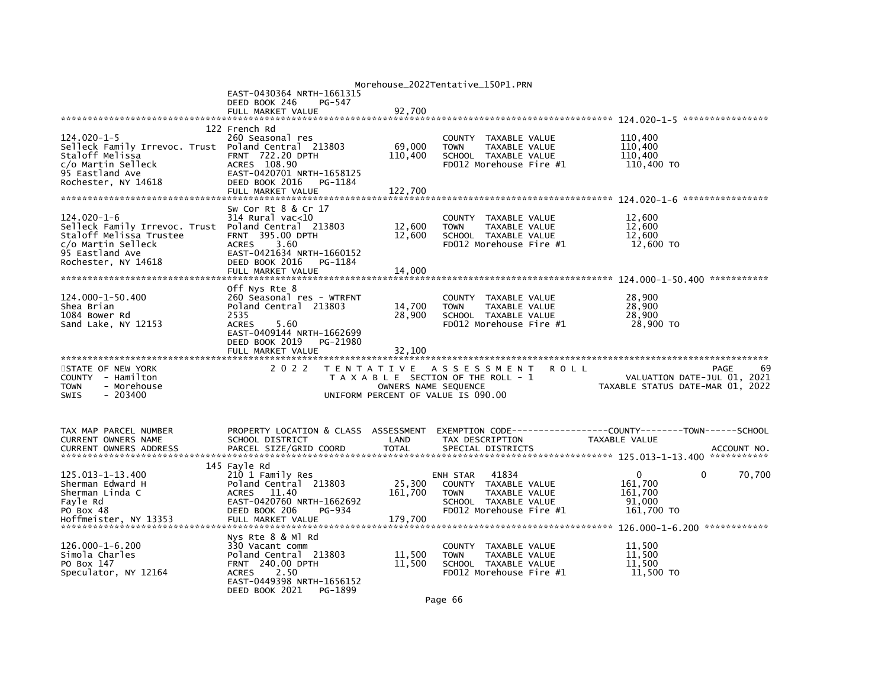|                                                          |                                           |                      | Morehouse_2022Tentative_150P1.PRN                              |             |                                       |             |
|----------------------------------------------------------|-------------------------------------------|----------------------|----------------------------------------------------------------|-------------|---------------------------------------|-------------|
|                                                          | EAST-0430364 NRTH-1661315                 |                      |                                                                |             |                                       |             |
|                                                          | DEED BOOK 246<br>PG-547                   |                      |                                                                |             |                                       |             |
|                                                          | FULL MARKET VALUE                         | 92.700               |                                                                |             |                                       |             |
|                                                          | 122 French Rd                             |                      |                                                                |             |                                       |             |
| 124.020-1-5                                              | 260 Seasonal res                          |                      | COUNTY<br>TAXABLE VALUE                                        |             | 110,400                               |             |
| Selleck Family Irrevoc. Trust Poland Central 213803      |                                           | 69,000               | <b>TOWN</b><br>TAXABLE VALUE                                   |             | 110,400                               |             |
| Staloff Melissa                                          | <b>FRNT 722.20 DPTH</b>                   | 110,400              | SCHOOL TAXABLE VALUE                                           |             | 110.400                               |             |
| c/o Martin Selleck                                       | ACRES 108.90                              |                      | FD012 Morehouse Fire #1                                        |             | 110,400 TO                            |             |
| 95 Eastland Ave                                          | EAST-0420701 NRTH-1658125                 |                      |                                                                |             |                                       |             |
| Rochester, NY 14618                                      | DEED BOOK 2016<br>PG-1184                 |                      |                                                                |             |                                       |             |
|                                                          | FULL MARKET VALUE                         | 122,700              |                                                                |             |                                       |             |
|                                                          |                                           |                      |                                                                |             |                                       |             |
|                                                          | Sw Cor Rt 8 & Cr 17                       |                      |                                                                |             |                                       |             |
| 124.020-1-6                                              | 314 Rural vac<10<br>Poland Central 213803 | 12,600               | <b>COUNTY</b><br>TAXABLE VALUE<br>TAXABLE VALUE<br><b>TOWN</b> |             | 12,600<br>12,600                      |             |
| Selleck Family Irrevoc. Trust<br>Staloff Melissa Trustee | FRNT 395.00 DPTH                          | 12,600               | SCHOOL TAXABLE VALUE                                           |             | 12,600                                |             |
| c/o Martin Selleck                                       | 3.60<br><b>ACRES</b>                      |                      | FD012 Morehouse Fire #1                                        |             | 12,600 TO                             |             |
| 95 Eastland Ave                                          | EAST-0421634 NRTH-1660152                 |                      |                                                                |             |                                       |             |
| Rochester, NY 14618                                      | DEED BOOK 2016<br>PG-1184                 |                      |                                                                |             |                                       |             |
|                                                          | FULL MARKET VALUE                         | 14.000               |                                                                |             |                                       |             |
|                                                          |                                           |                      |                                                                |             |                                       |             |
|                                                          | Off Nys Rte 8                             |                      |                                                                |             |                                       |             |
| 124.000-1-50.400                                         | 260 Seasonal res - WTRFNT                 |                      | <b>COUNTY</b><br>TAXABLE VALUE                                 |             | 28,900                                |             |
| Shea Brian                                               | Poland Central 213803                     | 14,700               | TAXABLE VALUE<br><b>TOWN</b>                                   |             | 28,900                                |             |
| 1084 Bower Rd<br>Sand Lake, NY 12153                     | 2535<br>5.60<br><b>ACRES</b>              | 28,900               | SCHOOL TAXABLE VALUE<br>FD012 Morehouse Fire #1                |             | 28,900<br>28,900 TO                   |             |
|                                                          | EAST-0409144 NRTH-1662699                 |                      |                                                                |             |                                       |             |
|                                                          | DEED BOOK 2019<br>PG-21980                |                      |                                                                |             |                                       |             |
|                                                          | FULL MARKET VALUE                         | 32.100               |                                                                |             |                                       |             |
| *************************                                | *************************                 |                      |                                                                |             |                                       |             |
| STATE OF NEW YORK                                        | 2 0 2 2                                   |                      | TENTATIVE ASSESSMENT                                           | <b>ROLL</b> |                                       | 69<br>PAGE  |
| COUNTY - Hamilton                                        |                                           |                      | T A X A B L E SECTION OF THE ROLL - 1                          |             | VALUATION DATE-JUL 01, 2021           |             |
| <b>TOWN</b><br>- Morehouse<br><b>SWIS</b><br>$-203400$   |                                           | OWNERS NAME SEQUENCE | UNIFORM PERCENT OF VALUE IS 090.00                             |             | TAXABLE STATUS DATE-MAR 01, 2022      |             |
|                                                          |                                           |                      |                                                                |             |                                       |             |
|                                                          |                                           |                      |                                                                |             |                                       |             |
|                                                          |                                           |                      |                                                                |             |                                       |             |
| TAX MAP PARCEL NUMBER                                    | PROPERTY LOCATION & CLASS ASSESSMENT      |                      | EXEMPTION CODE--                                               |             | -------COUNTY--------TOWN------SCHOOL |             |
| CURRENT OWNERS NAME<br><b>CURRENT OWNERS ADDRESS</b>     | SCHOOL DISTRICT<br>PARCEL SIZE/GRID COORD | LAND<br><b>TOTAL</b> | TAX DESCRIPTION<br>SPECIAL DISTRICTS                           |             | <b>TAXABLE VALUE</b>                  | ACCOUNT NO. |
|                                                          |                                           |                      |                                                                |             |                                       |             |
|                                                          | 145 Fayle Rd                              |                      |                                                                |             |                                       |             |
| 125.013-1-13.400                                         | 210 1 Family Res                          |                      | 41834<br>ENH STAR                                              |             | 0<br>$\Omega$                         | 70,700      |
| Sherman Edward H                                         | Poland Central 213803                     | 25,300               | TAXABLE VALUE<br><b>COUNTY</b>                                 |             | 161,700                               |             |
| Sherman Linda C                                          | 11.40<br><b>ACRES</b>                     | 161,700              | TAXABLE VALUE<br><b>TOWN</b>                                   |             | 161,700                               |             |
| Fayle Rd                                                 | EAST-0420760 NRTH-1662692                 |                      | SCHOOL TAXABLE VALUE                                           |             | 91,000                                |             |
| PO Box 48                                                | DEED BOOK 206<br>PG-934                   |                      | FD012 Morehouse Fire $#1$                                      |             | 161,700 TO                            |             |
| Hoffmeister, NY 13353                                    | FULL MARKET VALUE                         | 179,700              |                                                                |             |                                       |             |
|                                                          | Nvs Rte 8 & Ml Rd                         |                      |                                                                |             |                                       |             |
| 126.000-1-6.200                                          | 330 Vacant comm                           |                      | TAXABLE VALUE<br>COUNTY                                        |             | 11,500                                |             |
| Simola Charles                                           | Poland Central 213803                     | 11,500               | <b>TOWN</b><br>TAXABLE VALUE                                   |             | 11,500                                |             |
| PO Box 147                                               | <b>FRNT 240.00 DPTH</b>                   | 11,500               | SCHOOL TAXABLE VALUE                                           |             | 11,500                                |             |
| Speculator, NY 12164                                     | 2.50<br><b>ACRES</b>                      |                      | FD012 Morehouse Fire #1                                        |             | 11,500 TO                             |             |
|                                                          | EAST-0449398 NRTH-1656152                 |                      |                                                                |             |                                       |             |
|                                                          | DEED BOOK 2021<br>PG-1899                 |                      |                                                                |             |                                       |             |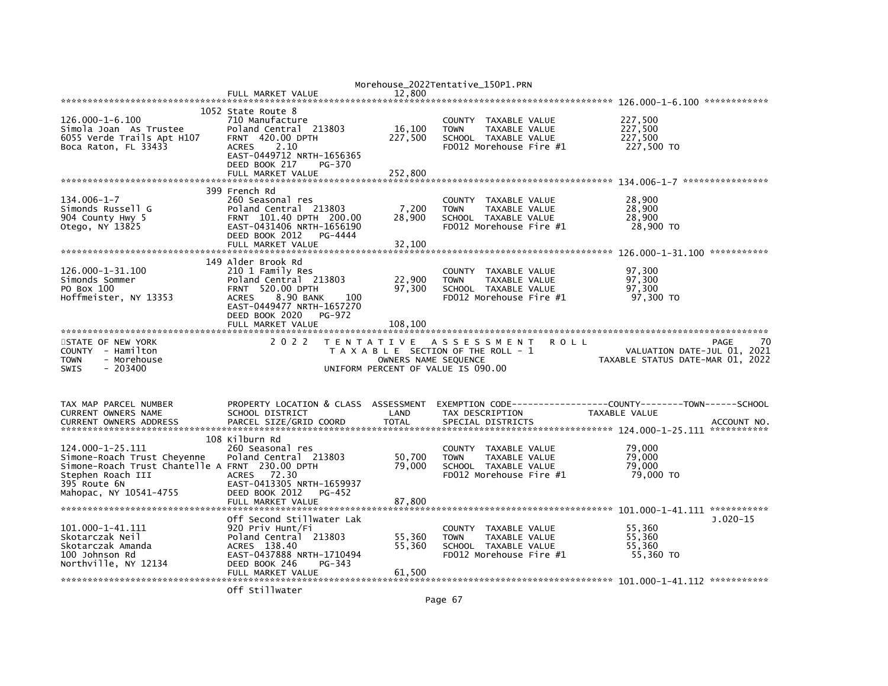|                                                                                                                                                                   |                                                                                                                                                                                         |                                           | Morehouse_2022Tentative_150P1.PRN                                                                                        |                                                                               |
|-------------------------------------------------------------------------------------------------------------------------------------------------------------------|-----------------------------------------------------------------------------------------------------------------------------------------------------------------------------------------|-------------------------------------------|--------------------------------------------------------------------------------------------------------------------------|-------------------------------------------------------------------------------|
|                                                                                                                                                                   | FULL MARKET VALUE                                                                                                                                                                       | 12.800                                    |                                                                                                                          |                                                                               |
| $126.000 - 1 - 6.100$<br>Simola Joan As Trustee<br>6055 Verde Trails Apt H107<br>Boca Raton, FL 33433                                                             | 1052 State Route 8<br>710 Manufacture<br>Poland Central 213803<br>420.00 DPTH<br><b>FRNT</b><br>2.10<br><b>ACRES</b><br>EAST-0449712 NRTH-1656365<br>DEED BOOK 217<br>PG-370            | 16,100<br>227,500                         | TAXABLE VALUE<br><b>COUNTY</b><br><b>TAXABLE VALUE</b><br><b>TOWN</b><br>SCHOOL TAXABLE VALUE<br>FD012 Morehouse Fire #1 | 227,500<br>227,500<br>227,500<br>227,500 TO                                   |
|                                                                                                                                                                   | FULL MARKET VALUE                                                                                                                                                                       | 252,800                                   |                                                                                                                          |                                                                               |
|                                                                                                                                                                   | 399 French Rd                                                                                                                                                                           |                                           |                                                                                                                          |                                                                               |
| $134.006 - 1 - 7$<br>Simonds Russell G<br>904 County Hwy 5<br>Otego, NY 13825                                                                                     | 260 Seasonal res<br>Poland Central 213803<br>FRNT 101.40 DPTH 200.00<br>EAST-0431406 NRTH-1656190<br>DEED BOOK 2012<br>PG-4444                                                          | 7,200<br>28,900                           | <b>COUNTY</b><br>TAXABLE VALUE<br>TAXABLE VALUE<br><b>TOWN</b><br>SCHOOL TAXABLE VALUE<br>FD012 Morehouse Fire #1        | 28.900<br>28,900<br>28,900<br>28,900 TO                                       |
|                                                                                                                                                                   | FULL MARKET VALUE                                                                                                                                                                       | 32,100                                    |                                                                                                                          |                                                                               |
| 126.000-1-31.100<br>Simonds Sommer<br>PO Box 100<br>Hoffmeister, NY 13353                                                                                         | 149 Alder Brook Rd<br>210 1 Family Res<br>Poland Central 213803<br><b>FRNT 520.00 DPTH</b><br>8.90 BANK<br><b>ACRES</b><br>100<br>EAST-0449477 NRTH-1657270<br>DEED BOOK 2020<br>PG-972 | 22,900<br>97,300                          | <b>COUNTY</b><br>TAXABLE VALUE<br><b>TOWN</b><br>TAXABLE VALUE<br>SCHOOL TAXABLE VALUE<br>FD012 Morehouse Fire #1        | 97,300<br>97,300<br>97,300<br>97,300 TO                                       |
|                                                                                                                                                                   | FULL MARKET VALUE                                                                                                                                                                       | 108,100                                   |                                                                                                                          |                                                                               |
|                                                                                                                                                                   |                                                                                                                                                                                         |                                           |                                                                                                                          |                                                                               |
| STATE OF NEW YORK<br><b>COUNTY</b><br>- Hamilton<br>- Morehouse<br><b>TOWN</b><br>SWIS<br>$-203400$                                                               | 2 0 2 2                                                                                                                                                                                 | T E N T A T I V E<br>OWNERS NAME SEQUENCE | A S S E S S M E N T<br>ROLL<br>T A X A B L E SECTION OF THE ROLL - 1<br>UNIFORM PERCENT OF VALUE IS 090.00               | 70<br>PAGE<br>VALUATION DATE-JUL 01, 2021<br>TAXABLE STATUS DATE-MAR 01, 2022 |
| TAX MAP PARCEL NUMBER<br><b>CURRENT OWNERS NAME</b><br>CURRENT OWNERS ADDRESS                                                                                     | PROPERTY LOCATION & CLASS ASSESSMENT<br>SCHOOL DISTRICT<br>PARCEL SIZE/GRID COORD                                                                                                       | LAND<br><b>TOTAL</b>                      | EXEMPTION CODE--<br>TAX DESCRIPTION<br>SPECIAL DISTRICTS                                                                 | -----COUNTY--------TOWN------SCHOOL<br>TAXABLE VALUE<br>ACCOUNT NO.           |
| 124.000-1-25.111<br>Simone-Roach Trust Cheyenne<br>Simone-Roach Trust Chantelle A FRNT 230.00 DPTH<br>Stephen Roach III<br>395 Route 6N<br>Mahopac, NY 10541-4755 | 108 Kilburn Rd<br>260 Seasonal res<br>Poland Central 213803<br>72.30<br><b>ACRES</b><br>EAST-0413305 NRTH-1659937<br>DEED BOOK 2012<br>PG-452<br>FULL MARKET VALUE                      | 50,700<br>79,000<br>87,800                | <b>COUNTY</b><br>TAXABLE VALUE<br><b>TAXABLE VALUE</b><br><b>TOWN</b><br>SCHOOL TAXABLE VALUE<br>FD012 Morehouse Fire #1 | 79.000<br>79,000<br>79,000<br>79,000 TO                                       |
| 101.000-1-41.111<br>Skotarczak Neil<br>Skotarczak Amanda<br>100 Johnson Rd<br>Northville, NY 12134                                                                | Off Second Stillwater Lak<br>920 Priv Hunt/Fi<br>Poland Central 213803<br>ACRES 138.40<br>EAST-0437888 NRTH-1710494<br>DEED BOOK 246<br>$PG-343$<br>FULL MARKET VALUE                   | 55,360<br>55,360<br>61,500                | <b>COUNTY</b><br>TAXABLE VALUE<br>TAXABLE VALUE<br><b>TOWN</b><br>SCHOOL TAXABLE VALUE<br>FD012 Morehouse Fire #1        | J.020-15<br>55,360<br>55,360<br>55.360<br>55,360 TO                           |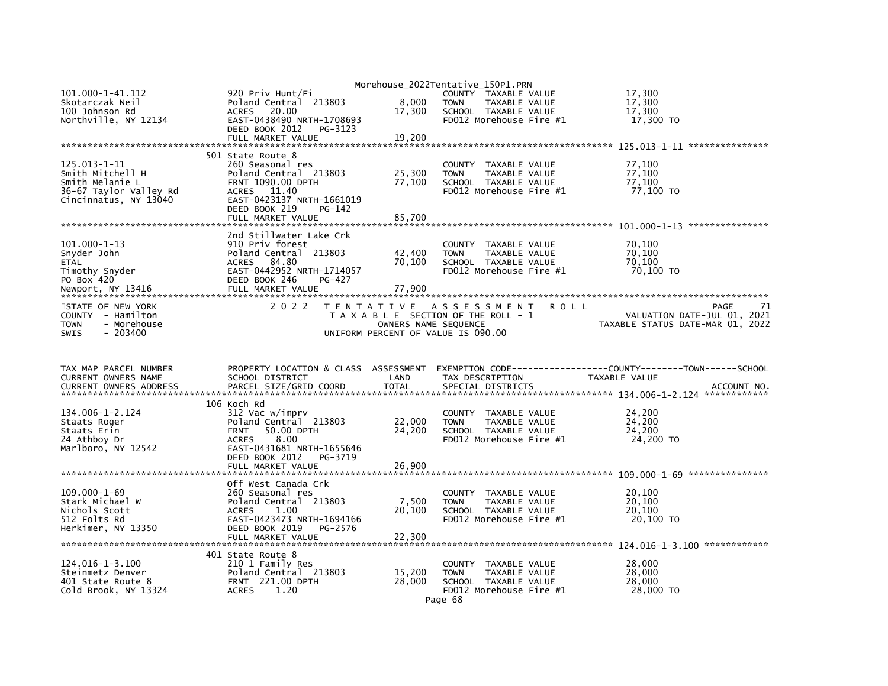| Morehouse_2022Tentative_150P1.PRN<br>101.000-1-41.112<br>17.300<br>920 Priv Hunt/Fi<br>COUNTY TAXABLE VALUE<br>Skotarczak Neil<br>8,000<br>17,300<br>Poland Central 213803<br>TAXABLE VALUE<br><b>TOWN</b><br>100 Johnson Rd<br>17,300<br>17,300<br><b>ACRES</b><br>20.00<br>SCHOOL TAXABLE VALUE<br>Northville, NY 12134<br>EAST-0438490 NRTH-1708693<br>FD012 Morehouse Fire #1<br>17,300 TO<br>DEED BOOK 2012<br>PG-3123<br>FULL MARKET VALUE<br>19,200<br>***************<br>501 State Route 8<br>$125.013 - 1 - 11$<br>260 Seasonal res<br>77,100<br>TAXABLE VALUE<br><b>COUNTY</b><br>Poland Central 213803<br>25,300<br>77,100<br>Smith Mitchell H<br><b>TAXABLE VALUE</b><br><b>TOWN</b><br>77.100<br><b>FRNT 1090.00 DPTH</b><br>77,100<br>Smith Melanie L<br>SCHOOL TAXABLE VALUE<br>36-67 Taylor Valley Rd<br>ACRES 11.40<br>FD012 Morehouse Fire #1<br>77,100 TO<br>EAST-0423137 NRTH-1661019<br>Cincinnatus, NY 13040<br>DEED BOOK 219<br>$PG-142$<br>FULL MARKET VALUE<br>85,700<br>2nd Stillwater Lake Crk<br>$101.000 - 1 - 13$<br>910 Priv forest<br>70.100<br>COUNTY TAXABLE VALUE<br>Poland Central 213803<br>70.100<br>Snyder John<br>42,400<br><b>TOWN</b><br>TAXABLE VALUE<br>ACRES 84.80<br>70.100<br>70,100<br><b>ETAL</b><br>SCHOOL TAXABLE VALUE<br>Timothy Snyder<br>EAST-0442952 NRTH-1714057<br>FD012 Morehouse Fire #1<br>70,100 TO<br>PO Box 420<br>DEED BOOK 246<br>PG-427<br>Newport, NY 13416<br>FULL MARKET VALUE<br>77,900<br>2 0 2 2<br>STATE OF NEW YORK<br>TENTATIVE ASSESSMENT<br><b>ROLL</b><br>PAGE<br>71<br>COUNTY - Hamilton<br>T A X A B L E SECTION OF THE ROLL - 1<br>VALUATION DATE-JUL 01, 2021<br>- Morehouse<br>OWNERS NAME SEQUENCE<br>TAXABLE STATUS DATE-MAR 01, 2022<br>TOWN<br>$-203400$<br><b>SWIS</b><br>UNIFORM PERCENT OF VALUE IS 090.00<br>TAX MAP PARCEL NUMBER<br>PROPERTY LOCATION & CLASS ASSESSMENT<br>CURRENT OWNERS NAME<br>SCHOOL DISTRICT<br>LAND<br>TAX DESCRIPTION<br>TAXABLE VALUE<br>PARCEL SIZE/GRID COORD<br><b>TOTAL</b><br>SPECIAL DISTRICTS<br><b>CURRENT OWNERS ADDRESS</b><br>ACCOUNT NO.<br>106 Koch Rd<br>134.006-1-2.124<br>24,200<br>312 Vac w/imprv<br>COUNTY TAXABLE VALUE<br>24,200<br>Poland Central 213803<br>22,000<br>TAXABLE VALUE<br>Staats Roger<br><b>TOWN</b><br>24,200<br>24,200<br>Staats Erin<br>50.00 DPTH<br>SCHOOL TAXABLE VALUE<br><b>FRNT</b><br>8.00<br>FD012 Morehouse Fire #1<br>24,200 TO<br>24 Athboy Dr<br><b>ACRES</b><br>Marlboro, NY 12542<br>EAST-0431681 NRTH-1655646<br>DEED BOOK 2012<br>PG-3719<br>FULL MARKET VALUE<br>26,900<br>Off West Canada Crk<br>$109.000 - 1 - 69$<br>260 Seasonal res<br>20,100<br>COUNTY TAXABLE VALUE<br>20.100<br>Stark Michael W<br>Poland Central 213803<br>7,500<br>TAXABLE VALUE<br><b>TOWN</b><br>20,100<br>Nichols Scott<br>1.00<br>20,100<br><b>ACRES</b><br>SCHOOL TAXABLE VALUE<br>512 Folts Rd<br>EAST-0423473 NRTH-1694166<br>20,100 TO<br>FD012 Morehouse Fire #1<br>Herkimer, NY 13350<br>DEED BOOK 2019<br>PG-2576<br>FULL MARKET VALUE<br>22,300<br>401 State Route 8<br>124.016-1-3.100<br>210 1 Family Res<br>28,000<br>COUNTY TAXABLE VALUE<br>Poland Central 213803<br>15,200<br>28,000<br>Steinmetz Denver<br><b>TOWN</b><br>TAXABLE VALUE<br>401 State Route 8<br><b>FRNT 221.00 DPTH</b><br>28,000<br>28,000<br>SCHOOL TAXABLE VALUE<br>Cold Brook, NY 13324<br><b>ACRES</b><br>1.20<br>FD012 Morehouse Fire #1<br>28,000 TO<br>Page 68 |  |  |  |
|--------------------------------------------------------------------------------------------------------------------------------------------------------------------------------------------------------------------------------------------------------------------------------------------------------------------------------------------------------------------------------------------------------------------------------------------------------------------------------------------------------------------------------------------------------------------------------------------------------------------------------------------------------------------------------------------------------------------------------------------------------------------------------------------------------------------------------------------------------------------------------------------------------------------------------------------------------------------------------------------------------------------------------------------------------------------------------------------------------------------------------------------------------------------------------------------------------------------------------------------------------------------------------------------------------------------------------------------------------------------------------------------------------------------------------------------------------------------------------------------------------------------------------------------------------------------------------------------------------------------------------------------------------------------------------------------------------------------------------------------------------------------------------------------------------------------------------------------------------------------------------------------------------------------------------------------------------------------------------------------------------------------------------------------------------------------------------------------------------------------------------------------------------------------------------------------------------------------------------------------------------------------------------------------------------------------------------------------------------------------------------------------------------------------------------------------------------------------------------------------------------------------------------------------------------------------------------------------------------------------------------------------------------------------------------------------------------------------------------------------------------------------------------------------------------------------------------------------------------------------------------------------------------------------------------------------------------------------------------------------------------------------------------------------------------------------------------------------------------------------------------------------------------------------------------------------------------------------------------------------------------------------------------------------------------------------------------------------------------------------------------------------------------------------|--|--|--|
|                                                                                                                                                                                                                                                                                                                                                                                                                                                                                                                                                                                                                                                                                                                                                                                                                                                                                                                                                                                                                                                                                                                                                                                                                                                                                                                                                                                                                                                                                                                                                                                                                                                                                                                                                                                                                                                                                                                                                                                                                                                                                                                                                                                                                                                                                                                                                                                                                                                                                                                                                                                                                                                                                                                                                                                                                                                                                                                                                                                                                                                                                                                                                                                                                                                                                                                                                                                                                    |  |  |  |
|                                                                                                                                                                                                                                                                                                                                                                                                                                                                                                                                                                                                                                                                                                                                                                                                                                                                                                                                                                                                                                                                                                                                                                                                                                                                                                                                                                                                                                                                                                                                                                                                                                                                                                                                                                                                                                                                                                                                                                                                                                                                                                                                                                                                                                                                                                                                                                                                                                                                                                                                                                                                                                                                                                                                                                                                                                                                                                                                                                                                                                                                                                                                                                                                                                                                                                                                                                                                                    |  |  |  |
|                                                                                                                                                                                                                                                                                                                                                                                                                                                                                                                                                                                                                                                                                                                                                                                                                                                                                                                                                                                                                                                                                                                                                                                                                                                                                                                                                                                                                                                                                                                                                                                                                                                                                                                                                                                                                                                                                                                                                                                                                                                                                                                                                                                                                                                                                                                                                                                                                                                                                                                                                                                                                                                                                                                                                                                                                                                                                                                                                                                                                                                                                                                                                                                                                                                                                                                                                                                                                    |  |  |  |
|                                                                                                                                                                                                                                                                                                                                                                                                                                                                                                                                                                                                                                                                                                                                                                                                                                                                                                                                                                                                                                                                                                                                                                                                                                                                                                                                                                                                                                                                                                                                                                                                                                                                                                                                                                                                                                                                                                                                                                                                                                                                                                                                                                                                                                                                                                                                                                                                                                                                                                                                                                                                                                                                                                                                                                                                                                                                                                                                                                                                                                                                                                                                                                                                                                                                                                                                                                                                                    |  |  |  |
|                                                                                                                                                                                                                                                                                                                                                                                                                                                                                                                                                                                                                                                                                                                                                                                                                                                                                                                                                                                                                                                                                                                                                                                                                                                                                                                                                                                                                                                                                                                                                                                                                                                                                                                                                                                                                                                                                                                                                                                                                                                                                                                                                                                                                                                                                                                                                                                                                                                                                                                                                                                                                                                                                                                                                                                                                                                                                                                                                                                                                                                                                                                                                                                                                                                                                                                                                                                                                    |  |  |  |
|                                                                                                                                                                                                                                                                                                                                                                                                                                                                                                                                                                                                                                                                                                                                                                                                                                                                                                                                                                                                                                                                                                                                                                                                                                                                                                                                                                                                                                                                                                                                                                                                                                                                                                                                                                                                                                                                                                                                                                                                                                                                                                                                                                                                                                                                                                                                                                                                                                                                                                                                                                                                                                                                                                                                                                                                                                                                                                                                                                                                                                                                                                                                                                                                                                                                                                                                                                                                                    |  |  |  |
|                                                                                                                                                                                                                                                                                                                                                                                                                                                                                                                                                                                                                                                                                                                                                                                                                                                                                                                                                                                                                                                                                                                                                                                                                                                                                                                                                                                                                                                                                                                                                                                                                                                                                                                                                                                                                                                                                                                                                                                                                                                                                                                                                                                                                                                                                                                                                                                                                                                                                                                                                                                                                                                                                                                                                                                                                                                                                                                                                                                                                                                                                                                                                                                                                                                                                                                                                                                                                    |  |  |  |
|                                                                                                                                                                                                                                                                                                                                                                                                                                                                                                                                                                                                                                                                                                                                                                                                                                                                                                                                                                                                                                                                                                                                                                                                                                                                                                                                                                                                                                                                                                                                                                                                                                                                                                                                                                                                                                                                                                                                                                                                                                                                                                                                                                                                                                                                                                                                                                                                                                                                                                                                                                                                                                                                                                                                                                                                                                                                                                                                                                                                                                                                                                                                                                                                                                                                                                                                                                                                                    |  |  |  |
|                                                                                                                                                                                                                                                                                                                                                                                                                                                                                                                                                                                                                                                                                                                                                                                                                                                                                                                                                                                                                                                                                                                                                                                                                                                                                                                                                                                                                                                                                                                                                                                                                                                                                                                                                                                                                                                                                                                                                                                                                                                                                                                                                                                                                                                                                                                                                                                                                                                                                                                                                                                                                                                                                                                                                                                                                                                                                                                                                                                                                                                                                                                                                                                                                                                                                                                                                                                                                    |  |  |  |
|                                                                                                                                                                                                                                                                                                                                                                                                                                                                                                                                                                                                                                                                                                                                                                                                                                                                                                                                                                                                                                                                                                                                                                                                                                                                                                                                                                                                                                                                                                                                                                                                                                                                                                                                                                                                                                                                                                                                                                                                                                                                                                                                                                                                                                                                                                                                                                                                                                                                                                                                                                                                                                                                                                                                                                                                                                                                                                                                                                                                                                                                                                                                                                                                                                                                                                                                                                                                                    |  |  |  |
|                                                                                                                                                                                                                                                                                                                                                                                                                                                                                                                                                                                                                                                                                                                                                                                                                                                                                                                                                                                                                                                                                                                                                                                                                                                                                                                                                                                                                                                                                                                                                                                                                                                                                                                                                                                                                                                                                                                                                                                                                                                                                                                                                                                                                                                                                                                                                                                                                                                                                                                                                                                                                                                                                                                                                                                                                                                                                                                                                                                                                                                                                                                                                                                                                                                                                                                                                                                                                    |  |  |  |
|                                                                                                                                                                                                                                                                                                                                                                                                                                                                                                                                                                                                                                                                                                                                                                                                                                                                                                                                                                                                                                                                                                                                                                                                                                                                                                                                                                                                                                                                                                                                                                                                                                                                                                                                                                                                                                                                                                                                                                                                                                                                                                                                                                                                                                                                                                                                                                                                                                                                                                                                                                                                                                                                                                                                                                                                                                                                                                                                                                                                                                                                                                                                                                                                                                                                                                                                                                                                                    |  |  |  |
|                                                                                                                                                                                                                                                                                                                                                                                                                                                                                                                                                                                                                                                                                                                                                                                                                                                                                                                                                                                                                                                                                                                                                                                                                                                                                                                                                                                                                                                                                                                                                                                                                                                                                                                                                                                                                                                                                                                                                                                                                                                                                                                                                                                                                                                                                                                                                                                                                                                                                                                                                                                                                                                                                                                                                                                                                                                                                                                                                                                                                                                                                                                                                                                                                                                                                                                                                                                                                    |  |  |  |
|                                                                                                                                                                                                                                                                                                                                                                                                                                                                                                                                                                                                                                                                                                                                                                                                                                                                                                                                                                                                                                                                                                                                                                                                                                                                                                                                                                                                                                                                                                                                                                                                                                                                                                                                                                                                                                                                                                                                                                                                                                                                                                                                                                                                                                                                                                                                                                                                                                                                                                                                                                                                                                                                                                                                                                                                                                                                                                                                                                                                                                                                                                                                                                                                                                                                                                                                                                                                                    |  |  |  |
|                                                                                                                                                                                                                                                                                                                                                                                                                                                                                                                                                                                                                                                                                                                                                                                                                                                                                                                                                                                                                                                                                                                                                                                                                                                                                                                                                                                                                                                                                                                                                                                                                                                                                                                                                                                                                                                                                                                                                                                                                                                                                                                                                                                                                                                                                                                                                                                                                                                                                                                                                                                                                                                                                                                                                                                                                                                                                                                                                                                                                                                                                                                                                                                                                                                                                                                                                                                                                    |  |  |  |
|                                                                                                                                                                                                                                                                                                                                                                                                                                                                                                                                                                                                                                                                                                                                                                                                                                                                                                                                                                                                                                                                                                                                                                                                                                                                                                                                                                                                                                                                                                                                                                                                                                                                                                                                                                                                                                                                                                                                                                                                                                                                                                                                                                                                                                                                                                                                                                                                                                                                                                                                                                                                                                                                                                                                                                                                                                                                                                                                                                                                                                                                                                                                                                                                                                                                                                                                                                                                                    |  |  |  |
|                                                                                                                                                                                                                                                                                                                                                                                                                                                                                                                                                                                                                                                                                                                                                                                                                                                                                                                                                                                                                                                                                                                                                                                                                                                                                                                                                                                                                                                                                                                                                                                                                                                                                                                                                                                                                                                                                                                                                                                                                                                                                                                                                                                                                                                                                                                                                                                                                                                                                                                                                                                                                                                                                                                                                                                                                                                                                                                                                                                                                                                                                                                                                                                                                                                                                                                                                                                                                    |  |  |  |
|                                                                                                                                                                                                                                                                                                                                                                                                                                                                                                                                                                                                                                                                                                                                                                                                                                                                                                                                                                                                                                                                                                                                                                                                                                                                                                                                                                                                                                                                                                                                                                                                                                                                                                                                                                                                                                                                                                                                                                                                                                                                                                                                                                                                                                                                                                                                                                                                                                                                                                                                                                                                                                                                                                                                                                                                                                                                                                                                                                                                                                                                                                                                                                                                                                                                                                                                                                                                                    |  |  |  |
|                                                                                                                                                                                                                                                                                                                                                                                                                                                                                                                                                                                                                                                                                                                                                                                                                                                                                                                                                                                                                                                                                                                                                                                                                                                                                                                                                                                                                                                                                                                                                                                                                                                                                                                                                                                                                                                                                                                                                                                                                                                                                                                                                                                                                                                                                                                                                                                                                                                                                                                                                                                                                                                                                                                                                                                                                                                                                                                                                                                                                                                                                                                                                                                                                                                                                                                                                                                                                    |  |  |  |
|                                                                                                                                                                                                                                                                                                                                                                                                                                                                                                                                                                                                                                                                                                                                                                                                                                                                                                                                                                                                                                                                                                                                                                                                                                                                                                                                                                                                                                                                                                                                                                                                                                                                                                                                                                                                                                                                                                                                                                                                                                                                                                                                                                                                                                                                                                                                                                                                                                                                                                                                                                                                                                                                                                                                                                                                                                                                                                                                                                                                                                                                                                                                                                                                                                                                                                                                                                                                                    |  |  |  |
|                                                                                                                                                                                                                                                                                                                                                                                                                                                                                                                                                                                                                                                                                                                                                                                                                                                                                                                                                                                                                                                                                                                                                                                                                                                                                                                                                                                                                                                                                                                                                                                                                                                                                                                                                                                                                                                                                                                                                                                                                                                                                                                                                                                                                                                                                                                                                                                                                                                                                                                                                                                                                                                                                                                                                                                                                                                                                                                                                                                                                                                                                                                                                                                                                                                                                                                                                                                                                    |  |  |  |
|                                                                                                                                                                                                                                                                                                                                                                                                                                                                                                                                                                                                                                                                                                                                                                                                                                                                                                                                                                                                                                                                                                                                                                                                                                                                                                                                                                                                                                                                                                                                                                                                                                                                                                                                                                                                                                                                                                                                                                                                                                                                                                                                                                                                                                                                                                                                                                                                                                                                                                                                                                                                                                                                                                                                                                                                                                                                                                                                                                                                                                                                                                                                                                                                                                                                                                                                                                                                                    |  |  |  |
|                                                                                                                                                                                                                                                                                                                                                                                                                                                                                                                                                                                                                                                                                                                                                                                                                                                                                                                                                                                                                                                                                                                                                                                                                                                                                                                                                                                                                                                                                                                                                                                                                                                                                                                                                                                                                                                                                                                                                                                                                                                                                                                                                                                                                                                                                                                                                                                                                                                                                                                                                                                                                                                                                                                                                                                                                                                                                                                                                                                                                                                                                                                                                                                                                                                                                                                                                                                                                    |  |  |  |
|                                                                                                                                                                                                                                                                                                                                                                                                                                                                                                                                                                                                                                                                                                                                                                                                                                                                                                                                                                                                                                                                                                                                                                                                                                                                                                                                                                                                                                                                                                                                                                                                                                                                                                                                                                                                                                                                                                                                                                                                                                                                                                                                                                                                                                                                                                                                                                                                                                                                                                                                                                                                                                                                                                                                                                                                                                                                                                                                                                                                                                                                                                                                                                                                                                                                                                                                                                                                                    |  |  |  |
|                                                                                                                                                                                                                                                                                                                                                                                                                                                                                                                                                                                                                                                                                                                                                                                                                                                                                                                                                                                                                                                                                                                                                                                                                                                                                                                                                                                                                                                                                                                                                                                                                                                                                                                                                                                                                                                                                                                                                                                                                                                                                                                                                                                                                                                                                                                                                                                                                                                                                                                                                                                                                                                                                                                                                                                                                                                                                                                                                                                                                                                                                                                                                                                                                                                                                                                                                                                                                    |  |  |  |
|                                                                                                                                                                                                                                                                                                                                                                                                                                                                                                                                                                                                                                                                                                                                                                                                                                                                                                                                                                                                                                                                                                                                                                                                                                                                                                                                                                                                                                                                                                                                                                                                                                                                                                                                                                                                                                                                                                                                                                                                                                                                                                                                                                                                                                                                                                                                                                                                                                                                                                                                                                                                                                                                                                                                                                                                                                                                                                                                                                                                                                                                                                                                                                                                                                                                                                                                                                                                                    |  |  |  |
|                                                                                                                                                                                                                                                                                                                                                                                                                                                                                                                                                                                                                                                                                                                                                                                                                                                                                                                                                                                                                                                                                                                                                                                                                                                                                                                                                                                                                                                                                                                                                                                                                                                                                                                                                                                                                                                                                                                                                                                                                                                                                                                                                                                                                                                                                                                                                                                                                                                                                                                                                                                                                                                                                                                                                                                                                                                                                                                                                                                                                                                                                                                                                                                                                                                                                                                                                                                                                    |  |  |  |
|                                                                                                                                                                                                                                                                                                                                                                                                                                                                                                                                                                                                                                                                                                                                                                                                                                                                                                                                                                                                                                                                                                                                                                                                                                                                                                                                                                                                                                                                                                                                                                                                                                                                                                                                                                                                                                                                                                                                                                                                                                                                                                                                                                                                                                                                                                                                                                                                                                                                                                                                                                                                                                                                                                                                                                                                                                                                                                                                                                                                                                                                                                                                                                                                                                                                                                                                                                                                                    |  |  |  |
|                                                                                                                                                                                                                                                                                                                                                                                                                                                                                                                                                                                                                                                                                                                                                                                                                                                                                                                                                                                                                                                                                                                                                                                                                                                                                                                                                                                                                                                                                                                                                                                                                                                                                                                                                                                                                                                                                                                                                                                                                                                                                                                                                                                                                                                                                                                                                                                                                                                                                                                                                                                                                                                                                                                                                                                                                                                                                                                                                                                                                                                                                                                                                                                                                                                                                                                                                                                                                    |  |  |  |
|                                                                                                                                                                                                                                                                                                                                                                                                                                                                                                                                                                                                                                                                                                                                                                                                                                                                                                                                                                                                                                                                                                                                                                                                                                                                                                                                                                                                                                                                                                                                                                                                                                                                                                                                                                                                                                                                                                                                                                                                                                                                                                                                                                                                                                                                                                                                                                                                                                                                                                                                                                                                                                                                                                                                                                                                                                                                                                                                                                                                                                                                                                                                                                                                                                                                                                                                                                                                                    |  |  |  |
|                                                                                                                                                                                                                                                                                                                                                                                                                                                                                                                                                                                                                                                                                                                                                                                                                                                                                                                                                                                                                                                                                                                                                                                                                                                                                                                                                                                                                                                                                                                                                                                                                                                                                                                                                                                                                                                                                                                                                                                                                                                                                                                                                                                                                                                                                                                                                                                                                                                                                                                                                                                                                                                                                                                                                                                                                                                                                                                                                                                                                                                                                                                                                                                                                                                                                                                                                                                                                    |  |  |  |
|                                                                                                                                                                                                                                                                                                                                                                                                                                                                                                                                                                                                                                                                                                                                                                                                                                                                                                                                                                                                                                                                                                                                                                                                                                                                                                                                                                                                                                                                                                                                                                                                                                                                                                                                                                                                                                                                                                                                                                                                                                                                                                                                                                                                                                                                                                                                                                                                                                                                                                                                                                                                                                                                                                                                                                                                                                                                                                                                                                                                                                                                                                                                                                                                                                                                                                                                                                                                                    |  |  |  |
|                                                                                                                                                                                                                                                                                                                                                                                                                                                                                                                                                                                                                                                                                                                                                                                                                                                                                                                                                                                                                                                                                                                                                                                                                                                                                                                                                                                                                                                                                                                                                                                                                                                                                                                                                                                                                                                                                                                                                                                                                                                                                                                                                                                                                                                                                                                                                                                                                                                                                                                                                                                                                                                                                                                                                                                                                                                                                                                                                                                                                                                                                                                                                                                                                                                                                                                                                                                                                    |  |  |  |
|                                                                                                                                                                                                                                                                                                                                                                                                                                                                                                                                                                                                                                                                                                                                                                                                                                                                                                                                                                                                                                                                                                                                                                                                                                                                                                                                                                                                                                                                                                                                                                                                                                                                                                                                                                                                                                                                                                                                                                                                                                                                                                                                                                                                                                                                                                                                                                                                                                                                                                                                                                                                                                                                                                                                                                                                                                                                                                                                                                                                                                                                                                                                                                                                                                                                                                                                                                                                                    |  |  |  |
|                                                                                                                                                                                                                                                                                                                                                                                                                                                                                                                                                                                                                                                                                                                                                                                                                                                                                                                                                                                                                                                                                                                                                                                                                                                                                                                                                                                                                                                                                                                                                                                                                                                                                                                                                                                                                                                                                                                                                                                                                                                                                                                                                                                                                                                                                                                                                                                                                                                                                                                                                                                                                                                                                                                                                                                                                                                                                                                                                                                                                                                                                                                                                                                                                                                                                                                                                                                                                    |  |  |  |
|                                                                                                                                                                                                                                                                                                                                                                                                                                                                                                                                                                                                                                                                                                                                                                                                                                                                                                                                                                                                                                                                                                                                                                                                                                                                                                                                                                                                                                                                                                                                                                                                                                                                                                                                                                                                                                                                                                                                                                                                                                                                                                                                                                                                                                                                                                                                                                                                                                                                                                                                                                                                                                                                                                                                                                                                                                                                                                                                                                                                                                                                                                                                                                                                                                                                                                                                                                                                                    |  |  |  |
|                                                                                                                                                                                                                                                                                                                                                                                                                                                                                                                                                                                                                                                                                                                                                                                                                                                                                                                                                                                                                                                                                                                                                                                                                                                                                                                                                                                                                                                                                                                                                                                                                                                                                                                                                                                                                                                                                                                                                                                                                                                                                                                                                                                                                                                                                                                                                                                                                                                                                                                                                                                                                                                                                                                                                                                                                                                                                                                                                                                                                                                                                                                                                                                                                                                                                                                                                                                                                    |  |  |  |
|                                                                                                                                                                                                                                                                                                                                                                                                                                                                                                                                                                                                                                                                                                                                                                                                                                                                                                                                                                                                                                                                                                                                                                                                                                                                                                                                                                                                                                                                                                                                                                                                                                                                                                                                                                                                                                                                                                                                                                                                                                                                                                                                                                                                                                                                                                                                                                                                                                                                                                                                                                                                                                                                                                                                                                                                                                                                                                                                                                                                                                                                                                                                                                                                                                                                                                                                                                                                                    |  |  |  |
|                                                                                                                                                                                                                                                                                                                                                                                                                                                                                                                                                                                                                                                                                                                                                                                                                                                                                                                                                                                                                                                                                                                                                                                                                                                                                                                                                                                                                                                                                                                                                                                                                                                                                                                                                                                                                                                                                                                                                                                                                                                                                                                                                                                                                                                                                                                                                                                                                                                                                                                                                                                                                                                                                                                                                                                                                                                                                                                                                                                                                                                                                                                                                                                                                                                                                                                                                                                                                    |  |  |  |
|                                                                                                                                                                                                                                                                                                                                                                                                                                                                                                                                                                                                                                                                                                                                                                                                                                                                                                                                                                                                                                                                                                                                                                                                                                                                                                                                                                                                                                                                                                                                                                                                                                                                                                                                                                                                                                                                                                                                                                                                                                                                                                                                                                                                                                                                                                                                                                                                                                                                                                                                                                                                                                                                                                                                                                                                                                                                                                                                                                                                                                                                                                                                                                                                                                                                                                                                                                                                                    |  |  |  |
|                                                                                                                                                                                                                                                                                                                                                                                                                                                                                                                                                                                                                                                                                                                                                                                                                                                                                                                                                                                                                                                                                                                                                                                                                                                                                                                                                                                                                                                                                                                                                                                                                                                                                                                                                                                                                                                                                                                                                                                                                                                                                                                                                                                                                                                                                                                                                                                                                                                                                                                                                                                                                                                                                                                                                                                                                                                                                                                                                                                                                                                                                                                                                                                                                                                                                                                                                                                                                    |  |  |  |
|                                                                                                                                                                                                                                                                                                                                                                                                                                                                                                                                                                                                                                                                                                                                                                                                                                                                                                                                                                                                                                                                                                                                                                                                                                                                                                                                                                                                                                                                                                                                                                                                                                                                                                                                                                                                                                                                                                                                                                                                                                                                                                                                                                                                                                                                                                                                                                                                                                                                                                                                                                                                                                                                                                                                                                                                                                                                                                                                                                                                                                                                                                                                                                                                                                                                                                                                                                                                                    |  |  |  |
|                                                                                                                                                                                                                                                                                                                                                                                                                                                                                                                                                                                                                                                                                                                                                                                                                                                                                                                                                                                                                                                                                                                                                                                                                                                                                                                                                                                                                                                                                                                                                                                                                                                                                                                                                                                                                                                                                                                                                                                                                                                                                                                                                                                                                                                                                                                                                                                                                                                                                                                                                                                                                                                                                                                                                                                                                                                                                                                                                                                                                                                                                                                                                                                                                                                                                                                                                                                                                    |  |  |  |
|                                                                                                                                                                                                                                                                                                                                                                                                                                                                                                                                                                                                                                                                                                                                                                                                                                                                                                                                                                                                                                                                                                                                                                                                                                                                                                                                                                                                                                                                                                                                                                                                                                                                                                                                                                                                                                                                                                                                                                                                                                                                                                                                                                                                                                                                                                                                                                                                                                                                                                                                                                                                                                                                                                                                                                                                                                                                                                                                                                                                                                                                                                                                                                                                                                                                                                                                                                                                                    |  |  |  |
|                                                                                                                                                                                                                                                                                                                                                                                                                                                                                                                                                                                                                                                                                                                                                                                                                                                                                                                                                                                                                                                                                                                                                                                                                                                                                                                                                                                                                                                                                                                                                                                                                                                                                                                                                                                                                                                                                                                                                                                                                                                                                                                                                                                                                                                                                                                                                                                                                                                                                                                                                                                                                                                                                                                                                                                                                                                                                                                                                                                                                                                                                                                                                                                                                                                                                                                                                                                                                    |  |  |  |
|                                                                                                                                                                                                                                                                                                                                                                                                                                                                                                                                                                                                                                                                                                                                                                                                                                                                                                                                                                                                                                                                                                                                                                                                                                                                                                                                                                                                                                                                                                                                                                                                                                                                                                                                                                                                                                                                                                                                                                                                                                                                                                                                                                                                                                                                                                                                                                                                                                                                                                                                                                                                                                                                                                                                                                                                                                                                                                                                                                                                                                                                                                                                                                                                                                                                                                                                                                                                                    |  |  |  |
|                                                                                                                                                                                                                                                                                                                                                                                                                                                                                                                                                                                                                                                                                                                                                                                                                                                                                                                                                                                                                                                                                                                                                                                                                                                                                                                                                                                                                                                                                                                                                                                                                                                                                                                                                                                                                                                                                                                                                                                                                                                                                                                                                                                                                                                                                                                                                                                                                                                                                                                                                                                                                                                                                                                                                                                                                                                                                                                                                                                                                                                                                                                                                                                                                                                                                                                                                                                                                    |  |  |  |
|                                                                                                                                                                                                                                                                                                                                                                                                                                                                                                                                                                                                                                                                                                                                                                                                                                                                                                                                                                                                                                                                                                                                                                                                                                                                                                                                                                                                                                                                                                                                                                                                                                                                                                                                                                                                                                                                                                                                                                                                                                                                                                                                                                                                                                                                                                                                                                                                                                                                                                                                                                                                                                                                                                                                                                                                                                                                                                                                                                                                                                                                                                                                                                                                                                                                                                                                                                                                                    |  |  |  |
|                                                                                                                                                                                                                                                                                                                                                                                                                                                                                                                                                                                                                                                                                                                                                                                                                                                                                                                                                                                                                                                                                                                                                                                                                                                                                                                                                                                                                                                                                                                                                                                                                                                                                                                                                                                                                                                                                                                                                                                                                                                                                                                                                                                                                                                                                                                                                                                                                                                                                                                                                                                                                                                                                                                                                                                                                                                                                                                                                                                                                                                                                                                                                                                                                                                                                                                                                                                                                    |  |  |  |
|                                                                                                                                                                                                                                                                                                                                                                                                                                                                                                                                                                                                                                                                                                                                                                                                                                                                                                                                                                                                                                                                                                                                                                                                                                                                                                                                                                                                                                                                                                                                                                                                                                                                                                                                                                                                                                                                                                                                                                                                                                                                                                                                                                                                                                                                                                                                                                                                                                                                                                                                                                                                                                                                                                                                                                                                                                                                                                                                                                                                                                                                                                                                                                                                                                                                                                                                                                                                                    |  |  |  |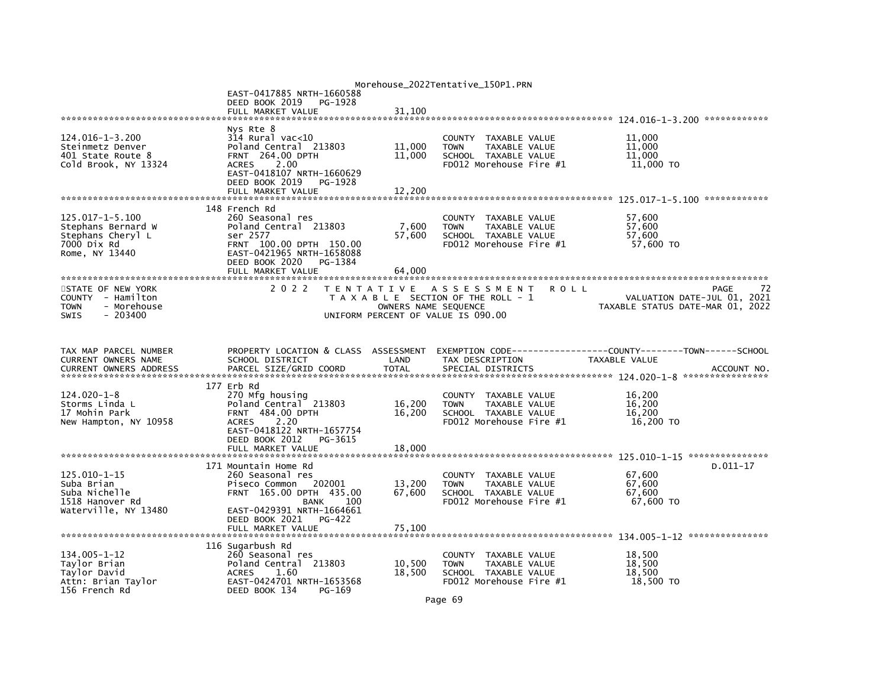|                                                  |                                                      |                      | Morehouse_2022Tentative_150P1.PRN                                     |                                      |
|--------------------------------------------------|------------------------------------------------------|----------------------|-----------------------------------------------------------------------|--------------------------------------|
|                                                  | EAST-0417885 NRTH-1660588                            |                      |                                                                       |                                      |
|                                                  | DEED BOOK 2019<br>PG-1928                            |                      |                                                                       |                                      |
|                                                  | FULL MARKET VALUE                                    | 31.100               |                                                                       |                                      |
|                                                  | Nys Rte 8                                            |                      |                                                                       |                                      |
| 124.016-1-3.200                                  | 314 Rural vac<10                                     |                      | COUNTY<br>TAXABLE VALUE                                               | 11,000                               |
| Steinmetz Denver                                 | Poland Central 213803                                | 11,000               | TAXABLE VALUE<br><b>TOWN</b>                                          | 11,000                               |
| 401 State Route 8                                | <b>FRNT 264.00 DPTH</b>                              | 11,000               | SCHOOL TAXABLE VALUE                                                  | 11,000                               |
| Cold Brook, NY 13324                             | 2.00<br><b>ACRES</b>                                 |                      | FD012 Morehouse Fire #1                                               | 11,000 TO                            |
|                                                  | EAST-0418107 NRTH-1660629                            |                      |                                                                       |                                      |
|                                                  | DEED BOOK 2019<br>PG-1928                            |                      |                                                                       |                                      |
|                                                  | FULL MARKET VALUE                                    | 12,200               |                                                                       |                                      |
|                                                  |                                                      |                      |                                                                       |                                      |
| 125.017-1-5.100                                  | 148 French Rd<br>260 Seasonal res                    |                      | <b>COUNTY</b><br>TAXABLE VALUE                                        | 57,600                               |
| Stephans Bernard W                               | Poland Central 213803                                | 7,600                | TAXABLE VALUE<br><b>TOWN</b>                                          | 57.600                               |
| Stephans Cheryl L                                | ser 2577                                             | 57,600               | SCHOOL TAXABLE VALUE                                                  | 57,600                               |
| 7000 Dix Rd                                      | FRNT 100.00 DPTH 150.00                              |                      | FD012 Morehouse Fire #1                                               | 57,600 TO                            |
| Rome, NY 13440                                   | EAST-0421965 NRTH-1658088                            |                      |                                                                       |                                      |
|                                                  | DEED BOOK 2020<br>PG-1384                            |                      |                                                                       |                                      |
|                                                  | FULL MARKET VALUE                                    | 64.000               |                                                                       |                                      |
|                                                  | 2 0 2 2                                              |                      |                                                                       | PAGE<br>72                           |
| STATE OF NEW YORK<br>- Hamilton<br><b>COUNTY</b> |                                                      |                      | TENTATIVE ASSESSMENT<br>ROLL<br>T A X A B L E SECTION OF THE ROLL - 1 | VALUATION DATE-JUL 01, 2021          |
| - Morehouse<br>TOWN                              |                                                      | OWNERS NAME SEQUENCE |                                                                       | TAXABLE STATUS DATE-MAR 01, 2022     |
| <b>SWIS</b><br>$-203400$                         |                                                      |                      | UNIFORM PERCENT OF VALUE IS 090.00                                    |                                      |
|                                                  |                                                      |                      |                                                                       |                                      |
|                                                  |                                                      |                      |                                                                       |                                      |
|                                                  |                                                      |                      |                                                                       |                                      |
|                                                  |                                                      |                      |                                                                       |                                      |
| TAX MAP PARCEL NUMBER                            | PROPERTY LOCATION & CLASS ASSESSMENT                 |                      | EXEMPTION CODE---                                                     | ------COUNTY--------TOWN------SCHOOL |
| CURRENT OWNERS NAME                              | SCHOOL DISTRICT                                      | LAND                 | TAX DESCRIPTION                                                       | TAXABLE VALUE                        |
| <b>CURRENT OWNERS ADDRESS</b>                    | PARCEL SIZE/GRID COORD                               | <b>TOTAL</b>         | SPECIAL DISTRICTS                                                     | ACCOUNT NO.                          |
|                                                  |                                                      |                      |                                                                       |                                      |
| $124.020 - 1 - 8$                                | 177 Erb Rd<br>270 Mfg housing                        |                      | <b>COUNTY</b><br>TAXABLE VALUE                                        | 16,200                               |
| Storms Linda L                                   | Poland Central 213803                                | 16,200               | TAXABLE VALUE<br><b>TOWN</b>                                          | 16,200                               |
| 17 Mohin Park                                    | <b>FRNT 484.00 DPTH</b>                              | 16,200               | SCHOOL TAXABLE VALUE                                                  | 16,200                               |
| New Hampton, NY 10958                            | <b>ACRES</b><br>2.20                                 |                      | FD012 Morehouse Fire #1                                               | 16,200 TO                            |
|                                                  | EAST-0418122 NRTH-1657754                            |                      |                                                                       |                                      |
|                                                  | DEED BOOK 2012<br>PG-3615                            |                      |                                                                       |                                      |
|                                                  | FULL MARKET VALUE                                    | 18,000               |                                                                       |                                      |
|                                                  | 171 Mountain Home Rd                                 |                      |                                                                       | $D.011 - 17$                         |
| 125.010-1-15                                     | 260 Seasonal res                                     |                      | <b>COUNTY</b><br>TAXABLE VALUE                                        | 67,600                               |
| Suba Brian                                       | 202001<br>Piseco Common                              | 13,200               | TAXABLE VALUE<br><b>TOWN</b>                                          | 67,600                               |
| Suba Nichelle                                    | FRNT 165.00 DPTH 435.00                              | 67,600               | SCHOOL TAXABLE VALUE                                                  | 67,600                               |
| 1518 Hanover Rd                                  | <b>BANK</b><br>100                                   |                      | FD012 Morehouse Fire #1                                               | 67,600 TO                            |
| Waterville, NY 13480                             | EAST-0429391 NRTH-1664661                            |                      |                                                                       |                                      |
|                                                  | DEED BOOK 2021<br>PG-422                             |                      |                                                                       |                                      |
|                                                  | FULL MARKET VALUE                                    | 75,100               |                                                                       |                                      |
|                                                  | 116 Sugarbush Rd                                     |                      |                                                                       |                                      |
| 134.005-1-12                                     | 260 Seasonal res                                     |                      | <b>COUNTY</b><br>TAXABLE VALUE                                        | 18,500                               |
| Taylor Brian                                     | Poland Central 213803                                | 10,500               | TAXABLE VALUE<br><b>TOWN</b>                                          | 18,500                               |
| Taylor David                                     | <b>ACRES</b><br>1.60                                 | 18,500               | SCHOOL TAXABLE VALUE                                                  | 18.500                               |
| Attn: Brian Taylor<br>156 French Rd              | EAST-0424701 NRTH-1653568<br>DEED BOOK 134<br>PG-169 |                      | FD012 Morehouse Fire #1                                               | 18,500 TO                            |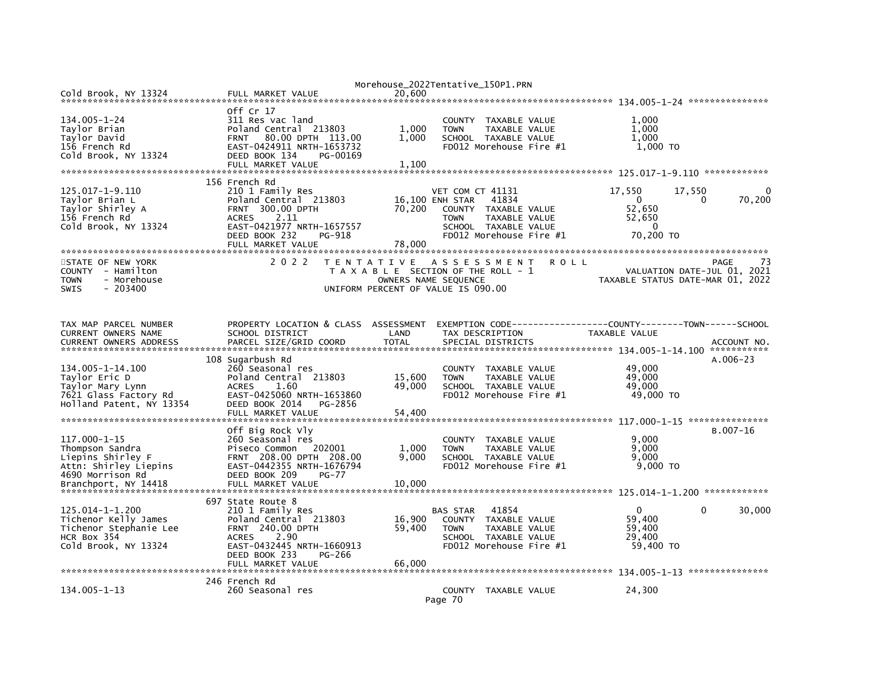|                               |                                      |              | Morehouse_2022Tentative_150P1.PRN                            |             |                  |                                  |
|-------------------------------|--------------------------------------|--------------|--------------------------------------------------------------|-------------|------------------|----------------------------------|
| Cold Brook, NY 13324          | FULL MARKET VALUE                    | 20.600       |                                                              |             |                  |                                  |
|                               |                                      |              |                                                              |             |                  |                                  |
|                               | off Cr 17                            |              |                                                              |             |                  |                                  |
| $134.005 - 1 - 24$            | 311 Res vac land                     |              | COUNTY TAXABLE VALUE                                         |             | 1.000            |                                  |
| Taylor Brian                  | Poland Central 213803                | 1,000        | TAXABLE VALUE<br><b>TOWN</b>                                 |             | 1,000            |                                  |
| Taylor David                  | 80.00 DPTH 113.00<br><b>FRNT</b>     | 1.000        | SCHOOL TAXABLE VALUE                                         |             | 1,000            |                                  |
| 156 French Rd                 | EAST-0424911 NRTH-1653732            |              | FD012 Morehouse Fire #1                                      |             | 1,000 TO         |                                  |
| Cold Brook, NY 13324          | DEED BOOK 134<br>PG-00169            |              |                                                              |             |                  |                                  |
|                               | FULL MARKET VALUE                    | 1,100        |                                                              |             |                  |                                  |
|                               |                                      |              |                                                              |             |                  |                                  |
|                               | 156 French Rd                        |              |                                                              |             |                  |                                  |
| 125.017-1-9.110               | 210 1 Family Res                     |              | VET COM CT 41131                                             |             | 17,550<br>17,550 | 0                                |
| Taylor Brian L                | Poland Central 213803                |              | 16,100 ENH STAR<br>41834                                     |             | $\Omega$         | 70,200<br>$\Omega$               |
| Taylor Shirley A              | <b>FRNT 300.00 DPTH</b>              | 70,200       | COUNTY TAXABLE VALUE                                         |             | 52,650           |                                  |
| 156 French Rd                 | 2.11<br><b>ACRES</b>                 |              | <b>TOWN</b><br>TAXABLE VALUE                                 |             | 52,650           |                                  |
| Cold Brook, NY 13324          | EAST-0421977 NRTH-1657557            |              | SCHOOL TAXABLE VALUE                                         |             | $\mathbf{0}$     |                                  |
|                               | DEED BOOK 232<br>PG-918              |              | FD012 Morehouse Fire #1                                      |             | 70,200 TO        |                                  |
|                               | FULL MARKET VALUE                    | 78,000       |                                                              |             |                  |                                  |
|                               |                                      |              |                                                              |             |                  |                                  |
| STATE OF NEW YORK             | 2 0 2 2                              |              | TENTATIVE ASSESSMENT                                         | <b>ROLL</b> |                  | PAGE<br>73                       |
| COUNTY - Hamilton             |                                      |              | T A X A B L E SECTION OF THE ROLL - 1                        |             |                  | VALUATION DATE-JUL 01, 2021      |
| - Morehouse<br><b>TOWN</b>    |                                      |              | OWNERS NAME SEOUENCE                                         |             |                  | TAXABLE STATUS DATE-MAR 01, 2022 |
| $-203400$<br><b>SWIS</b>      |                                      |              | UNIFORM PERCENT OF VALUE IS 090.00                           |             |                  |                                  |
|                               |                                      |              |                                                              |             |                  |                                  |
|                               |                                      |              |                                                              |             |                  |                                  |
|                               |                                      |              |                                                              |             |                  |                                  |
| TAX MAP PARCEL NUMBER         | PROPERTY LOCATION & CLASS ASSESSMENT |              | EXEMPTION CODE-----------------COUNTY-------TOWN------SCHOOL |             |                  |                                  |
| CURRENT OWNERS NAME           | SCHOOL DISTRICT                      | LAND         | TAX DESCRIPTION                                              |             | TAXABLE VALUE    |                                  |
| <b>CURRENT OWNERS ADDRESS</b> | PARCEL SIZE/GRID COORD               | <b>TOTAL</b> | SPECIAL DISTRICTS                                            |             |                  | ACCOUNT NO                       |
|                               |                                      |              |                                                              |             |                  |                                  |
|                               | 108 Sugarbush Rd                     |              |                                                              |             |                  | $A.006-23$                       |
| 134.005-1-14.100              | 260 Seasonal res                     |              | COUNTY TAXABLE VALUE                                         |             | 49,000           |                                  |
| Tavlor Eric D                 | Poland Central 213803                | 15,600       | <b>TAXABLE VALUE</b><br><b>TOWN</b>                          |             | 49,000           |                                  |
| Taylor Mary Lynn              | <b>ACRES</b><br>1.60                 | 49,000       | SCHOOL TAXABLE VALUE                                         |             | 49,000           |                                  |
| 7621 Glass Factory Rd         | EAST-0425060 NRTH-1653860            |              | FD012 Morehouse Fire #1                                      |             | 49,000 TO        |                                  |
| Holland Patent, NY 13354      | DEED BOOK 2014<br>PG-2856            |              |                                                              |             |                  |                                  |
|                               | FULL MARKET VALUE                    | 54,400       |                                                              |             |                  |                                  |
|                               |                                      |              |                                                              |             |                  |                                  |
|                               | Off Big Rock Vly                     |              |                                                              |             |                  | $B.007 - 16$                     |
| 117.000-1-15                  | 260 Seasonal res                     |              | TAXABLE VALUE<br><b>COUNTY</b>                               |             | 9,000            |                                  |
| Thompson Sandra               | Piseco Common<br>202001              | 1,000        | TAXABLE VALUE<br><b>TOWN</b>                                 |             | 9,000            |                                  |
| Liepins Shirley F             | FRNT 208.00 DPTH 208.00              | 9,000        | SCHOOL TAXABLE VALUE                                         |             | 9,000            |                                  |
| Attn: Shirley Liepins         | EAST-0442355 NRTH-1676794            |              | FD012 Morehouse Fire #1                                      |             | $9.000$ TO       |                                  |
| 4690 Morrison Rd              | DEED BOOK 209<br>$PG-77$             |              |                                                              |             |                  |                                  |
| Branchport, NY 14418          | FULL MARKET VALUE                    | 10,000       |                                                              |             |                  |                                  |
|                               |                                      |              |                                                              |             |                  |                                  |
|                               | 697 State Route 8                    |              |                                                              |             |                  |                                  |
| 125.014-1-1.200               | 210 1 Family Res                     |              | 41854<br><b>BAS STAR</b>                                     |             | $\Omega$         | $\Omega$<br>30,000               |
| Tichenor Kelly James          | Poland Central 213803                | 16,900       | COUNTY TAXABLE VALUE                                         |             | 59,400           |                                  |
| Tichenor Stephanie Lee        | <b>FRNT 240.00 DPTH</b>              | 59,400       | <b>TOWN</b><br>TAXABLE VALUE                                 |             | 59,400           |                                  |
| HCR Box 354                   | 2.90<br><b>ACRES</b>                 |              | SCHOOL TAXABLE VALUE                                         |             | 29,400           |                                  |
| Cold Brook, NY 13324          | EAST-0432445 NRTH-1660913            |              | FD012 Morehouse Fire #1                                      |             | 59,400 TO        |                                  |
|                               | DEED BOOK 233<br>PG-266              |              |                                                              |             |                  |                                  |
|                               | FULL MARKET VALUE                    | 66.000       |                                                              |             |                  |                                  |
|                               |                                      |              |                                                              |             |                  |                                  |
|                               | 246 French Rd                        |              |                                                              |             |                  |                                  |
| 134.005-1-13                  | 260 Seasonal res                     |              | COUNTY TAXABLE VALUE                                         |             | 24,300           |                                  |
|                               |                                      |              | Page 70                                                      |             |                  |                                  |
|                               |                                      |              |                                                              |             |                  |                                  |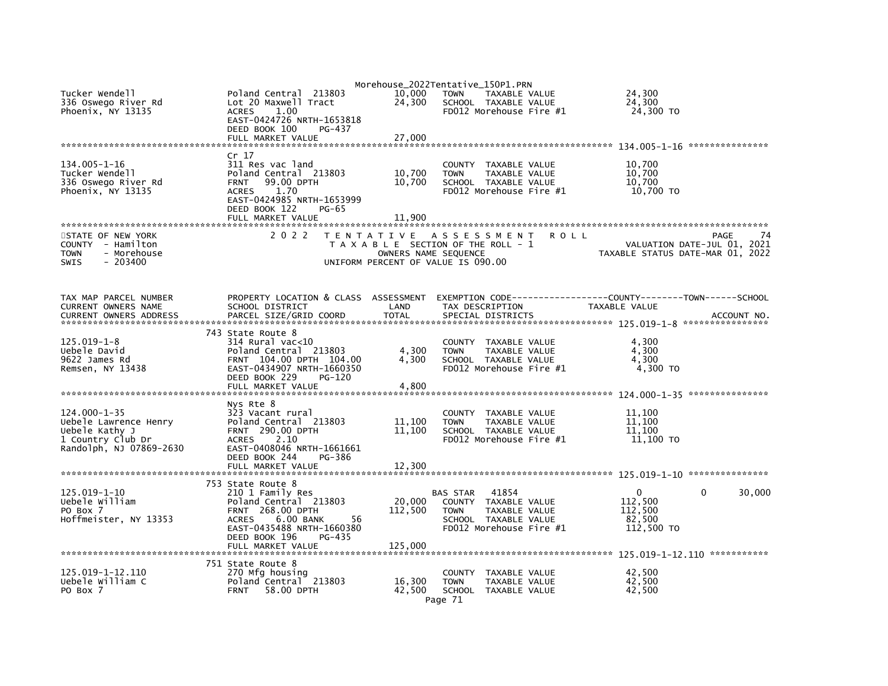| Tucker Wendell<br>336 Oswego River Rd<br>Phoenix, NY 13135                                              | Poland Central 213803<br>Lot 20 Maxwell Tract<br>1.00<br><b>ACRES</b><br>EAST-0424726 NRTH-1653818<br>DEED BOOK 100<br>PG-437                                                                             | 10.000<br>24,300                          | Morehouse_2022Tentative_150P1.PRN<br><b>TOWN</b><br><b>TAXABLE VALUE</b><br>SCHOOL TAXABLE VALUE<br>FD012 Morehouse Fire #1                | 24,300<br>24,300<br>24,300 TO                                                    |
|---------------------------------------------------------------------------------------------------------|-----------------------------------------------------------------------------------------------------------------------------------------------------------------------------------------------------------|-------------------------------------------|--------------------------------------------------------------------------------------------------------------------------------------------|----------------------------------------------------------------------------------|
|                                                                                                         |                                                                                                                                                                                                           |                                           |                                                                                                                                            |                                                                                  |
| $134.005 - 1 - 16$<br>Tucker Wendell<br>336 Oswego River Rd<br>Phoenix, NY 13135                        | Cr 17<br>311 Res vac land<br>Poland Central 213803<br>99.00 DPTH<br><b>FRNT</b><br><b>ACRES</b><br>1.70<br>EAST-0424985 NRTH-1653999<br>DEED BOOK 122<br><b>PG-65</b><br>FULL MARKET VALUE                | 10,700<br>10,700<br>11,900                | COUNTY TAXABLE VALUE<br><b>TOWN</b><br>TAXABLE VALUE<br>SCHOOL TAXABLE VALUE<br>FD012 Morehouse Fire #1                                    | 10,700<br>10,700<br>10,700<br>10,700 TO                                          |
| STATE OF NEW YORK<br>COUNTY - Hamilton<br>- Morehouse<br>TOWN<br><b>SWIS</b><br>$-203400$               | 2 0 2 2                                                                                                                                                                                                   | T E N T A T I V E<br>OWNERS NAME SEQUENCE | A S S E S S M E N T<br>R O L L<br>T A X A B L E SECTION OF THE ROLL - 1<br>UNIFORM PERCENT OF VALUE IS 090.00                              | PAGE<br>74<br>VALUATION DATE-JUL 01, 2021<br>TAXABLE STATUS DATE-MAR 01, 2022    |
| TAX MAP PARCEL NUMBER<br>CURRENT OWNERS NAME<br><b>CURRENT OWNERS ADDRESS</b>                           | PROPERTY LOCATION & CLASS ASSESSMENT<br>SCHOOL DISTRICT<br>PARCEL SIZE/GRID COORD                                                                                                                         | LAND<br><b>TOTAL</b>                      | TAX DESCRIPTION<br>SPECIAL DISTRICTS                                                                                                       | TAXABLE VALUE<br>ACCOUNT NO                                                      |
| 125.019-1-8<br>Uebele David<br>9622 James Rd<br>Remsen, NY 13438                                        | 743 State Route 8<br>$314$ Rural vac<10<br>Poland Central 213803<br>FRNT 104.00 DPTH 104.00<br>EAST-0434907 NRTH-1660350<br>DEED BOOK 229<br>$PG-120$<br>FULL MARKET VALUE                                | 4,300<br>4,300<br>4,800                   | COUNTY TAXABLE VALUE<br>TAXABLE VALUE<br><b>TOWN</b><br>SCHOOL TAXABLE VALUE<br>FD012 Morehouse Fire #1                                    | 4,300<br>4,300<br>4,300<br>4,300 TO                                              |
| 124.000-1-35<br>Uebele Lawrence Henry<br>Uebele Kathy J<br>1 Country Club Dr<br>Randolph, NJ 07869-2630 | Nys Rte 8<br>323 Vacant rural<br>Poland Central 213803<br>FRNT 290.00 DPTH<br>2.10<br><b>ACRES</b><br>EAST-0408046 NRTH-1661661<br>DEED BOOK 244<br>PG-386<br>FULL MARKET VALUE                           | 11,100<br>11,100<br>12,300                | COUNTY TAXABLE VALUE<br>TAXABLE VALUE<br><b>TOWN</b><br>SCHOOL TAXABLE VALUE<br>FD012 Morehouse Fire #1                                    | 11,100<br>11,100<br>11.100<br>11,100 TO                                          |
| 125.019-1-10<br>Uebele William<br>PO Box 7<br>Hoffmeister, NY 13353                                     | 753 State Route 8<br>210 1 Family Res<br>Poland Central 213803<br><b>FRNT 268.00 DPTH</b><br>6.00 BANK<br><b>ACRES</b><br>56<br>EAST-0435488 NRTH-1660380<br>DEED BOOK 196<br>PG-435<br>FULL MARKET VALUE | 20,000<br>112,500<br>125,000              | 41854<br><b>BAS STAR</b><br>COUNTY TAXABLE VALUE<br><b>TAXABLE VALUE</b><br><b>TOWN</b><br>SCHOOL TAXABLE VALUE<br>FD012 Morehouse Fire #1 | $\Omega$<br>$\mathbf{0}$<br>30,000<br>112.500<br>112,500<br>82,500<br>112,500 TO |
| 125.019-1-12.110<br>Uebele William C<br>PO Box 7                                                        | 751 State Route 8<br>270 Mfg housing<br>Poland Central 213803<br>58.00 DPTH<br><b>FRNT</b>                                                                                                                | 16,300<br>42,500                          | COUNTY<br>TAXABLE VALUE<br><b>TOWN</b><br>TAXABLE VALUE<br>SCHOOL TAXABLE VALUE<br>Page 71                                                 | 42.500<br>42,500<br>42,500                                                       |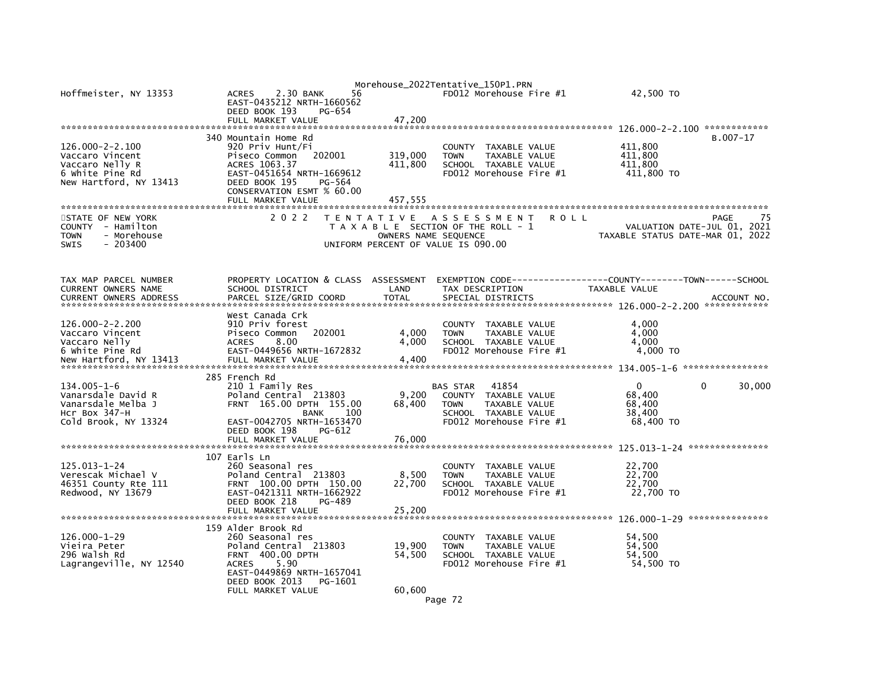| Hoffmeister, NY 13353                                                                                     | 2.30 BANK<br>56<br><b>ACRES</b><br>EAST-0435212 NRTH-1660562<br>DEED BOOK 193<br>PG-654<br>FULL MARKET VALUE                                                                                         | 47,200                        | Morehouse_2022Tentative_150P1.PRN<br>FD012 Morehouse Fire #1                                                                                  | 42,500 TO                                    |                                           |
|-----------------------------------------------------------------------------------------------------------|------------------------------------------------------------------------------------------------------------------------------------------------------------------------------------------------------|-------------------------------|-----------------------------------------------------------------------------------------------------------------------------------------------|----------------------------------------------|-------------------------------------------|
| $126.000 - 2 - 2.100$<br>Vaccaro Vincent<br>Vaccaro Nelly R<br>6 White Pine Rd<br>New Hartford, NY 13413  | 340 Mountain Home Rd<br>920 Priv Hunt/Fi<br>Piseco Common<br>202001<br>ACRES 1063.37<br>EAST-0451654 NRTH-1669612<br>DEED BOOK 195<br>PG-564<br>CONSERVATION ESMT % 60.00<br>FULL MARKET VALUE       | 319,000<br>411,800<br>457,555 | COUNTY<br>TAXABLE VALUE<br>TAXABLE VALUE<br><b>TOWN</b><br>SCHOOL TAXABLE VALUE<br>FD012 Morehouse Fire #1                                    | 411,800<br>411,800<br>411,800<br>411,800 TO  | $B.007 - 17$                              |
| STATE OF NEW YORK<br><b>COUNTY</b><br>- Hamilton<br>- Morehouse<br><b>TOWN</b><br><b>SWIS</b><br>- 203400 | 2 0 2 2                                                                                                                                                                                              | T E N T A T I V E             | A S S E S S M E N T<br>ROLL<br>T A X A B L E SECTION OF THE ROLL - 1<br>OWNERS NAME SEQUENCE<br>UNIFORM PERCENT OF VALUE IS 090.00            | TAXABLE STATUS DATE-MAR 01, 2022             | 75<br>PAGE<br>VALUATION DATE-JUL 01, 2021 |
| TAX MAP PARCEL NUMBER<br>CURRENT OWNERS NAME<br><b>CURRENT OWNERS ADDRESS</b>                             | PROPERTY LOCATION & CLASS ASSESSMENT<br>SCHOOL DISTRICT<br>PARCEL SIZE/GRID COORD                                                                                                                    | LAND<br><b>TOTAL</b>          | TAX DESCRIPTION<br>SPECIAL DISTRICTS                                                                                                          | TAXABLE VALUE                                | ACCOUNT NO.                               |
| $126.000 - 2 - 2.200$<br>Vaccaro Vincent<br>Vaccaro Nelly<br>6 White Pine Rd<br>New Hartford, NY 13413    | West Canada Crk<br>910 Priv forest<br>202001<br>Piseco Common<br><b>ACRES</b><br>8.00<br>EAST-0449656 NRTH-1672832<br>FULL MARKET VALUE                                                              | 4,000<br>4,000<br>4,400       | <b>COUNTY</b><br>TAXABLE VALUE<br>TAXABLE VALUE<br><b>TOWN</b><br>SCHOOL TAXABLE VALUE<br>FD012 Morehouse Fire #1                             | 4,000<br>4,000<br>4.000<br>4,000 TO          |                                           |
| $134.005 - 1 - 6$<br>Vanarsdale David R<br>Vanarsdale Melba J<br>HCr Box 347-H<br>Cold Brook, NY 13324    | 285 French Rd<br>210 1 Family Res<br>Poland Central 213803<br>165.00 DPTH 155.00<br><b>FRNT</b><br><b>BANK</b><br>100<br>EAST-0042705 NRTH-1653470<br>DEED BOOK 198<br>PG-612<br>FULL MARKET VALUE   | 9,200<br>68,400<br>76.000     | 41854<br><b>BAS STAR</b><br>TAXABLE VALUE<br><b>COUNTY</b><br>TAXABLE VALUE<br><b>TOWN</b><br>SCHOOL TAXABLE VALUE<br>FD012 Morehouse Fire #1 | 0<br>68,400<br>68,400<br>38,400<br>68,400 TO | 30,000<br>$\Omega$                        |
| 125.013-1-24<br>Verescak Michael V<br>46351 County Rte 111<br>Redwood, NY 13679                           | 107 Earls Ln<br>260 Seasonal res<br>Poland Central 213803<br>100.00 DPTH 150.00<br><b>FRNT</b><br>EAST-0421311 NRTH-1662922<br>DEED BOOK 218<br>PG-489<br>FULL MARKET VALUE                          | 8,500<br>22,700<br>25,200     | TAXABLE VALUE<br><b>COUNTY</b><br><b>TOWN</b><br>TAXABLE VALUE<br>SCHOOL TAXABLE VALUE<br>FD012 Morehouse Fire #1                             | 22,700<br>22,700<br>22,700<br>22,700 TO      |                                           |
| 126.000-1-29<br>Vieira Peter<br>296 walsh Rd<br>Lagrangeville, NY 12540                                   | 159 Alder Brook Rd<br>260 Seasonal res<br>Poland Central 213803<br>400.00 DPTH<br><b>FRNT</b><br>5.90<br><b>ACRES</b><br>EAST-0449869 NRTH-1657041<br>DEED BOOK 2013<br>PG-1601<br>FULL MARKET VALUE | 19,900<br>54,500<br>60,600    | TAXABLE VALUE<br><b>COUNTY</b><br>TAXABLE VALUE<br><b>TOWN</b><br>SCHOOL TAXABLE VALUE<br>FD012 Morehouse Fire #1                             | 54,500<br>54,500<br>54,500<br>54,500 TO      |                                           |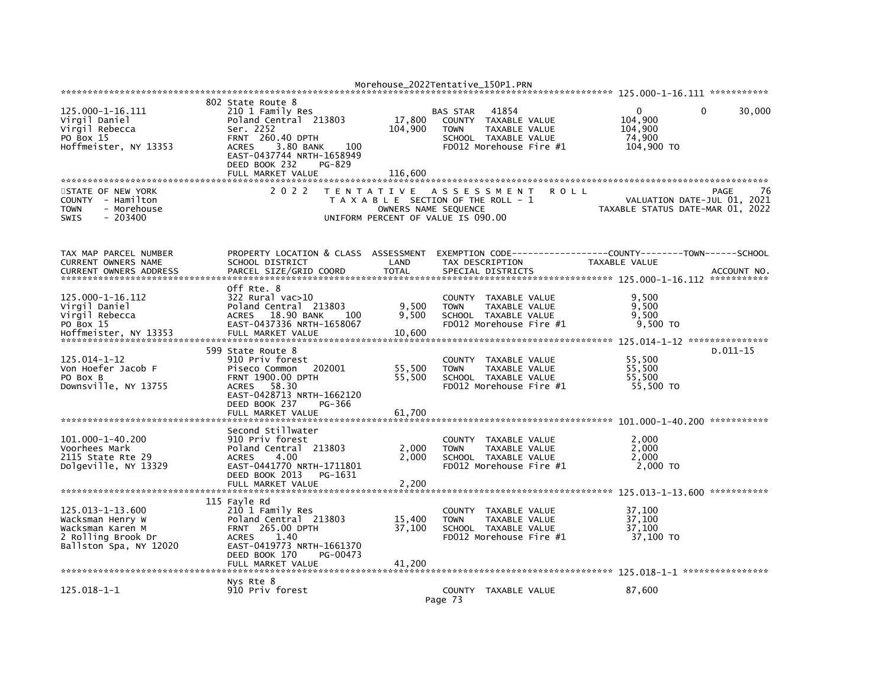|                                                                                                          |                                                                                                                                                                                             |                                 | Morehouse_2022Tentative_150P1.PRN                                                                                                             |                                                                               |                             |
|----------------------------------------------------------------------------------------------------------|---------------------------------------------------------------------------------------------------------------------------------------------------------------------------------------------|---------------------------------|-----------------------------------------------------------------------------------------------------------------------------------------------|-------------------------------------------------------------------------------|-----------------------------|
|                                                                                                          |                                                                                                                                                                                             |                                 |                                                                                                                                               |                                                                               |                             |
| 125.000-1-16.111<br>Virgil Daniel<br>Virgil Rebecca<br>PO Box 15<br>Hoffmeister, NY 13353                | 802 State Route 8<br>210 1 Family Res<br>Poland Central 213803<br>Ser. 2252<br><b>FRNT 260.40 DPTH</b><br>3.80 BANK<br><b>ACRES</b><br>100<br>EAST-0437744 NRTH-1658949                     | 17,800<br>104,900               | 41854<br><b>BAS STAR</b><br>COUNTY<br>TAXABLE VALUE<br><b>TAXABLE VALUE</b><br><b>TOWN</b><br>SCHOOL TAXABLE VALUE<br>FD012 Morehouse Fire #1 | 0<br>104.900<br>104,900<br>74.900<br>104,900 TO                               | 30,000<br>0                 |
| STATE OF NEW YORK<br>COUNTY - Hamilton<br><b>TOWN</b><br>- Morehouse                                     | DEED BOOK 232<br>PG-829<br>FULL MARKET VALUE<br>2 0 2 2                                                                                                                                     | 116,600<br>OWNERS NAME SEQUENCE | TENTATIVE ASSESSMENT<br><b>ROLL</b><br>T A X A B L E SECTION OF THE ROLL - 1                                                                  | VALUATION DATE-JUL 01, 2021<br>TAXABLE STATUS DATE-MAR 01, 2022               | PAGE<br>76                  |
| $-203400$<br><b>SWIS</b>                                                                                 |                                                                                                                                                                                             |                                 | UNIFORM PERCENT OF VALUE IS 090.00                                                                                                            |                                                                               |                             |
| TAX MAP PARCEL NUMBER<br>CURRENT OWNERS NAME<br><b>CURRENT OWNERS ADDRESS</b>                            | PROPERTY LOCATION & CLASS ASSESSMENT<br>SCHOOL DISTRICT<br>PARCEL SIZE/GRID COORD                                                                                                           | LAND<br><b>TOTAL</b>            | TAX DESCRIPTION<br>SPECIAL DISTRICTS                                                                                                          | EXEMPTION CODE-----------------COUNTY-------TOWN------SCHOOL<br>TAXABLE VALUE | ACCOUNT NO.                 |
| *************************                                                                                |                                                                                                                                                                                             |                                 |                                                                                                                                               |                                                                               | ***********                 |
| 125.000-1-16.112<br>Virgil Daniel<br>Virgil Rebecca<br>PO Box 15<br>Hoffmeister, NY 13353                | Off Rte. 8<br>322 Rural vac>10<br>Poland Central 213803<br>18.90 BANK<br><b>ACRES</b><br>100<br>EAST-0437336 NRTH-1658067<br>FULL MARKET VALUE                                              | 9,500<br>9,500<br>10,600        | <b>COUNTY</b><br>TAXABLE VALUE<br><b>TOWN</b><br>TAXABLE VALUE<br>SCHOOL TAXABLE VALUE<br>FD012 Morehouse Fire #1                             | 9,500<br>9.500<br>9,500<br>9,500 TO                                           |                             |
| 125.014-1-12<br>Von Hoefer Jacob F<br>PO BOX B<br>Downsville, NY 13755                                   | 599 State Route 8<br>910 Priv forest<br>Piseco Common<br>202001<br>FRNT 1900.00 DPTH<br>58.30<br><b>ACRES</b><br>EAST-0428713 NRTH-1662120<br>DEED BOOK 237<br>PG-366<br>FULL MARKET VALUE  | 55,500<br>55.500<br>61,700      | TAXABLE VALUE<br><b>COUNTY</b><br>TAXABLE VALUE<br><b>TOWN</b><br>SCHOOL TAXABLE VALUE<br>FD012 Morehouse Fire #1                             | 55,500<br>55,500<br>55.500<br>55,500 TO                                       | $D.011 - 15$<br>*********** |
| 101.000-1-40.200<br>Voorhees Mark<br>2115 State Rte 29<br>Dolgeville, NY 13329                           | Second Stillwater<br>910 Priv forest<br>Poland Central 213803<br><b>ACRES</b><br>4.00<br>EAST-0441770 NRTH-1711801<br>DEED BOOK 2013<br>PG-1631<br>FULL MARKET VALUE                        | 2,000<br>2,000<br>2,200         | <b>COUNTY</b><br>TAXABLE VALUE<br>TAXABLE VALUE<br><b>TOWN</b><br>SCHOOL TAXABLE VALUE<br>FD012 Morehouse Fire #1                             | 2,000<br>2,000<br>2,000<br>2,000 TO                                           |                             |
| 125.013-1-13.600<br>Wacksman Henry W<br>Wacksman Karen M<br>2 Rolling Brook Dr<br>Ballston Spa, NY 12020 | 115 Fayle Rd<br>210 1 Family Res<br>Poland Central 213803<br><b>FRNT 265.00 DPTH</b><br><b>ACRES</b><br>1.40<br>EAST-0419773 NRTH-1661370<br>DEED BOOK 170<br>PG-00473<br>FULL MARKET VALUE | 15,400<br>37,100<br>41.200      | COUNTY<br>TAXABLE VALUE<br><b>TOWN</b><br><b>TAXABLE VALUE</b><br>SCHOOL TAXABLE VALUE<br>FD012 Morehouse Fire #1                             | 37.100<br>37,100<br>37,100<br>37,100 TO                                       |                             |
| $125.018 - 1 - 1$                                                                                        | Nys Rte 8<br>910 Priv forest                                                                                                                                                                |                                 | COUNTY TAXABLE VALUE<br>Page 73                                                                                                               | 87.600                                                                        |                             |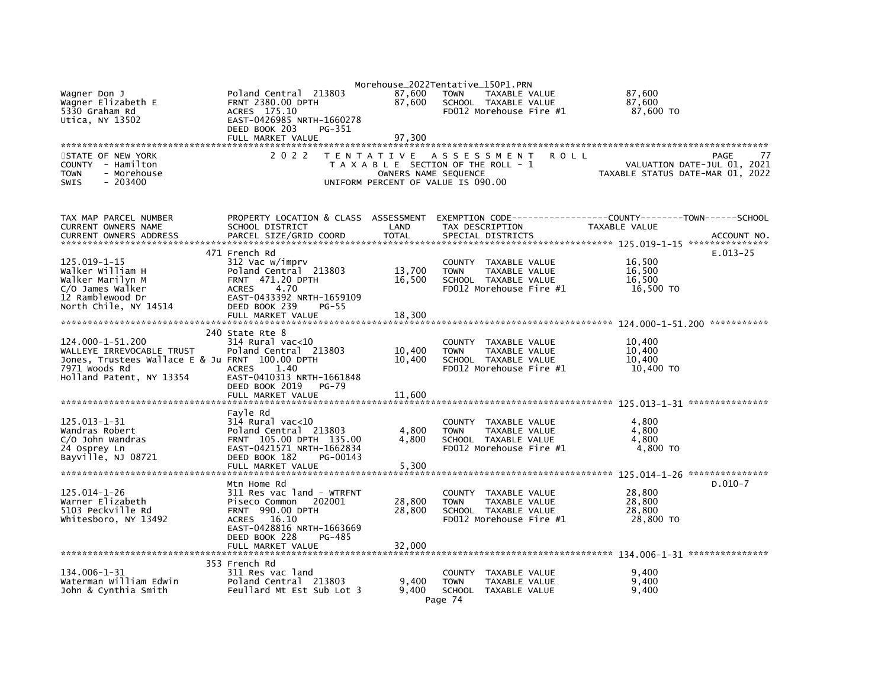|                                                      |                                                                   |                      | Morehouse_2022Tentative_150P1.PRN                                               |               |                                           |
|------------------------------------------------------|-------------------------------------------------------------------|----------------------|---------------------------------------------------------------------------------|---------------|-------------------------------------------|
| Wagner Don J<br>Wagner Elizabeth E<br>5330 Graham Rd | Poland Central 213803<br><b>FRNT 2380.00 DPTH</b><br>ACRES 175.10 | 87,600<br>87.600     | <b>TOWN</b><br>TAXABLE VALUE<br>SCHOOL TAXABLE VALUE<br>FD012 Morehouse Fire #1 |               | 87,600<br>87.600<br>87,600 TO             |
| Utica, NY 13502                                      | EAST-0426985 NRTH-1660278<br>DEED BOOK 203<br>PG-351              |                      |                                                                                 |               |                                           |
|                                                      | FULL MARKET VALUE                                                 | 97,300               |                                                                                 |               |                                           |
| STATE OF NEW YORK<br>- Hamilton<br><b>COUNTY</b>     | 2 0 2 2                                                           |                      | TENTATIVE ASSESSMENT<br>T A X A B L E SECTION OF THE ROLL - 1                   | R O L L       | PAGE<br>77<br>VALUATION DATE-JUL 01, 2021 |
| <b>TOWN</b><br>- Morehouse                           |                                                                   | OWNERS NAME SEQUENCE |                                                                                 |               | TAXABLE STATUS DATE-MAR 01, 2022          |
| <b>SWIS</b><br>$-203400$                             |                                                                   |                      | UNIFORM PERCENT OF VALUE IS 090.00                                              |               |                                           |
| TAX MAP PARCEL NUMBER<br>CURRENT OWNERS NAME         | PROPERTY LOCATION & CLASS ASSESSMENT<br>SCHOOL DISTRICT           | LAND                 | TAX DESCRIPTION                                                                 | TAXABLE VALUE |                                           |
| <b>CURRENT OWNERS ADDRESS</b>                        | PARCEL SIZE/GRID COORD                                            | <b>TOTAL</b>         | SPECIAL DISTRICTS                                                               |               | ACCOUNT NO.                               |
| 125.019-1-15                                         | 471 French Rd<br>312 Vac w/imprv                                  |                      | TAXABLE VALUE<br><b>COUNTY</b>                                                  |               | $E.013-25$<br>16,500                      |
| Walker William H                                     | Poland Central 213803                                             | 13,700               | <b>TOWN</b><br>TAXABLE VALUE                                                    |               | 16,500                                    |
| Walker Marilyn M                                     | <b>FRNT 471.20 DPTH</b>                                           | 16,500               | SCHOOL TAXABLE VALUE                                                            |               | 16,500                                    |
| C/O James Walker<br>12 Ramblewood Dr                 | 4.70<br><b>ACRES</b><br>EAST-0433392 NRTH-1659109                 |                      | FD012 Morehouse Fire #1                                                         |               | 16,500 TO                                 |
| North Chile, NY 14514                                | DEED BOOK 239<br>$PG-55$                                          |                      |                                                                                 |               |                                           |
|                                                      | FULL MARKET VALUE                                                 | 18,300               |                                                                                 |               |                                           |
|                                                      | 240 State Rte 8                                                   |                      |                                                                                 |               |                                           |
| 124.000-1-51.200<br>WALLEYE IRREVOCABLE TRUST        | 314 Rural vac<10<br>Poland Central 213803                         | 10,400               | COUNTY<br>TAXABLE VALUE<br><b>TAXABLE VALUE</b><br><b>TOWN</b>                  |               | 10.400<br>10,400                          |
| Jones, Trustees Wallace E & Ju FRNT 100.00 DPTH      |                                                                   | 10,400               | SCHOOL TAXABLE VALUE                                                            |               | 10,400                                    |
| 7971 woods Rd                                        | <b>ACRES</b><br>1.40                                              |                      | FD012 Morehouse Fire #1                                                         |               | 10,400 TO                                 |
| Holland Patent, NY 13354                             | EAST-0410313 NRTH-1661848<br>DEED BOOK 2019<br><b>PG-79</b>       |                      |                                                                                 |               |                                           |
|                                                      | FULL MARKET VALUE                                                 | 11,600               |                                                                                 |               |                                           |
|                                                      |                                                                   |                      |                                                                                 |               |                                           |
| 125.013-1-31                                         | Favle Rd<br>314 Rural vac<10                                      |                      | TAXABLE VALUE<br><b>COUNTY</b>                                                  |               | 4,800                                     |
| Wandras Robert                                       | Poland Central 213803                                             | 4,800                | <b>TOWN</b><br>TAXABLE VALUE                                                    |               | 4,800                                     |
| C/O John Wandras<br>24 Osprey Ln                     | FRNT 105.00 DPTH 135.00<br>EAST-0421571 NRTH-1662834              | 4.800                | SCHOOL TAXABLE VALUE<br>FD012 Morehouse Fire #1                                 |               | 4,800<br>4,800 TO                         |
| Bayville, NJ 08721                                   | DEED BOOK 182<br>PG-00143                                         |                      |                                                                                 |               |                                           |
|                                                      | FULL MARKET VALUE                                                 | 5,300                |                                                                                 |               |                                           |
|                                                      | Mtn Home Rd                                                       |                      |                                                                                 |               | $D.010-7$                                 |
| $125.014 - 1 - 26$                                   | 311 Res vac land - WTRFNT                                         |                      | TAXABLE VALUE<br>COUNTY                                                         |               | 28,800                                    |
| Warner Elizabeth<br>5103 Peckville Rd                | Piseco Common<br>202001<br>FRNT 990.00 DPTH                       | 28,800<br>28,800     | <b>TOWN</b><br>TAXABLE VALUE<br>SCHOOL TAXABLE VALUE                            |               | 28,800<br>28,800                          |
| Whitesboro, NY 13492                                 | 16.10<br><b>ACRES</b>                                             |                      | FD012 Morehouse Fire #1                                                         |               | 28,800 TO                                 |
|                                                      | EAST-0428816 NRTH-1663669<br>DEED BOOK 228<br>PG-485              |                      |                                                                                 |               |                                           |
|                                                      | FULL MARKET VALUE                                                 | 32,000               |                                                                                 |               |                                           |
|                                                      | 353 French Rd                                                     |                      |                                                                                 |               |                                           |
| 134.006-1-31<br>Waterman William Edwin               | 311 Res vac land<br>Poland Central 213803                         | 9,400                | TAXABLE VALUE<br><b>COUNTY</b><br><b>TOWN</b><br>TAXABLE VALUE                  |               | 9.400<br>9.400                            |
| John & Cynthia Smith                                 | Feullard Mt Est Sub Lot 3                                         | 9.400                | <b>SCHOOL</b><br>TAXABLE VALUE                                                  |               | 9,400                                     |
|                                                      |                                                                   |                      | Page 74                                                                         |               |                                           |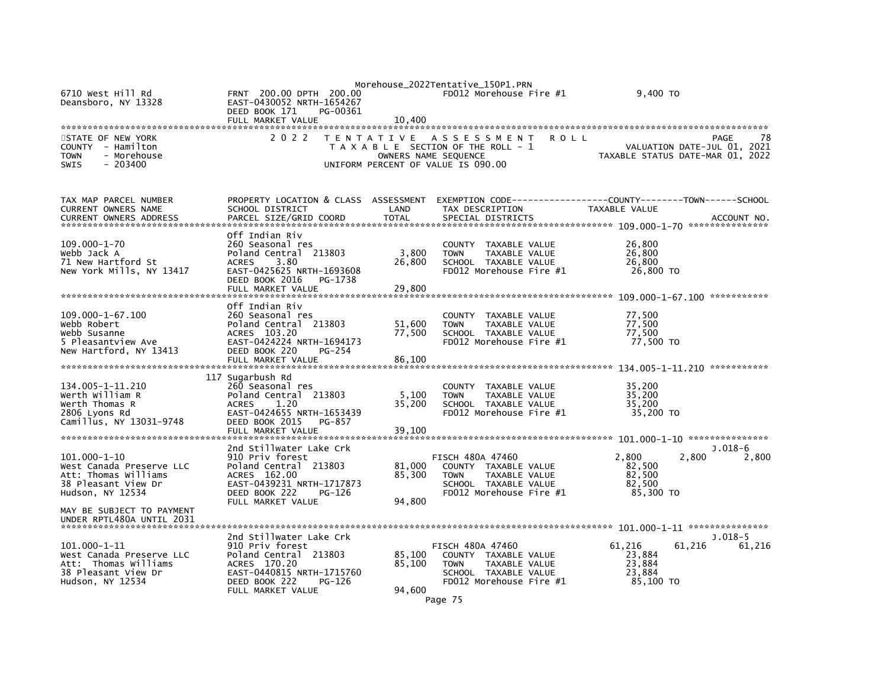|                                                                                                 |                                                                                   |                      | Morehouse_2022Tentative_150P1.PRN                                                                                  |                                                                 |             |
|-------------------------------------------------------------------------------------------------|-----------------------------------------------------------------------------------|----------------------|--------------------------------------------------------------------------------------------------------------------|-----------------------------------------------------------------|-------------|
| 6710 West Hill Rd<br>Deansboro, NY 13328                                                        | FRNT 200.00 DPTH 200.00<br>EAST-0430052 NRTH-1654267<br>DEED BOOK 171<br>PG-00361 |                      | FD012 Morehouse Fire #1                                                                                            | 9,400 TO                                                        |             |
|                                                                                                 | FULL MARKET VALUE                                                                 | 10.400               |                                                                                                                    |                                                                 |             |
|                                                                                                 |                                                                                   |                      |                                                                                                                    |                                                                 |             |
| STATE OF NEW YORK<br>COUNTY - Hamilton<br><b>TOWN</b><br>- Morehouse<br><b>SWIS</b><br>- 203400 | 2 0 2 2                                                                           | OWNERS NAME SEQUENCE | TENTATIVE ASSESSMENT<br><b>ROLL</b><br>T A X A B L E SECTION OF THE ROLL - 1<br>UNIFORM PERCENT OF VALUE IS 090.00 | VALUATION DATE-JUL 01, 2021<br>TAXABLE STATUS DATE-MAR 01, 2022 | 78<br>PAGE  |
|                                                                                                 |                                                                                   |                      |                                                                                                                    |                                                                 |             |
| TAX MAP PARCEL NUMBER                                                                           | PROPERTY LOCATION & CLASS ASSESSMENT                                              |                      | EXEMPTION CODE-----------------COUNTY-------TOWN------SCHOOL                                                       |                                                                 |             |
| <b>CURRENT OWNERS NAME</b>                                                                      | SCHOOL DISTRICT                                                                   | LAND                 | TAX DESCRIPTION                                                                                                    | TAXABLE VALUE                                                   |             |
| <b>CURRENT OWNERS ADDRESS</b>                                                                   | PARCEL SIZE/GRID COORD                                                            | <b>TOTAL</b>         | SPECIAL DISTRICTS                                                                                                  |                                                                 | ACCOUNT NO. |
|                                                                                                 |                                                                                   |                      |                                                                                                                    |                                                                 |             |
| $109.000 - 1 - 70$                                                                              | Off Indian Riv<br>260 Seasonal res                                                |                      |                                                                                                                    | 26,800                                                          |             |
| Webb Jack A                                                                                     | Poland Central 213803                                                             | 3,800                | <b>COUNTY</b><br>TAXABLE VALUE<br>TAXABLE VALUE<br><b>TOWN</b>                                                     | 26,800                                                          |             |
| 71 New Hartford St                                                                              | 3.80<br><b>ACRES</b>                                                              | 26,800               | SCHOOL TAXABLE VALUE                                                                                               | 26,800                                                          |             |
| New York Mills, NY 13417                                                                        | EAST-0425625 NRTH-1693608                                                         |                      | FD012 Morehouse Fire #1                                                                                            | 26,800 TO                                                       |             |
|                                                                                                 | DEED BOOK 2016<br>PG-1738                                                         |                      |                                                                                                                    |                                                                 |             |
|                                                                                                 | FULL MARKET VALUE                                                                 | 29,800               |                                                                                                                    |                                                                 |             |
|                                                                                                 |                                                                                   |                      |                                                                                                                    |                                                                 |             |
| 109.000-1-67.100                                                                                | Off Indian Riv<br>260 Seasonal res                                                |                      | COUNTY TAXABLE VALUE                                                                                               | 77,500                                                          |             |
| Webb Robert                                                                                     | Poland Central 213803                                                             | 51,600               | <b>TOWN</b><br>TAXABLE VALUE                                                                                       | 77,500                                                          |             |
| Webb Susanne                                                                                    | ACRES 103.20                                                                      | 77,500               | SCHOOL TAXABLE VALUE                                                                                               | 77,500                                                          |             |
| 5 Pleasantview Ave                                                                              | EAST-0424224 NRTH-1694173                                                         |                      | FD012 Morehouse Fire #1                                                                                            | 77,500 TO                                                       |             |
| New Hartford, NY 13413                                                                          | DEED BOOK 220<br>PG-254                                                           |                      |                                                                                                                    |                                                                 |             |
|                                                                                                 | FULL MARKET VALUE                                                                 | 86,100               |                                                                                                                    |                                                                 |             |
|                                                                                                 | 117 Sugarbush Rd                                                                  |                      |                                                                                                                    |                                                                 |             |
| 134.005-1-11.210                                                                                | 260 Seasonal res                                                                  |                      | COUNTY<br>TAXABLE VALUE                                                                                            | 35,200                                                          |             |
| Werth William R                                                                                 | Poland Central 213803                                                             | 5,100                | <b>TOWN</b><br>TAXABLE VALUE                                                                                       | 35,200                                                          |             |
| Werth Thomas R                                                                                  | 1.20<br><b>ACRES</b>                                                              | 35,200               | SCHOOL TAXABLE VALUE                                                                                               | 35,200                                                          |             |
| 2806 Lyons Rd                                                                                   | EAST-0424655 NRTH-1653439                                                         |                      | FD012 Morehouse Fire #1                                                                                            | 35,200 TO                                                       |             |
| Camillus, NY 13031-9748                                                                         | DEED BOOK 2015<br>PG-857                                                          |                      |                                                                                                                    |                                                                 |             |
|                                                                                                 | FULL MARKET VALUE                                                                 | 39,100               |                                                                                                                    |                                                                 |             |
|                                                                                                 | 2nd Stillwater Lake Crk                                                           |                      |                                                                                                                    |                                                                 | $J.018-6$   |
| 101.000-1-10                                                                                    | 910 Priv forest                                                                   |                      | <b>FISCH 480A 47460</b>                                                                                            | 2,800<br>2,800                                                  | 2,800       |
| West Canada Preserve LLC                                                                        | Poland Central 213803                                                             | 81,000               | COUNTY TAXABLE VALUE                                                                                               | 82,500                                                          |             |
| Att: Thomas Williams                                                                            | ACRES 162.00                                                                      | 85.300               | <b>TAXABLE VALUE</b><br><b>TOWN</b>                                                                                | 82,500                                                          |             |
| 38 Pleasant View Dr                                                                             | EAST-0439231 NRTH-1717873                                                         |                      | SCHOOL TAXABLE VALUE                                                                                               | 82,500                                                          |             |
| Hudson, NY 12534                                                                                | DEED BOOK 222<br>PG-126<br>FULL MARKET VALUE                                      | 94,800               | FD012 Morehouse Fire #1                                                                                            | 85,300 TO                                                       |             |
| MAY BE SUBJECT TO PAYMENT<br>UNDER RPTL480A UNTIL 2031                                          |                                                                                   |                      |                                                                                                                    |                                                                 |             |
|                                                                                                 | 2nd Stillwater Lake Crk                                                           |                      |                                                                                                                    |                                                                 | $J.018-5$   |
| $101.000 - 1 - 11$                                                                              | 910 Priv forest                                                                   |                      | <b>FISCH 480A 47460</b>                                                                                            | 61,216<br>61,216                                                | 61,216      |
| West Canada Preserve LLC                                                                        | Poland Central 213803                                                             | 85,100               | COUNTY TAXABLE VALUE                                                                                               | 23,884                                                          |             |
| Att: Thomas Williams                                                                            | ACRES 170.20                                                                      | 85,100               | <b>TOWN</b><br>TAXABLE VALUE                                                                                       | 23,884                                                          |             |
| 38 Pleasant View Dr                                                                             | EAST-0440815 NRTH-1715760                                                         |                      | SCHOOL TAXABLE VALUE                                                                                               | 23,884                                                          |             |
| Hudson, NY 12534                                                                                | DEED BOOK 222<br>PG-126<br>FULL MARKET VALUE                                      | 94,600               | FD012 Morehouse Fire #1                                                                                            | 85,100 TO                                                       |             |
|                                                                                                 |                                                                                   |                      |                                                                                                                    |                                                                 |             |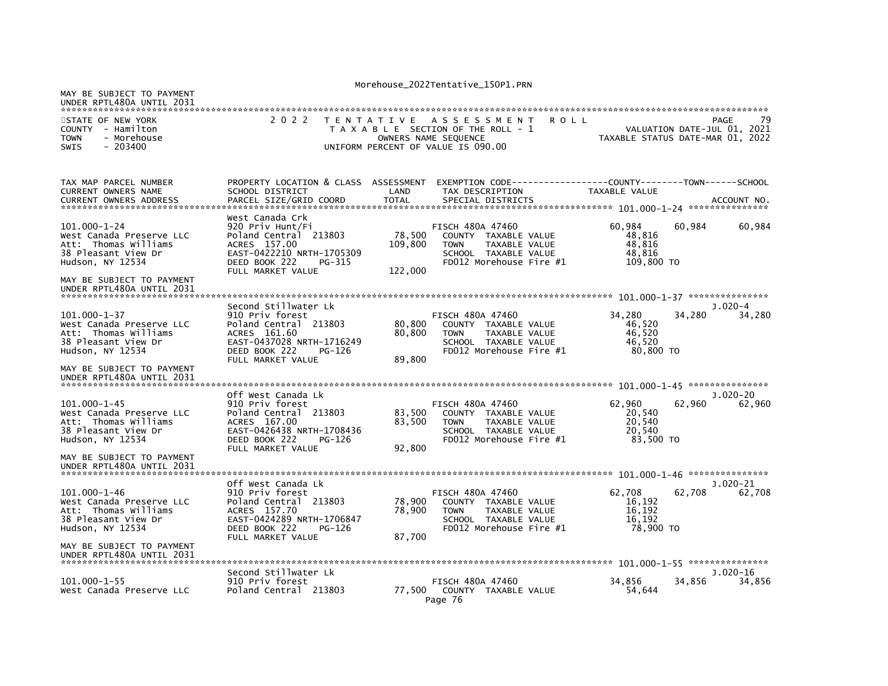| MAY BE SUBJECT TO PAYMENT<br>UNDER RPTL480A UNTIL 2031                                                                                   |                                                                                                                                                             |                              |                                                                                                                                           |                                                    |                                     |                      |
|------------------------------------------------------------------------------------------------------------------------------------------|-------------------------------------------------------------------------------------------------------------------------------------------------------------|------------------------------|-------------------------------------------------------------------------------------------------------------------------------------------|----------------------------------------------------|-------------------------------------|----------------------|
| STATE OF NEW YORK<br><b>COUNTY</b><br>- Hamilton<br>- Morehouse<br><b>TOWN</b><br><b>SWIS</b><br>$-203400$                               | 2 0 2 2                                                                                                                                                     |                              | TENTATIVE ASSESSMENT<br>R O L L<br>T A X A B L E SECTION OF THE ROLL - 1<br>OWNERS NAME SEQUENCE<br>UNIFORM PERCENT OF VALUE IS 090.00    | TAXABLE STATUS DATE-MAR 01, 2022                   | PAGE<br>VALUATION DATE-JUL 01, 2021 | 79                   |
|                                                                                                                                          |                                                                                                                                                             |                              |                                                                                                                                           |                                                    |                                     |                      |
| TAX MAP PARCEL NUMBER<br><b>CURRENT OWNERS NAME</b><br><b>CURRENT OWNERS ADDRESS</b>                                                     | PROPERTY LOCATION & CLASS ASSESSMENT<br>SCHOOL DISTRICT<br>PARCEL SIZE/GRID COORD                                                                           | LAND<br><b>TOTAL</b>         | TAX DESCRIPTION<br>SPECIAL DISTRICTS                                                                                                      | TAXABLE VALUE                                      |                                     | ACCOUNT NO.          |
| ******************************                                                                                                           | West Canada Crk                                                                                                                                             |                              |                                                                                                                                           |                                                    |                                     |                      |
| $101.000 - 1 - 24$<br>West Canada Preserve LLC<br>Att: Thomas Williams<br>38 Pleasant View Dr<br>Hudson, NY 12534                        | 920 Priv Hunt/Fi<br>Poland Central 213803<br>ACRES 157.00<br>EAST-0422210 NRTH-1705309<br>DEED BOOK 222<br>PG-315<br>FULL MARKET VALUE                      | 78,500<br>109,800<br>122,000 | <b>FISCH 480A 47460</b><br>COUNTY TAXABLE VALUE<br><b>TAXABLE VALUE</b><br><b>TOWN</b><br>SCHOOL TAXABLE VALUE<br>FD012 Morehouse Fire #1 | 60,984<br>48,816<br>48,816<br>48,816<br>109,800 TO | 60,984                              | 60,984               |
| MAY BE SUBJECT TO PAYMENT<br>UNDER RPTL480A UNTIL 2031                                                                                   |                                                                                                                                                             |                              |                                                                                                                                           |                                                    |                                     |                      |
| $101.000 - 1 - 37$<br>West Canada Preserve LLC<br>Att: Thomas Williams<br>38 Pleasant View Dr<br>Hudson, NY 12534                        | Second Stillwater Lk<br>910 Priv forest<br>Poland Central 213803<br>ACRES 161.60<br>EAST-0437028 NRTH-1716249<br>DEED BOOK 222<br>PG-126                    | 80,800<br>80,800             | FISCH 480A 47460<br>COUNTY TAXABLE VALUE<br><b>TAXABLE VALUE</b><br><b>TOWN</b><br>SCHOOL TAXABLE VALUE<br>FD012 Morehouse Fire #1        | 34,280<br>46,520<br>46.520<br>46,520<br>80,800 TO  | 34,280                              | $J.020-4$<br>34,280  |
| MAY BE SUBJECT TO PAYMENT<br>UNDER RPTL480A UNTIL 2031                                                                                   | FULL MARKET VALUE                                                                                                                                           | 89,800                       |                                                                                                                                           |                                                    |                                     |                      |
| $101.000 - 1 - 45$<br>West Canada Preserve LLC<br>Att: Thomas Williams<br>38 Pleasant View Dr<br>Hudson, NY 12534                        | Off West Canada Lk<br>910 Priv forest<br>Poland Central 213803<br>ACRES 167.00<br>EAST-0426438 NRTH-1708436<br>DEED BOOK 222<br>PG-126<br>FULL MARKET VALUE | 83,500<br>83,500<br>92,800   | FISCH 480A 47460<br>COUNTY TAXABLE VALUE<br><b>TAXABLE VALUE</b><br><b>TOWN</b><br>SCHOOL TAXABLE VALUE<br>FD012 Morehouse Fire #1        | 62,960<br>20,540<br>20.540<br>20,540<br>83,500 TO  | 62,960                              | $J.020-20$<br>62,960 |
| MAY BE SUBJECT TO PAYMENT<br>UNDER RPTL480A UNTIL 2031                                                                                   |                                                                                                                                                             |                              |                                                                                                                                           |                                                    |                                     |                      |
| 101.000-1-46<br>West Canada Preserve LLC<br>Att: Thomas Williams<br>38 Pleasant View Dr<br>Hudson, NY 12534<br>MAY BE SUBJECT TO PAYMENT | Off West Canada Lk<br>910 Priv forest<br>Poland Central 213803<br>ACRES 157.70<br>EAST-0424289 NRTH-1706847<br>DEED BOOK 222<br>PG-126<br>FULL MARKET VALUE | 78,900<br>78,900<br>87,700   | FISCH 480A 47460<br>COUNTY TAXABLE VALUE<br><b>TOWN</b><br><b>TAXABLE VALUE</b><br>SCHOOL TAXABLE VALUE<br>FD012 Morehouse Fire #1        | 62,708<br>16,192<br>16.192<br>16,192<br>78,900 TO  | 62.708                              | J.020-21<br>62.708   |
| UNDER RPTL480A UNTIL 2031                                                                                                                |                                                                                                                                                             |                              |                                                                                                                                           |                                                    |                                     |                      |
| $101.000 - 1 - 55$<br>West Canada Preserve LLC                                                                                           | Second Stillwater Lk<br>910 Priv forest<br>Poland Central 213803                                                                                            | 77.500                       | FISCH 480A 47460<br>COUNTY TAXABLE VALUE<br>Page 76                                                                                       | 34,856<br>54,644                                   | 34,856                              | J.020-16<br>34,856   |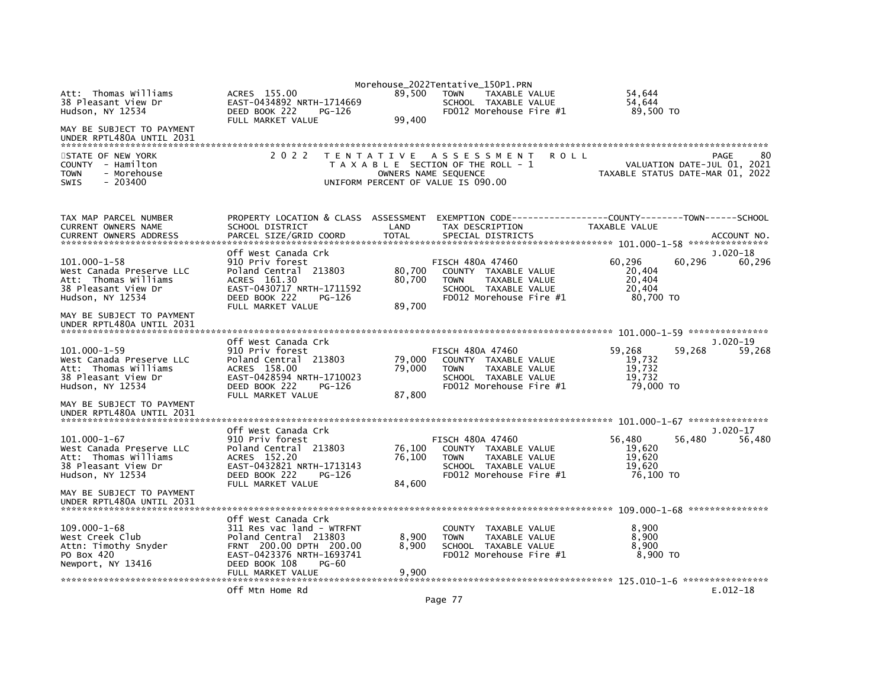|                                                                                                                                                                             |                                                                                                                                                               |                            | Morehouse_2022Tentative_150P1.PRN                                                                                                   |                                                                           |        |
|-----------------------------------------------------------------------------------------------------------------------------------------------------------------------------|---------------------------------------------------------------------------------------------------------------------------------------------------------------|----------------------------|-------------------------------------------------------------------------------------------------------------------------------------|---------------------------------------------------------------------------|--------|
| Att: Thomas Williams<br>38 Pleasant View Dr<br>Hudson, NY 12534                                                                                                             | ACRES 155.00<br>EAST-0434892 NRTH-1714669<br>DEED BOOK 222<br>PG-126<br>FULL MARKET VALUE                                                                     | 89.500<br>99,400           | <b>TAXABLE VALUE</b><br><b>TOWN</b><br>SCHOOL TAXABLE VALUE<br>FD012 Morehouse Fire #1                                              | 54,644<br>54,644<br>89,500 TO                                             |        |
| MAY BE SUBJECT TO PAYMENT<br>UNDER RPTL480A UNTIL 2031                                                                                                                      |                                                                                                                                                               |                            |                                                                                                                                     |                                                                           |        |
| STATE OF NEW YORK<br>COUNTY - Hamilton<br><b>TOWN</b><br>- Morehouse<br><b>SWIS</b><br>$-203400$                                                                            | 2 0 2 2                                                                                                                                                       |                            | TENTATIVE ASSESSMENT<br>ROLL<br>T A X A B L E SECTION OF THE ROLL - 1<br>OWNERS NAME SEQUENCE<br>UNIFORM PERCENT OF VALUE IS 090.00 | PAGE<br>VALUATION DATE-JUL 01, 2021<br>TAXABLE STATUS DATE-MAR 01, 2022   | 80     |
| TAX MAP PARCEL NUMBER<br>CURRENT OWNERS NAME<br><b>CURRENT OWNERS ADDRESS</b>                                                                                               | PROPERTY LOCATION & CLASS ASSESSMENT<br>SCHOOL DISTRICT<br>PARCEL SIZE/GRID COORD                                                                             | LAND<br><b>TOTAL</b>       | TAX DESCRIPTION<br>SPECIAL DISTRICTS                                                                                                | TAXABLE VALUE<br>ACCOUNT NO.                                              |        |
| $101.000 - 1 - 58$<br>West Canada Preserve LLC<br>Att: Thomas Williams<br>38 Pleasant View Dr<br>Hudson, NY 12534                                                           | Off West Canada Crk<br>910 Priv forest<br>Poland Central 213803<br>ACRES 161.30<br>EAST-0430717 NRTH-1711592<br>DEED BOOK 222<br>PG-126<br>FULL MARKET VALUE  | 80,700<br>80,700<br>89,700 | FISCH 480A 47460<br>COUNTY TAXABLE VALUE<br>TAXABLE VALUE<br><b>TOWN</b><br>SCHOOL TAXABLE VALUE<br>FD012 Morehouse Fire #1         | $J.020-18$<br>60,296<br>60,296<br>20,404<br>20,404<br>20,404<br>80,700 TO | 60,296 |
| MAY BE SUBJECT TO PAYMENT<br>UNDER RPTL480A UNTIL 2031                                                                                                                      |                                                                                                                                                               |                            |                                                                                                                                     |                                                                           |        |
| $101.000 - 1 - 59$<br>West Canada Preserve LLC<br>Att: Thomas Williams<br>38 Pleasant View Dr<br>Hudson, NY 12534<br>MAY BE SUBJECT TO PAYMENT<br>UNDER RPTL480A UNTIL 2031 | Off West Canada Crk<br>910 Priv forest<br>Poland Central 213803<br>ACRES 158.00<br>EAST-0428594 NRTH-1710023<br>DEED BOOK 222<br>PG-126<br>FULL MARKET VALUE  | 79,000<br>79,000<br>87,800 | <b>FISCH 480A 47460</b><br>COUNTY TAXABLE VALUE<br><b>TOWN</b><br>TAXABLE VALUE<br>SCHOOL TAXABLE VALUE<br>FD012 Morehouse Fire #1  | J.020-19<br>59,268<br>59,268<br>19,732<br>19,732<br>19.732<br>79,000 TO   | 59,268 |
|                                                                                                                                                                             |                                                                                                                                                               |                            |                                                                                                                                     |                                                                           |        |
| 101.000-1-67<br>West Canada Preserve LLC<br>Att: Thomas Williams<br>38 Pleasant View Dr<br>Hudson, NY 12534<br>MAY BE SUBJECT TO PAYMENT                                    | Off West Canada Crk<br>910 Priv forest<br>Poland Central 213803<br>ACRES 152.20<br>EAST-0432821 NRTH-1713143<br>DEED BOOK 222<br>PG-126<br>FULL MARKET VALUE  | 76,100<br>76,100<br>84,600 | FISCH 480A 47460<br>COUNTY TAXABLE VALUE<br><b>TOWN</b><br>TAXABLE VALUE<br>SCHOOL TAXABLE VALUE<br>FD012 Morehouse Fire #1         | $J.020-17$<br>56,480<br>56,480<br>19,620<br>19.620<br>19,620<br>76,100 TO | 56,480 |
| UNDER RPTL480A UNTIL 2031                                                                                                                                                   |                                                                                                                                                               |                            |                                                                                                                                     |                                                                           |        |
| $109.000 - 1 - 68$<br>West Creek Club<br>Attn: Timothy Snyder<br>PO Box 420<br>Newport, NY 13416                                                                            | Off West Canada Crk<br>311 Res vac land - WTRFNT<br>Poland Central 213803<br>FRNT 200.00 DPTH 200.00<br>EAST-0423376 NRTH-1693741<br>DEED BOOK 108<br>$PG-60$ | 8,900<br>8,900             | <b>COUNTY</b><br>TAXABLE VALUE<br>TAXABLE VALUE<br><b>TOWN</b><br>SCHOOL TAXABLE VALUE<br>FD012 Morehouse Fire #1                   | 8.900<br>8,900<br>8,900<br>8,900 TO                                       |        |
|                                                                                                                                                                             | FULL MARKET VALUE<br>Off Mtn Home Rd                                                                                                                          | 9,900                      |                                                                                                                                     | $E.012-18$                                                                |        |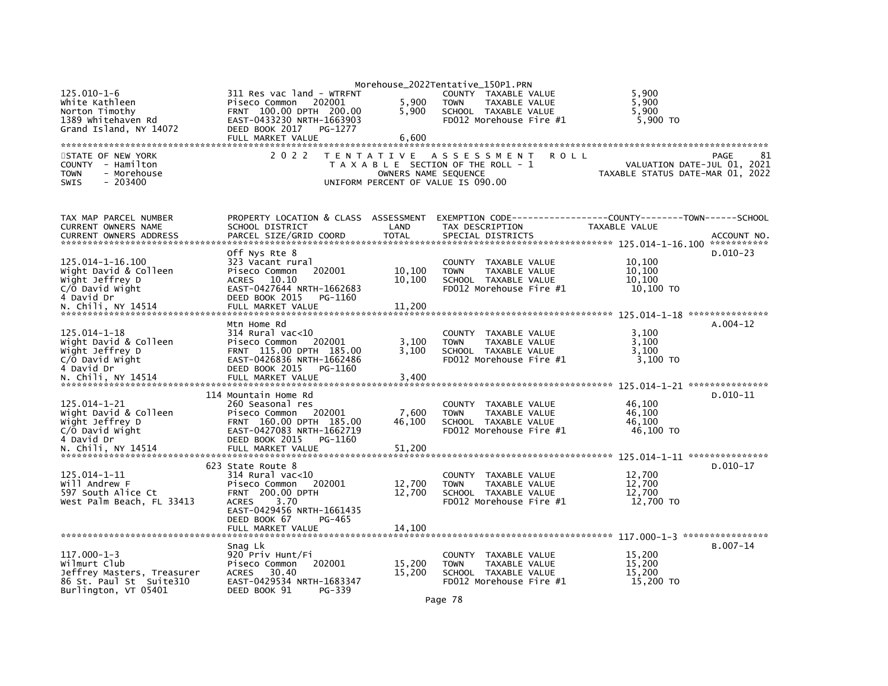|                                                                                                  |                                                                                                              |                      | Morehouse_2022Tentative_150P1.PRN                                                                                  |                                                                               |
|--------------------------------------------------------------------------------------------------|--------------------------------------------------------------------------------------------------------------|----------------------|--------------------------------------------------------------------------------------------------------------------|-------------------------------------------------------------------------------|
| $125.010 - 1 - 6$<br>white Kathleen<br>Norton Timothy<br>1389 Whitehaven Rd                      | 311 Res vac land - WTRFNT<br>Piseco Common<br>202001<br>FRNT 100.00 DPTH 200.00<br>EAST-0433230 NRTH-1663903 | 5,900<br>5,900       | COUNTY TAXABLE VALUE<br>TAXABLE VALUE<br><b>TOWN</b><br>SCHOOL TAXABLE VALUE<br>FD012 Morehouse Fire $#1$          | 5,900<br>5.900<br>5,900<br>5,900 TO                                           |
| Grand Island, NY 14072                                                                           | DEED BOOK 2017<br>PG-1277<br>FULL MARKET VALUE                                                               | 6.600                |                                                                                                                    |                                                                               |
|                                                                                                  |                                                                                                              |                      |                                                                                                                    |                                                                               |
| STATE OF NEW YORK<br>COUNTY - Hamilton<br>- Morehouse<br><b>TOWN</b><br><b>SWIS</b><br>$-203400$ | 2 0 2 2                                                                                                      | OWNERS NAME SEQUENCE | TENTATIVE ASSESSMENT<br><b>ROLL</b><br>T A X A B L E SECTION OF THE ROLL - 1<br>UNIFORM PERCENT OF VALUE IS 090.00 | 81<br>PAGE<br>VALUATION DATE-JUL 01, 2021<br>TAXABLE STATUS DATE-MAR 01, 2022 |
| TAX MAP PARCEL NUMBER                                                                            | PROPERTY LOCATION & CLASS                                                                                    | ASSESSMENT           |                                                                                                                    |                                                                               |
| CURRENT OWNERS NAME                                                                              | SCHOOL DISTRICT                                                                                              | LAND                 | TAX DESCRIPTION                                                                                                    | TAXABLE VALUE                                                                 |
| <b>CURRENT OWNERS ADDRESS</b>                                                                    | PARCEL SIZE/GRID COORD                                                                                       | <b>TOTAL</b>         | SPECIAL DISTRICTS                                                                                                  | ACCOUNT NO.<br>***********                                                    |
|                                                                                                  | Off Nys Rte 8                                                                                                |                      |                                                                                                                    | $D.010-23$                                                                    |
| 125.014-1-16.100                                                                                 | 323 Vacant rural                                                                                             |                      | COUNTY TAXABLE VALUE                                                                                               | 10,100                                                                        |
| Wight David & Colleen                                                                            | Piseco Common<br>202001<br><b>ACRES</b><br>10.10                                                             | 10,100<br>10,100     | <b>TOWN</b><br>TAXABLE VALUE                                                                                       | 10.100<br>10.100                                                              |
| Wight Jeffrey D<br>$C/O$ David Wight                                                             | EAST-0427644 NRTH-1662683                                                                                    |                      | SCHOOL TAXABLE VALUE<br>$FD012$ Morehouse Fire $#1$                                                                | 10,100 TO                                                                     |
| 4 David Dr                                                                                       | DEED BOOK 2015<br>PG-1160                                                                                    |                      |                                                                                                                    |                                                                               |
| N. Chili, NY 14514                                                                               | FULL MARKET VALUE                                                                                            | 11,200               |                                                                                                                    |                                                                               |
|                                                                                                  | Mtn Home Rd                                                                                                  |                      |                                                                                                                    | $A.004-12$                                                                    |
| $125.014 - 1 - 18$                                                                               | $314$ Rural vac<10                                                                                           |                      | COUNTY TAXABLE VALUE                                                                                               | 3,100                                                                         |
| wight David & Colleen                                                                            | Piseco Common<br>202001                                                                                      | 3,100                | TAXABLE VALUE<br><b>TOWN</b>                                                                                       | 3,100                                                                         |
| Wight Jeffrey D                                                                                  | FRNT 115.00 DPTH 185.00                                                                                      | 3.100                | SCHOOL TAXABLE VALUE                                                                                               | 3,100                                                                         |
| C/O David Wight<br>4 David Dr                                                                    | EAST-0426836 NRTH-1662486<br>DEED BOOK 2015                                                                  |                      | FD012 Morehouse Fire #1                                                                                            | $3,100$ TO                                                                    |
|                                                                                                  | PG-1160                                                                                                      |                      |                                                                                                                    |                                                                               |
|                                                                                                  |                                                                                                              |                      |                                                                                                                    |                                                                               |
|                                                                                                  | 114 Mountain Home Rd                                                                                         |                      |                                                                                                                    | $D.010-11$                                                                    |
| 125.014-1-21                                                                                     | 260 Seasonal res                                                                                             |                      | COUNTY TAXABLE VALUE                                                                                               | 46,100<br>46.100                                                              |
| wight David & Colleen<br>Wight Jeffrey D                                                         | Piseco Common<br>202001<br>FRNT 160.00 DPTH 185.00                                                           | 7,600<br>46,100      | <b>TOWN</b><br>TAXABLE VALUE<br>SCHOOL TAXABLE VALUE                                                               | 46,100                                                                        |
| C/O David Wight                                                                                  | EAST-0427083 NRTH-1662719                                                                                    |                      | FD012 Morehouse Fire #1                                                                                            | 46,100 TO                                                                     |
| 4 David Dr                                                                                       | DEED BOOK 2015<br>PG-1160                                                                                    |                      |                                                                                                                    |                                                                               |
| N. Chili, NY 14514                                                                               | FULL MARKET VALUE                                                                                            | 51,200               |                                                                                                                    |                                                                               |
|                                                                                                  | 623 State Route 8                                                                                            |                      |                                                                                                                    | $D.010-17$                                                                    |
| $125.014 - 1 - 11$                                                                               | $314$ Rural vac< $10$                                                                                        |                      | COUNTY<br>TAXABLE VALUE                                                                                            | 12,700                                                                        |
| Will Andrew F                                                                                    | Piseco Common<br>202001                                                                                      | 12,700               | <b>TAXABLE VALUE</b><br><b>TOWN</b>                                                                                | 12,700                                                                        |
| 597 South Alice Ct                                                                               | <b>FRNT 200.00 DPTH</b><br>3.70<br><b>ACRES</b>                                                              | 12,700               | SCHOOL TAXABLE VALUE<br>FD012 Morehouse Fire #1                                                                    | 12,700                                                                        |
| West Palm Beach, FL 33413                                                                        | EAST-0429456 NRTH-1661435                                                                                    |                      |                                                                                                                    | 12,700 TO                                                                     |
|                                                                                                  | DEED BOOK 67<br>PG-465                                                                                       |                      |                                                                                                                    |                                                                               |
|                                                                                                  | FULL MARKET VALUE                                                                                            | 14,100               |                                                                                                                    |                                                                               |
|                                                                                                  |                                                                                                              |                      |                                                                                                                    | $B.007 - 14$                                                                  |
| $117.000 - 1 - 3$                                                                                | Snag Lk<br>920 Priv Hunt/Fi                                                                                  |                      | COUNTY TAXABLE VALUE                                                                                               | 15,200                                                                        |
| Wilmurt Club                                                                                     | Piseco Common<br>202001                                                                                      | 15,200               | TAXABLE VALUE<br><b>TOWN</b>                                                                                       | 15,200                                                                        |
| Jeffrey Masters, Treasurer                                                                       | 30.40<br><b>ACRES</b>                                                                                        | 15,200               | SCHOOL TAXABLE VALUE                                                                                               | 15.200                                                                        |
| 86 St. Paul St Suite310<br>Burlington, VT 05401                                                  | EAST-0429534 NRTH-1683347<br>DEED BOOK 91<br>PG-339                                                          |                      | FD012 Morehouse Fire #1                                                                                            | 15,200 TO                                                                     |
|                                                                                                  |                                                                                                              |                      |                                                                                                                    |                                                                               |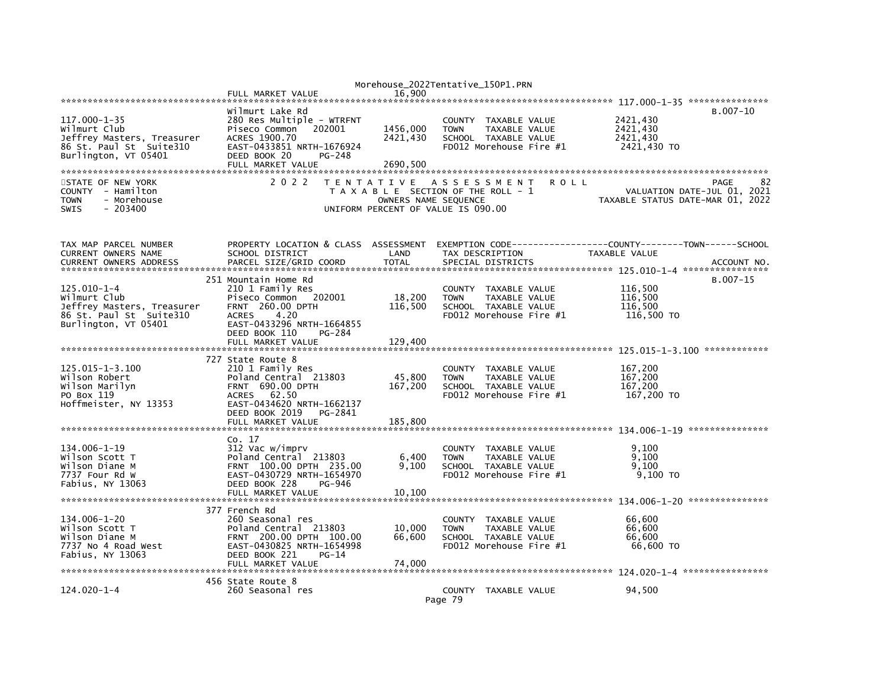|                               |                                      |                      | Morehouse_2022Tentative_150P1.PRN     |                                                              |
|-------------------------------|--------------------------------------|----------------------|---------------------------------------|--------------------------------------------------------------|
|                               | FULL MARKET VALUE                    | 16.900               |                                       |                                                              |
|                               |                                      |                      |                                       |                                                              |
|                               | Wilmurt Lake Rd                      |                      |                                       | $B.007 - 10$                                                 |
| $117.000 - 1 - 35$            | 280 Res Multiple - WTRFNT            |                      | COUNTY TAXABLE VALUE                  | 2421,430                                                     |
| Wilmurt Club                  | Piseco Common<br>202001              | 1456,000             | <b>TOWN</b><br>TAXABLE VALUE          | 2421,430                                                     |
|                               | ACRES 1900.70                        | 2421,430             | SCHOOL TAXABLE VALUE                  | 2421,430                                                     |
| Jeffrey Masters, Treasurer    |                                      |                      |                                       |                                                              |
| 86 St. Paul St Suite310       | EAST-0433851 NRTH-1676924            |                      | FD012 Morehouse Fire #1               | 2421,430 TO                                                  |
| Burlington, VT 05401          | DEED BOOK 20<br>PG-248               |                      |                                       |                                                              |
|                               | FULL MARKET VALUE                    | 2690,500             |                                       |                                                              |
|                               |                                      |                      |                                       |                                                              |
| STATE OF NEW YORK             | 2 0 2 2                              |                      | TENTATIVE ASSESSMENT<br><b>ROLL</b>   | 82<br>PAGE                                                   |
| COUNTY - Hamilton             |                                      |                      | T A X A B L E SECTION OF THE ROLL - 1 | VALUATION DATE-JUL 01,<br>2021                               |
| - Morehouse<br><b>TOWN</b>    |                                      | OWNERS NAME SEQUENCE |                                       | TAXABLE STATUS DATE-MAR 01, 2022                             |
| <b>SWIS</b><br>$-203400$      |                                      |                      | UNIFORM PERCENT OF VALUE IS 090.00    |                                                              |
|                               |                                      |                      |                                       |                                                              |
|                               |                                      |                      |                                       |                                                              |
|                               |                                      |                      |                                       |                                                              |
|                               |                                      |                      |                                       |                                                              |
| TAX MAP PARCEL NUMBER         | PROPERTY LOCATION & CLASS ASSESSMENT |                      |                                       | EXEMPTION CODE-----------------COUNTY-------TOWN------SCHOOL |
| <b>CURRENT OWNERS NAME</b>    | SCHOOL DISTRICT                      | LAND                 | TAX DESCRIPTION                       | TAXABLE VALUE                                                |
| <b>CURRENT OWNERS ADDRESS</b> | PARCEL SIZE/GRID COORD               | <b>TOTAL</b>         | SPECIAL DISTRICTS                     | ACCOUNT NO.                                                  |
|                               |                                      |                      |                                       |                                                              |
|                               | 251 Mountain Home Rd                 |                      |                                       | $B.007 - 15$                                                 |
| $125.010 - 1 - 4$             | 210 1 Family Res                     |                      | COUNTY TAXABLE VALUE                  | 116,500                                                      |
| Wilmurt Club                  | Piseco Common 202001                 | 18,200               | <b>TOWN</b><br>TAXABLE VALUE          | 116,500                                                      |
| Jeffrey Masters, Treasurer    | FRNT 260.00 DPTH                     | 116,500              | SCHOOL TAXABLE VALUE                  | 116.500                                                      |
| 86 St. Paul St Suite310       | <b>ACRES</b><br>4.20                 |                      | FD012 Morehouse Fire #1               | 116,500 TO                                                   |
|                               |                                      |                      |                                       |                                                              |
| Burlington, VT 05401          | EAST-0433296 NRTH-1664855            |                      |                                       |                                                              |
|                               | DEED BOOK 110<br>PG-284              |                      |                                       |                                                              |
|                               | FULL MARKET VALUE                    | 129.400              |                                       |                                                              |
|                               |                                      |                      |                                       |                                                              |
|                               | 727 State Route 8                    |                      |                                       |                                                              |
| $125.015 - 1 - 3.100$         | 210 1 Family Res                     |                      | COUNTY TAXABLE VALUE                  | 167,200                                                      |
| Wilson Robert                 | Poland Central 213803                | 45,800               | <b>TOWN</b><br>TAXABLE VALUE          | 167.200                                                      |
| Wilson Marilyn                | <b>FRNT 690.00 DPTH</b>              | 167,200              | SCHOOL TAXABLE VALUE                  | 167,200                                                      |
| PO Box 119                    | ACRES 62.50                          |                      | FD012 Morehouse Fire #1               | 167,200 TO                                                   |
| Hoffmeister, NY 13353         | EAST-0434620 NRTH-1662137            |                      |                                       |                                                              |
|                               | DEED BOOK 2019<br>PG-2841            |                      |                                       |                                                              |
|                               |                                      |                      |                                       |                                                              |
|                               | FULL MARKET VALUE                    | 185,800              |                                       |                                                              |
|                               |                                      |                      |                                       |                                                              |
|                               | Co. 17                               |                      |                                       |                                                              |
| 134.006-1-19                  | 312 Vac w/imprv                      |                      | COUNTY TAXABLE VALUE                  | 9.100                                                        |
| Wilson Scott T                | Poland Central 213803                | 6,400                | <b>TOWN</b><br>TAXABLE VALUE          | 9,100                                                        |
| Wilson Diane M                | FRNT 100.00 DPTH 235.00              | 9,100                | SCHOOL TAXABLE VALUE                  | 9,100                                                        |
| 7737 Four Rd W                | EAST-0430729 NRTH-1654970            |                      | FD012 Morehouse Fire #1               | $9,100$ TO                                                   |
| Fabius, NY 13063              | DEED BOOK 228<br>PG-946              |                      |                                       |                                                              |
|                               | FULL MARKET VALUE                    | 10,100               |                                       |                                                              |
|                               |                                      |                      |                                       |                                                              |
|                               |                                      |                      |                                       |                                                              |
|                               | 377 French Rd                        |                      |                                       |                                                              |
| 134.006-1-20                  | 260 Seasonal res                     |                      | COUNTY TAXABLE VALUE                  | 66,600                                                       |
| Wilson Scott T                | Poland Central 213803                | 10,000               | <b>TOWN</b><br><b>TAXABLE VALUE</b>   | 66,600                                                       |
| Wilson Diane M                | FRNT 200.00 DPTH 100.00              | 66,600               | SCHOOL TAXABLE VALUE                  | 66,600                                                       |
| 7737 No 4 Road West           | EAST-0430825 NRTH-1654998            |                      | FD012 Morehouse Fire #1               | 66,600 TO                                                    |
| Fabius, NY 13063              | DEED BOOK 221<br>$PG-14$             |                      |                                       |                                                              |
|                               | FULL MARKET VALUE                    | 74.000               |                                       |                                                              |
|                               |                                      |                      |                                       |                                                              |
|                               | 456 State Route 8                    |                      |                                       |                                                              |
| $124.020 - 1 - 4$             | 260 Seasonal res                     |                      | COUNTY TAXABLE VALUE                  | 94,500                                                       |
|                               |                                      |                      |                                       |                                                              |
|                               |                                      |                      | Page 79                               |                                                              |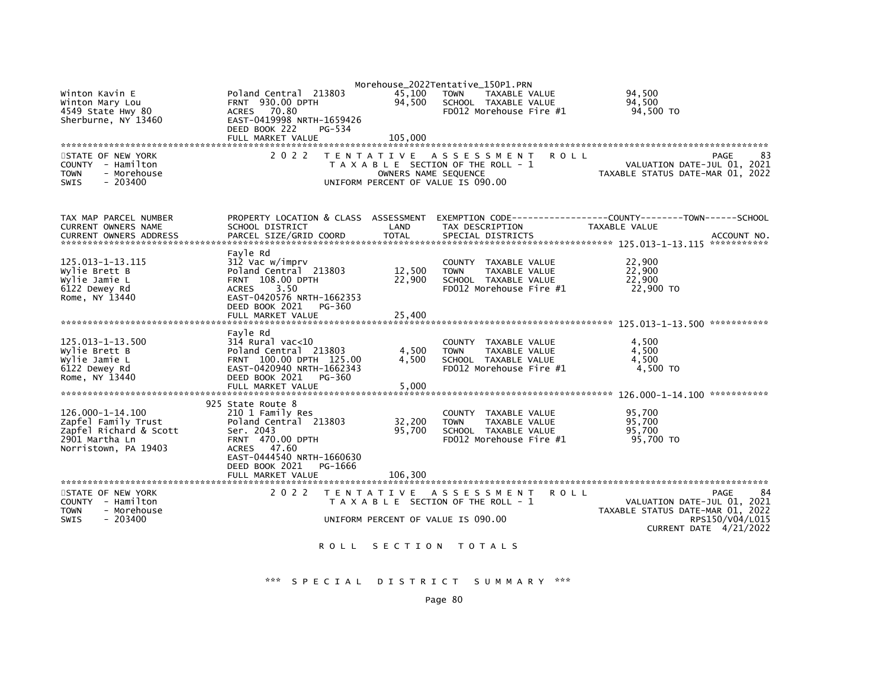| Winton Kavin E<br>Winton Mary Lou<br>4549 State Hwy 80<br>Sherburne, NY 13460<br>STATE OF NEW YORK          | Poland Central 213803<br><b>FRNT 930.00 DPTH</b><br>70.80<br><b>ACRES</b><br>EAST-0419998 NRTH-1659426<br>DEED BOOK 222<br>PG-534<br>FULL MARKET VALUE<br>2 0 2 2 | 45,100<br>94,500<br>105.000 | Morehouse_2022Tentative_150P1.PRN<br><b>TOWN</b><br>TAXABLE VALUE<br>SCHOOL TAXABLE VALUE<br>FD012 Morehouse Fire #1<br>TENTATIVE ASSESSMENT | 94.500<br>94,500<br>94,500 TO<br><b>ROLL</b>                                                | 83<br>PAGE      |
|-------------------------------------------------------------------------------------------------------------|-------------------------------------------------------------------------------------------------------------------------------------------------------------------|-----------------------------|----------------------------------------------------------------------------------------------------------------------------------------------|---------------------------------------------------------------------------------------------|-----------------|
| COUNTY - Hamilton<br>- Morehouse<br><b>TOWN</b><br>$-203400$<br><b>SWIS</b>                                 |                                                                                                                                                                   | OWNERS NAME SEQUENCE        | T A X A B L E SECTION OF THE ROLL - 1<br>UNIFORM PERCENT OF VALUE IS 090.00                                                                  | VALUATION DATE-JUL 01, 2021<br>TAXABLE STATUS DATE-MAR 01, 2022                             |                 |
| TAX MAP PARCEL NUMBER<br><b>CURRENT OWNERS NAME</b>                                                         | PROPERTY LOCATION & CLASS ASSESSMENT<br>SCHOOL DISTRICT                                                                                                           | LAND                        | TAX DESCRIPTION                                                                                                                              | TAXABLE VALUE                                                                               |                 |
|                                                                                                             |                                                                                                                                                                   |                             |                                                                                                                                              |                                                                                             |                 |
| 125.013-1-13.115<br>Wylie Brett B<br>Wylie Jamie L<br>6122 Dewey Rd                                         | Fayle Rd<br>312 Vac w/imprv<br>Poland Central 213803<br><b>FRNT 108.00 DPTH</b><br><b>ACRES</b><br>3.50                                                           | 12,500<br>22,900            | COUNTY TAXABLE VALUE<br><b>TOWN</b><br><b>TAXABLE VALUE</b><br>SCHOOL TAXABLE VALUE<br>FD012 Morehouse Fire #1                               | 22,900<br>22,900<br>22,900<br>22,900 TO                                                     |                 |
| Rome, NY 13440                                                                                              | EAST-0420576 NRTH-1662353<br>DEED BOOK 2021<br>PG-360<br>FULL MARKET VALUE                                                                                        | 25.400                      |                                                                                                                                              |                                                                                             |                 |
|                                                                                                             | Favle Rd                                                                                                                                                          |                             |                                                                                                                                              |                                                                                             |                 |
| 125.013-1-13.500<br>Wylie Brett B<br>Wylie Jamie L<br>6122 Dewey Rd<br>Rome, NY 13440                       | $314$ Rural vac<10<br>Poland Central 213803<br>FRNT 100.00 DPTH 125.00<br>EAST-0420940 NRTH-1662343<br>DEED BOOK 2021<br>PG-360                                   | 4,500<br>4,500              | COUNTY TAXABLE VALUE<br><b>TAXABLE VALUE</b><br><b>TOWN</b><br>SCHOOL TAXABLE VALUE<br>FD012 Morehouse Fire #1                               | 4,500<br>4,500<br>4,500<br>4,500 TO                                                         |                 |
|                                                                                                             | FULL MARKET VALUE                                                                                                                                                 | 5,000                       |                                                                                                                                              |                                                                                             |                 |
| 126.000-1-14.100<br>Zapfel Family Trust<br>Zapfel Richard & Scott<br>2901 Martha Ln<br>Norristown, PA 19403 | 925 State Route 8<br>210 1 Family Res<br>Poland Central 213803<br>Ser. 2043<br><b>FRNT 470.00 DPTH</b><br>ACRES 47.60<br>EAST-0444540 NRTH-1660630                | 32,200<br>95,700            | COUNTY TAXABLE VALUE<br><b>TAXABLE VALUE</b><br><b>TOWN</b><br>SCHOOL TAXABLE VALUE<br>FD012 Morehouse Fire #1                               | 95,700<br>95,700<br>95.700<br>95,700 TO                                                     |                 |
|                                                                                                             | DEED BOOK 2021<br>PG-1666                                                                                                                                         |                             |                                                                                                                                              |                                                                                             |                 |
| STATE OF NEW YORK                                                                                           | 2 0 2 2                                                                                                                                                           |                             | TENTATIVE ASSESSMENT                                                                                                                         | <b>ROLL</b>                                                                                 | PAGE<br>84      |
| COUNTY - Hamilton<br><b>TOWN</b><br>- Morehouse<br>$-203400$<br><b>SWIS</b>                                 |                                                                                                                                                                   |                             | T A X A B L E SECTION OF THE ROLL - 1<br>UNIFORM PERCENT OF VALUE IS 090.00                                                                  | VALUATION DATE-JUL 01, 2021<br>TAXABLE STATUS DATE-MAR 01, 2022<br>CURRENT DATE $4/21/2022$ | RPS150/V04/L015 |
|                                                                                                             |                                                                                                                                                                   |                             | ROLL SECTION TOTALS                                                                                                                          |                                                                                             |                 |

\*\*\* S P E C I A L D I S T R I C T S U M M A R Y \*\*\*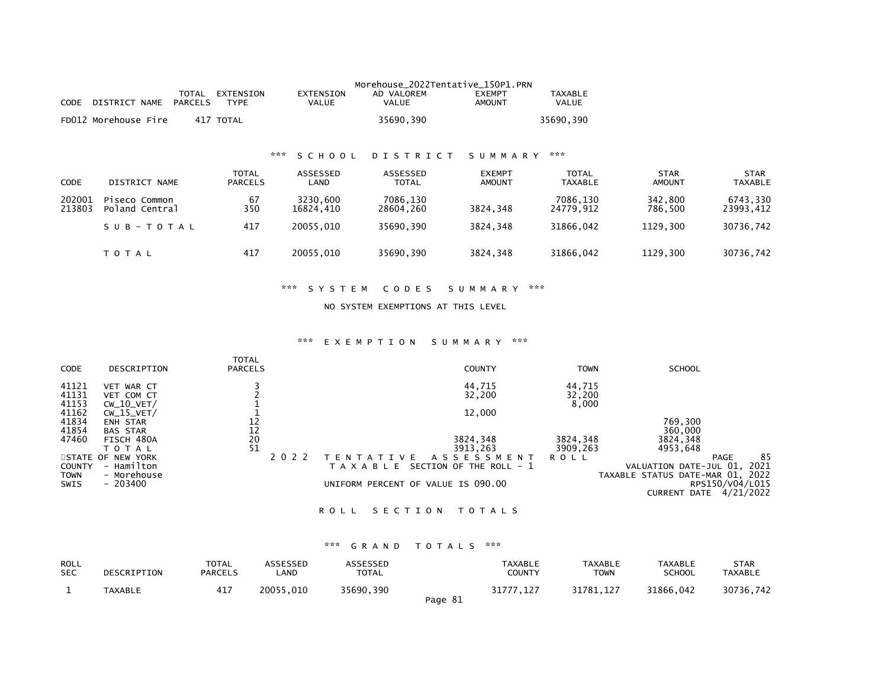|                  |                                          |                                |                           | Morehouse_2022Tentative_150P1.PRN |                                |                                |                              |                        |
|------------------|------------------------------------------|--------------------------------|---------------------------|-----------------------------------|--------------------------------|--------------------------------|------------------------------|------------------------|
| <b>CODE</b>      | TOTAL<br><b>PARCELS</b><br>DISTRICT NAME | EXTENSION<br><b>TYPE</b>       | <b>EXTENSION</b><br>VALUE | AD VALOREM<br>VALUE               | <b>EXEMPT</b><br><b>AMOUNT</b> | TAXABLE<br>VALUE               |                              |                        |
|                  | FD012 Morehouse Fire                     | 417 TOTAL                      |                           | 35690,390                         |                                | 35690,390                      |                              |                        |
|                  |                                          | ***                            | SCHOOL                    | <b>DISTRICT</b>                   | SUMMARY                        | ***                            |                              |                        |
|                  |                                          |                                |                           |                                   |                                |                                |                              |                        |
| <b>CODE</b>      | DISTRICT NAME                            | <b>TOTAL</b><br><b>PARCELS</b> | ASSESSED<br>LAND          | <b>ASSESSED</b><br>TOTAL          | <b>EXEMPT</b><br>AMOUNT        | <b>TOTAL</b><br><b>TAXABLE</b> | <b>STAR</b><br><b>AMOUNT</b> | STAR<br><b>TAXABLE</b> |
| 202001<br>213803 | Piseco Common<br>Poland Central          | 67<br>350                      | 3230.600<br>16824,410     | 7086,130<br>28604,260             | 3824,348                       | 7086.130<br>24779,912          | 342,800<br>786,500           | 6743,330<br>23993,412  |
|                  | SUB-TOTAL                                | 417                            | 20055.010                 | 35690.390                         | 3824.348                       | 31866.042                      | 1129.300                     | 30736.742              |
|                  | <b>TOTAL</b>                             | 417                            | 20055,010                 | 35690,390                         | 3824,348                       | 31866,042                      | 1129.300                     | 30736,742              |

# \*\*\* S Y S T E M C O D E S S U M M A R Y \*\*\*

#### NO SYSTEM EXEMPTIONS AT THIS LEVEL

#### \*\*\* E X E M P T I O N S U M M A R Y \*\*\*

| CODE                             | DESCRIPTION                                                 | <b>TOTAL</b><br><b>PARCELS</b>                      |         | <b>COUNTY</b>                                                                               | <b>TOWN</b>               | <b>SCHOOL</b>                                                                           |
|----------------------------------|-------------------------------------------------------------|-----------------------------------------------------|---------|---------------------------------------------------------------------------------------------|---------------------------|-----------------------------------------------------------------------------------------|
| 41121<br>41131<br>41153<br>41162 | WAR CT<br>VET<br>VET COM CT<br>$CW_10_VET/$<br>$CW_15_VET/$ |                                                     |         | 44,715<br>32,200<br>12,000                                                                  | 44,715<br>32,200<br>8,000 |                                                                                         |
| 41834<br>41854<br>47460          | <b>ENH STAR</b><br><b>BAS STAR</b><br>FISCH 480A            | 12<br>12<br>$\begin{array}{c} 20 \\ 51 \end{array}$ |         | 3824,348                                                                                    | 3824,348                  | 769,300<br>360,000<br>3824,348                                                          |
| <b>COUNTY</b>                    | <b>TOTAL</b><br>STATE OF NEW YORK<br>- Hamilton             |                                                     | 2 0 2 2 | 3913,263<br>A S S E S S M E N T<br><b>ATIVE</b><br>SECTION OF THE ROLL - 1<br>T A X A B L E | 3909,263<br><b>ROLL</b>   | 4953,648<br>85<br>PAGE<br>2021<br>VALUATION DATE-JUL 01,                                |
| <b>TOWN</b><br>SWIS              | - Morehouse<br>$-203400$                                    |                                                     |         | UNIFORM PERCENT OF VALUE IS 090.00                                                          |                           | TAXABLE STATUS DATE-MAR 01, 2022<br>RPS150/V04/L015<br>4/21/2022<br><b>CURRENT DATE</b> |

### ROLL SECTION TOTALS

# \*\*\* G R A N D T O T A L S \*\*\*

| <b>ROLL</b><br><b>SEC</b> | DESCRIPTION | <b>TOTAL</b><br><b>PARCELS</b> | <b>ASSESSED</b><br>LAND | <b>ASSESSED</b><br>TOTAL |         | TAXABLE<br>COUNTY | <b>TAXABLE</b><br>TOWN | <b>TAXABLE</b><br><b>SCHOOL</b> | <b>STAR</b><br>TAXABLE |
|---------------------------|-------------|--------------------------------|-------------------------|--------------------------|---------|-------------------|------------------------|---------------------------------|------------------------|
|                           | TAXABLE     | 417                            | 20055.010               | 35690.390                | Page 81 | 31777.127         | 31781.127              | 31866.042                       | 30736,742              |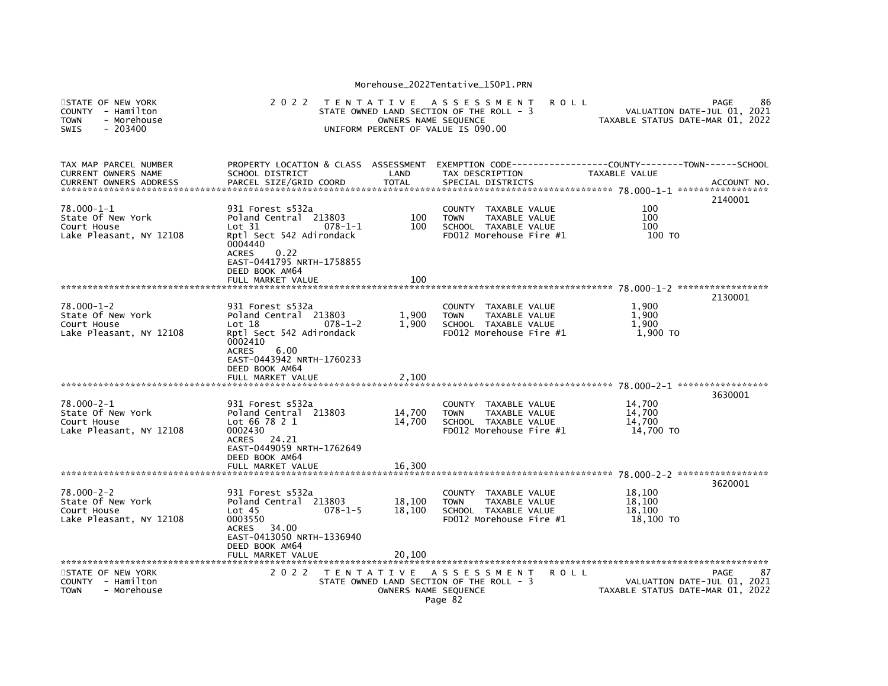| STATE OF NEW YORK<br><b>COUNTY</b><br>- Hamilton<br>- Morehouse<br><b>TOWN</b><br><b>SWIS</b><br>$-203400$ | 2 0 2 2                                                                                                                                                                            | OWNERS NAME SEQUENCE | TENTATIVE ASSESSMENT<br>STATE OWNED LAND SECTION OF THE ROLL - 3<br>UNIFORM PERCENT OF VALUE IS 090.00         | <b>ROLL</b> | TAXABLE STATUS DATE-MAR 01, 2022        | PAGE<br>86<br>VALUATION DATE-JUL 01, 2021 |
|------------------------------------------------------------------------------------------------------------|------------------------------------------------------------------------------------------------------------------------------------------------------------------------------------|----------------------|----------------------------------------------------------------------------------------------------------------|-------------|-----------------------------------------|-------------------------------------------|
| TAX MAP PARCEL NUMBER<br><b>CURRENT OWNERS NAME</b>                                                        | PROPERTY LOCATION & CLASS ASSESSMENT<br>SCHOOL DISTRICT                                                                                                                            | LAND                 | TAX DESCRIPTION                                                                                                |             | TAXABLE VALUE                           | ACCOUNT NO.                               |
| 78.000-1-1<br>State Of New York<br>Court House<br>Lake Pleasant, NY 12108                                  | 931 Forest s532a<br>Poland Central 213803<br>Lot 31<br>$078 - 1 - 1$<br>Rptl Sect 542 Adirondack<br>0004440<br><b>ACRES</b><br>0.22<br>EAST-0441795 NRTH-1758855<br>DEED BOOK AM64 | 100<br>100           | COUNTY TAXABLE VALUE<br><b>TOWN</b><br><b>TAXABLE VALUE</b><br>SCHOOL TAXABLE VALUE<br>FD012 Morehouse Fire #1 |             | 100<br>100<br>100<br>100 TO             | 2140001                                   |
|                                                                                                            | FULL MARKET VALUE                                                                                                                                                                  | 100                  |                                                                                                                |             |                                         |                                           |
| $78.000 - 1 - 2$<br>State Of New York<br>Court House<br>Lake Pleasant, NY 12108                            | 931 Forest s532a<br>Poland Central 213803<br>Lot 18<br>$078 - 1 - 2$<br>Rptl Sect 542 Adirondack<br>0002410<br>6.00<br><b>ACRES</b><br>EAST-0443942 NRTH-1760233                   | 1,900<br>1.900       | COUNTY TAXABLE VALUE<br><b>TAXABLE VALUE</b><br><b>TOWN</b><br>SCHOOL TAXABLE VALUE<br>FD012 Morehouse Fire #1 |             | 1,900<br>1.900<br>1.900<br>1,900 TO     | 2130001                                   |
|                                                                                                            | DEED BOOK AM64<br>FULL MARKET VALUE                                                                                                                                                | 2,100                |                                                                                                                |             |                                         |                                           |
| 78.000-2-1<br>State Of New York<br>Court House<br>Lake Pleasant, NY 12108                                  | 931 Forest s532a<br>Poland Central 213803<br>Lot 66 78 2 1<br>0002430<br>24.21<br>ACRES<br>EAST-0449059 NRTH-1762649<br>DEED BOOK AM64                                             | 14,700<br>14,700     | COUNTY TAXABLE VALUE<br>TAXABLE VALUE<br><b>TOWN</b><br>SCHOOL TAXABLE VALUE<br>FD012 Morehouse Fire #1        |             | 14,700<br>14,700<br>14,700<br>14.700 TO | 3630001                                   |
|                                                                                                            | FULL MARKET VALUE                                                                                                                                                                  | 16.300               |                                                                                                                |             |                                         |                                           |
| $78.000 - 2 - 2$<br>State Of New York<br>Court House<br>Lake Pleasant, NY 12108                            | 931 Forest s532a<br>Poland Central 213803<br>$078 - 1 - 5$<br>Lot 45<br>0003550<br><b>ACRES</b><br>34.00<br>EAST-0413050 NRTH-1336940                                              | 18,100<br>18,100     | COUNTY TAXABLE VALUE<br>TAXABLE VALUE<br><b>TOWN</b><br>SCHOOL TAXABLE VALUE<br>FD012 Morehouse Fire #1        |             | 18.100<br>18,100<br>18,100<br>18,100 TO | 3620001                                   |
|                                                                                                            | DEED BOOK AM64<br>FULL MARKET VALUE                                                                                                                                                | 20.100               |                                                                                                                |             |                                         |                                           |
| STATE OF NEW YORK<br>COUNTY - Hamilton<br><b>TOWN</b><br>- Morehouse                                       | 2 0 2 2                                                                                                                                                                            | OWNERS NAME SEQUENCE | TENTATIVE ASSESSMENT<br>STATE OWNED LAND SECTION OF THE ROLL - 3<br>Page 82                                    | R O L L     | TAXABLE STATUS DATE-MAR 01, 2022        | PAGE<br>87<br>VALUATION DATE-JUL 01, 2021 |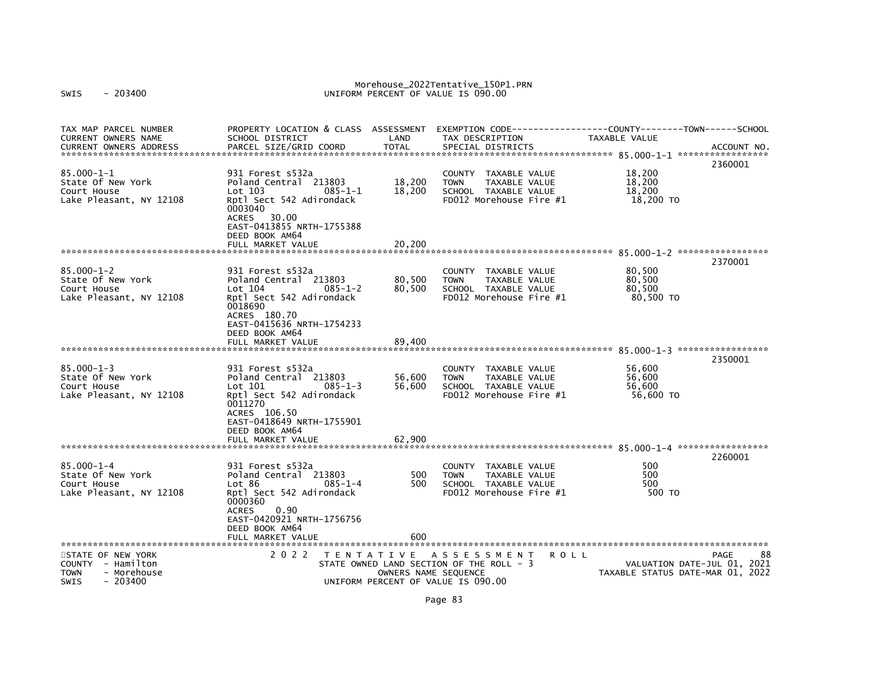Morehouse\_2022Tentative\_150P1.PRN<br>UNIFORM PERCENT OF VALUE IS 090.00

| ACCOUNT NO.<br>2360001<br>18,200<br>931 Forest s532a<br>COUNTY TAXABLE VALUE<br>State Of New York<br>18,200<br>18,200<br>Poland Central 213803<br>TAXABLE VALUE<br><b>TOWN</b><br>18,200<br>18,200<br>Court House<br>$Lot$ 103<br>$085 - 1 - 1$<br>SCHOOL TAXABLE VALUE<br>Lake Pleasant, NY 12108<br>Rptl Sect 542 Adirondack<br>FD012 Morehouse Fire #1<br>18,200 TO<br>0003040<br>ACRES 30.00<br>EAST-0413855 NRTH-1755388<br>DEED BOOK AM64<br>20,200<br>FULL MARKET VALUE<br>2370001<br>80,500<br>$85.000 - 1 - 2$<br>931 Forest s532a<br>COUNTY TAXABLE VALUE<br>80,500<br>80,500<br>State Of New York<br>Poland Central 213803<br>TAXABLE VALUE<br><b>TOWN</b><br>Lot 104<br>80,500<br>80,500<br>Court House<br>$085 - 1 - 2$<br>SCHOOL TAXABLE VALUE<br>Lake Pleasant, NY 12108<br>Rptl Sect 542 Adirondack<br>FD012 Morehouse Fire #1<br>80,500 TO<br>0018690<br>ACRES 180.70<br>EAST-0415636 NRTH-1754233<br>DEED BOOK AM64<br>FULL MARKET VALUE<br>89.400<br>2350001<br>$85.000 - 1 - 3$<br>56.600<br>931 Forest s532a<br>COUNTY<br>TAXABLE VALUE<br>State Of New York<br>Poland Central 213803<br>56,600<br>TAXABLE VALUE<br>56.600<br><b>TOWN</b><br>56,600<br>SCHOOL TAXABLE VALUE<br>56,600<br>Court House<br>Lot 101<br>$085 - 1 - 3$<br>Rptl Sect 542 Adirondack<br>FD012 Morehouse Fire #1<br>56,600 TO<br>Lake Pleasant, NY 12108<br>0011270<br>ACRES 106.50<br>EAST-0418649 NRTH-1755901<br>DEED BOOK AM64<br>62,900<br>FULL MARKET VALUE<br>2260001<br>$85.000 - 1 - 4$<br>500<br>931 Forest s532a<br>COUNTY TAXABLE VALUE<br>State Of New York<br>Poland Central 213803<br>500<br>TAXABLE VALUE<br>500<br><b>TOWN</b><br>500<br>500<br>Lot 86<br>$085 - 1 - 4$<br>SCHOOL TAXABLE VALUE<br>Rptl Sect 542 Adirondack<br>FD012 Morehouse Fire $#1$<br>500 TO<br>0000360<br>0.90<br><b>ACRES</b><br>EAST-0420921 NRTH-1756756<br>DEED BOOK AM64<br>FULL MARKET VALUE<br>600 | TAX MAP PARCEL NUMBER<br><b>CURRENT OWNERS NAME</b> | PROPERTY LOCATION & CLASS ASSESSMENT<br>SCHOOL DISTRICT | LAND         | TAX DESCRIPTION   | EXEMPTION CODE-----------------COUNTY-------TOWN------SCHOOL<br><b>TAXABLE VALUE</b> |  |
|-----------------------------------------------------------------------------------------------------------------------------------------------------------------------------------------------------------------------------------------------------------------------------------------------------------------------------------------------------------------------------------------------------------------------------------------------------------------------------------------------------------------------------------------------------------------------------------------------------------------------------------------------------------------------------------------------------------------------------------------------------------------------------------------------------------------------------------------------------------------------------------------------------------------------------------------------------------------------------------------------------------------------------------------------------------------------------------------------------------------------------------------------------------------------------------------------------------------------------------------------------------------------------------------------------------------------------------------------------------------------------------------------------------------------------------------------------------------------------------------------------------------------------------------------------------------------------------------------------------------------------------------------------------------------------------------------------------------------------------------------------------------------------------------------------------------------------------------------------------------------------------------------|-----------------------------------------------------|---------------------------------------------------------|--------------|-------------------|--------------------------------------------------------------------------------------|--|
|                                                                                                                                                                                                                                                                                                                                                                                                                                                                                                                                                                                                                                                                                                                                                                                                                                                                                                                                                                                                                                                                                                                                                                                                                                                                                                                                                                                                                                                                                                                                                                                                                                                                                                                                                                                                                                                                                               | <b>CURRENT OWNERS ADDRESS</b>                       | PARCEL SIZE/GRID COORD                                  | <b>TOTAL</b> | SPECIAL DISTRICTS |                                                                                      |  |
|                                                                                                                                                                                                                                                                                                                                                                                                                                                                                                                                                                                                                                                                                                                                                                                                                                                                                                                                                                                                                                                                                                                                                                                                                                                                                                                                                                                                                                                                                                                                                                                                                                                                                                                                                                                                                                                                                               |                                                     |                                                         |              |                   |                                                                                      |  |
|                                                                                                                                                                                                                                                                                                                                                                                                                                                                                                                                                                                                                                                                                                                                                                                                                                                                                                                                                                                                                                                                                                                                                                                                                                                                                                                                                                                                                                                                                                                                                                                                                                                                                                                                                                                                                                                                                               | 85.000-1-1                                          |                                                         |              |                   |                                                                                      |  |
|                                                                                                                                                                                                                                                                                                                                                                                                                                                                                                                                                                                                                                                                                                                                                                                                                                                                                                                                                                                                                                                                                                                                                                                                                                                                                                                                                                                                                                                                                                                                                                                                                                                                                                                                                                                                                                                                                               |                                                     |                                                         |              |                   |                                                                                      |  |
|                                                                                                                                                                                                                                                                                                                                                                                                                                                                                                                                                                                                                                                                                                                                                                                                                                                                                                                                                                                                                                                                                                                                                                                                                                                                                                                                                                                                                                                                                                                                                                                                                                                                                                                                                                                                                                                                                               |                                                     |                                                         |              |                   |                                                                                      |  |
|                                                                                                                                                                                                                                                                                                                                                                                                                                                                                                                                                                                                                                                                                                                                                                                                                                                                                                                                                                                                                                                                                                                                                                                                                                                                                                                                                                                                                                                                                                                                                                                                                                                                                                                                                                                                                                                                                               |                                                     |                                                         |              |                   |                                                                                      |  |
|                                                                                                                                                                                                                                                                                                                                                                                                                                                                                                                                                                                                                                                                                                                                                                                                                                                                                                                                                                                                                                                                                                                                                                                                                                                                                                                                                                                                                                                                                                                                                                                                                                                                                                                                                                                                                                                                                               |                                                     |                                                         |              |                   |                                                                                      |  |
|                                                                                                                                                                                                                                                                                                                                                                                                                                                                                                                                                                                                                                                                                                                                                                                                                                                                                                                                                                                                                                                                                                                                                                                                                                                                                                                                                                                                                                                                                                                                                                                                                                                                                                                                                                                                                                                                                               |                                                     |                                                         |              |                   |                                                                                      |  |
|                                                                                                                                                                                                                                                                                                                                                                                                                                                                                                                                                                                                                                                                                                                                                                                                                                                                                                                                                                                                                                                                                                                                                                                                                                                                                                                                                                                                                                                                                                                                                                                                                                                                                                                                                                                                                                                                                               |                                                     |                                                         |              |                   |                                                                                      |  |
|                                                                                                                                                                                                                                                                                                                                                                                                                                                                                                                                                                                                                                                                                                                                                                                                                                                                                                                                                                                                                                                                                                                                                                                                                                                                                                                                                                                                                                                                                                                                                                                                                                                                                                                                                                                                                                                                                               |                                                     |                                                         |              |                   |                                                                                      |  |
|                                                                                                                                                                                                                                                                                                                                                                                                                                                                                                                                                                                                                                                                                                                                                                                                                                                                                                                                                                                                                                                                                                                                                                                                                                                                                                                                                                                                                                                                                                                                                                                                                                                                                                                                                                                                                                                                                               |                                                     |                                                         |              |                   |                                                                                      |  |
|                                                                                                                                                                                                                                                                                                                                                                                                                                                                                                                                                                                                                                                                                                                                                                                                                                                                                                                                                                                                                                                                                                                                                                                                                                                                                                                                                                                                                                                                                                                                                                                                                                                                                                                                                                                                                                                                                               |                                                     |                                                         |              |                   |                                                                                      |  |
|                                                                                                                                                                                                                                                                                                                                                                                                                                                                                                                                                                                                                                                                                                                                                                                                                                                                                                                                                                                                                                                                                                                                                                                                                                                                                                                                                                                                                                                                                                                                                                                                                                                                                                                                                                                                                                                                                               |                                                     |                                                         |              |                   |                                                                                      |  |
|                                                                                                                                                                                                                                                                                                                                                                                                                                                                                                                                                                                                                                                                                                                                                                                                                                                                                                                                                                                                                                                                                                                                                                                                                                                                                                                                                                                                                                                                                                                                                                                                                                                                                                                                                                                                                                                                                               |                                                     |                                                         |              |                   |                                                                                      |  |
|                                                                                                                                                                                                                                                                                                                                                                                                                                                                                                                                                                                                                                                                                                                                                                                                                                                                                                                                                                                                                                                                                                                                                                                                                                                                                                                                                                                                                                                                                                                                                                                                                                                                                                                                                                                                                                                                                               |                                                     |                                                         |              |                   |                                                                                      |  |
|                                                                                                                                                                                                                                                                                                                                                                                                                                                                                                                                                                                                                                                                                                                                                                                                                                                                                                                                                                                                                                                                                                                                                                                                                                                                                                                                                                                                                                                                                                                                                                                                                                                                                                                                                                                                                                                                                               |                                                     |                                                         |              |                   |                                                                                      |  |
|                                                                                                                                                                                                                                                                                                                                                                                                                                                                                                                                                                                                                                                                                                                                                                                                                                                                                                                                                                                                                                                                                                                                                                                                                                                                                                                                                                                                                                                                                                                                                                                                                                                                                                                                                                                                                                                                                               |                                                     |                                                         |              |                   |                                                                                      |  |
|                                                                                                                                                                                                                                                                                                                                                                                                                                                                                                                                                                                                                                                                                                                                                                                                                                                                                                                                                                                                                                                                                                                                                                                                                                                                                                                                                                                                                                                                                                                                                                                                                                                                                                                                                                                                                                                                                               |                                                     |                                                         |              |                   |                                                                                      |  |
|                                                                                                                                                                                                                                                                                                                                                                                                                                                                                                                                                                                                                                                                                                                                                                                                                                                                                                                                                                                                                                                                                                                                                                                                                                                                                                                                                                                                                                                                                                                                                                                                                                                                                                                                                                                                                                                                                               |                                                     |                                                         |              |                   |                                                                                      |  |
|                                                                                                                                                                                                                                                                                                                                                                                                                                                                                                                                                                                                                                                                                                                                                                                                                                                                                                                                                                                                                                                                                                                                                                                                                                                                                                                                                                                                                                                                                                                                                                                                                                                                                                                                                                                                                                                                                               |                                                     |                                                         |              |                   |                                                                                      |  |
|                                                                                                                                                                                                                                                                                                                                                                                                                                                                                                                                                                                                                                                                                                                                                                                                                                                                                                                                                                                                                                                                                                                                                                                                                                                                                                                                                                                                                                                                                                                                                                                                                                                                                                                                                                                                                                                                                               |                                                     |                                                         |              |                   |                                                                                      |  |
|                                                                                                                                                                                                                                                                                                                                                                                                                                                                                                                                                                                                                                                                                                                                                                                                                                                                                                                                                                                                                                                                                                                                                                                                                                                                                                                                                                                                                                                                                                                                                                                                                                                                                                                                                                                                                                                                                               |                                                     |                                                         |              |                   |                                                                                      |  |
|                                                                                                                                                                                                                                                                                                                                                                                                                                                                                                                                                                                                                                                                                                                                                                                                                                                                                                                                                                                                                                                                                                                                                                                                                                                                                                                                                                                                                                                                                                                                                                                                                                                                                                                                                                                                                                                                                               |                                                     |                                                         |              |                   |                                                                                      |  |
|                                                                                                                                                                                                                                                                                                                                                                                                                                                                                                                                                                                                                                                                                                                                                                                                                                                                                                                                                                                                                                                                                                                                                                                                                                                                                                                                                                                                                                                                                                                                                                                                                                                                                                                                                                                                                                                                                               |                                                     |                                                         |              |                   |                                                                                      |  |
|                                                                                                                                                                                                                                                                                                                                                                                                                                                                                                                                                                                                                                                                                                                                                                                                                                                                                                                                                                                                                                                                                                                                                                                                                                                                                                                                                                                                                                                                                                                                                                                                                                                                                                                                                                                                                                                                                               |                                                     |                                                         |              |                   |                                                                                      |  |
|                                                                                                                                                                                                                                                                                                                                                                                                                                                                                                                                                                                                                                                                                                                                                                                                                                                                                                                                                                                                                                                                                                                                                                                                                                                                                                                                                                                                                                                                                                                                                                                                                                                                                                                                                                                                                                                                                               |                                                     |                                                         |              |                   |                                                                                      |  |
|                                                                                                                                                                                                                                                                                                                                                                                                                                                                                                                                                                                                                                                                                                                                                                                                                                                                                                                                                                                                                                                                                                                                                                                                                                                                                                                                                                                                                                                                                                                                                                                                                                                                                                                                                                                                                                                                                               |                                                     |                                                         |              |                   |                                                                                      |  |
|                                                                                                                                                                                                                                                                                                                                                                                                                                                                                                                                                                                                                                                                                                                                                                                                                                                                                                                                                                                                                                                                                                                                                                                                                                                                                                                                                                                                                                                                                                                                                                                                                                                                                                                                                                                                                                                                                               |                                                     |                                                         |              |                   |                                                                                      |  |
|                                                                                                                                                                                                                                                                                                                                                                                                                                                                                                                                                                                                                                                                                                                                                                                                                                                                                                                                                                                                                                                                                                                                                                                                                                                                                                                                                                                                                                                                                                                                                                                                                                                                                                                                                                                                                                                                                               |                                                     |                                                         |              |                   |                                                                                      |  |
|                                                                                                                                                                                                                                                                                                                                                                                                                                                                                                                                                                                                                                                                                                                                                                                                                                                                                                                                                                                                                                                                                                                                                                                                                                                                                                                                                                                                                                                                                                                                                                                                                                                                                                                                                                                                                                                                                               |                                                     |                                                         |              |                   |                                                                                      |  |
|                                                                                                                                                                                                                                                                                                                                                                                                                                                                                                                                                                                                                                                                                                                                                                                                                                                                                                                                                                                                                                                                                                                                                                                                                                                                                                                                                                                                                                                                                                                                                                                                                                                                                                                                                                                                                                                                                               |                                                     |                                                         |              |                   |                                                                                      |  |
|                                                                                                                                                                                                                                                                                                                                                                                                                                                                                                                                                                                                                                                                                                                                                                                                                                                                                                                                                                                                                                                                                                                                                                                                                                                                                                                                                                                                                                                                                                                                                                                                                                                                                                                                                                                                                                                                                               |                                                     |                                                         |              |                   |                                                                                      |  |
|                                                                                                                                                                                                                                                                                                                                                                                                                                                                                                                                                                                                                                                                                                                                                                                                                                                                                                                                                                                                                                                                                                                                                                                                                                                                                                                                                                                                                                                                                                                                                                                                                                                                                                                                                                                                                                                                                               |                                                     |                                                         |              |                   |                                                                                      |  |
|                                                                                                                                                                                                                                                                                                                                                                                                                                                                                                                                                                                                                                                                                                                                                                                                                                                                                                                                                                                                                                                                                                                                                                                                                                                                                                                                                                                                                                                                                                                                                                                                                                                                                                                                                                                                                                                                                               | Court House                                         |                                                         |              |                   |                                                                                      |  |
|                                                                                                                                                                                                                                                                                                                                                                                                                                                                                                                                                                                                                                                                                                                                                                                                                                                                                                                                                                                                                                                                                                                                                                                                                                                                                                                                                                                                                                                                                                                                                                                                                                                                                                                                                                                                                                                                                               | Lake Pleasant, NY 12108                             |                                                         |              |                   |                                                                                      |  |
|                                                                                                                                                                                                                                                                                                                                                                                                                                                                                                                                                                                                                                                                                                                                                                                                                                                                                                                                                                                                                                                                                                                                                                                                                                                                                                                                                                                                                                                                                                                                                                                                                                                                                                                                                                                                                                                                                               |                                                     |                                                         |              |                   |                                                                                      |  |
|                                                                                                                                                                                                                                                                                                                                                                                                                                                                                                                                                                                                                                                                                                                                                                                                                                                                                                                                                                                                                                                                                                                                                                                                                                                                                                                                                                                                                                                                                                                                                                                                                                                                                                                                                                                                                                                                                               |                                                     |                                                         |              |                   |                                                                                      |  |
|                                                                                                                                                                                                                                                                                                                                                                                                                                                                                                                                                                                                                                                                                                                                                                                                                                                                                                                                                                                                                                                                                                                                                                                                                                                                                                                                                                                                                                                                                                                                                                                                                                                                                                                                                                                                                                                                                               |                                                     |                                                         |              |                   |                                                                                      |  |
|                                                                                                                                                                                                                                                                                                                                                                                                                                                                                                                                                                                                                                                                                                                                                                                                                                                                                                                                                                                                                                                                                                                                                                                                                                                                                                                                                                                                                                                                                                                                                                                                                                                                                                                                                                                                                                                                                               |                                                     |                                                         |              |                   |                                                                                      |  |
|                                                                                                                                                                                                                                                                                                                                                                                                                                                                                                                                                                                                                                                                                                                                                                                                                                                                                                                                                                                                                                                                                                                                                                                                                                                                                                                                                                                                                                                                                                                                                                                                                                                                                                                                                                                                                                                                                               |                                                     |                                                         |              |                   |                                                                                      |  |
| 88<br>STATE OF NEW YORK<br>2 0 2 2<br>T E N T A T I V E<br>A S S E S S M E N T<br><b>ROLL</b><br>PAGE                                                                                                                                                                                                                                                                                                                                                                                                                                                                                                                                                                                                                                                                                                                                                                                                                                                                                                                                                                                                                                                                                                                                                                                                                                                                                                                                                                                                                                                                                                                                                                                                                                                                                                                                                                                         |                                                     |                                                         |              |                   |                                                                                      |  |
| VALUATION DATE-JUL 01, 2021<br>STATE OWNED LAND SECTION OF THE ROLL - 3                                                                                                                                                                                                                                                                                                                                                                                                                                                                                                                                                                                                                                                                                                                                                                                                                                                                                                                                                                                                                                                                                                                                                                                                                                                                                                                                                                                                                                                                                                                                                                                                                                                                                                                                                                                                                       | COUNTY - Hamilton                                   |                                                         |              |                   |                                                                                      |  |
| TAXABLE STATUS DATE-MAR 01, 2022<br>- Morehouse<br>OWNERS NAME SEQUENCE                                                                                                                                                                                                                                                                                                                                                                                                                                                                                                                                                                                                                                                                                                                                                                                                                                                                                                                                                                                                                                                                                                                                                                                                                                                                                                                                                                                                                                                                                                                                                                                                                                                                                                                                                                                                                       | <b>TOWN</b>                                         |                                                         |              |                   |                                                                                      |  |
| UNIFORM PERCENT OF VALUE IS 090.00                                                                                                                                                                                                                                                                                                                                                                                                                                                                                                                                                                                                                                                                                                                                                                                                                                                                                                                                                                                                                                                                                                                                                                                                                                                                                                                                                                                                                                                                                                                                                                                                                                                                                                                                                                                                                                                            | <b>SWIS</b><br>$-203400$                            |                                                         |              |                   |                                                                                      |  |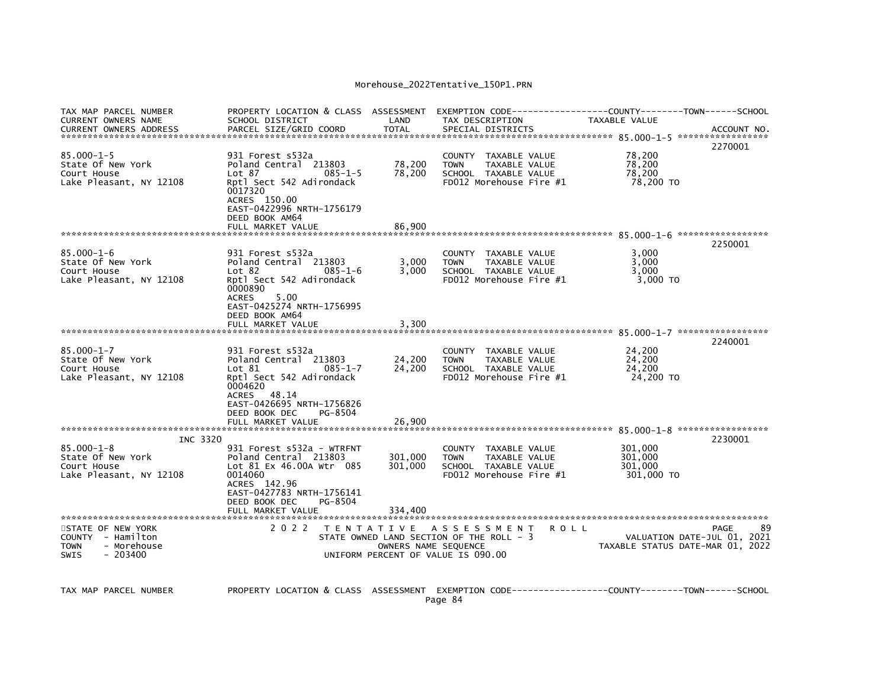| PARCEL SIZE/GRID COORD<br><b>TOTAL</b><br>SPECIAL DISTRICTS<br><b>CURRENT OWNERS ADDRESS</b><br>$85.000 - 1 - 5$<br>931 Forest s532a<br>78,200<br>COUNTY TAXABLE VALUE<br>78,200<br>78,200<br>State Of New York<br>Poland Central 213803<br>TAXABLE VALUE<br><b>TOWN</b>                                                                                                                                                                         | ACCOUNT NO.<br>2270001 |
|--------------------------------------------------------------------------------------------------------------------------------------------------------------------------------------------------------------------------------------------------------------------------------------------------------------------------------------------------------------------------------------------------------------------------------------------------|------------------------|
|                                                                                                                                                                                                                                                                                                                                                                                                                                                  |                        |
| 78,200<br>78,200<br>Court House<br>Lot 87<br>SCHOOL TAXABLE VALUE<br>$085 - 1 - 5$<br>FD012 Morehouse Fire #1<br>Lake Pleasant, NY 12108<br>Rptl Sect 542 Adirondack<br>78,200 TO<br>0017320<br>ACRES 150.00<br>EAST-0422996 NRTH-1756179<br>DEED BOOK AM64                                                                                                                                                                                      |                        |
|                                                                                                                                                                                                                                                                                                                                                                                                                                                  |                        |
|                                                                                                                                                                                                                                                                                                                                                                                                                                                  |                        |
| $85.000 - 1 - 6$<br>3.000<br>931 Forest s532a<br>COUNTY TAXABLE VALUE<br>3,000<br>State Of New York<br>Poland Central 213803<br>TAXABLE VALUE<br>3,000<br><b>TOWN</b><br>3,000<br>3,000<br>Court House<br>$085 - 1 - 6$<br>SCHOOL TAXABLE VALUE<br>Lot 82<br>Lake Pleasant, NY 12108<br>FD012 Morehouse Fire #1<br>3,000 TO<br>Rptl Sect 542 Adirondack<br>0000890<br>5.00<br><b>ACRES</b>                                                       | 2250001                |
| EAST-0425274 NRTH-1756995<br>DEED BOOK AM64<br>FULL MARKET VALUE<br>3,300                                                                                                                                                                                                                                                                                                                                                                        |                        |
| $85.000 - 1 - 7$<br>24,200<br>931 Forest s532a<br>COUNTY TAXABLE VALUE<br>24,200<br>24,200<br>State Of New York<br>Poland Central 213803<br>TAXABLE VALUE<br><b>TOWN</b><br>$085 - 1 - 7$<br>24,200<br>24,200<br>Court House<br>Lot 81<br>SCHOOL TAXABLE VALUE<br>Rptl Sect 542 Adirondack<br>FD012 Morehouse Fire #1<br>24,200 TO<br>Lake Pleasant, NY 12108<br>0004620<br>ACRES 48.14<br>EAST-0426695 NRTH-1756826<br>DEED BOOK DEC<br>PG-8504 | 2240001                |
| FULL MARKET VALUE<br>26,900                                                                                                                                                                                                                                                                                                                                                                                                                      |                        |
| INC 3320<br>$85.000 - 1 - 8$<br>301,000<br>931 Forest s532a - WTRFNT<br>COUNTY TAXABLE VALUE<br>State Of New York<br>Poland Central 213803<br>301,000<br>TAXABLE VALUE<br>301.000<br><b>TOWN</b><br>Court House<br>Lot 81 Ex 46.00A Wtr 085<br>301,000<br>SCHOOL TAXABLE VALUE<br>301,000<br>Lake Pleasant, NY 12108<br>0014060<br>FD012 Morehouse Fire #1<br>301,000 TO<br>ACRES 142.96<br>EAST-0427783 NRTH-1756141                            | 2230001                |
| DEED BOOK DEC<br>PG-8504<br>FULL MARKET VALUE<br>334,400                                                                                                                                                                                                                                                                                                                                                                                         |                        |
| STATE OF NEW YORK<br>2022<br>TENTATIVE ASSESSMENT<br><b>ROLL</b><br>COUNTY - Hamilton<br>STATE OWNED LAND SECTION OF THE ROLL - 3<br>VALUATION DATE-JUL 01, 2021<br><b>TOWN</b><br>- Morehouse<br>OWNERS NAME SEQUENCE<br>TAXABLE STATUS DATE-MAR 01, 2022<br>$-203400$<br>UNIFORM PERCENT OF VALUE IS 090.00<br><b>SWIS</b>                                                                                                                     | 89<br>PAGE             |

TAX MAP PARCEL NUMBER PROPERTY LOCATION & CLASS ASSESSMENT EXEMPTION CODE-----------------COUNTY-------TOWN-----SCHOOL Page 84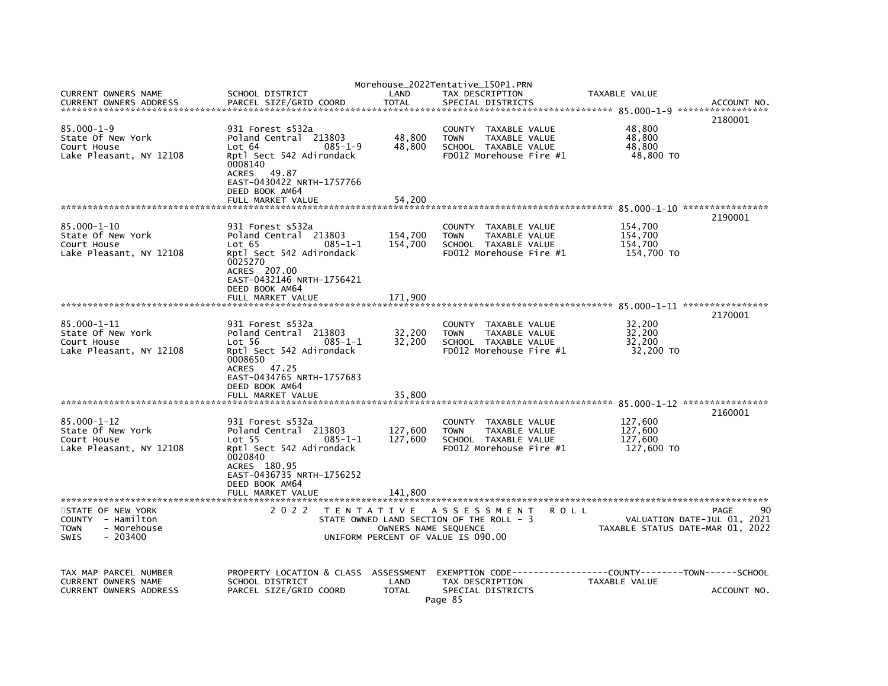|                                                      |                                                                                                                        |                      | Morehouse_2022Tentative_150P1.PRN                                            |             |                                  |             |
|------------------------------------------------------|------------------------------------------------------------------------------------------------------------------------|----------------------|------------------------------------------------------------------------------|-------------|----------------------------------|-------------|
| CURRENT OWNERS NAME<br><b>CURRENT OWNERS ADDRESS</b> | SCHOOL DISTRICT<br>PARCEL SIZE/GRID COORD                                                                              | LAND<br><b>TOTAL</b> | TAX DESCRIPTION<br>SPECIAL DISTRICTS                                         |             | TAXABLE VALUE                    | ACCOUNT NO. |
|                                                      |                                                                                                                        |                      |                                                                              |             |                                  |             |
| $85.000 - 1 - 9$<br>State Of New York<br>Court House | 931 Forest s532a<br>Poland Central 213803<br>Lot 64<br>$085 - 1 - 9$                                                   | 48,800<br>48,800     | COUNTY TAXABLE VALUE<br><b>TOWN</b><br>TAXABLE VALUE<br>SCHOOL TAXABLE VALUE |             | 48,800<br>48,800<br>48,800       | 2180001     |
| Lake Pleasant, NY 12108                              | Rptl Sect 542 Adirondack<br>0008140<br>ACRES 49.87<br>EAST-0430422 NRTH-1757766<br>DEED BOOK AM64<br>FULL MARKET VALUE | 54.200               | FD012 Morehouse Fire #1                                                      |             | 48,800 TO                        |             |
|                                                      |                                                                                                                        |                      |                                                                              |             |                                  |             |
|                                                      |                                                                                                                        |                      |                                                                              |             |                                  | 2190001     |
| $85.000 - 1 - 10$<br>State Of New York               | 931 Forest s532a<br>Poland Central 213803                                                                              | 154,700              | COUNTY TAXABLE VALUE<br><b>TOWN</b><br>TAXABLE VALUE                         |             | 154,700<br>154,700               |             |
| Court House                                          | Lot 65<br>$085 - 1 - 1$                                                                                                | 154,700              | SCHOOL TAXABLE VALUE                                                         |             | 154,700                          |             |
| Lake Pleasant, NY 12108                              | Rptl Sect 542 Adirondack<br>0025270                                                                                    |                      | FD012 Morehouse Fire #1                                                      |             | 154,700 TO                       |             |
|                                                      | ACRES 207.00                                                                                                           |                      |                                                                              |             |                                  |             |
|                                                      | EAST-0432146 NRTH-1756421                                                                                              |                      |                                                                              |             |                                  |             |
|                                                      | DEED BOOK AM64<br>FULL MARKET VALUE                                                                                    | 171,900              |                                                                              |             |                                  |             |
|                                                      |                                                                                                                        |                      |                                                                              |             |                                  |             |
| 85.000-1-11                                          | 931 Forest s532a                                                                                                       |                      | COUNTY TAXABLE VALUE                                                         |             | 32,200                           | 2170001     |
| State Of New York                                    | Poland Central 213803                                                                                                  | 32,200               | <b>TOWN</b><br>TAXABLE VALUE                                                 |             | 32,200                           |             |
| Court House                                          | Lot 56<br>$085 - 1 - 1$                                                                                                | 32,200               | SCHOOL TAXABLE VALUE<br>FD012 Morehouse Fire #1                              |             | 32,200                           |             |
| Lake Pleasant, NY 12108                              | Rptl Sect 542 Adirondack<br>0008650<br>ACRES 47.25<br>EAST-0434765 NRTH-1757683<br>DEED BOOK AM64                      |                      |                                                                              |             | 32,200 TO                        |             |
|                                                      | FULL MARKET VALUE                                                                                                      | 35.800               |                                                                              |             |                                  |             |
|                                                      |                                                                                                                        |                      |                                                                              |             |                                  | 2160001     |
| $85.000 - 1 - 12$<br>State Of New York               | 931 Forest s532a<br>Poland Central 213803                                                                              |                      | COUNTY TAXABLE VALUE<br>TAXABLE VALUE<br><b>TOWN</b>                         |             | 127,600<br>127,600               |             |
| Court House                                          | $Lot$ 55<br>$085 - 1 - 1$                                                                                              | 127,600<br>127,600   | SCHOOL TAXABLE VALUE                                                         |             | 127,600                          |             |
| Lake Pleasant, NY 12108                              | Rptl Sect 542 Adirondack<br>0020840                                                                                    |                      | FD012 Morehouse Fire #1                                                      |             | 127,600 TO                       |             |
|                                                      | ACRES 180.95<br>EAST-0436735 NRTH-1756252                                                                              |                      |                                                                              |             |                                  |             |
|                                                      | DEED BOOK AM64                                                                                                         |                      |                                                                              |             |                                  |             |
|                                                      | FULL MARKET VALUE                                                                                                      | 141,800              |                                                                              |             |                                  |             |
| STATE OF NEW YORK                                    | 2 0 2 2                                                                                                                |                      | TENTATIVE ASSESSMENT                                                         | <b>ROLL</b> |                                  | 90<br>PAGE  |
| COUNTY - Hamilton                                    |                                                                                                                        |                      | STATE OWNED LAND SECTION OF THE ROLL - 3                                     |             | VALUATION DATE-JUL 01, 2021      |             |
| - Morehouse<br>TOWN<br>$-203400$<br>SWIS             |                                                                                                                        | OWNERS NAME SEOUENCE | UNIFORM PERCENT OF VALUE IS 090.00                                           |             | TAXABLE STATUS DATE-MAR 01, 2022 |             |
|                                                      |                                                                                                                        |                      |                                                                              |             |                                  |             |
| TAX MAP PARCEL NUMBER                                | PROPERTY LOCATION & CLASS ASSESSMENT                                                                                   |                      | EXEMPTION        CODE-----------------COUNTY-------TOWN------SCHOOL          |             |                                  |             |
| CURRENT OWNERS NAME                                  | SCHOOL DISTRICT                                                                                                        | LAND                 | TAX DESCRIPTION                                                              |             | TAXABLE VALUE                    |             |
| <b>CURRENT OWNERS ADDRESS</b>                        | PARCEL SIZE/GRID COORD                                                                                                 | <b>TOTAL</b>         | SPECIAL DISTRICTS<br>Page 85                                                 |             |                                  | ACCOUNT NO. |
|                                                      |                                                                                                                        |                      |                                                                              |             |                                  |             |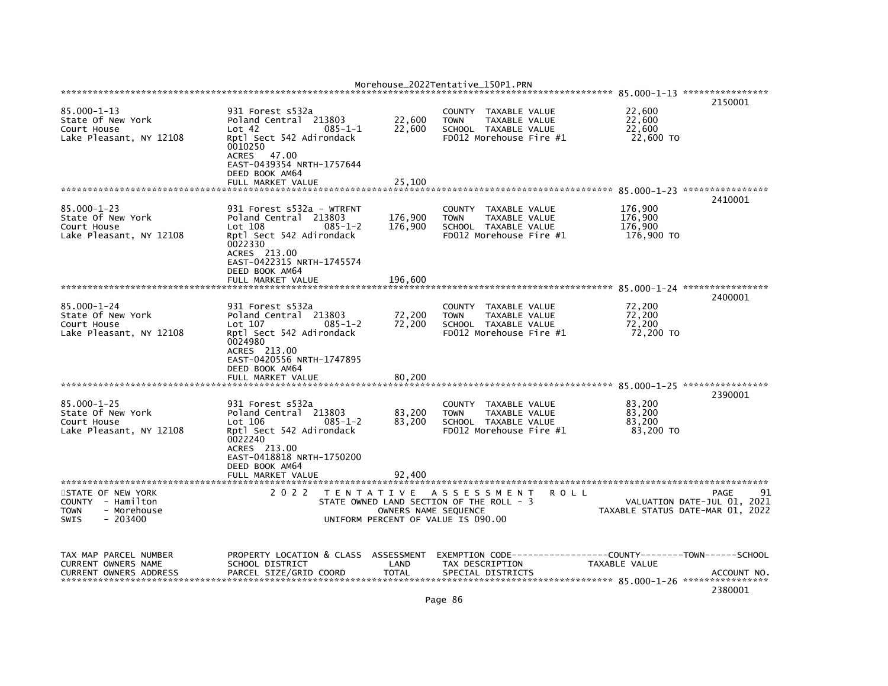|                                                                                           |                                                                                                                                                                                                    |                                           | Morehouse_2022Tentative_150P1.PRN                                                                                 |      |                                             |                                                                               |
|-------------------------------------------------------------------------------------------|----------------------------------------------------------------------------------------------------------------------------------------------------------------------------------------------------|-------------------------------------------|-------------------------------------------------------------------------------------------------------------------|------|---------------------------------------------|-------------------------------------------------------------------------------|
|                                                                                           |                                                                                                                                                                                                    |                                           |                                                                                                                   |      |                                             | 2150001                                                                       |
| $85.000 - 1 - 13$<br>State Of New York<br>Court House<br>Lake Pleasant, NY 12108          | 931 Forest s532a<br>Poland Central 213803<br>Lot 42<br>$085 - 1 - 1$<br>Rptl Sect 542 Adirondack<br>0010250<br>ACRES 47.00<br>EAST-0439354 NRTH-1757644<br>DEED BOOK AM64                          | 22,600<br>22,600                          | <b>COUNTY</b><br>TAXABLE VALUE<br><b>TOWN</b><br>TAXABLE VALUE<br>SCHOOL TAXABLE VALUE<br>FD012 Morehouse Fire #1 |      | 22,600<br>22,600<br>22,600<br>22,600 TO     |                                                                               |
|                                                                                           | FULL MARKET VALUE                                                                                                                                                                                  | 25,100                                    |                                                                                                                   |      |                                             |                                                                               |
| $85.000 - 1 - 23$<br>State Of New York<br>Court House<br>Lake Pleasant, NY 12108          | 931 Forest s532a - WTRFNT<br>Poland Central 213803<br>Lot 108<br>$085 - 1 - 2$<br>Rptl Sect 542 Adirondack<br>0022330<br>ACRES 213.00<br>EAST-0422315 NRTH-1745574                                 | 176,900<br>176,900                        | <b>COUNTY</b><br>TAXABLE VALUE<br>TAXABLE VALUE<br><b>TOWN</b><br>SCHOOL TAXABLE VALUE<br>FD012 Morehouse Fire #1 |      | 176,900<br>176,900<br>176,900<br>176,900 TO | 2410001                                                                       |
|                                                                                           | DEED BOOK AM64<br>FULL MARKET VALUE                                                                                                                                                                | 196,600                                   |                                                                                                                   |      |                                             |                                                                               |
|                                                                                           |                                                                                                                                                                                                    |                                           |                                                                                                                   |      |                                             |                                                                               |
| $85.000 - 1 - 24$<br>State Of New York<br>Court House<br>Lake Pleasant, NY 12108          | 931 Forest s532a<br>Poland Central 213803<br>Lot 107<br>$085 - 1 - 2$<br>Rptl Sect 542 Adirondack<br>0024980<br>ACRES 213.00<br>EAST-0420556 NRTH-1747895<br>DEED BOOK AM64                        | 72,200<br>72,200                          | TAXABLE VALUE<br><b>COUNTY</b><br><b>TOWN</b><br>TAXABLE VALUE<br>SCHOOL TAXABLE VALUE<br>FD012 Morehouse Fire #1 |      | 72,200<br>72,200<br>72,200<br>72,200 TO     | 2400001                                                                       |
|                                                                                           | FULL MARKET VALUE                                                                                                                                                                                  | 80,200                                    |                                                                                                                   |      |                                             |                                                                               |
| $85.000 - 1 - 25$<br>State Of New York<br>Court House<br>Lake Pleasant, NY 12108          | 931 Forest s532a<br>Poland Central 213803<br>Lot $106$<br>$085 - 1 - 2$<br>Rptl Sect 542 Adirondack<br>0022240<br>ACRES 213.00<br>EAST-0418818 NRTH-1750200<br>DEED BOOK AM64<br>FULL MARKET VALUE | 83,200<br>83,200<br>92,400                | TAXABLE VALUE<br><b>COUNTY</b><br>TAXABLE VALUE<br><b>TOWN</b><br>SCHOOL TAXABLE VALUE<br>FD012 Morehouse Fire #1 |      | 83,200<br>83,200<br>83,200<br>83,200 TO     | 2390001                                                                       |
|                                                                                           |                                                                                                                                                                                                    |                                           |                                                                                                                   |      |                                             |                                                                               |
| STATE OF NEW YORK<br>COUNTY - Hamilton<br>- Morehouse<br><b>TOWN</b><br>SWIS<br>$-203400$ | 2 0 2 2                                                                                                                                                                                            | T E N T A T I V E<br>OWNERS NAME SEQUENCE | A S S E S S M E N T<br>STATE OWNED LAND SECTION OF THE ROLL - 3<br>UNIFORM PERCENT OF VALUE IS 090.00             | ROLL |                                             | 91<br>PAGE<br>VALUATION DATE-JUL 01, 2021<br>TAXABLE STATUS DATE-MAR 01, 2022 |
| TAX MAP PARCEL NUMBER<br>CURRENT OWNERS NAME<br><b>CURRENT OWNERS ADDRESS</b>             | PROPERTY LOCATION & CLASS<br>SCHOOL DISTRICT<br>PARCEL SIZE/GRID COORD                                                                                                                             | ASSESSMENT<br>LAND<br><b>TOTAL</b>        | EXEMPTION CODE----<br>TAX DESCRIPTION<br>SPECIAL DISTRICTS                                                        |      | TAXABLE VALUE                               | -------COUNTY--------TOWN------SCHOOL<br>ACCOUNT NO<br>2380001                |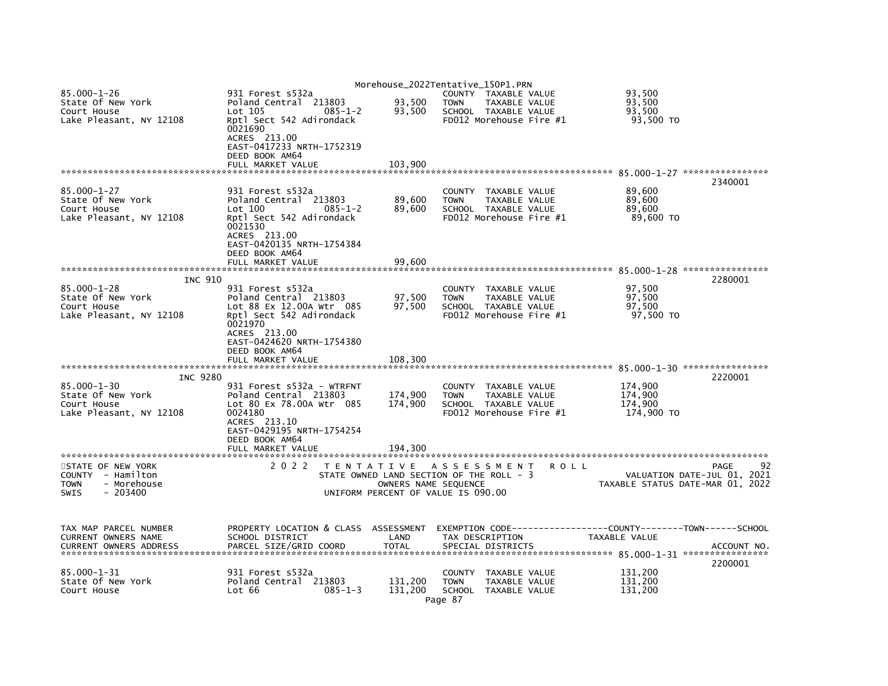|                                                                                           |                                                                                                                         |                      | Morehouse_2022Tentative_150P1.PRN                                                                      |                      |                                                                               |
|-------------------------------------------------------------------------------------------|-------------------------------------------------------------------------------------------------------------------------|----------------------|--------------------------------------------------------------------------------------------------------|----------------------|-------------------------------------------------------------------------------|
| $85.000 - 1 - 26$<br>State Of New York<br>Court House                                     | 931 Forest s532a<br>Poland Central 213803<br>$Lot$ 105<br>$085 - 1 - 2$                                                 | 93,500<br>93,500     | COUNTY TAXABLE VALUE<br><b>TOWN</b><br>TAXABLE VALUE<br>SCHOOL TAXABLE VALUE                           |                      | 93,500<br>93,500<br>93,500                                                    |
| Lake Pleasant, NY 12108                                                                   | Rptl Sect 542 Adirondack<br>0021690<br>ACRES 213.00<br>EAST-0417233 NRTH-1752319                                        |                      | FD012 Morehouse Fire #1                                                                                |                      | 93,500 TO                                                                     |
|                                                                                           | DEED BOOK AM64                                                                                                          |                      |                                                                                                        |                      |                                                                               |
|                                                                                           | FULL MARKET VALUE                                                                                                       | 103,900              |                                                                                                        |                      | 2340001                                                                       |
| $85.000 - 1 - 27$<br>State Of New York<br>Court House                                     | 931 Forest s532a<br>Poland Central 213803<br>Lot 100<br>$085 - 1 - 2$                                                   | 89,600<br>89,600     | COUNTY<br>TAXABLE VALUE<br>TAXABLE VALUE<br><b>TOWN</b><br>SCHOOL TAXABLE VALUE                        |                      | 89,600<br>89,600<br>89,600                                                    |
| Lake Pleasant, NY 12108                                                                   | Rptl Sect 542 Adirondack<br>0021530<br>ACRES 213.00<br>EAST-0420135 NRTH-1754384<br>DEED BOOK AM64<br>FULL MARKET VALUE | 99,600               | FD012 Morehouse Fire #1                                                                                |                      | 89,600 TO                                                                     |
|                                                                                           |                                                                                                                         |                      |                                                                                                        |                      |                                                                               |
| INC 910                                                                                   |                                                                                                                         |                      |                                                                                                        |                      | 2280001                                                                       |
| $85.000 - 1 - 28$<br>State Of New York                                                    | 931 Forest s532a<br>Poland Central 213803                                                                               | 97,500               | COUNTY<br>TAXABLE VALUE<br>TAXABLE VALUE<br><b>TOWN</b>                                                |                      | 97,500<br>97,500                                                              |
| Court House                                                                               | Lot 88 Ex 12.00A Wtr 085                                                                                                | 97,500               | SCHOOL TAXABLE VALUE                                                                                   |                      | 97,500                                                                        |
| Lake Pleasant, NY 12108                                                                   | Rptl Sect 542 Adirondack                                                                                                |                      | FD012 Morehouse Fire #1                                                                                |                      | 97,500 TO                                                                     |
|                                                                                           | 0021970<br>ACRES 213.00                                                                                                 |                      |                                                                                                        |                      |                                                                               |
|                                                                                           | EAST-0424620 NRTH-1754380                                                                                               |                      |                                                                                                        |                      |                                                                               |
|                                                                                           | DEED BOOK AM64                                                                                                          |                      |                                                                                                        |                      |                                                                               |
|                                                                                           | FULL MARKET VALUE                                                                                                       | 108,300              |                                                                                                        |                      |                                                                               |
| <b>INC 9280</b>                                                                           |                                                                                                                         |                      |                                                                                                        |                      | 2220001                                                                       |
| $85.000 - 1 - 30$                                                                         | 931 Forest s532a - WTRFNT                                                                                               |                      | COUNTY<br>TAXABLE VALUE                                                                                |                      | 174,900                                                                       |
| State Of New York<br>Court House                                                          | Poland Central 213803<br>Lot 80 Ex 78.00A Wtr 085                                                                       | 174,900<br>174,900   | <b>TOWN</b><br>TAXABLE VALUE<br>SCHOOL TAXABLE VALUE                                                   |                      | 174,900<br>174.900                                                            |
| Lake Pleasant, NY 12108                                                                   | 0024180                                                                                                                 |                      | FD012 Morehouse Fire #1                                                                                |                      | 174,900 TO                                                                    |
|                                                                                           | ACRES 213.10<br>EAST-0429195 NRTH-1754254<br>DEED BOOK AM64                                                             |                      |                                                                                                        |                      |                                                                               |
|                                                                                           | FULL MARKET VALUE                                                                                                       | 194,300              |                                                                                                        |                      |                                                                               |
|                                                                                           |                                                                                                                         |                      |                                                                                                        |                      |                                                                               |
| STATE OF NEW YORK<br>COUNTY - Hamilton<br>- Morehouse<br><b>TOWN</b><br>SWIS<br>$-203400$ | 2 0 2 2                                                                                                                 | OWNERS NAME SEQUENCE | TENTATIVE ASSESSMENT<br>STATE OWNED LAND SECTION OF THE ROLL - 3<br>UNIFORM PERCENT OF VALUE IS 090.00 | <b>ROLL</b>          | 92<br>PAGE<br>VALUATION DATE-JUL 01, 2021<br>TAXABLE STATUS DATE-MAR 01, 2022 |
|                                                                                           |                                                                                                                         |                      |                                                                                                        |                      |                                                                               |
| TAX MAP PARCEL NUMBER<br>CURRENT OWNERS NAME                                              | PROPERTY LOCATION & CLASS ASSESSMENT<br>SCHOOL DISTRICT                                                                 | LAND                 | TAX DESCRIPTION                                                                                        | <b>TAXABLE VALUE</b> |                                                                               |
| <b>CURRENT OWNERS ADDRESS</b>                                                             | PARCEL SIZE/GRID COORD                                                                                                  | <b>TOTAL</b>         | SPECIAL DISTRICTS                                                                                      |                      | ACCOUNT NO.                                                                   |
|                                                                                           |                                                                                                                         |                      |                                                                                                        |                      | 2200001                                                                       |
| $85.000 - 1 - 31$<br>State Of New York                                                    | 931 Forest s532a<br>Poland Central 213803                                                                               | 131,200              | <b>COUNTY</b><br>TAXABLE VALUE<br><b>TOWN</b><br>TAXABLE VALUE                                         |                      | 131,200<br>131,200                                                            |
| Court House                                                                               | $085 - 1 - 3$<br>Lot 66                                                                                                 | 131,200              | SCHOOL TAXABLE VALUE<br>Page 87                                                                        |                      | 131,200                                                                       |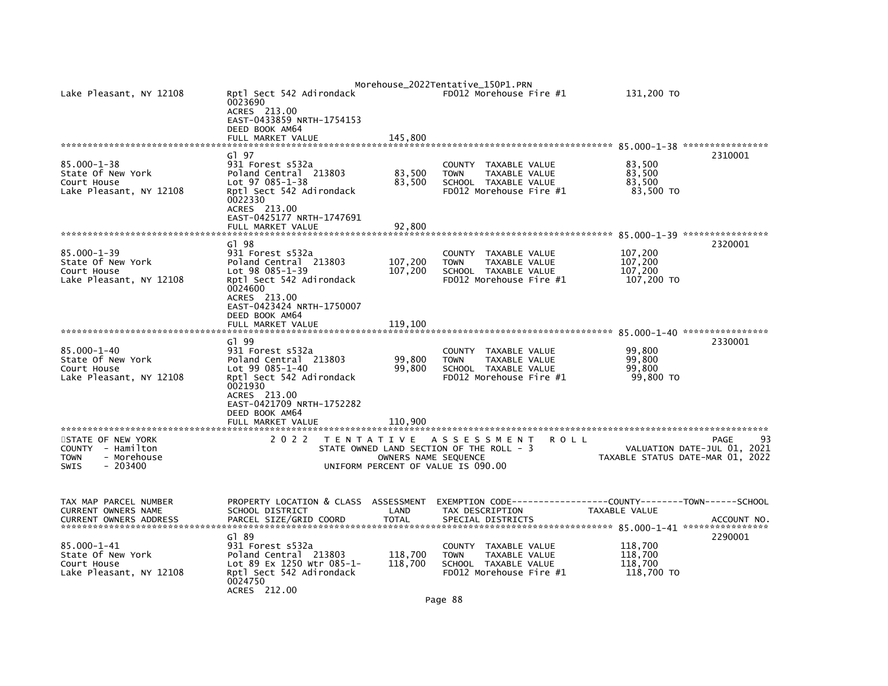|                                        |                                             |                      | Morehouse_2022Tentative_150P1.PRN                                              |                                  |             |
|----------------------------------------|---------------------------------------------|----------------------|--------------------------------------------------------------------------------|----------------------------------|-------------|
| Lake Pleasant, NY 12108                | Rptl Sect 542 Adirondack<br>0023690         |                      | FD012 Morehouse Fire #1                                                        | 131,200 TO                       |             |
|                                        | ACRES 213.00<br>EAST-0433859 NRTH-1754153   |                      |                                                                                |                                  |             |
|                                        | DEED BOOK AM64                              |                      |                                                                                |                                  |             |
|                                        | FULL MARKET VALUE                           | 145,800              |                                                                                |                                  |             |
|                                        | G1 97                                       |                      |                                                                                |                                  | 2310001     |
| $85.000 - 1 - 38$<br>State Of New York | 931 Forest s532a<br>Poland Central 213803   | 83,500               | COUNTY<br>TAXABLE VALUE<br><b>TOWN</b><br>TAXABLE VALUE                        | 83,500<br>83,500                 |             |
| Court House                            | Lot 97 085-1-38                             | 83,500               | SCHOOL TAXABLE VALUE                                                           | 83,500                           |             |
| Lake Pleasant, NY 12108                | Rptl Sect 542 Adirondack<br>0022330         |                      | FD012 Morehouse Fire #1                                                        | 83,500 TO                        |             |
|                                        | ACRES 213.00                                |                      |                                                                                |                                  |             |
|                                        | EAST-0425177 NRTH-1747691                   |                      |                                                                                |                                  |             |
|                                        | FULL MARKET VALUE                           | 92,800               |                                                                                |                                  |             |
|                                        | GT 98                                       |                      |                                                                                |                                  | 2320001     |
| $85.000 - 1 - 39$<br>State Of New York | 931 Forest s532a<br>Poland Central 213803   | 107,200              | <b>COUNTY</b><br>TAXABLE VALUE<br><b>TOWN</b><br>TAXABLE VALUE                 | 107,200<br>107,200               |             |
| Court House                            | Lot 98 085-1-39                             | 107,200              | SCHOOL TAXABLE VALUE                                                           | 107,200                          |             |
| Lake Pleasant, NY 12108                | Rptl Sect 542 Adirondack                    |                      | FD012 Morehouse Fire #1                                                        | 107,200 TO                       |             |
|                                        | 0024600<br>ACRES 213.00                     |                      |                                                                                |                                  |             |
|                                        | EAST-0423424 NRTH-1750007                   |                      |                                                                                |                                  |             |
|                                        | DEED BOOK AM64<br>FULL MARKET VALUE         | 119,100              |                                                                                |                                  |             |
|                                        |                                             |                      |                                                                                |                                  |             |
| $85.000 - 1 - 40$                      | G1 99<br>931 Forest s532a                   |                      | <b>COUNTY</b><br>TAXABLE VALUE                                                 | 99,800                           | 2330001     |
| State Of New York                      | Poland Central 213803                       | 99,800               | TAXABLE VALUE<br><b>TOWN</b>                                                   | 99,800                           |             |
| Court House                            | $Lot 99 085 - 1 - 40$                       | 99,800               | SCHOOL TAXABLE VALUE                                                           | 99.800                           |             |
| Lake Pleasant, NY 12108                | Rptl Sect 542 Adirondack<br>0021930         |                      | FD012 Morehouse Fire #1                                                        | 99,800 TO                        |             |
|                                        | ACRES 213.00                                |                      |                                                                                |                                  |             |
|                                        | EAST-0421709 NRTH-1752282<br>DEED BOOK AM64 |                      |                                                                                |                                  |             |
|                                        | FULL MARKET VALUE                           | 110,900              |                                                                                |                                  |             |
|                                        |                                             |                      |                                                                                |                                  |             |
| STATE OF NEW YORK<br>COUNTY - Hamilton | 2 0 2 2<br>T E N T A T I V E                |                      | A S S E S S M E N T<br><b>ROLL</b><br>STATE OWNED LAND SECTION OF THE ROLL - 3 | VALUATION DATE-JUL 01, 2021      | 93<br>PAGE  |
| - Morehouse<br><b>TOWN</b>             |                                             | OWNERS NAME SEQUENCE |                                                                                | TAXABLE STATUS DATE-MAR 01, 2022 |             |
| $-203400$<br><b>SWIS</b>               |                                             |                      | UNIFORM PERCENT OF VALUE IS 090.00                                             |                                  |             |
|                                        |                                             |                      |                                                                                |                                  |             |
| TAX MAP PARCEL NUMBER                  | PROPERTY LOCATION & CLASS                   | <b>ASSESSMENT</b>    |                                                                                |                                  |             |
| CURRENT OWNERS NAME                    | SCHOOL DISTRICT<br>PARCEL SIZE/GRID COORD   | LAND<br><b>TOTAL</b> | TAX DESCRIPTION<br>SPECIAL DISTRICTS                                           | TAXABLE VALUE                    |             |
| <b>CURRENT OWNERS ADDRESS</b>          |                                             |                      |                                                                                |                                  | ACCOUNT NO. |
|                                        | G189                                        |                      |                                                                                |                                  | 2290001     |
| 85.000-1-41<br>State Of New York       | 931 Forest s532a<br>Poland Central 213803   | 118,700              | <b>COUNTY</b><br>TAXABLE VALUE<br><b>TOWN</b><br>TAXABLE VALUE                 | 118,700<br>118,700               |             |
| Court House                            | Lot 89 Ex 1250 Wtr 085-1-                   | 118,700              | SCHOOL TAXABLE VALUE                                                           | 118,700                          |             |
| Lake Pleasant, NY 12108                | Rptl Sect 542 Adirondack<br>0024750         |                      | FD012 Morehouse Fire #1                                                        | 118,700 TO                       |             |
|                                        | ACRES 212.00                                |                      |                                                                                |                                  |             |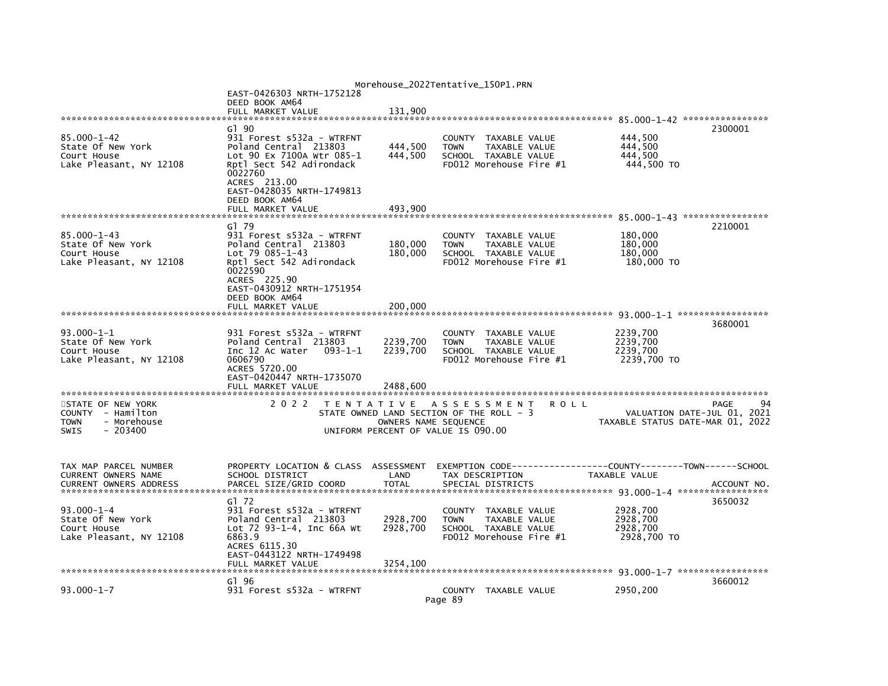|                                                                                                  |                                                                                                                                                                                                |                                                            | Morehouse_2022Tentative_150P1.PRN                                                                          |         |                                                                               |             |
|--------------------------------------------------------------------------------------------------|------------------------------------------------------------------------------------------------------------------------------------------------------------------------------------------------|------------------------------------------------------------|------------------------------------------------------------------------------------------------------------|---------|-------------------------------------------------------------------------------|-------------|
|                                                                                                  | EAST-0426303 NRTH-1752128<br>DEED BOOK AM64<br>FULL MARKET VALUE                                                                                                                               | 131,900                                                    |                                                                                                            |         |                                                                               |             |
|                                                                                                  |                                                                                                                                                                                                |                                                            |                                                                                                            |         |                                                                               |             |
| $85.000 - 1 - 42$<br>State Of New York<br>Court House<br>Lake Pleasant, NY 12108                 | G1 90<br>931 Forest s532a - WTRFNT<br>Poland Central 213803<br>Lot 90 Ex 7100A Wtr 085-1<br>Rptl Sect 542 Adirondack<br>0022760<br>ACRES 213.00<br>EAST-0428035 NRTH-1749813<br>DEED BOOK AM64 | 444,500<br>444,500                                         | COUNTY TAXABLE VALUE<br><b>TOWN</b><br>TAXABLE VALUE<br>SCHOOL TAXABLE VALUE<br>FD012 Morehouse Fire #1    |         | 444,500<br>444,500<br>444.500<br>444,500 TO                                   | 2300001     |
|                                                                                                  | FULL MARKET VALUE                                                                                                                                                                              | 493,900                                                    |                                                                                                            |         |                                                                               |             |
| $85.000 - 1 - 43$<br>State Of New York<br>Court House<br>Lake Pleasant, NY 12108                 | G1 79<br>931 Forest s532a - WTRFNT<br>Poland Central 213803<br>$Lot 79 085 - 1 - 43$<br>Rptl Sect 542 Adirondack<br>0022590<br>ACRES 225.90<br>EAST-0430912 NRTH-1751954<br>DEED BOOK AM64     | 180,000<br>180.000                                         | COUNTY<br>TAXABLE VALUE<br><b>TOWN</b><br>TAXABLE VALUE<br>SCHOOL TAXABLE VALUE<br>FD012 Morehouse Fire #1 |         | 180,000<br>180,000<br>180,000<br>180,000 TO                                   | 2210001     |
|                                                                                                  | FULL MARKET VALUE                                                                                                                                                                              | 200,000                                                    |                                                                                                            |         |                                                                               |             |
|                                                                                                  |                                                                                                                                                                                                |                                                            |                                                                                                            |         |                                                                               |             |
| $93.000 - 1 - 1$<br>State Of New York<br>Court House<br>Lake Pleasant, NY 12108                  | 931 Forest s532a - WTRFNT<br>Poland Central 213803<br>Inc 12 Ac Water<br>$093 - 1 - 1$<br>0606790<br>ACRES 5720.00<br>EAST-0420447 NRTH-1735070                                                | 2239,700<br>2239,700                                       | COUNTY TAXABLE VALUE<br>TAXABLE VALUE<br><b>TOWN</b><br>SCHOOL TAXABLE VALUE<br>FD012 Morehouse Fire #1    |         | 2239,700<br>2239,700<br>2239,700<br>2239,700 TO                               | 3680001     |
|                                                                                                  | FULL MARKET VALUE                                                                                                                                                                              | 2488.600                                                   |                                                                                                            |         |                                                                               |             |
| STATE OF NEW YORK<br>COUNTY - Hamilton<br>- Morehouse<br><b>TOWN</b><br>$-203400$<br><b>SWIS</b> | 2 0 2 2                                                                                                                                                                                        | OWNERS NAME SEQUENCE<br>UNIFORM PERCENT OF VALUE IS 090.00 | TENTATIVE ASSESSMENT<br>STATE OWNED LAND SECTION OF THE ROLL - 3                                           | R O L L | VALUATION DATE-JUL 01, 2021<br>TAXABLE STATUS DATE-MAR 01, 2022               | 94<br>PAGE  |
| TAX MAP PARCEL NUMBER<br>CURRENT OWNERS NAME<br>CURRENT OWNERS ADDRESS                           | PROPERTY LOCATION & CLASS ASSESSMENT<br>SCHOOL DISTRICT<br>PARCEL SIZE/GRID COORD                                                                                                              | LAND<br><b>TOTAL</b>                                       | TAX DESCRIPTION<br>SPECIAL DISTRICTS                                                                       |         | EXEMPTION CODE-----------------COUNTY-------TOWN------SCHOOL<br>TAXABLE VALUE | ACCOUNT NO. |
| $93.000 - 1 - 4$<br>State Of New York<br>Court House<br>Lake Pleasant, NY 12108                  | G1 72<br>931 Forest s532a - WTRFNT<br>Poland Central 213803<br>Lot 72 93-1-4, Inc 66A Wt<br>6863.9<br>ACRES 6115.30<br>EAST-0443122 NRTH-1749498<br>FULL MARKET VALUE                          | 2928,700<br>2928,700<br>3254,100                           | COUNTY TAXABLE VALUE<br><b>TOWN</b><br>TAXABLE VALUE<br>SCHOOL TAXABLE VALUE<br>FD012 Morehouse Fire #1    |         | 2928,700<br>2928,700<br>2928,700<br>2928,700 TO                               | 3650032     |
|                                                                                                  | G1 96                                                                                                                                                                                          |                                                            |                                                                                                            |         | 93.000-1-7 ******************                                                 | 3660012     |
| $93.000 - 1 - 7$                                                                                 | 931 Forest s532a - WTRFNT                                                                                                                                                                      | Page 89                                                    | COUNTY TAXABLE VALUE                                                                                       |         | 2950,200                                                                      |             |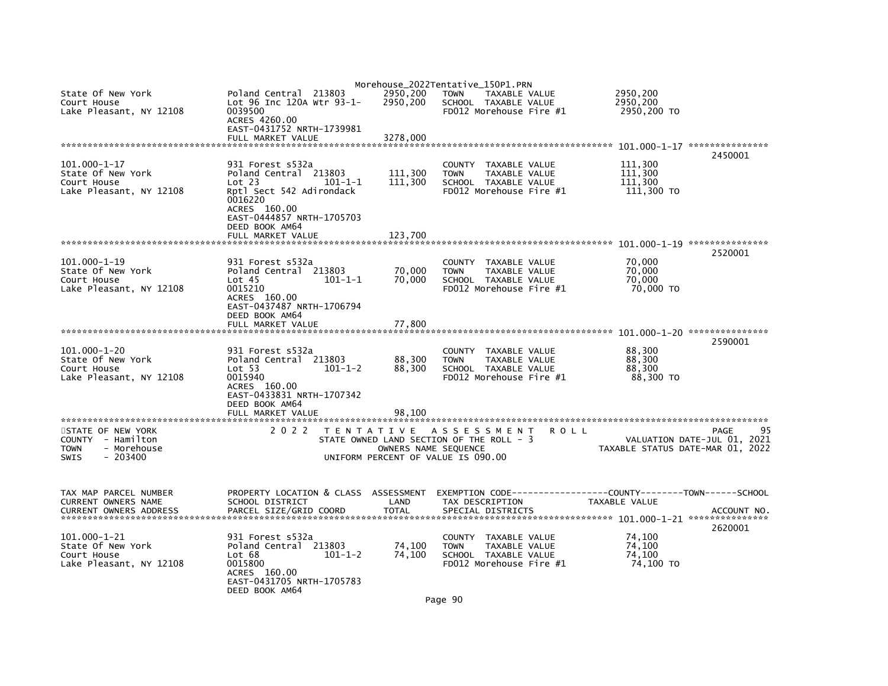|                                                                                   |                                                                                                            |                      | Morehouse_2022Tentative_150P1.PRN                                                                                 |                                             |                                     |
|-----------------------------------------------------------------------------------|------------------------------------------------------------------------------------------------------------|----------------------|-------------------------------------------------------------------------------------------------------------------|---------------------------------------------|-------------------------------------|
| State Of New York<br>Court House<br>Lake Pleasant, NY 12108                       | Poland Central 213803<br>Lot 96 Inc 120A Wtr 93-1-<br>0039500<br>ACRES 4260.00                             | 2950,200<br>2950,200 | <b>TOWN</b><br>TAXABLE VALUE<br>SCHOOL TAXABLE VALUE<br>FD012 Morehouse Fire #1                                   | 2950,200<br>2950,200<br>2950,200 TO         |                                     |
|                                                                                   | EAST-0431752 NRTH-1739981<br>FULL MARKET VALUE                                                             | 3278,000             |                                                                                                                   |                                             |                                     |
|                                                                                   |                                                                                                            |                      |                                                                                                                   |                                             | 2450001                             |
| $101.000 - 1 - 17$<br>State Of New York<br>Court House<br>Lake Pleasant, NY 12108 | 931 Forest s532a<br>Poland Central 213803<br>Lot 23<br>$101 - 1 - 1$<br>Rptl Sect 542 Adirondack           | 111,300<br>111,300   | <b>COUNTY</b><br>TAXABLE VALUE<br>TAXABLE VALUE<br><b>TOWN</b><br>SCHOOL TAXABLE VALUE<br>FD012 Morehouse Fire #1 | 111,300<br>111,300<br>111.300<br>111,300 TO |                                     |
|                                                                                   | 0016220<br>ACRES 160.00<br>EAST-0444857 NRTH-1705703<br>DEED BOOK AM64<br>FULL MARKET VALUE                | 123,700              |                                                                                                                   |                                             |                                     |
|                                                                                   |                                                                                                            |                      |                                                                                                                   |                                             |                                     |
|                                                                                   |                                                                                                            |                      |                                                                                                                   |                                             | 2520001                             |
| $101.000 - 1 - 19$<br>State Of New York<br>Court House<br>Lake Pleasant, NY 12108 | 931 Forest s532a<br>Poland Central 213803<br>$101 - 1 - 1$<br>Lot <sub>45</sub><br>0015210<br>ACRES 160.00 | 70,000<br>70,000     | COUNTY TAXABLE VALUE<br><b>TOWN</b><br>TAXABLE VALUE<br>SCHOOL TAXABLE VALUE<br>FD012 Morehouse Fire #1           | 70,000<br>70,000<br>70,000<br>70,000 TO     |                                     |
|                                                                                   | EAST-0437487 NRTH-1706794                                                                                  |                      |                                                                                                                   |                                             |                                     |
|                                                                                   | DEED BOOK AM64<br>FULL MARKET VALUE                                                                        | 77,800               |                                                                                                                   |                                             |                                     |
|                                                                                   |                                                                                                            |                      |                                                                                                                   |                                             |                                     |
|                                                                                   |                                                                                                            |                      |                                                                                                                   |                                             | 2590001                             |
| $101.000 - 1 - 20$<br>State Of New York                                           | 931 Forest s532a<br>Poland Central 213803                                                                  | 88,300               | COUNTY TAXABLE VALUE<br><b>TOWN</b><br>TAXABLE VALUE                                                              | 88,300<br>88,300                            |                                     |
| Court House                                                                       | Lot 53<br>$101 - 1 - 2$                                                                                    | 88,300               | SCHOOL TAXABLE VALUE                                                                                              | 88,300                                      |                                     |
| Lake Pleasant, NY 12108                                                           | 0015940                                                                                                    |                      | FD012 Morehouse Fire #1                                                                                           | 88,300 TO                                   |                                     |
|                                                                                   | ACRES 160.00<br>EAST-0433831 NRTH-1707342                                                                  |                      |                                                                                                                   |                                             |                                     |
|                                                                                   | DEED BOOK AM64                                                                                             |                      |                                                                                                                   |                                             |                                     |
|                                                                                   | FULL MARKET VALUE                                                                                          | 98.100               |                                                                                                                   |                                             |                                     |
|                                                                                   | 2 0 2 2                                                                                                    |                      |                                                                                                                   |                                             | 95                                  |
| STATE OF NEW YORK<br>COUNTY - Hamilton                                            |                                                                                                            |                      | TENTATIVE ASSESSMENT<br><b>ROLL</b><br>STATE OWNED LAND SECTION OF THE ROLL - 3                                   |                                             | PAGE<br>VALUATION DATE-JUL 01, 2021 |
| - Morehouse<br><b>TOWN</b>                                                        |                                                                                                            | OWNERS NAME SEQUENCE |                                                                                                                   | TAXABLE STATUS DATE-MAR 01, 2022            |                                     |
| <b>SWIS</b><br>$-203400$                                                          |                                                                                                            |                      | UNIFORM PERCENT OF VALUE IS 090.00                                                                                |                                             |                                     |
| TAX MAP PARCEL NUMBER                                                             | PROPERTY LOCATION & CLASS ASSESSMENT                                                                       |                      | EXEMPTION CODE-----------------COUNTY-------TOWN------SCHOOL                                                      |                                             |                                     |
| CURRENT OWNERS NAME<br><b>CURRENT OWNERS ADDRESS</b>                              | SCHOOL DISTRICT<br>PARCEL SIZE/GRID COORD                                                                  | LAND<br><b>TOTAL</b> | TAX DESCRIPTION<br>SPECIAL DISTRICTS                                                                              | <b>TAXABLE VALUE</b>                        | ACCOUNT NO.                         |
| $101.000 - 1 - 21$                                                                | 931 Forest s532a                                                                                           |                      | COUNTY TAXABLE VALUE                                                                                              | 74,100                                      | 2620001                             |
| State Of New York                                                                 | Poland Central 213803                                                                                      | 74,100               | <b>TOWN</b><br>TAXABLE VALUE                                                                                      | 74,100                                      |                                     |
| Court House                                                                       | $101 - 1 - 2$<br>Lot 68                                                                                    | 74,100               | SCHOOL TAXABLE VALUE                                                                                              | 74,100                                      |                                     |
| Lake Pleasant, NY 12108                                                           | 0015800<br>ACRES 160.00                                                                                    |                      | FD012 Morehouse Fire #1                                                                                           | 74,100 TO                                   |                                     |
|                                                                                   | EAST-0431705 NRTH-1705783<br>DEED BOOK AM64                                                                |                      |                                                                                                                   |                                             |                                     |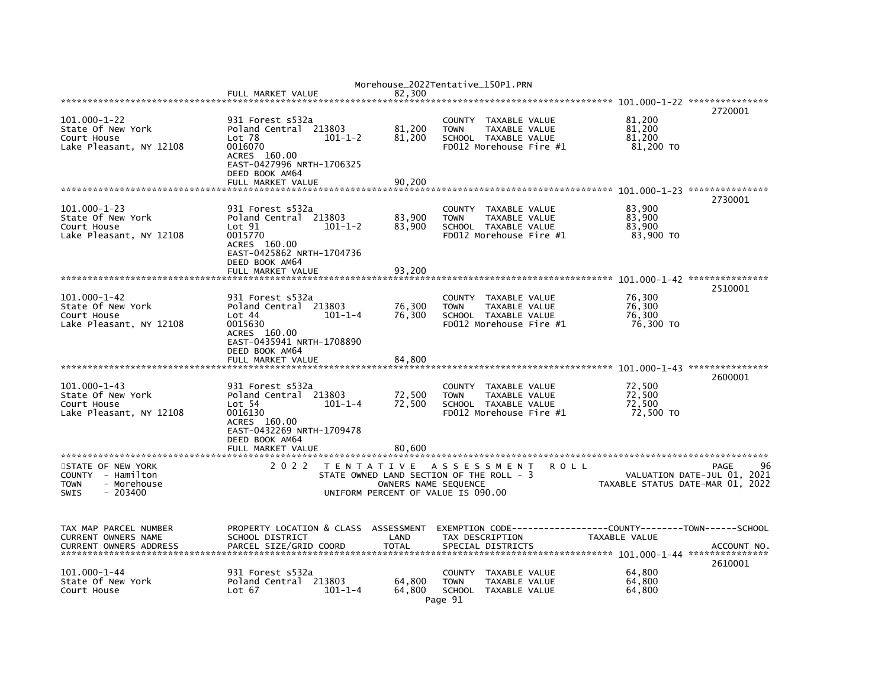|                                                                                                  | FULL MARKET VALUE                                                                                                                                             |                                                                                                     | Morehouse_2022Tentative_150P1.PRN<br>82.300 |                                  |                                                                                                 |      |                                         |                                                                               |
|--------------------------------------------------------------------------------------------------|---------------------------------------------------------------------------------------------------------------------------------------------------------------|-----------------------------------------------------------------------------------------------------|---------------------------------------------|----------------------------------|-------------------------------------------------------------------------------------------------|------|-----------------------------------------|-------------------------------------------------------------------------------|
|                                                                                                  |                                                                                                                                                               |                                                                                                     |                                             |                                  |                                                                                                 |      |                                         | 2720001                                                                       |
| $101.000 - 1 - 22$<br>State Of New York<br>Court House<br>Lake Pleasant, NY 12108                | 931 Forest s532a<br>Poland Central 213803<br>Lot <sub>78</sub><br>0016070<br>ACRES 160.00<br>EAST-0427996 NRTH-1706325<br>DEED BOOK AM64<br>FULL MARKET VALUE | $101 - 1 - 2$                                                                                       | 81,200<br>81,200<br>90,200                  | <b>TOWN</b>                      | COUNTY TAXABLE VALUE<br><b>TAXABLE VALUE</b><br>SCHOOL TAXABLE VALUE<br>FD012 Morehouse Fire #1 |      | 81,200<br>81,200<br>81,200<br>81,200 TO |                                                                               |
|                                                                                                  |                                                                                                                                                               |                                                                                                     |                                             |                                  |                                                                                                 |      |                                         | 2730001                                                                       |
| $101.000 - 1 - 23$<br>State Of New York<br>Court House<br>Lake Pleasant, NY 12108                | 931 Forest s532a<br>Poland Central 213803<br>Lot 91<br>0015770<br>ACRES 160.00<br>EAST-0425862 NRTH-1704736<br>DEED BOOK AM64<br>FULL MARKET VALUE            | $101 - 1 - 2$                                                                                       | 83,900<br>83,900<br>93.200                  | <b>TOWN</b>                      | COUNTY TAXABLE VALUE<br>TAXABLE VALUE<br>SCHOOL TAXABLE VALUE<br>FD012 Morehouse Fire #1        |      | 83,900<br>83,900<br>83,900<br>83,900 TO |                                                                               |
|                                                                                                  |                                                                                                                                                               |                                                                                                     |                                             |                                  |                                                                                                 |      |                                         |                                                                               |
| $101.000 - 1 - 42$<br>State Of New York<br>Court House<br>Lake Pleasant, NY 12108                | 931 Forest s532a<br>Poland Central 213803<br>Lot 44<br>0015630<br>ACRES 160.00<br>EAST-0435941 NRTH-1708890<br>DEED BOOK AM64                                 | $101 - 1 - 4$                                                                                       | 76,300<br>76,300                            | COUNTY<br><b>TOWN</b>            | TAXABLE VALUE<br>TAXABLE VALUE<br>SCHOOL TAXABLE VALUE<br>FD012 Morehouse Fire #1               |      | 76,300<br>76,300<br>76,300<br>76,300 TO | 2510001                                                                       |
|                                                                                                  | FULL MARKET VALUE                                                                                                                                             |                                                                                                     | 84.800                                      |                                  |                                                                                                 |      |                                         |                                                                               |
| $101.000 - 1 - 43$<br>State Of New York<br>Court House<br>Lake Pleasant, NY 12108                | 931 Forest s532a<br>Poland Central 213803<br>Lot 54<br>0016130<br>ACRES 160.00<br>EAST-0432269 NRTH-1709478<br>DEED BOOK AM64                                 | $101 - 1 - 4$                                                                                       | 72,500<br>72,500                            | COUNTY<br><b>TOWN</b>            | TAXABLE VALUE<br>TAXABLE VALUE<br>SCHOOL TAXABLE VALUE<br>FD012 Morehouse Fire #1               |      | 72,500<br>72,500<br>72.500<br>72,500 TO | 2600001                                                                       |
|                                                                                                  | FULL MARKET VALUE                                                                                                                                             |                                                                                                     | 80,600                                      |                                  |                                                                                                 |      |                                         |                                                                               |
| STATE OF NEW YORK<br>COUNTY - Hamilton<br><b>TOWN</b><br>- Morehouse<br><b>SWIS</b><br>$-203400$ | 2 0 2 2                                                                                                                                                       | T E N T A T I V E<br>STATE OWNED LAND SECTION OF THE ROLL - 3<br>UNIFORM PERCENT OF VALUE IS 090.00 | OWNERS NAME SEQUENCE                        | A S S E S S M E N T              |                                                                                                 | ROLL |                                         | 96<br>PAGE<br>VALUATION DATE-JUL 01, 2021<br>TAXABLE STATUS DATE-MAR 01, 2022 |
| TAX MAP PARCEL NUMBER<br>CURRENT OWNERS NAME<br><b>CURRENT OWNERS ADDRESS</b>                    | PROPERTY LOCATION & CLASS<br>SCHOOL DISTRICT<br>PARCEL SIZE/GRID COORD                                                                                        |                                                                                                     | ASSESSMENT<br>LAND<br><b>TOTAL</b>          | TAX DESCRIPTION                  | SPECIAL DISTRICTS                                                                               |      | TAXABLE VALUE                           | ACCOUNT NO.<br>2610001                                                        |
| $101.000 - 1 - 44$<br>State Of New York<br>Court House                                           | 931 Forest s532a<br>Poland Central 213803<br>Lot 67                                                                                                           | $101 - 1 - 4$                                                                                       | 64.800<br>64,800                            | COUNTY<br><b>TOWN</b><br>Page 91 | TAXABLE VALUE<br>TAXABLE VALUE<br>SCHOOL TAXABLE VALUE                                          |      | 64,800<br>64,800<br>64,800              |                                                                               |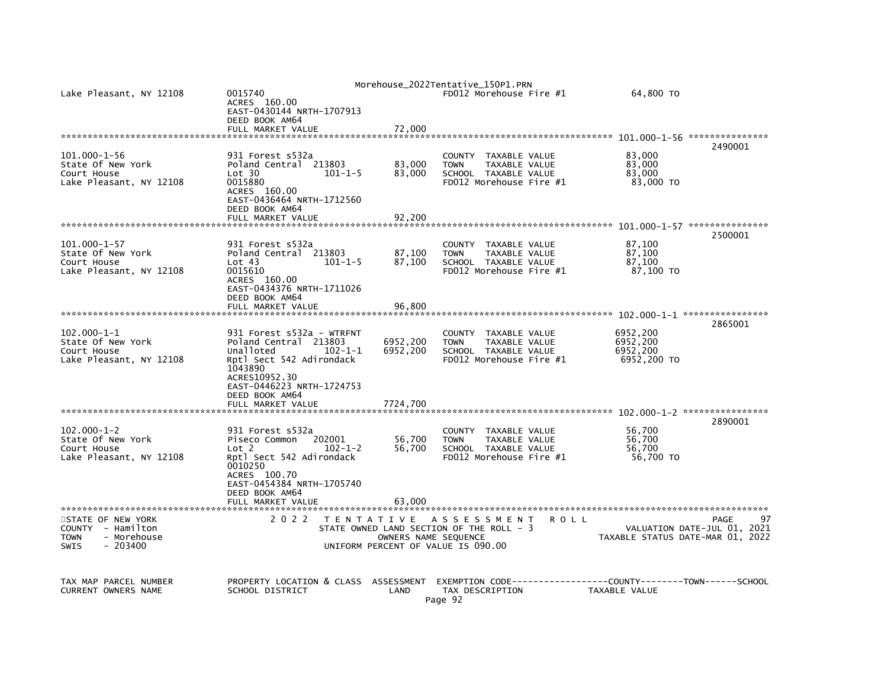| Lake Pleasant, NY 12108                                                                         | 0015740<br>ACRES 160.00<br>EAST-0430144 NRTH-1707913<br>DEED BOOK AM64<br>FULL MARKET VALUE                                                                                             | 72.000                                                     | Morehouse_2022Tentative_150P1.PRN<br>FD012 Morehouse Fire #1                                            |             | 64,800 TO                                       |                                                                               |
|-------------------------------------------------------------------------------------------------|-----------------------------------------------------------------------------------------------------------------------------------------------------------------------------------------|------------------------------------------------------------|---------------------------------------------------------------------------------------------------------|-------------|-------------------------------------------------|-------------------------------------------------------------------------------|
|                                                                                                 |                                                                                                                                                                                         |                                                            |                                                                                                         |             |                                                 | 2490001                                                                       |
| $101.000 - 1 - 56$<br>State Of New York<br>Court House<br>Lake Pleasant, NY 12108               | 931 Forest s532a<br>Poland Central 213803<br>Lot 30<br>$101 - 1 - 5$<br>0015880<br>ACRES 160.00<br>EAST-0436464 NRTH-1712560<br>DEED BOOK AM64<br>FULL MARKET VALUE                     | 83,000<br>83,000<br>92,200                                 | COUNTY TAXABLE VALUE<br><b>TOWN</b><br>TAXABLE VALUE<br>SCHOOL TAXABLE VALUE<br>FD012 Morehouse Fire #1 |             | 83,000<br>83,000<br>83,000<br>83,000 TO         |                                                                               |
|                                                                                                 |                                                                                                                                                                                         |                                                            |                                                                                                         |             |                                                 |                                                                               |
| $101.000 - 1 - 57$<br>State Of New York<br>Court House<br>Lake Pleasant, NY 12108               | 931 Forest s532a<br>Poland Central 213803<br>Lot 43<br>$101 - 1 - 5$<br>0015610<br>ACRES 160.00<br>EAST-0434376 NRTH-1711026<br>DEED BOOK AM64                                          | 87,100<br>87,100                                           | COUNTY TAXABLE VALUE<br><b>TOWN</b><br>TAXABLE VALUE<br>SCHOOL TAXABLE VALUE<br>FD012 Morehouse Fire #1 |             | 87,100<br>87,100<br>87,100<br>87,100 TO         | 2500001                                                                       |
|                                                                                                 | FULL MARKET VALUE                                                                                                                                                                       | 96,800                                                     |                                                                                                         |             |                                                 |                                                                               |
|                                                                                                 |                                                                                                                                                                                         |                                                            |                                                                                                         |             |                                                 | 2865001                                                                       |
| $102.000 - 1 - 1$<br>State Of New York<br>Court House<br>Lake Pleasant, NY 12108                | 931 Forest s532a - WTRFNT<br>Poland Central 213803<br>Unalloted<br>$102 - 1 - 1$<br>Rptl Sect 542 Adirondack<br>1043890<br>ACRES10952.30<br>EAST-0446223 NRTH-1724753<br>DEED BOOK AM64 | 6952,200<br>6952,200                                       | COUNTY TAXABLE VALUE<br>TAXABLE VALUE<br><b>TOWN</b><br>SCHOOL TAXABLE VALUE<br>FD012 Morehouse Fire #1 |             | 6952,200<br>6952,200<br>6952,200<br>6952,200 TO |                                                                               |
|                                                                                                 | FULL MARKET VALUE                                                                                                                                                                       | 7724.700                                                   |                                                                                                         |             |                                                 |                                                                               |
| $102.000 - 1 - 2$<br>State Of New York<br>Court House<br>Lake Pleasant, NY 12108                | 931 Forest s532a<br>Piseco Common<br>202001<br>Lot <sub>2</sub><br>$102 - 1 - 2$<br>Rptl Sect 542 Adirondack<br>0010250<br>ACRES 100.70<br>EAST-0454384 NRTH-1705740<br>DEED BOOK AM64  | 56,700<br>56,700                                           | COUNTY TAXABLE VALUE<br><b>TOWN</b><br>TAXABLE VALUE<br>SCHOOL TAXABLE VALUE<br>FD012 Morehouse Fire #1 |             | 56,700<br>56,700<br>56,700<br>56,700 TO         | 2890001                                                                       |
|                                                                                                 | FULL MARKET VALUE                                                                                                                                                                       | 63.000                                                     |                                                                                                         |             |                                                 |                                                                               |
|                                                                                                 |                                                                                                                                                                                         |                                                            |                                                                                                         |             |                                                 |                                                                               |
| STATE OF NEW YORK<br>COUNTY - Hamilton<br>- Morehouse<br><b>TOWN</b><br><b>SWIS</b><br>- 203400 | 2 0 2 2                                                                                                                                                                                 | OWNERS NAME SEQUENCE<br>UNIFORM PERCENT OF VALUE IS 090.00 | TENTATIVE ASSESSMENT<br>STATE OWNED LAND SECTION OF THE ROLL - 3                                        | <b>ROLL</b> |                                                 | 97<br>PAGE<br>VALUATION DATE-JUL 01, 2021<br>TAXABLE STATUS DATE-MAR 01, 2022 |
| TAX MAP PARCEL NUMBER<br><b>CURRENT OWNERS NAME</b>                                             | PROPERTY LOCATION & CLASS ASSESSMENT<br>SCHOOL DISTRICT                                                                                                                                 | LAND                                                       | EXEMPTION        CODE-----------------COUNTY-------TOWN------SCHOOL<br>TAX DESCRIPTION<br>Page 92       |             | TAXABLE VALUE                                   |                                                                               |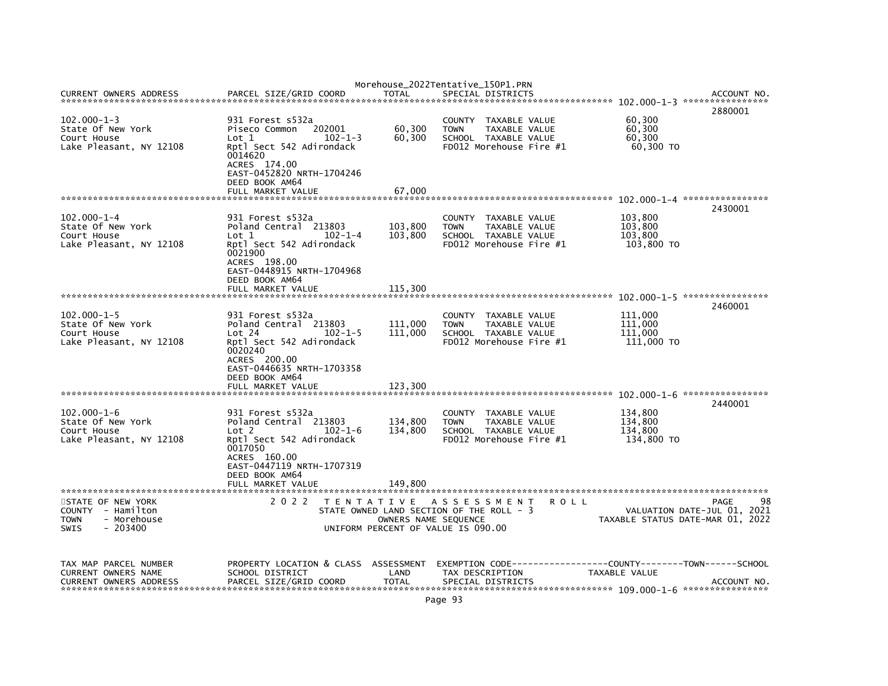|                                                                                                  |                                                                                                                                                                             |                                                            | Morehouse_2022Tentative_150P1.PRN                                                                       |             |                                             |                                                                               |
|--------------------------------------------------------------------------------------------------|-----------------------------------------------------------------------------------------------------------------------------------------------------------------------------|------------------------------------------------------------|---------------------------------------------------------------------------------------------------------|-------------|---------------------------------------------|-------------------------------------------------------------------------------|
| <b>CURRENT OWNERS ADDRESS</b>                                                                    | PARCEL SIZE/GRID COORD                                                                                                                                                      | TOTAL                                                      | SPECIAL DISTRICTS                                                                                       |             |                                             | ACCOUNT NO<br>2880001                                                         |
| $102.000 - 1 - 3$<br>State Of New York<br>Court House<br>Lake Pleasant, NY 12108                 | 931 Forest s532a<br>202001<br>Piseco Common<br>$102 - 1 - 3$<br>Lot 1<br>Rptl Sect 542 Adirondack<br>0014620<br>ACRES 174.00<br>EAST-0452820 NRTH-1704246<br>DEED BOOK AM64 | 60,300<br>60,300                                           | COUNTY TAXABLE VALUE<br>TAXABLE VALUE<br><b>TOWN</b><br>SCHOOL TAXABLE VALUE<br>FD012 Morehouse Fire #1 |             | 60,300<br>60,300<br>60,300<br>60,300 TO     |                                                                               |
|                                                                                                  | FULL MARKET VALUE                                                                                                                                                           | 67,000                                                     |                                                                                                         |             |                                             |                                                                               |
| $102.000 - 1 - 4$<br>State Of New York<br>Court House<br>Lake Pleasant, NY 12108                 | 931 Forest s532a<br>Poland Central 213803<br>$102 - 1 - 4$<br>Lot 1<br>Rptl Sect 542 Adirondack<br>0021900<br>ACRES 198.00<br>EAST-0448915 NRTH-1704968<br>DEED BOOK AM64   | 103,800<br>103,800                                         | COUNTY TAXABLE VALUE<br>TAXABLE VALUE<br><b>TOWN</b><br>SCHOOL TAXABLE VALUE<br>FD012 Morehouse Fire #1 |             | 103,800<br>103,800<br>103,800<br>103,800 TO | 2430001                                                                       |
|                                                                                                  | FULL MARKET VALUE                                                                                                                                                           | 115,300                                                    |                                                                                                         |             |                                             |                                                                               |
| $102.000 - 1 - 5$<br>State Of New York<br>Court House<br>Lake Pleasant, NY 12108                 | 931 Forest s532a<br>Poland Central 213803<br>Lot 24<br>$102 - 1 - 5$<br>Rptl Sect 542 Adirondack<br>0020240<br>ACRES 200.00<br>EAST-0446635 NRTH-1703358                    | 111,000<br>111,000                                         | COUNTY TAXABLE VALUE<br><b>TOWN</b><br>TAXABLE VALUE<br>SCHOOL TAXABLE VALUE<br>FD012 Morehouse Fire #1 |             | 111,000<br>111,000<br>111,000<br>111,000 TO | 2460001                                                                       |
|                                                                                                  | DEED BOOK AM64<br>FULL MARKET VALUE                                                                                                                                         | 123.300                                                    |                                                                                                         |             |                                             |                                                                               |
| $102.000 - 1 - 6$<br>State Of New York<br>Court House<br>Lake Pleasant, NY 12108                 | 931 Forest s532a<br>Poland Central 213803<br>$102 - 1 - 6$<br>Lot 2<br>Rptl Sect 542 Adirondack<br>0017050<br>ACRES 160.00<br>EAST-0447119 NRTH-1707319<br>DEED BOOK AM64   | 134,800<br>134,800                                         | COUNTY TAXABLE VALUE<br>TAXABLE VALUE<br><b>TOWN</b><br>SCHOOL TAXABLE VALUE<br>FD012 Morehouse Fire #1 |             | 134,800<br>134,800<br>134.800<br>134,800 TO | 2440001                                                                       |
|                                                                                                  | FULL MARKET VALUE                                                                                                                                                           | 149,800                                                    |                                                                                                         |             |                                             |                                                                               |
| STATE OF NEW YORK<br>COUNTY - Hamilton<br>- Morehouse<br><b>TOWN</b><br><b>SWIS</b><br>$-203400$ | 2 0 2 2                                                                                                                                                                     | OWNERS NAME SEQUENCE<br>UNIFORM PERCENT OF VALUE IS 090.00 | TENTATIVE ASSESSMENT<br>STATE OWNED LAND SECTION OF THE ROLL - 3                                        | <b>ROLL</b> |                                             | 98<br>PAGE<br>VALUATION DATE-JUL 01, 2021<br>TAXABLE STATUS DATE-MAR 01, 2022 |
| TAX MAP PARCEL NUMBER<br>CURRENT OWNERS NAME<br><b>CURRENT OWNERS ADDRESS</b>                    | PROPERTY LOCATION & CLASS ASSESSMENT<br>SCHOOL DISTRICT<br>PARCEL SIZE/GRID COORD                                                                                           | LAND<br><b>TOTAL</b>                                       | TAX DESCRIPTION<br>SPECIAL DISTRICTS                                                                    |             | TAXABLE VALUE                               | ACCOUNT NO.                                                                   |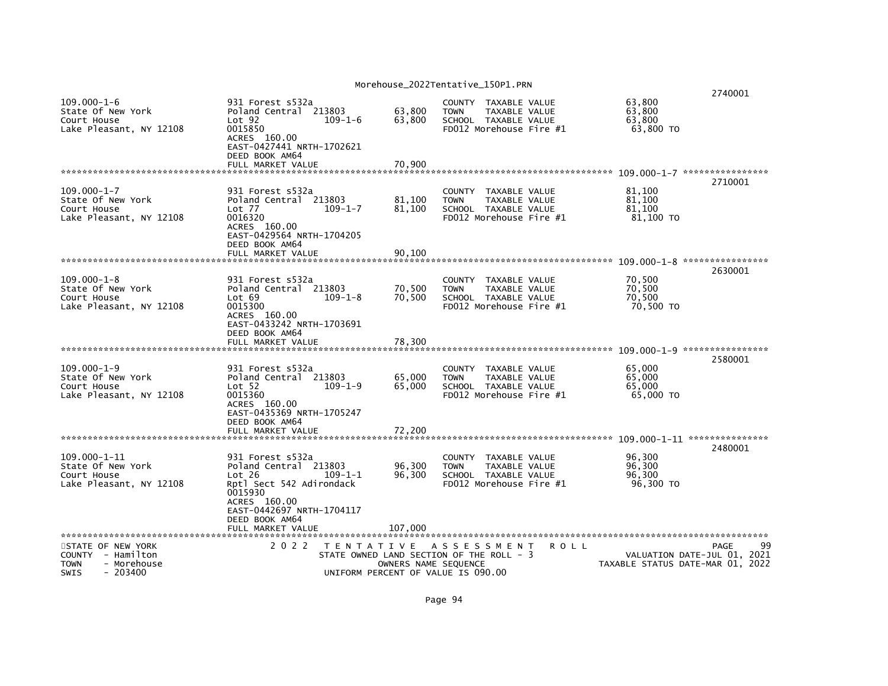|                                                                                  |                                                                                                                                         |                                                                                | MUI EIIUUSE_ZUZZI EII LALI VE_IJUPI. PRN |                                                                                        |                                |         |                                         | 2740001                                                         |
|----------------------------------------------------------------------------------|-----------------------------------------------------------------------------------------------------------------------------------------|--------------------------------------------------------------------------------|------------------------------------------|----------------------------------------------------------------------------------------|--------------------------------|---------|-----------------------------------------|-----------------------------------------------------------------|
| $109.000 - 1 - 6$<br>State Of New York<br>Court House<br>Lake Pleasant, NY 12108 | 931 Forest s532a<br>Poland Central 213803<br>Lot <sub>92</sub><br>0015850<br>ACRES 160.00                                               | $109 - 1 - 6$                                                                  | 63,800<br>63,800                         | COUNTY TAXABLE VALUE<br><b>TOWN</b><br>SCHOOL TAXABLE VALUE<br>FD012 Morehouse Fire #1 | TAXABLE VALUE                  |         | 63,800<br>63,800<br>63,800<br>63,800 TO |                                                                 |
|                                                                                  | EAST-0427441 NRTH-1702621<br>DEED BOOK AM64                                                                                             |                                                                                |                                          |                                                                                        |                                |         |                                         |                                                                 |
|                                                                                  | FULL MARKET VALUE                                                                                                                       |                                                                                | 70,900                                   |                                                                                        |                                |         |                                         |                                                                 |
|                                                                                  |                                                                                                                                         |                                                                                |                                          |                                                                                        |                                |         |                                         | 2710001                                                         |
| $109.000 - 1 - 7$<br>State Of New York<br>Court House<br>Lake Pleasant, NY 12108 | 931 Forest s532a<br>Poland Central 213803<br>Lot 77<br>0016320<br>ACRES 160.00<br>EAST-0429564 NRTH-1704205<br>DEED BOOK AM64           | $109 - 1 - 7$                                                                  | 81,100<br>81,100                         | <b>COUNTY</b><br><b>TOWN</b><br>SCHOOL TAXABLE VALUE<br>FD012 Morehouse Fire #1        | TAXABLE VALUE<br>TAXABLE VALUE |         | 81,100<br>81.100<br>81,100<br>81,100 TO |                                                                 |
|                                                                                  | FULL MARKET VALUE                                                                                                                       |                                                                                | 90.100                                   |                                                                                        |                                |         |                                         |                                                                 |
|                                                                                  |                                                                                                                                         |                                                                                |                                          |                                                                                        |                                |         |                                         | 2630001                                                         |
| $109.000 - 1 - 8$<br>State Of New York<br>Court House<br>Lake Pleasant, NY 12108 | 931 Forest s532a<br>Poland Central 213803<br>Lot 69<br>0015300<br>ACRES 160.00<br>EAST-0433242 NRTH-1703691                             | $109 - 1 - 8$                                                                  | 70,500<br>70.500                         | <b>COUNTY</b><br><b>TOWN</b><br>SCHOOL TAXABLE VALUE<br>FD012 Morehouse Fire #1        | TAXABLE VALUE<br>TAXABLE VALUE |         | 70,500<br>70,500<br>70.500<br>70,500 TO |                                                                 |
|                                                                                  | DEED BOOK AM64                                                                                                                          |                                                                                |                                          |                                                                                        |                                |         |                                         |                                                                 |
|                                                                                  | FULL MARKET VALUE                                                                                                                       |                                                                                | 78,300                                   |                                                                                        |                                |         |                                         | 109.000-1-9 *****************                                   |
|                                                                                  |                                                                                                                                         |                                                                                |                                          |                                                                                        |                                |         |                                         | 2580001                                                         |
| $109.000 - 1 - 9$<br>State Of New York<br>Court House<br>Lake Pleasant, NY 12108 | 931 Forest s532a<br>Poland Central 213803<br>Lot 52<br>0015360<br>ACRES 160.00                                                          | $109 - 1 - 9$                                                                  | 65,000<br>65,000                         | <b>COUNTY</b><br><b>TOWN</b><br>SCHOOL TAXABLE VALUE<br>FD012 Morehouse Fire #1        | TAXABLE VALUE<br>TAXABLE VALUE |         | 65,000<br>65.000<br>65,000<br>65,000 TO |                                                                 |
|                                                                                  | EAST-0435369 NRTH-1705247<br>DEED BOOK AM64                                                                                             |                                                                                |                                          |                                                                                        |                                |         |                                         |                                                                 |
|                                                                                  | FULL MARKET VALUE                                                                                                                       |                                                                                | 72.200                                   |                                                                                        |                                |         |                                         | 2480001                                                         |
| 109.000-1-11<br>State Of New York<br>Court House<br>Lake Pleasant, NY 12108      | 931 Forest s532a<br>Poland Central 213803<br>Lot 26<br>Rptl Sect 542 Adirondack<br>0015930<br>ACRES 160.00<br>EAST-0442697 NRTH-1704117 | $109 - 1 - 1$                                                                  | 96,300<br>96,300                         | <b>COUNTY</b><br><b>TOWN</b><br>SCHOOL TAXABLE VALUE<br>FD012 Morehouse Fire #1        | TAXABLE VALUE<br>TAXABLE VALUE |         | 96,300<br>96,300<br>96,300<br>96,300 TO |                                                                 |
|                                                                                  | DEED BOOK AM64<br>FULL MARKET VALUE                                                                                                     |                                                                                | 107,000                                  |                                                                                        |                                |         |                                         |                                                                 |
| **********************<br>STATE OF NEW YORK                                      | 2 0 2 2                                                                                                                                 | TENTATIVE ASSESSMENT                                                           |                                          |                                                                                        |                                | R O L L |                                         | 99<br>PAGE                                                      |
| COUNTY - Hamilton<br><b>TOWN</b><br>- Morehouse<br>- 203400<br><b>SWIS</b>       |                                                                                                                                         | STATE OWNED LAND SECTION OF THE ROLL - 3<br>UNIFORM PERCENT OF VALUE IS 090.00 | OWNERS NAME SEQUENCE                     |                                                                                        |                                |         |                                         | VALUATION DATE-JUL 01, 2021<br>TAXABLE STATUS DATE-MAR 01, 2022 |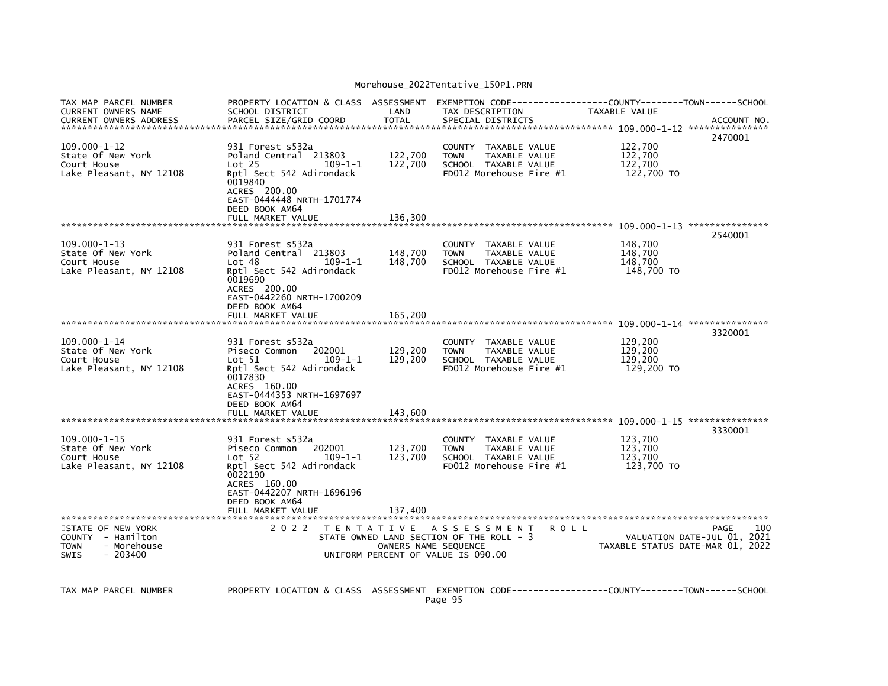| TAX MAP PARCEL NUMBER<br><b>CURRENT OWNERS NAME</b>                                              | PROPERTY LOCATION & CLASS ASSESSMENT<br>SCHOOL DISTRICT                                                                                                                               | LAND                 | TAX DESCRIPTION                                                                                         | EXEMPTION        CODE-----------------COUNTY-------TOWN------SCHOOL<br><b>TAXABLE VALUE</b> |                                                   |
|--------------------------------------------------------------------------------------------------|---------------------------------------------------------------------------------------------------------------------------------------------------------------------------------------|----------------------|---------------------------------------------------------------------------------------------------------|---------------------------------------------------------------------------------------------|---------------------------------------------------|
| <b>CURRENT OWNERS ADDRESS</b>                                                                    | PARCEL SIZE/GRID COORD                                                                                                                                                                | <b>TOTAL</b>         | SPECIAL DISTRICTS                                                                                       |                                                                                             | ACCOUNT NO.<br>2470001                            |
| $109.000 - 1 - 12$<br>State Of New York<br>Court House<br>Lake Pleasant, NY 12108                | 931 Forest s532a<br>Poland Central 213803<br>Lot <sub>25</sub><br>$109 - 1 - 1$<br>Rptl Sect 542 Adirondack<br>0019840<br>ACRES 200.00<br>EAST-0444448 NRTH-1701774<br>DEED BOOK AM64 | 122,700<br>122,700   | COUNTY TAXABLE VALUE<br>TAXABLE VALUE<br><b>TOWN</b><br>SCHOOL TAXABLE VALUE<br>FD012 Morehouse Fire #1 | 122,700<br>122,700<br>122,700<br>122,700 TO                                                 |                                                   |
|                                                                                                  | FULL MARKET VALUE                                                                                                                                                                     | 136,300              |                                                                                                         |                                                                                             |                                                   |
| $109.000 - 1 - 13$<br>State Of New York<br>Court House<br>Lake Pleasant, NY 12108                | 931 Forest s532a<br>Poland Central 213803<br>$109 - 1 - 1$<br>Lot 48<br>Rptl Sect 542 Adirondack<br>0019690<br>ACRES 200.00<br>EAST-0442260 NRTH-1700209<br>DEED BOOK AM64            | 148,700<br>148,700   | COUNTY TAXABLE VALUE<br><b>TOWN</b><br>TAXABLE VALUE<br>SCHOOL TAXABLE VALUE<br>FD012 Morehouse Fire #1 | 148,700<br>148,700<br>148,700<br>148,700 TO                                                 | 2540001                                           |
|                                                                                                  | FULL MARKET VALUE                                                                                                                                                                     | 165,200              |                                                                                                         |                                                                                             |                                                   |
| $109.000 - 1 - 14$<br>State Of New York<br>Court House<br>Lake Pleasant, NY 12108                | 931 Forest s532a<br>202001<br>Piseco Common<br>Lot 51<br>$109 - 1 - 1$<br>Rptl Sect 542 Adirondack<br>0017830<br>ACRES 160.00<br>EAST-0444353 NRTH-1697697                            | 129,200<br>129,200   | COUNTY TAXABLE VALUE<br>TAXABLE VALUE<br><b>TOWN</b><br>SCHOOL TAXABLE VALUE<br>FD012 Morehouse Fire #1 | 129,200<br>129,200<br>129,200<br>129,200 TO                                                 | 3320001                                           |
|                                                                                                  | DEED BOOK AM64<br>FULL MARKET VALUE                                                                                                                                                   | 143,600              |                                                                                                         |                                                                                             |                                                   |
| $109.000 - 1 - 15$<br>State Of New York<br>Court House<br>Lake Pleasant, NY 12108                | 931 Forest s532a<br>202001<br>Piseco Common<br>$109 - 1 - 1$<br>Lot 52<br>Rptl Sect 542 Adirondack<br>0022190<br>ACRES 160.00<br>EAST-0442207 NRTH-1696196                            | 123,700<br>123,700   | COUNTY TAXABLE VALUE<br><b>TOWN</b><br>TAXABLE VALUE<br>SCHOOL TAXABLE VALUE<br>FD012 Morehouse Fire #1 | 123,700<br>123,700<br>123,700<br>123,700 TO                                                 | 3330001                                           |
|                                                                                                  | DEED BOOK AM64<br>FULL MARKET VALUE                                                                                                                                                   | 137.400              |                                                                                                         |                                                                                             |                                                   |
| STATE OF NEW YORK<br>COUNTY - Hamilton<br><b>TOWN</b><br>- Morehouse<br><b>SWIS</b><br>$-203400$ | 2 0 2 2                                                                                                                                                                               | OWNERS NAME SEQUENCE | TENTATIVE ASSESSMENT<br>STATE OWNED LAND SECTION OF THE ROLL - 3<br>UNIFORM PERCENT OF VALUE IS 090.00  | <b>ROLL</b><br>TAXABLE STATUS DATE-MAR 01, 2022                                             | 100<br><b>PAGE</b><br>VALUATION DATE-JUL 01, 2021 |
| TAX MAP PARCEL NUMBER                                                                            | PROPERTY LOCATION & CLASS ASSESSMENT EXEMPTION CODE----------------COUNTY-------TOWN------SCHOOL                                                                                      |                      |                                                                                                         |                                                                                             |                                                   |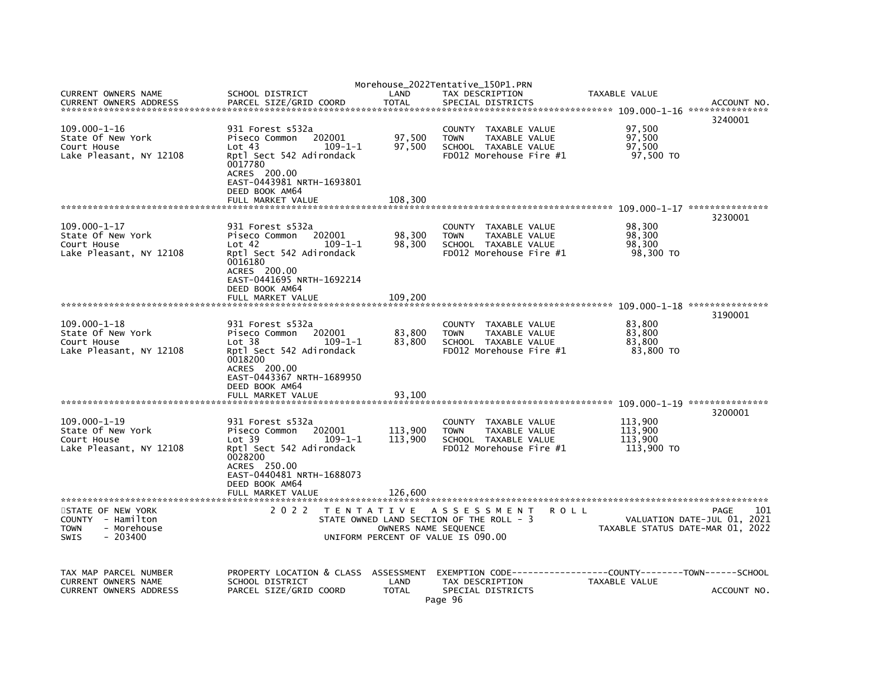|                                                                                    |                                                                                                                                                                                                   |                                    | Morehouse_2022Tentative_150P1.PRN                                                                              |             |                                             |                                                                                |
|------------------------------------------------------------------------------------|---------------------------------------------------------------------------------------------------------------------------------------------------------------------------------------------------|------------------------------------|----------------------------------------------------------------------------------------------------------------|-------------|---------------------------------------------|--------------------------------------------------------------------------------|
| CURRENT OWNERS NAME<br><b>CURRENT OWNERS ADDRESS</b>                               | SCHOOL DISTRICT<br>PARCEL SIZE/GRID COORD                                                                                                                                                         | LAND<br><b>TOTAL</b>               | TAX DESCRIPTION<br>SPECIAL DISTRICTS                                                                           |             | TAXABLE VALUE                               | ACCOUNT NO                                                                     |
|                                                                                    |                                                                                                                                                                                                   |                                    |                                                                                                                |             |                                             | 3240001                                                                        |
| $109.000 - 1 - 16$<br>State Of New York<br>Court House<br>Lake Pleasant, NY 12108  | 931 Forest s532a<br>Piseco Common<br>202001<br>Lot 43<br>$109 - 1 - 1$<br>Rptl Sect 542 Adirondack<br>0017780<br>ACRES 200.00<br>EAST-0443981 NRTH-1693801                                        | 97,500<br>97,500                   | COUNTY<br>TAXABLE VALUE<br><b>TOWN</b><br>TAXABLE VALUE<br>SCHOOL TAXABLE VALUE<br>FD012 Morehouse Fire #1     |             | 97,500<br>97,500<br>97,500<br>97,500 TO     |                                                                                |
|                                                                                    | DEED BOOK AM64                                                                                                                                                                                    |                                    |                                                                                                                |             |                                             |                                                                                |
|                                                                                    | FULL MARKET VALUE                                                                                                                                                                                 | 108,300                            |                                                                                                                |             |                                             |                                                                                |
| $109.000 - 1 - 17$<br>State Of New York<br>Court House<br>Lake Pleasant, NY 12108  | 931 Forest s532a<br>Piseco Common<br>202001<br>Lot 42<br>$109 - 1 - 1$<br>Rptl Sect 542 Adirondack<br>0016180<br>ACRES 200.00<br>EAST-0441695 NRTH-1692214<br>DEED BOOK AM64                      | 98,300<br>98,300                   | COUNTY TAXABLE VALUE<br><b>TOWN</b><br>TAXABLE VALUE<br>SCHOOL TAXABLE VALUE<br>FD012 Morehouse Fire #1        |             | 98,300<br>98,300<br>98,300<br>98,300 TO     | 3230001                                                                        |
|                                                                                    | FULL MARKET VALUE                                                                                                                                                                                 | 109.200                            |                                                                                                                |             |                                             |                                                                                |
|                                                                                    |                                                                                                                                                                                                   |                                    |                                                                                                                |             |                                             | 3190001                                                                        |
| $109.000 - 1 - 18$<br>State Of New York<br>Court House<br>Lake Pleasant, NY 12108  | 931 Forest s532a<br>Piseco Common<br>202001<br>Lot <sub>38</sub><br>$109 - 1 - 1$<br>Rptl Sect 542 Adirondack<br>0018200<br>ACRES 200.00<br>EAST-0443367 NRTH-1689950                             | 83,800<br>83,800                   | COUNTY TAXABLE VALUE<br><b>TOWN</b><br>TAXABLE VALUE<br>SCHOOL TAXABLE VALUE<br>FD012 Morehouse Fire #1        |             | 83,800<br>83,800<br>83,800<br>83.800 TO     |                                                                                |
|                                                                                    | DEED BOOK AM64<br>FULL MARKET VALUE                                                                                                                                                               | 93.100                             |                                                                                                                |             |                                             |                                                                                |
|                                                                                    |                                                                                                                                                                                                   |                                    |                                                                                                                |             |                                             | 3200001                                                                        |
| $109.000 - 1 - 19$<br>State Of New York<br>Court House<br>Lake Pleasant, NY 12108  | 931 Forest s532a<br>Piseco Common<br>202001<br>Lot 39<br>$109 - 1 - 1$<br>Rptl Sect 542 Adirondack<br>0028200<br>ACRES 250.00<br>EAST-0440481 NRTH-1688073<br>DEED BOOK AM64<br>FULL MARKET VALUE | 113,900<br>113,900<br>126,600      | COUNTY TAXABLE VALUE<br><b>TOWN</b><br><b>TAXABLE VALUE</b><br>SCHOOL TAXABLE VALUE<br>FD012 Morehouse Fire #1 |             | 113,900<br>113.900<br>113,900<br>113,900 TO |                                                                                |
|                                                                                    |                                                                                                                                                                                                   |                                    |                                                                                                                |             |                                             |                                                                                |
| STATE OF NEW YORK<br>COUNTY - Hamilton<br>- Morehouse<br>TOWN<br>$-203400$<br>SWIS | 2 0 2 2                                                                                                                                                                                           | OWNERS NAME SEOUENCE               | TENTATIVE ASSESSMENT<br>STATE OWNED LAND SECTION OF THE ROLL - 3<br>UNIFORM PERCENT OF VALUE IS 090.00         | <b>ROLL</b> |                                             | 101<br>PAGE<br>VALUATION DATE-JUL 01, 2021<br>TAXABLE STATUS DATE-MAR 01, 2022 |
| TAX MAP PARCEL NUMBER<br>CURRENT OWNERS NAME<br><b>CURRENT OWNERS ADDRESS</b>      | PROPERTY LOCATION & CLASS<br>SCHOOL DISTRICT<br>PARCEL SIZE/GRID COORD                                                                                                                            | ASSESSMENT<br>LAND<br><b>TOTAL</b> | TAX DESCRIPTION<br>SPECIAL DISTRICTS<br>Page 96                                                                |             | TAXABLE VALUE                               | ACCOUNT NO.                                                                    |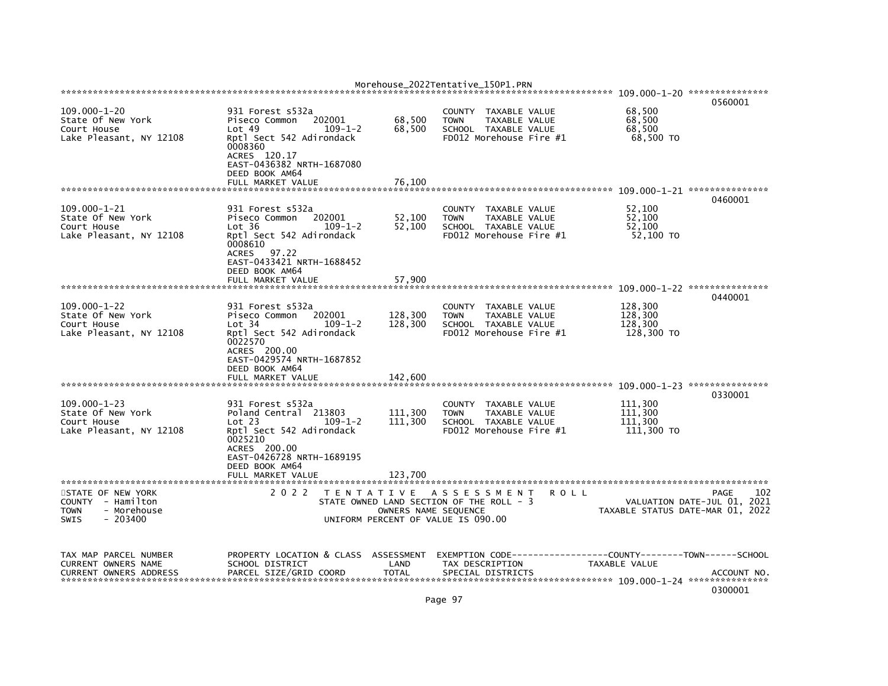|                                                                                                           |                                                                                                                                                              |                                                                                                     | Morehouse_2022Tentative_150P1.PRN |                                      |                                                                                          |             |                                             |                                                                                |
|-----------------------------------------------------------------------------------------------------------|--------------------------------------------------------------------------------------------------------------------------------------------------------------|-----------------------------------------------------------------------------------------------------|-----------------------------------|--------------------------------------|------------------------------------------------------------------------------------------|-------------|---------------------------------------------|--------------------------------------------------------------------------------|
|                                                                                                           |                                                                                                                                                              |                                                                                                     |                                   |                                      |                                                                                          |             |                                             | 0560001                                                                        |
| $109.000 - 1 - 20$<br>State Of New York<br>Court House<br>Lake Pleasant, NY 12108                         | 931 Forest s532a<br>Piseco Common<br>Lot <sub>49</sub><br>Rptl Sect 542 Adirondack<br>0008360<br>ACRES 120.17<br>EAST-0436382 NRTH-1687080<br>DEED BOOK AM64 | 202001<br>$109 - 1 - 2$                                                                             | 68,500<br>68,500                  | COUNTY<br><b>TOWN</b>                | TAXABLE VALUE<br>TAXABLE VALUE<br>SCHOOL TAXABLE VALUE<br>FD012 Morehouse Fire #1        |             | 68.500<br>68,500<br>68,500<br>68,500 TO     |                                                                                |
|                                                                                                           | FULL MARKET VALUE                                                                                                                                            |                                                                                                     | 76,100                            |                                      |                                                                                          |             |                                             |                                                                                |
|                                                                                                           |                                                                                                                                                              |                                                                                                     |                                   |                                      |                                                                                          |             |                                             | 0460001                                                                        |
| 109.000-1-21<br>State Of New York<br>Court House<br>Lake Pleasant, NY 12108                               | 931 Forest s532a<br>Piseco Common<br>Lot 36<br>Rptl Sect 542 Adirondack<br>0008610<br>97.22<br><b>ACRES</b><br>EAST-0433421 NRTH-1688452<br>DEED BOOK AM64   | 202001<br>$109 - 1 - 2$                                                                             | 52,100<br>52,100                  | <b>COUNTY</b><br><b>TOWN</b>         | TAXABLE VALUE<br>TAXABLE VALUE<br>SCHOOL TAXABLE VALUE<br>FD012 Morehouse Fire #1        |             | 52,100<br>52,100<br>52,100<br>52,100 TO     |                                                                                |
|                                                                                                           | FULL MARKET VALUE                                                                                                                                            |                                                                                                     | 57,900                            |                                      |                                                                                          |             |                                             | 109.000-1-22 ****************                                                  |
|                                                                                                           |                                                                                                                                                              |                                                                                                     |                                   |                                      |                                                                                          |             |                                             | 0440001                                                                        |
| $109.000 - 1 - 22$<br>State Of New York<br>Court House<br>Lake Pleasant, NY 12108                         | 931 Forest s532a<br>Piseco Common<br>Lot 34<br>Rptl Sect 542 Adirondack<br>0022570<br>ACRES 200.00<br>EAST-0429574 NRTH-1687852<br>DEED BOOK AM64            | 202001<br>$109 - 1 - 2$                                                                             | 128,300<br>128,300                | <b>TOWN</b>                          | COUNTY TAXABLE VALUE<br>TAXABLE VALUE<br>SCHOOL TAXABLE VALUE<br>FD012 Morehouse Fire #1 |             | 128,300<br>128,300<br>128,300<br>128,300 TO |                                                                                |
|                                                                                                           | FULL MARKET VALUE                                                                                                                                            |                                                                                                     | 142,600                           |                                      |                                                                                          |             |                                             | 109.000-1-23 ****************                                                  |
| $109.000 - 1 - 23$<br>State Of New York<br>Court House<br>Lake Pleasant, NY 12108                         | 931 Forest s532a<br>Poland Central 213803<br>Lot 23<br>Rptl Sect 542 Adirondack<br>0025210<br>ACRES 200.00<br>EAST-0426728 NRTH-1689195<br>DEED BOOK AM64    | $109 - 1 - 2$                                                                                       | 111,300<br>111,300                | <b>COUNTY</b><br><b>TOWN</b>         | TAXABLE VALUE<br>TAXABLE VALUE<br>SCHOOL TAXABLE VALUE<br>FD012 Morehouse Fire #1        |             | 111,300<br>111.300<br>111,300<br>111,300 TO | 0330001                                                                        |
|                                                                                                           | FULL MARKET VALUE                                                                                                                                            |                                                                                                     | 123.700                           |                                      |                                                                                          |             |                                             |                                                                                |
| STATE OF NEW YORK<br>- Hamilton<br><b>COUNTY</b><br>- Morehouse<br><b>TOWN</b><br>- 203400<br><b>SWIS</b> | 2 0 2 2                                                                                                                                                      | T E N T A T I V E<br>STATE OWNED LAND SECTION OF THE ROLL - 3<br>UNIFORM PERCENT OF VALUE IS 090.00 | OWNERS NAME SEQUENCE              |                                      | A S S E S S M E N T                                                                      | <b>ROLL</b> |                                             | 102<br>PAGE<br>VALUATION DATE-JUL 01, 2021<br>TAXABLE STATUS DATE-MAR 01, 2022 |
| TAX MAP PARCEL NUMBER<br><b>CURRENT OWNERS NAME</b><br><b>CURRENT OWNERS ADDRESS</b>                      | PROPERTY LOCATION & CLASS ASSESSMENT<br>SCHOOL DISTRICT<br>PARCEL SIZE/GRID COORD                                                                            |                                                                                                     | LAND<br><b>TOTAL</b>              | EXEMPTION CODE---<br>TAX DESCRIPTION | SPECIAL DISTRICTS                                                                        |             | TAXABLE VALUE                               | -----COUNTY--------TOWN------SCHOOL<br>ACCOUNT NO.<br>0300001                  |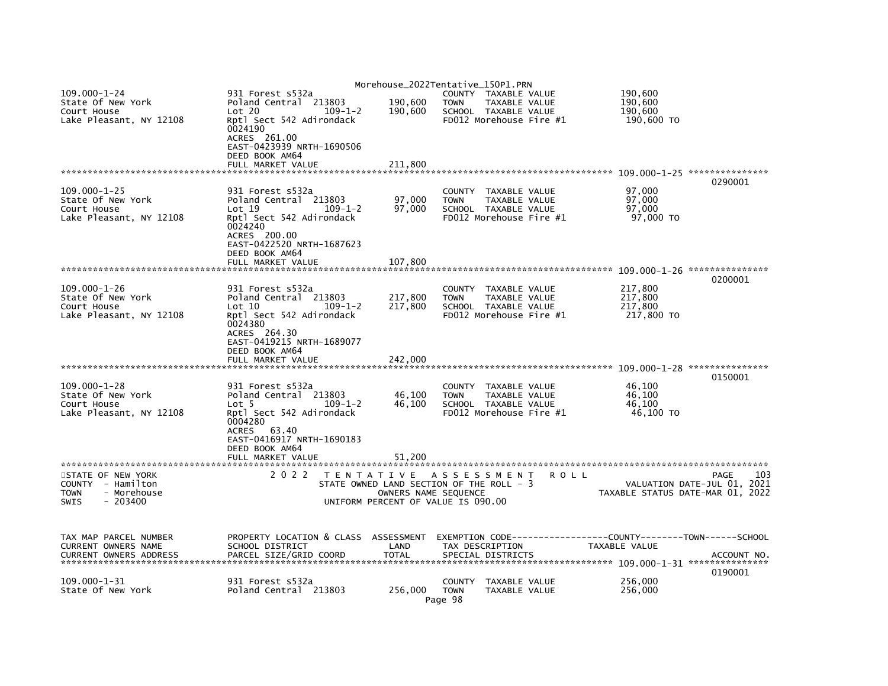|                               |                                                               | Morehouse_2022Tentative_150P1.PRN |                                                 |               |             |               |                                      |
|-------------------------------|---------------------------------------------------------------|-----------------------------------|-------------------------------------------------|---------------|-------------|---------------|--------------------------------------|
| $109.000 - 1 - 24$            | 931 Forest s532a                                              |                                   | COUNTY TAXABLE VALUE                            |               |             | 190,600       |                                      |
| State Of New York             | Poland Central 213803                                         | 190,600                           | <b>TOWN</b>                                     | TAXABLE VALUE |             | 190,600       |                                      |
| Court House                   | Lot 20<br>$109 - 1 - 2$                                       | 190,600                           | SCHOOL TAXABLE VALUE                            |               |             | 190,600       |                                      |
| Lake Pleasant, NY 12108       | Rptl Sect 542 Adirondack                                      |                                   | FD012 Morehouse Fire #1                         |               |             | 190,600 TO    |                                      |
|                               | 0024190                                                       |                                   |                                                 |               |             |               |                                      |
|                               | ACRES 261.00<br>EAST-0423939 NRTH-1690506                     |                                   |                                                 |               |             |               |                                      |
|                               | DEED BOOK AM64                                                |                                   |                                                 |               |             |               |                                      |
|                               | FULL MARKET VALUE                                             | 211,800                           |                                                 |               |             |               |                                      |
|                               |                                                               |                                   |                                                 |               |             |               |                                      |
|                               |                                                               |                                   |                                                 |               |             |               | 0290001                              |
| $109.000 - 1 - 25$            | 931 Forest s532a                                              |                                   | <b>COUNTY</b>                                   | TAXABLE VALUE |             | 97,000        |                                      |
| State Of New York             | Poland Central 213803                                         | 97,000                            | <b>TOWN</b>                                     | TAXABLE VALUE |             | 97,000        |                                      |
| Court House                   | Lot 19<br>$109 - 1 - 2$                                       | 97,000                            | SCHOOL TAXABLE VALUE                            |               |             | 97,000        |                                      |
| Lake Pleasant, NY 12108       | Rptl Sect 542 Adirondack                                      |                                   | FD012 Morehouse Fire #1                         |               |             | 97,000 TO     |                                      |
|                               | 0024240                                                       |                                   |                                                 |               |             |               |                                      |
|                               | ACRES 200.00                                                  |                                   |                                                 |               |             |               |                                      |
|                               | EAST-0422520 NRTH-1687623                                     |                                   |                                                 |               |             |               |                                      |
|                               | DEED BOOK AM64                                                |                                   |                                                 |               |             |               |                                      |
|                               | FULL MARKET VALUE                                             | 107,800                           |                                                 |               |             |               |                                      |
|                               |                                                               |                                   |                                                 |               |             |               |                                      |
|                               |                                                               |                                   |                                                 |               |             |               | 0200001                              |
| $109.000 - 1 - 26$            | 931 Forest s532a                                              |                                   | <b>COUNTY</b>                                   | TAXABLE VALUE |             | 217,800       |                                      |
| State Of New York             | Poland Central 213803                                         | 217,800                           | <b>TOWN</b>                                     | TAXABLE VALUE |             | 217,800       |                                      |
| Court House                   | $109 - 1 - 2$<br>$\mathsf{Lot} \; 10$                         | 217,800                           | SCHOOL TAXABLE VALUE                            |               |             | 217,800       |                                      |
| Lake Pleasant, NY 12108       | Rptl Sect 542 Adirondack                                      |                                   | FD012 Morehouse Fire #1                         |               |             | 217,800 TO    |                                      |
|                               | 0024380                                                       |                                   |                                                 |               |             |               |                                      |
|                               | ACRES 264.30                                                  |                                   |                                                 |               |             |               |                                      |
|                               | EAST-0419215 NRTH-1689077                                     |                                   |                                                 |               |             |               |                                      |
|                               | DEED BOOK AM64                                                |                                   |                                                 |               |             |               |                                      |
|                               | FULL MARKET VALUE                                             | 242,000                           |                                                 |               |             |               |                                      |
|                               |                                                               |                                   |                                                 |               |             |               |                                      |
|                               |                                                               |                                   |                                                 |               |             |               | 0150001                              |
| $109.000 - 1 - 28$            | 931 Forest s532a                                              |                                   | <b>COUNTY</b>                                   | TAXABLE VALUE |             | 46,100        |                                      |
| State Of New York             | Poland Central 213803                                         | 46,100                            | <b>TOWN</b>                                     | TAXABLE VALUE |             | 46,100        |                                      |
| Court House                   | Lot <sub>5</sub><br>$109 - 1 - 2$<br>Rptl Sect 542 Adirondack | 46,100                            | SCHOOL TAXABLE VALUE<br>FD012 Morehouse Fire #1 |               |             | 46,100        |                                      |
| Lake Pleasant, NY 12108       | 0004280                                                       |                                   |                                                 |               |             | 46,100 TO     |                                      |
|                               | ACRES 63.40                                                   |                                   |                                                 |               |             |               |                                      |
|                               | EAST-0416917 NRTH-1690183                                     |                                   |                                                 |               |             |               |                                      |
|                               | DEED BOOK AM64                                                |                                   |                                                 |               |             |               |                                      |
|                               | FULL MARKET VALUE                                             | 51,200                            |                                                 |               |             |               |                                      |
|                               |                                                               |                                   |                                                 |               |             |               |                                      |
| STATE OF NEW YORK             | 2 0 2 2<br>TENTATIVE ASSESSMENT                               |                                   |                                                 |               | <b>ROLL</b> |               | 103<br>PAGE                          |
| COUNTY - Hamilton             | STATE OWNED LAND SECTION OF THE ROLL - 3                      |                                   |                                                 |               |             |               | VALUATION DATE-JUL 01, 2021          |
| <b>TOWN</b><br>- Morehouse    |                                                               | OWNERS NAME SEQUENCE              |                                                 |               |             |               | TAXABLE STATUS DATE-MAR 01, 2022     |
| $-203400$<br><b>SWIS</b>      | UNIFORM PERCENT OF VALUE IS 090.00                            |                                   |                                                 |               |             |               |                                      |
|                               |                                                               |                                   |                                                 |               |             |               |                                      |
|                               |                                                               |                                   |                                                 |               |             |               |                                      |
|                               |                                                               |                                   |                                                 |               |             |               |                                      |
| TAX MAP PARCEL NUMBER         | PROPERTY LOCATION & CLASS ASSESSMENT                          |                                   | EXEMPTION CODE---                               |               |             |               | ------COUNTY--------TOWN------SCHOOL |
| CURRENT OWNERS NAME           | SCHOOL DISTRICT                                               | LAND                              | TAX DESCRIPTION                                 |               |             | TAXABLE VALUE |                                      |
| <b>CURRENT OWNERS ADDRESS</b> | PARCEL SIZE/GRID COORD                                        | <b>TOTAL</b>                      | SPECIAL DISTRICTS                               |               |             |               | ACCOUNT NO.                          |
|                               |                                                               |                                   |                                                 |               |             |               |                                      |
|                               |                                                               |                                   |                                                 |               |             |               | 0190001                              |
| $109.000 - 1 - 31$            | 931 Forest s532a                                              |                                   | <b>COUNTY</b>                                   | TAXABLE VALUE |             | 256,000       |                                      |
| State Of New York             | Poland Central 213803                                         | 256,000                           | <b>TOWN</b>                                     | TAXABLE VALUE |             | 256,000       |                                      |
|                               |                                                               |                                   | Page 98                                         |               |             |               |                                      |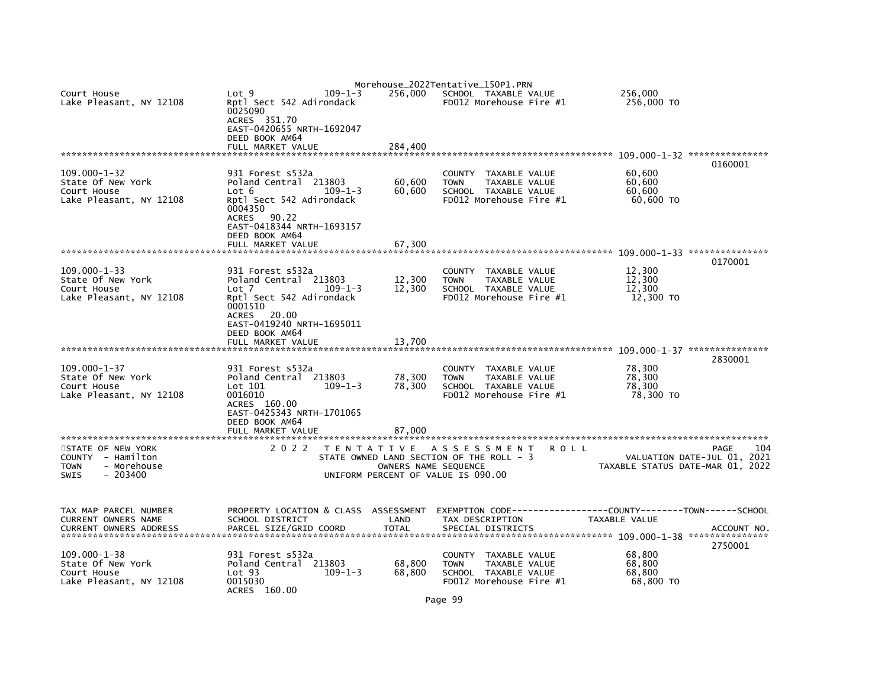| Court House<br>Lake Pleasant, NY 12108                                                           | Lot 9<br>Rptl Sect 542 Adirondack<br>0025090<br>ACRES 351.70<br>EAST-0420655 NRTH-1692047<br>DEED BOOK AM64<br>FULL MARKET VALUE                        | $109 - 1 - 3$<br>256,000<br>284.400                                                                                            | Morehouse_2022Tentative_150P1.PRN<br>SCHOOL TAXABLE VALUE<br>$FD012$ Morehouse Fire $#1$                          | 256,000<br>256,000 TO                                       |                                            |
|--------------------------------------------------------------------------------------------------|---------------------------------------------------------------------------------------------------------------------------------------------------------|--------------------------------------------------------------------------------------------------------------------------------|-------------------------------------------------------------------------------------------------------------------|-------------------------------------------------------------|--------------------------------------------|
|                                                                                                  |                                                                                                                                                         |                                                                                                                                |                                                                                                                   |                                                             | 0160001                                    |
| $109.000 - 1 - 32$<br>State Of New York<br>Court House<br>Lake Pleasant, NY 12108                | 931 Forest s532a<br>Poland Central 213803<br>Lot 6<br>Rptl Sect 542 Adirondack<br>0004350<br>ACRES 90.22<br>EAST-0418344 NRTH-1693157<br>DEED BOOK AM64 | 60,600<br>$109 - 1 - 3$<br>60,600                                                                                              | <b>COUNTY</b><br>TAXABLE VALUE<br><b>TOWN</b><br>TAXABLE VALUE<br>SCHOOL TAXABLE VALUE<br>FD012 Morehouse Fire #1 | 60,600<br>60,600<br>60.600<br>60,600 TO                     |                                            |
|                                                                                                  | FULL MARKET VALUE                                                                                                                                       | 67.300                                                                                                                         |                                                                                                                   |                                                             |                                            |
|                                                                                                  |                                                                                                                                                         |                                                                                                                                |                                                                                                                   |                                                             | 0170001                                    |
| $109.000 - 1 - 33$<br>State Of New York<br>Court House<br>Lake Pleasant, NY 12108                | 931 Forest s532a<br>Poland Central 213803<br>Lot 7<br>Rptl Sect 542 Adirondack<br>0001510<br>ACRES 20.00<br>EAST-0419240 NRTH-1695011<br>DEED BOOK AM64 | 12,300<br>12,300<br>$109 - 1 - 3$                                                                                              | TAXABLE VALUE<br><b>COUNTY</b><br><b>TOWN</b><br>TAXABLE VALUE<br>SCHOOL TAXABLE VALUE<br>FD012 Morehouse Fire #1 | 12,300<br>12,300<br>12,300<br>12,300 TO                     |                                            |
|                                                                                                  | FULL MARKET VALUE                                                                                                                                       | 13,700                                                                                                                         |                                                                                                                   |                                                             |                                            |
| $109.000 - 1 - 37$<br>State Of New York<br>Court House<br>Lake Pleasant, NY 12108                | 931 Forest s532a<br>Poland Central 213803<br>Lot 101<br>0016010<br>ACRES 160.00<br>EAST-0425343 NRTH-1701065<br>DEED BOOK AM64<br>FULL MARKET VALUE     | 78,300<br>$109 - 1 - 3$<br>78,300<br>87,000                                                                                    | COUNTY<br>TAXABLE VALUE<br><b>TOWN</b><br>TAXABLE VALUE<br>SCHOOL TAXABLE VALUE<br>FD012 Morehouse Fire #1        | 78,300<br>78,300<br>78.300<br>78,300 TO                     | 2830001                                    |
|                                                                                                  |                                                                                                                                                         |                                                                                                                                |                                                                                                                   |                                                             |                                            |
| STATE OF NEW YORK<br>COUNTY - Hamilton<br>- Morehouse<br><b>TOWN</b><br><b>SWIS</b><br>$-203400$ | 2 0 2 2                                                                                                                                                 | TENTATIVE ASSESSMENT<br>STATE OWNED LAND SECTION OF THE ROLL - 3<br>OWNERS NAME SEQUENCE<br>UNIFORM PERCENT OF VALUE IS 090.00 |                                                                                                                   | R O L L<br>TAXABLE STATUS DATE-MAR 01, 2022                 | 104<br>PAGE<br>VALUATION DATE-JUL 01, 2021 |
| TAX MAP PARCEL NUMBER<br>CURRENT OWNERS NAME<br><b>CURRENT OWNERS ADDRESS</b>                    | PROPERTY LOCATION & CLASS ASSESSMENT<br>SCHOOL DISTRICT<br>PARCEL SIZE/GRID COORD                                                                       | LAND<br><b>TOTAL</b>                                                                                                           | EXEMPTION CODE-----<br>TAX DESCRIPTION<br>SPECIAL DISTRICTS                                                       | ------------COUNTY--------TOWN------SCHOOL<br>TAXABLE VALUE | ACCOUNT NO                                 |
| $109.000 - 1 - 38$<br>State Of New York<br>Court House<br>Lake Pleasant, NY 12108                | 931 Forest s532a<br>Poland Central 213803<br>Lot <sub>93</sub><br>0015030<br>ACRES 160.00                                                               | 68,800<br>68,800<br>$109 - 1 - 3$                                                                                              | <b>COUNTY</b><br>TAXABLE VALUE<br>TAXABLE VALUE<br><b>TOWN</b><br>SCHOOL TAXABLE VALUE<br>FD012 Morehouse Fire #1 | 68,800<br>68,800<br>68,800<br>68,800 TO                     | 2750001                                    |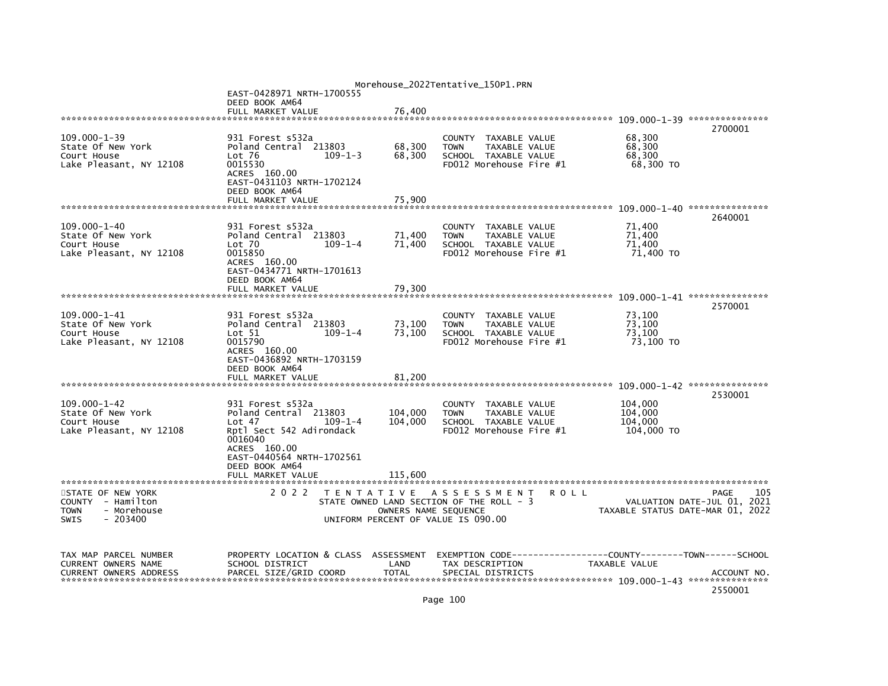|                                                                                                  |                                                                                                                                                                                |                                                                                                        |                                    | Morehouse_2022Tentative_150P1.PRN                                               |                                       |             |                                             |                                                                                |
|--------------------------------------------------------------------------------------------------|--------------------------------------------------------------------------------------------------------------------------------------------------------------------------------|--------------------------------------------------------------------------------------------------------|------------------------------------|---------------------------------------------------------------------------------|---------------------------------------|-------------|---------------------------------------------|--------------------------------------------------------------------------------|
|                                                                                                  | EAST-0428971 NRTH-1700555<br>DEED BOOK AM64                                                                                                                                    |                                                                                                        |                                    |                                                                                 |                                       |             |                                             |                                                                                |
|                                                                                                  | FULL MARKET VALUE                                                                                                                                                              |                                                                                                        | 76,400                             |                                                                                 |                                       |             |                                             |                                                                                |
|                                                                                                  |                                                                                                                                                                                |                                                                                                        |                                    |                                                                                 |                                       |             |                                             |                                                                                |
| $109.000 - 1 - 39$<br>State Of New York<br>Court House<br>Lake Pleasant, NY 12108                | 931 Forest s532a<br>Poland Central 213803<br>$Lot$ 76<br>0015530<br>ACRES 160.00                                                                                               | $109 - 1 - 3$                                                                                          | 68,300<br>68.300                   | COUNTY<br><b>TOWN</b><br>SCHOOL TAXABLE VALUE<br>FD012 Morehouse Fire #1        | TAXABLE VALUE<br>TAXABLE VALUE        |             | 68,300<br>68,300<br>68.300<br>68,300 TO     | 2700001                                                                        |
|                                                                                                  | EAST-0431103 NRTH-1702124<br>DEED BOOK AM64<br>FULL MARKET VALUE                                                                                                               |                                                                                                        | 75,900                             |                                                                                 |                                       |             |                                             |                                                                                |
|                                                                                                  |                                                                                                                                                                                |                                                                                                        |                                    |                                                                                 |                                       |             |                                             | 2640001                                                                        |
| $109.000 - 1 - 40$<br>State Of New York<br>Court House<br>Lake Pleasant, NY 12108                | 931 Forest s532a<br>Poland Central 213803<br>$Lot$ $70$<br>0015850<br>ACRES 160.00<br>EAST-0434771 NRTH-1701613<br>DEED BOOK AM64                                              | $109 - 1 - 4$                                                                                          | 71,400<br>71,400                   | <b>COUNTY</b><br><b>TOWN</b><br>SCHOOL TAXABLE VALUE<br>FD012 Morehouse Fire #1 | TAXABLE VALUE<br><b>TAXABLE VALUE</b> |             | 71,400<br>71,400<br>71,400<br>71,400 TO     |                                                                                |
|                                                                                                  | FULL MARKET VALUE                                                                                                                                                              |                                                                                                        | 79,300                             |                                                                                 |                                       |             |                                             |                                                                                |
|                                                                                                  |                                                                                                                                                                                |                                                                                                        |                                    |                                                                                 |                                       |             |                                             | 2570001                                                                        |
| $109.000 - 1 - 41$<br>State Of New York<br>Court House<br>Lake Pleasant, NY 12108                | 931 Forest s532a<br>Poland Central 213803<br>Lot 51<br>0015790<br>ACRES 160.00<br>EAST-0436892 NRTH-1703159<br>DEED BOOK AM64                                                  | $109 - 1 - 4$                                                                                          | 73,100<br>73,100                   | COUNTY<br><b>TOWN</b><br>SCHOOL TAXABLE VALUE<br>FD012 Morehouse Fire #1        | TAXABLE VALUE<br>TAXABLE VALUE        |             | 73,100<br>73,100<br>73,100<br>73,100 TO     |                                                                                |
|                                                                                                  | FULL MARKET VALUE                                                                                                                                                              |                                                                                                        | 81,200                             |                                                                                 |                                       |             |                                             |                                                                                |
|                                                                                                  |                                                                                                                                                                                |                                                                                                        |                                    |                                                                                 |                                       |             |                                             | 2530001                                                                        |
| $109.000 - 1 - 42$<br>State Of New York<br>Court House<br>Lake Pleasant, NY 12108                | 931 Forest s532a<br>Poland Central 213803<br>Lot 47<br>Rptl Sect 542 Adirondack<br>0016040<br>ACRES 160.00<br>EAST-0440564 NRTH-1702561<br>DEED BOOK AM64<br>FULL MARKET VALUE | $109 - 1 - 4$                                                                                          | 104,000<br>104,000<br>115.600      | <b>COUNTY</b><br><b>TOWN</b><br>SCHOOL TAXABLE VALUE<br>FD012 Morehouse Fire #1 | TAXABLE VALUE<br><b>TAXABLE VALUE</b> |             | 104,000<br>104,000<br>104,000<br>104,000 TO |                                                                                |
|                                                                                                  |                                                                                                                                                                                |                                                                                                        |                                    |                                                                                 |                                       |             |                                             |                                                                                |
| STATE OF NEW YORK<br>COUNTY - Hamilton<br><b>TOWN</b><br>- Morehouse<br>$-203400$<br><b>SWIS</b> | 2 0 2 2                                                                                                                                                                        | TENTATIVE ASSESSMENT<br>STATE OWNED LAND SECTION OF THE ROLL - 3<br>UNIFORM PERCENT OF VALUE IS 090.00 | OWNERS NAME SEQUENCE               |                                                                                 |                                       | <b>ROLL</b> |                                             | 105<br>PAGE<br>VALUATION DATE-JUL 01, 2021<br>TAXABLE STATUS DATE-MAR 01, 2022 |
| TAX MAP PARCEL NUMBER<br>CURRENT OWNERS NAME<br><b>CURRENT OWNERS ADDRESS</b>                    | PROPERTY LOCATION & CLASS<br>SCHOOL DISTRICT<br>PARCEL SIZE/GRID COORD                                                                                                         |                                                                                                        | ASSESSMENT<br>LAND<br><b>TOTAL</b> | EXEMPTION CODE---<br>TAX DESCRIPTION<br>SPECIAL DISTRICTS                       |                                       |             | TAXABLE VALUE                               | -----COUNTY--------TOWN------SCHOOL<br>ACCOUNT NO.<br>2550001                  |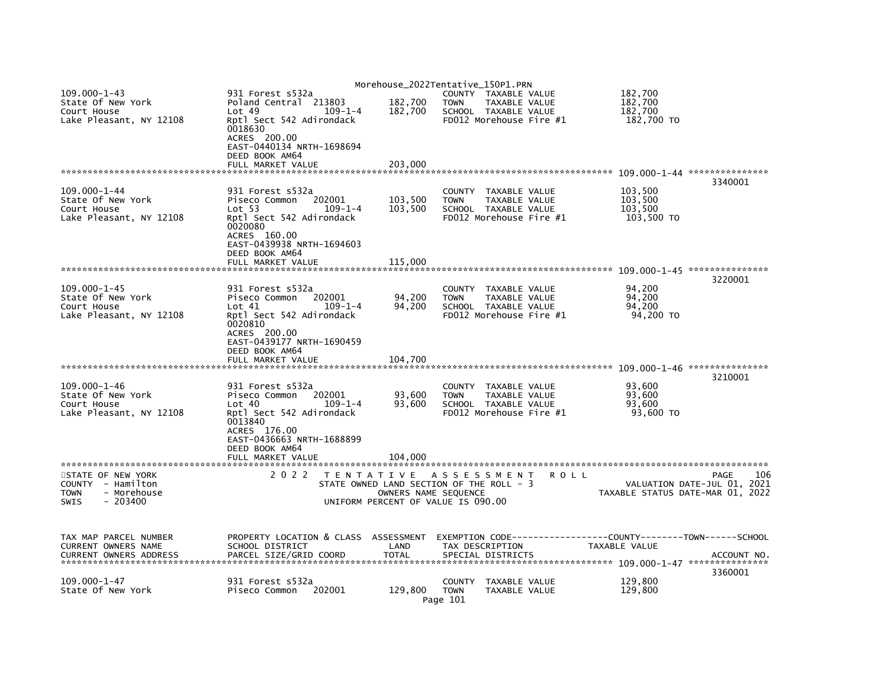|                               |                                      | Morehouse_2022Tentative_150P1.PRN        |                         |                         |             |               |                                        |
|-------------------------------|--------------------------------------|------------------------------------------|-------------------------|-------------------------|-------------|---------------|----------------------------------------|
| $109.000 - 1 - 43$            | 931 Forest s532a                     |                                          |                         | COUNTY TAXABLE VALUE    |             | 182,700       |                                        |
| State Of New York             | Poland Central 213803                | 182,700                                  | <b>TOWN</b>             | TAXABLE VALUE           |             | 182,700       |                                        |
| Court House                   | Lot 49<br>$109 - 1 - 4$              | 182,700                                  |                         | SCHOOL TAXABLE VALUE    |             | 182,700       |                                        |
| Lake Pleasant, NY 12108       | Rptl Sect 542 Adirondack             |                                          |                         | FD012 Morehouse Fire #1 |             | 182,700 TO    |                                        |
|                               | 0018630                              |                                          |                         |                         |             |               |                                        |
|                               | ACRES 200.00                         |                                          |                         |                         |             |               |                                        |
|                               | EAST-0440134 NRTH-1698694            |                                          |                         |                         |             |               |                                        |
|                               | DEED BOOK AM64                       |                                          |                         |                         |             |               |                                        |
|                               | FULL MARKET VALUE                    | 203,000                                  |                         |                         |             |               |                                        |
|                               |                                      |                                          |                         |                         |             |               |                                        |
|                               |                                      |                                          |                         |                         |             |               | 3340001                                |
| $109.000 - 1 - 44$            | 931 Forest s532a                     |                                          | <b>COUNTY</b>           | TAXABLE VALUE           |             | 103,500       |                                        |
| State Of New York             | Piseco Common<br>202001              | 103,500                                  | <b>TOWN</b>             | TAXABLE VALUE           |             | 103,500       |                                        |
| Court House                   | Lot 53<br>$109 - 1 - 4$              | 103,500                                  |                         | SCHOOL TAXABLE VALUE    |             | 103,500       |                                        |
| Lake Pleasant, NY 12108       | Rptl Sect 542 Adirondack             |                                          |                         | FD012 Morehouse Fire #1 |             | 103,500 TO    |                                        |
|                               | 0020080                              |                                          |                         |                         |             |               |                                        |
|                               | ACRES 160.00                         |                                          |                         |                         |             |               |                                        |
|                               | EAST-0439938 NRTH-1694603            |                                          |                         |                         |             |               |                                        |
|                               | DEED BOOK AM64                       |                                          |                         |                         |             |               |                                        |
|                               | FULL MARKET VALUE                    | 115,000                                  |                         |                         |             |               |                                        |
|                               |                                      |                                          |                         |                         |             |               | 3220001                                |
| $109.000 - 1 - 45$            | 931 Forest s532a                     |                                          | <b>COUNTY</b>           | TAXABLE VALUE           |             | 94,200        |                                        |
| State Of New York             | Piseco Common<br>202001              | 94,200                                   | <b>TOWN</b>             | TAXABLE VALUE           |             | 94,200        |                                        |
| Court House                   | Lot 41<br>$109 - 1 - 4$              | 94,200                                   |                         | SCHOOL TAXABLE VALUE    |             | 94,200        |                                        |
| Lake Pleasant, NY 12108       | Rptl Sect 542 Adirondack             |                                          |                         | FD012 Morehouse Fire #1 |             | 94,200 TO     |                                        |
|                               | 0020810                              |                                          |                         |                         |             |               |                                        |
|                               | ACRES 200.00                         |                                          |                         |                         |             |               |                                        |
|                               | EAST-0439177 NRTH-1690459            |                                          |                         |                         |             |               |                                        |
|                               | DEED BOOK AM64                       |                                          |                         |                         |             |               |                                        |
|                               | FULL MARKET VALUE                    | 104.700                                  |                         |                         |             |               |                                        |
|                               |                                      |                                          |                         |                         |             |               |                                        |
|                               |                                      |                                          |                         |                         |             |               | 3210001                                |
| $109.000 - 1 - 46$            | 931 Forest s532a                     |                                          | <b>COUNTY</b>           | TAXABLE VALUE           |             | 93,600        |                                        |
| State Of New York             | 202001<br>Piseco Common              | 93,600                                   | <b>TOWN</b>             | TAXABLE VALUE           |             | 93,600        |                                        |
| Court House                   | $109 - 1 - 4$<br>Lot 40              | 93.600                                   |                         | SCHOOL TAXABLE VALUE    |             | 93.600        |                                        |
| Lake Pleasant, NY 12108       | Rptl Sect 542 Adirondack             |                                          |                         | FD012 Morehouse Fire #1 |             | 93,600 TO     |                                        |
|                               | 0013840                              |                                          |                         |                         |             |               |                                        |
|                               | ACRES 176.00                         |                                          |                         |                         |             |               |                                        |
|                               | EAST-0436663 NRTH-1688899            |                                          |                         |                         |             |               |                                        |
|                               | DEED BOOK AM64                       |                                          |                         |                         |             |               |                                        |
|                               | FULL MARKET VALUE                    | 104,000                                  |                         |                         |             |               |                                        |
|                               |                                      |                                          |                         |                         |             |               |                                        |
| STATE OF NEW YORK             | 2 0 2 2                              | TENTATIVE ASSESSMENT                     |                         |                         | <b>ROLL</b> |               | 106<br>PAGE                            |
| COUNTY - Hamilton             |                                      | STATE OWNED LAND SECTION OF THE ROLL - 3 |                         |                         |             |               | VALUATION DATE-JUL 01, 2021            |
| - Morehouse<br><b>TOWN</b>    |                                      | OWNERS NAME SEQUENCE                     |                         |                         |             |               | TAXABLE STATUS DATE-MAR 01, 2022       |
| <b>SWIS</b><br>$-203400$      |                                      | UNIFORM PERCENT OF VALUE IS 090.00       |                         |                         |             |               |                                        |
|                               |                                      |                                          |                         |                         |             |               |                                        |
|                               |                                      |                                          |                         |                         |             |               |                                        |
|                               |                                      |                                          |                         |                         |             |               |                                        |
| TAX MAP PARCEL NUMBER         | PROPERTY LOCATION & CLASS ASSESSMENT |                                          | EXEMPTION CODE--------- |                         |             |               | --------COUNTY--------TOWN------SCHOOL |
| CURRENT OWNERS NAME           | SCHOOL DISTRICT                      | LAND<br><b>TOTAL</b>                     | TAX DESCRIPTION         |                         |             | TAXABLE VALUE |                                        |
| <b>CURRENT OWNERS ADDRESS</b> | PARCEL SIZE/GRID COORD               |                                          |                         | SPECIAL DISTRICTS       |             |               | ACCOUNT NO.                            |
|                               |                                      |                                          |                         |                         |             |               | 3360001                                |
| $109.000 - 1 - 47$            | 931 Forest s532a                     |                                          | <b>COUNTY</b>           | TAXABLE VALUE           |             | 129,800       |                                        |
| State Of New York             | 202001<br>Piseco Common              | 129,800                                  | <b>TOWN</b>             | TAXABLE VALUE           |             | 129,800       |                                        |
|                               |                                      |                                          |                         |                         |             |               |                                        |
|                               |                                      |                                          | Page 101                |                         |             |               |                                        |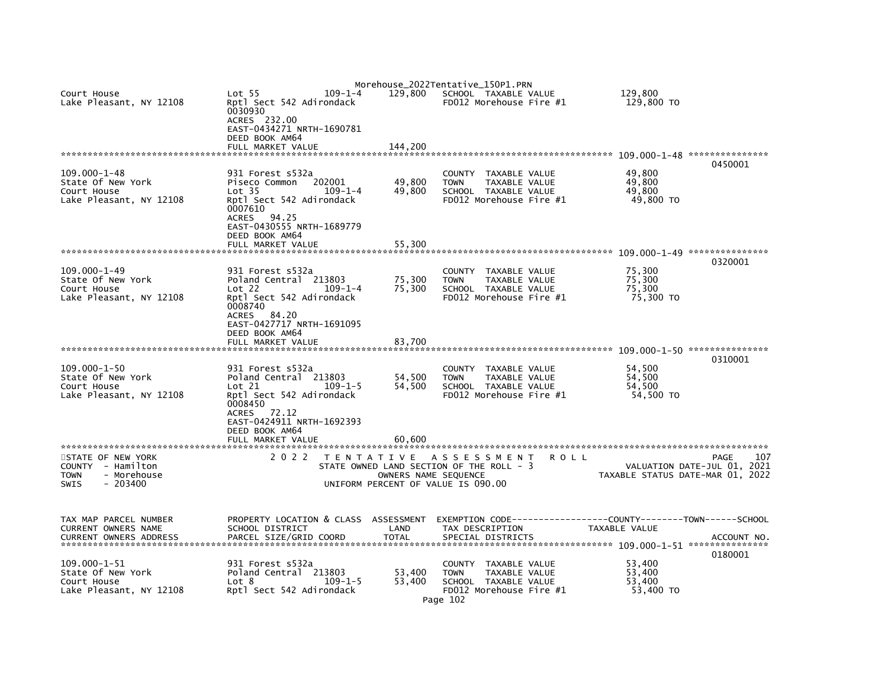|                                                                                   |                                                                                                                                                                                                |                            | Morehouse_2022Tentative_150P1.PRN                                                                                   |                                                                                              |
|-----------------------------------------------------------------------------------|------------------------------------------------------------------------------------------------------------------------------------------------------------------------------------------------|----------------------------|---------------------------------------------------------------------------------------------------------------------|----------------------------------------------------------------------------------------------|
| Court House<br>Lake Pleasant, NY 12108                                            | $109 - 1 - 4$<br>Lot <sub>55</sub><br>Rptl Sect 542 Adirondack<br>0030930<br>ACRES 232.00<br>EAST-0434271 NRTH-1690781                                                                         | 129,800                    | SCHOOL TAXABLE VALUE<br>FD012 Morehouse Fire #1                                                                     | 129.800<br>129,800 TO                                                                        |
|                                                                                   | DEED BOOK AM64<br>FULL MARKET VALUE                                                                                                                                                            | 144,200                    |                                                                                                                     |                                                                                              |
|                                                                                   |                                                                                                                                                                                                |                            |                                                                                                                     | 0450001                                                                                      |
| $109.000 - 1 - 48$<br>State Of New York<br>Court House<br>Lake Pleasant, NY 12108 | 931 Forest s532a<br>202001<br>Piseco Common<br>$109 - 1 - 4$<br>Lot <sub>35</sub><br>Rptl Sect 542 Adirondack<br>0007610<br>94.25<br>ACRES<br>EAST-0430555 NRTH-1689779<br>DEED BOOK AM64      | 49,800<br>49,800           | COUNTY TAXABLE VALUE<br>TAXABLE VALUE<br><b>TOWN</b><br>SCHOOL TAXABLE VALUE<br>FD012 Morehouse Fire #1             | 49,800<br>49.800<br>49,800<br>49,800 TO                                                      |
|                                                                                   | FULL MARKET VALUE                                                                                                                                                                              | 55,300                     |                                                                                                                     |                                                                                              |
|                                                                                   |                                                                                                                                                                                                |                            |                                                                                                                     | 0320001                                                                                      |
| $109.000 - 1 - 49$<br>State Of New York<br>Court House<br>Lake Pleasant, NY 12108 | 931 Forest s532a<br>Poland Central 213803<br>$109 - 1 - 4$<br>Lot 22<br>Rptl Sect 542 Adirondack<br>0008740<br>ACRES 84.20<br>EAST-0427717 NRTH-1691095<br>DEED BOOK AM64                      | 75,300<br>75,300           | COUNTY TAXABLE VALUE<br>TAXABLE VALUE<br><b>TOWN</b><br>SCHOOL TAXABLE VALUE<br>FD012 Morehouse Fire #1             | 75,300<br>75,300<br>75,300<br>75,300 TO                                                      |
|                                                                                   | FULL MARKET VALUE                                                                                                                                                                              | 83,700                     |                                                                                                                     |                                                                                              |
|                                                                                   |                                                                                                                                                                                                |                            |                                                                                                                     |                                                                                              |
| $109.000 - 1 - 50$<br>State Of New York<br>Court House<br>Lake Pleasant, NY 12108 | 931 Forest s532a<br>Poland Central 213803<br>Lot 21<br>$109 - 1 - 5$<br>Rptl Sect 542 Adirondack<br>0008450<br>ACRES 72.12<br>EAST-0424911 NRTH-1692393<br>DEED BOOK AM64<br>FULL MARKET VALUE | 54,500<br>54.500<br>60.600 | COUNTY TAXABLE VALUE<br><b>TOWN</b><br>TAXABLE VALUE<br>SCHOOL TAXABLE VALUE<br>FD012 Morehouse Fire #1             | 0310001<br>54,500<br>54.500<br>54.500<br>54,500 TO                                           |
| ******************************<br>STATE OF NEW YORK                               | 2 0 2 2                                                                                                                                                                                        |                            | TENTATIVE ASSESSMENT                                                                                                | 107                                                                                          |
| COUNTY - Hamilton<br>- Morehouse<br><b>TOWN</b><br>$-203400$<br><b>SWIS</b>       |                                                                                                                                                                                                | OWNERS NAME SEQUENCE       | R O L L<br>STATE OWNED LAND SECTION OF THE ROLL - 3<br>UNIFORM PERCENT OF VALUE IS 090.00                           | PAGE<br>VALUATION DATE-JUL 01, 2021<br>TAXABLE STATUS DATE-MAR 01, 2022                      |
| TAX MAP PARCEL NUMBER<br>CURRENT OWNERS NAME<br><b>CURRENT OWNERS ADDRESS</b>     | PROPERTY LOCATION & CLASS ASSESSMENT<br>SCHOOL DISTRICT<br>PARCEL SIZE/GRID COORD                                                                                                              | LAND<br><b>TOTAL</b>       | TAX DESCRIPTION<br>SPECIAL DISTRICTS                                                                                | EXEMPTION CODE-----------------COUNTY-------TOWN------SCHOOL<br>TAXABLE VALUE<br>ACCOUNT NO. |
| $109.000 - 1 - 51$<br>State Of New York<br>Court House<br>Lake Pleasant, NY 12108 | 931 Forest s532a<br>Poland Central 213803<br>Lot 8<br>$109 - 1 - 5$<br>Rptl Sect 542 Adirondack                                                                                                | 53,400<br>53,400           | COUNTY TAXABLE VALUE<br><b>TOWN</b><br>TAXABLE VALUE<br>SCHOOL TAXABLE VALUE<br>FD012 Morehouse Fire #1<br>Page 102 | 0180001<br>53,400<br>53,400<br>53,400<br>53,400 TO                                           |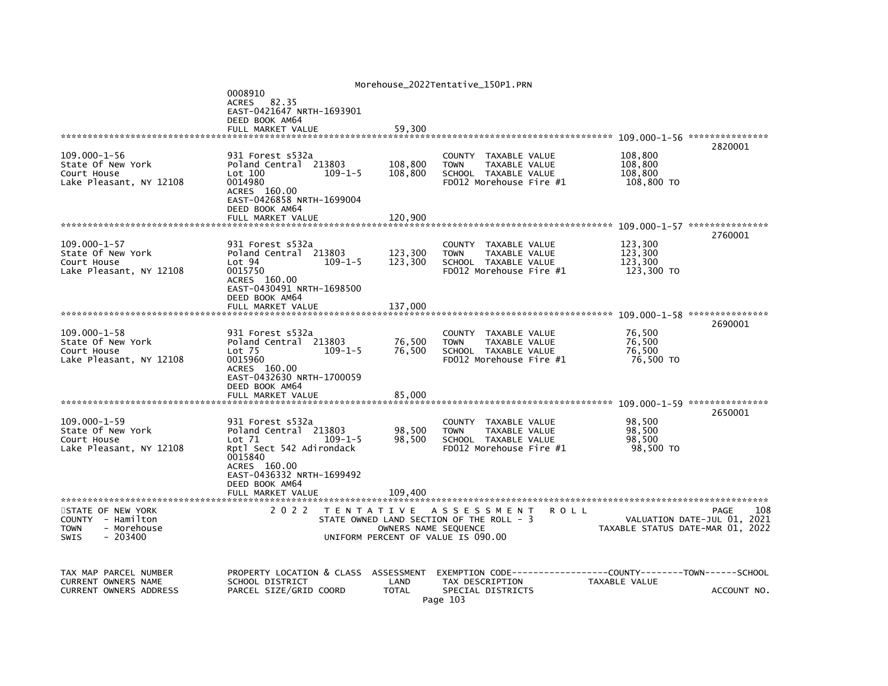|                                                                                   |                                                                                                                                                          |                                                            | Morehouse_2022Tentative_150P1.PRN                                                                          |                                                      |                               |
|-----------------------------------------------------------------------------------|----------------------------------------------------------------------------------------------------------------------------------------------------------|------------------------------------------------------------|------------------------------------------------------------------------------------------------------------|------------------------------------------------------|-------------------------------|
|                                                                                   | 0008910<br>ACRES 82.35<br>EAST-0421647 NRTH-1693901<br>DEED BOOK AM64<br>FULL MARKET VALUE                                                               | 59,300                                                     |                                                                                                            |                                                      |                               |
|                                                                                   |                                                                                                                                                          |                                                            |                                                                                                            |                                                      | 2820001                       |
| $109.000 - 1 - 56$<br>State Of New York<br>Court House<br>Lake Pleasant, NY 12108 | 931 Forest s532a<br>Poland Central 213803<br>Lot 100<br>$109 - 1 - 5$<br>0014980<br>ACRES 160.00<br>EAST-0426858 NRTH-1699004                            | 108,800<br>108,800                                         | COUNTY TAXABLE VALUE<br><b>TOWN</b><br>TAXABLE VALUE<br>SCHOOL TAXABLE VALUE<br>FD012 Morehouse Fire #1    | 108,800<br>108,800<br>108,800<br>108,800 TO          |                               |
|                                                                                   | DEED BOOK AM64<br>FULL MARKET VALUE                                                                                                                      | 120,900                                                    |                                                                                                            |                                                      |                               |
|                                                                                   |                                                                                                                                                          |                                                            |                                                                                                            |                                                      |                               |
| $109.000 - 1 - 57$<br>State Of New York<br>Court House<br>Lake Pleasant, NY 12108 | 931 Forest s532a<br>Poland Central 213803<br>Lot 94<br>$109 - 1 - 5$<br>0015750<br>ACRES 160.00<br>EAST-0430491 NRTH-1698500                             | 123,300<br>123,300                                         | COUNTY<br>TAXABLE VALUE<br><b>TOWN</b><br>TAXABLE VALUE<br>SCHOOL TAXABLE VALUE<br>FD012 Morehouse Fire #1 | 123,300<br>123,300<br>123,300<br>123,300 TO          | 2760001                       |
|                                                                                   | DEED BOOK AM64<br>FULL MARKET VALUE                                                                                                                      | 137,000                                                    |                                                                                                            |                                                      |                               |
|                                                                                   |                                                                                                                                                          |                                                            |                                                                                                            |                                                      | 2690001                       |
| $109.000 - 1 - 58$<br>State Of New York<br>Court House<br>Lake Pleasant, NY 12108 | 931 Forest s532a<br>Poland Central 213803<br>Lot <sub>75</sub><br>$109 - 1 - 5$<br>0015960<br>ACRES 160.00<br>EAST-0432630 NRTH-1700059                  | 76,500<br>76,500                                           | COUNTY<br>TAXABLE VALUE<br><b>TOWN</b><br>TAXABLE VALUE<br>SCHOOL TAXABLE VALUE<br>FD012 Morehouse Fire #1 | 76,500<br>76,500<br>76,500<br>76,500 TO              |                               |
|                                                                                   | DEED BOOK AM64<br>FULL MARKET VALUE                                                                                                                      | 85,000                                                     |                                                                                                            |                                                      |                               |
|                                                                                   |                                                                                                                                                          |                                                            |                                                                                                            |                                                      | 109.000-1-59 **************** |
| $109.000 - 1 - 59$<br>State Of New York<br>Court House<br>Lake Pleasant, NY 12108 | 931 Forest s532a<br>Poland Central 213803<br>Lot 71<br>$109 - 1 - 5$<br>Rptl Sect 542 Adirondack<br>0015840<br>ACRES 160.00<br>EAST-0436332 NRTH-1699492 | 98,500<br>98,500                                           | COUNTY TAXABLE VALUE<br>TAXABLE VALUE<br><b>TOWN</b><br>SCHOOL TAXABLE VALUE<br>FD012 Morehouse Fire #1    | 98,500<br>98,500<br>98,500<br>98,500 TO              | 2650001                       |
|                                                                                   | DEED BOOK AM64<br>FULL MARKET VALUE                                                                                                                      | 109.400                                                    |                                                                                                            |                                                      |                               |
| **************************<br>STATE OF NEW YORK                                   | 2 0 2 2                                                                                                                                                  | T E N T A T I V E                                          | A S S E S S M E N T<br><b>ROLL</b>                                                                         |                                                      | 108<br>PAGE                   |
| COUNTY - Hamilton<br>- Morehouse<br><b>TOWN</b><br>SWIS<br>$-203400$              |                                                                                                                                                          | OWNERS NAME SEQUENCE<br>UNIFORM PERCENT OF VALUE IS 090.00 | STATE OWNED LAND SECTION OF THE ROLL - 3                                                                   | TAXABLE STATUS DATE-MAR 01, 2022                     | VALUATION DATE-JUL 01, 2021   |
| TAX MAP PARCEL NUMBER<br>CURRENT OWNERS NAME<br><b>CURRENT OWNERS ADDRESS</b>     | PROPERTY LOCATION & CLASS<br>SCHOOL DISTRICT<br>PARCEL SIZE/GRID COORD                                                                                   | ASSESSMENT<br>LAND<br><b>TOTAL</b>                         | EXEMPTION CODE--------<br>TAX DESCRIPTION<br>SPECIAL DISTRICTS<br>Page 103                                 | -----COUNTY--------TOWN------SCHOOL<br>TAXABLE VALUE | ACCOUNT NO.                   |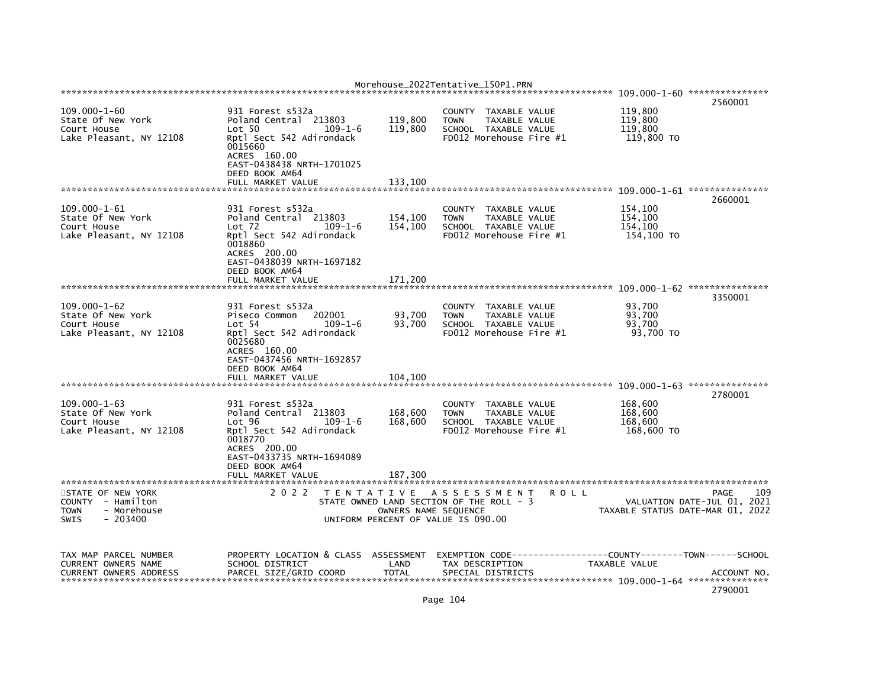|                                                                                           |                                                                                                                                                                                                 |                               | Morehouse_2022Tentative_150P1.PRN                                                                                        |         |                                             |                                                                                |
|-------------------------------------------------------------------------------------------|-------------------------------------------------------------------------------------------------------------------------------------------------------------------------------------------------|-------------------------------|--------------------------------------------------------------------------------------------------------------------------|---------|---------------------------------------------|--------------------------------------------------------------------------------|
|                                                                                           |                                                                                                                                                                                                 |                               |                                                                                                                          |         |                                             | 2560001                                                                        |
| $109.000 - 1 - 60$<br>State Of New York<br>Court House<br>Lake Pleasant, NY 12108         | 931 Forest s532a<br>Poland Central 213803<br>Lot 50<br>$109 - 1 - 6$<br>Rptl Sect 542 Adirondack<br>0015660<br>ACRES 160.00<br>EAST-0438438 NRTH-1701025<br>DEED BOOK AM64                      | 119,800<br>119,800            | TAXABLE VALUE<br><b>COUNTY</b><br><b>TOWN</b><br>TAXABLE VALUE<br>SCHOOL TAXABLE VALUE<br>FD012 Morehouse Fire #1        |         | 119,800<br>119,800<br>119,800<br>119,800 TO |                                                                                |
|                                                                                           | FULL MARKET VALUE                                                                                                                                                                               | 133,100                       |                                                                                                                          |         |                                             |                                                                                |
| $109.000 - 1 - 61$<br>State Of New York<br>Court House<br>Lake Pleasant, NY 12108         | 931 Forest s532a<br>Poland Central 213803<br>$Lot$ 72<br>$109 - 1 - 6$<br>Rptl Sect 542 Adirondack<br>0018860<br>ACRES 200.00<br>EAST-0438039 NRTH-1697182<br>DEED BOOK AM64                    | 154,100<br>154,100            | <b>COUNTY</b><br>TAXABLE VALUE<br>TAXABLE VALUE<br><b>TOWN</b><br>SCHOOL TAXABLE VALUE<br>FD012 Morehouse Fire #1        |         | 154,100<br>154,100<br>154,100<br>154,100 TO | 2660001                                                                        |
|                                                                                           | FULL MARKET VALUE                                                                                                                                                                               | 171,200                       |                                                                                                                          |         |                                             |                                                                                |
| $109.000 - 1 - 62$<br>State Of New York<br>Court House<br>Lake Pleasant, NY 12108         | 931 Forest s532a<br>202001<br>Piseco Common<br>$109 - 1 - 6$<br>Lot 54<br>Rptl Sect 542 Adirondack<br>0025680<br>ACRES 160.00<br>EAST-0437456 NRTH-1692857<br>DEED BOOK AM64                    | 93,700<br>93,700              | <b>COUNTY</b><br>TAXABLE VALUE<br><b>TOWN</b><br>TAXABLE VALUE<br>SCHOOL TAXABLE VALUE<br>FD012 Morehouse Fire #1        |         | 93,700<br>93,700<br>93,700<br>93,700 TO     | 3350001                                                                        |
|                                                                                           | FULL MARKET VALUE                                                                                                                                                                               | 104,100                       |                                                                                                                          |         |                                             |                                                                                |
| $109.000 - 1 - 63$<br>State Of New York<br>Court House<br>Lake Pleasant, NY 12108         | 931 Forest s532a<br>Poland Central 213803<br>Lot 96<br>$109 - 1 - 6$<br>Rptl Sect 542 Adirondack<br>0018770<br>ACRES 200.00<br>EAST-0433735 NRTH-1694089<br>DEED BOOK AM64<br>FULL MARKET VALUE | 168,600<br>168,600<br>187,300 | <b>COUNTY</b><br>TAXABLE VALUE<br><b>TAXABLE VALUE</b><br><b>TOWN</b><br>SCHOOL TAXABLE VALUE<br>FD012 Morehouse Fire #1 |         | 168,600<br>168.600<br>168,600<br>168,600 TO | 2780001                                                                        |
|                                                                                           |                                                                                                                                                                                                 |                               |                                                                                                                          |         |                                             |                                                                                |
| STATE OF NEW YORK<br>COUNTY - Hamilton<br>- Morehouse<br><b>TOWN</b><br>SWIS<br>$-203400$ | 2 0 2 2                                                                                                                                                                                         | OWNERS NAME SEQUENCE          | TENTATIVE ASSESSMENT<br>STATE OWNED LAND SECTION OF THE ROLL - 3<br>UNIFORM PERCENT OF VALUE IS 090.00                   | R O L L |                                             | 109<br>PAGE<br>VALUATION DATE-JUL 01, 2021<br>TAXABLE STATUS DATE-MAR 01, 2022 |
| TAX MAP PARCEL NUMBER<br><b>CURRENT OWNERS NAME</b><br><b>CURRENT OWNERS ADDRESS</b>      | PROPERTY LOCATION & CLASS ASSESSMENT<br>SCHOOL DISTRICT<br>PARCEL SIZE/GRID COORD                                                                                                               | LAND<br><b>TOTAL</b>          | EXEMPTION CODE----<br>TAX DESCRIPTION<br>SPECIAL DISTRICTS                                                               |         | TAXABLE VALUE                               | ------COUNTY--------TOWN------SCHOOL<br>ACCOUNT NO<br>2790001                  |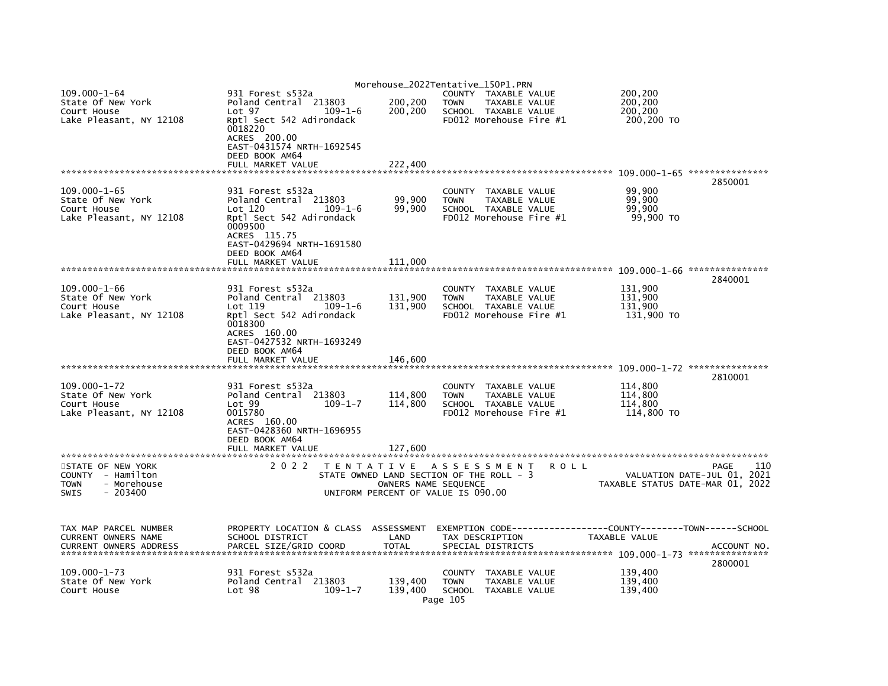|                                                                      |                                                                                                    |                      | Morehouse_2022Tentative_150P1.PRN                                               |                                                                                |
|----------------------------------------------------------------------|----------------------------------------------------------------------------------------------------|----------------------|---------------------------------------------------------------------------------|--------------------------------------------------------------------------------|
| $109.000 - 1 - 64$<br>State Of New York<br>Court House               | 931 Forest s532a<br>Poland Central 213803<br>Lot <sub>97</sub><br>$109 - 1 - 6$                    | 200,200<br>200,200   | COUNTY TAXABLE VALUE<br><b>TOWN</b><br>TAXABLE VALUE<br>SCHOOL TAXABLE VALUE    | 200,200<br>200,200<br>200,200                                                  |
| Lake Pleasant, NY 12108                                              | Rptl Sect 542 Adirondack<br>0018220<br>ACRES 200.00<br>EAST-0431574 NRTH-1692545<br>DEED BOOK AM64 |                      | FD012 Morehouse Fire #1                                                         | 200,200 TO                                                                     |
|                                                                      | FULL MARKET VALUE                                                                                  | 222,400              |                                                                                 |                                                                                |
| $109.000 - 1 - 65$                                                   | 931 Forest s532a                                                                                   |                      | COUNTY TAXABLE VALUE                                                            | 2850001<br>99,900                                                              |
| State Of New York<br>Court House                                     | Poland Central 213803<br>Lot 120<br>$109 - 1 - 6$                                                  | 99,900<br>99,900     | TAXABLE VALUE<br><b>TOWN</b><br>SCHOOL TAXABLE VALUE                            | 99,900<br>99.900                                                               |
| Lake Pleasant, NY 12108                                              | Rptl Sect 542 Adirondack<br>0009500<br>ACRES 115.75                                                |                      | FD012 Morehouse Fire #1                                                         | 99,900 TO                                                                      |
|                                                                      | EAST-0429694 NRTH-1691580<br>DEED BOOK AM64                                                        |                      |                                                                                 |                                                                                |
|                                                                      | FULL MARKET VALUE                                                                                  | 111,000              |                                                                                 | 2840001                                                                        |
| $109.000 - 1 - 66$                                                   | 931 Forest s532a                                                                                   |                      | COUNTY TAXABLE VALUE                                                            | 131,900                                                                        |
| State Of New York<br>Court House                                     | Poland Central 213803<br>Lot 119<br>$109 - 1 - 6$                                                  | 131,900<br>131,900   | <b>TOWN</b><br>TAXABLE VALUE<br>SCHOOL TAXABLE VALUE                            | 131,900<br>131.900                                                             |
| Lake Pleasant, NY 12108                                              | Rptl Sect 542 Adirondack<br>0018300<br>ACRES 160.00                                                |                      | FD012 Morehouse Fire #1                                                         | 131,900 TO                                                                     |
|                                                                      | EAST-0427532 NRTH-1693249<br>DEED BOOK AM64                                                        |                      |                                                                                 |                                                                                |
|                                                                      | FULL MARKET VALUE                                                                                  | 146,600              |                                                                                 |                                                                                |
| $109.000 - 1 - 72$                                                   | 931 Forest s532a                                                                                   |                      | COUNTY TAXABLE VALUE                                                            | 2810001<br>114,800                                                             |
| State Of New York                                                    | Poland Central 213803                                                                              | 114,800              | <b>TOWN</b><br>TAXABLE VALUE                                                    | 114,800                                                                        |
| Court House<br>Lake Pleasant, NY 12108                               | Lot 99<br>$109 - 1 - 7$<br>0015780<br>ACRES 160.00                                                 | 114,800              | SCHOOL TAXABLE VALUE<br>FD012 Morehouse Fire #1                                 | 114,800<br>114,800 TO                                                          |
|                                                                      | EAST-0428360 NRTH-1696955<br>DEED BOOK AM64                                                        |                      |                                                                                 |                                                                                |
|                                                                      | FULL MARKET VALUE                                                                                  | 127,600              |                                                                                 |                                                                                |
| STATE OF NEW YORK<br>COUNTY - Hamilton<br><b>TOWN</b><br>- Morehouse | 2 0 2 2                                                                                            | OWNERS NAME SEQUENCE | TENTATIVE ASSESSMENT<br><b>ROLL</b><br>STATE OWNED LAND SECTION OF THE ROLL - 3 | 110<br>PAGE<br>VALUATION DATE-JUL 01, 2021<br>TAXABLE STATUS DATE-MAR 01, 2022 |
| $-203400$<br><b>SWIS</b>                                             |                                                                                                    |                      | UNIFORM PERCENT OF VALUE IS 090.00                                              |                                                                                |
| TAX MAP PARCEL NUMBER                                                | PROPERTY LOCATION & CLASS ASSESSMENT                                                               |                      | EXEMPTION CODE-----------------COUNTY-------TOWN------SCHOOL                    |                                                                                |
| CURRENT OWNERS NAME<br><b>CURRENT OWNERS ADDRESS</b>                 | SCHOOL DISTRICT<br>PARCEL SIZE/GRID COORD                                                          | LAND<br><b>TOTAL</b> | TAX DESCRIPTION<br>SPECIAL DISTRICTS                                            | TAXABLE VALUE<br>ACCOUNT NO.                                                   |
|                                                                      |                                                                                                    |                      |                                                                                 | 2800001                                                                        |
| $109.000 - 1 - 73$<br>State Of New York                              | 931 Forest s532a<br>Poland Central 213803                                                          | 139,400              | COUNTY<br>TAXABLE VALUE<br><b>TOWN</b><br>TAXABLE VALUE                         | 139,400<br>139.400                                                             |
| Court House                                                          | Lot <sub>98</sub><br>$109 - 1 - 7$                                                                 | 139,400              | SCHOOL TAXABLE VALUE<br>Page 105                                                | 139,400                                                                        |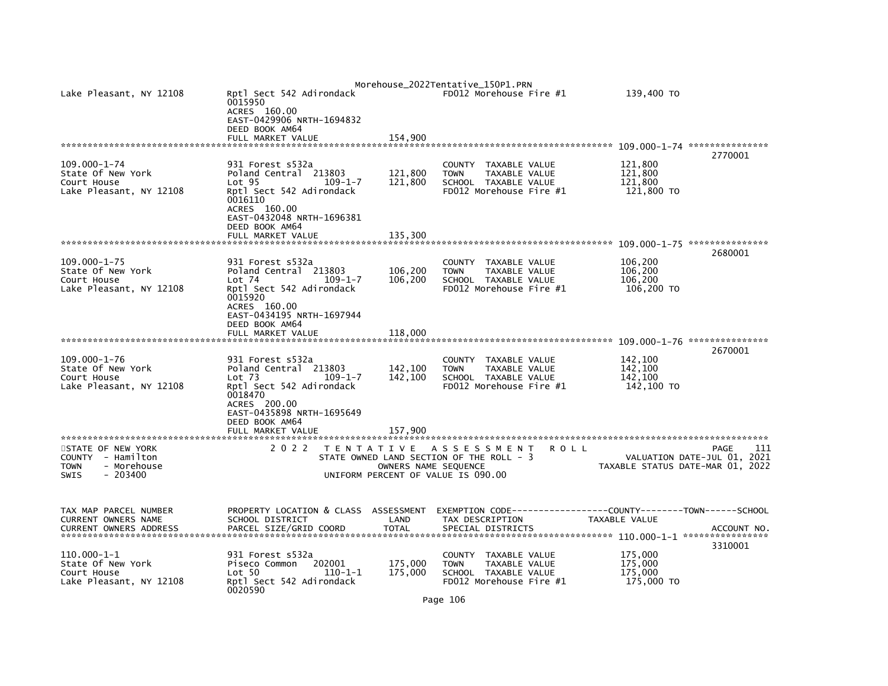| Lake Pleasant, NY 12108                                                                          | Rptl Sect 542 Adirondack<br>0015950<br>ACRES 160.00<br>EAST-0429906 NRTH-1694832<br>DEED BOOK AM64<br>FULL MARKET VALUE                                                                   |                                                                                                        | 154,900                       | Morehouse_2022Tentative_150P1.PRN                             | FD012 Morehouse Fire #1                                                           | 139,400 TO                                  |                                                                                       |
|--------------------------------------------------------------------------------------------------|-------------------------------------------------------------------------------------------------------------------------------------------------------------------------------------------|--------------------------------------------------------------------------------------------------------|-------------------------------|---------------------------------------------------------------|-----------------------------------------------------------------------------------|---------------------------------------------|---------------------------------------------------------------------------------------|
|                                                                                                  |                                                                                                                                                                                           |                                                                                                        |                               |                                                               |                                                                                   |                                             | 109.000-1-74 ****************                                                         |
| $109.000 - 1 - 74$<br>State Of New York<br>Court House<br>Lake Pleasant, NY 12108                | 931 Forest s532a<br>Poland Central 213803<br>Lot <sub>95</sub><br>Rptl Sect 542 Adirondack<br>0016110<br>ACRES 160.00<br>EAST-0432048 NRTH-1696381<br>DEED BOOK AM64<br>FULL MARKET VALUE | $109 - 1 - 7$                                                                                          | 121,800<br>121,800<br>135,300 | <b>COUNTY</b><br><b>TOWN</b>                                  | TAXABLE VALUE<br>TAXABLE VALUE<br>SCHOOL TAXABLE VALUE<br>FD012 Morehouse Fire #1 | 121,800<br>121,800<br>121.800<br>121,800 TO | 2770001                                                                               |
|                                                                                                  |                                                                                                                                                                                           |                                                                                                        |                               |                                                               |                                                                                   |                                             |                                                                                       |
| 109.000-1-75<br>State Of New York<br>Court House<br>Lake Pleasant, NY 12108                      | 931 Forest s532a<br>Poland Central 213803<br>Lot 74<br>Rptl Sect 542 Adirondack<br>0015920<br>ACRES 160.00<br>EAST-0434195 NRTH-1697944<br>DEED BOOK AM64                                 | $109 - 1 - 7$                                                                                          | 106,200<br>106,200            | <b>COUNTY</b><br><b>TOWN</b>                                  | TAXABLE VALUE<br>TAXABLE VALUE<br>SCHOOL TAXABLE VALUE<br>FD012 Morehouse Fire #1 | 106,200<br>106,200<br>106,200<br>106,200 TO | 2680001                                                                               |
|                                                                                                  | FULL MARKET VALUE                                                                                                                                                                         |                                                                                                        | 118,000                       |                                                               |                                                                                   |                                             | ***************<br>2670001                                                            |
| $109.000 - 1 - 76$<br>State Of New York<br>Court House<br>Lake Pleasant, NY 12108                | 931 Forest s532a<br>Poland Central 213803<br>Lot <sub>73</sub><br>Rptl Sect 542 Adirondack<br>0018470<br>ACRES 200.00<br>EAST-0435898 NRTH-1695649<br>DEED BOOK AM64<br>FULL MARKET VALUE | $109 - 1 - 7$                                                                                          | 142,100<br>142,100<br>157,900 | <b>COUNTY</b><br><b>TOWN</b>                                  | TAXABLE VALUE<br>TAXABLE VALUE<br>SCHOOL TAXABLE VALUE<br>FD012 Morehouse Fire #1 | 142,100<br>142.100<br>142.100<br>142,100 TO |                                                                                       |
|                                                                                                  |                                                                                                                                                                                           |                                                                                                        |                               |                                                               |                                                                                   |                                             |                                                                                       |
| STATE OF NEW YORK<br>COUNTY - Hamilton<br><b>TOWN</b><br>- Morehouse<br>$-203400$<br><b>SWIS</b> | 2 0 2 2                                                                                                                                                                                   | TENTATIVE ASSESSMENT<br>STATE OWNED LAND SECTION OF THE ROLL - 3<br>UNIFORM PERCENT OF VALUE IS 090.00 | OWNERS NAME SEQUENCE          |                                                               | <b>ROLL</b>                                                                       |                                             | <b>PAGE</b><br>111<br>VALUATION DATE-JUL 01, 2021<br>TAXABLE STATUS DATE-MAR 01, 2022 |
| TAX MAP PARCEL NUMBER<br>CURRENT OWNERS NAME<br><b>CURRENT OWNERS ADDRESS</b>                    | PROPERTY LOCATION & CLASS ASSESSMENT<br>SCHOOL DISTRICT<br>PARCEL SIZE/GRID COORD                                                                                                         |                                                                                                        | LAND<br><b>TOTAL</b>          | EXEMPTION CODE-------<br>TAX DESCRIPTION<br>SPECIAL DISTRICTS |                                                                                   | <b>TAXABLE VALUE</b>                        | ----------COUNTY--------TOWN------SCHOOL<br>ACCOUNT NO.                               |
| $110.000 - 1 - 1$<br>State Of New York<br>Court House<br>Lake Pleasant, NY 12108                 | 931 Forest s532a<br>Piseco Common<br>Lot 50<br>Rptl Sect 542 Adirondack<br>0020590                                                                                                        | 202001<br>$110 - 1 - 1$                                                                                | 175,000<br>175,000            | <b>COUNTY</b><br><b>TOWN</b>                                  | TAXABLE VALUE<br>TAXABLE VALUE<br>SCHOOL TAXABLE VALUE<br>FD012 Morehouse Fire #1 | 175,000<br>175,000<br>175,000<br>175,000 TO | 3310001                                                                               |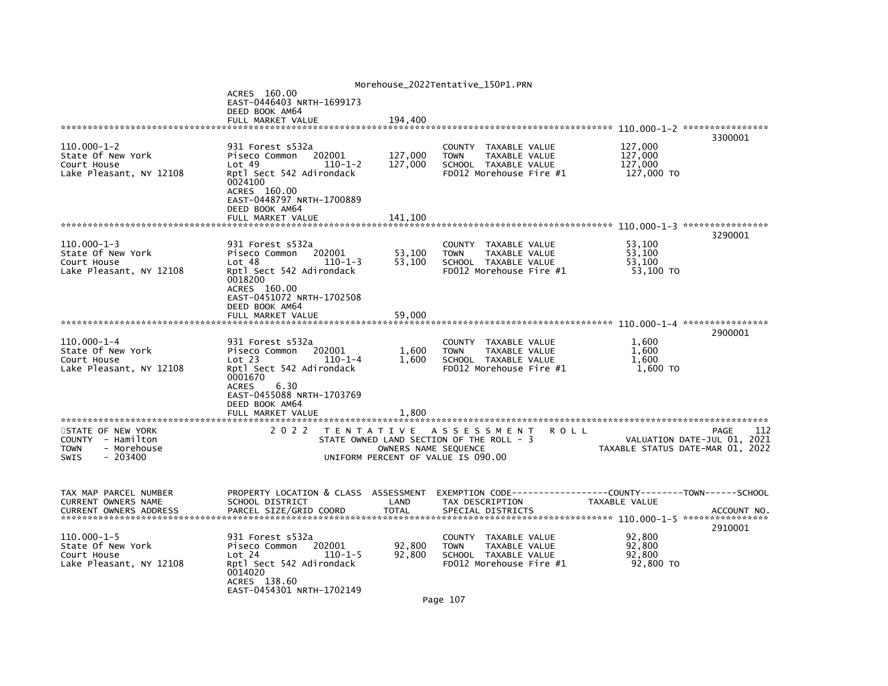| Morehouse_2022Tentative_150P1.PRN                                                                |                                                                                                                                                                                                           |                               |                                                                                                                       |                                                                               |             |  |  |  |
|--------------------------------------------------------------------------------------------------|-----------------------------------------------------------------------------------------------------------------------------------------------------------------------------------------------------------|-------------------------------|-----------------------------------------------------------------------------------------------------------------------|-------------------------------------------------------------------------------|-------------|--|--|--|
|                                                                                                  | ACRES 160.00<br>EAST-0446403 NRTH-1699173<br>DEED BOOK AM64<br>FULL MARKET VALUE                                                                                                                          |                               |                                                                                                                       |                                                                               |             |  |  |  |
|                                                                                                  |                                                                                                                                                                                                           | 194,400                       |                                                                                                                       |                                                                               | 3300001     |  |  |  |
| 110.000-1-2<br>State Of New York<br>Court House<br>Lake Pleasant, NY 12108                       | 931 Forest s532a<br>202001<br>Piseco Common<br>Lot 49<br>$110 - 1 - 2$<br>Rptl Sect 542 Adirondack<br>0024100<br>ACRES 160.00<br>EAST-0448797 NRTH-1700889<br>DEED BOOK AM64<br>FULL MARKET VALUE         | 127,000<br>127,000<br>141.100 | COUNTY TAXABLE VALUE<br>TAXABLE VALUE<br><b>TOWN</b><br>SCHOOL TAXABLE VALUE<br>FD012 Morehouse Fire #1               | 127,000<br>127,000<br>127,000<br>127,000 TO                                   |             |  |  |  |
|                                                                                                  |                                                                                                                                                                                                           |                               |                                                                                                                       |                                                                               | 3290001     |  |  |  |
| $110.000 - 1 - 3$<br>State Of New York<br>Court House<br>Lake Pleasant, NY 12108                 | 931 Forest s532a<br>Piseco Common<br>202001<br>Lot <sub>48</sub><br>$110 - 1 - 3$<br>Rptl Sect 542 Adirondack<br>0018200<br>ACRES 160.00<br>EAST-0451072 NRTH-1702508                                     | 53,100<br>53,100              | COUNTY TAXABLE VALUE<br><b>TOWN</b><br>TAXABLE VALUE<br>SCHOOL TAXABLE VALUE<br>FD012 Morehouse Fire #1               | 53,100<br>53.100<br>53,100<br>53,100 TO                                       |             |  |  |  |
|                                                                                                  | DEED BOOK AM64<br>FULL MARKET VALUE                                                                                                                                                                       | 59,000                        |                                                                                                                       |                                                                               |             |  |  |  |
|                                                                                                  |                                                                                                                                                                                                           |                               |                                                                                                                       |                                                                               | 2900001     |  |  |  |
| $110.000 - 1 - 4$<br>State Of New York<br>Court House<br>Lake Pleasant, NY 12108                 | 931 Forest s532a<br>Piseco Common<br>202001<br>Lot 23<br>$110 - 1 - 4$<br>Rptl Sect 542 Adirondack<br>0001670<br><b>ACRES</b><br>6.30<br>EAST-0455088 NRTH-1703769<br>DEED BOOK AM64<br>FULL MARKET VALUE | 1,600<br>1,600<br>1.800       | COUNTY TAXABLE VALUE<br>TAXABLE VALUE<br><b>TOWN</b><br>SCHOOL TAXABLE VALUE<br>FD012 Morehouse Fire #1               | 1.600<br>1,600<br>1.600<br>1,600 TO                                           |             |  |  |  |
|                                                                                                  |                                                                                                                                                                                                           |                               |                                                                                                                       |                                                                               |             |  |  |  |
| STATE OF NEW YORK<br>COUNTY - Hamilton<br>- Morehouse<br><b>TOWN</b><br><b>SWIS</b><br>$-203400$ | 2 0 2 2                                                                                                                                                                                                   | OWNERS NAME SEQUENCE          | TENTATIVE ASSESSMENT<br><b>ROLL</b><br>STATE OWNED LAND SECTION OF THE ROLL - 3<br>UNIFORM PERCENT OF VALUE IS 090.00 | VALUATION DATE-JUL 01, 2021<br>TAXABLE STATUS DATE-MAR 01, 2022               | PAGE<br>112 |  |  |  |
| TAX MAP PARCEL NUMBER<br>CURRENT OWNERS NAME<br><b>CURRENT OWNERS ADDRESS</b>                    | PROPERTY LOCATION & CLASS ASSESSMENT<br>SCHOOL DISTRICT<br>PARCEL SIZE/GRID COORD                                                                                                                         | LAND<br><b>TOTAL</b>          | TAX DESCRIPTION<br>SPECIAL DISTRICTS                                                                                  | EXEMPTION CODE-----------------COUNTY-------TOWN------SCHOOL<br>TAXABLE VALUE | ACCOUNT NO. |  |  |  |
|                                                                                                  |                                                                                                                                                                                                           |                               |                                                                                                                       |                                                                               | 2910001     |  |  |  |
| $110.000 - 1 - 5$<br>State Of New York<br>Court House<br>Lake Pleasant, NY 12108                 | 931 Forest s532a<br>Piseco Common<br>202001<br>Lot 24<br>$110 - 1 - 5$<br>Rptl Sect 542 Adirondack<br>0014020<br>ACRES 138.60<br>EAST-0454301 NRTH-1702149                                                | 92,800<br>92,800              | COUNTY TAXABLE VALUE<br>TAXABLE VALUE<br><b>TOWN</b><br>SCHOOL TAXABLE VALUE<br>FD012 Morehouse Fire #1               | 92,800<br>92,800<br>92,800<br>92,800 TO                                       |             |  |  |  |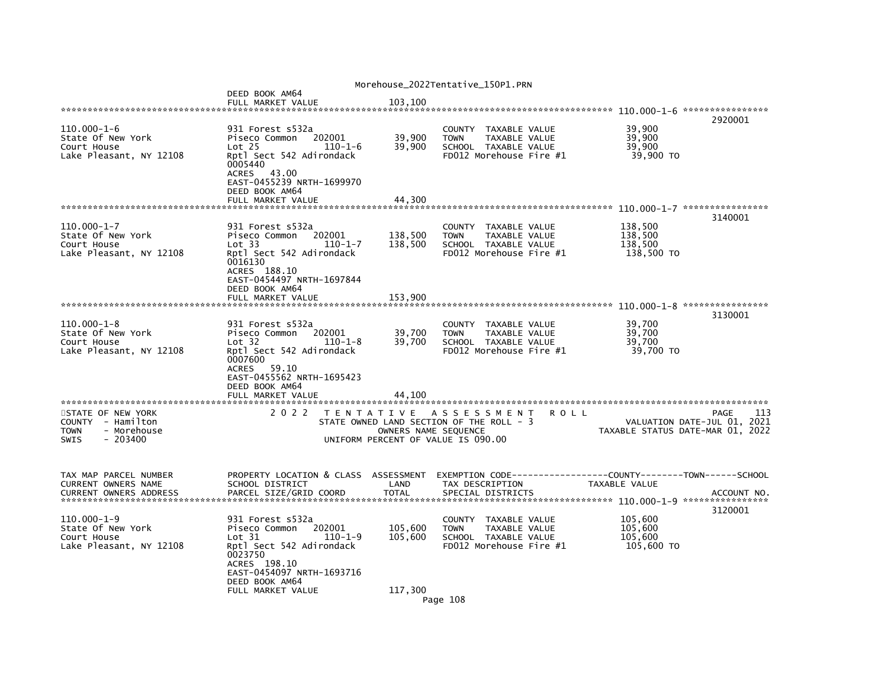| Morehouse_2022Tentative_150P1.PRN                                                                |                                                                                                                                                                                       |                                                            |                                                                                                                   |             |                                             |                                                                                |  |  |  |
|--------------------------------------------------------------------------------------------------|---------------------------------------------------------------------------------------------------------------------------------------------------------------------------------------|------------------------------------------------------------|-------------------------------------------------------------------------------------------------------------------|-------------|---------------------------------------------|--------------------------------------------------------------------------------|--|--|--|
|                                                                                                  | DEED BOOK AM64<br>FULL MARKET VALUE                                                                                                                                                   | 103,100                                                    |                                                                                                                   |             |                                             |                                                                                |  |  |  |
| 110.000-1-6<br>State Of New York<br>Court House<br>Lake Pleasant, NY 12108                       | 931 Forest s532a<br>202001<br>Piseco Common<br>Lot <sub>25</sub><br>$110 - 1 - 6$<br>Rptl Sect 542 Adirondack<br>0005440<br>ACRES 43.00<br>EAST-0455239 NRTH-1699970                  | 39,900<br>39,900                                           | <b>COUNTY</b><br>TAXABLE VALUE<br>TAXABLE VALUE<br><b>TOWN</b><br>SCHOOL TAXABLE VALUE<br>FD012 Morehouse Fire #1 |             | 39,900<br>39,900<br>39,900<br>39,900 TO     | 2920001                                                                        |  |  |  |
|                                                                                                  | DEED BOOK AM64<br>FULL MARKET VALUE                                                                                                                                                   | 44,300                                                     |                                                                                                                   |             |                                             |                                                                                |  |  |  |
|                                                                                                  |                                                                                                                                                                                       |                                                            |                                                                                                                   |             |                                             | 3140001                                                                        |  |  |  |
| 110.000-1-7<br>State Of New York<br>Court House<br>Lake Pleasant, NY 12108                       | 931 Forest s532a<br>202001<br>Piseco Common<br>Lot 33<br>$110 - 1 - 7$<br>Rptl Sect 542 Adirondack<br>0016130<br>ACRES 188.10<br>EAST-0454497 NRTH-1697844<br>DEED BOOK AM64          | 138,500<br>138,500                                         | COUNTY TAXABLE VALUE<br><b>TOWN</b><br>TAXABLE VALUE<br>SCHOOL TAXABLE VALUE<br>FD012 Morehouse Fire #1           |             | 138,500<br>138,500<br>138,500<br>138,500 TO |                                                                                |  |  |  |
|                                                                                                  | FULL MARKET VALUE                                                                                                                                                                     | 153,900                                                    |                                                                                                                   |             |                                             |                                                                                |  |  |  |
| $110.000 - 1 - 8$<br>State Of New York<br>Court House<br>Lake Pleasant, NY 12108                 | 931 Forest s532a<br>202001<br>Piseco Common<br>Lot 32<br>$110 - 1 - 8$<br>Rptl Sect 542 Adirondack<br>0007600<br>59.10<br><b>ACRES</b><br>EAST-0455562 NRTH-1695423<br>DEED BOOK AM64 | 39,700<br>39,700                                           | COUNTY TAXABLE VALUE<br><b>TAXABLE VALUE</b><br><b>TOWN</b><br>SCHOOL TAXABLE VALUE<br>FD012 Morehouse Fire #1    |             | 39,700<br>39,700<br>39,700<br>39,700 TO     | 3130001                                                                        |  |  |  |
|                                                                                                  | FULL MARKET VALUE                                                                                                                                                                     | 44.100                                                     |                                                                                                                   |             |                                             |                                                                                |  |  |  |
| STATE OF NEW YORK<br>COUNTY - Hamilton<br><b>TOWN</b><br>- Morehouse<br><b>SWIS</b><br>$-203400$ | 2 0 2 2                                                                                                                                                                               | OWNERS NAME SEQUENCE<br>UNIFORM PERCENT OF VALUE IS 090.00 | TENTATIVE ASSESSMENT<br>STATE OWNED LAND SECTION OF THE ROLL - 3                                                  | <b>ROLL</b> |                                             | 113<br>PAGE<br>VALUATION DATE-JUL 01, 2021<br>TAXABLE STATUS DATE-MAR 01, 2022 |  |  |  |
| TAX MAP PARCEL NUMBER<br>CURRENT OWNERS NAME<br><b>CURRENT OWNERS ADDRESS</b>                    | PROPERTY LOCATION & CLASS ASSESSMENT<br>SCHOOL DISTRICT<br>PARCEL SIZE/GRID COORD                                                                                                     | LAND<br><b>TOTAL</b>                                       | EXEMPTION        CODE-----------------COUNTY-------TOWN------SCHOOL<br>TAX DESCRIPTION<br>SPECIAL DISTRICTS       |             | TAXABLE VALUE                               | ACCOUNT NO                                                                     |  |  |  |
| 110.000-1-9<br>State Of New York<br>Court House<br>Lake Pleasant, NY 12108                       | 931 Forest s532a<br>Piseco Common<br>202001<br>Lot 31<br>110-1-9<br>Rptl Sect 542 Adirondack<br>0023750<br>ACRES 198.10<br>EAST-0454097 NRTH-1693716<br>DEED BOOK AM64                | 105,600<br>105,600                                         | COUNTY TAXABLE VALUE<br><b>TOWN</b><br>TAXABLE VALUE<br>SCHOOL TAXABLE VALUE<br>FD012 Morehouse Fire #1           |             | 105,600<br>105,600<br>105,600<br>105,600 TO | 3120001                                                                        |  |  |  |
|                                                                                                  | FULL MARKET VALUE                                                                                                                                                                     | 117,300                                                    | Page 108                                                                                                          |             |                                             |                                                                                |  |  |  |
|                                                                                                  |                                                                                                                                                                                       |                                                            |                                                                                                                   |             |                                             |                                                                                |  |  |  |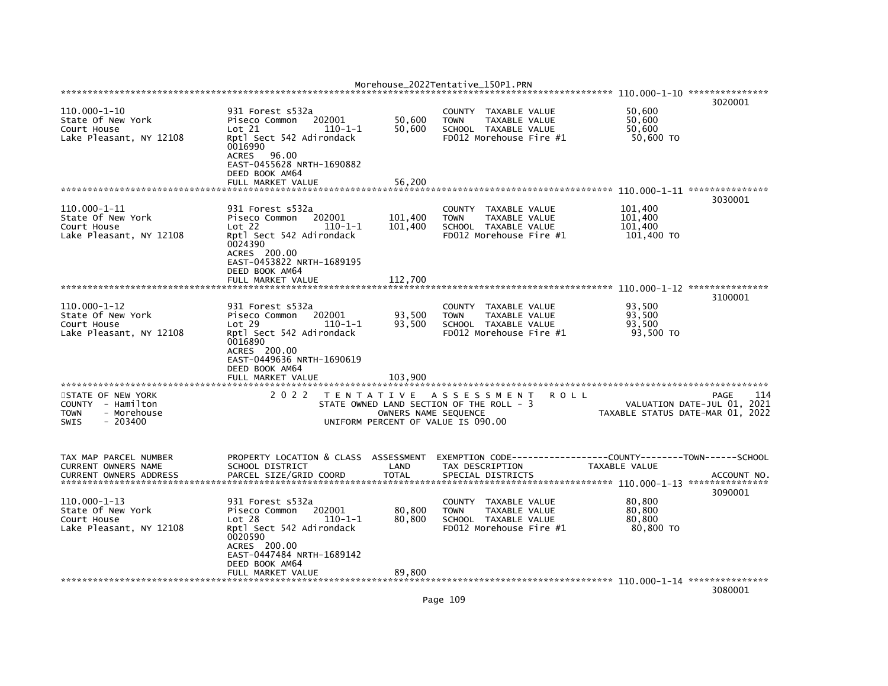|                                                                                             |                                                                                                                                                                                       |                                                                                 | Morehouse_2022Tentative_150P1.PRN                                                                                        |      |                                             |                                                                                |
|---------------------------------------------------------------------------------------------|---------------------------------------------------------------------------------------------------------------------------------------------------------------------------------------|---------------------------------------------------------------------------------|--------------------------------------------------------------------------------------------------------------------------|------|---------------------------------------------|--------------------------------------------------------------------------------|
|                                                                                             |                                                                                                                                                                                       |                                                                                 |                                                                                                                          |      |                                             | 3020001                                                                        |
| 110.000-1-10<br>State Of New York<br>Court House<br>Lake Pleasant, NY 12108                 | 931 Forest s532a<br>202001<br>Piseco Common<br>Lot 21<br>$110 - 1 - 1$<br>Rptl Sect 542 Adirondack<br>0016990<br><b>ACRES</b><br>96.00<br>EAST-0455628 NRTH-1690882<br>DEED BOOK AM64 | 50,600<br>50,600                                                                | <b>COUNTY</b><br>TAXABLE VALUE<br><b>TOWN</b><br><b>TAXABLE VALUE</b><br>SCHOOL TAXABLE VALUE<br>FD012 Morehouse Fire #1 |      | 50,600<br>50,600<br>50,600<br>50,600 TO     |                                                                                |
|                                                                                             | FULL MARKET VALUE                                                                                                                                                                     | 56,200                                                                          |                                                                                                                          |      |                                             | ***************                                                                |
|                                                                                             |                                                                                                                                                                                       |                                                                                 |                                                                                                                          |      |                                             | 3030001                                                                        |
| 110.000-1-11<br>State Of New York<br>Court House<br>Lake Pleasant, NY 12108                 | 931 Forest s532a<br>202001<br>Piseco Common<br>Lot 22<br>$110 - 1 - 1$<br>Rptl Sect 542 Adirondack<br>0024390<br>ACRES 200.00<br>EAST-0453822 NRTH-1689195<br>DEED BOOK AM64          | 101,400<br>101,400                                                              | <b>COUNTY</b><br>TAXABLE VALUE<br><b>TOWN</b><br>TAXABLE VALUE<br>SCHOOL TAXABLE VALUE<br>FD012 Morehouse Fire #1        |      | 101,400<br>101,400<br>101,400<br>101,400 TO |                                                                                |
|                                                                                             | FULL MARKET VALUE                                                                                                                                                                     | 112,700                                                                         |                                                                                                                          |      |                                             |                                                                                |
|                                                                                             |                                                                                                                                                                                       |                                                                                 |                                                                                                                          |      |                                             | 3100001                                                                        |
| $110.000 - 1 - 12$<br>State Of New York<br>Court House<br>Lake Pleasant, NY 12108           | 931 Forest s532a<br>202001<br>Piseco Common<br>Lot 29<br>$110 - 1 - 1$<br>Rptl Sect 542 Adirondack<br>0016890<br>ACRES 200.00<br>EAST-0449636 NRTH-1690619<br>DEED BOOK AM64          | 93,500<br>93,500                                                                | TAXABLE VALUE<br><b>COUNTY</b><br><b>TOWN</b><br>TAXABLE VALUE<br>SCHOOL TAXABLE VALUE<br>FD012 Morehouse Fire #1        |      | 93,500<br>93,500<br>93,500<br>93,500 TO     |                                                                                |
|                                                                                             | FULL MARKET VALUE                                                                                                                                                                     | 103,900                                                                         |                                                                                                                          |      |                                             |                                                                                |
| STATE OF NEW YORK<br>COUNTY<br>- Hamilton<br>- Morehouse<br>TOWN<br><b>SWIS</b><br>- 203400 | 2 0 2 2                                                                                                                                                                               | T E N T A T I V E<br>OWNERS NAME SEQUENCE<br>UNIFORM PERCENT OF VALUE IS 090.00 | A S S E S S M E N T<br>STATE OWNED LAND SECTION OF THE ROLL - 3                                                          | ROLL |                                             | 114<br>PAGE<br>VALUATION DATE-JUL 01, 2021<br>TAXABLE STATUS DATE-MAR 01, 2022 |
| TAX MAP PARCEL NUMBER<br>CURRENT OWNERS NAME<br><b>CURRENT OWNERS ADDRESS</b>               | PROPERTY LOCATION & CLASS<br>SCHOOL DISTRICT<br>PARCEL SIZE/GRID COORD                                                                                                                | ASSESSMENT<br>LAND<br><b>TOTAL</b>                                              | EXEMPTION CODE----<br>TAX DESCRIPTION<br>SPECIAL DISTRICTS                                                               |      | TAXABLE VALUE                               | ------COUNTY--------TOWN------SCHOOL<br>ACCOUNT NO                             |
| 110.000-1-13<br>State Of New York<br>Court House<br>Lake Pleasant, NY 12108                 | 931 Forest s532a<br>202001<br>Piseco Common<br>Lot 28<br>$110 - 1 - 1$<br>Rptl Sect 542 Adirondack<br>0020590<br>ACRES 200.00<br>EAST-0447484 NRTH-1689142<br>DEED BOOK AM64          | 80,800<br>80,800                                                                | <b>COUNTY</b><br>TAXABLE VALUE<br>TAXABLE VALUE<br><b>TOWN</b><br>SCHOOL TAXABLE VALUE<br>FD012 Morehouse Fire #1        |      | 80,800<br>80,800<br>80,800<br>80,800 TO     | 3090001                                                                        |
|                                                                                             | FULL MARKET VALUE                                                                                                                                                                     | 89,800                                                                          |                                                                                                                          |      |                                             | 3080001                                                                        |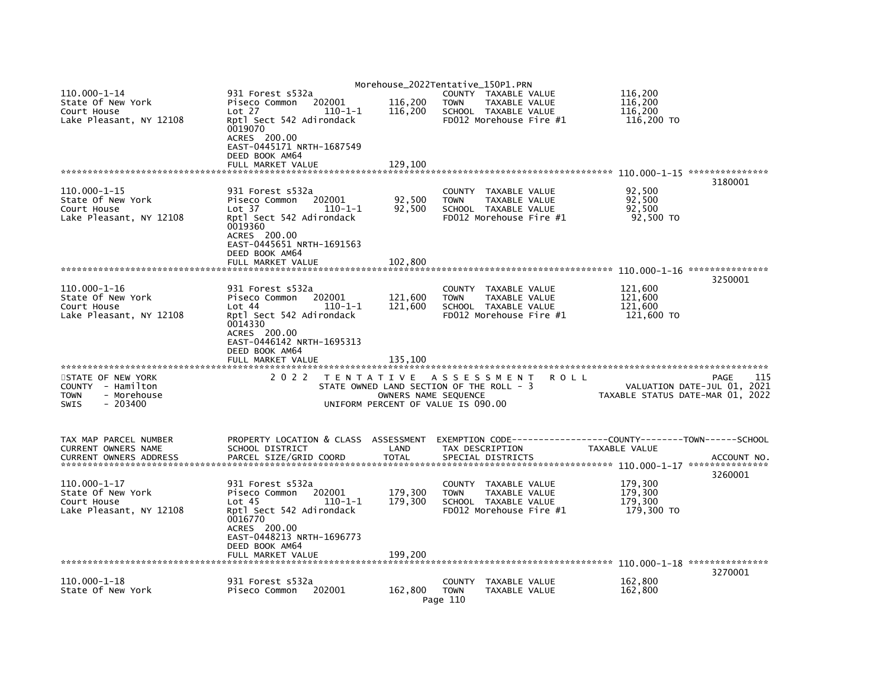|                                                                                           |                                                                                                                                          |                                                            | Morehouse_2022Tentative_150P1.PRN                                                                                 |                                                              |                                             |                                                                                |
|-------------------------------------------------------------------------------------------|------------------------------------------------------------------------------------------------------------------------------------------|------------------------------------------------------------|-------------------------------------------------------------------------------------------------------------------|--------------------------------------------------------------|---------------------------------------------|--------------------------------------------------------------------------------|
| 110.000-1-14<br>State Of New York<br>Court House                                          | 931 Forest s532a<br>202001<br>Piseco Common<br>Lot 27<br>$110 - 1 - 1$                                                                   | 116,200<br>116,200                                         | COUNTY TAXABLE VALUE<br><b>TOWN</b><br><b>TAXABLE VALUE</b><br>SCHOOL TAXABLE VALUE                               |                                                              | 116,200<br>116,200<br>116,200               |                                                                                |
| Lake Pleasant, NY 12108                                                                   | Rptl Sect 542 Adirondack<br>0019070<br>ACRES 200.00<br>EAST-0445171 NRTH-1687549<br>DEED BOOK AM64                                       |                                                            | FD012 Morehouse Fire #1                                                                                           |                                                              | 116,200 TO                                  |                                                                                |
|                                                                                           | FULL MARKET VALUE                                                                                                                        | 129,100                                                    |                                                                                                                   |                                                              |                                             |                                                                                |
| $110.000 - 1 - 15$<br>State Of New York<br>Court House<br>Lake Pleasant, NY 12108         | 931 Forest s532a<br>Piseco Common<br>202001<br>Lot 37<br>$110 - 1 - 1$<br>Rptl Sect 542 Adirondack                                       | 92,500<br>92,500                                           | COUNTY<br>TAXABLE VALUE<br>TAXABLE VALUE<br><b>TOWN</b><br>SCHOOL TAXABLE VALUE<br>FD012 Morehouse Fire #1        |                                                              | 92,500<br>92,500<br>92,500<br>92,500 TO     | 3180001                                                                        |
|                                                                                           | 0019360<br>ACRES 200.00<br>EAST-0445651 NRTH-1691563<br>DEED BOOK AM64<br>FULL MARKET VALUE                                              | 102,800                                                    |                                                                                                                   |                                                              |                                             |                                                                                |
|                                                                                           |                                                                                                                                          |                                                            |                                                                                                                   |                                                              |                                             | 3250001                                                                        |
| $110.000 - 1 - 16$<br>State Of New York<br>Court House<br>Lake Pleasant, NY 12108         | 931 Forest s532a<br>Piseco Common<br>202001<br>Lot 44<br>$110 - 1 - 1$<br>Rptl Sect 542 Adirondack                                       | 121,600<br>121,600                                         | <b>COUNTY</b><br>TAXABLE VALUE<br>TAXABLE VALUE<br><b>TOWN</b><br>SCHOOL TAXABLE VALUE<br>FD012 Morehouse Fire #1 |                                                              | 121,600<br>121,600<br>121,600<br>121,600 TO |                                                                                |
|                                                                                           | 0014330<br>ACRES 200.00<br>EAST-0446142 NRTH-1695313<br>DEED BOOK AM64<br>FULL MARKET VALUE                                              | 135,100                                                    |                                                                                                                   |                                                              |                                             |                                                                                |
|                                                                                           |                                                                                                                                          |                                                            |                                                                                                                   |                                                              |                                             |                                                                                |
| STATE OF NEW YORK<br>COUNTY - Hamilton<br>- Morehouse<br><b>TOWN</b><br>SWIS<br>$-203400$ | 2 0 2 2                                                                                                                                  | OWNERS NAME SEQUENCE<br>UNIFORM PERCENT OF VALUE IS 090.00 | TENTATIVE ASSESSMENT<br>STATE OWNED LAND SECTION OF THE ROLL - 3                                                  | <b>ROLL</b>                                                  |                                             | 115<br>PAGE<br>VALUATION DATE-JUL 01, 2021<br>TAXABLE STATUS DATE-MAR 01, 2022 |
| TAX MAP PARCEL NUMBER                                                                     | PROPERTY LOCATION & CLASS ASSESSMENT                                                                                                     |                                                            |                                                                                                                   | EXEMPTION CODE-----------------COUNTY-------TOWN------SCHOOL |                                             |                                                                                |
| CURRENT OWNERS NAME<br><b>CURRENT OWNERS ADDRESS</b>                                      | SCHOOL DISTRICT<br>PARCEL SIZE/GRID COORD                                                                                                | LAND<br><b>TOTAL</b>                                       | TAX DESCRIPTION<br>SPECIAL DISTRICTS                                                                              |                                                              | TAXABLE VALUE                               | ACCOUNT NO.                                                                    |
| 110.000-1-17<br>State Of New York                                                         | 931 Forest s532a<br>202001<br>Piseco Common                                                                                              | 179,300                                                    | TAXABLE VALUE<br><b>COUNTY</b><br><b>TOWN</b><br>TAXABLE VALUE                                                    |                                                              | 179,300<br>179,300                          | 3260001                                                                        |
| Court House<br>Lake Pleasant, NY 12108                                                    | $110 - 1 - 1$<br>Lot <sub>45</sub><br>Rptl Sect 542 Adirondack<br>0016770<br>ACRES 200.00<br>EAST-0448213 NRTH-1696773<br>DEED BOOK AM64 | 179,300                                                    | SCHOOL TAXABLE VALUE<br>FD012 Morehouse Fire #1                                                                   |                                                              | 179,300<br>179,300 TO                       |                                                                                |
|                                                                                           | FULL MARKET VALUE                                                                                                                        | 199,200                                                    |                                                                                                                   |                                                              |                                             |                                                                                |
| 110.000-1-18<br>State Of New York                                                         | 931 Forest s532a<br>Piseco Common<br>202001                                                                                              | 162,800                                                    | <b>COUNTY</b><br>TAXABLE VALUE<br><b>TOWN</b><br>TAXABLE VALUE<br>Page 110                                        |                                                              | 162,800<br>162,800                          | 3270001                                                                        |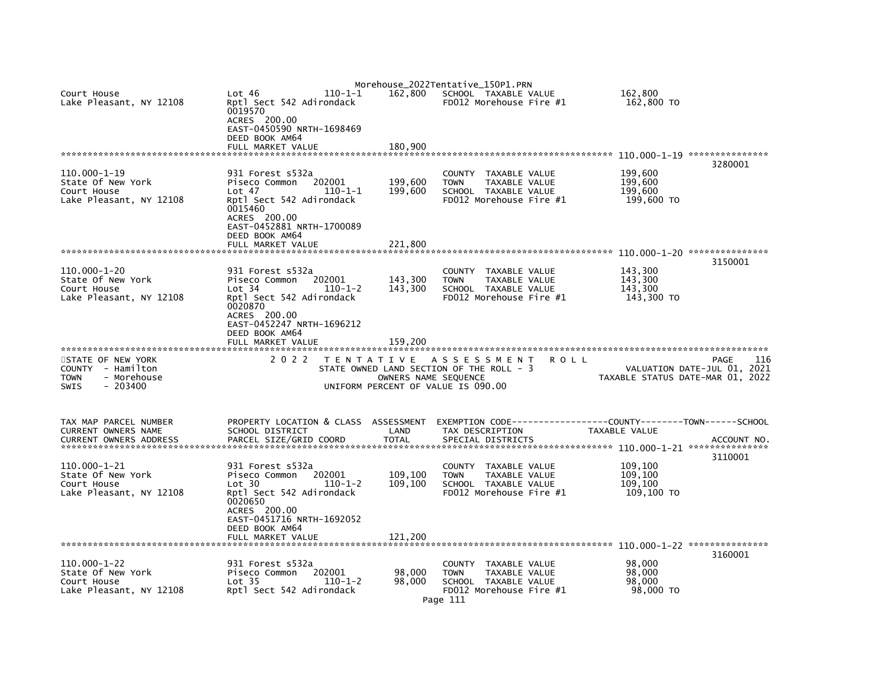| Court House<br>Lake Pleasant, NY 12108                                                                                                                       | Lot 46<br>$110 - 1 - 1$<br>Rptl Sect 542 Adirondack<br>0019570<br>ACRES 200.00<br>EAST-0450590 NRTH-1698469<br>DEED BOOK AM64<br>FULL MARKET VALUE                                                | 162.800<br>180,900                                       | Morehouse_2022Tentative_150P1.PRN<br>SCHOOL TAXABLE VALUE<br>$FD012$ Morehouse Fire $#1$                                                                                               | 162.800<br>162,800 TO                                                                                                               |
|--------------------------------------------------------------------------------------------------------------------------------------------------------------|---------------------------------------------------------------------------------------------------------------------------------------------------------------------------------------------------|----------------------------------------------------------|----------------------------------------------------------------------------------------------------------------------------------------------------------------------------------------|-------------------------------------------------------------------------------------------------------------------------------------|
| 110.000-1-19<br>State Of New York<br>Court House<br>Lake Pleasant, NY 12108                                                                                  | 931 Forest s532a<br>Piseco Common<br>202001<br>Lot 47<br>$110 - 1 - 1$<br>Rptl Sect 542 Adirondack<br>0015460<br>ACRES 200.00<br>EAST-0452881 NRTH-1700089<br>DEED BOOK AM64<br>FULL MARKET VALUE | 199,600<br>199,600<br>221,800                            | <b>COUNTY</b><br>TAXABLE VALUE<br><b>TOWN</b><br>TAXABLE VALUE<br>SCHOOL TAXABLE VALUE<br>FD012 Morehouse Fire #1                                                                      | 3280001<br>199,600<br>199,600<br>199,600<br>199,600 TO                                                                              |
| 110.000-1-20<br>State Of New York<br>Court House<br>Lake Pleasant, NY 12108                                                                                  | 931 Forest s532a<br>Piseco Common<br>202001<br>Lot 34<br>$110 - 1 - 2$<br>Rptl Sect 542 Adirondack<br>0020870<br>ACRES 200.00<br>EAST-0452247 NRTH-1696212                                        | 143,300<br>143,300                                       | <b>COUNTY</b><br>TAXABLE VALUE<br><b>TOWN</b><br>TAXABLE VALUE<br>SCHOOL TAXABLE VALUE<br>FD012 Morehouse Fire #1                                                                      | 3150001<br>143,300<br>143,300<br>143,300<br>143,300 TO                                                                              |
| STATE OF NEW YORK<br>COUNTY - Hamilton<br>- Morehouse<br>TOWN<br>$-203400$<br>SWIS                                                                           | DEED BOOK AM64<br>FULL MARKET VALUE<br>2 0 2 2                                                                                                                                                    | 159.200<br>OWNERS NAME SEQUENCE                          | TENTATIVE ASSESSMENT<br>ROLL<br>STATE OWNED LAND SECTION OF THE ROLL - 3<br>UNIFORM PERCENT OF VALUE IS 090.00                                                                         | PAGE<br>116<br>VALUATION DATE-JUL 01, 2021<br>TAXABLE STATUS DATE-MAR 01, 2022                                                      |
| TAX MAP PARCEL NUMBER<br>CURRENT OWNERS NAME<br><b>CURRENT OWNERS ADDRESS</b><br>110.000-1-21<br>State Of New York<br>Court House<br>Lake Pleasant, NY 12108 | PROPERTY LOCATION & CLASS<br>SCHOOL DISTRICT<br>PARCEL SIZE/GRID COORD<br>931 Forest s532a<br>Piseco Common<br>202001<br>Lot 30<br>$110 - 1 - 2$<br>Rptl Sect 542 Adirondack<br>0020650           | ASSESSMENT<br>LAND<br><b>TOTAL</b><br>109,100<br>109,100 | EXEMPTION CODE----<br>TAX DESCRIPTION<br>SPECIAL DISTRICTS<br>TAXABLE VALUE<br><b>COUNTY</b><br><b>TOWN</b><br><b>TAXABLE VALUE</b><br>SCHOOL TAXABLE VALUE<br>FD012 Morehouse Fire #1 | -----------COUNTY--------TOWN------SCHOOL<br>TAXABLE VALUE<br>ACCOUNT NO.<br>3110001<br>109,100<br>109,100<br>109,100<br>109,100 TO |
| $110.000 - 1 - 22$<br>State Of New York<br>Court House<br>Lake Pleasant, NY 12108                                                                            | ACRES 200.00<br>EAST-0451716 NRTH-1692052<br>DEED BOOK AM64<br>FULL MARKET VALUE<br>931 Forest s532a<br>202001<br>Piseco Common<br>Lot 35<br>$110 - 1 - 2$<br>Rptl Sect 542 Adirondack            | 121,200<br>98,000<br>98.000                              | COUNTY TAXABLE VALUE<br><b>TOWN</b><br>TAXABLE VALUE<br>SCHOOL TAXABLE VALUE<br>FD012 Morehouse Fire #1<br>Page 111                                                                    | 3160001<br>98,000<br>98,000<br>98,000<br>98,000 TO                                                                                  |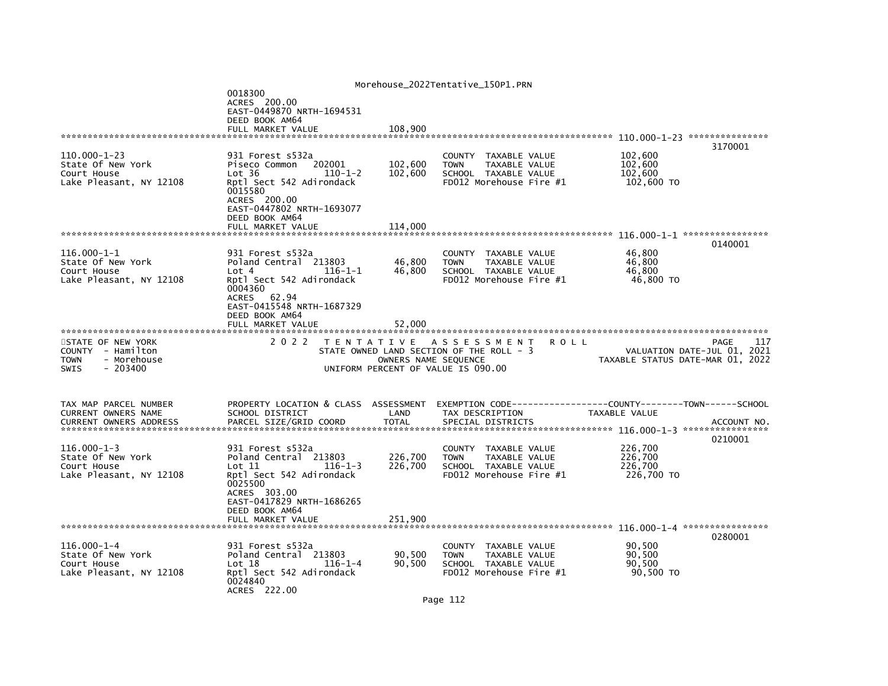|                                                                                           |                                                                                                                                                                                                 |                               | Morehouse_2022Tentative_150P1.PRN                                                                                 |                                                                 |                        |
|-------------------------------------------------------------------------------------------|-------------------------------------------------------------------------------------------------------------------------------------------------------------------------------------------------|-------------------------------|-------------------------------------------------------------------------------------------------------------------|-----------------------------------------------------------------|------------------------|
|                                                                                           | 0018300<br>ACRES 200.00<br>EAST-0449870 NRTH-1694531<br>DEED BOOK AM64<br>FULL MARKET VALUE                                                                                                     | 108.900                       |                                                                                                                   |                                                                 |                        |
|                                                                                           |                                                                                                                                                                                                 |                               |                                                                                                                   |                                                                 | 3170001                |
| $110.000 - 1 - 23$<br>State Of New York<br>Court House<br>Lake Pleasant, NY 12108         | 931 Forest s532a<br>Piseco Common<br>202001<br>Lot 36<br>$110 - 1 - 2$<br>Rptl Sect 542 Adirondack<br>0015580<br>ACRES 200.00<br>EAST-0447802 NRTH-1693077<br>DEED BOOK AM64                    | 102,600<br>102,600            | COUNTY TAXABLE VALUE<br>TAXABLE VALUE<br><b>TOWN</b><br>SCHOOL TAXABLE VALUE<br>FD012 Morehouse Fire #1           | 102,600<br>102,600<br>102,600<br>102,600 TO                     |                        |
|                                                                                           | FULL MARKET VALUE                                                                                                                                                                               | 114,000                       |                                                                                                                   |                                                                 |                        |
| $116.000 - 1 - 1$<br>State Of New York<br>Court House<br>Lake Pleasant, NY 12108          | 931 Forest s532a<br>Poland Central 213803<br>$116 - 1 - 1$<br>Lot 4<br>Rptl Sect 542 Adirondack<br>0004360<br>ACRES 62.94<br>EAST-0415548 NRTH-1687329<br>DEED BOOK AM64                        | 46,800<br>46,800              | COUNTY TAXABLE VALUE<br><b>TOWN</b><br>TAXABLE VALUE<br>SCHOOL TAXABLE VALUE<br>FD012 Morehouse Fire #1           | 46.800<br>46,800<br>46,800<br>46,800 TO                         | 0140001                |
|                                                                                           | FULL MARKET VALUE                                                                                                                                                                               | 52.000                        |                                                                                                                   |                                                                 |                        |
| STATE OF NEW YORK<br>COUNTY - Hamilton<br><b>TOWN</b><br>- Morehouse<br>SWIS<br>$-203400$ | 2 0 2 2                                                                                                                                                                                         | OWNERS NAME SEQUENCE          | TENTATIVE ASSESSMENT<br>R O L L<br>STATE OWNED LAND SECTION OF THE ROLL - 3<br>UNIFORM PERCENT OF VALUE IS 090.00 | VALUATION DATE-JUL 01, 2021<br>TAXABLE STATUS DATE-MAR 01, 2022 | 117<br>PAGE            |
| TAX MAP PARCEL NUMBER<br>CURRENT OWNERS NAME<br><b>CURRENT OWNERS ADDRESS</b>             | PROPERTY LOCATION & CLASS ASSESSMENT<br>SCHOOL DISTRICT<br>PARCEL SIZE/GRID COORD                                                                                                               | LAND<br><b>TOTAL</b>          | EXEMPTION CODE----------<br>TAX DESCRIPTION<br>SPECIAL DISTRICTS                                                  | -------COUNTY--------TOWN------SCHOOL<br>TAXABLE VALUE          | ACCOUNT NO.<br>0210001 |
| $116.000 - 1 - 3$<br>State Of New York<br>Court House<br>Lake Pleasant, NY 12108          | 931 Forest s532a<br>Poland Central 213803<br>Lot 11<br>$116 - 1 - 3$<br>Rptl Sect 542 Adirondack<br>0025500<br>ACRES 303.00<br>EAST-0417829 NRTH-1686265<br>DEED BOOK AM64<br>FULL MARKET VALUE | 226,700<br>226,700<br>251,900 | COUNTY<br>TAXABLE VALUE<br>TAXABLE VALUE<br><b>TOWN</b><br>SCHOOL TAXABLE VALUE<br>FD012 Morehouse Fire #1        | 226,700<br>226,700<br>226,700<br>226,700 TO                     |                        |
|                                                                                           |                                                                                                                                                                                                 |                               |                                                                                                                   |                                                                 |                        |
| $116.000 - 1 - 4$<br>State Of New York<br>Court House<br>Lake Pleasant, NY 12108          | 931 Forest s532a<br>Poland Central 213803<br>Lot 18<br>$116 - 1 - 4$<br>Rptl Sect 542 Adirondack<br>0024840<br>ACRES 222.00                                                                     | 90,500<br>90,500              | COUNTY<br>TAXABLE VALUE<br><b>TOWN</b><br>TAXABLE VALUE<br>SCHOOL TAXABLE VALUE<br>FD012 Morehouse Fire #1        | 90,500<br>90,500<br>90,500<br>90,500 TO                         | 0280001                |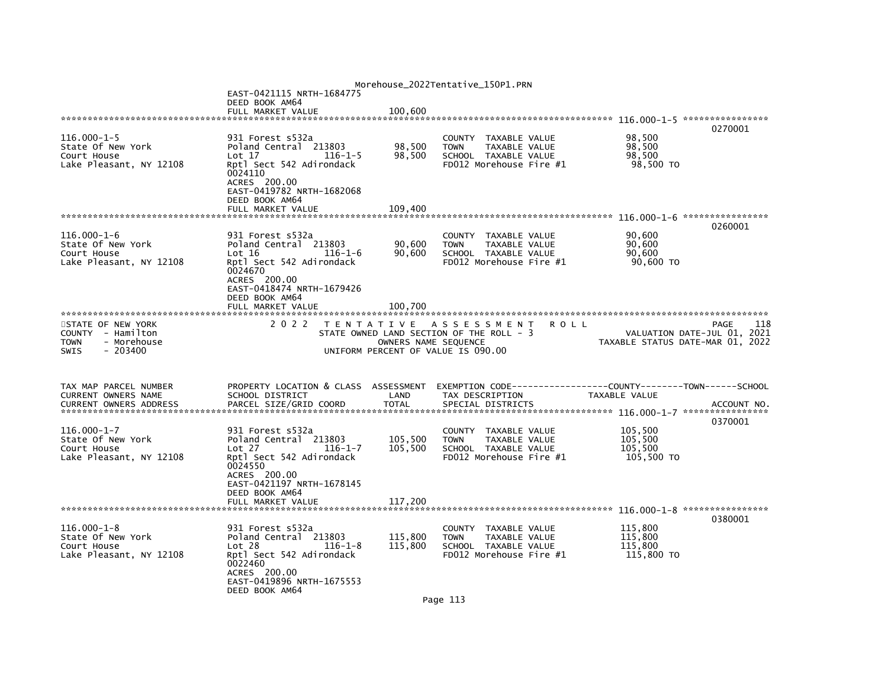|                                        |                                                  |                      | Morehouse_2022Tentative_150P1.PRN                                               |                                                               |
|----------------------------------------|--------------------------------------------------|----------------------|---------------------------------------------------------------------------------|---------------------------------------------------------------|
|                                        | EAST-0421115 NRTH-1684775                        |                      |                                                                                 |                                                               |
|                                        | DEED BOOK AM64                                   |                      |                                                                                 |                                                               |
|                                        |                                                  |                      |                                                                                 |                                                               |
|                                        |                                                  |                      |                                                                                 | 0270001                                                       |
| $116.000 - 1 - 5$<br>State Of New York | 931 Forest s532a<br>Poland Central 213803        | 98,500               | COUNTY TAXABLE VALUE<br>TAXABLE VALUE<br><b>TOWN</b>                            | 98,500<br>98,500                                              |
| Court House                            | Lot 17<br>$116 - 1 - 5$                          | 98,500               | SCHOOL TAXABLE VALUE                                                            | 98,500                                                        |
| Lake Pleasant, NY 12108                | Rptl Sect 542 Adirondack                         |                      | FD012 Morehouse Fire #1                                                         | 98,500 TO                                                     |
|                                        | 0024110                                          |                      |                                                                                 |                                                               |
|                                        | ACRES 200.00<br>EAST-0419782 NRTH-1682068        |                      |                                                                                 |                                                               |
|                                        | DEED BOOK AM64                                   |                      |                                                                                 |                                                               |
|                                        | FULL MARKET VALUE                                | 109.400              |                                                                                 |                                                               |
|                                        |                                                  |                      |                                                                                 |                                                               |
| $116.000 - 1 - 6$                      |                                                  |                      |                                                                                 | 0260001                                                       |
| State Of New York                      | 931 Forest s532a<br>Poland Central 213803        | 90,600               | COUNTY TAXABLE VALUE<br>TAXABLE VALUE<br><b>TOWN</b>                            | 90,600<br>90,600                                              |
| Court House                            | Lot 16<br>$116 - 1 - 6$                          | 90,600               | SCHOOL TAXABLE VALUE                                                            | 90.600                                                        |
| Lake Pleasant, NY 12108                | Rptl Sect 542 Adirondack                         |                      | FD012 Morehouse Fire #1                                                         | 90,600 TO                                                     |
|                                        | 0024670                                          |                      |                                                                                 |                                                               |
|                                        | ACRES 200.00<br>EAST-0418474 NRTH-1679426        |                      |                                                                                 |                                                               |
|                                        | DEED BOOK AM64                                   |                      |                                                                                 |                                                               |
|                                        | FULL MARKET VALUE                                | 100,700              |                                                                                 |                                                               |
|                                        |                                                  |                      |                                                                                 |                                                               |
| STATE OF NEW YORK<br>COUNTY - Hamilton | 2 0 2 2                                          |                      | TENTATIVE ASSESSMENT<br><b>ROLL</b><br>STATE OWNED LAND SECTION OF THE ROLL - 3 | 118<br>PAGE<br>VALUATION DATE-JUL 01, 2021                    |
| - Morehouse<br><b>TOWN</b>             |                                                  | OWNERS NAME SEQUENCE |                                                                                 | TAXABLE STATUS DATE-MAR 01, 2022                              |
| $-203400$<br><b>SWIS</b>               |                                                  |                      | UNIFORM PERCENT OF VALUE IS 090.00                                              |                                                               |
|                                        |                                                  |                      |                                                                                 |                                                               |
|                                        |                                                  |                      |                                                                                 |                                                               |
| TAX MAP PARCEL NUMBER                  | PROPERTY LOCATION & CLASS ASSESSMENT             |                      |                                                                                 | EXEMPTION CODE------------------COUNTY-------TOWN------SCHOOL |
| CURRENT OWNERS NAME                    | SCHOOL DISTRICT                                  | LAND                 | TAX DESCRIPTION                                                                 | TAXABLE VALUE                                                 |
|                                        |                                                  |                      |                                                                                 |                                                               |
|                                        |                                                  |                      |                                                                                 | 0370001                                                       |
| $116.000 - 1 - 7$                      | 931 Forest s532a                                 |                      | COUNTY TAXABLE VALUE                                                            | 105,500                                                       |
| State Of New York<br>Court House       | Poland Central 213803<br>Lot 27<br>$116 - 1 - 7$ | 105,500<br>105,500   | <b>TOWN</b><br>TAXABLE VALUE                                                    | 105,500<br>105.500                                            |
| Lake Pleasant, NY 12108                | Rptl Sect 542 Adirondack                         |                      | SCHOOL TAXABLE VALUE<br>FD012 Morehouse Fire #1                                 | 105,500 TO                                                    |
|                                        | 0024550                                          |                      |                                                                                 |                                                               |
|                                        | ACRES 200.00                                     |                      |                                                                                 |                                                               |
|                                        | EAST-0421197 NRTH-1678145<br>DEED BOOK AM64      |                      |                                                                                 |                                                               |
|                                        |                                                  |                      |                                                                                 |                                                               |
|                                        |                                                  |                      |                                                                                 |                                                               |
|                                        |                                                  |                      |                                                                                 | 0380001                                                       |
| $116.000 - 1 - 8$<br>State Of New York | 931 Forest s532a                                 |                      | COUNTY<br>TAXABLE VALUE                                                         | 115,800<br>115,800                                            |
| Court House                            | Poland Central 213803<br>Lot 28<br>$116 - 1 - 8$ | 115,800<br>115,800   | TAXABLE VALUE<br><b>TOWN</b><br>SCHOOL TAXABLE VALUE                            | 115,800                                                       |
| Lake Pleasant, NY 12108                | Rptl Sect 542 Adirondack                         |                      | FD012 Morehouse Fire #1                                                         | 115,800 TO                                                    |
|                                        | 0022460                                          |                      |                                                                                 |                                                               |
|                                        | ACRES 200.00<br>EAST-0419896 NRTH-1675553        |                      |                                                                                 |                                                               |
|                                        | DEED BOOK AM64                                   |                      |                                                                                 |                                                               |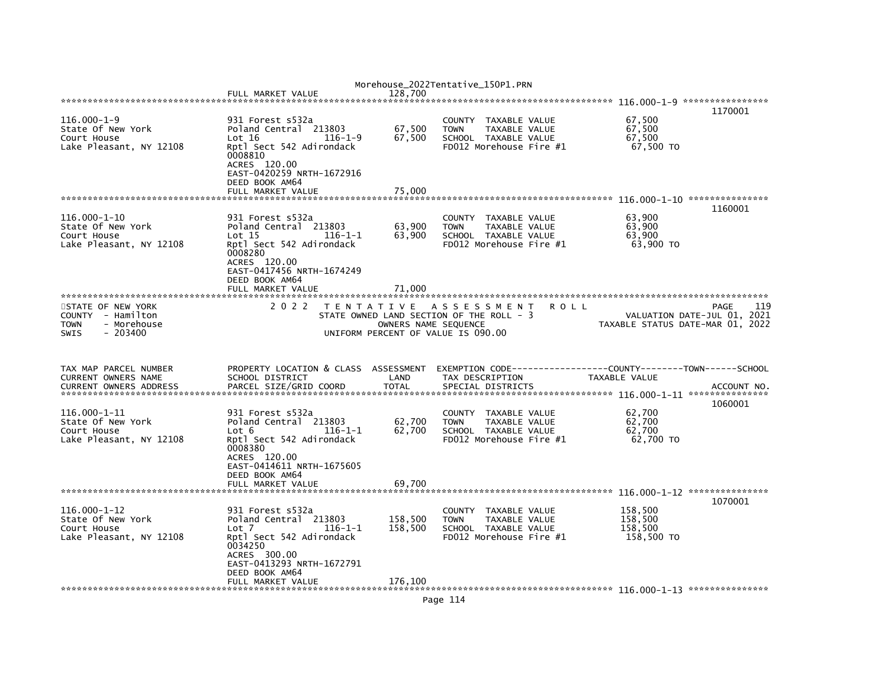|                               |                                           |                                    | Morehouse_2022Tentative_150P1.PRN                           |                                                              |                    |                                  |
|-------------------------------|-------------------------------------------|------------------------------------|-------------------------------------------------------------|--------------------------------------------------------------|--------------------|----------------------------------|
|                               | FULL MARKET VALUE                         | 128.700                            |                                                             |                                                              |                    |                                  |
|                               |                                           |                                    |                                                             |                                                              |                    |                                  |
|                               |                                           |                                    |                                                             |                                                              |                    | 1170001                          |
| $116.000 - 1 - 9$             | 931 Forest s532a                          |                                    | COUNTY TAXABLE VALUE                                        |                                                              | 67,500             |                                  |
| State Of New York             | Poland Central 213803                     | 67,500                             | <b>TOWN</b><br>TAXABLE VALUE                                |                                                              | 67,500             |                                  |
| Court House                   | Lot 16<br>$116 - 1 - 9$                   | 67,500                             | SCHOOL TAXABLE VALUE                                        |                                                              | 67,500             |                                  |
| Lake Pleasant, NY 12108       | Rptl Sect 542 Adirondack                  |                                    | FD012 Morehouse Fire #1                                     |                                                              | 67,500 TO          |                                  |
|                               | 0008810<br>ACRES 120.00                   |                                    |                                                             |                                                              |                    |                                  |
|                               | EAST-0420259 NRTH-1672916                 |                                    |                                                             |                                                              |                    |                                  |
|                               | DEED BOOK AM64                            |                                    |                                                             |                                                              |                    |                                  |
|                               | FULL MARKET VALUE                         | 75.000                             |                                                             |                                                              |                    |                                  |
|                               |                                           |                                    |                                                             |                                                              |                    |                                  |
|                               |                                           |                                    |                                                             |                                                              |                    | 1160001                          |
| 116.000-1-10                  | 931 Forest s532a                          |                                    | COUNTY TAXABLE VALUE                                        |                                                              | 63,900             |                                  |
| State Of New York             | Poland Central 213803                     | 63,900                             | <b>TOWN</b><br>TAXABLE VALUE                                |                                                              | 63.900             |                                  |
| Court House                   | Lot 15<br>$116 - 1 - 1$                   | 63,900                             | SCHOOL TAXABLE VALUE                                        |                                                              | 63,900             |                                  |
| Lake Pleasant, NY 12108       | Rptl Sect 542 Adirondack                  |                                    | FD012 Morehouse Fire $#1$                                   |                                                              | 63,900 TO          |                                  |
|                               | 0008280                                   |                                    |                                                             |                                                              |                    |                                  |
|                               | ACRES 120.00                              |                                    |                                                             |                                                              |                    |                                  |
|                               | EAST-0417456 NRTH-1674249                 |                                    |                                                             |                                                              |                    |                                  |
|                               | DEED BOOK AM64                            |                                    |                                                             |                                                              |                    |                                  |
|                               | FULL MARKET VALUE                         | 71,000                             |                                                             |                                                              |                    |                                  |
|                               |                                           |                                    |                                                             |                                                              |                    |                                  |
| STATE OF NEW YORK             | 2 0 2 2                                   |                                    | TENTATIVE ASSESSMENT                                        | <b>ROLL</b>                                                  |                    | PAGE<br>119                      |
| COUNTY - Hamilton             |                                           |                                    | STATE OWNED LAND SECTION OF THE ROLL - 3                    |                                                              |                    | VALUATION DATE-JUL 01, 2021      |
| - Morehouse<br><b>TOWN</b>    |                                           | OWNERS NAME SEQUENCE               |                                                             |                                                              |                    | TAXABLE STATUS DATE-MAR 01, 2022 |
| $-203400$<br><b>SWIS</b>      |                                           | UNIFORM PERCENT OF VALUE IS 090.00 |                                                             |                                                              |                    |                                  |
|                               |                                           |                                    |                                                             |                                                              |                    |                                  |
|                               |                                           |                                    |                                                             |                                                              |                    |                                  |
|                               |                                           |                                    |                                                             |                                                              |                    |                                  |
|                               |                                           |                                    |                                                             |                                                              |                    |                                  |
| TAX MAP PARCEL NUMBER         | PROPERTY LOCATION & CLASS ASSESSMENT      |                                    |                                                             | EXEMPTION CODE-----------------COUNTY-------TOWN------SCHOOL |                    |                                  |
| CURRENT OWNERS NAME           | SCHOOL DISTRICT                           | LAND                               | TAX DESCRIPTION                                             |                                                              | TAXABLE VALUE      |                                  |
| <b>CURRENT OWNERS ADDRESS</b> | PARCEL SIZE/GRID COORD                    | <b>TOTAL</b>                       | SPECIAL DISTRICTS                                           |                                                              |                    | ACCOUNT NO.                      |
|                               |                                           |                                    |                                                             |                                                              |                    |                                  |
|                               |                                           |                                    |                                                             |                                                              |                    | 1060001                          |
| 116.000-1-11                  | 931 Forest s532a                          |                                    | COUNTY TAXABLE VALUE                                        |                                                              | 62,700             |                                  |
| State Of New York             | Poland Central 213803                     | 62,700                             | <b>TOWN</b><br>TAXABLE VALUE                                |                                                              | 62,700             |                                  |
| Court House                   | $116 - 1 - 1$<br>Lot 6                    | 62.700                             | SCHOOL TAXABLE VALUE                                        |                                                              | 62.700             |                                  |
| Lake Pleasant, NY 12108       | Rptl Sect 542 Adirondack                  |                                    | FD012 Morehouse Fire #1                                     |                                                              | 62,700 TO          |                                  |
|                               | 0008380                                   |                                    |                                                             |                                                              |                    |                                  |
|                               | ACRES 120.00                              |                                    |                                                             |                                                              |                    |                                  |
|                               | EAST-0414611 NRTH-1675605                 |                                    |                                                             |                                                              |                    |                                  |
|                               | DEED BOOK AM64                            |                                    |                                                             |                                                              |                    |                                  |
|                               | FULL MARKET VALUE                         | 69.700                             |                                                             |                                                              |                    |                                  |
|                               |                                           |                                    |                                                             |                                                              |                    |                                  |
| $116.000 - 1 - 12$            |                                           |                                    |                                                             |                                                              |                    | 1070001                          |
| State Of New York             | 931 Forest s532a<br>Poland Central 213803 |                                    | COUNTY TAXABLE VALUE<br><b>TOWN</b><br><b>TAXABLE VALUE</b> |                                                              | 158,500<br>158.500 |                                  |
| Court House                   | $116 - 1 - 1$<br>Lot 7                    | 158,500<br>158,500                 | SCHOOL TAXABLE VALUE                                        |                                                              | 158,500            |                                  |
| Lake Pleasant, NY 12108       | Rptl Sect 542 Adirondack                  |                                    | FD012 Morehouse Fire #1                                     |                                                              | 158,500 TO         |                                  |
|                               | 0034250                                   |                                    |                                                             |                                                              |                    |                                  |
|                               | ACRES 300.00                              |                                    |                                                             |                                                              |                    |                                  |
|                               | EAST-0413293 NRTH-1672791                 |                                    |                                                             |                                                              |                    |                                  |
|                               | DEED BOOK AM64                            |                                    |                                                             |                                                              |                    |                                  |
|                               | FULL MARKET VALUE                         | 176.100                            |                                                             |                                                              |                    |                                  |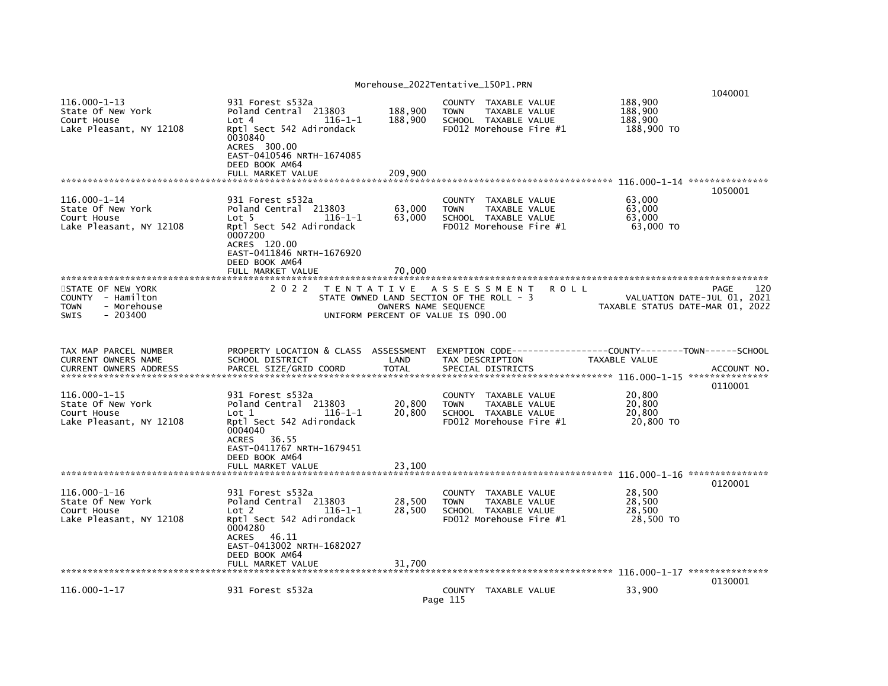| $116.000 - 1 - 13$<br>State Of New York<br>Court House<br>Lake Pleasant, NY 12108                | 931 Forest s532a<br>Poland Central 213803<br>Lot 4<br>$116 - 1 - 1$<br>Rptl Sect 542 Adirondack<br>0030840<br>ACRES 300.00<br>EAST-0410546 NRTH-1674085                             | 188,900<br><b>TOWN</b><br>188,900                                                                                              | COUNTY TAXABLE VALUE<br>TAXABLE VALUE<br>SCHOOL TAXABLE VALUE<br>FD012 Morehouse Fire #1     | 188,900<br>188,900<br>188,900<br>188,900 TO | 1040001                                    |
|--------------------------------------------------------------------------------------------------|-------------------------------------------------------------------------------------------------------------------------------------------------------------------------------------|--------------------------------------------------------------------------------------------------------------------------------|----------------------------------------------------------------------------------------------|---------------------------------------------|--------------------------------------------|
|                                                                                                  | DEED BOOK AM64<br>FULL MARKET VALUE                                                                                                                                                 | 209,900                                                                                                                        |                                                                                              |                                             |                                            |
|                                                                                                  |                                                                                                                                                                                     |                                                                                                                                |                                                                                              |                                             | 1050001                                    |
| $116.000 - 1 - 14$<br>State Of New York<br>Court House<br>Lake Pleasant, NY 12108                | 931 Forest s532a<br>Poland Central 213803<br>Lot <sub>5</sub><br>116-1-1<br>Rptl Sect 542 Adirondack<br>0007200<br>ACRES 120.00<br>EAST-0411846 NRTH-1676920<br>DEED BOOK AM64      | 63,000<br><b>TOWN</b><br>63,000                                                                                                | COUNTY TAXABLE VALUE<br>TAXABLE VALUE<br>SCHOOL TAXABLE VALUE<br>FD012 Morehouse Fire #1     | 63,000<br>63,000<br>63,000<br>63,000 TO     |                                            |
|                                                                                                  | FULL MARKET VALUE                                                                                                                                                                   | 70.000                                                                                                                         |                                                                                              |                                             |                                            |
| STATE OF NEW YORK<br>COUNTY - Hamilton<br>- Morehouse<br><b>TOWN</b><br>$-203400$<br><b>SWIS</b> | 2 0 2 2                                                                                                                                                                             | TENTATIVE ASSESSMENT<br>STATE OWNED LAND SECTION OF THE ROLL - 3<br>OWNERS NAME SEQUENCE<br>UNIFORM PERCENT OF VALUE IS 090.00 | <b>ROLL</b>                                                                                  | TAXABLE STATUS DATE-MAR 01, 2022            | 120<br>PAGE<br>VALUATION DATE-JUL 01, 2021 |
| TAX MAP PARCEL NUMBER<br><b>CURRENT OWNERS NAME</b>                                              | PROPERTY LOCATION & CLASS ASSESSMENT                                                                                                                                                | LAND                                                                                                                           | TAX DESCRIPTION                                                                              | TAXABLE VALUE                               |                                            |
| <b>CURRENT OWNERS ADDRESS</b>                                                                    | SCHOOL DISTRICT<br>PARCEL SIZE/GRID COORD                                                                                                                                           | <b>TOTAL</b>                                                                                                                   | SPECIAL DISTRICTS                                                                            |                                             | ACCOUNT NO.                                |
| $116.000 - 1 - 15$<br>State Of New York<br>Court House<br>Lake Pleasant, NY 12108                | 931 Forest s532a<br>Poland Central 213803<br>Lot 1<br>$116 - 1 - 1$<br>Rptl Sect 542 Adirondack<br>0004040<br>ACRES 36.55<br>EAST-0411767 NRTH-1679451<br>DEED BOOK AM64            | 20,800<br><b>TOWN</b><br>20,800                                                                                                | COUNTY TAXABLE VALUE<br>TAXABLE VALUE<br>SCHOOL TAXABLE VALUE<br>$FD012$ Morehouse Fire $#1$ | 20.800<br>20,800<br>20.800<br>20,800 TO     | 0110001                                    |
|                                                                                                  | FULL MARKET VALUE                                                                                                                                                                   | 23,100                                                                                                                         |                                                                                              |                                             |                                            |
|                                                                                                  |                                                                                                                                                                                     |                                                                                                                                |                                                                                              |                                             | 0120001                                    |
| $116.000 - 1 - 16$<br>State Of New York<br>Court House<br>Lake Pleasant, NY 12108                | 931 Forest s532a<br>Poland Central 213803<br>Lot <sub>2</sub><br>$116 - 1 - 1$<br>Rptl Sect 542 Adirondack<br>0004280<br>ACRES 46.11<br>EAST-0413002 NRTH-1682027<br>DEED BOOK AM64 | 28,500<br><b>TOWN</b><br>28,500                                                                                                | COUNTY TAXABLE VALUE<br>TAXABLE VALUE<br>SCHOOL TAXABLE VALUE<br>FD012 Morehouse Fire #1     | 28,500<br>28,500<br>28,500<br>28,500 TO     |                                            |
|                                                                                                  | FULL MARKET VALUE                                                                                                                                                                   | 31.700                                                                                                                         |                                                                                              |                                             |                                            |
| 116.000-1-17                                                                                     | 931 Forest s532a                                                                                                                                                                    | Page 115                                                                                                                       | COUNTY TAXABLE VALUE                                                                         | 33,900                                      | 0130001                                    |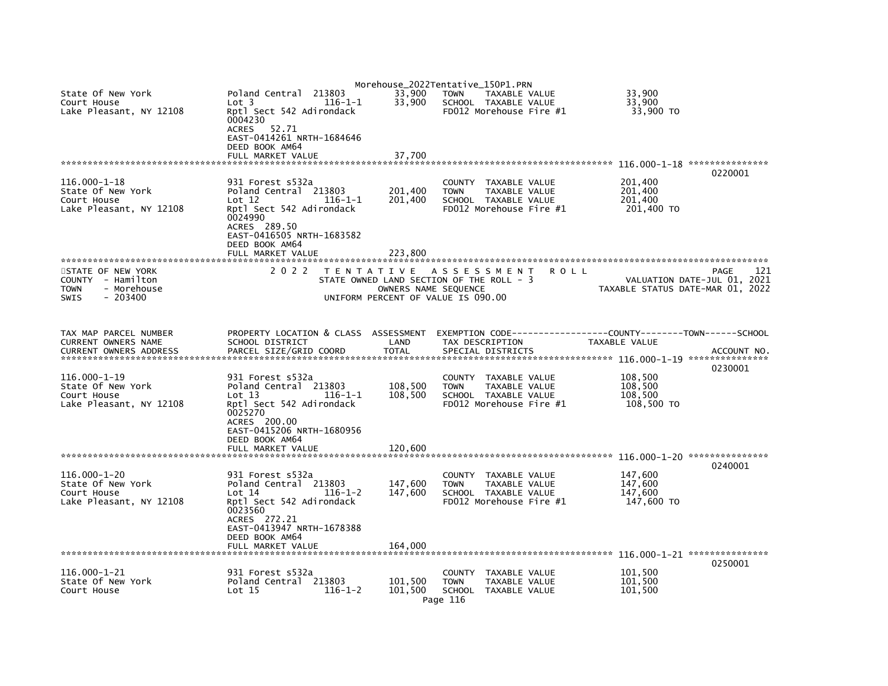|                               |                                      |                      | Morehouse_2022Tentative_150P1.PRN        |                                                               |
|-------------------------------|--------------------------------------|----------------------|------------------------------------------|---------------------------------------------------------------|
| State Of New York             | 213803<br>Poland Central             | 33,900               | <b>TOWN</b><br>TAXABLE VALUE             | 33,900                                                        |
| Court House                   | Lot <sub>3</sub><br>$116 - 1 - 1$    | 33,900               | SCHOOL TAXABLE VALUE                     | 33.900                                                        |
| Lake Pleasant, NY 12108       | Rptl Sect 542 Adirondack             |                      | FD012 Morehouse Fire #1                  | 33,900 TO                                                     |
|                               | 0004230                              |                      |                                          |                                                               |
|                               | ACRES 52.71                          |                      |                                          |                                                               |
|                               | EAST-0414261 NRTH-1684646            |                      |                                          |                                                               |
|                               | DEED BOOK AM64                       |                      |                                          |                                                               |
|                               | FULL MARKET VALUE                    | 37,700               |                                          |                                                               |
|                               |                                      |                      |                                          | 0220001                                                       |
| 116.000-1-18                  | 931 Forest s532a                     |                      | COUNTY TAXABLE VALUE                     | 201,400                                                       |
| State Of New York             | Poland Central 213803                | 201,400              | <b>TOWN</b><br>TAXABLE VALUE             | 201,400                                                       |
| Court House                   | Lot 12<br>$116 - 1 - 1$              | 201,400              | SCHOOL TAXABLE VALUE                     | 201,400                                                       |
| Lake Pleasant, NY 12108       | Rptl Sect 542 Adirondack             |                      | FD012 Morehouse Fire #1                  | 201,400 TO                                                    |
|                               | 0024990                              |                      |                                          |                                                               |
|                               | ACRES 289.50                         |                      |                                          |                                                               |
|                               | EAST-0416505 NRTH-1683582            |                      |                                          |                                                               |
|                               | DEED BOOK AM64                       |                      |                                          |                                                               |
|                               | FULL MARKET VALUE                    | 223.800              |                                          |                                                               |
|                               |                                      |                      |                                          |                                                               |
| STATE OF NEW YORK             | 2 0 2 2                              | T E N T A T I V E    | A S S E S S M E N T<br><b>ROLL</b>       | PAGE<br>121                                                   |
| COUNTY - Hamilton             |                                      |                      | STATE OWNED LAND SECTION OF THE ROLL - 3 | VALUATION DATE-JUL 01, 2021                                   |
| <b>TOWN</b><br>- Morehouse    |                                      | OWNERS NAME SEQUENCE |                                          | TAXABLE STATUS DATE-MAR 01, 2022                              |
| $-203400$<br><b>SWIS</b>      |                                      |                      | UNIFORM PERCENT OF VALUE IS 090.00       |                                                               |
|                               |                                      |                      |                                          |                                                               |
|                               |                                      |                      |                                          |                                                               |
| TAX MAP PARCEL NUMBER         | PROPERTY LOCATION & CLASS ASSESSMENT |                      |                                          | EXEMPTION CODE------------------COUNTY-------TOWN------SCHOOL |
| CURRENT OWNERS NAME           | SCHOOL DISTRICT                      | LAND                 | TAX DESCRIPTION                          | TAXABLE VALUE                                                 |
| <b>CURRENT OWNERS ADDRESS</b> | PARCEL SIZE/GRID COORD               | <b>TOTAL</b>         | SPECIAL DISTRICTS                        | ACCOUNT NO.                                                   |
|                               |                                      |                      |                                          |                                                               |
|                               |                                      |                      |                                          | 0230001                                                       |
| 116.000-1-19                  | 931 Forest s532a                     |                      | COUNTY TAXABLE VALUE                     | 108,500                                                       |
| State Of New York             | Poland Central 213803                | 108,500              | <b>TOWN</b><br>TAXABLE VALUE             | 108,500                                                       |
| Court House                   | Lot $13$<br>$116 - 1 - 1$            | 108,500              | SCHOOL TAXABLE VALUE                     | 108,500                                                       |
| Lake Pleasant, NY 12108       | Rptl Sect 542 Adirondack             |                      | FD012 Morehouse Fire $#1$                | 108,500 TO                                                    |
|                               | 0025270                              |                      |                                          |                                                               |
|                               | ACRES 200.00                         |                      |                                          |                                                               |
|                               | EAST-0415206 NRTH-1680956            |                      |                                          |                                                               |
|                               | DEED BOOK AM64                       |                      |                                          |                                                               |
|                               | FULL MARKET VALUE                    | 120.600              |                                          |                                                               |
|                               |                                      |                      |                                          | 0240001                                                       |
| $116.000 - 1 - 20$            | 931 Forest s532a                     |                      | COUNTY TAXABLE VALUE                     | 147,600                                                       |
| State Of New York             | Poland Central 213803                | 147,600              | <b>TOWN</b><br>TAXABLE VALUE             | 147,600                                                       |
| Court House                   | Lot 14<br>$116 - 1 - 2$              | 147,600              | SCHOOL TAXABLE VALUE                     | 147,600                                                       |
| Lake Pleasant, NY 12108       | Rptl Sect 542 Adirondack             |                      | FD012 Morehouse Fire $#1$                | 147,600 TO                                                    |
|                               | 0023560                              |                      |                                          |                                                               |
|                               | ACRES 272.21                         |                      |                                          |                                                               |
|                               | EAST-0413947 NRTH-1678388            |                      |                                          |                                                               |
|                               | DEED BOOK AM64                       |                      |                                          |                                                               |
|                               | FULL MARKET VALUE                    | 164,000              |                                          |                                                               |
|                               |                                      |                      |                                          |                                                               |
|                               |                                      |                      |                                          | 0250001                                                       |
| 116.000-1-21                  | 931 Forest s532a                     |                      | COUNTY TAXABLE VALUE                     | 101,500                                                       |
| State Of New York             | Poland Central 213803                | 101,500              | TAXABLE VALUE<br><b>TOWN</b>             | 101,500                                                       |
| Court House                   | Lot 15<br>$116 - 1 - 2$              | 101,500              | SCHOOL TAXABLE VALUE                     | 101,500                                                       |
|                               |                                      |                      | Page 116                                 |                                                               |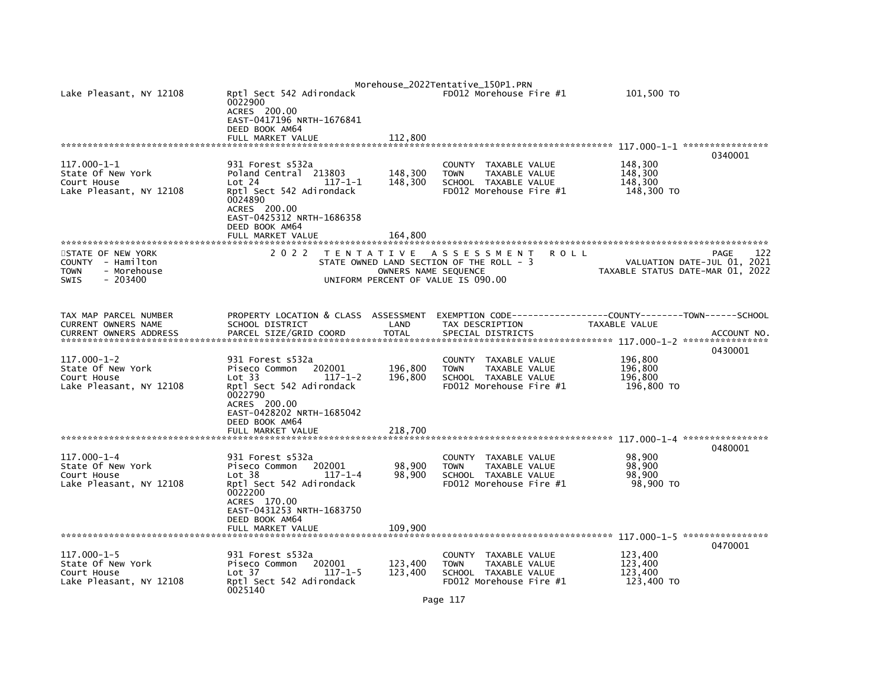| Lake Pleasant, NY 12108                                                                   | Rptl Sect 542 Adirondack<br>0022900<br>ACRES 200.00<br>EAST-0417196 NRTH-1676841<br>DEED BOOK AM64                                                                                                |                               | Morehouse_2022Tentative_150P1.PRN<br>FD012 Morehouse Fire #1                                                      | 101,500 TO                                  |                                            |
|-------------------------------------------------------------------------------------------|---------------------------------------------------------------------------------------------------------------------------------------------------------------------------------------------------|-------------------------------|-------------------------------------------------------------------------------------------------------------------|---------------------------------------------|--------------------------------------------|
|                                                                                           | FULL MARKET VALUE                                                                                                                                                                                 | 112,800                       |                                                                                                                   |                                             | 0340001                                    |
| 117.000-1-1<br>State Of New York<br>Court House<br>Lake Pleasant, NY 12108                | 931 Forest s532a<br>Poland Central 213803<br>Lot 24<br>$117 - 1 - 1$<br>Rptl Sect 542 Adirondack<br>0024890<br>ACRES 200.00<br>EAST-0425312 NRTH-1686358<br>DEED BOOK AM64<br>FULL MARKET VALUE   | 148,300<br>148,300<br>164,800 | <b>COUNTY</b><br>TAXABLE VALUE<br>TAXABLE VALUE<br><b>TOWN</b><br>SCHOOL TAXABLE VALUE<br>FD012 Morehouse Fire #1 | 148,300<br>148,300<br>148,300<br>148,300 TO |                                            |
| STATE OF NEW YORK<br>COUNTY - Hamilton<br>- Morehouse<br>TOWN<br>$-203400$<br><b>SWIS</b> | 2 0 2 2                                                                                                                                                                                           | OWNERS NAME SEQUENCE          | TENTATIVE ASSESSMENT<br>ROLL<br>STATE OWNED LAND SECTION OF THE ROLL - 3<br>UNIFORM PERCENT OF VALUE IS 090.00    | TAXABLE STATUS DATE-MAR 01, 2022            | 122<br>PAGE<br>VALUATION DATE-JUL 01, 2021 |
| TAX MAP PARCEL NUMBER<br>CURRENT OWNERS NAME<br><b>CURRENT OWNERS ADDRESS</b>             | PROPERTY LOCATION & CLASS ASSESSMENT<br>SCHOOL DISTRICT<br>PARCEL SIZE/GRID COORD                                                                                                                 | LAND<br><b>TOTAL</b>          | TAX DESCRIPTION<br>SPECIAL DISTRICTS                                                                              | TAXABLE VALUE                               | ACCOUNT NO<br>0430001                      |
| $117.000 - 1 - 2$<br>State Of New York<br>Court House<br>Lake Pleasant, NY 12108          | 931 Forest s532a<br>Piseco Common<br>202001<br>Lot 33<br>$117 - 1 - 2$<br>Rptl Sect 542 Adirondack<br>0022790<br>ACRES 200.00<br>EAST-0428202 NRTH-1685042<br>DEED BOOK AM64<br>FULL MARKET VALUE | 196,800<br>196,800<br>218.700 | TAXABLE VALUE<br><b>COUNTY</b><br>TAXABLE VALUE<br><b>TOWN</b><br>SCHOOL TAXABLE VALUE<br>FD012 Morehouse Fire #1 | 196,800<br>196,800<br>196,800<br>196,800 TO |                                            |
|                                                                                           |                                                                                                                                                                                                   |                               |                                                                                                                   |                                             |                                            |
| $117.000 - 1 - 4$<br>State Of New York<br>Court House<br>Lake Pleasant, NY 12108          | 931 Forest s532a<br>202001<br>Piseco Common<br>Lot 38<br>$117 - 1 - 4$<br>Rptl Sect 542 Adirondack<br>0022200<br>ACRES 170.00<br>EAST-0431253 NRTH-1683750                                        | 98,900<br>98,900              | TAXABLE VALUE<br><b>COUNTY</b><br>TAXABLE VALUE<br><b>TOWN</b><br>SCHOOL TAXABLE VALUE<br>FD012 Morehouse Fire #1 | 98,900<br>98,900<br>98,900<br>98,900 TO     | 0480001                                    |
|                                                                                           | DEED BOOK AM64<br>FULL MARKET VALUE                                                                                                                                                               | 109,900                       |                                                                                                                   |                                             |                                            |
| 117.000-1-5<br>State Of New York<br>Court House<br>Lake Pleasant, NY 12108                | 931 Forest s532a<br>202001<br>Piseco Common<br>Lot <sub>37</sub><br>$117 - 1 - 5$<br>Rptl Sect 542 Adirondack<br>0025140                                                                          | 123,400<br>123,400            | COUNTY<br>TAXABLE VALUE<br><b>TOWN</b><br>TAXABLE VALUE<br>SCHOOL TAXABLE VALUE<br>FD012 Morehouse Fire #1        | 123,400<br>123,400<br>123,400<br>123,400 TO | 0470001                                    |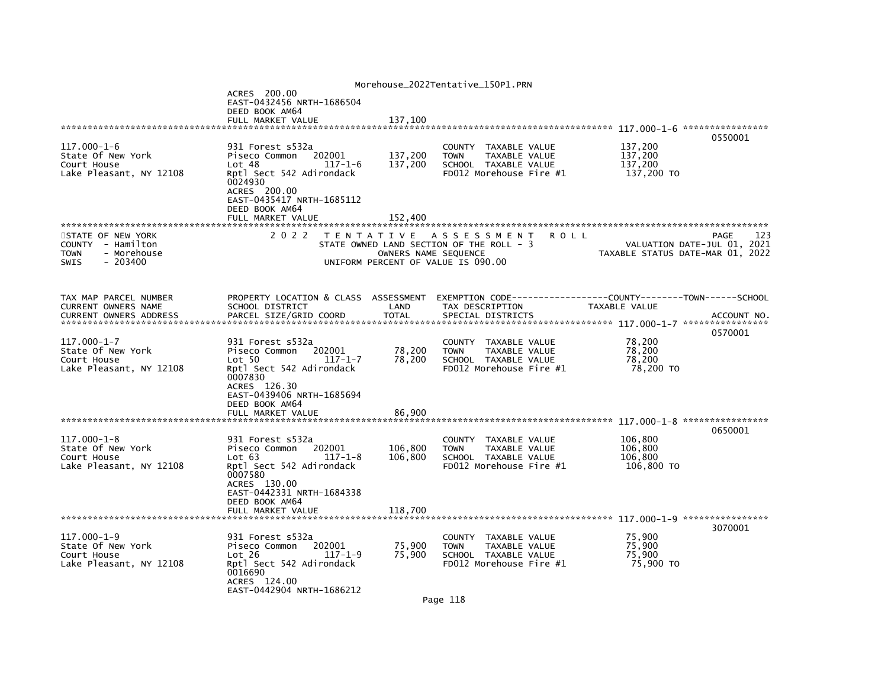|                                                                                                  |                                                                                                                                                                                                   |                               | Morehouse_2022Tentative_150P1.PRN                                                                                     |                                                                 |             |
|--------------------------------------------------------------------------------------------------|---------------------------------------------------------------------------------------------------------------------------------------------------------------------------------------------------|-------------------------------|-----------------------------------------------------------------------------------------------------------------------|-----------------------------------------------------------------|-------------|
|                                                                                                  | ACRES 200.00<br>EAST-0432456 NRTH-1686504                                                                                                                                                         |                               |                                                                                                                       |                                                                 |             |
|                                                                                                  | DEED BOOK AM64<br>FULL MARKET VALUE                                                                                                                                                               | 137,100                       |                                                                                                                       |                                                                 |             |
|                                                                                                  |                                                                                                                                                                                                   |                               |                                                                                                                       |                                                                 |             |
| 117.000-1-6<br>State Of New York<br>Court House<br>Lake Pleasant, NY 12108                       | 931 Forest s532a<br>202001<br>Piseco Common<br>Lot 48<br>$117 - 1 - 6$<br>Rptl Sect 542 Adirondack<br>0024930<br>ACRES 200.00<br>EAST-0435417 NRTH-1685112<br>DEED BOOK AM64<br>FULL MARKET VALUE | 137,200<br>137,200<br>152,400 | COUNTY TAXABLE VALUE<br>TAXABLE VALUE<br><b>TOWN</b><br>SCHOOL TAXABLE VALUE<br>FD012 Morehouse Fire #1               | 137,200<br>137,200<br>137,200<br>137,200 TO                     | 0550001     |
|                                                                                                  |                                                                                                                                                                                                   |                               |                                                                                                                       |                                                                 |             |
| STATE OF NEW YORK<br>COUNTY - Hamilton<br><b>TOWN</b><br>- Morehouse<br>$-203400$<br><b>SWIS</b> | 2 0 2 2                                                                                                                                                                                           | OWNERS NAME SEQUENCE          | TENTATIVE ASSESSMENT<br><b>ROLL</b><br>STATE OWNED LAND SECTION OF THE ROLL - 3<br>UNIFORM PERCENT OF VALUE IS 090.00 | VALUATION DATE-JUL 01, 2021<br>TAXABLE STATUS DATE-MAR 01, 2022 | 123<br>PAGE |
| TAX MAP PARCEL NUMBER<br>CURRENT OWNERS NAME                                                     | PROPERTY LOCATION & CLASS ASSESSMENT<br>SCHOOL DISTRICT                                                                                                                                           | LAND                          | EXEMPTION CODE-----------------COUNTY-------TOWN------SCHOOL<br>TAX DESCRIPTION                                       | TAXABLE VALUE                                                   |             |
| $117.000 - 1 - 7$<br>State Of New York<br>Court House<br>Lake Pleasant, NY 12108                 | 931 Forest s532a<br>Piseco Common<br>202001<br>Lot 50<br>$117 - 1 - 7$<br>Rptl Sect 542 Adirondack<br>0007830<br>ACRES 126.30<br>EAST-0439406 NRTH-1685694<br>DEED BOOK AM64<br>FULL MARKET VALUE | 78,200<br>78,200<br>86.900    | COUNTY<br>TAXABLE VALUE<br><b>TOWN</b><br>TAXABLE VALUE<br>SCHOOL TAXABLE VALUE<br>FD012 Morehouse Fire #1            | 78,200<br>78,200<br>78,200<br>78.200 TO                         | 0570001     |
|                                                                                                  |                                                                                                                                                                                                   |                               |                                                                                                                       |                                                                 |             |
| $117.000 - 1 - 8$<br>State Of New York<br>Court House<br>Lake Pleasant, NY 12108                 | 931 Forest s532a<br>Piseco Common<br>202001<br>$117 - 1 - 8$<br>Lot 63<br>Rptl Sect 542 Adirondack<br>0007580<br>ACRES 130.00<br>EAST-0442331 NRTH-1684338<br>DEED BOOK AM64                      | 106,800<br>106,800            | COUNTY TAXABLE VALUE<br><b>TOWN</b><br>TAXABLE VALUE<br>SCHOOL TAXABLE VALUE<br>FD012 Morehouse Fire #1               | 106,800<br>106.800<br>106,800<br>106,800 TO                     | 0650001     |
| ******************************                                                                   | FULL MARKET VALUE                                                                                                                                                                                 | 118.700                       |                                                                                                                       |                                                                 |             |
|                                                                                                  |                                                                                                                                                                                                   |                               |                                                                                                                       |                                                                 | 3070001     |
| 117.000-1-9<br>State Of New York<br>Court House<br>Lake Pleasant, NY 12108                       | 931 Forest s532a<br>Piseco Common<br>202001<br>Lot 26<br>$117 - 1 - 9$<br>Rptl Sect 542 Adirondack<br>0016690<br>ACRES 124.00<br>EAST-0442904 NRTH-1686212                                        | 75,900<br>75,900              | COUNTY TAXABLE VALUE<br>TAXABLE VALUE<br><b>TOWN</b><br>SCHOOL TAXABLE VALUE<br>FD012 Morehouse Fire #1               | 75,900<br>75,900<br>75,900<br>75,900 TO                         |             |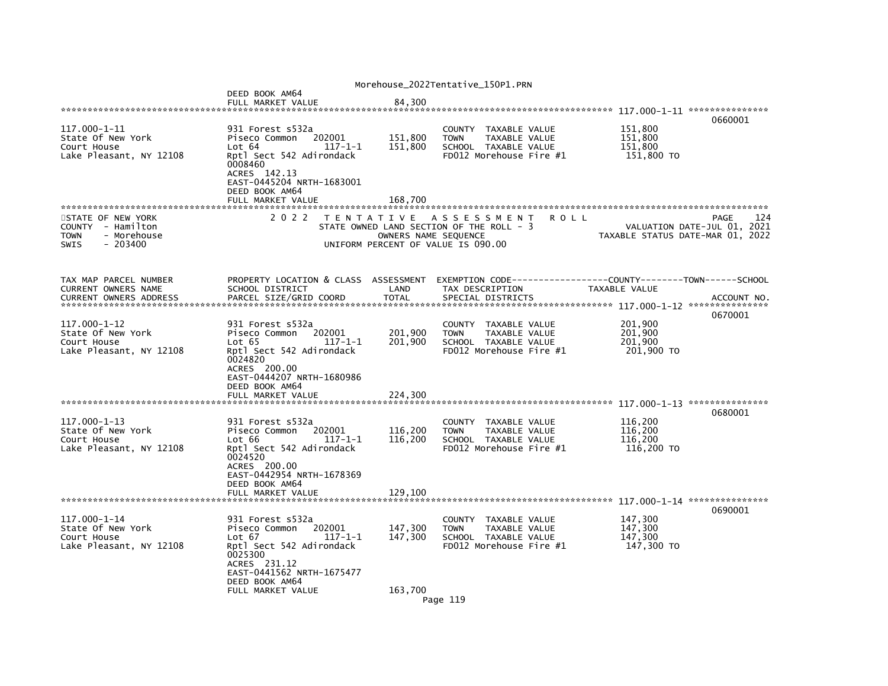|                                                                                                  |                                                                                                                                                                                                   |                               | Morehouse_2022Tentative_150P1.PRN                                                                                 |      |                                             |                                                                                |
|--------------------------------------------------------------------------------------------------|---------------------------------------------------------------------------------------------------------------------------------------------------------------------------------------------------|-------------------------------|-------------------------------------------------------------------------------------------------------------------|------|---------------------------------------------|--------------------------------------------------------------------------------|
|                                                                                                  | DEED BOOK AM64<br>FULL MARKET VALUE                                                                                                                                                               | 84,300                        |                                                                                                                   |      |                                             |                                                                                |
| 117.000-1-11<br>State Of New York<br>Court House<br>Lake Pleasant, NY 12108                      | 931 Forest s532a<br>202001<br>Piseco Common<br>Lot 64<br>$117 - 1 - 1$<br>Rptl Sect 542 Adirondack<br>0008460<br>ACRES 142.13<br>EAST-0445204 NRTH-1683001<br>DEED BOOK AM64                      | 151,800<br>151,800            | <b>COUNTY</b><br>TAXABLE VALUE<br><b>TOWN</b><br>TAXABLE VALUE<br>SCHOOL TAXABLE VALUE<br>FD012 Morehouse Fire #1 |      | 151,800<br>151,800<br>151,800<br>151,800 TO | 0660001                                                                        |
|                                                                                                  | FULL MARKET VALUE                                                                                                                                                                                 | 168,700                       |                                                                                                                   |      |                                             |                                                                                |
| STATE OF NEW YORK<br>COUNTY - Hamilton<br>- Morehouse<br><b>TOWN</b><br><b>SWIS</b><br>$-203400$ | 2 0 2 2                                                                                                                                                                                           | OWNERS NAME SEQUENCE          | TENTATIVE ASSESSMENT<br>STATE OWNED LAND SECTION OF THE ROLL - 3<br>UNIFORM PERCENT OF VALUE IS 090.00            | ROLL |                                             | 124<br>PAGE<br>VALUATION DATE-JUL 01, 2021<br>TAXABLE STATUS DATE-MAR 01, 2022 |
| TAX MAP PARCEL NUMBER<br>CURRENT OWNERS NAME<br><b>CURRENT OWNERS ADDRESS</b>                    | PROPERTY LOCATION & CLASS ASSESSMENT<br>SCHOOL DISTRICT<br>PARCEL SIZE/GRID COORD                                                                                                                 | LAND<br><b>TOTAL</b>          | EXEMPTION CODE----<br>TAX DESCRIPTION<br>SPECIAL DISTRICTS                                                        |      | TAXABLE VALUE                               | ----------COUNTY--------TOWN------SCHOOL<br>ACCOUNT NO.                        |
| $117.000 - 1 - 12$<br>State Of New York<br>Court House<br>Lake Pleasant, NY 12108                | 931 Forest s532a<br>202001<br>Piseco Common<br>$117 - 1 - 1$<br>Lot 65<br>Rptl Sect 542 Adirondack<br>0024820<br>ACRES 200.00<br>EAST-0444207 NRTH-1680986<br>DEED BOOK AM64<br>FULL MARKET VALUE | 201,900<br>201,900<br>224,300 | <b>COUNTY</b><br>TAXABLE VALUE<br><b>TOWN</b><br>TAXABLE VALUE<br>SCHOOL TAXABLE VALUE<br>FD012 Morehouse Fire #1 |      | 201,900<br>201,900<br>201,900<br>201,900 TO | 0670001                                                                        |
|                                                                                                  |                                                                                                                                                                                                   |                               |                                                                                                                   |      |                                             | ***************                                                                |
| 117.000-1-13<br>State Of New York<br>Court House<br>Lake Pleasant, NY 12108                      | 931 Forest s532a<br>202001<br>Piseco Common<br>$117 - 1 - 1$<br>Lot 66<br>Rptl Sect 542 Adirondack<br>0024520<br>ACRES 200.00<br>EAST-0442954 NRTH-1678369                                        | 116,200<br>116,200            | COUNTY TAXABLE VALUE<br>TAXABLE VALUE<br><b>TOWN</b><br>SCHOOL TAXABLE VALUE<br>FD012 Morehouse Fire #1           |      | 116,200<br>116.200<br>116,200<br>116,200 TO | 0680001                                                                        |
|                                                                                                  | DEED BOOK AM64<br>FULL MARKET VALUE                                                                                                                                                               | 129,100                       |                                                                                                                   |      |                                             |                                                                                |
| 117.000-1-14<br>State Of New York<br>Court House<br>Lake Pleasant, NY 12108                      | 931 Forest s532a<br>202001<br>Piseco Common<br>Lot 67<br>117-1-1<br>Rptl Sect 542 Adirondack<br>0025300<br>ACRES 231.12<br>EAST-0441562 NRTH-1675477<br>DEED BOOK AM64                            | 147,300<br>147,300            | COUNTY<br>TAXABLE VALUE<br><b>TOWN</b><br>TAXABLE VALUE<br>SCHOOL TAXABLE VALUE<br>FD012 Morehouse Fire #1        |      | 147,300<br>147,300<br>147.300<br>147,300 TO | 0690001                                                                        |
|                                                                                                  | FULL MARKET VALUE                                                                                                                                                                                 | 163.700                       | Page 119                                                                                                          |      |                                             |                                                                                |
|                                                                                                  |                                                                                                                                                                                                   |                               |                                                                                                                   |      |                                             |                                                                                |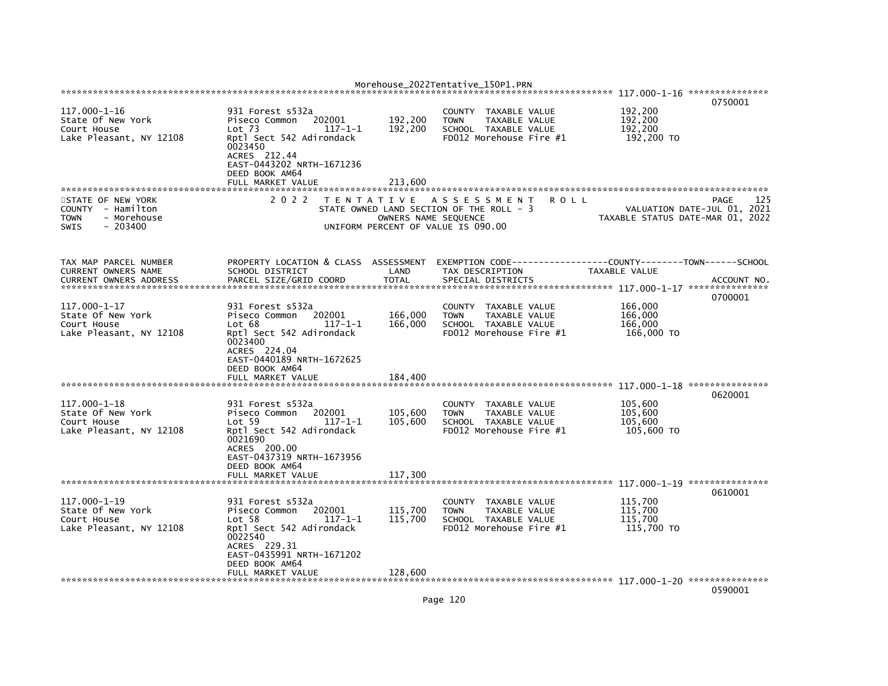|                                                                                                  |                                                                                                                                                                                |                      | Morehouse_2022Tentative_150P1.PRN                                                                                        |                                                                 |             |
|--------------------------------------------------------------------------------------------------|--------------------------------------------------------------------------------------------------------------------------------------------------------------------------------|----------------------|--------------------------------------------------------------------------------------------------------------------------|-----------------------------------------------------------------|-------------|
|                                                                                                  |                                                                                                                                                                                |                      |                                                                                                                          |                                                                 | 0750001     |
| $117.000 - 1 - 16$<br>State Of New York<br>Court House<br>Lake Pleasant, NY 12108                | 931 Forest s532a<br>202001<br>Piseco Common<br>$Lot$ 73<br>$117 - 1 - 1$<br>Rptl Sect 542 Adirondack<br>0023450<br>ACRES 212.44<br>EAST-0443202 NRTH-1671236<br>DEED BOOK AM64 | 192,200<br>192,200   | COUNTY<br>TAXABLE VALUE<br>TAXABLE VALUE<br>TOWN<br>SCHOOL TAXABLE VALUE<br>FD012 Morehouse Fire #1                      | 192,200<br>192,200<br>192,200<br>192,200 TO                     |             |
|                                                                                                  | FULL MARKET VALUE                                                                                                                                                              | 213,600              |                                                                                                                          |                                                                 |             |
| STATE OF NEW YORK<br>COUNTY - Hamilton<br>- Morehouse<br><b>TOWN</b><br>$-203400$<br><b>SWIS</b> | 2 0 2 2<br>T E N T A T I V E                                                                                                                                                   | OWNERS NAME SEQUENCE | A S S E S S M E N T<br><b>ROLL</b><br>STATE OWNED LAND SECTION OF THE ROLL - 3<br>UNIFORM PERCENT OF VALUE IS 090.00     | VALUATION DATE-JUL 01, 2021<br>TAXABLE STATUS DATE-MAR 01, 2022 | 125<br>PAGE |
| TAX MAP PARCEL NUMBER<br><b>CURRENT OWNERS NAME</b><br><b>CURRENT OWNERS ADDRESS</b>             | PROPERTY LOCATION & CLASS ASSESSMENT<br>SCHOOL DISTRICT<br>PARCEL SIZE/GRID COORD                                                                                              | LAND<br><b>TOTAL</b> | EXEMPTION        CODE-----------------COUNTY-------TOWN------SCHOOL<br>TAX DESCRIPTION<br>SPECIAL DISTRICTS              | TAXABLE VALUE                                                   | ACCOUNT NO. |
| 117.000-1-17                                                                                     | 931 Forest s532a                                                                                                                                                               |                      | <b>COUNTY</b><br>TAXABLE VALUE                                                                                           | 166,000                                                         | 0700001     |
| State Of New York<br>Court House<br>Lake Pleasant, NY 12108                                      | 202001<br>Piseco Common<br>Lot 68<br>$117 - 1 - 1$<br>Rptl Sect 542 Adirondack<br>0023400<br>ACRES 224.04<br>EAST-0440189 NRTH-1672625<br>DEED BOOK AM64                       | 166,000<br>166,000   | <b>TOWN</b><br>TAXABLE VALUE<br>SCHOOL TAXABLE VALUE<br>FD012 Morehouse Fire #1                                          | 166,000<br>166,000<br>166,000 TO                                |             |
|                                                                                                  | FULL MARKET VALUE                                                                                                                                                              | 184,400              |                                                                                                                          |                                                                 |             |
|                                                                                                  |                                                                                                                                                                                |                      |                                                                                                                          |                                                                 | 0620001     |
| 117.000-1-18<br>State Of New York<br>Court House<br>Lake Pleasant, NY 12108                      | 931 Forest s532a<br>Piseco Common<br>202001<br>Lot 59<br>117-1-1<br>Rptl Sect 542 Adirondack<br>0021690<br>ACRES 200.00<br>EAST-0437319 NRTH-1673956                           | 105,600<br>105,600   | <b>COUNTY</b><br>TAXABLE VALUE<br><b>TOWN</b><br>TAXABLE VALUE<br>SCHOOL TAXABLE VALUE<br>FD012 Morehouse Fire #1        | 105,600<br>105,600<br>105,600<br>105,600 TO                     |             |
|                                                                                                  | DEED BOOK AM64<br>FULL MARKET VALUE                                                                                                                                            | 117,300              |                                                                                                                          | 117.000-1-19 ****************                                   |             |
| 117.000-1-19<br>State Of New York<br>Court House<br>Lake Pleasant, NY 12108                      | 931 Forest s532a<br>202001<br>Piseco Common<br>Lot <sub>58</sub><br>$117 - 1 - 1$<br>Rptl Sect 542 Adirondack<br>0022540                                                       | 115,700<br>115,700   | TAXABLE VALUE<br><b>COUNTY</b><br><b>TAXABLE VALUE</b><br><b>TOWN</b><br>SCHOOL TAXABLE VALUE<br>FD012 Morehouse Fire #1 | 115,700<br>115,700<br>115,700<br>115,700 TO                     | 0610001     |
|                                                                                                  | ACRES 229.31<br>EAST-0435991 NRTH-1671202<br>DEED BOOK AM64<br>FULL MARKET VALUE                                                                                               | 128.600              |                                                                                                                          |                                                                 |             |

0590001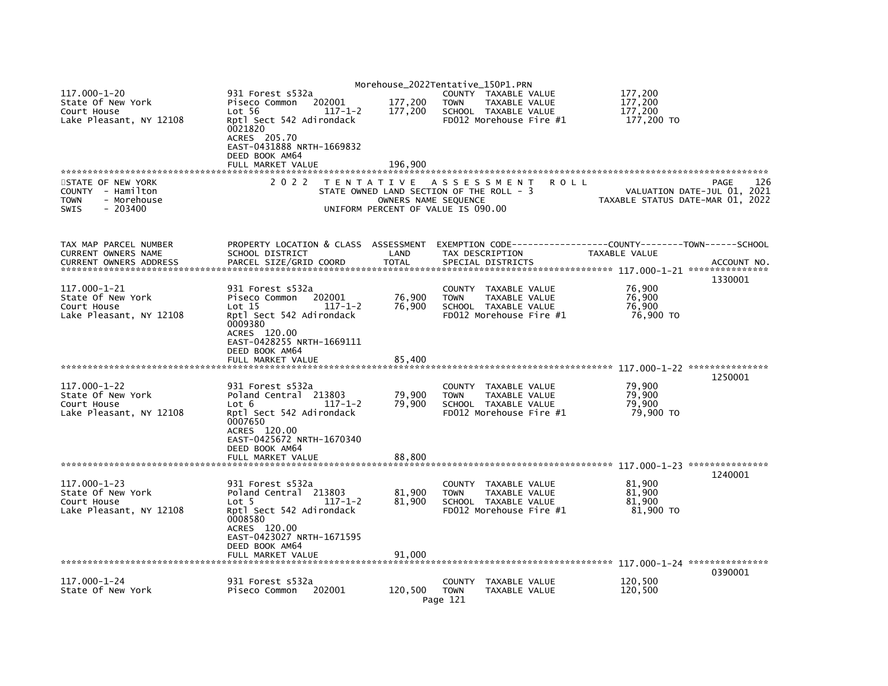|                                                                             |                                                                                |                                                            | Morehouse_2022Tentative_150P1.PRN                                          |             |                       |                                                                 |
|-----------------------------------------------------------------------------|--------------------------------------------------------------------------------|------------------------------------------------------------|----------------------------------------------------------------------------|-------------|-----------------------|-----------------------------------------------------------------|
| $117.000 - 1 - 20$<br>State Of New York                                     | 931 Forest s532a<br>202001<br>Piseco Common                                    | 177,200                                                    | COUNTY TAXABLE VALUE<br><b>TOWN</b><br>TAXABLE VALUE                       |             | 177,200<br>177,200    |                                                                 |
| Court House<br>Lake Pleasant, NY 12108                                      | Lot 56<br>$117 - 1 - 2$<br>Rptl Sect 542 Adirondack<br>0021820<br>ACRES 205.70 | 177,200                                                    | SCHOOL TAXABLE VALUE<br>FD012 Morehouse Fire #1                            |             | 177,200<br>177,200 TO |                                                                 |
|                                                                             | EAST-0431888 NRTH-1669832<br>DEED BOOK AM64                                    |                                                            |                                                                            |             |                       |                                                                 |
|                                                                             | FULL MARKET VALUE                                                              | 196,900                                                    |                                                                            |             |                       |                                                                 |
| STATE OF NEW YORK                                                           | 2 0 2 2                                                                        |                                                            | TENTATIVE ASSESSMENT                                                       | <b>ROLL</b> |                       | 126<br>PAGE                                                     |
| COUNTY - Hamilton<br><b>TOWN</b><br>- Morehouse<br>$-203400$<br><b>SWIS</b> |                                                                                | OWNERS NAME SEQUENCE<br>UNIFORM PERCENT OF VALUE IS 090.00 | STATE OWNED LAND SECTION OF THE ROLL - 3                                   |             |                       | VALUATION DATE-JUL 01, 2021<br>TAXABLE STATUS DATE-MAR 01, 2022 |
| TAX MAP PARCEL NUMBER<br>CURRENT OWNERS NAME                                | PROPERTY LOCATION & CLASS ASSESSMENT<br>SCHOOL DISTRICT                        | LAND                                                       | TAX DESCRIPTION                                                            |             | TAXABLE VALUE         |                                                                 |
| <b>CURRENT OWNERS ADDRESS</b>                                               | PARCEL SIZE/GRID COORD                                                         | <b>TOTAL</b>                                               | SPECIAL DISTRICTS                                                          |             |                       | ACCOUNT NO.                                                     |
|                                                                             |                                                                                |                                                            |                                                                            |             |                       | 1330001                                                         |
| 117.000-1-21                                                                | 931 Forest s532a                                                               |                                                            | COUNTY TAXABLE VALUE                                                       |             | 76,900                |                                                                 |
| State Of New York<br>Court House                                            | Piseco Common<br>202001<br>Lot 15<br>$117 - 1 - 2$                             | 76,900<br>76,900                                           | <b>TOWN</b><br>TAXABLE VALUE<br>SCHOOL TAXABLE VALUE                       |             | 76,900<br>76.900      |                                                                 |
| Lake Pleasant, NY 12108                                                     | Rptl Sect 542 Adirondack<br>0009380                                            |                                                            | FD012 Morehouse Fire #1                                                    |             | 76,900 TO             |                                                                 |
|                                                                             | ACRES 120.00<br>EAST-0428255 NRTH-1669111<br>DEED BOOK AM64                    |                                                            |                                                                            |             |                       |                                                                 |
|                                                                             | FULL MARKET VALUE                                                              | 85,400                                                     |                                                                            |             |                       |                                                                 |
|                                                                             |                                                                                |                                                            |                                                                            |             |                       | 1250001                                                         |
| $117.000 - 1 - 22$<br>State Of New York                                     | 931 Forest s532a<br>Poland Central 213803                                      | 79,900                                                     | <b>COUNTY</b><br>TAXABLE VALUE<br><b>TOWN</b><br>TAXABLE VALUE             |             | 79,900<br>79,900      |                                                                 |
| Court House                                                                 | Lot 6<br>$117 - 1 - 2$                                                         | 79,900                                                     | SCHOOL TAXABLE VALUE                                                       |             | 79,900                |                                                                 |
| Lake Pleasant, NY 12108                                                     | Rptl Sect 542 Adirondack<br>0007650<br>ACRES 120.00                            |                                                            | FD012 Morehouse Fire #1                                                    |             | 79,900 TO             |                                                                 |
|                                                                             | EAST-0425672 NRTH-1670340<br>DEED BOOK AM64<br>FULL MARKET VALUE               | 88,800                                                     |                                                                            |             |                       |                                                                 |
|                                                                             |                                                                                |                                                            |                                                                            |             |                       |                                                                 |
| $117.000 - 1 - 23$                                                          | 931 Forest s532a                                                               |                                                            | COUNTY TAXABLE VALUE                                                       |             | 81,900                | 1240001                                                         |
| State Of New York                                                           | Poland Central 213803                                                          | 81.900                                                     | <b>TOWN</b><br>TAXABLE VALUE                                               |             | 81.900                |                                                                 |
| Court House<br>Lake Pleasant, NY 12108                                      | Lot 5<br>$117 - 1 - 2$<br>Rptl Sect 542 Adirondack                             | 81,900                                                     | SCHOOL TAXABLE VALUE<br>FD012 Morehouse Fire #1                            |             | 81,900<br>81,900 TO   |                                                                 |
|                                                                             | 0008580<br>ACRES 120.00                                                        |                                                            |                                                                            |             |                       |                                                                 |
|                                                                             | EAST-0423027 NRTH-1671595<br>DEED BOOK AM64                                    |                                                            |                                                                            |             |                       |                                                                 |
|                                                                             | FULL MARKET VALUE                                                              | 91,000                                                     |                                                                            |             |                       |                                                                 |
|                                                                             |                                                                                |                                                            |                                                                            |             |                       | 0390001                                                         |
| 117.000-1-24<br>State Of New York                                           | 931 Forest s532a<br>202001<br>Piseco Common                                    | 120.500                                                    | <b>COUNTY</b><br>TAXABLE VALUE<br><b>TOWN</b><br>TAXABLE VALUE<br>Page 121 |             | 120.500<br>120,500    |                                                                 |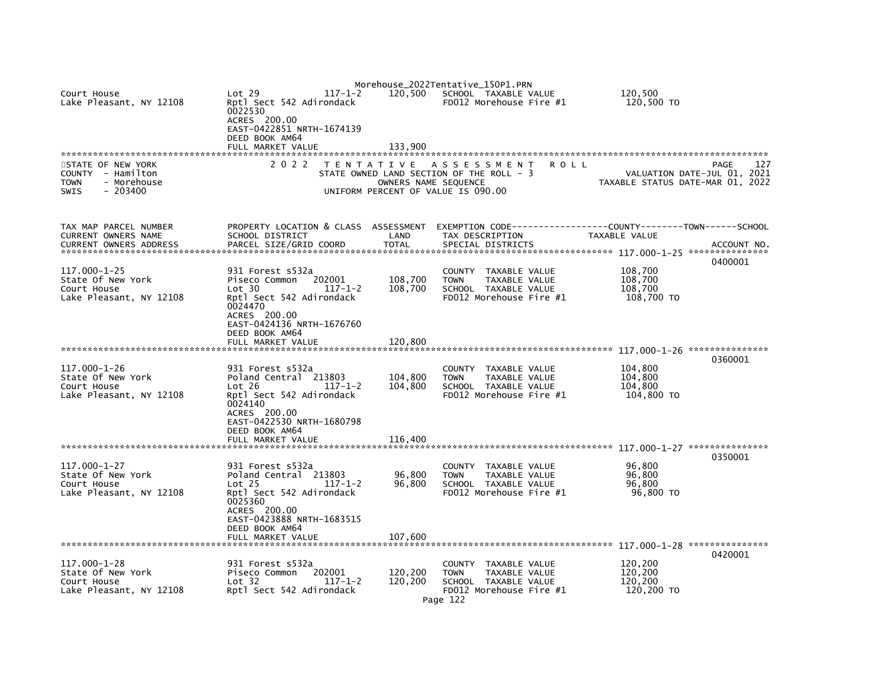| Court House<br>Lake Pleasant, NY 12108<br>STATE OF NEW YORK<br>COUNTY - Hamilton<br>- Morehouse<br><b>TOWN</b> | Lot 29<br>$117 - 1 - 2$<br>Rptl Sect 542 Adirondack<br>0022530<br>ACRES 200.00<br>EAST-0422851 NRTH-1674139<br>DEED BOOK AM64<br>FULL MARKET VALUE<br>2 0 2 2<br>T E N T A T I V E              | 120.500<br>133,900<br>OWNERS NAME SEQUENCE | Morehouse_2022Tentative_150P1.PRN<br>SCHOOL TAXABLE VALUE<br>$FD012$ Morehouse Fire $#1$<br>A S S E S S M E N T<br>ROLL<br>STATE OWNED LAND SECTION OF THE ROLL - 3 | 120.500<br>120,500 TO<br>127<br>PAGE<br>VALUATION DATE-JUL 01, 2021<br>TAXABLE STATUS DATE-MAR 01, 2022 |
|----------------------------------------------------------------------------------------------------------------|-------------------------------------------------------------------------------------------------------------------------------------------------------------------------------------------------|--------------------------------------------|---------------------------------------------------------------------------------------------------------------------------------------------------------------------|---------------------------------------------------------------------------------------------------------|
| SWIS<br>$-203400$                                                                                              |                                                                                                                                                                                                 |                                            | UNIFORM PERCENT OF VALUE IS 090.00                                                                                                                                  |                                                                                                         |
| TAX MAP PARCEL NUMBER<br>CURRENT OWNERS NAME<br><b>CURRENT OWNERS ADDRESS</b>                                  | PROPERTY LOCATION & CLASS ASSESSMENT<br>SCHOOL DISTRICT<br>PARCEL SIZE/GRID COORD                                                                                                               | LAND<br><b>TOTAL</b>                       | TAX DESCRIPTION<br>SPECIAL DISTRICTS                                                                                                                                | TAXABLE VALUE<br>ACCOUNT NO<br>0400001                                                                  |
| 117.000-1-25<br>State Of New York<br>Court House<br>Lake Pleasant, NY 12108                                    | 931 Forest s532a<br>Piseco Common<br>202001<br>Lot 30<br>117-1-2<br>Rptl Sect 542 Adirondack<br>0024470<br>ACRES 200.00<br>EAST-0424136 NRTH-1676760<br>DEED BOOK AM64<br>FULL MARKET VALUE     | 108,700<br>108,700<br>120,800              | COUNTY TAXABLE VALUE<br><b>TOWN</b><br>TAXABLE VALUE<br>SCHOOL TAXABLE VALUE<br>FD012 Morehouse Fire #1                                                             | 108,700<br>108,700<br>108,700<br>108,700 TO                                                             |
|                                                                                                                |                                                                                                                                                                                                 |                                            |                                                                                                                                                                     |                                                                                                         |
| 117.000-1-26<br>State Of New York<br>Court House<br>Lake Pleasant, NY 12108                                    | 931 Forest s532a<br>Poland Central 213803<br>Lot 26<br>$117 - 1 - 2$<br>Rptl Sect 542 Adirondack<br>0024140<br>ACRES 200.00<br>EAST-0422530 NRTH-1680798<br>DEED BOOK AM64<br>FULL MARKET VALUE | 104,800<br>104,800<br>116,400              | COUNTY<br>TAXABLE VALUE<br><b>TOWN</b><br>TAXABLE VALUE<br>SCHOOL TAXABLE VALUE<br>FD012 Morehouse Fire #1                                                          | 0360001<br>104,800<br>104,800<br>104,800<br>104,800 TO                                                  |
|                                                                                                                |                                                                                                                                                                                                 |                                            |                                                                                                                                                                     | 0350001                                                                                                 |
| 117.000-1-27<br>State Of New York<br>Court House<br>Lake Pleasant, NY 12108                                    | 931 Forest s532a<br>Poland Central 213803<br>Lot <sub>25</sub><br>$117 - 1 - 2$<br>Rptl Sect 542 Adirondack<br>0025360<br>ACRES 200.00<br>EAST-0423888 NRTH-1683515<br>DEED BOOK AM64           | 96,800<br>96,800                           | TAXABLE VALUE<br>COUNTY<br><b>TOWN</b><br><b>TAXABLE VALUE</b><br>SCHOOL TAXABLE VALUE<br>FD012 Morehouse Fire #1                                                   | 96,800<br>96,800<br>96,800<br>96,800 TO                                                                 |
|                                                                                                                | FULL MARKET VALUE                                                                                                                                                                               | 107,600                                    |                                                                                                                                                                     |                                                                                                         |
| 117.000-1-28<br>State Of New York<br>Court House<br>Lake Pleasant, NY 12108                                    | 931 Forest s532a<br>202001<br>Piseco Common<br>Lot 32<br>$117 - 1 - 2$<br>Rptl Sect 542 Adirondack                                                                                              | 120,200<br>120.200                         | COUNTY TAXABLE VALUE<br>TAXABLE VALUE<br><b>TOWN</b><br>SCHOOL TAXABLE VALUE<br>FD012 Morehouse Fire #1<br>Page 122                                                 | 0420001<br>120,200<br>120,200<br>120.200<br>120,200 TO                                                  |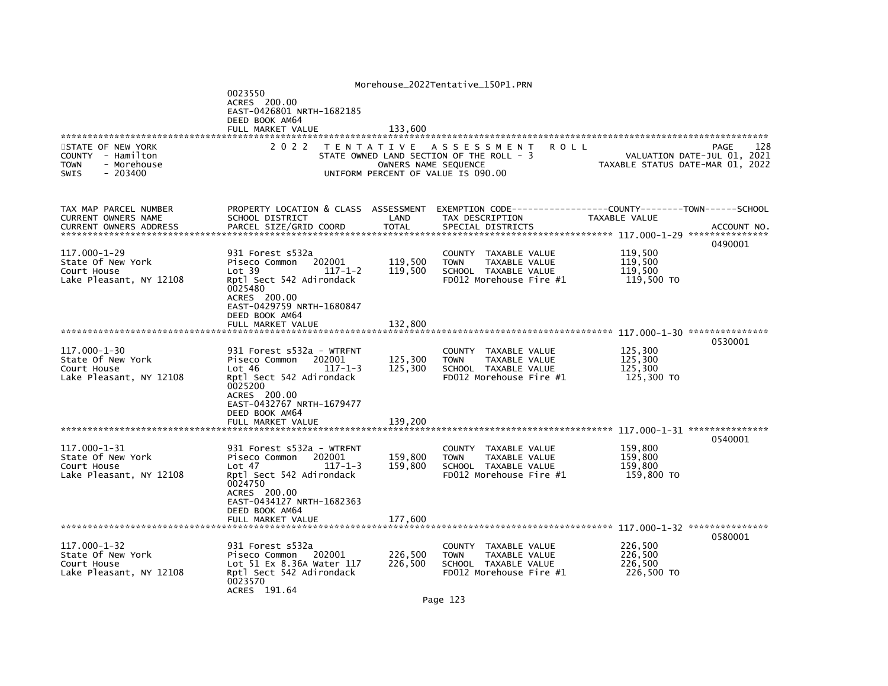|                                                                                                  |                                                                                                                                                                                       |                      | Morehouse_2022Tentative_150P1.PRN                                                                                        |                                             |                                            |
|--------------------------------------------------------------------------------------------------|---------------------------------------------------------------------------------------------------------------------------------------------------------------------------------------|----------------------|--------------------------------------------------------------------------------------------------------------------------|---------------------------------------------|--------------------------------------------|
|                                                                                                  | 0023550<br>ACRES 200.00<br>EAST-0426801 NRTH-1682185<br>DEED BOOK AM64<br>FULL MARKET VALUE                                                                                           | 133,600              |                                                                                                                          |                                             |                                            |
|                                                                                                  |                                                                                                                                                                                       |                      |                                                                                                                          |                                             |                                            |
| STATE OF NEW YORK<br>COUNTY - Hamilton<br><b>TOWN</b><br>- Morehouse<br>$-203400$<br><b>SWIS</b> | 2 0 2 2                                                                                                                                                                               | OWNERS NAME SEQUENCE | TENTATIVE ASSESSMENT<br>ROLL<br>STATE OWNED LAND SECTION OF THE ROLL - 3<br>UNIFORM PERCENT OF VALUE IS 090.00           | TAXABLE STATUS DATE-MAR 01, 2022            | 128<br>PAGE<br>VALUATION DATE-JUL 01, 2021 |
| TAX MAP PARCEL NUMBER<br>CURRENT OWNERS NAME<br>CURRENT OWNERS ADDRESS                           | PROPERTY LOCATION & CLASS ASSESSMENT<br>SCHOOL DISTRICT<br>PARCEL SIZE/GRID COORD                                                                                                     | LAND<br><b>TOTAL</b> | EXEMPTION CODE-----------------COUNTY-------TOWN------SCHOOL<br>TAX DESCRIPTION<br>SPECIAL DISTRICTS                     | TAXABLE VALUE                               | ACCOUNT NO.                                |
| 117.000-1-29<br>State Of New York<br>Court House<br>Lake Pleasant, NY 12108                      | 931 Forest s532a<br>Piseco Common<br>202001<br>$117 - 1 - 2$<br>Lot 39<br>Rptl Sect 542 Adirondack<br>0025480<br>ACRES 200.00<br>EAST-0429759 NRTH-1680847<br>DEED BOOK AM64          | 119,500<br>119,500   | TAXABLE VALUE<br><b>COUNTY</b><br>TAXABLE VALUE<br><b>TOWN</b><br>SCHOOL TAXABLE VALUE<br>FD012 Morehouse Fire #1        | 119,500<br>119,500<br>119,500<br>119,500 TO | 0490001                                    |
|                                                                                                  | FULL MARKET VALUE                                                                                                                                                                     | 132,800              |                                                                                                                          |                                             | 0530001                                    |
| $117.000 - 1 - 30$<br>State Of New York<br>Court House<br>Lake Pleasant, NY 12108                | 931 Forest s532a - WTRFNT<br>Piseco Common<br>202001<br>Lot 46<br>$117 - 1 - 3$<br>Rptl Sect 542 Adirondack<br>0025200<br>ACRES 200.00<br>EAST-0432767 NRTH-1679477<br>DEED BOOK AM64 | 125,300<br>125,300   | TAXABLE VALUE<br>COUNTY<br><b>TOWN</b><br>TAXABLE VALUE<br>SCHOOL TAXABLE VALUE<br>FD012 Morehouse Fire #1               | 125,300<br>125,300<br>125,300<br>125,300 TO |                                            |
|                                                                                                  | FULL MARKET VALUE                                                                                                                                                                     | 139,200              |                                                                                                                          |                                             | 0540001                                    |
| 117.000-1-31<br>State Of New York<br>Court House<br>Lake Pleasant, NY 12108                      | 931 Forest s532a - WTRFNT<br>Piseco Common<br>202001<br>Lot 47<br>$117 - 1 - 3$<br>Rptl Sect 542 Adirondack<br>0024750<br>ACRES 200.00<br>EAST-0434127 NRTH-1682363<br>DEED BOOK AM64 | 159,800<br>159,800   | <b>COUNTY</b><br>TAXABLE VALUE<br><b>TAXABLE VALUE</b><br><b>TOWN</b><br>SCHOOL TAXABLE VALUE<br>FD012 Morehouse Fire #1 | 159,800<br>159,800<br>159,800<br>159,800 TO |                                            |
|                                                                                                  | FULL MARKET VALUE                                                                                                                                                                     | 177,600              |                                                                                                                          |                                             | 0580001                                    |
| 117.000-1-32<br>State Of New York<br>Court House<br>Lake Pleasant, NY 12108                      | 931 Forest s532a<br>Piseco Common<br>202001<br>Lot 51 Ex 8.36A Water 117<br>Rptl Sect 542 Adirondack<br>0023570<br>ACRES 191.64                                                       | 226,500<br>226,500   | COUNTY TAXABLE VALUE<br><b>TOWN</b><br>TAXABLE VALUE<br>SCHOOL TAXABLE VALUE<br>FD012 Morehouse Fire #1                  | 226,500<br>226,500<br>226,500<br>226,500 TO |                                            |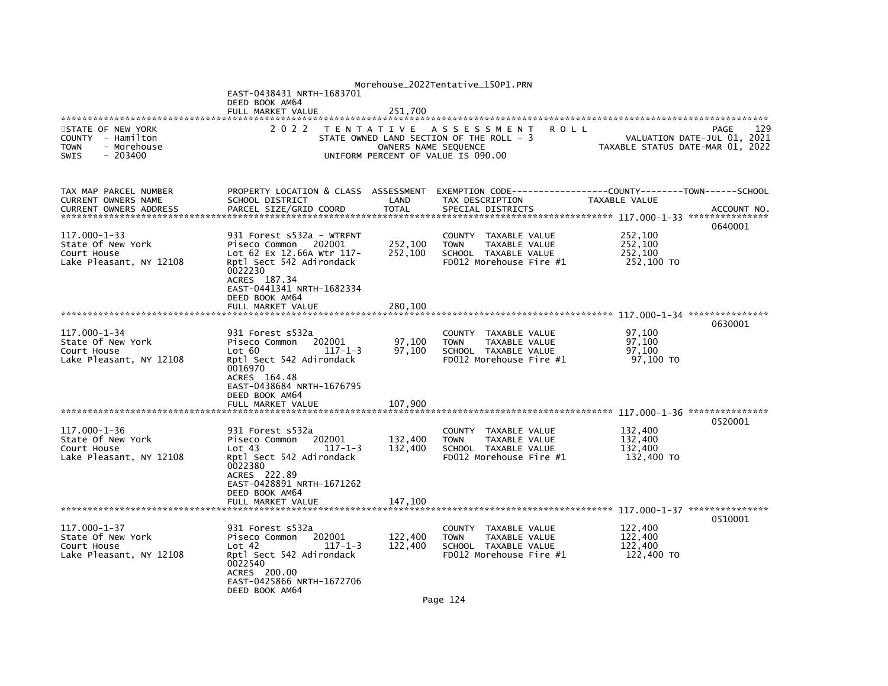|                                                                                                  |                                                                                                                                                                                      |                      | Morehouse_2022Tentative_150P1.PRN                                                                                     |                                             |                                            |
|--------------------------------------------------------------------------------------------------|--------------------------------------------------------------------------------------------------------------------------------------------------------------------------------------|----------------------|-----------------------------------------------------------------------------------------------------------------------|---------------------------------------------|--------------------------------------------|
|                                                                                                  | EAST-0438431 NRTH-1683701<br>DEED BOOK AM64                                                                                                                                          |                      |                                                                                                                       |                                             |                                            |
|                                                                                                  | FULL MARKET VALUE                                                                                                                                                                    | 251,700              |                                                                                                                       |                                             |                                            |
| STATE OF NEW YORK<br>COUNTY - Hamilton<br><b>TOWN</b><br>- Morehouse<br>$-203400$<br><b>SWIS</b> | 2 0 2 2                                                                                                                                                                              | OWNERS NAME SEQUENCE | TENTATIVE ASSESSMENT<br><b>ROLL</b><br>STATE OWNED LAND SECTION OF THE ROLL - 3<br>UNIFORM PERCENT OF VALUE IS 090.00 | TAXABLE STATUS DATE-MAR 01, 2022            | 129<br>PAGE<br>VALUATION DATE-JUL 01, 2021 |
| TAX MAP PARCEL NUMBER<br>CURRENT OWNERS NAME<br><b>CURRENT OWNERS ADDRESS</b>                    | PROPERTY LOCATION & CLASS ASSESSMENT<br>SCHOOL DISTRICT<br>PARCEL SIZE/GRID COORD                                                                                                    | LAND<br><b>TOTAL</b> | EXEMPTION CODE------------------COUNTY-------TOWN------SCHOOL<br>TAX DESCRIPTION<br>SPECIAL DISTRICTS                 | TAXABLE VALUE                               | ACCOUNT NO.                                |
| 117.000-1-33<br>State Of New York<br>Court House<br>Lake Pleasant, NY 12108                      | 931 Forest s532a - WTRFNT<br>Piseco Common 202001<br>Lot 62 Ex 12.66A Wtr 117-<br>Rptl Sect 542 Adirondack<br>0022230<br>ACRES 187.34<br>EAST-0441341 NRTH-1682334<br>DEED BOOK AM64 | 252,100<br>252,100   | COUNTY TAXABLE VALUE<br><b>TOWN</b><br>TAXABLE VALUE<br>SCHOOL TAXABLE VALUE<br>FD012 Morehouse Fire #1               | 252,100<br>252,100<br>252,100<br>252,100 TO | 0640001                                    |
|                                                                                                  |                                                                                                                                                                                      |                      |                                                                                                                       |                                             |                                            |
| $117.000 - 1 - 34$<br>State Of New York<br>Court House<br>Lake Pleasant, NY 12108                | 931 Forest s532a<br>202001<br>Piseco Common<br>Lot 60<br>$117 - 1 - 3$<br>Rptl Sect 542 Adirondack<br>0016970<br>ACRES 164.48<br>EAST-0438684 NRTH-1676795                           | 97,100<br>97,100     | COUNTY TAXABLE VALUE<br>TAXABLE VALUE<br><b>TOWN</b><br>SCHOOL TAXABLE VALUE<br>FD012 Morehouse Fire #1               | 97,100<br>97.100<br>97,100<br>97,100 TO     | 0630001                                    |
|                                                                                                  | DEED BOOK AM64<br>FULL MARKET VALUE                                                                                                                                                  | 107,900              |                                                                                                                       |                                             |                                            |
| 117.000-1-36<br>State Of New York<br>Court House<br>Lake Pleasant, NY 12108                      | 931 Forest s532a<br>202001<br>Piseco Common<br>Lot 43<br>$117 - 1 - 3$<br>Rptl Sect 542 Adirondack<br>0022380<br>ACRES 222.89<br>EAST-0428891 NRTH-1671262<br>DEED BOOK AM64         | 132,400<br>132,400   | COUNTY TAXABLE VALUE<br>TAXABLE VALUE<br><b>TOWN</b><br>SCHOOL TAXABLE VALUE<br>FD012 Morehouse Fire #1               | 132,400<br>132,400<br>132.400<br>132,400 TO | 0520001                                    |
|                                                                                                  | FULL MARKET VALUE                                                                                                                                                                    | 147,100              |                                                                                                                       |                                             |                                            |
| $117.000 - 1 - 37$<br>State Of New York<br>Court House<br>Lake Pleasant, NY 12108                | 931 Forest s532a<br>Piseco Common<br>202001<br>Lot 42<br>$117 - 1 - 3$<br>Rptl Sect 542 Adirondack<br>0022540<br>ACRES 200.00<br>EAST-0425866 NRTH-1672706<br>DEED BOOK AM64         | 122,400<br>122,400   | COUNTY TAXABLE VALUE<br><b>TAXABLE VALUE</b><br><b>TOWN</b><br>SCHOOL TAXABLE VALUE<br>FD012 Morehouse Fire #1        | 122,400<br>122,400<br>122,400<br>122,400 TO | 0510001                                    |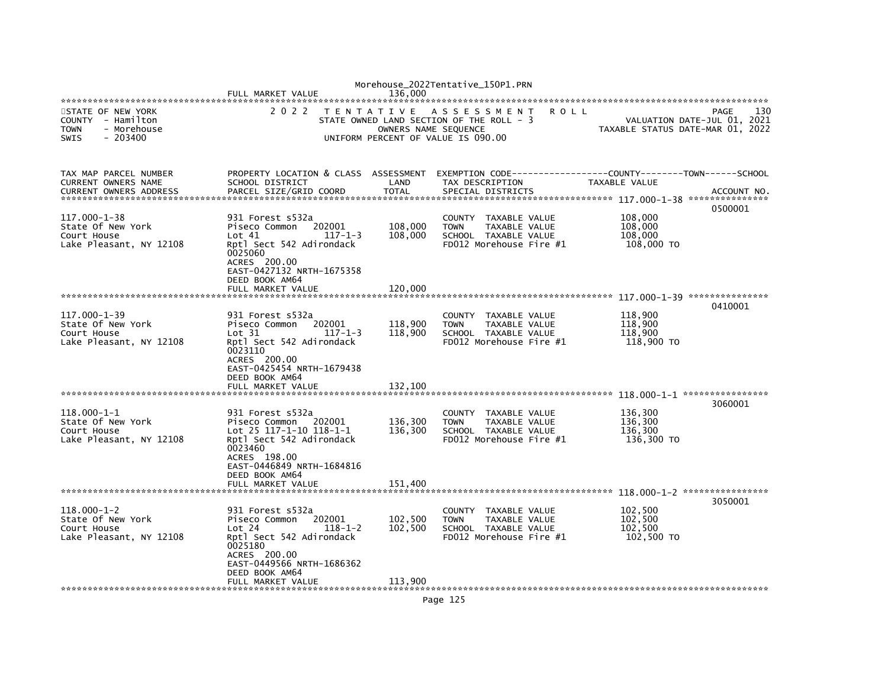|                                                                                                 | FULL MARKET VALUE                                                                                                                                                                                 | 136.000                                                 | Morehouse_2022Tentative_150P1.PRN                                                                       |                                                                 |             |
|-------------------------------------------------------------------------------------------------|---------------------------------------------------------------------------------------------------------------------------------------------------------------------------------------------------|---------------------------------------------------------|---------------------------------------------------------------------------------------------------------|-----------------------------------------------------------------|-------------|
| STATE OF NEW YORK<br>COUNTY - Hamilton<br>- Morehouse<br><b>TOWN</b><br><b>SWIS</b><br>- 203400 | 2 0 2 2                                                                                                                                                                                           | T E N T A T I V E<br>UNIFORM PERCENT OF VALUE IS 090.00 | ASSESSMENT<br><b>ROLL</b><br>STATE OWNED LAND SECTION OF THE ROLL - 3<br>OWNERS NAME SEQUENCE           | VALUATION DATE-JUL 01, 2021<br>TAXABLE STATUS DATE-MAR 01, 2022 | 130<br>PAGE |
| TAX MAP PARCEL NUMBER<br>CURRENT OWNERS NAME<br><b>CURRENT OWNERS ADDRESS</b>                   | PROPERTY LOCATION & CLASS ASSESSMENT<br>SCHOOL DISTRICT<br>PARCEL SIZE/GRID COORD                                                                                                                 | LAND<br><b>TOTAL</b>                                    | TAX DESCRIPTION<br>SPECIAL DISTRICTS                                                                    | TAXABLE VALUE                                                   | ACCOUNT NO. |
| 117.000-1-38<br>State Of New York<br>Court House<br>Lake Pleasant, NY 12108                     | 931 Forest s532a<br>Piseco Common<br>202001<br>Lot 41<br>$117 - 1 - 3$<br>Rptl Sect 542 Adirondack<br>0025060<br>ACRES 200.00<br>EAST-0427132 NRTH-1675358<br>DEED BOOK AM64<br>FULL MARKET VALUE | 108,000<br>108,000<br>120,000                           | COUNTY TAXABLE VALUE<br><b>TOWN</b><br>TAXABLE VALUE<br>SCHOOL TAXABLE VALUE<br>FD012 Morehouse Fire #1 | 108,000<br>108,000<br>108,000<br>108,000 TO                     | 0500001     |
|                                                                                                 |                                                                                                                                                                                                   |                                                         |                                                                                                         |                                                                 | 0410001     |
| $117.000 - 1 - 39$<br>State Of New York<br>Court House<br>Lake Pleasant, NY 12108               | 931 Forest s532a<br>202001<br>Piseco Common<br>Lot 31<br>$117 - 1 - 3$<br>Rptl Sect 542 Adirondack<br>0023110<br>ACRES 200.00<br>EAST-0425454 NRTH-1679438<br>DEED BOOK AM64<br>FULL MARKET VALUE | 118,900<br>118,900<br>132,100                           | COUNTY TAXABLE VALUE<br><b>TOWN</b><br>TAXABLE VALUE<br>SCHOOL TAXABLE VALUE<br>FD012 Morehouse Fire #1 | 118,900<br>118,900<br>118,900<br>118,900 TO                     |             |
|                                                                                                 |                                                                                                                                                                                                   |                                                         |                                                                                                         |                                                                 | 3060001     |
| 118.000-1-1<br>State Of New York<br>Court House<br>Lake Pleasant, NY 12108                      | 931 Forest s532a<br>202001<br>Piseco Common<br>Lot 25 117-1-10 118-1-1<br>Rptl Sect 542 Adirondack<br>0023460<br>ACRES 198.00<br>EAST-0446849 NRTH-1684816<br>DEED BOOK AM64                      | 136,300<br>136,300                                      | COUNTY TAXABLE VALUE<br><b>TOWN</b><br>TAXABLE VALUE<br>SCHOOL TAXABLE VALUE<br>FD012 Morehouse Fire #1 | 136,300<br>136,300<br>136,300<br>136,300 TO                     |             |
|                                                                                                 | FULL MARKET VALUE                                                                                                                                                                                 | 151,400                                                 |                                                                                                         |                                                                 |             |
|                                                                                                 |                                                                                                                                                                                                   |                                                         |                                                                                                         |                                                                 | 3050001     |
| $118.000 - 1 - 2$<br>State Of New York<br>Court House<br>Lake Pleasant, NY 12108                | 931 Forest s532a<br>202001<br>Piseco Common<br>Lot 24<br>$118 - 1 - 2$<br>Rptl Sect 542 Adirondack<br>0025180<br>ACRES 200.00<br>EAST-0449566 NRTH-1686362<br>DEED BOOK AM64                      | 102,500<br>102,500                                      | COUNTY TAXABLE VALUE<br><b>TOWN</b><br>TAXABLE VALUE<br>SCHOOL TAXABLE VALUE<br>FD012 Morehouse Fire #1 | 102,500<br>102,500<br>102,500<br>102,500 TO                     |             |
|                                                                                                 | FULL MARKET VALUE                                                                                                                                                                                 | 113,900                                                 |                                                                                                         |                                                                 |             |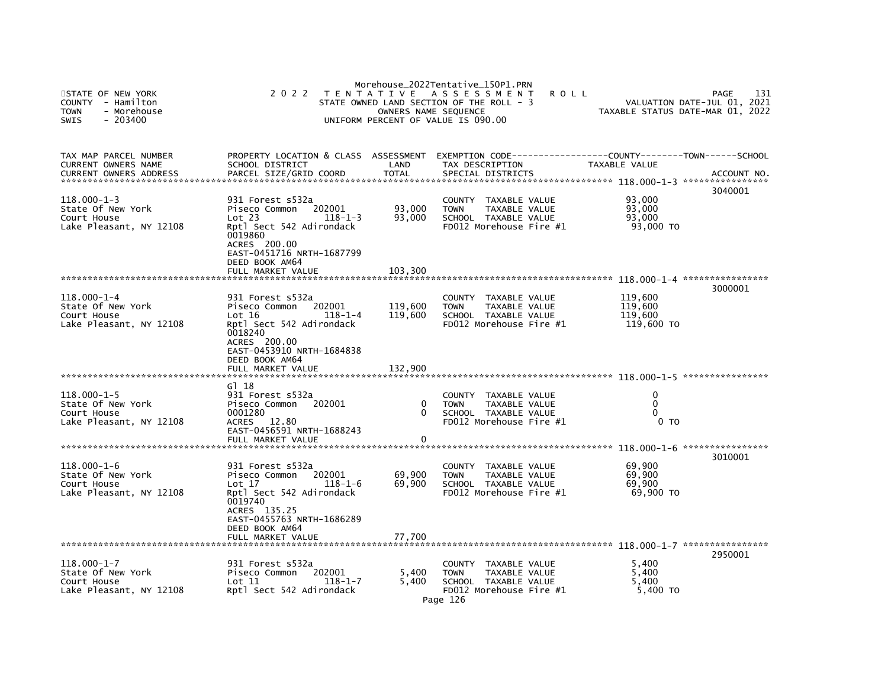| STATE OF NEW YORK<br>COUNTY<br>- Hamilton<br><b>TOWN</b><br>- Morehouse<br><b>SWIS</b><br>$-203400$ | 2 0 2 2                                                                                                                                                                                           | OWNERS NAME SEQUENCE          | Morehouse_2022Tentative_150P1.PRN<br>TENTATIVE ASSESSMENT<br>STATE OWNED LAND SECTION OF THE ROLL - 3<br>UNIFORM PERCENT OF VALUE IS 090.00 | <b>ROLL</b>                                 | 131<br>PAGE<br>VALUATION DATE-JUL 01, 2021<br>TAXABLE STATUS DATE-MAR 01, 2022 |
|-----------------------------------------------------------------------------------------------------|---------------------------------------------------------------------------------------------------------------------------------------------------------------------------------------------------|-------------------------------|---------------------------------------------------------------------------------------------------------------------------------------------|---------------------------------------------|--------------------------------------------------------------------------------|
| TAX MAP PARCEL NUMBER<br>CURRENT OWNERS NAME<br><b>CURRENT OWNERS ADDRESS</b>                       | PROPERTY LOCATION & CLASS ASSESSMENT<br>SCHOOL DISTRICT<br>PARCEL SIZE/GRID COORD                                                                                                                 | LAND<br><b>TOTAL</b>          | TAX DESCRIPTION<br>SPECIAL DISTRICTS                                                                                                        | TAXABLE VALUE                               | ACCOUNT NO.                                                                    |
| $118.000 - 1 - 3$<br>State Of New York<br>Court House<br>Lake Pleasant, NY 12108                    | 931 Forest s532a<br>Piseco Common<br>202001<br>Lot 23<br>$118 - 1 - 3$<br>Rptl Sect 542 Adirondack<br>0019860<br>ACRES 200.00<br>EAST-0451716 NRTH-1687799<br>DEED BOOK AM64<br>FULL MARKET VALUE | 93,000<br>93,000<br>103,300   | TAXABLE VALUE<br><b>COUNTY</b><br>TAXABLE VALUE<br><b>TOWN</b><br>SCHOOL TAXABLE VALUE<br>FD012 Morehouse Fire #1                           | 93,000<br>93,000<br>93,000<br>93,000 TO     | 3040001                                                                        |
|                                                                                                     |                                                                                                                                                                                                   |                               |                                                                                                                                             |                                             | 3000001                                                                        |
| $118.000 - 1 - 4$<br>State Of New York<br>Court House<br>Lake Pleasant, NY 12108                    | 931 Forest s532a<br>Piseco Common<br>202001<br>Lot 16<br>$118 - 1 - 4$<br>Rptl Sect 542 Adirondack<br>0018240<br>ACRES 200.00<br>EAST-0453910 NRTH-1684838<br>DEED BOOK AM64<br>FULL MARKET VALUE | 119,600<br>119,600<br>132,900 | <b>COUNTY</b><br>TAXABLE VALUE<br><b>TOWN</b><br>TAXABLE VALUE<br>SCHOOL TAXABLE VALUE<br>FD012 Morehouse Fire #1                           | 119,600<br>119,600<br>119,600<br>119,600 TO |                                                                                |
|                                                                                                     | G1 18                                                                                                                                                                                             |                               |                                                                                                                                             |                                             |                                                                                |
| $118.000 - 1 - 5$<br>State Of New York<br>Court House<br>Lake Pleasant, NY 12108                    | 931 Forest s532a<br>Piseco Common<br>202001<br>0001280<br>ACRES 12.80<br>EAST-0456591 NRTH-1688243<br>FULL MARKET VALUE                                                                           | 0<br>0<br>0                   | <b>COUNTY</b><br>TAXABLE VALUE<br><b>TAXABLE VALUE</b><br><b>TOWN</b><br>SCHOOL TAXABLE VALUE<br>FD012 Morehouse Fire #1                    | 0<br>$\mathbf{0}$<br>0<br>0 <sub>T</sub>    |                                                                                |
|                                                                                                     |                                                                                                                                                                                                   |                               |                                                                                                                                             |                                             |                                                                                |
| $118.000 - 1 - 6$<br>State Of New York<br>Court House<br>Lake Pleasant, NY 12108                    | 931 Forest s532a<br>Piseco Common<br>202001<br>Lot 17<br>$118 - 1 - 6$<br>Rptl Sect 542 Adirondack<br>0019740<br>ACRES 135.25<br>EAST-0455763 NRTH-1686289                                        | 69,900<br>69,900              | TAXABLE VALUE<br><b>COUNTY</b><br>TAXABLE VALUE<br><b>TOWN</b><br>SCHOOL TAXABLE VALUE<br>FD012 Morehouse Fire #1                           | 69,900<br>69,900<br>69,900<br>69,900 TO     | 3010001                                                                        |
|                                                                                                     | DEED BOOK AM64<br>FULL MARKET VALUE                                                                                                                                                               | 77,700                        |                                                                                                                                             |                                             |                                                                                |
|                                                                                                     |                                                                                                                                                                                                   |                               |                                                                                                                                             |                                             | 2950001                                                                        |
| $118.000 - 1 - 7$<br>State Of New York<br>Court House<br>Lake Pleasant, NY 12108                    | 931 Forest s532a<br>202001<br>Piseco Common<br>Let 11<br>$118 - 1 - 7$<br>Rptl Sect 542 Adirondack                                                                                                | 5,400<br>5,400                | COUNTY TAXABLE VALUE<br><b>TOWN</b><br>TAXABLE VALUE<br>SCHOOL TAXABLE VALUE<br>FD012 Morehouse Fire #1<br>Page 126                         | 5,400<br>5,400<br>5.400<br>5,400 TO         |                                                                                |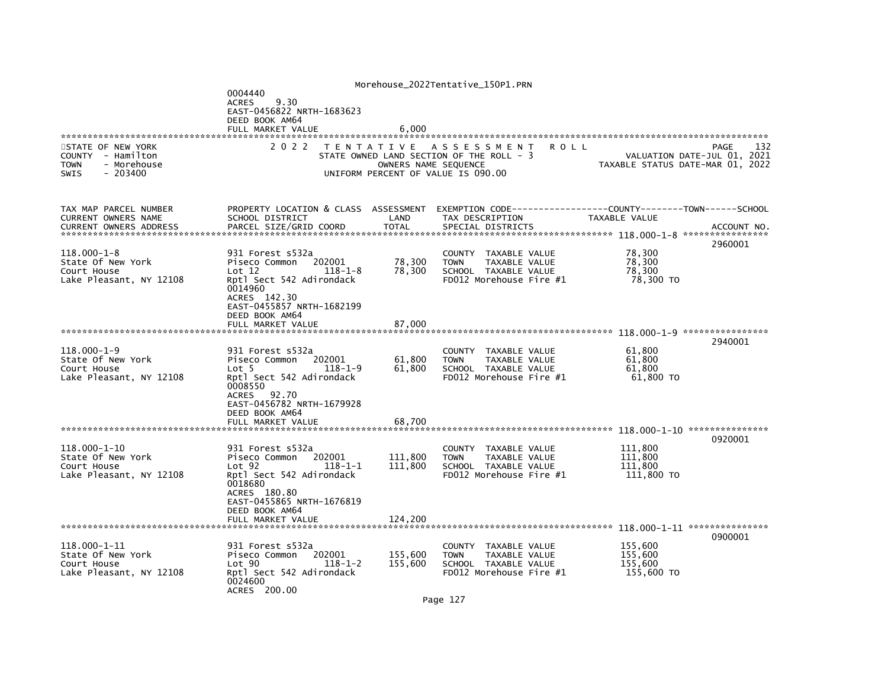|                                                                                                  |                                                                                                                                                                                         |                      | Morehouse_2022Tentative_150P1.PRN                                                                                                             |                                             |                                            |
|--------------------------------------------------------------------------------------------------|-----------------------------------------------------------------------------------------------------------------------------------------------------------------------------------------|----------------------|-----------------------------------------------------------------------------------------------------------------------------------------------|---------------------------------------------|--------------------------------------------|
|                                                                                                  | 0004440<br>9.30<br><b>ACRES</b><br>EAST-0456822 NRTH-1683623<br>DEED BOOK AM64<br>FULL MARKET VALUE                                                                                     | 6,000                |                                                                                                                                               |                                             |                                            |
|                                                                                                  |                                                                                                                                                                                         |                      |                                                                                                                                               |                                             |                                            |
| STATE OF NEW YORK<br>COUNTY - Hamilton<br>- Morehouse<br><b>TOWN</b><br>$-203400$<br><b>SWIS</b> | 2 0 2 2                                                                                                                                                                                 |                      | TENTATIVE ASSESSMENT<br><b>ROLL</b><br>STATE OWNED LAND SECTION OF THE ROLL - 3<br>OWNERS NAME SEQUENCE<br>UNIFORM PERCENT OF VALUE IS 090.00 | TAXABLE STATUS DATE-MAR 01, 2022            | 132<br>PAGE<br>VALUATION DATE-JUL 01, 2021 |
| TAX MAP PARCEL NUMBER<br>CURRENT OWNERS NAME<br><b>CURRENT OWNERS ADDRESS</b>                    | PROPERTY LOCATION & CLASS ASSESSMENT<br>SCHOOL DISTRICT<br>PARCEL SIZE/GRID COORD                                                                                                       | LAND<br><b>TOTAL</b> | EXEMPTION        CODE-----------------COUNTY-------TOWN------SCHOOL<br>TAX DESCRIPTION<br>SPECIAL DISTRICTS                                   | TAXABLE VALUE                               | ACCOUNT NO.<br>2960001                     |
| $118.000 - 1 - 8$<br>State Of New York<br>Court House<br>Lake Pleasant, NY 12108                 | 931 Forest s532a<br>Piseco Common<br>202001<br>Lot 12<br>$118 - 1 - 8$<br>Rptl Sect 542 Adirondack<br>0014960<br>ACRES 142.30<br>EAST-0455857 NRTH-1682199<br>DEED BOOK AM64            | 78,300<br>78,300     | <b>COUNTY</b><br>TAXABLE VALUE<br><b>TAXABLE VALUE</b><br><b>TOWN</b><br>SCHOOL TAXABLE VALUE<br>FD012 Morehouse Fire #1                      | 78,300<br>78,300<br>78,300<br>78,300 TO     |                                            |
|                                                                                                  | FULL MARKET VALUE                                                                                                                                                                       | 87,000               |                                                                                                                                               |                                             |                                            |
|                                                                                                  |                                                                                                                                                                                         |                      |                                                                                                                                               |                                             |                                            |
| $118.000 - 1 - 9$<br>State Of New York<br>Court House<br>Lake Pleasant, NY 12108                 | 931 Forest s532a<br>202001<br>Piseco Common<br>Lot 5<br>$118 - 1 - 9$<br>Rptl Sect 542 Adirondack<br>0008550<br><b>ACRES</b><br>92.70<br>EAST-0456782 NRTH-1679928<br>DEED BOOK AM64    | 61,800<br>61,800     | COUNTY TAXABLE VALUE<br><b>TOWN</b><br>TAXABLE VALUE<br>SCHOOL TAXABLE VALUE<br>FD012 Morehouse Fire #1                                       | 61,800<br>61,800<br>61,800<br>61,800 TO     | 2940001                                    |
|                                                                                                  | FULL MARKET VALUE                                                                                                                                                                       | 68.700               |                                                                                                                                               |                                             |                                            |
|                                                                                                  |                                                                                                                                                                                         |                      |                                                                                                                                               |                                             | 0920001                                    |
| $118.000 - 1 - 10$<br>State Of New York<br>Court House<br>Lake Pleasant, NY 12108                | 931 Forest s532a<br>Piseco Common<br>202001<br>Lot <sub>92</sub><br>$118 - 1 - 1$<br>Rptl Sect 542 Adirondack<br>0018680<br>ACRES 180.80<br>EAST-0455865 NRTH-1676819<br>DEED BOOK AM64 | 111,800<br>111.800   | <b>COUNTY</b><br>TAXABLE VALUE<br>TAXABLE VALUE<br><b>TOWN</b><br>SCHOOL TAXABLE VALUE<br>FD012 Morehouse Fire #1                             | 111,800<br>111,800<br>111.800<br>111,800 TO |                                            |
|                                                                                                  | FULL MARKET VALUE                                                                                                                                                                       | 124,200              |                                                                                                                                               |                                             |                                            |
|                                                                                                  |                                                                                                                                                                                         |                      |                                                                                                                                               |                                             | 0900001                                    |
| 118.000-1-11<br>State Of New York<br>Court House<br>Lake Pleasant, NY 12108                      | 931 Forest s532a<br>Piseco Common<br>202001<br>Lot 90<br>$118 - 1 - 2$<br>Rptl Sect 542 Adirondack<br>0024600<br>ACRES 200.00                                                           | 155,600<br>155.600   | COUNTY TAXABLE VALUE<br><b>TOWN</b><br>TAXABLE VALUE<br>SCHOOL TAXABLE VALUE<br>FD012 Morehouse Fire #1                                       | 155,600<br>155,600<br>155,600<br>155,600 TO |                                            |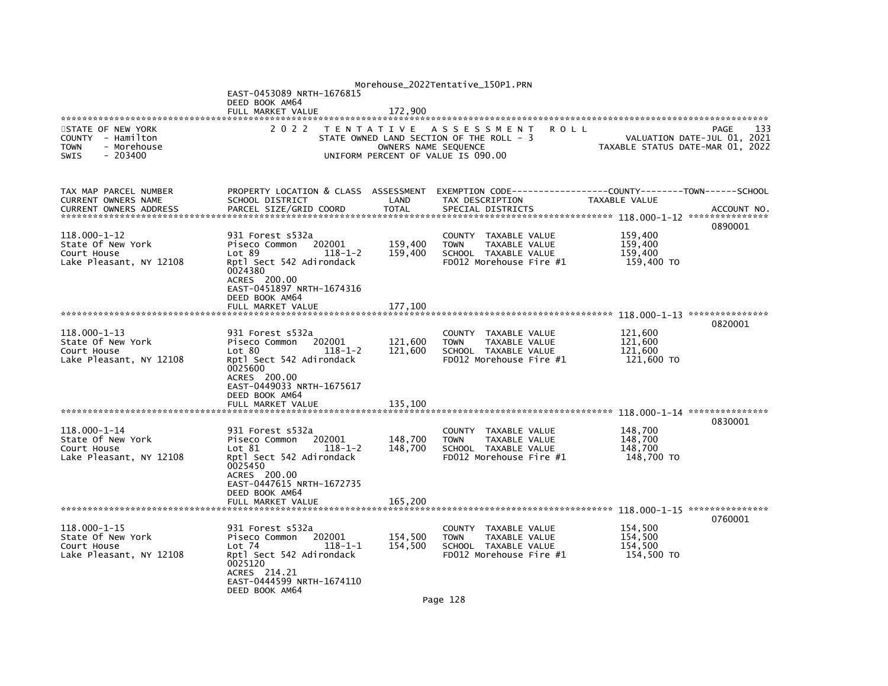|                                                                                                  |                                                                                                                                                                                |                      | Morehouse_2022Tentative_150P1.PRN                                                                                     |                                             |                                            |
|--------------------------------------------------------------------------------------------------|--------------------------------------------------------------------------------------------------------------------------------------------------------------------------------|----------------------|-----------------------------------------------------------------------------------------------------------------------|---------------------------------------------|--------------------------------------------|
|                                                                                                  | EAST-0453089 NRTH-1676815<br>DEED BOOK AM64<br>FULL MARKET VALUE                                                                                                               | 172,900              |                                                                                                                       |                                             |                                            |
|                                                                                                  |                                                                                                                                                                                |                      |                                                                                                                       |                                             |                                            |
| STATE OF NEW YORK<br>COUNTY - Hamilton<br><b>TOWN</b><br>- Morehouse<br>$-203400$<br><b>SWIS</b> | 2 0 2 2                                                                                                                                                                        | OWNERS NAME SEQUENCE | TENTATIVE ASSESSMENT<br><b>ROLL</b><br>STATE OWNED LAND SECTION OF THE ROLL - 3<br>UNIFORM PERCENT OF VALUE IS 090.00 | TAXABLE STATUS DATE-MAR 01, 2022            | 133<br>PAGE<br>VALUATION DATE-JUL 01, 2021 |
| TAX MAP PARCEL NUMBER<br>CURRENT OWNERS NAME<br><b>CURRENT OWNERS ADDRESS</b>                    | PROPERTY LOCATION & CLASS ASSESSMENT<br>SCHOOL DISTRICT<br>PARCEL SIZE/GRID COORD                                                                                              | LAND<br><b>TOTAL</b> | EXEMPTION CODE------------------COUNTY-------TOWN------SCHOOL<br>TAX DESCRIPTION<br>SPECIAL DISTRICTS                 | TAXABLE VALUE                               | ACCOUNT NO.                                |
| 118.000-1-12<br>State Of New York<br>Court House<br>Lake Pleasant, NY 12108                      | 931 Forest s532a<br>Piseco Common<br>202001<br>Lot 89<br>$118 - 1 - 2$<br>Rptl Sect 542 Adirondack<br>0024380<br>ACRES 200.00<br>EAST-0451897 NRTH-1674316<br>DEED BOOK AM64   | 159,400<br>159,400   | COUNTY TAXABLE VALUE<br><b>TOWN</b><br>TAXABLE VALUE<br>SCHOOL TAXABLE VALUE<br>FD012 Morehouse Fire #1               | 159,400<br>159.400<br>159,400<br>159,400 TO | 0890001                                    |
|                                                                                                  |                                                                                                                                                                                |                      |                                                                                                                       |                                             |                                            |
|                                                                                                  |                                                                                                                                                                                |                      |                                                                                                                       |                                             | 0820001                                    |
| $118.000 - 1 - 13$<br>State Of New York<br>Court House<br>Lake Pleasant, NY 12108                | 931 Forest s532a<br>202001<br>Piseco Common<br>Lot 80<br>$118 - 1 - 2$<br>Rptl Sect 542 Adirondack<br>0025600<br>ACRES 200.00<br>EAST-0449033 NRTH-1675617<br>DEED BOOK AM64   | 121,600<br>121,600   | COUNTY TAXABLE VALUE<br><b>TOWN</b><br>TAXABLE VALUE<br>SCHOOL TAXABLE VALUE<br>FD012 Morehouse Fire #1               | 121,600<br>121.600<br>121,600<br>121,600 TO |                                            |
|                                                                                                  | FULL MARKET VALUE                                                                                                                                                              | 135,100              |                                                                                                                       |                                             |                                            |
|                                                                                                  |                                                                                                                                                                                |                      |                                                                                                                       |                                             | 0830001                                    |
| 118.000-1-14<br>State Of New York<br>Court House<br>Lake Pleasant, NY 12108                      | 931 Forest s532a<br>Piseco Common<br>202001<br>Lot 81<br>$118 - 1 - 2$<br>Rptl Sect 542 Adirondack<br>0025450<br>ACRES 200.00<br>EAST-0447615 NRTH-1672735<br>DEED BOOK AM64   | 148,700<br>148,700   | COUNTY TAXABLE VALUE<br>TAXABLE VALUE<br><b>TOWN</b><br>SCHOOL TAXABLE VALUE<br>FD012 Morehouse Fire #1               | 148,700<br>148,700<br>148,700<br>148,700 TO |                                            |
|                                                                                                  | FULL MARKET VALUE                                                                                                                                                              | 165,200              |                                                                                                                       |                                             |                                            |
| $118.000 - 1 - 15$<br>State Of New York<br>Court House<br>Lake Pleasant, NY 12108                | 931 Forest s532a<br>Piseco Common<br>202001<br>$118 - 1 - 1$<br>Lot $74$<br>Rptl Sect 542 Adirondack<br>0025120<br>ACRES 214.21<br>EAST-0444599 NRTH-1674110<br>DEED BOOK AM64 | 154,500<br>154,500   | COUNTY TAXABLE VALUE<br><b>TAXABLE VALUE</b><br><b>TOWN</b><br>SCHOOL TAXABLE VALUE<br>FD012 Morehouse Fire #1        | 154,500<br>154,500<br>154,500<br>154,500 TO | 0760001                                    |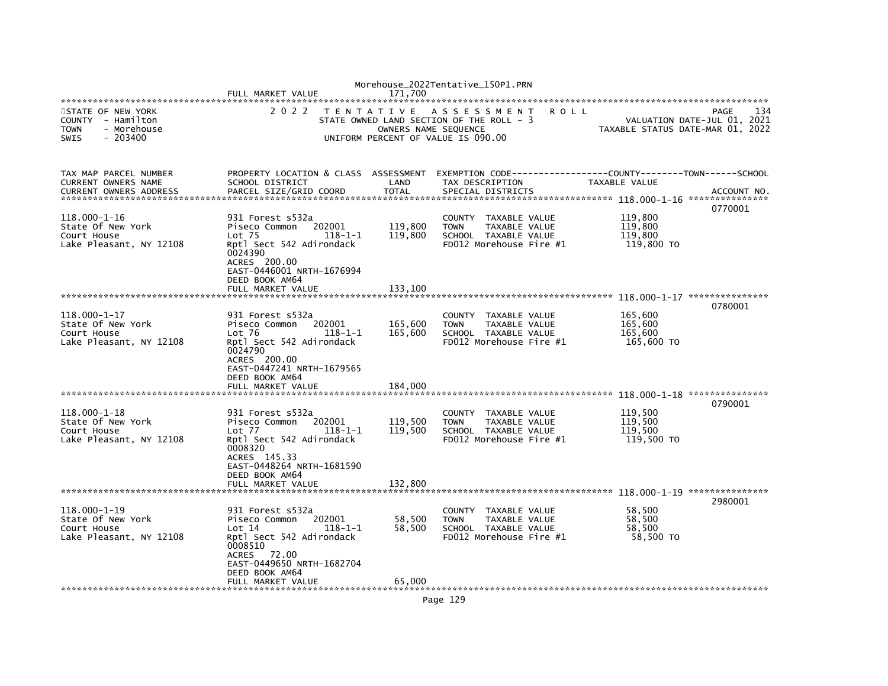|                                                                                                 | FULL MARKET VALUE                                                                                                                                                                                            | 171.700                                   | Morehouse_2022Tentative_150P1.PRN                                                                           |                                             |                                            |
|-------------------------------------------------------------------------------------------------|--------------------------------------------------------------------------------------------------------------------------------------------------------------------------------------------------------------|-------------------------------------------|-------------------------------------------------------------------------------------------------------------|---------------------------------------------|--------------------------------------------|
| STATE OF NEW YORK<br>COUNTY - Hamilton<br>- Morehouse<br><b>TOWN</b><br><b>SWIS</b><br>- 203400 | 2 0 2 2                                                                                                                                                                                                      | T E N T A T I V E<br>OWNERS NAME SEQUENCE | ASSESSMENT<br><b>ROLL</b><br>STATE OWNED LAND SECTION OF THE ROLL - 3<br>UNIFORM PERCENT OF VALUE IS 090.00 | TAXABLE STATUS DATE-MAR 01, 2022            | 134<br>PAGE<br>VALUATION DATE-JUL 01, 2021 |
| TAX MAP PARCEL NUMBER<br>CURRENT OWNERS NAME<br><b>CURRENT OWNERS ADDRESS</b>                   | PROPERTY LOCATION & CLASS ASSESSMENT<br>SCHOOL DISTRICT<br>PARCEL SIZE/GRID COORD                                                                                                                            | LAND<br><b>TOTAL</b>                      | TAX DESCRIPTION<br>SPECIAL DISTRICTS                                                                        | TAXABLE VALUE                               | ACCOUNT NO.                                |
| 118.000-1-16<br>State Of New York<br>Court House<br>Lake Pleasant, NY 12108                     | 931 Forest s532a<br>Piseco Common<br>202001<br>Lot <sub>75</sub><br>$118 - 1 - 1$<br>Rptl Sect 542 Adirondack<br>0024390<br>ACRES 200.00<br>EAST-0446001 NRTH-1676994<br>DEED BOOK AM64<br>FULL MARKET VALUE | 119,800<br>119,800<br>133.100             | COUNTY TAXABLE VALUE<br><b>TOWN</b><br>TAXABLE VALUE<br>SCHOOL TAXABLE VALUE<br>FD012 Morehouse Fire #1     | 119,800<br>119,800<br>119.800<br>119,800 TO | 0770001                                    |
|                                                                                                 |                                                                                                                                                                                                              |                                           |                                                                                                             |                                             | 0780001                                    |
| $118.000 - 1 - 17$<br>State Of New York<br>Court House<br>Lake Pleasant, NY 12108               | 931 Forest s532a<br>Piseco Common<br>202001<br>Lot 76<br>$118 - 1 - 1$<br>Rptl Sect 542 Adirondack<br>0024790<br>ACRES 200.00<br>EAST-0447241 NRTH-1679565<br>DEED BOOK AM64<br>FULL MARKET VALUE            | 165,600<br>165,600<br>184,000             | COUNTY TAXABLE VALUE<br><b>TOWN</b><br>TAXABLE VALUE<br>SCHOOL TAXABLE VALUE<br>FD012 Morehouse Fire #1     | 165,600<br>165,600<br>165,600<br>165,600 TO |                                            |
| ********************************                                                                |                                                                                                                                                                                                              |                                           |                                                                                                             |                                             | ***************<br>0790001                 |
| 118.000-1-18<br>State Of New York<br>Court House<br>Lake Pleasant, NY 12108                     | 931 Forest s532a<br>Piseco Common<br>202001<br>$Lot$ $77$<br>$118 - 1 - 1$<br>Rptl Sect 542 Adirondack<br>0008320<br>ACRES 145.33<br>EAST-0448264 NRTH-1681590                                               | 119,500<br>119,500                        | COUNTY TAXABLE VALUE<br><b>TOWN</b><br>TAXABLE VALUE<br>SCHOOL TAXABLE VALUE<br>FD012 Morehouse Fire #1     | 119,500<br>119.500<br>119.500<br>119,500 TO |                                            |
|                                                                                                 | DEED BOOK AM64<br>FULL MARKET VALUE                                                                                                                                                                          | 132,800                                   |                                                                                                             |                                             |                                            |
|                                                                                                 |                                                                                                                                                                                                              |                                           |                                                                                                             |                                             | 2980001                                    |
| 118.000-1-19<br>State Of New York<br>Court House<br>Lake Pleasant, NY 12108                     | 931 Forest s532a<br>202001<br>Piseco Common<br>Lot 14<br>$118 - 1 - 1$<br>Rptl Sect 542 Adirondack<br>0008510<br>ACRES 72.00<br>EAST-0449650 NRTH-1682704<br>DEED BOOK AM64                                  | 58,500<br>58,500                          | COUNTY TAXABLE VALUE<br><b>TOWN</b><br>TAXABLE VALUE<br>SCHOOL TAXABLE VALUE<br>FD012 Morehouse Fire #1     | 58.500<br>58,500<br>58,500<br>58,500 TO     |                                            |
|                                                                                                 | FULL MARKET VALUE                                                                                                                                                                                            | 65,000                                    |                                                                                                             |                                             |                                            |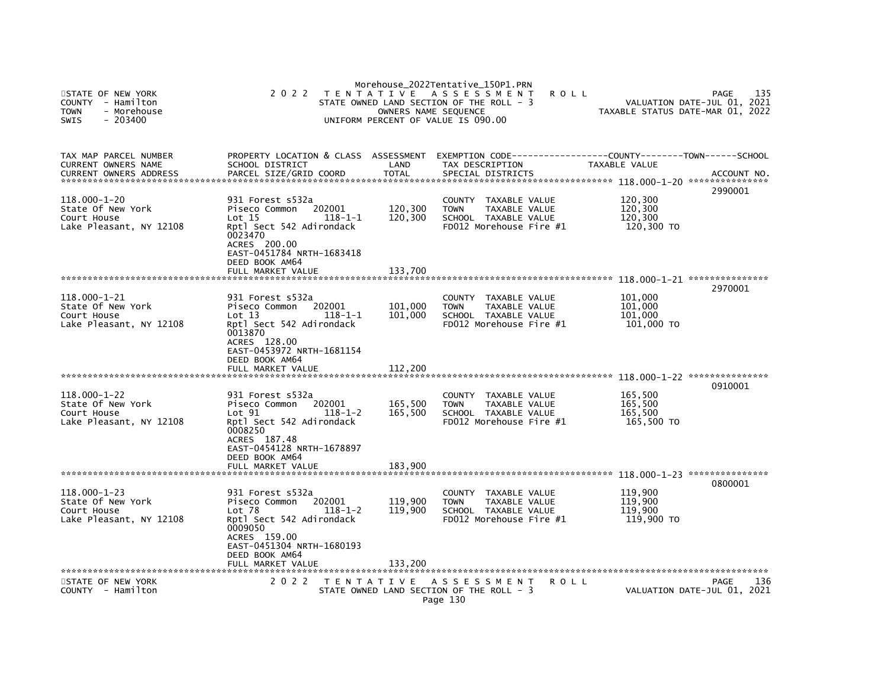| STATE OF NEW YORK<br>COUNTY - Hamilton<br><b>TOWN</b><br>- Morehouse<br>$-203400$<br><b>SWIS</b> | 2 0 2 2                                                                                                                                                                                           | OWNERS NAME SEQUENCE          | Morehouse_2022Tentative_150P1.PRN<br>TENTATIVE ASSESSMENT<br>STATE OWNED LAND SECTION OF THE ROLL - 3<br>UNIFORM PERCENT OF VALUE IS 090.00 | R O L L       | 135<br><b>PAGE</b><br>VALUATION DATE-JUL 01, 2021<br>TAXABLE STATUS DATE-MAR 01, 2022  |
|--------------------------------------------------------------------------------------------------|---------------------------------------------------------------------------------------------------------------------------------------------------------------------------------------------------|-------------------------------|---------------------------------------------------------------------------------------------------------------------------------------------|---------------|----------------------------------------------------------------------------------------|
| TAX MAP PARCEL NUMBER<br>CURRENT OWNERS NAME<br><b>CURRENT OWNERS ADDRESS</b>                    | PROPERTY LOCATION & CLASS ASSESSMENT<br>SCHOOL DISTRICT<br>PARCEL SIZE/GRID COORD                                                                                                                 | LAND<br><b>TOTAL</b>          | TAX DESCRIPTION<br>SPECIAL DISTRICTS                                                                                                        | TAXABLE VALUE | EXEMPTION CODE-----------------COUNTY-------TOWN------SCHOOL<br>ACCOUNT NO.<br>2990001 |
| $118.000 - 1 - 20$<br>State Of New York<br>Court House<br>Lake Pleasant, NY 12108                | 931 Forest s532a<br>202001<br>Piseco Common<br>Lot 15<br>$118 - 1 - 1$<br>Rptl Sect 542 Adirondack<br>0023470<br>ACRES 200.00<br>EAST-0451784 NRTH-1683418<br>DEED BOOK AM64                      | 120,300<br>120,300            | COUNTY TAXABLE VALUE<br><b>TOWN</b><br>TAXABLE VALUE<br>SCHOOL TAXABLE VALUE<br>FD012 Morehouse Fire #1                                     |               | 120,300<br>120,300<br>120,300<br>120,300 TO                                            |
|                                                                                                  | FULL MARKET VALUE                                                                                                                                                                                 | 133,700                       |                                                                                                                                             |               |                                                                                        |
| 118.000-1-21<br>State Of New York<br>Court House<br>Lake Pleasant, NY 12108                      | 931 Forest s532a<br>Piseco Common<br>202001<br>Lot 13<br>$118 - 1 - 1$<br>Rptl Sect 542 Adirondack<br>0013870<br>ACRES 128.00                                                                     | 101,000<br>101,000            | COUNTY TAXABLE VALUE<br>TAXABLE VALUE<br><b>TOWN</b><br>SCHOOL TAXABLE VALUE<br>FD012 Morehouse Fire #1                                     |               | 2970001<br>101,000<br>101,000<br>101,000<br>101,000 TO                                 |
|                                                                                                  | EAST-0453972 NRTH-1681154<br>DEED BOOK AM64<br>FULL MARKET VALUE                                                                                                                                  | 112,200                       |                                                                                                                                             |               | 0910001                                                                                |
| $118.000 - 1 - 22$<br>State Of New York<br>Court House<br>Lake Pleasant, NY 12108                | 931 Forest s532a<br>Piseco Common<br>202001<br>Lot 91<br>$118 - 1 - 2$<br>Rptl Sect 542 Adirondack<br>0008250<br>ACRES 187.48<br>EAST-0454128 NRTH-1678897<br>DEED BOOK AM64<br>FULL MARKET VALUE | 165,500<br>165,500<br>183.900 | COUNTY TAXABLE VALUE<br>TAXABLE VALUE<br><b>TOWN</b><br>SCHOOL TAXABLE VALUE<br>FD012 Morehouse Fire #1                                     |               | 165,500<br>165,500<br>165.500<br>165,500 TO                                            |
| ******************************                                                                   |                                                                                                                                                                                                   |                               |                                                                                                                                             |               |                                                                                        |
| $118.000 - 1 - 23$<br>State Of New York<br>Court House<br>Lake Pleasant, NY 12108                | 931 Forest s532a<br>202001<br>Piseco Common<br>Lot <sub>78</sub><br>$118 - 1 - 2$<br>Rptl Sect 542 Adirondack<br>0009050<br>ACRES 159.00<br>EAST-0451304 NRTH-1680193<br>DEED BOOK AM64           | 119,900<br>119,900            | COUNTY TAXABLE VALUE<br><b>TOWN</b><br>TAXABLE VALUE<br>SCHOOL TAXABLE VALUE<br>FD012 Morehouse Fire #1                                     |               | 0800001<br>119,900<br>119,900<br>119,900<br>119,900 TO                                 |
|                                                                                                  | FULL MARKET VALUE                                                                                                                                                                                 | 133,200                       |                                                                                                                                             |               |                                                                                        |
| STATE OF NEW YORK<br>COUNTY - Hamilton                                                           | 2 0 2 2                                                                                                                                                                                           |                               | TENTATIVE ASSESSMENT<br>STATE OWNED LAND SECTION OF THE ROLL - 3<br>Page 130                                                                | <b>ROLL</b>   | 136<br>PAGE<br>VALUATION DATE-JUL 01, 2021                                             |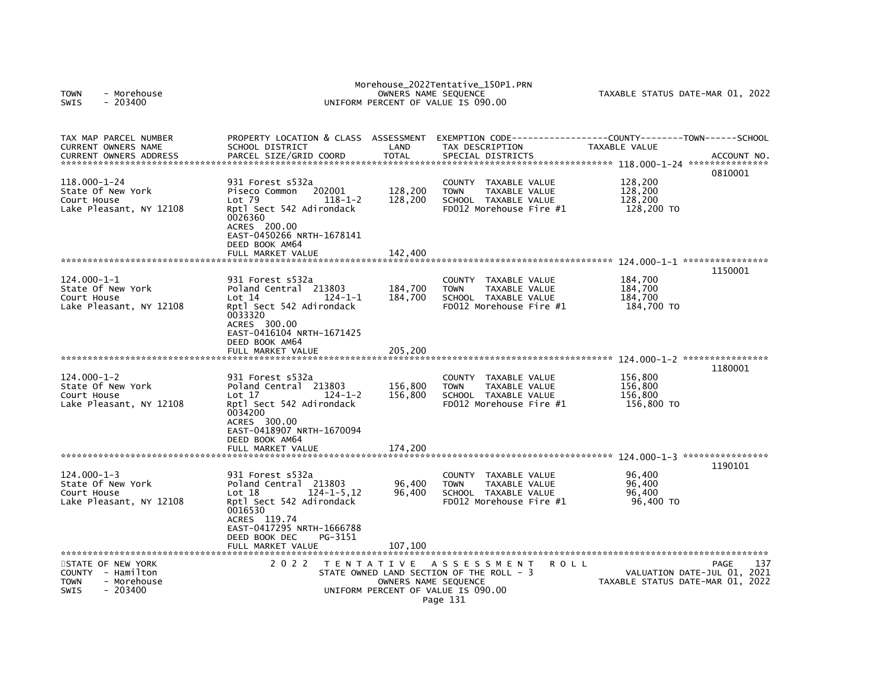| <b>TOWN</b><br>- Morehouse<br>- 203400<br>SWIS                                                  |                                                                                                                                                                                                              |                               | Morehouse_2022Tentative_150P1.PRN<br>OWNERS NAME SEQUENCE<br>UNIFORM PERCENT OF VALUE IS 090.00                                                   | TAXABLE STATUS DATE-MAR 01, 2022                           |                     |
|-------------------------------------------------------------------------------------------------|--------------------------------------------------------------------------------------------------------------------------------------------------------------------------------------------------------------|-------------------------------|---------------------------------------------------------------------------------------------------------------------------------------------------|------------------------------------------------------------|---------------------|
| TAX MAP PARCEL NUMBER<br>CURRENT OWNERS NAME<br><b>CURRENT OWNERS ADDRESS</b>                   | PROPERTY LOCATION & CLASS ASSESSMENT<br>SCHOOL DISTRICT<br>PARCEL SIZE/GRID COORD                                                                                                                            | LAND<br><b>TOTAL</b>          | EXEMPTION CODE----<br>TAX DESCRIPTION<br>SPECIAL DISTRICTS                                                                                        | -----------COUNTY--------TOWN------SCHOOL<br>TAXABLE VALUE | ACCOUNT NO          |
| 118.000-1-24<br>State Of New York<br>Court House<br>Lake Pleasant, NY 12108                     | 931 Forest s532a<br>202001<br>Piseco Common<br>$Lot$ 79<br>$118 - 1 - 2$<br>Rptl Sect 542 Adirondack<br>0026360<br>ACRES 200.00<br>EAST-0450266 NRTH-1678141<br>DEED BOOK AM64<br>FULL MARKET VALUE          | 128,200<br>128,200<br>142,400 | <b>COUNTY</b><br>TAXABLE VALUE<br><b>TOWN</b><br>TAXABLE VALUE<br>SCHOOL TAXABLE VALUE<br>FD012 Morehouse Fire #1                                 | 128,200<br>128,200<br>128,200<br>128,200 TO                | 0810001             |
|                                                                                                 |                                                                                                                                                                                                              |                               |                                                                                                                                                   |                                                            | 1150001             |
| $124.000 - 1 - 1$<br>State Of New York<br>Court House<br>Lake Pleasant, NY 12108                | 931 Forest s532a<br>Poland Central 213803<br>$124 - 1 - 1$<br>Lot 14<br>Rptl Sect 542 Adirondack<br>0033320<br>ACRES 300.00<br>EAST-0416104 NRTH-1671425<br>DEED BOOK AM64                                   | 184,700<br>184,700            | TAXABLE VALUE<br>COUNTY<br><b>TOWN</b><br>TAXABLE VALUE<br>SCHOOL TAXABLE VALUE<br>FD012 Morehouse Fire #1                                        | 184,700<br>184,700<br>184,700<br>184,700 TO                |                     |
| *****************************                                                                   | FULL MARKET VALUE                                                                                                                                                                                            | 205.200                       |                                                                                                                                                   |                                                            |                     |
| $124.000 - 1 - 2$<br>State Of New York<br>Court House<br>Lake Pleasant, NY 12108                | 931 Forest s532a<br>Poland Central<br>213803<br>Lot 17<br>$124 - 1 - 2$<br>Rptl Sect 542 Adirondack<br>0034200<br>ACRES 300.00<br>EAST-0418907 NRTH-1670094<br>DEED BOOK AM64                                | 156,800<br>156,800            | COUNTY TAXABLE VALUE<br><b>TAXABLE VALUE</b><br><b>TOWN</b><br>SCHOOL TAXABLE VALUE<br>FD012 Morehouse Fire #1                                    | 156,800<br>156,800<br>156,800<br>156,800 TO                | 1180001             |
|                                                                                                 | FULL MARKET VALUE                                                                                                                                                                                            | 174,200                       |                                                                                                                                                   |                                                            |                     |
| $124.000 - 1 - 3$<br>State Of New York<br>Court House<br>Lake Pleasant, NY 12108                | 931 Forest s532a<br>Poland Central 213803<br>$124 - 1 - 5.12$<br>Lot 18<br>Rptl Sect 542 Adirondack<br>0016530<br>ACRES 119.74<br>EAST-0417295 NRTH-1666788<br>DEED BOOK DEC<br>PG-3151<br>FULL MARKET VALUE | 96,400<br>96.400<br>107,100   | TAXABLE VALUE<br><b>COUNTY</b><br>TAXABLE VALUE<br><b>TOWN</b><br>SCHOOL TAXABLE VALUE<br>FD012 Morehouse Fire #1                                 | 96,400<br>96.400<br>96.400<br>96,400 TO                    | 1190101             |
| STATE OF NEW YORK<br>COUNTY - Hamilton<br>- Morehouse<br><b>TOWN</b><br><b>SWIS</b><br>- 203400 | 2 0 2 2                                                                                                                                                                                                      | T E N T A T I V E             | A S S E S S M E N T<br>ROLL<br>STATE OWNED LAND SECTION OF THE ROLL - 3<br>OWNERS NAME SEQUENCE<br>UNIFORM PERCENT OF VALUE IS 090.00<br>Page 131 | VALUATION DATE-JUL 01,<br>TAXABLE STATUS DATE-MAR 01, 2022 | 137<br>PAGE<br>2021 |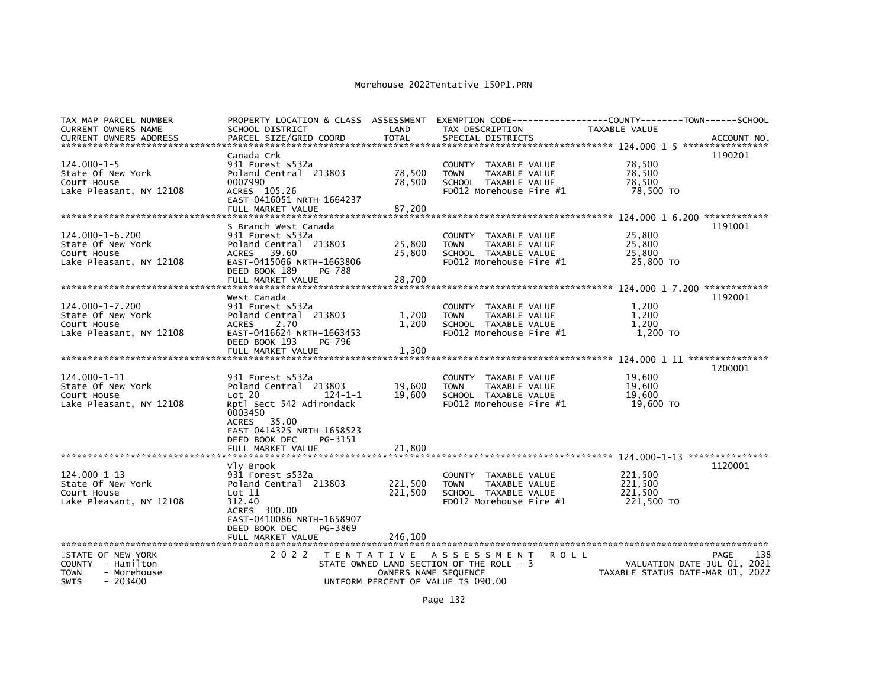| TAX MAP PARCEL NUMBER<br>CURRENT OWNERS NAME                                                     | PROPERTY LOCATION & CLASS ASSESSMENT<br>SCHOOL DISTRICT                                                                                                                             | LAND                              | TAX DESCRIPTION                                                                                                   | TAXABLE VALUE                                   |                                            |
|--------------------------------------------------------------------------------------------------|-------------------------------------------------------------------------------------------------------------------------------------------------------------------------------------|-----------------------------------|-------------------------------------------------------------------------------------------------------------------|-------------------------------------------------|--------------------------------------------|
|                                                                                                  | Canada Crk                                                                                                                                                                          |                                   |                                                                                                                   |                                                 | 1190201                                    |
| $124.000 - 1 - 5$<br>State Of New York<br>Court House<br>Lake Pleasant, NY 12108                 | 931 Forest s532a<br>Poland Central 213803<br>0007990<br>ACRES 105.26<br>EAST-0416051 NRTH-1664237<br>FULL MARKET VALUE                                                              | 78,500<br>78,500<br>87,200        | COUNTY TAXABLE VALUE<br><b>TOWN</b><br><b>TAXABLE VALUE</b><br>SCHOOL TAXABLE VALUE<br>FD012 Morehouse Fire #1    | 78,500<br>78.500<br>78,500<br>78,500 TO         |                                            |
|                                                                                                  |                                                                                                                                                                                     |                                   |                                                                                                                   |                                                 |                                            |
| $124.000 - 1 - 6.200$<br>State Of New York<br>Court House<br>Lake Pleasant, NY 12108             | S Branch West Canada<br>931 Forest s532a<br>Poland Central 213803<br>39.60<br><b>ACRES</b><br>EAST-0415066 NRTH-1663806<br>DEED BOOK 189<br>PG-788<br>FULL MARKET VALUE             | 25,800<br>25,800<br>28,700        | <b>COUNTY</b><br>TAXABLE VALUE<br>TAXABLE VALUE<br><b>TOWN</b><br>SCHOOL TAXABLE VALUE<br>FD012 Morehouse Fire #1 | 25,800<br>25,800<br>25,800<br>25,800 TO         | 1191001                                    |
|                                                                                                  |                                                                                                                                                                                     |                                   |                                                                                                                   |                                                 |                                            |
| 124.000-1-7.200<br>State Of New York<br>Court House<br>Lake Pleasant, NY 12108                   | West Canada<br>931 Forest s532a<br>Poland Central 213803<br><b>ACRES</b><br>2.70<br>EAST-0416624 NRTH-1663453<br>DEED BOOK 193<br>PG-796                                            | 1,200<br>1,200                    | COUNTY TAXABLE VALUE<br><b>TOWN</b><br><b>TAXABLE VALUE</b><br>SCHOOL TAXABLE VALUE<br>FD012 Morehouse Fire #1    | 1,200<br>1,200<br>1.200<br>1,200 TO             | 1192001                                    |
|                                                                                                  | FULL MARKET VALUE                                                                                                                                                                   | 1,300                             |                                                                                                                   |                                                 |                                            |
| 124.000-1-11<br>State Of New York<br>Court House<br>Lake Pleasant, NY 12108                      | 931 Forest s532a<br>Poland Central 213803<br>Lot 20<br>$124 - 1 - 1$<br>Rptl Sect 542 Adirondack<br>0003450<br>ACRES 35.00<br>EAST-0414325 NRTH-1658523<br>DEED BOOK DEC<br>PG-3151 | 19,600<br>19,600                  | <b>COUNTY</b><br>TAXABLE VALUE<br>TAXABLE VALUE<br><b>TOWN</b><br>SCHOOL TAXABLE VALUE<br>FD012 Morehouse Fire #1 | 19,600<br>19,600<br>19.600<br>19,600 TO         | 1200001                                    |
|                                                                                                  |                                                                                                                                                                                     |                                   |                                                                                                                   |                                                 |                                            |
| 124.000-1-13<br>State Of New York<br>Court House<br>Lake Pleasant, NY 12108                      | Vly Brook<br>931 Forest s532a<br>Poland Central 213803<br>Lot 11<br>312.40<br>ACRES 300.00<br>EAST-0410086 NRTH-1658907<br>PG-3869<br>DEED BOOK DEC                                 | 221,500<br>221,500                | <b>COUNTY</b><br>TAXABLE VALUE<br><b>TOWN</b><br>TAXABLE VALUE<br>SCHOOL TAXABLE VALUE<br>FD012 Morehouse Fire #1 | 221.500<br>221,500<br>221.500<br>221,500 TO     | 1120001                                    |
| STATE OF NEW YORK<br>COUNTY - Hamilton<br>- Morehouse<br><b>TOWN</b><br><b>SWIS</b><br>$-203400$ | 2 0 2 2                                                                                                                                                                             | TENTATIVE<br>OWNERS NAME SEQUENCE | A S S E S S M E N T<br>STATE OWNED LAND SECTION OF THE ROLL - 3<br>UNIFORM PERCENT OF VALUE IS 090.00             | <b>ROLL</b><br>TAXABLE STATUS DATE-MAR 01, 2022 | 138<br>PAGE<br>VALUATION DATE-JUL 01, 2021 |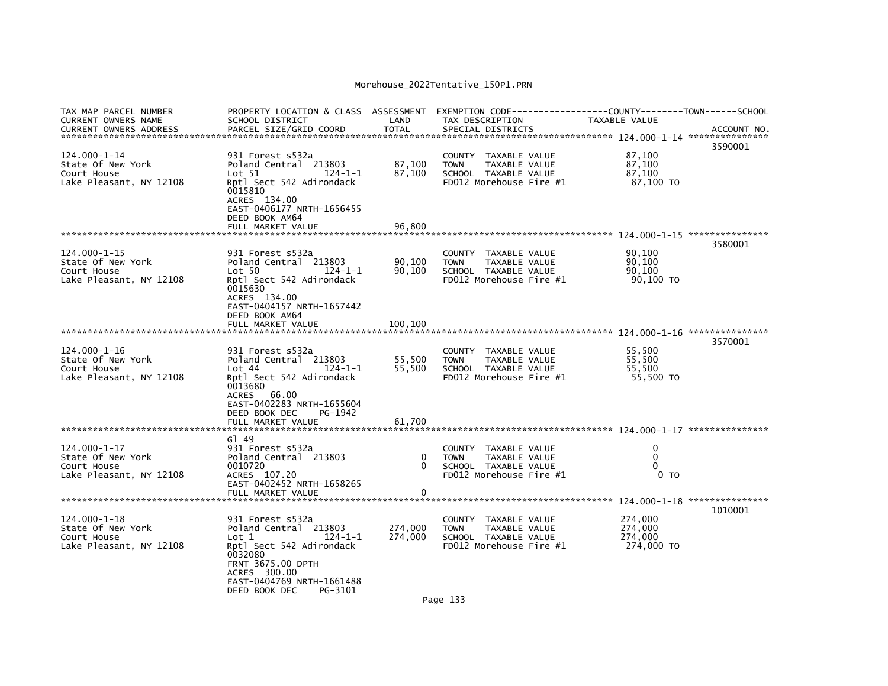| SCHOOL DISTRICT                                                                                                                                                                      | LAND                                                                                                                                   | TAX DESCRIPTION                                      | TAXABLE VALUE                           |                                                                                                                                                                                                                                                                                                                                                                                                                                                                                                                                                                                |
|--------------------------------------------------------------------------------------------------------------------------------------------------------------------------------------|----------------------------------------------------------------------------------------------------------------------------------------|------------------------------------------------------|-----------------------------------------|--------------------------------------------------------------------------------------------------------------------------------------------------------------------------------------------------------------------------------------------------------------------------------------------------------------------------------------------------------------------------------------------------------------------------------------------------------------------------------------------------------------------------------------------------------------------------------|
|                                                                                                                                                                                      |                                                                                                                                        |                                                      |                                         | ACCOUNT NO.<br>3590001                                                                                                                                                                                                                                                                                                                                                                                                                                                                                                                                                         |
| 931 Forest s532a<br>Poland Central 213803<br>Lot 51<br>$124 - 1 - 1$<br>Rptl Sect 542 Adirondack<br>0015810<br>ACRES 134.00<br>EAST-0406177 NRTH-1656455                             | 87,100<br>87,100                                                                                                                       | <b>TOWN</b>                                          | 87,100<br>87,100<br>87,100<br>87,100 TO |                                                                                                                                                                                                                                                                                                                                                                                                                                                                                                                                                                                |
| FULL MARKET VALUE                                                                                                                                                                    | 96.800                                                                                                                                 |                                                      |                                         |                                                                                                                                                                                                                                                                                                                                                                                                                                                                                                                                                                                |
|                                                                                                                                                                                      |                                                                                                                                        |                                                      |                                         | 3580001                                                                                                                                                                                                                                                                                                                                                                                                                                                                                                                                                                        |
| Poland Central 213803<br>Lot 50<br>$124 - 1 - 1$<br>Rptl Sect 542 Adirondack<br>0015630<br>ACRES 134.00<br>EAST-0404157 NRTH-1657442                                                 | 90,100<br>90.100                                                                                                                       | <b>TOWN</b>                                          | 90,100<br>90.100<br>90,100 TO           |                                                                                                                                                                                                                                                                                                                                                                                                                                                                                                                                                                                |
|                                                                                                                                                                                      |                                                                                                                                        |                                                      |                                         |                                                                                                                                                                                                                                                                                                                                                                                                                                                                                                                                                                                |
|                                                                                                                                                                                      |                                                                                                                                        |                                                      |                                         | 3570001                                                                                                                                                                                                                                                                                                                                                                                                                                                                                                                                                                        |
| 931 Forest s532a<br>Poland Central 213803<br>Lot 44<br>124-1-1<br>Rptl Sect 542 Adirondack<br>0013680<br>ACRES 66.00<br>EAST-0402283 NRTH-1655604                                    | 55,500<br>55,500                                                                                                                       | <b>TOWN</b>                                          | 55,500<br>55,500<br>55,500 TO           |                                                                                                                                                                                                                                                                                                                                                                                                                                                                                                                                                                                |
| FULL MARKET VALUE                                                                                                                                                                    | 61.700                                                                                                                                 |                                                      |                                         |                                                                                                                                                                                                                                                                                                                                                                                                                                                                                                                                                                                |
|                                                                                                                                                                                      |                                                                                                                                        |                                                      |                                         |                                                                                                                                                                                                                                                                                                                                                                                                                                                                                                                                                                                |
| 931 Forest s532a<br>Poland Central 213803<br>0010720<br>ACRES 107.20<br>EAST-0402452 NRTH-1658265                                                                                    | 0<br>$\Omega$                                                                                                                          | <b>TOWN</b>                                          | 0<br>$\Omega$<br>0<br>0 <sub>T</sub>    |                                                                                                                                                                                                                                                                                                                                                                                                                                                                                                                                                                                |
| FULL MARKET VALUE                                                                                                                                                                    | 0                                                                                                                                      |                                                      |                                         |                                                                                                                                                                                                                                                                                                                                                                                                                                                                                                                                                                                |
|                                                                                                                                                                                      |                                                                                                                                        |                                                      |                                         | 1010001                                                                                                                                                                                                                                                                                                                                                                                                                                                                                                                                                                        |
| Poland Central 213803<br>$124 - 1 - 1$<br>Lot 1<br>Rptl Sect 542 Adirondack<br>0032080<br>FRNT 3675.00 DPTH<br>ACRES 300.00<br>EAST-0404769 NRTH-1661488<br>DEED BOOK DEC<br>PG-3101 | 274,000<br>274,000                                                                                                                     | <b>TOWN</b><br>$\sim$ $\sim$                         | 274,000<br>274,000<br>274,000 TO        |                                                                                                                                                                                                                                                                                                                                                                                                                                                                                                                                                                                |
|                                                                                                                                                                                      | PARCEL SIZE/GRID COORD<br>DEED BOOK AM64<br>931 Forest s532a<br>DEED BOOK AM64<br>DEED BOOK DEC<br>PG-1942<br>G149<br>931 Forest s532a | PROPERTY LOCATION & CLASS ASSESSMENT<br><b>TOTAL</b> | SPECIAL DISTRICTS                       | EXEMPTION CODE-----------------COUNTY-------TOWN------SCHOOL<br>COUNTY TAXABLE VALUE<br><b>TAXABLE VALUE</b><br>SCHOOL TAXABLE VALUE<br>FD012 Morehouse Fire #1<br>90,100<br>COUNTY TAXABLE VALUE<br>TAXABLE VALUE<br>SCHOOL TAXABLE VALUE<br>FD012 Morehouse Fire #1<br>55.500<br>COUNTY TAXABLE VALUE<br>TAXABLE VALUE<br>SCHOOL TAXABLE VALUE<br>FD012 Morehouse Fire #1<br>COUNTY TAXABLE VALUE<br>TAXABLE VALUE<br>SCHOOL TAXABLE VALUE<br>FD012 Morehouse Fire #1<br>274,000<br>COUNTY TAXABLE VALUE<br>TAXABLE VALUE<br>SCHOOL TAXABLE VALUE<br>FD012 Morehouse Fire #1 |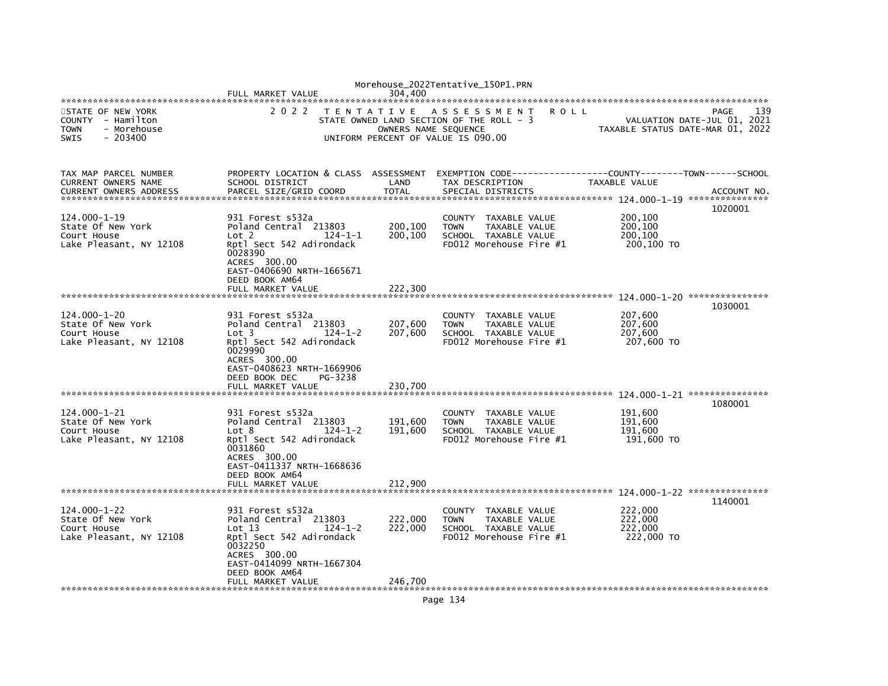|                                                                                                 | FULL MARKET VALUE                                                                                                                                                                                         | 304,400                                   | Morehouse_2022Tentative_150P1.PRN                                                                           |                                             |                                            |
|-------------------------------------------------------------------------------------------------|-----------------------------------------------------------------------------------------------------------------------------------------------------------------------------------------------------------|-------------------------------------------|-------------------------------------------------------------------------------------------------------------|---------------------------------------------|--------------------------------------------|
| STATE OF NEW YORK<br>COUNTY - Hamilton<br>- Morehouse<br><b>TOWN</b><br><b>SWIS</b><br>- 203400 | 2 0 2 2                                                                                                                                                                                                   | T E N T A T I V E<br>OWNERS NAME SEQUENCE | ASSESSMENT<br><b>ROLL</b><br>STATE OWNED LAND SECTION OF THE ROLL - 3<br>UNIFORM PERCENT OF VALUE IS 090.00 | TAXABLE STATUS DATE-MAR 01, 2022            | 139<br>PAGE<br>VALUATION DATE-JUL 01, 2021 |
| TAX MAP PARCEL NUMBER<br>CURRENT OWNERS NAME<br><b>CURRENT OWNERS ADDRESS</b>                   | PROPERTY LOCATION & CLASS ASSESSMENT<br>SCHOOL DISTRICT<br>PARCEL SIZE/GRID COORD                                                                                                                         | LAND<br><b>TOTAL</b>                      | TAX DESCRIPTION<br>SPECIAL DISTRICTS                                                                        | TAXABLE VALUE                               | ACCOUNT NO.                                |
| 124.000-1-19<br>State Of New York<br>Court House<br>Lake Pleasant, NY 12108                     | 931 Forest s532a<br>Poland Central 213803<br>$124 - 1 - 1$<br>Lot <sub>2</sub><br>Rptl Sect 542 Adirondack<br>0028390<br>ACRES 300.00<br>EAST-0406690 NRTH-1665671<br>DEED BOOK AM64<br>FULL MARKET VALUE | 200,100<br>200,100<br>222,300             | COUNTY TAXABLE VALUE<br><b>TOWN</b><br>TAXABLE VALUE<br>SCHOOL TAXABLE VALUE<br>FD012 Morehouse Fire #1     | 200,100<br>200,100<br>200.100<br>200,100 TO | 1020001                                    |
|                                                                                                 |                                                                                                                                                                                                           |                                           |                                                                                                             |                                             | 1030001                                    |
| $124.000 - 1 - 20$<br>State Of New York<br>Court House<br>Lake Pleasant, NY 12108               | 931 Forest s532a<br>Poland Central 213803<br>$124 - 1 - 2$<br>Lot 3<br>Rptl Sect 542 Adirondack<br>0029990<br>ACRES 300.00<br>EAST-0408623 NRTH-1669906<br>DEED BOOK DEC<br>PG-3238<br>FULL MARKET VALUE  | 207,600<br>207,600<br>230,700             | COUNTY TAXABLE VALUE<br><b>TOWN</b><br>TAXABLE VALUE<br>SCHOOL TAXABLE VALUE<br>FD012 Morehouse Fire #1     | 207,600<br>207,600<br>207,600<br>207,600 TO |                                            |
|                                                                                                 |                                                                                                                                                                                                           |                                           |                                                                                                             |                                             | 1080001                                    |
| $124.000 - 1 - 21$<br>State Of New York<br>Court House<br>Lake Pleasant, NY 12108               | 931 Forest s532a<br>Poland Central 213803<br>$124 - 1 - 2$<br>Lot 8<br>Rptl Sect 542 Adirondack<br>0031860<br>ACRES 300.00<br>EAST-0411337 NRTH-1668636<br>DEED BOOK AM64                                 | 191,600<br>191.600                        | COUNTY TAXABLE VALUE<br><b>TOWN</b><br>TAXABLE VALUE<br>SCHOOL TAXABLE VALUE<br>FD012 Morehouse Fire #1     | 191,600<br>191,600<br>191.600<br>191,600 TO |                                            |
|                                                                                                 | FULL MARKET VALUE                                                                                                                                                                                         | 212,900                                   |                                                                                                             |                                             |                                            |
| 124.000-1-22<br>State Of New York<br>Court House<br>Lake Pleasant, NY 12108                     | 931 Forest s532a<br>Poland Central 213803<br>Lot 13<br>$124 - 1 - 2$<br>Rptl Sect 542 Adirondack<br>0032250<br>ACRES 300.00<br>EAST-0414099 NRTH-1667304<br>DEED BOOK AM64<br>FULL MARKET VALUE           | 222,000<br>222,000<br>246,700             | COUNTY TAXABLE VALUE<br><b>TOWN</b><br>TAXABLE VALUE<br>SCHOOL TAXABLE VALUE<br>FD012 Morehouse Fire #1     | 222,000<br>222,000<br>222,000<br>222,000 TO | 1140001                                    |
|                                                                                                 |                                                                                                                                                                                                           |                                           |                                                                                                             |                                             |                                            |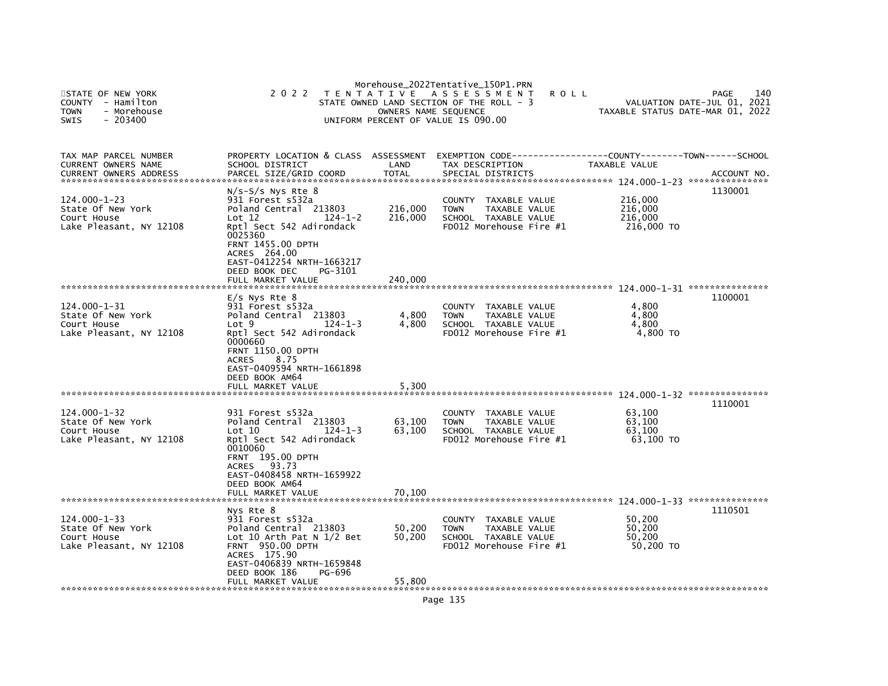| STATE OF NEW YORK<br><b>COUNTY</b><br>- Hamilton<br>- Morehouse<br><b>TOWN</b><br>$-203400$<br><b>SWIS</b> | 2 0 2 2                                                                                                                                                                                                                                                          | OWNERS NAME SEQUENCE          | Morehouse_2022Tentative_150P1.PRN<br>TENTATIVE ASSESSMENT<br><b>ROLL</b><br>STATE OWNED LAND SECTION OF THE ROLL - 3<br>UNIFORM PERCENT OF VALUE IS 090.00 | TAXABLE STATUS DATE-MAR 01, 2022            | 140<br>PAGE<br>VALUATION DATE-JUL 01, 2021 |
|------------------------------------------------------------------------------------------------------------|------------------------------------------------------------------------------------------------------------------------------------------------------------------------------------------------------------------------------------------------------------------|-------------------------------|------------------------------------------------------------------------------------------------------------------------------------------------------------|---------------------------------------------|--------------------------------------------|
| TAX MAP PARCEL NUMBER<br>CURRENT OWNERS NAME<br><b>CURRENT OWNERS ADDRESS</b>                              | PROPERTY LOCATION & CLASS ASSESSMENT<br>SCHOOL DISTRICT<br>PARCEL SIZE/GRID COORD                                                                                                                                                                                | LAND<br><b>TOTAL</b>          | EXEMPTION CODE-----------------COUNTY-------TOWN------SCHOOL<br>TAX DESCRIPTION<br>SPECIAL DISTRICTS                                                       | TAXABLE VALUE                               | ACCOUNT NO.                                |
| 124.000-1-23<br>State Of New York<br>Court House<br>Lake Pleasant, NY 12108                                | $N/S-S/S$ Nys Rte $8$<br>931 Forest s532a<br>Poland Central 213803<br>$124 - 1 - 2$<br>Lot $12$<br>Rptl Sect 542 Adirondack<br>0025360<br><b>FRNT 1455.00 DPTH</b><br>ACRES 264.00<br>EAST-0412254 NRTH-1663217<br>DEED BOOK DEC<br>PG-3101<br>FULL MARKET VALUE | 216,000<br>216,000<br>240,000 | <b>COUNTY</b><br>TAXABLE VALUE<br><b>TOWN</b><br><b>TAXABLE VALUE</b><br>SCHOOL TAXABLE VALUE<br>FD012 Morehouse Fire #1                                   | 216,000<br>216,000<br>216,000<br>216,000 TO | 1130001                                    |
| $124.000 - 1 - 31$<br>State Of New York<br>Court House<br>Lake Pleasant, NY 12108                          | $E/S$ Nys Rte $8$<br>931 Forest s532a<br>Poland Central 213803<br>$124 - 1 - 3$<br>Lot 9<br>Rptl Sect 542 Adirondack<br>0000660<br><b>FRNT 1150.00 DPTH</b><br><b>ACRES</b><br>8.75<br>EAST-0409594 NRTH-1661898<br>DEED BOOK AM64<br>FULL MARKET VALUE          | 4,800<br>4,800<br>5,300       | <b>COUNTY</b><br>TAXABLE VALUE<br>TAXABLE VALUE<br><b>TOWN</b><br>SCHOOL TAXABLE VALUE<br>FD012 Morehouse Fire #1                                          | 4,800<br>4,800<br>4.800<br>4,800 TO         | 1100001                                    |
| $124.000 - 1 - 32$<br>State Of New York<br>Court House<br>Lake Pleasant, NY 12108                          | 931 Forest s532a<br>Poland Central 213803<br>$124 - 1 - 3$<br>Lot 10<br>Rptl Sect 542 Adirondack<br>0010060<br>FRNT 195.00 DPTH<br><b>ACRES</b><br>93.73<br>EAST-0408458 NRTH-1659922<br>DEED BOOK AM64<br>FULL MARKET VALUE                                     | 63,100<br>63,100<br>70.100    | TAXABLE VALUE<br>COUNTY<br><b>TOWN</b><br>TAXABLE VALUE<br>SCHOOL TAXABLE VALUE<br>FD012 Morehouse Fire #1                                                 | 63,100<br>63.100<br>63,100<br>63,100 TO     | 1110001                                    |
| $124.000 - 1 - 33$<br>State Of New York<br>Court House<br>Lake Pleasant, NY 12108                          | Nys Rte 8<br>931 Forest s532a<br>Poland Central 213803<br>Lot 10 Arth Pat N $1/2$ Bet<br><b>FRNT 950.00 DPTH</b><br>ACRES 175.90<br>EAST-0406839 NRTH-1659848<br>DEED BOOK 186<br>PG-696<br>FULL MARKET VALUE                                                    | 50,200<br>50,200<br>55,800    | COUNTY<br>TAXABLE VALUE<br><b>TOWN</b><br>TAXABLE VALUE<br>SCHOOL TAXABLE VALUE<br>$FD012$ Morehouse Fire $#1$                                             | 50,200<br>50,200<br>50,200<br>50,200 TO     | 1110501                                    |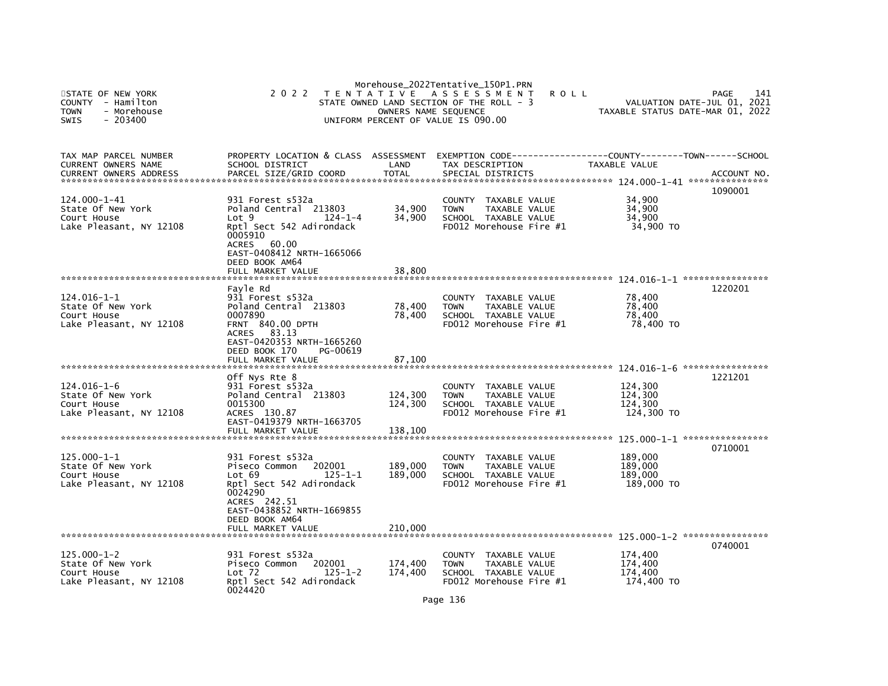| STATE OF NEW YORK<br>- Hamilton<br><b>COUNTY</b><br><b>TOWN</b><br>- Morehouse<br>$-203400$<br><b>SWIS</b> | 2 0 2 2                                                                                                                                                           | OWNERS NAME SEQUENCE | Morehouse_2022Tentative_150P1.PRN<br>TENTATIVE ASSESSMENT<br><b>ROLL</b><br>STATE OWNED LAND SECTION OF THE ROLL - 3<br>UNIFORM PERCENT OF VALUE IS 090.00 | VALUATION DATE-JUL 01,<br>TAXABLE STATUS DATE-MAR 01, 2022 | 141<br>PAGE<br>2021 |
|------------------------------------------------------------------------------------------------------------|-------------------------------------------------------------------------------------------------------------------------------------------------------------------|----------------------|------------------------------------------------------------------------------------------------------------------------------------------------------------|------------------------------------------------------------|---------------------|
| TAX MAP PARCEL NUMBER<br>CURRENT OWNERS NAME                                                               | PROPERTY LOCATION & CLASS ASSESSMENT<br>SCHOOL DISTRICT                                                                                                           | LAND                 | EXEMPTION        CODE-----------------COUNTY-------TOWN------SCHOOL<br>TAX DESCRIPTION                                                                     | TAXABLE VALUE                                              |                     |
| <b>CURRENT OWNERS ADDRESS</b>                                                                              | PARCEL SIZE/GRID COORD                                                                                                                                            | <b>TOTAL</b>         | SPECIAL DISTRICTS                                                                                                                                          |                                                            | ACCOUNT NO.         |
| 124.000-1-41<br>State Of New York<br>Court House<br>Lake Pleasant, NY 12108                                | 931 Forest s532a<br>Poland Central 213803<br>Lot <sub>9</sub><br>$124 - 1 - 4$<br>Rptl Sect 542 Adirondack<br>0005910<br>ACRES 60.00<br>EAST-0408412 NRTH-1665066 | 34,900<br>34,900     | <b>COUNTY</b><br>TAXABLE VALUE<br>TAXABLE VALUE<br><b>TOWN</b><br>SCHOOL TAXABLE VALUE<br>FD012 Morehouse Fire #1                                          | 34,900<br>34,900<br>34,900<br>34,900 TO                    | 1090001             |
|                                                                                                            | DEED BOOK AM64<br>FULL MARKET VALUE                                                                                                                               | 38,800               |                                                                                                                                                            |                                                            |                     |
| 124.016-1-1<br>State Of New York<br>Court House<br>Lake Pleasant, NY 12108                                 | Favle Rd<br>931 Forest s532a<br>Poland Central 213803<br>0007890<br>FRNT 840.00 DPTH<br>ACRES 83.13<br>EAST-0420353 NRTH-1665260<br>DEED BOOK 170<br>PG-00619     | 78,400<br>78,400     | COUNTY TAXABLE VALUE<br>TAXABLE VALUE<br><b>TOWN</b><br>SCHOOL TAXABLE VALUE<br>FD012 Morehouse Fire #1                                                    | 78,400<br>78,400<br>78,400<br>78,400 TO                    | 1220201             |
| ********************************                                                                           | FULL MARKET VALUE                                                                                                                                                 | 87,100               |                                                                                                                                                            |                                                            |                     |
| $124.016 - 1 - 6$<br>State Of New York<br>Court House<br>Lake Pleasant, NY 12108                           | Off Nys Rte 8<br>931 Forest s532a<br>Poland Central 213803<br>0015300<br>ACRES 130.87<br>EAST-0419379 NRTH-1663705                                                | 124,300<br>124,300   | COUNTY TAXABLE VALUE<br>TAXABLE VALUE<br><b>TOWN</b><br>SCHOOL TAXABLE VALUE<br>$FD012$ Morehouse Fire $#1$                                                | 124,300<br>124,300<br>124,300<br>124,300 TO                | 1221201             |
|                                                                                                            | FULL MARKET VALUE                                                                                                                                                 | 138,100              |                                                                                                                                                            |                                                            |                     |
| $125.000 - 1 - 1$<br>State Of New York<br>Court House<br>Lake Pleasant, NY 12108                           | 931 Forest s532a<br>202001<br>Piseco Common<br>Lot 69<br>125-1-1<br>Rptl Sect 542 Adirondack<br>0024290                                                           | 189,000<br>189,000   | COUNTY TAXABLE VALUE<br><b>TOWN</b><br>TAXABLE VALUE<br>SCHOOL TAXABLE VALUE<br>FD012 Morehouse Fire #1                                                    | 189,000<br>189,000<br>189,000<br>189,000 TO                | 0710001             |
| *****************************                                                                              | ACRES 242.51<br>EAST-0438852 NRTH-1669855<br>DEED BOOK AM64<br>FULL MARKET VALUE                                                                                  | 210,000              |                                                                                                                                                            |                                                            |                     |
| $125.000 - 1 - 2$<br>State Of New York<br>Court House<br>Lake Pleasant, NY 12108                           | 931 Forest s532a<br>202001<br>Piseco Common<br>$125 - 1 - 2$<br>$Lot$ 72<br>Rptl Sect 542 Adirondack<br>0024420                                                   | 174,400<br>174,400   | COUNTY TAXABLE VALUE<br><b>TOWN</b><br>TAXABLE VALUE<br>SCHOOL TAXABLE VALUE<br>FD012 Morehouse Fire #1                                                    | 174,400<br>174,400<br>174,400<br>174,400 TO                | 0740001             |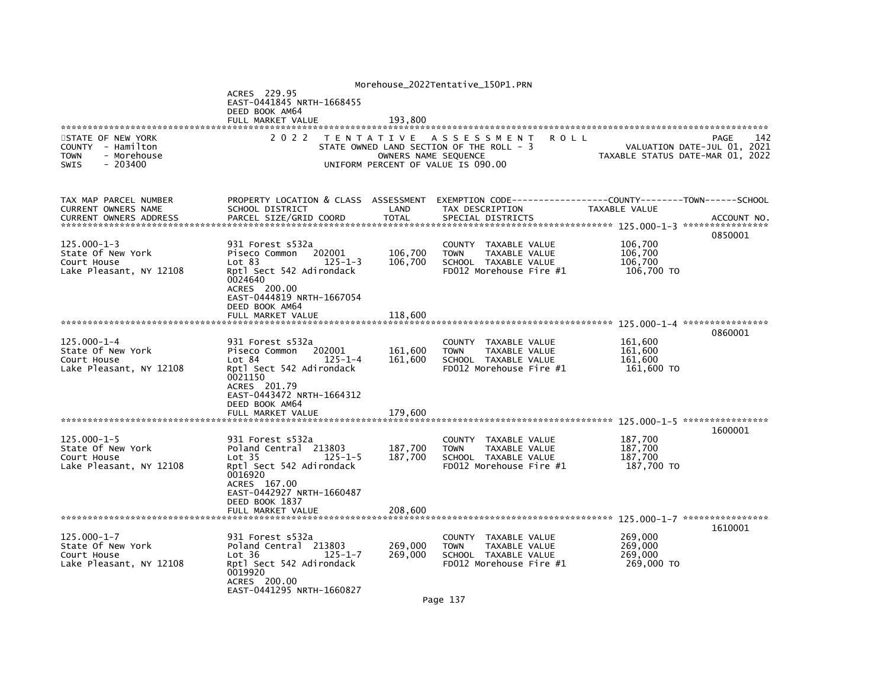|                                        |                                                                |                      | Morehouse_2022Tentative_150P1.PRN               |                                  |
|----------------------------------------|----------------------------------------------------------------|----------------------|-------------------------------------------------|----------------------------------|
|                                        | ACRES 229.95                                                   |                      |                                                 |                                  |
|                                        | EAST-0441845 NRTH-1668455                                      |                      |                                                 |                                  |
|                                        | DEED BOOK AM64<br>FULL MARKET VALUE                            | 193,800              |                                                 |                                  |
|                                        |                                                                |                      |                                                 |                                  |
| STATE OF NEW YORK                      | 2 0 2 2                                                        |                      | TENTATIVE ASSESSMENT<br><b>ROLL</b>             | 142<br>PAGE                      |
| COUNTY - Hamilton                      |                                                                |                      | STATE OWNED LAND SECTION OF THE ROLL - 3        | VALUATION DATE-JUL 01, 2021      |
| <b>TOWN</b><br>- Morehouse             |                                                                | OWNERS NAME SEOUENCE |                                                 | TAXABLE STATUS DATE-MAR 01, 2022 |
| $-203400$<br><b>SWIS</b>               |                                                                |                      | UNIFORM PERCENT OF VALUE IS 090.00              |                                  |
|                                        |                                                                |                      |                                                 |                                  |
|                                        |                                                                |                      |                                                 |                                  |
| TAX MAP PARCEL NUMBER                  | PROPERTY LOCATION & CLASS ASSESSMENT                           |                      |                                                 |                                  |
| CURRENT OWNERS NAME                    | SCHOOL DISTRICT                                                | LAND                 | TAX DESCRIPTION                                 | TAXABLE VALUE                    |
| <b>CURRENT OWNERS ADDRESS</b>          | PARCEL SIZE/GRID COORD                                         | <b>TOTAL</b>         | SPECIAL DISTRICTS                               | ACCOUNT NO.                      |
|                                        |                                                                |                      |                                                 |                                  |
| $125.000 - 1 - 3$                      | 931 Forest s532a                                               |                      | COUNTY<br>TAXABLE VALUE                         | 0850001<br>106,700               |
| State Of New York                      | Piseco Common<br>202001                                        | 106,700              | TAXABLE VALUE<br><b>TOWN</b>                    | 106,700                          |
| Court House                            | Lot 83<br>$125 - 1 - 3$                                        | 106,700              | SCHOOL TAXABLE VALUE                            | 106,700                          |
| Lake Pleasant, NY 12108                | Rptl Sect 542 Adirondack                                       |                      | FD012 Morehouse Fire #1                         | 106,700 TO                       |
|                                        | 0024640                                                        |                      |                                                 |                                  |
|                                        | ACRES 200.00                                                   |                      |                                                 |                                  |
|                                        | EAST-0444819 NRTH-1667054                                      |                      |                                                 |                                  |
|                                        | DEED BOOK AM64                                                 |                      |                                                 |                                  |
|                                        | FULL MARKET VALUE                                              | 118,600              |                                                 |                                  |
|                                        |                                                                |                      |                                                 | 0860001                          |
| $125.000 - 1 - 4$                      | 931 Forest s532a                                               |                      | COUNTY TAXABLE VALUE                            | 161,600                          |
| State Of New York                      | Piseco Common<br>202001                                        | 161,600              | TAXABLE VALUE<br><b>TOWN</b>                    | 161,600                          |
| Court House                            | Lot 84<br>$125 - 1 - 4$                                        | 161,600              | SCHOOL TAXABLE VALUE                            | 161,600                          |
| Lake Pleasant, NY 12108                | Rptl Sect 542 Adirondack                                       |                      | FD012 Morehouse Fire #1                         | 161,600 TO                       |
|                                        | 0021150                                                        |                      |                                                 |                                  |
|                                        | ACRES 201.79<br>EAST-0443472 NRTH-1664312                      |                      |                                                 |                                  |
|                                        | DEED BOOK AM64                                                 |                      |                                                 |                                  |
|                                        | FULL MARKET VALUE                                              | 179.600              |                                                 |                                  |
|                                        |                                                                |                      |                                                 |                                  |
|                                        |                                                                |                      |                                                 | 1600001                          |
| $125.000 - 1 - 5$                      | 931 Forest s532a                                               |                      | COUNTY TAXABLE VALUE                            | 187,700                          |
| State Of New York                      | Poland Central 213803                                          | 187,700              | <b>TOWN</b><br>TAXABLE VALUE                    | 187,700                          |
| Court House<br>Lake Pleasant, NY 12108 | Lot <sub>35</sub><br>$125 - 1 - 5$<br>Rptl Sect 542 Adirondack | 187,700              | SCHOOL TAXABLE VALUE<br>FD012 Morehouse Fire #1 | 187.700<br>187,700 TO            |
|                                        | 0016920                                                        |                      |                                                 |                                  |
|                                        | ACRES 167.00                                                   |                      |                                                 |                                  |
|                                        | EAST-0442927 NRTH-1660487                                      |                      |                                                 |                                  |
|                                        | DEED BOOK 1837                                                 |                      |                                                 |                                  |
|                                        | FULL MARKET VALUE                                              | 208,600              |                                                 |                                  |
|                                        |                                                                |                      |                                                 |                                  |
| $125.000 - 1 - 7$                      | 931 Forest s532a                                               |                      | COUNTY TAXABLE VALUE                            | 1610001<br>269,000               |
| State Of New York                      | Poland Central 213803                                          | 269,000              | <b>TOWN</b><br><b>TAXABLE VALUE</b>             | 269,000                          |
| Court House                            | Lot 36<br>$125 - 1 - 7$                                        | 269,000              | SCHOOL TAXABLE VALUE                            | 269,000                          |
| Lake Pleasant, NY 12108                | Rptl Sect 542 Adirondack                                       |                      | FD012 Morehouse Fire #1                         | 269,000 TO                       |
|                                        | 0019920                                                        |                      |                                                 |                                  |
|                                        | ACRES 200.00                                                   |                      |                                                 |                                  |
|                                        | EAST-0441295 NRTH-1660827                                      |                      |                                                 |                                  |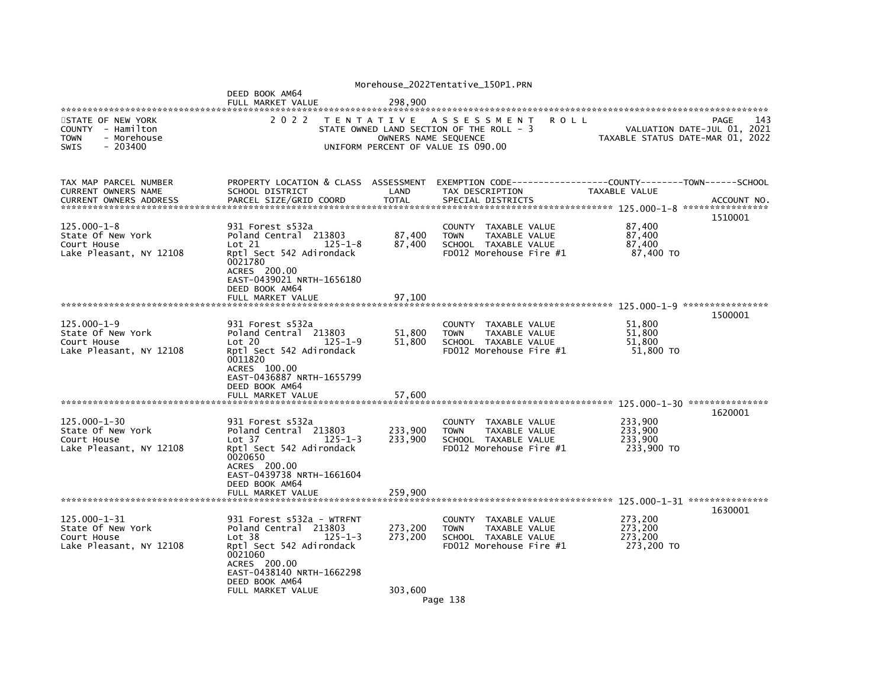|                                                                                                 |                                                                                                                                                                                                 |                            | Morehouse_2022Tentative_150P1.PRN                                                                                              |             |                                             |                                                                                |
|-------------------------------------------------------------------------------------------------|-------------------------------------------------------------------------------------------------------------------------------------------------------------------------------------------------|----------------------------|--------------------------------------------------------------------------------------------------------------------------------|-------------|---------------------------------------------|--------------------------------------------------------------------------------|
|                                                                                                 | DEED BOOK AM64<br>FULL MARKET VALUE                                                                                                                                                             | 298,900                    |                                                                                                                                |             |                                             |                                                                                |
| STATE OF NEW YORK<br>COUNTY - Hamilton<br><b>TOWN</b><br>- Morehouse<br><b>SWIS</b><br>- 203400 | 2 0 2 2                                                                                                                                                                                         |                            | TENTATIVE ASSESSMENT<br>STATE OWNED LAND SECTION OF THE ROLL - 3<br>OWNERS NAME SEQUENCE<br>UNIFORM PERCENT OF VALUE IS 090.00 | <b>ROLL</b> |                                             | 143<br>PAGE<br>VALUATION DATE-JUL 01, 2021<br>TAXABLE STATUS DATE-MAR 01, 2022 |
| TAX MAP PARCEL NUMBER<br>CURRENT OWNERS NAME<br><b>CURRENT OWNERS ADDRESS</b>                   | PROPERTY LOCATION & CLASS ASSESSMENT<br>SCHOOL DISTRICT<br>PARCEL SIZE/GRID COORD                                                                                                               | LAND<br><b>TOTAL</b>       | TAX DESCRIPTION<br>SPECIAL DISTRICTS                                                                                           |             | TAXABLE VALUE                               | ACCOUNT NO<br>****************<br>1510001                                      |
| $125.000 - 1 - 8$<br>State Of New York<br>Court House<br>Lake Pleasant, NY 12108                | 931 Forest s532a<br>Poland Central 213803<br>$125 - 1 - 8$<br>Lot 21<br>Rptl Sect 542 Adirondack<br>0021780<br>ACRES 200.00<br>EAST-0439021 NRTH-1656180<br>DEED BOOK AM64<br>FULL MARKET VALUE | 87,400<br>87,400<br>97.100 | <b>COUNTY</b><br>TAXABLE VALUE<br><b>TOWN</b><br>TAXABLE VALUE<br>SCHOOL TAXABLE VALUE<br>FD012 Morehouse Fire #1              |             | 87,400<br>87,400<br>87,400<br>87,400 TO     |                                                                                |
|                                                                                                 |                                                                                                                                                                                                 |                            |                                                                                                                                |             |                                             | 1500001                                                                        |
| $125.000 - 1 - 9$<br>State Of New York<br>Court House<br>Lake Pleasant, NY 12108                | 931 Forest s532a<br>Poland Central 213803<br>Lot 20<br>$125 - 1 - 9$<br>Rptl Sect 542 Adirondack<br>0011820<br>ACRES 100.00<br>EAST-0436887 NRTH-1655799<br>DEED BOOK AM64<br>FULL MARKET VALUE | 51,800<br>51,800<br>57,600 | COUNTY TAXABLE VALUE<br>TAXABLE VALUE<br><b>TOWN</b><br>SCHOOL TAXABLE VALUE<br>FD012 Morehouse Fire #1                        |             | 51,800<br>51.800<br>51,800<br>51,800 TO     |                                                                                |
|                                                                                                 |                                                                                                                                                                                                 |                            |                                                                                                                                |             |                                             | 1620001                                                                        |
| $125.000 - 1 - 30$<br>State Of New York<br>Court House<br>Lake Pleasant, NY 12108               | 931 Forest s532a<br>Poland Central 213803<br>Lot 37<br>$125 - 1 - 3$<br>Rptl Sect 542 Adirondack<br>0020650<br>ACRES 200.00<br>EAST-0439738 NRTH-1661604                                        | 233,900<br>233,900         | COUNTY TAXABLE VALUE<br><b>TOWN</b><br>TAXABLE VALUE<br>SCHOOL TAXABLE VALUE<br>FD012 Morehouse Fire #1                        |             | 233,900<br>233.900<br>233,900<br>233,900 TO |                                                                                |
|                                                                                                 | DEED BOOK AM64<br>FULL MARKET VALUE                                                                                                                                                             | 259,900                    |                                                                                                                                |             |                                             |                                                                                |
| $125.000 - 1 - 31$<br>State Of New York<br>Court House<br>Lake Pleasant, NY 12108               | 931 Forest s532a - WTRFNT<br>Poland Central 213803<br>Lot 38<br>$125 - 1 - 3$<br>Rptl Sect 542 Adirondack<br>0021060<br>ACRES 200.00<br>EAST-0438140 NRTH-1662298<br>DEED BOOK AM64             | 273,200<br>273,200         | COUNTY TAXABLE VALUE<br>TAXABLE VALUE<br><b>TOWN</b><br>SCHOOL TAXABLE VALUE<br>FD012 Morehouse Fire #1                        |             | 273,200<br>273,200<br>273,200<br>273,200 TO | 1630001                                                                        |
|                                                                                                 | FULL MARKET VALUE                                                                                                                                                                               | 303,600                    | Page 138                                                                                                                       |             |                                             |                                                                                |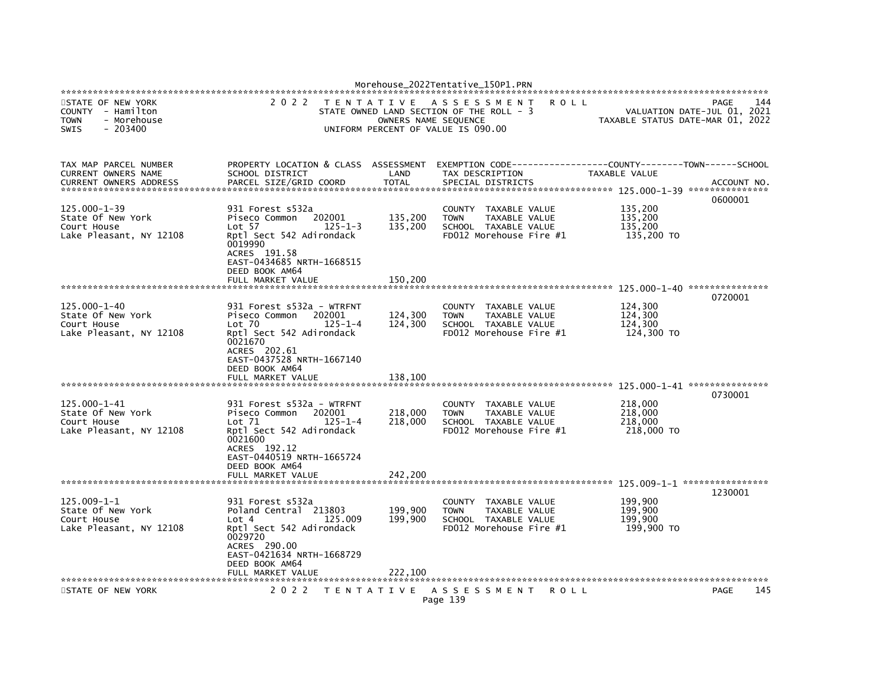|                                                                                           |                                                                                                                                                                                       |                                                                                 | Morehouse_2022Tentative_150P1.PRN                                                                              |                                                 |                                            |
|-------------------------------------------------------------------------------------------|---------------------------------------------------------------------------------------------------------------------------------------------------------------------------------------|---------------------------------------------------------------------------------|----------------------------------------------------------------------------------------------------------------|-------------------------------------------------|--------------------------------------------|
| STATE OF NEW YORK<br>COUNTY - Hamilton<br>- Morehouse<br><b>TOWN</b><br>SWIS<br>$-203400$ | 2 0 2 2                                                                                                                                                                               | T E N T A T I V E<br>OWNERS NAME SEQUENCE<br>UNIFORM PERCENT OF VALUE IS 090.00 | A S S E S S M E N T<br>STATE OWNED LAND SECTION OF THE ROLL - 3                                                | <b>ROLL</b><br>TAXABLE STATUS DATE-MAR 01, 2022 | 144<br>PAGE<br>VALUATION DATE-JUL 01, 2021 |
| TAX MAP PARCEL NUMBER<br>CURRENT OWNERS NAME<br><b>CURRENT OWNERS ADDRESS</b>             | PROPERTY LOCATION & CLASS<br>SCHOOL DISTRICT<br>PARCEL SIZE/GRID COORD                                                                                                                | ASSESSMENT<br>LAND<br><b>TOTAL</b>                                              | EXEMPTION CODE-----------------COUNTY-------TOWN------SCHOOL<br>TAX DESCRIPTION<br>SPECIAL DISTRICTS           | TAXABLE VALUE                                   | ACCOUNT NO.                                |
| 125.000-1-39<br>State Of New York<br>Court House<br>Lake Pleasant, NY 12108               | 931 Forest s532a<br>Piseco Common<br>202001<br>Lot 57<br>$125 - 1 - 3$<br>Rptl Sect 542 Adirondack<br>0019990<br>ACRES 191.58<br>EAST-0434685 NRTH-1668515<br>DEED BOOK AM64          | 135,200<br>135,200                                                              | TAXABLE VALUE<br>COUNTY<br><b>TOWN</b><br>TAXABLE VALUE<br>SCHOOL TAXABLE VALUE<br>FD012 Morehouse Fire #1     | 135,200<br>135,200<br>135,200<br>135,200 TO     | 0600001                                    |
|                                                                                           | FULL MARKET VALUE                                                                                                                                                                     | 150.200                                                                         |                                                                                                                |                                                 |                                            |
| $125.000 - 1 - 40$<br>State Of New York<br>Court House<br>Lake Pleasant, NY 12108         | 931 Forest s532a - WTRFNT<br>Piseco Common<br>202001<br>Lot 70<br>$125 - 1 - 4$<br>Rptl Sect 542 Adirondack<br>0021670<br>ACRES 202.61<br>EAST-0437528 NRTH-1667140<br>DEED BOOK AM64 | 124,300<br>124,300                                                              | COUNTY TAXABLE VALUE<br><b>TOWN</b><br>TAXABLE VALUE<br>SCHOOL TAXABLE VALUE<br>FD012 Morehouse Fire #1        | 124,300<br>124,300<br>124,300<br>124,300 TO     | 0720001                                    |
|                                                                                           | FULL MARKET VALUE                                                                                                                                                                     | 138.100                                                                         |                                                                                                                |                                                 | 0730001                                    |
| 125.000-1-41<br>State Of New York<br>Court House<br>Lake Pleasant, NY 12108               | 931 Forest s532a - WTRFNT<br>202001<br>Piseco Common<br>$125 - 1 - 4$<br>Lot 71<br>Rptl Sect 542 Adirondack<br>0021600<br>ACRES 192.12<br>EAST-0440519 NRTH-1665724<br>DEED BOOK AM64 | 218,000<br>218,000                                                              | COUNTY TAXABLE VALUE<br><b>TOWN</b><br><b>TAXABLE VALUE</b><br>SCHOOL TAXABLE VALUE<br>FD012 Morehouse Fire #1 | 218,000<br>218,000<br>218,000<br>218,000 TO     |                                            |
|                                                                                           | FULL MARKET VALUE                                                                                                                                                                     | 242.200                                                                         |                                                                                                                |                                                 |                                            |
| 125.009-1-1<br>State Of New York<br>Court House<br>Lake Pleasant, NY 12108                | 931 Forest s532a<br>Poland Central 213803<br>Lot 4<br>125,009<br>Rptl Sect 542 Adirondack<br>0029720<br>ACRES 290.00<br>EAST-0421634 NRTH-1668729<br>DEED BOOK AM64                   | 199,900<br>199,900                                                              | COUNTY TAXABLE VALUE<br><b>TOWN</b><br>TAXABLE VALUE<br>SCHOOL TAXABLE VALUE<br>FD012 Morehouse Fire #1        | 199,900<br>199,900<br>199,900<br>199,900 TO     | 1230001                                    |
|                                                                                           | FULL MARKET VALUE                                                                                                                                                                     | 222,100                                                                         |                                                                                                                |                                                 |                                            |
| STATE OF NEW YORK                                                                         | 2 0 2 2                                                                                                                                                                               |                                                                                 | TENTATIVE ASSESSMENT<br>Page 139                                                                               | R O L L                                         | 145<br>PAGE                                |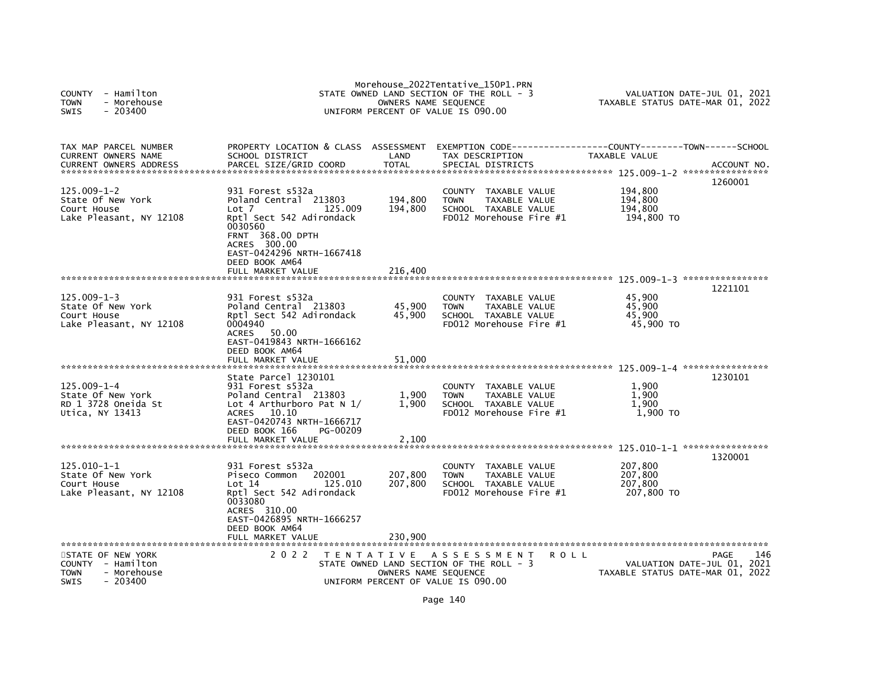| <b>COUNTY</b><br>- Hamilton<br>- Morehouse<br><b>TOWN</b><br>$-203400$<br><b>SWIS</b>            |                                                                                                                                                                                                | OWNERS NAME SEQUENCE                      | Morehouse_2022Tentative_150P1.PRN<br>STATE OWNED LAND SECTION OF THE ROLL - 3<br>UNIFORM PERCENT OF VALUE IS 090.00 | TAXABLE STATUS DATE-MAR 01, 2022            | VALUATION DATE-JUL 01, 2021                |
|--------------------------------------------------------------------------------------------------|------------------------------------------------------------------------------------------------------------------------------------------------------------------------------------------------|-------------------------------------------|---------------------------------------------------------------------------------------------------------------------|---------------------------------------------|--------------------------------------------|
| TAX MAP PARCEL NUMBER<br>CURRENT OWNERS NAME<br>CURRENT OWNERS ADDRESS                           | PROPERTY LOCATION & CLASS ASSESSMENT<br>SCHOOL DISTRICT<br>PARCEL SIZE/GRID COORD                                                                                                              | LAND<br><b>TOTAL</b>                      | EXEMPTION        CODE-----------------COUNTY-------TOWN------SCHOOL<br>TAX DESCRIPTION<br>SPECIAL DISTRICTS         | TAXABLE VALUE                               | ACCOUNT NO.                                |
| $125.009 - 1 - 2$<br>State Of New York<br>Court House<br>Lake Pleasant, NY 12108                 | 931 Forest s532a<br>Poland Central 213803<br>125,009<br>Lot 7<br>Rptl Sect 542 Adirondack<br>0030560<br><b>FRNT 368.00 DPTH</b><br>ACRES 300.00<br>EAST-0424296 NRTH-1667418<br>DEED BOOK AM64 | 194,800<br>194,800                        | <b>COUNTY</b><br>TAXABLE VALUE<br><b>TOWN</b><br>TAXABLE VALUE<br>SCHOOL TAXABLE VALUE<br>FD012 Morehouse Fire #1   | 194,800<br>194,800<br>194,800<br>194,800 TO | 1260001                                    |
|                                                                                                  | FULL MARKET VALUE                                                                                                                                                                              | 216.400                                   |                                                                                                                     |                                             |                                            |
| $125.009 - 1 - 3$<br>State Of New York<br>Court House<br>Lake Pleasant, NY 12108                 | 931 Forest s532a<br>Poland Central 213803<br>Rptl Sect 542 Adirondack<br>0004940<br><b>ACRES</b><br>50.00<br>EAST-0419843 NRTH-1666162<br>DEED BOOK AM64                                       | 45,900<br>45,900                          | COUNTY TAXABLE VALUE<br>TAXABLE VALUE<br><b>TOWN</b><br>SCHOOL TAXABLE VALUE<br>FD012 Morehouse Fire #1             | 45,900<br>45,900<br>45,900<br>45,900 TO     | 1221101                                    |
|                                                                                                  | FULL MARKET VALUE                                                                                                                                                                              | 51,000                                    |                                                                                                                     |                                             |                                            |
| $125.009 - 1 - 4$<br>State Of New York<br>RD 1 3728 Oneida St<br>Utica, NY 13413                 | State Parcel 1230101<br>931 Forest s532a<br>Poland Central 213803<br>Lot 4 Arthurboro Pat N $1/$<br><b>ACRES</b><br>10.10<br>EAST-0420743 NRTH-1666717<br>DEED BOOK 166<br>PG-00209            | 1,900<br>1.900                            | <b>COUNTY</b><br>TAXABLE VALUE<br><b>TOWN</b><br>TAXABLE VALUE<br>SCHOOL TAXABLE VALUE<br>FD012 Morehouse Fire #1   | 1,900<br>1,900<br>1,900<br>1,900 TO         | 1230101                                    |
|                                                                                                  | FULL MARKET VALUE                                                                                                                                                                              | 2,100                                     |                                                                                                                     |                                             |                                            |
| $125.010 - 1 - 1$<br>State Of New York<br>Court House<br>Lake Pleasant, NY 12108                 | 931 Forest s532a<br>202001<br>Piseco Common<br>Lot 14<br>125.010<br>Rptl Sect 542 Adirondack<br>0033080<br>ACRES 310.00<br>EAST-0426895 NRTH-1666257<br>DEED BOOK AM64                         | 207,800<br>207,800                        | <b>COUNTY</b><br>TAXABLE VALUE<br>TAXABLE VALUE<br><b>TOWN</b><br>SCHOOL TAXABLE VALUE<br>FD012 Morehouse Fire #1   | 207,800<br>207,800<br>207,800<br>207,800 TO | 1320001                                    |
|                                                                                                  | FULL MARKET VALUE                                                                                                                                                                              | 230,900                                   |                                                                                                                     |                                             |                                            |
| STATE OF NEW YORK<br>COUNTY - Hamilton<br><b>TOWN</b><br>- Morehouse<br>$-203400$<br><b>SWIS</b> | 2 0 2 2                                                                                                                                                                                        | T E N T A T I V E<br>OWNERS NAME SEQUENCE | ASSESSMENT<br><b>ROLL</b><br>STATE OWNED LAND SECTION OF THE ROLL - 3<br>UNIFORM PERCENT OF VALUE IS 090.00         | TAXABLE STATUS DATE-MAR 01, 2022            | 146<br>PAGE<br>VALUATION DATE-JUL 01, 2021 |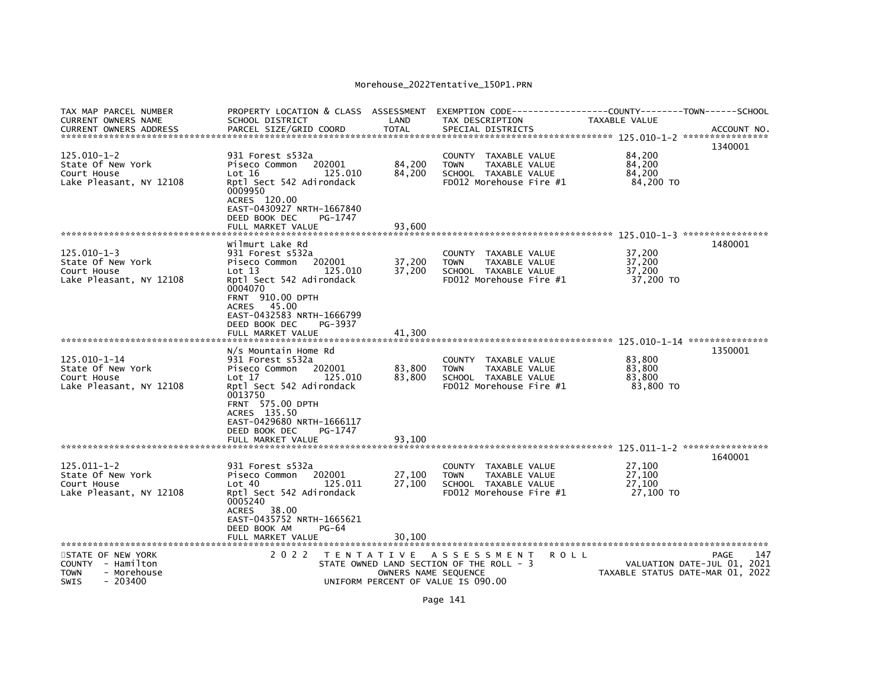| TAX MAP PARCEL NUMBER<br><b>CURRENT OWNERS NAME</b><br><b>CURRENT OWNERS ADDRESS</b> | PROPERTY LOCATION & CLASS ASSESSMENT<br>SCHOOL DISTRICT<br>PARCEL SIZE/GRID COORD                                                                                                                                                   | LAND<br><b>TOTAL</b> | TAX DESCRIPTION<br>SPECIAL DISTRICTS                                                                       | TAXABLE VALUE                           | ACCOUNT NO.                                                     |
|--------------------------------------------------------------------------------------|-------------------------------------------------------------------------------------------------------------------------------------------------------------------------------------------------------------------------------------|----------------------|------------------------------------------------------------------------------------------------------------|-----------------------------------------|-----------------------------------------------------------------|
| $125.010 - 1 - 2$<br>State Of New York<br>Court House<br>Lake Pleasant, NY 12108     | 931 Forest s532a<br>202001<br>Piseco Common<br>Lot 16<br>125.010<br>Rptl Sect 542 Adirondack<br>0009950<br>ACRES 120.00<br>EAST-0430927 NRTH-1667840                                                                                | 84,200<br>84,200     | COUNTY TAXABLE VALUE<br>TAXABLE VALUE<br><b>TOWN</b><br>SCHOOL TAXABLE VALUE<br>FD012 Morehouse Fire #1    | 84,200<br>84.200<br>84,200<br>84,200 TO | 1340001                                                         |
|                                                                                      | DEED BOOK DEC<br>PG-1747<br>FULL MARKET VALUE                                                                                                                                                                                       | 93,600               |                                                                                                            |                                         |                                                                 |
| $125.010 - 1 - 3$<br>State Of New York<br>Court House<br>Lake Pleasant, NY 12108     | Wilmurt Lake Rd<br>931 Forest s532a<br>202001<br>Piseco Common<br>125.010<br>Lot 13<br>Rptl Sect 542 Adirondack<br>0004070<br><b>FRNT 910.00 DPTH</b><br>ACRES 45.00                                                                | 37,200<br>37,200     | COUNTY TAXABLE VALUE<br><b>TOWN</b><br>TAXABLE VALUE<br>SCHOOL TAXABLE VALUE<br>FD012 Morehouse Fire $#1$  | 37,200<br>37,200<br>37,200<br>37,200 TO | 1480001                                                         |
|                                                                                      | EAST-0432583 NRTH-1666799<br>DEED BOOK DEC<br>PG-3937<br>FULL MARKET VALUE                                                                                                                                                          | 41,300               |                                                                                                            |                                         |                                                                 |
| $125.010 - 1 - 14$<br>State Of New York<br>Court House<br>Lake Pleasant, NY 12108    | N/s Mountain Home Rd<br>931 Forest s532a<br>Piseco Common<br>202001<br>125,010<br>Lot 17<br>Rptl Sect 542 Adirondack<br>0013750<br><b>FRNT 575.00 DPTH</b><br>ACRES 135.50<br>EAST-0429680 NRTH-1666117<br>DEED BOOK DEC<br>PG-1747 | 83,800<br>83,800     | COUNTY TAXABLE VALUE<br>TAXABLE VALUE<br><b>TOWN</b><br>SCHOOL TAXABLE VALUE<br>FD012 Morehouse Fire #1    | 83.800<br>83,800<br>83,800<br>83,800 TO | 1350001                                                         |
|                                                                                      | FULL MARKET VALUE                                                                                                                                                                                                                   | 93,100               |                                                                                                            |                                         |                                                                 |
| $125.011 - 1 - 2$<br>State Of New York<br>Court House<br>Lake Pleasant, NY 12108     | 931 Forest s532a<br>202001<br>Piseco Common<br>Lot 40<br>125.011<br>Rptl Sect 542 Adirondack<br>0005240<br>ACRES 38.00<br>EAST-0435752 NRTH-1665621<br>DEED BOOK AM<br>PG-64                                                        | 27,100<br>27,100     | COUNTY<br>TAXABLE VALUE<br>TAXABLE VALUE<br><b>TOWN</b><br>SCHOOL TAXABLE VALUE<br>FD012 Morehouse Fire #1 | 27,100<br>27.100<br>27,100<br>27,100 TO | 1640001                                                         |
| STATE OF NEW YORK                                                                    | FULL MARKET VALUE<br>2 0 2 2                                                                                                                                                                                                        | 30,100               | TENTATIVE ASSESSMENT                                                                                       | <b>ROLL</b>                             | 147<br>PAGE                                                     |
| COUNTY - Hamilton<br>- Morehouse<br><b>TOWN</b><br><b>SWIS</b><br>- 203400           |                                                                                                                                                                                                                                     |                      | STATE OWNED LAND SECTION OF THE ROLL - 3<br>OWNERS NAME SEQUENCE<br>UNIFORM PERCENT OF VALUE IS 090.00     |                                         | VALUATION DATE-JUL 01, 2021<br>TAXABLE STATUS DATE-MAR 01, 2022 |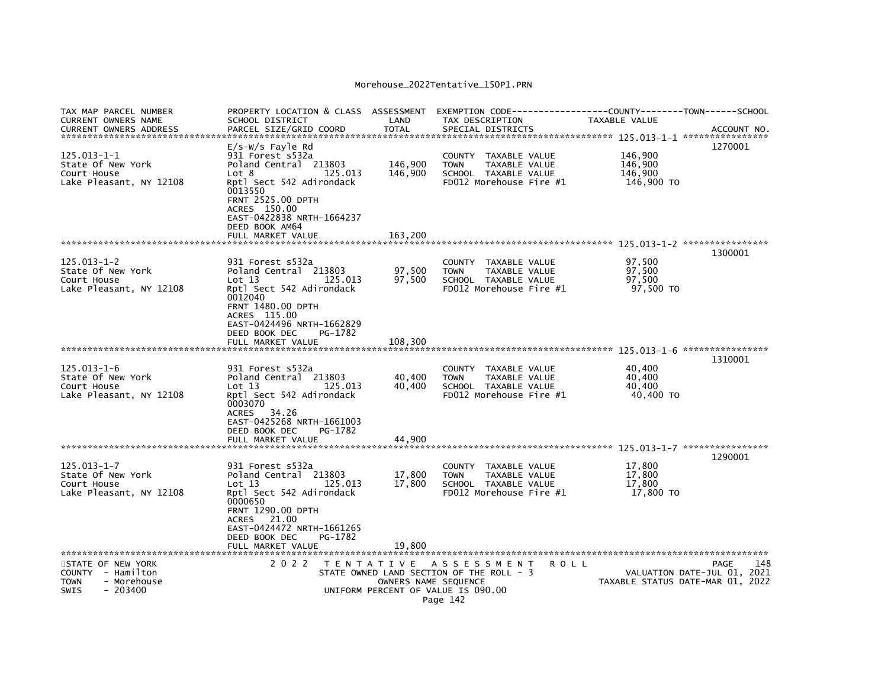| TAX MAP PARCEL NUMBER<br>CURRENT OWNERS NAME<br><b>CURRENT OWNERS ADDRESS</b> | PROPERTY LOCATION & CLASS ASSESSMENT<br>SCHOOL DISTRICT<br>PARCEL SIZE/GRID COORD         | LAND<br><b>TOTAL</b> | TAX DESCRIPTION<br>SPECIAL DISTRICTS     | EXEMPTION        CODE-----------------COUNTY-------TOWN------SCHOOL<br><b>TAXABLE VALUE</b> | ACCOUNT NO.                      |
|-------------------------------------------------------------------------------|-------------------------------------------------------------------------------------------|----------------------|------------------------------------------|---------------------------------------------------------------------------------------------|----------------------------------|
| 125.013-1-1                                                                   | $E/S-W/S$ Fayle Rd<br>931 Forest s532a                                                    |                      | <b>COUNTY</b><br>TAXABLE VALUE           | 146,900                                                                                     | 1270001                          |
| State Of New York                                                             | Poland Central 213803                                                                     | 146,900              | TAXABLE VALUE<br><b>TOWN</b>             | 146,900                                                                                     |                                  |
| Court House                                                                   | 125.013<br>Lot 8                                                                          | 146,900              | SCHOOL TAXABLE VALUE                     | 146,900                                                                                     |                                  |
| Lake Pleasant, NY 12108                                                       | Rptl Sect 542 Adirondack                                                                  |                      | FD012 Morehouse Fire #1                  | 146,900 TO                                                                                  |                                  |
|                                                                               | 0013550<br><b>FRNT 2525.00 DPTH</b><br>ACRES 150.00<br>EAST-0422838 NRTH-1664237          |                      |                                          |                                                                                             |                                  |
|                                                                               | DEED BOOK AM64                                                                            |                      |                                          |                                                                                             |                                  |
|                                                                               | FULL MARKET VALUE                                                                         | 163,200              |                                          |                                                                                             |                                  |
|                                                                               |                                                                                           |                      |                                          |                                                                                             |                                  |
|                                                                               |                                                                                           |                      |                                          |                                                                                             | 1300001                          |
| 125.013-1-2                                                                   | 931 Forest s532a                                                                          |                      | <b>COUNTY</b><br>TAXABLE VALUE           | 97,500                                                                                      |                                  |
| State Of New York                                                             | Poland Central 213803                                                                     | 97,500               | TAXABLE VALUE<br><b>TOWN</b>             | 97,500                                                                                      |                                  |
| Court House                                                                   | Lot 13<br>125.013                                                                         | 97,500               | SCHOOL TAXABLE VALUE                     | 97,500                                                                                      |                                  |
| Lake Pleasant, NY 12108                                                       | Rptl Sect 542 Adirondack                                                                  |                      | FD012 Morehouse Fire #1                  | 97,500 TO                                                                                   |                                  |
|                                                                               | 0012040<br><b>FRNT 1480.00 DPTH</b><br>ACRES 115.00<br>EAST-0424496 NRTH-1662829          |                      |                                          |                                                                                             |                                  |
|                                                                               | DEED BOOK DEC<br>PG-1782                                                                  |                      |                                          |                                                                                             |                                  |
|                                                                               | FULL MARKET VALUE                                                                         | 108,300              |                                          |                                                                                             |                                  |
|                                                                               |                                                                                           |                      |                                          |                                                                                             | ****************                 |
|                                                                               |                                                                                           |                      |                                          |                                                                                             | 1310001                          |
| $125.013 - 1 - 6$                                                             | 931 Forest s532a                                                                          |                      | <b>COUNTY</b><br>TAXABLE VALUE           | 40,400                                                                                      |                                  |
| State Of New York                                                             | Poland Central 213803                                                                     | 40,400               | TOWN<br>TAXABLE VALUE                    | 40,400                                                                                      |                                  |
| Court House                                                                   | 125.013<br>Lot 13                                                                         | 40,400               | SCHOOL TAXABLE VALUE                     | 40,400                                                                                      |                                  |
| Lake Pleasant, NY 12108                                                       | Rptl Sect 542 Adirondack                                                                  |                      | FD012 Morehouse Fire #1                  | 40,400 TO                                                                                   |                                  |
|                                                                               | 0003070<br><b>ACRES</b><br>34.26<br>EAST-0425268 NRTH-1661003<br>DEED BOOK DEC<br>PG-1782 |                      |                                          |                                                                                             |                                  |
|                                                                               | FULL MARKET VALUE                                                                         | 44.900               |                                          |                                                                                             |                                  |
|                                                                               |                                                                                           |                      |                                          |                                                                                             | 1290001                          |
| 125.013-1-7                                                                   | 931 Forest s532a                                                                          |                      | TAXABLE VALUE<br><b>COUNTY</b>           | 17,800                                                                                      |                                  |
| State Of New York                                                             | Poland Central 213803                                                                     | 17,800               | TAXABLE VALUE<br>TOWN                    | 17,800                                                                                      |                                  |
| Court House                                                                   | Lot 13<br>125.013                                                                         | 17,800               | SCHOOL TAXABLE VALUE                     | 17,800                                                                                      |                                  |
| Lake Pleasant, NY 12108                                                       | Rptl Sect 542 Adirondack<br>0000650<br><b>FRNT 1290.00 DPTH</b>                           |                      | FD012 Morehouse Fire #1                  | 17,800 TO                                                                                   |                                  |
|                                                                               | 21.00<br>ACRES                                                                            |                      |                                          |                                                                                             |                                  |
|                                                                               | EAST-0424472 NRTH-1661265                                                                 |                      |                                          |                                                                                             |                                  |
|                                                                               | DEED BOOK DEC<br>PG-1782                                                                  |                      |                                          |                                                                                             |                                  |
|                                                                               | FULL MARKET VALUE                                                                         | 19,800               |                                          |                                                                                             |                                  |
|                                                                               |                                                                                           |                      |                                          |                                                                                             |                                  |
|                                                                               | 2 0 2 2                                                                                   |                      |                                          | <b>ROLL</b>                                                                                 | 148<br>PAGE                      |
| STATE OF NEW YORK<br>COUNTY - Hamilton                                        |                                                                                           | T E N T A T I V E    | A S S E S S M E N T                      |                                                                                             | 2021                             |
|                                                                               |                                                                                           |                      | STATE OWNED LAND SECTION OF THE ROLL - 3 |                                                                                             | VALUATION DATE-JUL 01,           |
| <b>TOWN</b><br>- Morehouse                                                    |                                                                                           | OWNERS NAME SEQUENCE |                                          |                                                                                             | TAXABLE STATUS DATE-MAR 01, 2022 |
| SWIS<br>- 203400                                                              |                                                                                           |                      | UNIFORM PERCENT OF VALUE IS 090.00       |                                                                                             |                                  |
|                                                                               |                                                                                           |                      | Page 142                                 |                                                                                             |                                  |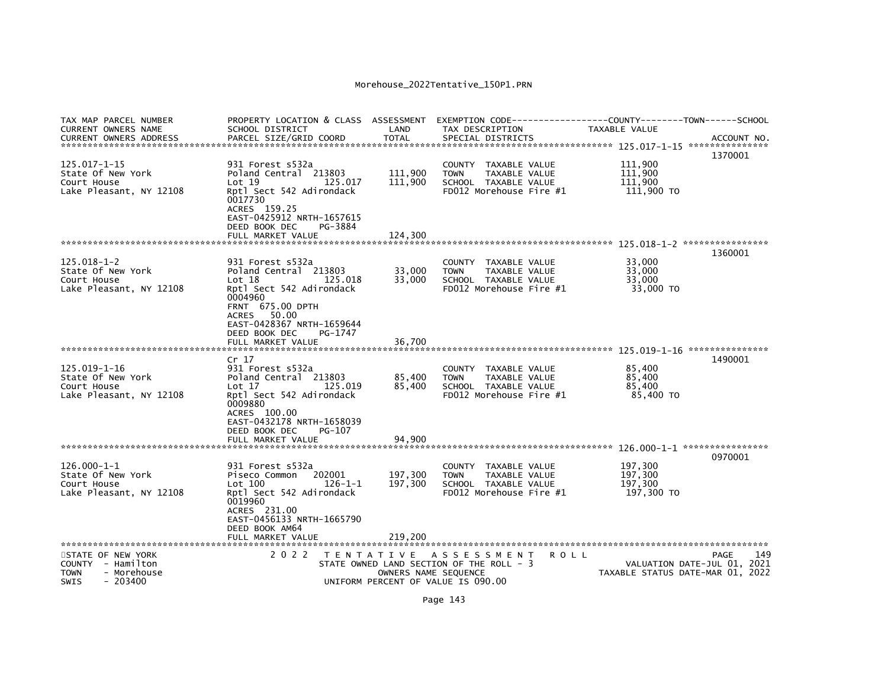| TAX MAP PARCEL NUMBER<br><b>CURRENT OWNERS NAME</b>                                                                        | PROPERTY LOCATION & CLASS ASSESSMENT<br>SCHOOL DISTRICT                                                                                                                        | LAND                                      | TAX DESCRIPTION                                                                                                          | EXEMPTION CODE-----------------COUNTY-------TOWN------SCHOOL<br>TAXABLE VALUE |                                            |
|----------------------------------------------------------------------------------------------------------------------------|--------------------------------------------------------------------------------------------------------------------------------------------------------------------------------|-------------------------------------------|--------------------------------------------------------------------------------------------------------------------------|-------------------------------------------------------------------------------|--------------------------------------------|
| <b>CURRENT OWNERS ADDRESS</b>                                                                                              | PARCEL SIZE/GRID COORD                                                                                                                                                         | <b>TOTAL</b>                              | SPECIAL DISTRICTS                                                                                                        |                                                                               | ACCOUNT NO.<br>1370001                     |
| $125.017 - 1 - 15$<br>State Of New York<br>Court House<br>Lake Pleasant, NY 12108                                          | 931 Forest s532a<br>Poland Central 213803<br>Lot 19<br>125.017<br>Rptl Sect 542 Adirondack<br>0017730<br>ACRES 159.25<br>EAST-0425912 NRTH-1657615<br>DEED BOOK DEC<br>PG-3884 | 111,900<br>111,900                        | COUNTY<br>TAXABLE VALUE<br>TAXABLE VALUE<br><b>TOWN</b><br>SCHOOL TAXABLE VALUE<br>FD012 Morehouse Fire #1               | 111,900<br>111,900<br>111.900<br>111,900 TO                                   |                                            |
|                                                                                                                            | FULL MARKET VALUE                                                                                                                                                              | 124,300                                   |                                                                                                                          |                                                                               |                                            |
|                                                                                                                            |                                                                                                                                                                                |                                           |                                                                                                                          |                                                                               | 1360001                                    |
| $125.018 - 1 - 2$<br>State Of New York<br>Court House<br>Lake Pleasant, NY 12108                                           | 931 Forest s532a<br>Poland Central 213803<br>125.018<br>Lot 18<br>Rptl Sect 542 Adirondack<br>0004960<br><b>FRNT 675.00 DPTH</b><br>50.00<br>ACRES                             | 33,000<br>33,000                          | COUNTY<br>TAXABLE VALUE<br>TAXABLE VALUE<br><b>TOWN</b><br>SCHOOL TAXABLE VALUE<br>FD012 Morehouse Fire #1               | 33.000<br>33,000<br>33,000<br>33,000 TO                                       |                                            |
|                                                                                                                            | EAST-0428367 NRTH-1659644<br>DEED BOOK DEC<br>PG-1747                                                                                                                          |                                           |                                                                                                                          |                                                                               |                                            |
|                                                                                                                            | FULL MARKET VALUE                                                                                                                                                              | 36.700                                    |                                                                                                                          |                                                                               |                                            |
| 125.019-1-16<br>State Of New York<br>Court House<br>Lake Pleasant, NY 12108                                                | Cr <sub>17</sub><br>931 Forest s532a<br>Poland Central 213803<br>125.019<br>Lot 17<br>Rptl Sect 542 Adirondack<br>0009880<br>ACRES 100.00                                      | 85,400<br>85,400                          | COUNTY TAXABLE VALUE<br>TAXABLE VALUE<br><b>TOWN</b><br>SCHOOL TAXABLE VALUE<br>FD012 Morehouse Fire #1                  | 85,400<br>85,400<br>85,400<br>85,400 TO                                       | 1490001                                    |
|                                                                                                                            | EAST-0432178 NRTH-1658039<br>DEED BOOK DEC<br>PG-107                                                                                                                           |                                           |                                                                                                                          |                                                                               |                                            |
|                                                                                                                            | FULL MARKET VALUE                                                                                                                                                              | 94,900                                    |                                                                                                                          |                                                                               |                                            |
| $126.000 - 1 - 1$<br>State Of New York<br>Court House<br>Lake Pleasant, NY 12108                                           | 931 Forest s532a<br>202001<br>Piseco Common<br>Lot 100<br>126-1-1<br>Rptl Sect 542 Adirondack<br>0019960<br>ACRES 231.00<br>EAST-0456133 NRTH-1665790                          | 197,300<br>197,300                        | <b>COUNTY</b><br>TAXABLE VALUE<br><b>TOWN</b><br><b>TAXABLE VALUE</b><br>SCHOOL TAXABLE VALUE<br>FD012 Morehouse Fire #1 | 197,300<br>197,300<br>197,300<br>197,300 TO                                   | 0970001                                    |
|                                                                                                                            | DEED BOOK AM64<br>FULL MARKET VALUE                                                                                                                                            | 219.200                                   |                                                                                                                          |                                                                               |                                            |
| **********************<br>STATE OF NEW YORK<br>COUNTY - Hamilton<br><b>TOWN</b><br>- Morehouse<br><b>SWIS</b><br>$-203400$ | 2 0 2 2                                                                                                                                                                        | T E N T A T I V E<br>OWNERS NAME SEQUENCE | A S S E S S M E N T<br>STATE OWNED LAND SECTION OF THE ROLL - 3<br>UNIFORM PERCENT OF VALUE IS 090.00                    | R O L L<br>TAXABLE STATUS DATE-MAR 01, 2022                                   | 149<br>PAGE<br>VALUATION DATE-JUL 01, 2021 |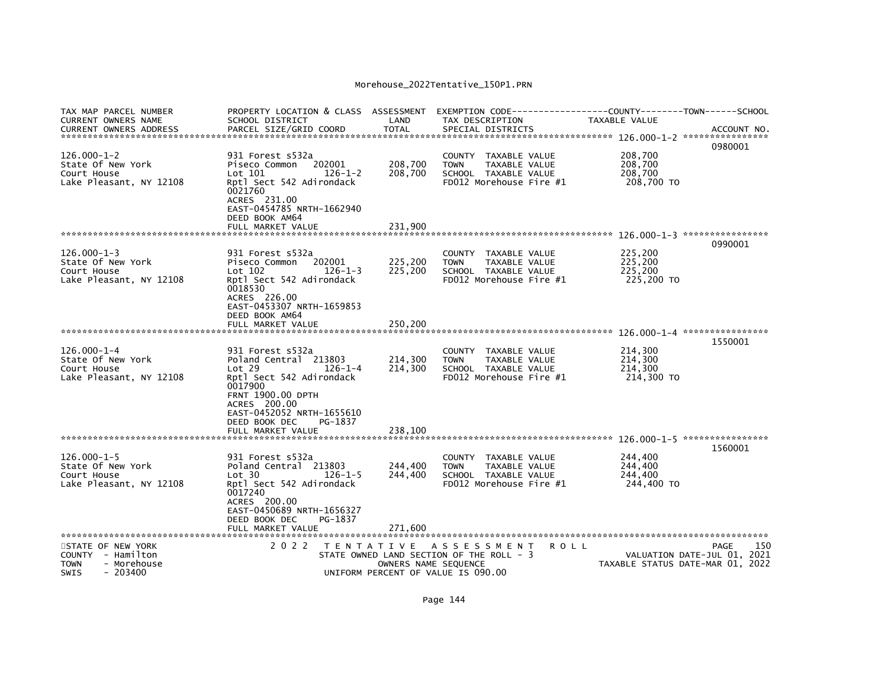| TAX MAP PARCEL NUMBER<br>CURRENT OWNERS NAME                                                                                | PROPERTY LOCATION & CLASS ASSESSMENT<br>SCHOOL DISTRICT                                                                                                                       | LAND                                      | TAX DESCRIPTION                                                                                                   | EXEMPTION CODE-----------------COUNTY-------TOWN------SCHOOL<br>TAXABLE VALUE |                                                                                |
|-----------------------------------------------------------------------------------------------------------------------------|-------------------------------------------------------------------------------------------------------------------------------------------------------------------------------|-------------------------------------------|-------------------------------------------------------------------------------------------------------------------|-------------------------------------------------------------------------------|--------------------------------------------------------------------------------|
| CURRENT OWNERS ADDRESS                                                                                                      | PARCEL SIZE/GRID COORD                                                                                                                                                        | <b>TOTAL</b>                              | SPECIAL DISTRICTS                                                                                                 |                                                                               | ACCOUNT NO.<br>0980001                                                         |
| $126.000 - 1 - 2$<br>State Of New York<br>Court House<br>Lake Pleasant, NY 12108                                            | 931 Forest s532a<br>Piseco Common<br>202001<br>Lot 101<br>$126 - 1 - 2$<br>Rptl Sect 542 Adirondack<br>0021760<br>ACRES 231.00<br>EAST-0454785 NRTH-1662940<br>DEED BOOK AM64 | 208,700<br>208,700                        | <b>COUNTY</b><br>TAXABLE VALUE<br><b>TOWN</b><br>TAXABLE VALUE<br>SCHOOL TAXABLE VALUE<br>FD012 Morehouse Fire #1 | 208,700<br>208,700<br>208,700<br>208,700 TO                                   |                                                                                |
|                                                                                                                             | FULL MARKET VALUE                                                                                                                                                             | 231,900                                   |                                                                                                                   |                                                                               |                                                                                |
|                                                                                                                             |                                                                                                                                                                               |                                           |                                                                                                                   |                                                                               | 0990001                                                                        |
| $126.000 - 1 - 3$<br>State Of New York<br>Court House<br>Lake Pleasant, NY 12108                                            | 931 Forest s532a<br>202001<br>Piseco Common<br>$Lot$ 102<br>$126 - 1 - 3$<br>Rptl Sect 542 Adirondack<br>0018530<br>ACRES 226.00<br>EAST-0453307 NRTH-1659853                 | 225,200<br>225,200                        | COUNTY TAXABLE VALUE<br>TAXABLE VALUE<br><b>TOWN</b><br>SCHOOL TAXABLE VALUE<br>FD012 Morehouse Fire #1           | 225,200<br>225,200<br>225.200<br>225,200 TO                                   |                                                                                |
|                                                                                                                             | DEED BOOK AM64<br>FULL MARKET VALUE                                                                                                                                           | 250,200                                   |                                                                                                                   |                                                                               |                                                                                |
| $126.000 - 1 - 4$<br>State Of New York<br>Court House<br>Lake Pleasant, NY 12108                                            | 931 Forest s532a<br>Poland Central 213803<br>Lot 29<br>$126 - 1 - 4$<br>Rptl Sect 542 Adirondack<br>0017900<br>FRNT 1900.00 DPTH<br>ACRES 200.00<br>EAST-0452052 NRTH-1655610 | 214,300<br>214,300                        | COUNTY TAXABLE VALUE<br><b>TOWN</b><br>TAXABLE VALUE<br>SCHOOL TAXABLE VALUE<br>FD012 Morehouse Fire #1           | 214,300<br>214,300<br>214,300<br>214,300 TO                                   | 1550001                                                                        |
|                                                                                                                             | DEED BOOK DEC<br>PG-1837                                                                                                                                                      | 238,100                                   |                                                                                                                   |                                                                               |                                                                                |
|                                                                                                                             | FULL MARKET VALUE                                                                                                                                                             |                                           |                                                                                                                   |                                                                               |                                                                                |
| $126.000 - 1 - 5$<br>State Of New York<br>Court House<br>Lake Pleasant, NY 12108                                            | 931 Forest s532a<br>Poland Central 213803<br>Lot 30<br>$126 - 1 - 5$<br>Rptl Sect 542 Adirondack<br>0017240<br>ACRES 200.00<br>EAST-0450689 NRTH-1656327                      | 244,400<br>244,400                        | COUNTY TAXABLE VALUE<br><b>TOWN</b><br><b>TAXABLE VALUE</b><br>SCHOOL TAXABLE VALUE<br>FD012 Morehouse Fire #1    | 244,400<br>244,400<br>244,400<br>244,400 TO                                   | 1560001                                                                        |
|                                                                                                                             | PG-1837<br>DEED BOOK DEC<br>FULL MARKET VALUE                                                                                                                                 | 271.600                                   |                                                                                                                   |                                                                               |                                                                                |
| ***********************<br>STATE OF NEW YORK<br>COUNTY - Hamilton<br><b>TOWN</b><br>- Morehouse<br><b>SWIS</b><br>$-203400$ | ******************************<br>2 0 2 2                                                                                                                                     | T E N T A T I V E<br>OWNERS NAME SEQUENCE | A S S E S S M E N T<br>STATE OWNED LAND SECTION OF THE ROLL - 3<br>UNIFORM PERCENT OF VALUE IS 090.00             | R O L L                                                                       | 150<br>PAGE<br>VALUATION DATE-JUL 01, 2021<br>TAXABLE STATUS DATE-MAR 01, 2022 |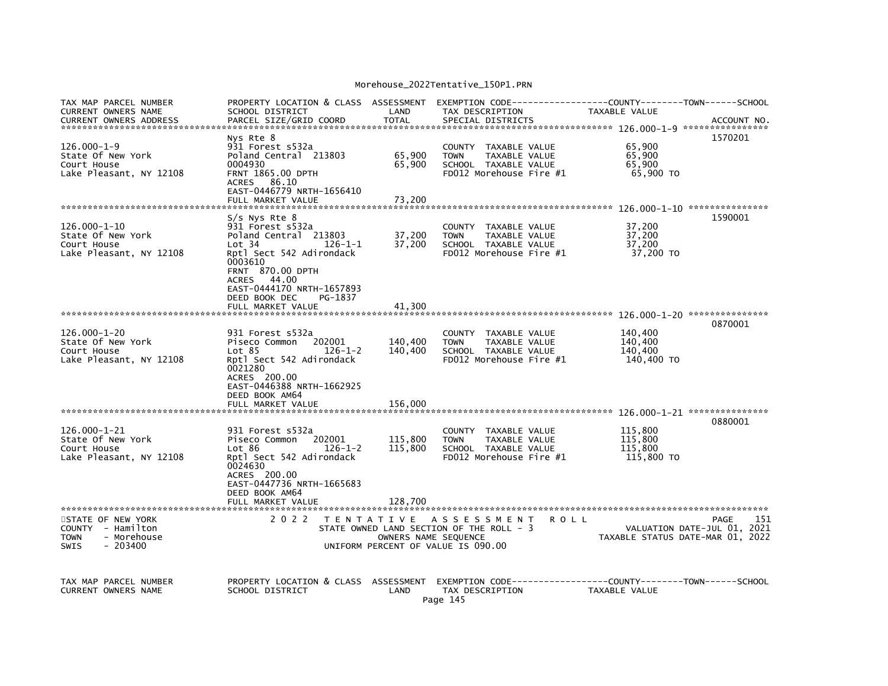| TAX MAP PARCEL NUMBER<br><b>CURRENT OWNERS NAME</b><br><b>CURRENT OWNERS ADDRESS</b>             | PROPERTY LOCATION & CLASS ASSESSMENT<br>SCHOOL DISTRICT<br>PARCEL SIZE/GRID COORD                                                                                                                                                                    | LAND<br><b>TOTAL</b>          | EXEMPTION CODE-----<br>TAX DESCRIPTION<br>SPECIAL DISTRICTS                                             | -------------COUNTY--------TOWN------SCHOOL<br>TAXABLE VALUE<br>ACCOUNT NO.                   |
|--------------------------------------------------------------------------------------------------|------------------------------------------------------------------------------------------------------------------------------------------------------------------------------------------------------------------------------------------------------|-------------------------------|---------------------------------------------------------------------------------------------------------|-----------------------------------------------------------------------------------------------|
| $126.000 - 1 - 9$<br>State Of New York<br>Court House<br>Lake Pleasant, NY 12108                 | Nys Rte 8<br>931 Forest s532a<br>Poland Central 213803<br>0004930<br><b>FRNT 1865.00 DPTH</b><br>ACRES 86.10<br>EAST-0446779 NRTH-1656410<br>FULL MARKET VALUE                                                                                       | 65,900<br>65,900<br>73,200    | COUNTY TAXABLE VALUE<br>TAXABLE VALUE<br><b>TOWN</b><br>SCHOOL TAXABLE VALUE<br>FD012 Morehouse Fire #1 | 1570201<br>65,900<br>65,900<br>65.900<br>65,900 TO                                            |
| 126.000-1-10<br>State Of New York<br>Court House<br>Lake Pleasant, NY 12108                      | S/s Nys Rte 8<br>931 Forest s532a<br>Poland Central 213803<br>$126 - 1 - 1$<br>Lot 34<br>Rptl Sect 542 Adirondack<br>0003610<br><b>FRNT 870.00 DPTH</b><br>ACRES 44.00<br>EAST-0444170 NRTH-1657893<br>DEED BOOK DEC<br>PG-1837<br>FULL MARKET VALUE | 37,200<br>37,200<br>41,300    | COUNTY TAXABLE VALUE<br><b>TOWN</b><br>TAXABLE VALUE<br>SCHOOL TAXABLE VALUE<br>FD012 Morehouse Fire #1 | 1590001<br>37,200<br>37,200<br>37,200<br>37,200 TO                                            |
|                                                                                                  |                                                                                                                                                                                                                                                      |                               |                                                                                                         | 0870001                                                                                       |
| $126.000 - 1 - 20$<br>State Of New York<br>Court House<br>Lake Pleasant, NY 12108                | 931 Forest s532a<br>202001<br>Piseco Common<br>Lot 85<br>$126 - 1 - 2$<br>Rptl Sect 542 Adirondack<br>0021280<br>ACRES 200.00<br>EAST-0446388 NRTH-1662925<br>DEED BOOK AM64<br>FULL MARKET VALUE                                                    | 140,400<br>140,400<br>156,000 | COUNTY TAXABLE VALUE<br><b>TOWN</b><br>TAXABLE VALUE<br>SCHOOL TAXABLE VALUE<br>FD012 Morehouse Fire #1 | 140,400<br>140.400<br>140,400<br>140,400 TO                                                   |
|                                                                                                  |                                                                                                                                                                                                                                                      |                               |                                                                                                         | 0880001                                                                                       |
| $126.000 - 1 - 21$<br>State Of New York<br>Court House<br>Lake Pleasant, NY 12108                | 931 Forest s532a<br>202001<br>Piseco Common<br>$126 - 1 - 2$<br>Lot 86<br>Rptl Sect 542 Adirondack<br>0024630<br>ACRES 200.00<br>EAST-0447736 NRTH-1665683                                                                                           | 115,800<br>115,800            | COUNTY TAXABLE VALUE<br>TAXABLE VALUE<br><b>TOWN</b><br>SCHOOL TAXABLE VALUE<br>FD012 Morehouse Fire #1 | 115,800<br>115,800<br>115,800<br>115,800 TO                                                   |
|                                                                                                  | DEED BOOK AM64<br>FULL MARKET VALUE                                                                                                                                                                                                                  | 128,700                       |                                                                                                         |                                                                                               |
| STATE OF NEW YORK<br>COUNTY - Hamilton<br>- Morehouse<br><b>TOWN</b><br>$-203400$<br><b>SWIS</b> | 2 0 2 2                                                                                                                                                                                                                                              | OWNERS NAME SEQUENCE          | TENTATIVE ASSESSMENT<br>STATE OWNED LAND SECTION OF THE ROLL - 3<br>UNIFORM PERCENT OF VALUE IS 090.00  | 151<br><b>ROLL</b><br>PAGE<br>VALUATION DATE-JUL 01, 2021<br>TAXABLE STATUS DATE-MAR 01, 2022 |
| TAX MAP PARCEL NUMBER<br>CURRENT OWNERS NAME                                                     | PROPERTY LOCATION & CLASS ASSESSMENT<br>SCHOOL DISTRICT                                                                                                                                                                                              | LAND                          | TAX DESCRIPTION<br>Page 145                                                                             | TAXABLE VALUE                                                                                 |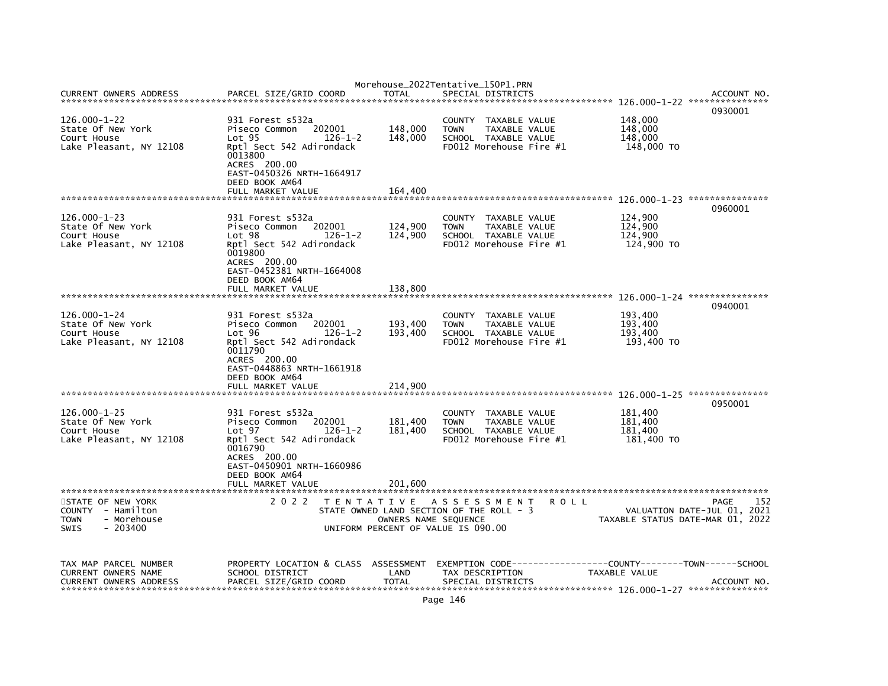|                                                                                                  |                                                                                                                                                                                      |                      | Morehouse_2022Tentative_150P1.PRN                                                                           |                                                                         |     |
|--------------------------------------------------------------------------------------------------|--------------------------------------------------------------------------------------------------------------------------------------------------------------------------------------|----------------------|-------------------------------------------------------------------------------------------------------------|-------------------------------------------------------------------------|-----|
| <b>CURRENT OWNERS ADDRESS</b>                                                                    | PARCEL SIZE/GRID COORD                                                                                                                                                               | TOTAL                | SPECIAL DISTRICTS                                                                                           | ACCOUNT NO<br>0930001                                                   |     |
| $126.000 - 1 - 22$<br>State Of New York<br>Court House<br>Lake Pleasant, NY 12108                | 931 Forest s532a<br>202001<br>Piseco Common<br>Lot <sub>95</sub><br>$126 - 1 - 2$<br>Rptl Sect 542 Adirondack<br>0013800<br>ACRES 200.00<br>EAST-0450326 NRTH-1664917                | 148,000<br>148,000   | COUNTY TAXABLE VALUE<br>TAXABLE VALUE<br><b>TOWN</b><br>SCHOOL TAXABLE VALUE<br>FD012 Morehouse Fire #1     | 148,000<br>148,000<br>148,000<br>148,000 TO                             |     |
|                                                                                                  | DEED BOOK AM64<br>FULL MARKET VALUE                                                                                                                                                  | 164,400              |                                                                                                             |                                                                         |     |
| $126.000 - 1 - 23$<br>State Of New York<br>Court House<br>Lake Pleasant, NY 12108                | 931 Forest s532a<br>202001<br>Piseco Common<br>Lot <sub>98</sub><br>$126 - 1 - 2$<br>Rptl Sect 542 Adirondack<br>0019800<br>ACRES 200.00<br>EAST-0452381 NRTH-1664008                | 124,900<br>124,900   | COUNTY TAXABLE VALUE<br>TAXABLE VALUE<br><b>TOWN</b><br>SCHOOL TAXABLE VALUE<br>FD012 Morehouse Fire #1     | 0960001<br>124,900<br>124,900<br>124,900<br>124,900 TO                  |     |
|                                                                                                  | DEED BOOK AM64<br>FULL MARKET VALUE                                                                                                                                                  | 138,800              |                                                                                                             |                                                                         |     |
| $126.000 - 1 - 24$<br>State Of New York<br>Court House<br>Lake Pleasant, NY 12108                | 931 Forest s532a<br>202001<br>Piseco Common<br>Lot 96<br>$126 - 1 - 2$<br>Rptl Sect 542 Adirondack<br>0011790<br>ACRES 200.00<br>EAST-0448863 NRTH-1661918                           | 193,400<br>193,400   | COUNTY TAXABLE VALUE<br><b>TOWN</b><br>TAXABLE VALUE<br>SCHOOL TAXABLE VALUE<br>FD012 Morehouse Fire #1     | 0940001<br>193,400<br>193,400<br>193,400<br>193,400 TO                  |     |
|                                                                                                  | DEED BOOK AM64<br>FULL MARKET VALUE                                                                                                                                                  | 214,900              |                                                                                                             |                                                                         |     |
| $126.000 - 1 - 25$<br>State Of New York<br>Court House<br>Lake Pleasant, NY 12108                | 931 Forest s532a<br>Piseco Common 202001<br>Lot <sub>97</sub><br>$126 - 1 - 2$<br>Rptl Sect 542 Adirondack<br>0016790<br>ACRES 200.00<br>EAST-0450901 NRTH-1660986<br>DEED BOOK AM64 | 181,400<br>181,400   | COUNTY TAXABLE VALUE<br>TAXABLE VALUE<br><b>TOWN</b><br>SCHOOL TAXABLE VALUE<br>FD012 Morehouse Fire #1     | 0950001<br>181,400<br>181,400<br>181.400<br>181,400 TO                  |     |
|                                                                                                  | FULL MARKET VALUE                                                                                                                                                                    | 201,600              |                                                                                                             |                                                                         |     |
| STATE OF NEW YORK<br>COUNTY - Hamilton<br>- Morehouse<br><b>TOWN</b><br><b>SWIS</b><br>$-203400$ | 2 0 2 2                                                                                                                                                                              | OWNERS NAME SEQUENCE | TENTATIVE ASSESSMENT ROLL<br>STATE OWNED LAND SECTION OF THE ROLL - 3<br>UNIFORM PERCENT OF VALUE IS 090.00 | PAGE<br>VALUATION DATE-JUL 01, 2021<br>TAXABLE STATUS DATE-MAR 01, 2022 | 152 |
| TAX MAP PARCEL NUMBER<br>CURRENT OWNERS NAME<br><b>CURRENT OWNERS ADDRESS</b>                    | PROPERTY LOCATION & CLASS ASSESSMENT<br>SCHOOL DISTRICT<br>PARCEL SIZE/GRID COORD                                                                                                    | LAND<br><b>TOTAL</b> | TAX DESCRIPTION<br>SPECIAL DISTRICTS                                                                        | TAXABLE VALUE<br>ACCOUNT NO                                             |     |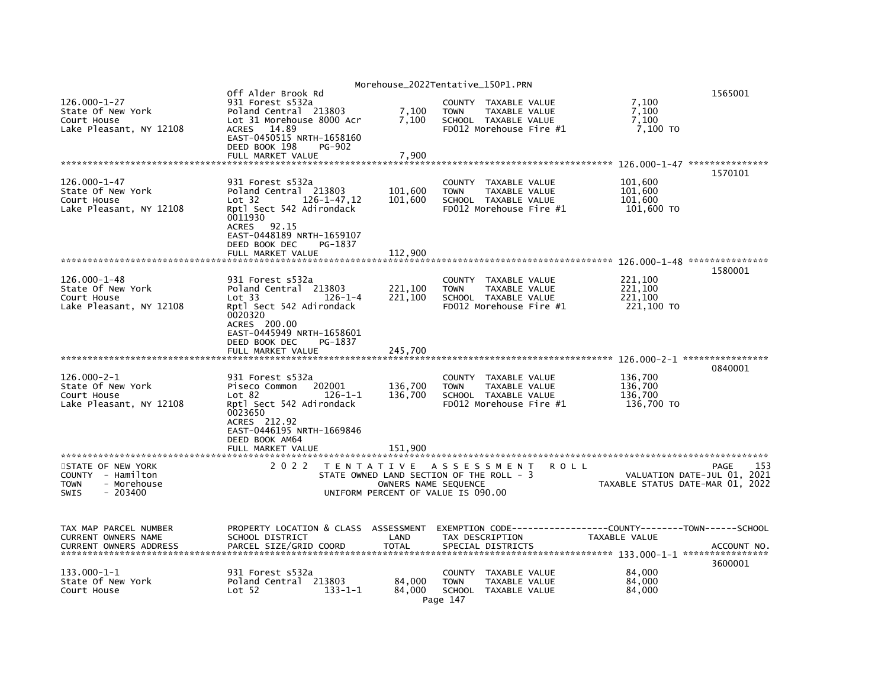|                                                                                   | Off Alder Brook Rd                                                                    |                                          | Morehouse_2022Tentative_150P1.PRN |                 |                                                                                          |             |                                     | 1565001                                                         |
|-----------------------------------------------------------------------------------|---------------------------------------------------------------------------------------|------------------------------------------|-----------------------------------|-----------------|------------------------------------------------------------------------------------------|-------------|-------------------------------------|-----------------------------------------------------------------|
| $126.000 - 1 - 27$<br>State Of New York<br>Court House<br>Lake Pleasant, NY 12108 | 931 Forest s532a<br>Poland Central 213803<br>Lot 31 Morehouse 8000 Acr<br>ACRES 14.89 |                                          | 7,100<br>7,100                    | <b>TOWN</b>     | COUNTY TAXABLE VALUE<br>TAXABLE VALUE<br>SCHOOL TAXABLE VALUE<br>FD012 Morehouse Fire #1 |             | 7,100<br>7,100<br>7,100<br>7,100 TO |                                                                 |
|                                                                                   | EAST-0450515 NRTH-1658160<br>DEED BOOK 198                                            | PG-902                                   |                                   |                 |                                                                                          |             |                                     |                                                                 |
|                                                                                   | FULL MARKET VALUE                                                                     |                                          | 7,900                             |                 |                                                                                          |             |                                     |                                                                 |
| $126.000 - 1 - 47$                                                                | 931 Forest s532a                                                                      |                                          |                                   | COUNTY          | TAXABLE VALUE                                                                            |             | 101,600                             | 1570101                                                         |
| State Of New York<br>Court House                                                  | Poland Central 213803<br>Lot 32                                                       | $126 - 1 - 47, 12$                       | 101,600<br>101,600                | <b>TOWN</b>     | TAXABLE VALUE<br>SCHOOL TAXABLE VALUE<br>FD012 Morehouse Fire #1                         |             | 101,600<br>101.600                  |                                                                 |
| Lake Pleasant, NY 12108                                                           | Rptl Sect 542 Adirondack<br>0011930<br>ACRES 92.15<br>EAST-0448189 NRTH-1659107       |                                          |                                   |                 |                                                                                          |             | 101,600 TO                          |                                                                 |
|                                                                                   | DEED BOOK DEC<br>FULL MARKET VALUE                                                    | PG-1837                                  | 112,900                           |                 |                                                                                          |             |                                     |                                                                 |
|                                                                                   |                                                                                       |                                          |                                   |                 |                                                                                          |             |                                     | 1580001                                                         |
| 126.000-1-48<br>State Of New York                                                 | 931 Forest s532a<br>Poland Central 213803                                             |                                          | 221,100                           | <b>TOWN</b>     | COUNTY TAXABLE VALUE<br>TAXABLE VALUE                                                    |             | 221,100<br>221,100                  |                                                                 |
| Court House                                                                       | Lot 33                                                                                | $126 - 1 - 4$                            | 221,100                           |                 | SCHOOL TAXABLE VALUE                                                                     |             | 221.100                             |                                                                 |
| Lake Pleasant, NY 12108                                                           | Rptl Sect 542 Adirondack<br>0020320                                                   |                                          |                                   |                 | FD012 Morehouse Fire #1                                                                  |             | 221,100 TO                          |                                                                 |
|                                                                                   | ACRES 200.00<br>EAST-0445949 NRTH-1658601                                             |                                          |                                   |                 |                                                                                          |             |                                     |                                                                 |
|                                                                                   | DEED BOOK DEC<br>FULL MARKET VALUE                                                    | PG-1837                                  | 245,700                           |                 |                                                                                          |             |                                     |                                                                 |
|                                                                                   |                                                                                       |                                          |                                   |                 |                                                                                          |             |                                     |                                                                 |
| $126.000 - 2 - 1$                                                                 | 931 Forest s532a                                                                      |                                          |                                   |                 | COUNTY TAXABLE VALUE                                                                     |             | 136,700                             | 0840001                                                         |
| State Of New York<br>Court House                                                  | Piseco Common<br>Lot 82                                                               | 202001<br>$126 - 1 - 1$                  | 136,700<br>136,700                | <b>TOWN</b>     | TAXABLE VALUE<br>SCHOOL TAXABLE VALUE                                                    |             | 136,700<br>136,700                  |                                                                 |
| Lake Pleasant, NY 12108                                                           | Rptl Sect 542 Adirondack                                                              |                                          |                                   |                 | FD012 Morehouse Fire #1                                                                  |             | 136,700 TO                          |                                                                 |
|                                                                                   | 0023650<br>ACRES 212.92                                                               |                                          |                                   |                 |                                                                                          |             |                                     |                                                                 |
|                                                                                   | EAST-0446195 NRTH-1669846<br>DEED BOOK AM64                                           |                                          |                                   |                 |                                                                                          |             |                                     |                                                                 |
|                                                                                   | FULL MARKET VALUE                                                                     |                                          | 151,900                           |                 |                                                                                          |             |                                     |                                                                 |
| STATE OF NEW YORK                                                                 | 2 0 2 2                                                                               | TENTATIVE ASSESSMENT                     |                                   |                 |                                                                                          | <b>ROLL</b> |                                     | 153<br>PAGE                                                     |
| COUNTY - Hamilton<br>- Morehouse<br>TOWN                                          |                                                                                       | STATE OWNED LAND SECTION OF THE ROLL - 3 | OWNERS NAME SEQUENCE              |                 |                                                                                          |             |                                     | VALUATION DATE-JUL 01, 2021<br>TAXABLE STATUS DATE-MAR 01, 2022 |
| <b>SWIS</b><br>$-203400$                                                          |                                                                                       | UNIFORM PERCENT OF VALUE IS 090.00       |                                   |                 |                                                                                          |             |                                     |                                                                 |
| TAX MAP PARCEL NUMBER                                                             | PROPERTY LOCATION & CLASS                                                             |                                          | ASSESSMENT                        |                 |                                                                                          |             |                                     |                                                                 |
| CURRENT OWNERS NAME                                                               | SCHOOL DISTRICT                                                                       |                                          | LAND<br><b>TOTAL</b>              | TAX DESCRIPTION |                                                                                          |             | TAXABLE VALUE                       |                                                                 |
| <b>CURRENT OWNERS ADDRESS</b>                                                     | PARCEL SIZE/GRID COORD                                                                |                                          |                                   |                 | SPECIAL DISTRICTS                                                                        |             |                                     | ACCOUNT NO.<br>3600001                                          |
| 133.000-1-1<br>State Of New York                                                  | 931 Forest s532a                                                                      |                                          |                                   | COUNTY          | TAXABLE VALUE                                                                            |             | 84.000                              |                                                                 |
| Court House                                                                       | Poland Central 213803<br>Lot 52                                                       | $133 - 1 - 1$                            | 84.000<br>84,000<br>Page 147      | <b>TOWN</b>     | TAXABLE VALUE<br>SCHOOL TAXABLE VALUE                                                    |             | 84,000<br>84,000                    |                                                                 |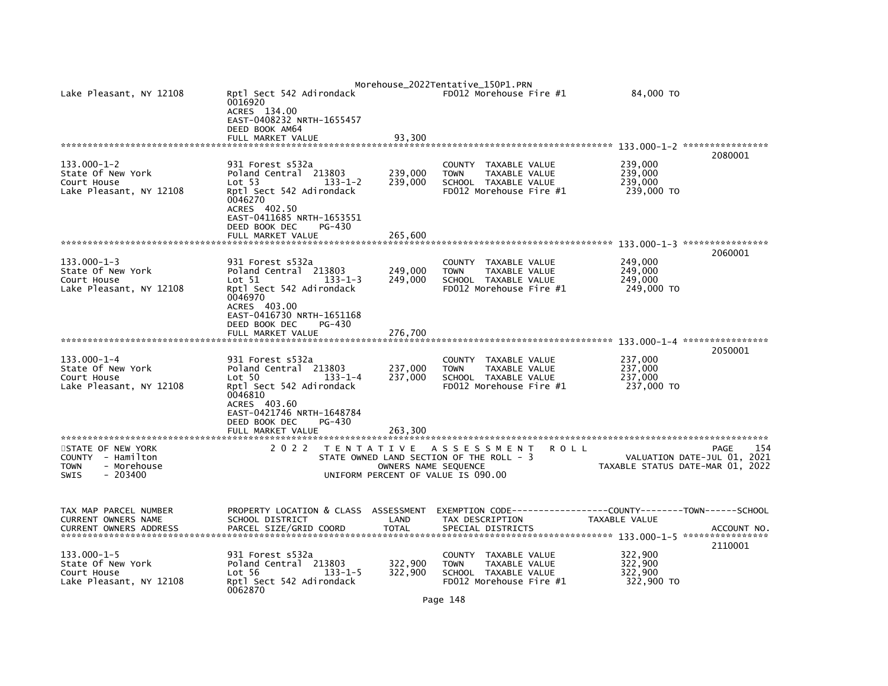| Lake Pleasant, NY 12108                                                                   | Rptl Sect 542 Adirondack<br>0016920<br>ACRES 134.00<br>EAST-0408232 NRTH-1655457<br>DEED BOOK AM64<br>FULL MARKET VALUE                                                       |                         | 93.300                        | Morehouse_2022Tentative_150P1.PRN<br>FD012 Morehouse Fire #1                                           |                                | 84,000 TO                                   |                                                                                |
|-------------------------------------------------------------------------------------------|-------------------------------------------------------------------------------------------------------------------------------------------------------------------------------|-------------------------|-------------------------------|--------------------------------------------------------------------------------------------------------|--------------------------------|---------------------------------------------|--------------------------------------------------------------------------------|
| 133.000-1-2<br>State Of New York<br>Court House<br>Lake Pleasant, NY 12108                | 931 Forest s532a<br>Poland Central 213803<br>Lot 53<br>Rptl Sect 542 Adirondack<br>0046270<br>ACRES 402.50<br>EAST-0411685 NRTH-1653551<br>DEED BOOK DEC<br>FULL MARKET VALUE | $133 - 1 - 2$<br>PG-430 | 239,000<br>239,000<br>265,600 | <b>COUNTY</b><br><b>TOWN</b><br>SCHOOL TAXABLE VALUE<br>FD012 Morehouse Fire #1                        | TAXABLE VALUE<br>TAXABLE VALUE | 239,000<br>239,000<br>239,000<br>239,000 TO | 2080001                                                                        |
| $133.000 - 1 - 3$<br>State Of New York                                                    | 931 Forest s532a<br>Poland Central 213803                                                                                                                                     |                         | 249,000                       | <b>COUNTY</b><br><b>TOWN</b>                                                                           | TAXABLE VALUE<br>TAXABLE VALUE | 249,000<br>249,000                          | 2060001                                                                        |
| Court House<br>Lake Pleasant, NY 12108                                                    | $\textsf{Lot} \hspace{0.1cm} 51$<br>Rptl Sect 542 Adirondack<br>0046970<br>ACRES 403.00<br>EAST-0416730 NRTH-1651168<br>DEED BOOK DEC<br>FULL MARKET VALUE                    | 133-1-3<br>PG-430       | 249,000<br>276,700            | SCHOOL TAXABLE VALUE<br>FD012 Morehouse Fire #1                                                        |                                | 249,000<br>249,000 TO                       |                                                                                |
|                                                                                           |                                                                                                                                                                               |                         |                               |                                                                                                        |                                |                                             | 2050001                                                                        |
| 133.000-1-4<br>State Of New York<br>Court House<br>Lake Pleasant, NY 12108                | 931 Forest s532a<br>Poland Central 213803<br>Lot 50<br>Rptl Sect 542 Adirondack<br>0046810<br>ACRES 403.60<br>EAST-0421746 NRTH-1648784<br>DEED BOOK DEC<br>FULL MARKET VALUE | $133 - 1 - 4$<br>PG-430 | 237,000<br>237.000<br>263,300 | <b>COUNTY</b><br><b>TOWN</b><br>SCHOOL TAXABLE VALUE<br>FD012 Morehouse Fire #1                        | TAXABLE VALUE<br>TAXABLE VALUE | 237,000<br>237,000<br>237,000<br>237,000 TO |                                                                                |
| STATE OF NEW YORK<br>COUNTY - Hamilton<br><b>TOWN</b><br>- Morehouse<br>SWIS<br>$-203400$ | 2 0 2 2                                                                                                                                                                       |                         | OWNERS NAME SEQUENCE          | TENTATIVE ASSESSMENT<br>STATE OWNED LAND SECTION OF THE ROLL - 3<br>UNIFORM PERCENT OF VALUE IS 090.00 | R O L L                        |                                             | 154<br>PAGE<br>VALUATION DATE-JUL 01, 2021<br>TAXABLE STATUS DATE-MAR 01, 2022 |
| TAX MAP PARCEL NUMBER<br>CURRENT OWNERS NAME<br><b>CURRENT OWNERS ADDRESS</b>             | PROPERTY LOCATION & CLASS ASSESSMENT<br>SCHOOL DISTRICT<br>PARCEL SIZE/GRID COORD                                                                                             |                         | LAND<br><b>TOTAL</b>          | EXEMPTION CODE---<br>TAX DESCRIPTION<br>SPECIAL DISTRICTS                                              |                                | TAXABLE VALUE                               | ----------COUNTY--------TOWN------SCHOOL<br>ACCOUNT NO.                        |
| $133.000 - 1 - 5$<br>State Of New York<br>Court House<br>Lake Pleasant, NY 12108          | 931 Forest s532a<br>Poland Central 213803<br>Lot 56<br>Rptl Sect 542 Adirondack<br>0062870                                                                                    | $133 - 1 - 5$           | 322,900<br>322,900            | <b>COUNTY</b><br><b>TOWN</b><br>SCHOOL TAXABLE VALUE<br>FD012 Morehouse Fire #1                        | TAXABLE VALUE<br>TAXABLE VALUE | 322,900<br>322,900<br>322,900<br>322,900 TO | 2110001                                                                        |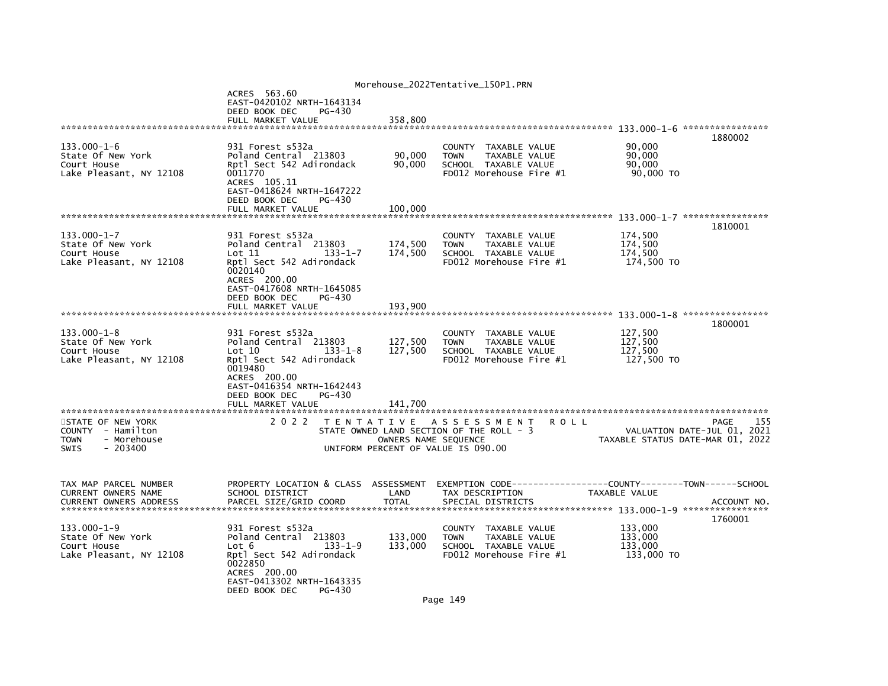|                                                                                           |                                                                                                                                                                                                          |                               | Morehouse_2022Tentative_150P1.PRN                                                                            |             |                                             |                                                                                |
|-------------------------------------------------------------------------------------------|----------------------------------------------------------------------------------------------------------------------------------------------------------------------------------------------------------|-------------------------------|--------------------------------------------------------------------------------------------------------------|-------------|---------------------------------------------|--------------------------------------------------------------------------------|
|                                                                                           | ACRES 563.60<br>EAST-0420102 NRTH-1643134<br>DEED BOOK DEC<br>PG-430<br>FULL MARKET VALUE                                                                                                                | 358,800                       |                                                                                                              |             |                                             |                                                                                |
|                                                                                           |                                                                                                                                                                                                          |                               |                                                                                                              |             |                                             |                                                                                |
| $133.000 - 1 - 6$<br>State Of New York<br>Court House<br>Lake Pleasant, NY 12108          | 931 Forest s532a<br>Poland Central 213803<br>Rptl Sect 542 Adirondack<br>0011770<br>ACRES 105.11<br>EAST-0418624 NRTH-1647222<br>DEED BOOK DEC<br>PG-430                                                 | 90,000<br>90,000              | COUNTY TAXABLE VALUE<br><b>TOWN</b><br>TAXABLE VALUE<br>SCHOOL TAXABLE VALUE<br>FD012 Morehouse Fire #1      |             | 90,000<br>90,000<br>90.000<br>90,000 TO     | 1880002                                                                        |
|                                                                                           | FULL MARKET VALUE                                                                                                                                                                                        | 100,000                       |                                                                                                              |             |                                             |                                                                                |
| $133.000 - 1 - 7$<br>State Of New York<br>Court House<br>Lake Pleasant, NY 12108          | 931 Forest s532a<br>Poland Central 213803<br>$133 - 1 - 7$<br>Lot 11<br>Rptl Sect 542 Adirondack<br>0020140<br>ACRES 200.00<br>EAST-0417608 NRTH-1645085<br>DEED BOOK DEC<br>PG-430<br>FULL MARKET VALUE | 174,500<br>174,500<br>193,900 | COUNTY TAXABLE VALUE<br><b>TOWN</b><br>TAXABLE VALUE<br>SCHOOL TAXABLE VALUE<br>FD012 Morehouse Fire #1      |             | 174,500<br>174,500<br>174,500<br>174,500 TO | 1810001                                                                        |
|                                                                                           |                                                                                                                                                                                                          |                               |                                                                                                              |             |                                             |                                                                                |
| $133.000 - 1 - 8$<br>State Of New York<br>Court House<br>Lake Pleasant, NY 12108          | 931 Forest s532a<br>Poland Central 213803<br>$133 - 1 - 8$<br>Lot 10<br>Rptl Sect 542 Adirondack<br>0019480<br>ACRES 200.00<br>EAST-0416354 NRTH-1642443<br>DEED BOOK DEC<br>PG-430                      | 127,500<br>127,500            | COUNTY TAXABLE VALUE<br><b>TOWN</b><br>TAXABLE VALUE<br>SCHOOL TAXABLE VALUE<br>FD012 Morehouse Fire #1      |             | 127,500<br>127,500<br>127,500<br>127,500 TO | 1800001                                                                        |
|                                                                                           | FULL MARKET VALUE                                                                                                                                                                                        | 141.700                       |                                                                                                              |             |                                             |                                                                                |
| STATE OF NEW YORK<br>COUNTY - Hamilton<br><b>TOWN</b><br>- Morehouse<br>$-203400$<br>SWIS | 2 0 2 2                                                                                                                                                                                                  | OWNERS NAME SEQUENCE          | TENTATIVE ASSESSMENT<br>STATE OWNED LAND SECTION OF THE ROLL - 3<br>UNIFORM PERCENT OF VALUE IS 090.00       | <b>ROLL</b> |                                             | PAGE<br>155<br>VALUATION DATE-JUL 01, 2021<br>TAXABLE STATUS DATE-MAR 01, 2022 |
| TAX MAP PARCEL NUMBER<br>CURRENT OWNERS NAME<br><b>CURRENT OWNERS ADDRESS</b>             | PROPERTY LOCATION & CLASS ASSESSMENT<br>SCHOOL DISTRICT<br>PARCEL SIZE/GRID COORD                                                                                                                        | LAND<br><b>TOTAL</b>          | EXEMPTION        CODE------------------COUNTY-------TOWN------SCHOOL<br>TAX DESCRIPTION<br>SPECIAL DISTRICTS |             | TAXABLE VALUE                               | ACCOUNT NO.<br>1760001                                                         |
| $133.000 - 1 - 9$<br>State Of New York<br>Court House<br>Lake Pleasant, NY 12108          | 931 Forest s532a<br>Poland Central 213803<br>$133 - 1 - 9$<br>Lot 6<br>Rptl Sect 542 Adirondack<br>0022850<br>ACRES 200.00<br>EAST-0413302 NRTH-1643335<br>DEED BOOK DEC<br>PG-430                       | 133,000<br>133,000            | COUNTY TAXABLE VALUE<br>TAXABLE VALUE<br><b>TOWN</b><br>SCHOOL TAXABLE VALUE<br>FD012 Morehouse Fire $#1$    |             | 133.000<br>133,000<br>133,000<br>133,000 TO |                                                                                |
|                                                                                           |                                                                                                                                                                                                          |                               |                                                                                                              |             |                                             |                                                                                |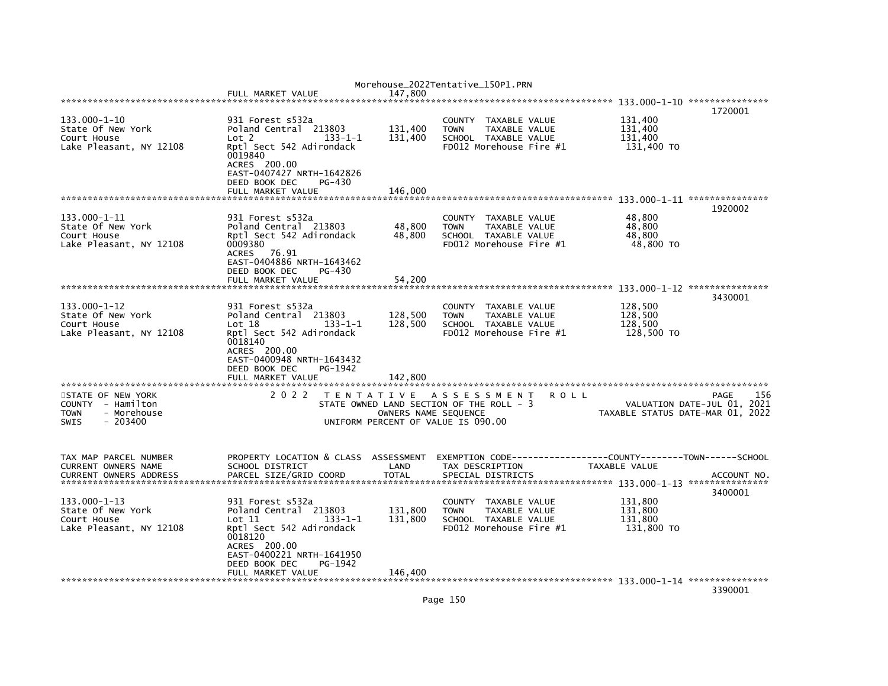|                                                                                                  |                                                                                                                                                                                                       |                                                            | Morehouse_2022Tentative_150P1.PRN                                                                                        |      |                                             |                                                                                       |
|--------------------------------------------------------------------------------------------------|-------------------------------------------------------------------------------------------------------------------------------------------------------------------------------------------------------|------------------------------------------------------------|--------------------------------------------------------------------------------------------------------------------------|------|---------------------------------------------|---------------------------------------------------------------------------------------|
|                                                                                                  | FULL MARKET VALUE                                                                                                                                                                                     | 147.800                                                    |                                                                                                                          |      |                                             |                                                                                       |
|                                                                                                  |                                                                                                                                                                                                       |                                                            |                                                                                                                          |      |                                             | 1720001                                                                               |
| 133.000-1-10<br>State Of New York<br>Court House<br>Lake Pleasant, NY 12108                      | 931 Forest s532a<br>Poland Central 213803<br>$133 - 1 - 1$<br>Lot <sub>2</sub><br>Rptl Sect 542 Adirondack<br>0019840<br>ACRES 200.00<br>EAST-0407427 NRTH-1642826                                    | 131,400<br>131,400                                         | <b>COUNTY</b><br>TAXABLE VALUE<br><b>TOWN</b><br><b>TAXABLE VALUE</b><br>SCHOOL TAXABLE VALUE<br>FD012 Morehouse Fire #1 |      | 131,400<br>131,400<br>131,400<br>131,400 TO |                                                                                       |
|                                                                                                  | DEED BOOK DEC<br>PG-430                                                                                                                                                                               |                                                            |                                                                                                                          |      |                                             |                                                                                       |
|                                                                                                  | FULL MARKET VALUE                                                                                                                                                                                     | 146.000                                                    |                                                                                                                          |      |                                             |                                                                                       |
|                                                                                                  |                                                                                                                                                                                                       |                                                            |                                                                                                                          |      |                                             | 1920002                                                                               |
| 133.000-1-11<br>State Of New York<br>Court House<br>Lake Pleasant, NY 12108                      | 931 Forest s532a<br>Poland Central 213803<br>Rptl Sect 542 Adirondack<br>0009380<br><b>ACRES</b><br>76.91<br>EAST-0404886 NRTH-1643462<br>DEED BOOK DEC<br>PG-430                                     | 48,800<br>48,800                                           | TAXABLE VALUE<br><b>COUNTY</b><br><b>TOWN</b><br>TAXABLE VALUE<br>SCHOOL TAXABLE VALUE<br>FD012 Morehouse Fire #1        |      | 48,800<br>48.800<br>48,800<br>48,800 TO     |                                                                                       |
|                                                                                                  | FULL MARKET VALUE                                                                                                                                                                                     | 54,200                                                     |                                                                                                                          |      |                                             |                                                                                       |
|                                                                                                  |                                                                                                                                                                                                       |                                                            |                                                                                                                          |      |                                             | 133.000-1-12 ****************                                                         |
| 133.000-1-12<br>State Of New York<br>Court House<br>Lake Pleasant, NY 12108                      | 931 Forest s532a<br>Poland Central 213803<br>Lot 18<br>$133 - 1 - 1$<br>Rptl Sect 542 Adirondack<br>0018140<br>ACRES 200.00<br>EAST-0400948 NRTH-1643432<br>DEED BOOK DEC<br>PG-1942                  | 128,500<br>128,500                                         | TAXABLE VALUE<br><b>COUNTY</b><br>TAXABLE VALUE<br><b>TOWN</b><br>SCHOOL TAXABLE VALUE<br>FD012 Morehouse Fire #1        |      | 128,500<br>128,500<br>128,500<br>128,500 TO | 3430001                                                                               |
|                                                                                                  | FULL MARKET VALUE                                                                                                                                                                                     | 142,800                                                    |                                                                                                                          |      |                                             |                                                                                       |
| STATE OF NEW YORK<br>COUNTY - Hamilton<br><b>TOWN</b><br>- Morehouse<br>$-203400$<br><b>SWIS</b> | 2 0 2 2                                                                                                                                                                                               | OWNERS NAME SEQUENCE<br>UNIFORM PERCENT OF VALUE IS 090.00 | TENTATIVE ASSESSMENT<br>STATE OWNED LAND SECTION OF THE ROLL - 3                                                         | ROLL |                                             | 156<br><b>PAGE</b><br>VALUATION DATE-JUL 01, 2021<br>TAXABLE STATUS DATE-MAR 01, 2022 |
| TAX MAP PARCEL NUMBER<br>CURRENT OWNERS NAME<br><b>CURRENT OWNERS ADDRESS</b>                    | PROPERTY LOCATION & CLASS ASSESSMENT<br>SCHOOL DISTRICT<br>PARCEL SIZE/GRID COORD                                                                                                                     | LAND<br><b>TOTAL</b>                                       | EXEMPTION CODE----<br>TAX DESCRIPTION<br>SPECIAL DISTRICTS                                                               |      | TAXABLE VALUE                               | -------COUNTY--------TOWN------SCHOOL<br>ACCOUNT NO.                                  |
| 133.000-1-13<br>State Of New York<br>Court House<br>Lake Pleasant, NY 12108                      | 931 Forest s532a<br>Poland Central<br>213803<br>$\mathsf{Lot} \; 11$<br>$133 - 1 - 1$<br>Rptl Sect 542 Adirondack<br>0018120<br>ACRES 200.00<br>EAST-0400221 NRTH-1641950<br>DEED BOOK DEC<br>PG-1942 | 131,800<br>131,800                                         | <b>COUNTY</b><br>TAXABLE VALUE<br><b>TOWN</b><br>TAXABLE VALUE<br>SCHOOL TAXABLE VALUE<br>FD012 Morehouse Fire #1        |      | 131,800<br>131,800<br>131,800<br>131,800 TO | 3400001                                                                               |
|                                                                                                  | FULL MARKET VALUE                                                                                                                                                                                     | 146,400                                                    |                                                                                                                          |      |                                             | 3390001                                                                               |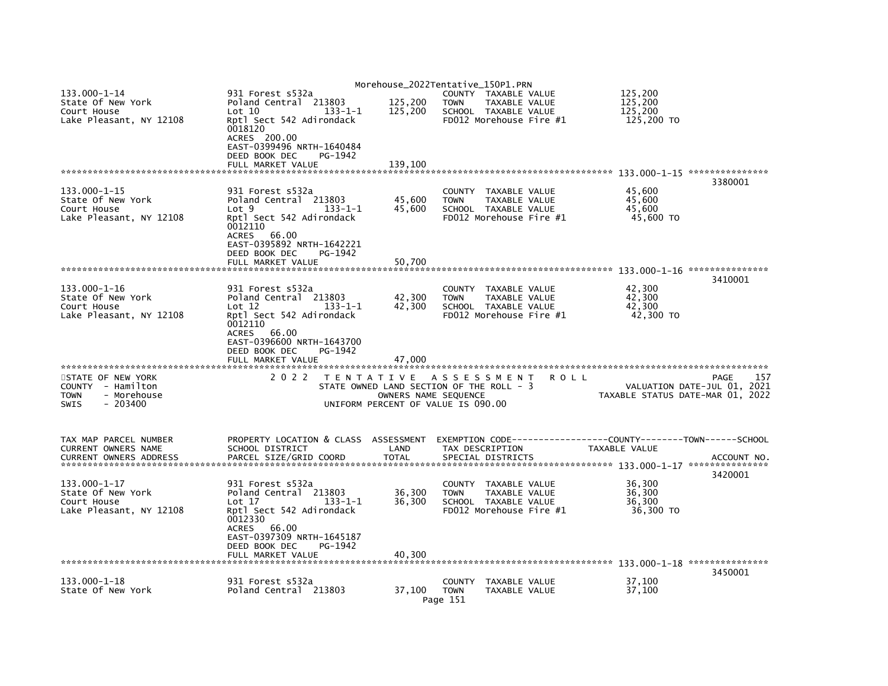|                                                                                           |                                                                                                                       |                                                            | Morehouse_2022Tentative_150P1.PRN                                                                                 |         |                                                                 |                        |
|-------------------------------------------------------------------------------------------|-----------------------------------------------------------------------------------------------------------------------|------------------------------------------------------------|-------------------------------------------------------------------------------------------------------------------|---------|-----------------------------------------------------------------|------------------------|
| $133.000 - 1 - 14$<br>State Of New York<br>Court House                                    | 931 Forest s532a<br>Poland Central 213803<br>Lot 10<br>$133 - 1 - 1$                                                  | 125,200<br>125,200                                         | COUNTY TAXABLE VALUE<br><b>TOWN</b><br>TAXABLE VALUE<br>SCHOOL TAXABLE VALUE                                      |         | 125,200<br>125.200<br>125,200                                   |                        |
| Lake Pleasant, NY 12108                                                                   | Rptl Sect 542 Adirondack<br>0018120<br>ACRES 200.00<br>EAST-0399496 NRTH-1640484<br>DEED BOOK DEC<br>PG-1942          |                                                            | FD012 Morehouse Fire #1                                                                                           |         | 125,200 TO                                                      |                        |
|                                                                                           | FULL MARKET VALUE                                                                                                     | 139,100                                                    |                                                                                                                   |         |                                                                 | 3380001                |
| 133.000-1-15<br>State Of New York<br>Court House<br>Lake Pleasant, NY 12108               | 931 Forest s532a<br>Poland Central 213803<br>Lot <sub>9</sub><br>$133 - 1 - 1$<br>Rptl Sect 542 Adirondack<br>0012110 | 45,600<br>45,600                                           | <b>COUNTY</b><br>TAXABLE VALUE<br>TAXABLE VALUE<br><b>TOWN</b><br>SCHOOL TAXABLE VALUE<br>FD012 Morehouse Fire #1 |         | 45,600<br>45,600<br>45,600<br>45,600 TO                         |                        |
|                                                                                           | <b>ACRES</b><br>66.00<br>EAST-0395892 NRTH-1642221<br>DEED BOOK DEC<br>PG-1942<br>FULL MARKET VALUE                   | 50,700                                                     |                                                                                                                   |         |                                                                 |                        |
|                                                                                           |                                                                                                                       |                                                            |                                                                                                                   |         |                                                                 | 3410001                |
| $133.000 - 1 - 16$<br>State Of New York<br>Court House<br>Lake Pleasant, NY 12108         | 931 Forest s532a<br>Poland Central 213803<br>Lot 12<br>$133 - 1 - 1$<br>Rptl Sect 542 Adirondack<br>0012110           | 42,300<br>42,300                                           | <b>COUNTY</b><br>TAXABLE VALUE<br><b>TOWN</b><br>TAXABLE VALUE<br>SCHOOL TAXABLE VALUE<br>FD012 Morehouse Fire #1 |         | 42,300<br>42,300<br>42.300<br>42,300 TO                         |                        |
|                                                                                           | <b>ACRES</b><br>66.00<br>EAST-0396600 NRTH-1643700<br>DEED BOOK DEC<br>PG-1942<br>FULL MARKET VALUE                   | 47,000                                                     |                                                                                                                   |         |                                                                 |                        |
| STATE OF NEW YORK<br>COUNTY - Hamilton<br>- Morehouse<br>TOWN<br>$-203400$<br><b>SWIS</b> | 2 0 2 2                                                                                                               | OWNERS NAME SEQUENCE<br>UNIFORM PERCENT OF VALUE IS 090.00 | TENTATIVE ASSESSMENT<br>STATE OWNED LAND SECTION OF THE ROLL - 3                                                  | R O L L | VALUATION DATE-JUL 01, 2021<br>TAXABLE STATUS DATE-MAR 01, 2022 | 157<br>PAGE            |
| TAX MAP PARCEL NUMBER                                                                     | PROPERTY LOCATION & CLASS ASSESSMENT                                                                                  |                                                            |                                                                                                                   |         |                                                                 |                        |
| CURRENT OWNERS NAME<br><b>CURRENT OWNERS ADDRESS</b>                                      | SCHOOL DISTRICT<br>PARCEL SIZE/GRID COORD                                                                             | LAND<br><b>TOTAL</b>                                       | TAX DESCRIPTION<br>SPECIAL DISTRICTS                                                                              |         | TAXABLE VALUE                                                   | ACCOUNT NO.<br>3420001 |
| 133.000-1-17<br>State Of New York<br>Court House<br>Lake Pleasant, NY 12108               | 931 Forest s532a<br>213803<br>Poland Central<br>Lot 17<br>$133 - 1 - 1$<br>Rptl Sect 542 Adirondack<br>0012330        | 36,300<br>36,300                                           | <b>COUNTY</b><br>TAXABLE VALUE<br><b>TOWN</b><br>TAXABLE VALUE<br>SCHOOL TAXABLE VALUE<br>FD012 Morehouse Fire #1 |         | 36,300<br>36,300<br>36,300<br>36,300 TO                         |                        |
|                                                                                           | <b>ACRES</b><br>66.00<br>EAST-0397309 NRTH-1645187<br>DEED BOOK DEC<br>PG-1942<br>FULL MARKET VALUE                   | 40,300                                                     |                                                                                                                   |         |                                                                 |                        |
|                                                                                           |                                                                                                                       |                                                            |                                                                                                                   |         |                                                                 | 3450001                |
| 133.000-1-18<br>State Of New York                                                         | 931 Forest s532a<br>Poland Central 213803                                                                             | 37,100                                                     | COUNTY<br>TAXABLE VALUE<br><b>TOWN</b><br>TAXABLE VALUE<br>Page 151                                               |         | 37.100<br>37,100                                                |                        |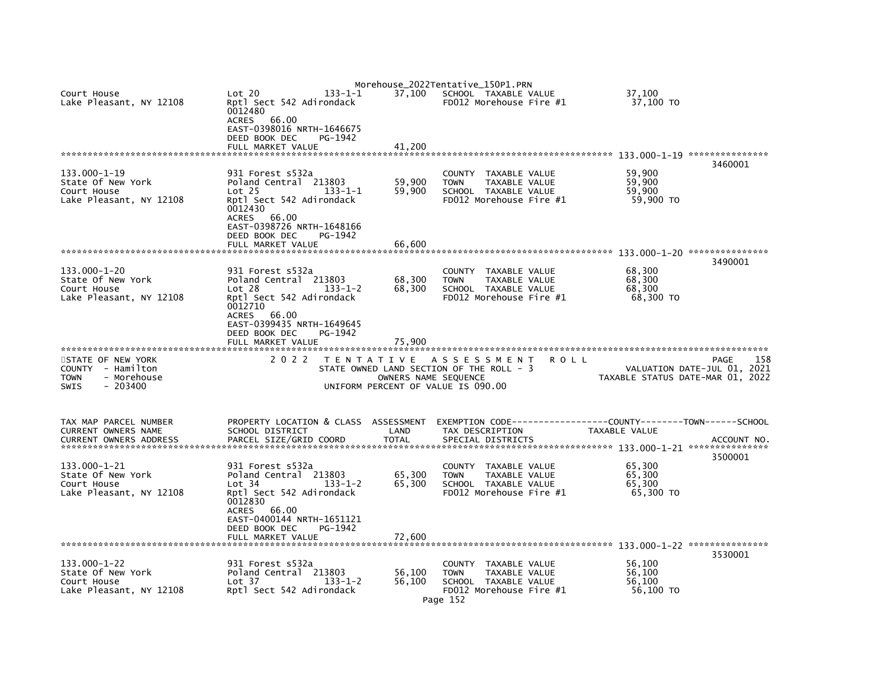|                                                        |                                                                |                      | Morehouse_2022Tentative_150P1.PRN                            |                                  |                             |
|--------------------------------------------------------|----------------------------------------------------------------|----------------------|--------------------------------------------------------------|----------------------------------|-----------------------------|
| Court House<br>Lake Pleasant, NY 12108                 | Lot 20<br>$133 - 1 - 1$<br>Rptl Sect 542 Adirondack<br>0012480 | 37,100               | SCHOOL TAXABLE VALUE<br>FD012 Morehouse Fire #1              | 37.100<br>37,100 TO              |                             |
|                                                        | 66.00<br><b>ACRES</b><br>EAST-0398016 NRTH-1646675             |                      |                                                              |                                  |                             |
|                                                        | DEED BOOK DEC<br>PG-1942                                       |                      |                                                              |                                  |                             |
|                                                        | FULL MARKET VALUE                                              | 41.200               |                                                              |                                  | 3460001                     |
| $133.000 - 1 - 19$                                     | 931 Forest s532a                                               |                      | COUNTY TAXABLE VALUE                                         | 59.900                           |                             |
| State Of New York                                      | Poland Central 213803                                          | 59,900               | TAXABLE VALUE<br><b>TOWN</b>                                 | 59,900                           |                             |
| Court House                                            | $133 - 1 - 1$<br>Lot 25                                        | 59,900               | SCHOOL TAXABLE VALUE<br>FD012 Morehouse Fire #1              | 59,900                           |                             |
| Lake Pleasant, NY 12108                                | Rptl Sect 542 Adirondack<br>0012430<br><b>ACRES</b><br>66.00   |                      |                                                              | 59,900 TO                        |                             |
|                                                        | EAST-0398726 NRTH-1648166<br>DEED BOOK DEC<br>PG-1942          |                      |                                                              |                                  |                             |
|                                                        | FULL MARKET VALUE                                              | 66,600               |                                                              |                                  |                             |
|                                                        |                                                                |                      |                                                              |                                  | 3490001                     |
| 133.000-1-20                                           | 931 Forest s532a                                               |                      | COUNTY TAXABLE VALUE                                         | 68,300                           |                             |
| State Of New York                                      | Poland Central 213803                                          | 68,300               | TOWN<br>TAXABLE VALUE                                        | 68,300                           |                             |
| Court House                                            | $133 - 1 - 2$<br>Lot 28<br>Rptl Sect 542 Adirondack            | 68,300               | SCHOOL TAXABLE VALUE<br>FD012 Morehouse Fire #1              | 68,300<br>68,300 TO              |                             |
| Lake Pleasant, NY 12108                                | 0012710                                                        |                      |                                                              |                                  |                             |
|                                                        | 66.00<br><b>ACRES</b>                                          |                      |                                                              |                                  |                             |
|                                                        | EAST-0399435 NRTH-1649645                                      |                      |                                                              |                                  |                             |
|                                                        | DEED BOOK DEC<br>PG-1942<br>FULL MARKET VALUE                  | 75,900               |                                                              |                                  |                             |
|                                                        |                                                                |                      |                                                              |                                  |                             |
| STATE OF NEW YORK                                      | 2 0 2 2                                                        |                      | TENTATIVE ASSESSMENT<br>R O L L                              |                                  | 158<br>PAGE                 |
| COUNTY - Hamilton                                      |                                                                |                      | STATE OWNED LAND SECTION OF THE ROLL - 3                     |                                  | VALUATION DATE-JUL 01, 2021 |
| <b>TOWN</b><br>- Morehouse<br>$-203400$<br><b>SWIS</b> |                                                                | OWNERS NAME SEQUENCE | UNIFORM PERCENT OF VALUE IS 090.00                           | TAXABLE STATUS DATE-MAR 01, 2022 |                             |
|                                                        |                                                                |                      |                                                              |                                  |                             |
| TAX MAP PARCEL NUMBER                                  | PROPERTY LOCATION & CLASS ASSESSMENT                           |                      | EXEMPTION CODE-----------------COUNTY-------TOWN------SCHOOL |                                  |                             |
| CURRENT OWNERS NAME<br><b>CURRENT OWNERS ADDRESS</b>   | SCHOOL DISTRICT<br>PARCEL SIZE/GRID COORD                      | LAND<br><b>TOTAL</b> | TAX DESCRIPTION<br>SPECIAL DISTRICTS                         | TAXABLE VALUE                    | ACCOUNT NO.                 |
|                                                        |                                                                |                      |                                                              |                                  |                             |
| 133.000-1-21                                           | 931 Forest s532a                                               |                      | COUNTY TAXABLE VALUE                                         | 65,300                           | 3500001                     |
| State Of New York                                      | Poland Central 213803                                          | 65,300               | TAXABLE VALUE<br><b>TOWN</b>                                 | 65,300                           |                             |
| Court House                                            | Lot 34<br>$133 - 1 - 2$                                        | 65,300               | SCHOOL TAXABLE VALUE                                         | 65,300                           |                             |
| Lake Pleasant, NY 12108                                | Rptl Sect 542 Adirondack<br>0012830                            |                      | FD012 Morehouse Fire #1                                      | 65,300 TO                        |                             |
|                                                        | 66.00<br><b>ACRES</b><br>EAST-0400144 NRTH-1651121             |                      |                                                              |                                  |                             |
|                                                        | DEED BOOK DEC<br>PG-1942                                       |                      |                                                              |                                  |                             |
|                                                        | FULL MARKET VALUE                                              | 72,600               |                                                              |                                  |                             |
|                                                        |                                                                |                      |                                                              |                                  |                             |
| 133.000-1-22                                           | 931 Forest s532a                                               |                      | COUNTY TAXABLE VALUE                                         | 56,100                           | 3530001                     |
| State Of New York                                      | Poland Central 213803                                          | 56,100               | TAXABLE VALUE<br><b>TOWN</b>                                 | 56.100                           |                             |
| Court House                                            | Lot 37<br>$133 - 1 - 2$                                        | 56.100               | SCHOOL TAXABLE VALUE                                         | 56.100                           |                             |
| Lake Pleasant, NY 12108                                | Rptl Sect 542 Adirondack                                       |                      | FD012 Morehouse Fire #1                                      | 56,100 TO                        |                             |
|                                                        |                                                                |                      | Page 152                                                     |                                  |                             |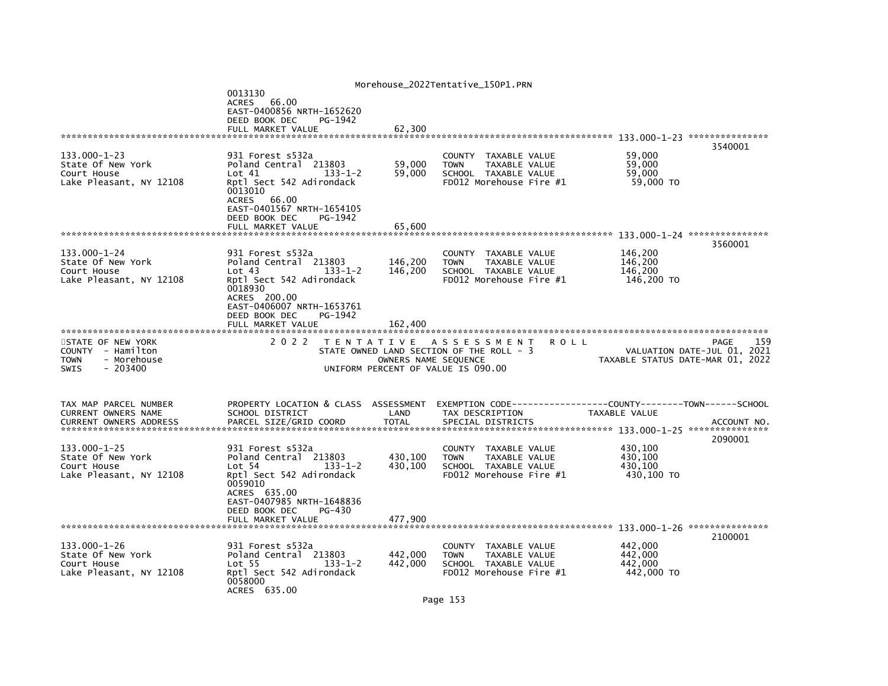|                                                                                                 |                                                                                                                                                                                                            |                               | Morehouse_2022Tentative_150P1.PRN                                                                                 |                                                                                |     |
|-------------------------------------------------------------------------------------------------|------------------------------------------------------------------------------------------------------------------------------------------------------------------------------------------------------------|-------------------------------|-------------------------------------------------------------------------------------------------------------------|--------------------------------------------------------------------------------|-----|
|                                                                                                 | 0013130<br>ACRES 66.00<br>EAST-0400856 NRTH-1652620<br>PG-1942<br>DEED BOOK DEC<br>FULL MARKET VALUE                                                                                                       | 62.300                        |                                                                                                                   |                                                                                |     |
|                                                                                                 |                                                                                                                                                                                                            |                               |                                                                                                                   |                                                                                |     |
| 133.000-1-23<br>State Of New York<br>Court House<br>Lake Pleasant, NY 12108                     | 931 Forest s532a<br>Poland Central 213803<br>$133 - 1 - 2$<br>Lot 41<br>Rptl Sect 542 Adirondack<br>0013010<br><b>ACRES</b><br>66.00<br>EAST-0401567 NRTH-1654105<br>DEED BOOK DEC<br>PG-1942              | 59,000<br>59,000              | COUNTY TAXABLE VALUE<br>TAXABLE VALUE<br><b>TOWN</b><br>SCHOOL TAXABLE VALUE<br>FD012 Morehouse Fire #1           | 3540001<br>59,000<br>59.000<br>59,000<br>59,000 TO                             |     |
|                                                                                                 | FULL MARKET VALUE                                                                                                                                                                                          | 65.600                        |                                                                                                                   |                                                                                |     |
| 133.000-1-24                                                                                    | 931 Forest s532a                                                                                                                                                                                           |                               | COUNTY TAXABLE VALUE                                                                                              | 3560001<br>146,200                                                             |     |
| State Of New York<br>Court House<br>Lake Pleasant, NY 12108                                     | Poland Central 213803<br>Lot 43<br>$133 - 1 - 2$<br>Rptl Sect 542 Adirondack<br>0018930<br>ACRES 200.00<br>EAST-0406007 NRTH-1653761<br>DEED BOOK DEC<br>PG-1942<br>FULL MARKET VALUE                      | 146,200<br>146,200<br>162,400 | TAXABLE VALUE<br><b>TOWN</b><br>SCHOOL TAXABLE VALUE<br>FD012 Morehouse Fire #1                                   | 146,200<br>146,200<br>146,200 TO                                               |     |
|                                                                                                 |                                                                                                                                                                                                            |                               |                                                                                                                   |                                                                                |     |
| STATE OF NEW YORK<br>COUNTY - Hamilton<br>- Morehouse<br><b>TOWN</b><br><b>SWIS</b><br>- 203400 | 2 0 2 2                                                                                                                                                                                                    | OWNERS NAME SEQUENCE          | TENTATIVE ASSESSMENT<br>R O L L<br>STATE OWNED LAND SECTION OF THE ROLL - 3<br>UNIFORM PERCENT OF VALUE IS 090.00 | PAGE<br>VALUATION DATE-JUL 01, 2021<br>TAXABLE STATUS DATE-MAR 01, 2022        | 159 |
| TAX MAP PARCEL NUMBER<br>CURRENT OWNERS NAME<br><b>CURRENT OWNERS ADDRESS</b>                   | PROPERTY LOCATION & CLASS ASSESSMENT<br>SCHOOL DISTRICT<br>PARCEL SIZE/GRID COORD                                                                                                                          | LAND<br><b>TOTAL</b>          | EXEMPTION CODE---<br>TAX DESCRIPTION<br>SPECIAL DISTRICTS                                                         | -----COUNTY--------TOWN------SCHOOL<br>TAXABLE VALUE<br>ACCOUNT NO.<br>2090001 |     |
| $133.000 - 1 - 25$<br>State Of New York<br>Court House<br>Lake Pleasant, NY 12108               | 931 Forest s532a<br>Poland Central 213803<br>Lot 54<br>$133 - 1 - 2$<br>Rptl Sect 542 Adirondack<br>0059010<br>ACRES 635.00<br>EAST-0407985 NRTH-1648836<br>DEED BOOK DEC<br>$PG-430$<br>FULL MARKET VALUE | 430,100<br>430,100<br>477,900 | <b>COUNTY</b><br>TAXABLE VALUE<br>TAXABLE VALUE<br><b>TOWN</b><br>SCHOOL TAXABLE VALUE<br>FD012 Morehouse Fire #1 | 430,100<br>430,100<br>430.100<br>430,100 TO                                    |     |
|                                                                                                 |                                                                                                                                                                                                            |                               |                                                                                                                   |                                                                                |     |
|                                                                                                 |                                                                                                                                                                                                            |                               |                                                                                                                   | 2100001                                                                        |     |
| 133.000-1-26<br>State Of New York<br>Court House<br>Lake Pleasant, NY 12108                     | 931 Forest s532a<br>Poland Central 213803<br>Lot <sub>55</sub><br>$133 - 1 - 2$<br>Rptl Sect 542 Adirondack<br>0058000<br>ACRES 635.00                                                                     | 442,000<br>442,000            | COUNTY<br>TAXABLE VALUE<br><b>TOWN</b><br>TAXABLE VALUE<br>SCHOOL TAXABLE VALUE<br>FD012 Morehouse Fire #1        | 442,000<br>442,000<br>442,000<br>442,000 TO                                    |     |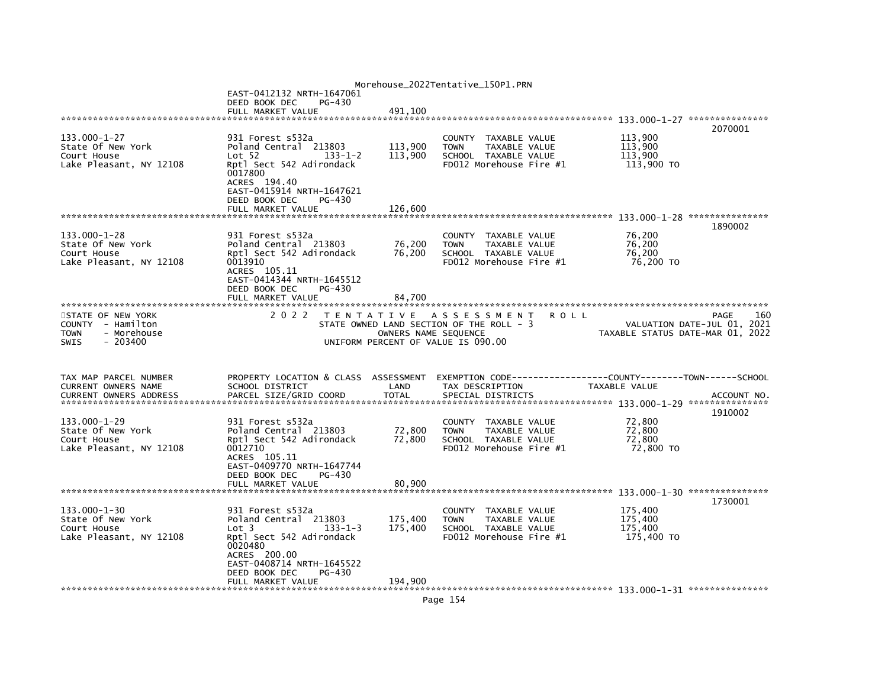|                                                 |                                                         |                      | Morehouse_2022Tentative_150P1.PRN                           |                                                                               |         |
|-------------------------------------------------|---------------------------------------------------------|----------------------|-------------------------------------------------------------|-------------------------------------------------------------------------------|---------|
|                                                 | EAST-0412132 NRTH-1647061                               |                      |                                                             |                                                                               |         |
|                                                 | DEED BOOK DEC<br>PG-430<br>FULL MARKET VALUE            | 491.100              |                                                             |                                                                               |         |
|                                                 |                                                         |                      |                                                             |                                                                               |         |
|                                                 |                                                         |                      |                                                             |                                                                               | 2070001 |
| 133.000-1-27                                    | 931 Forest s532a                                        |                      | COUNTY TAXABLE VALUE                                        | 113,900                                                                       |         |
| State Of New York                               | Poland Central 213803                                   | 113,900              | <b>TAXABLE VALUE</b><br><b>TOWN</b>                         | 113,900                                                                       |         |
| Court House                                     | Lot 52<br>$133 - 1 - 2$                                 | 113,900              | SCHOOL TAXABLE VALUE<br>FD012 Morehouse Fire #1             | 113.900                                                                       |         |
| Lake Pleasant, NY 12108                         | Rptl Sect 542 Adirondack<br>0017800                     |                      |                                                             | 113,900 TO                                                                    |         |
|                                                 | ACRES 194.40                                            |                      |                                                             |                                                                               |         |
|                                                 | EAST-0415914 NRTH-1647621                               |                      |                                                             |                                                                               |         |
|                                                 | DEED BOOK DEC<br>PG-430                                 |                      |                                                             |                                                                               |         |
|                                                 | FULL MARKET VALUE                                       | 126.600              |                                                             |                                                                               |         |
|                                                 |                                                         |                      |                                                             |                                                                               | 1890002 |
| $133.000 - 1 - 28$                              | 931 Forest s532a                                        |                      | COUNTY TAXABLE VALUE                                        | 76,200                                                                        |         |
| State Of New York                               | Poland Central 213803                                   | 76,200               | TAXABLE VALUE<br><b>TOWN</b>                                | 76,200                                                                        |         |
| Court House                                     | Rptl Sect 542 Adirondack                                | 76,200               | SCHOOL TAXABLE VALUE                                        | 76.200                                                                        |         |
| Lake Pleasant, NY 12108                         | 0013910<br>ACRES 105.11                                 |                      | $FD012$ Morehouse Fire $#1$                                 | 76,200 TO                                                                     |         |
|                                                 | EAST-0414344 NRTH-1645512                               |                      |                                                             |                                                                               |         |
|                                                 | DEED BOOK DEC<br>PG-430                                 |                      |                                                             |                                                                               |         |
|                                                 | FULL MARKET VALUE                                       | 84.700               |                                                             |                                                                               |         |
|                                                 |                                                         |                      |                                                             |                                                                               |         |
| STATE OF NEW YORK                               | 2 0 2 2                                                 |                      | TENTATIVE ASSESSMENT<br><b>ROLL</b>                         | PAGE<br>VALUATION DATE-JUL 01, 2021                                           | 160     |
| COUNTY - Hamilton<br><b>TOWN</b><br>- Morehouse |                                                         | OWNERS NAME SEQUENCE | STATE OWNED LAND SECTION OF THE ROLL - 3                    | TAXABLE STATUS DATE-MAR 01, 2022                                              |         |
|                                                 |                                                         |                      |                                                             |                                                                               |         |
| <b>SWIS</b><br>$-203400$                        |                                                         |                      | UNIFORM PERCENT OF VALUE IS 090.00                          |                                                                               |         |
|                                                 |                                                         |                      |                                                             |                                                                               |         |
|                                                 |                                                         |                      |                                                             |                                                                               |         |
|                                                 |                                                         |                      |                                                             |                                                                               |         |
| TAX MAP PARCEL NUMBER<br>CURRENT OWNERS NAME    | PROPERTY LOCATION & CLASS ASSESSMENT<br>SCHOOL DISTRICT | LAND                 | TAX DESCRIPTION                                             | EXEMPTION CODE-----------------COUNTY-------TOWN------SCHOOL<br>TAXABLE VALUE |         |
|                                                 |                                                         |                      |                                                             |                                                                               |         |
|                                                 |                                                         |                      |                                                             |                                                                               |         |
|                                                 |                                                         |                      |                                                             |                                                                               | 1910002 |
| 133.000-1-29                                    | 931 Forest s532a                                        |                      | COUNTY TAXABLE VALUE<br><b>TAXABLE VALUE</b><br><b>TOWN</b> | 72,800<br>72.800                                                              |         |
| State Of New York<br>Court House                | Poland Central 213803<br>Rptl Sect 542 Adirondack       | 72,800<br>72,800     | SCHOOL TAXABLE VALUE                                        | 72,800                                                                        |         |
| Lake Pleasant, NY 12108                         | 0012710                                                 |                      | FD012 Morehouse Fire $#1$                                   | 72,800 TO                                                                     |         |
|                                                 | ACRES 105.11                                            |                      |                                                             |                                                                               |         |
|                                                 | EAST-0409770 NRTH-1647744                               |                      |                                                             |                                                                               |         |
|                                                 | DEED BOOK DEC<br>PG-430                                 |                      |                                                             |                                                                               |         |
|                                                 | FULL MARKET VALUE                                       | 80,900               |                                                             |                                                                               |         |
|                                                 |                                                         |                      |                                                             |                                                                               | 1730001 |
| $133.000 - 1 - 30$                              | 931 Forest s532a                                        |                      | COUNTY TAXABLE VALUE                                        | 175.400                                                                       |         |
| State Of New York                               | Poland Central 213803                                   | 175,400              | TAXABLE VALUE<br><b>TOWN</b>                                | 175.400                                                                       |         |
| Court House                                     | $133 - 1 - 3$<br>Lot <sub>3</sub>                       | 175,400              | SCHOOL TAXABLE VALUE                                        | 175.400                                                                       |         |
| Lake Pleasant, NY 12108                         | Rptl Sect 542 Adirondack<br>0020480                     |                      | FD012 Morehouse Fire #1                                     | 175,400 TO                                                                    |         |
|                                                 | ACRES 200.00                                            |                      |                                                             |                                                                               |         |
|                                                 | EAST-0408714 NRTH-1645522                               |                      |                                                             |                                                                               |         |
|                                                 | DEED BOOK DEC<br>PG-430<br>FULL MARKET VALUE            | 194,900              |                                                             |                                                                               |         |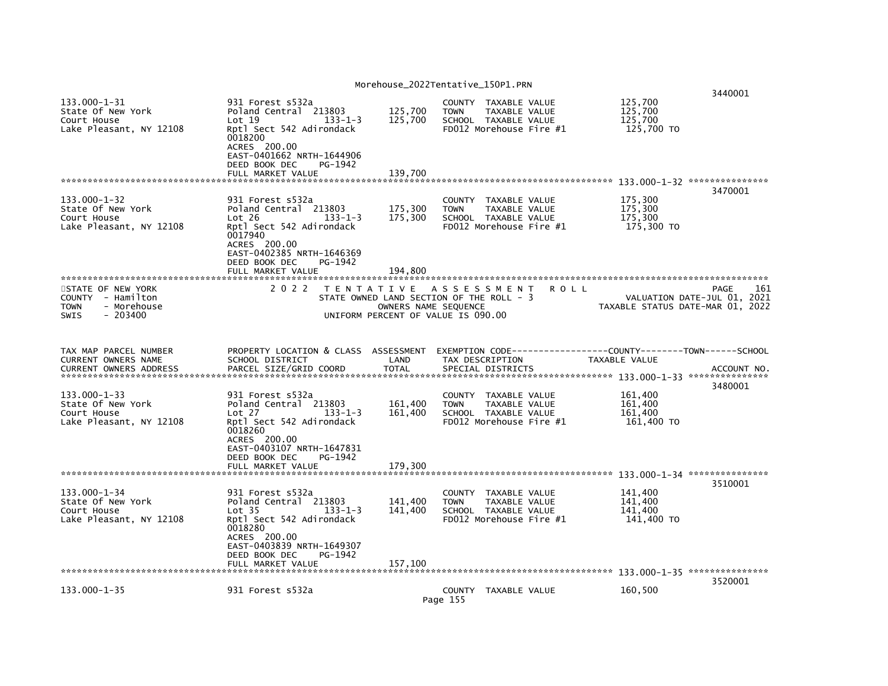| 3470001<br>$133.000 - 1 - 32$<br>175,300<br>931 Forest s532a<br>COUNTY TAXABLE VALUE<br>175,300<br>State Of New York<br>Poland Central 213803<br>TAXABLE VALUE<br>175.300<br><b>TOWN</b><br>Court House<br>175,300<br>175,300<br>Lot 26<br>$133 - 1 - 3$<br>SCHOOL TAXABLE VALUE<br>Lake Pleasant, NY 12108<br>FD012 Morehouse Fire #1<br>175,300 TO<br>Rptl Sect 542 Adirondack<br>0017940<br>ACRES 200.00<br>EAST-0402385 NRTH-1646369<br>DEED BOOK DEC<br>PG-1942<br>FULL MARKET VALUE<br>194.800<br>STATE OF NEW YORK<br>2 0 2 2<br>TENTATIVE ASSESSMENT<br><b>ROLL</b><br>PAGE<br>STATE OWNED LAND SECTION OF THE ROLL - 3<br>VALUATION DATE-JUL 01, 2021<br>COUNTY - Hamilton<br>- Morehouse<br>OWNERS NAME SEQUENCE<br>TAXABLE STATUS DATE-MAR 01, 2022<br><b>TOWN</b><br>$-203400$<br>UNIFORM PERCENT OF VALUE IS 090.00<br><b>SWIS</b><br>PROPERTY LOCATION & CLASS ASSESSMENT<br>EXEMPTION CODE------------------COUNTY-------TOWN------SCHOOL<br>TAX MAP PARCEL NUMBER<br>CURRENT OWNERS NAME<br>SCHOOL DISTRICT<br>LAND<br>TAX DESCRIPTION<br>TAXABLE VALUE<br><b>CURRENT OWNERS ADDRESS</b><br>PARCEL SIZE/GRID COORD<br><b>TOTAL</b><br>SPECIAL DISTRICTS<br>3480001<br>$133.000 - 1 - 33$<br>161,400<br>931 Forest s532a<br>COUNTY<br>TAXABLE VALUE<br>State Of New York<br>161,400<br>161,400<br>Poland Central 213803<br><b>TOWN</b><br>TAXABLE VALUE<br>Court House<br>Lot 27<br>$133 - 1 - 3$<br>161,400<br>SCHOOL TAXABLE VALUE<br>161,400<br>Lake Pleasant, NY 12108<br>Rptl Sect 542 Adirondack<br>FD012 Morehouse Fire #1<br>161,400 TO<br>0018260<br>ACRES 200.00<br>EAST-0403107 NRTH-1647831<br>DEED BOOK DEC<br>PG-1942<br>179,300<br>FULL MARKET VALUE<br>3510001<br>$133.000 - 1 - 34$<br>141.400<br>931 Forest s532a<br>COUNTY TAXABLE VALUE<br>State Of New York<br>Poland Central 213803<br>141,400<br>141,400<br><b>TOWN</b><br>TAXABLE VALUE<br>Court House<br>141,400<br>Lot <sub>35</sub><br>$133 - 1 - 3$<br>141,400<br>SCHOOL TAXABLE VALUE<br>Lake Pleasant, NY 12108<br>Rptl Sect 542 Adirondack<br>FD012 Morehouse Fire #1<br>141,400 TO<br>0018280<br>ACRES 200.00<br>EAST-0403839 NRTH-1649307<br>PG-1942<br>DEED BOOK DEC<br>157,100<br>FULL MARKET VALUE<br>3520001<br>$133.000 - 1 - 35$<br>931 Forest s532a<br>COUNTY TAXABLE VALUE<br>160,500 | 133.000-1-31<br>State Of New York<br>Court House<br>Lake Pleasant, NY 12108 | 931 Forest s532a<br>Poland Central 213803<br>Lot 19<br>Rptl Sect 542 Adirondack<br>0018200<br>ACRES 200.00<br>EAST-0401662 NRTH-1644906<br>DEED BOOK DEC<br>FULL MARKET VALUE | 125,700<br>125,700<br>$133 - 1 - 3$<br>PG-1942<br>139.700 | COUNTY TAXABLE VALUE<br><b>TOWN</b><br>TAXABLE VALUE<br>SCHOOL TAXABLE VALUE<br>FD012 Morehouse Fire #1 | 125,700<br>125,700<br>125,700<br>125,700 TO | 3440001     |
|-----------------------------------------------------------------------------------------------------------------------------------------------------------------------------------------------------------------------------------------------------------------------------------------------------------------------------------------------------------------------------------------------------------------------------------------------------------------------------------------------------------------------------------------------------------------------------------------------------------------------------------------------------------------------------------------------------------------------------------------------------------------------------------------------------------------------------------------------------------------------------------------------------------------------------------------------------------------------------------------------------------------------------------------------------------------------------------------------------------------------------------------------------------------------------------------------------------------------------------------------------------------------------------------------------------------------------------------------------------------------------------------------------------------------------------------------------------------------------------------------------------------------------------------------------------------------------------------------------------------------------------------------------------------------------------------------------------------------------------------------------------------------------------------------------------------------------------------------------------------------------------------------------------------------------------------------------------------------------------------------------------------------------------------------------------------------------------------------------------------------------------------------------------------------------------------------------------------------------------------------------------------------------------------------|-----------------------------------------------------------------------------|-------------------------------------------------------------------------------------------------------------------------------------------------------------------------------|-----------------------------------------------------------|---------------------------------------------------------------------------------------------------------|---------------------------------------------|-------------|
|                                                                                                                                                                                                                                                                                                                                                                                                                                                                                                                                                                                                                                                                                                                                                                                                                                                                                                                                                                                                                                                                                                                                                                                                                                                                                                                                                                                                                                                                                                                                                                                                                                                                                                                                                                                                                                                                                                                                                                                                                                                                                                                                                                                                                                                                                               |                                                                             |                                                                                                                                                                               |                                                           |                                                                                                         |                                             |             |
|                                                                                                                                                                                                                                                                                                                                                                                                                                                                                                                                                                                                                                                                                                                                                                                                                                                                                                                                                                                                                                                                                                                                                                                                                                                                                                                                                                                                                                                                                                                                                                                                                                                                                                                                                                                                                                                                                                                                                                                                                                                                                                                                                                                                                                                                                               |                                                                             |                                                                                                                                                                               |                                                           |                                                                                                         |                                             |             |
|                                                                                                                                                                                                                                                                                                                                                                                                                                                                                                                                                                                                                                                                                                                                                                                                                                                                                                                                                                                                                                                                                                                                                                                                                                                                                                                                                                                                                                                                                                                                                                                                                                                                                                                                                                                                                                                                                                                                                                                                                                                                                                                                                                                                                                                                                               |                                                                             |                                                                                                                                                                               |                                                           |                                                                                                         |                                             |             |
|                                                                                                                                                                                                                                                                                                                                                                                                                                                                                                                                                                                                                                                                                                                                                                                                                                                                                                                                                                                                                                                                                                                                                                                                                                                                                                                                                                                                                                                                                                                                                                                                                                                                                                                                                                                                                                                                                                                                                                                                                                                                                                                                                                                                                                                                                               |                                                                             |                                                                                                                                                                               |                                                           |                                                                                                         |                                             | 161         |
|                                                                                                                                                                                                                                                                                                                                                                                                                                                                                                                                                                                                                                                                                                                                                                                                                                                                                                                                                                                                                                                                                                                                                                                                                                                                                                                                                                                                                                                                                                                                                                                                                                                                                                                                                                                                                                                                                                                                                                                                                                                                                                                                                                                                                                                                                               |                                                                             |                                                                                                                                                                               |                                                           |                                                                                                         |                                             |             |
|                                                                                                                                                                                                                                                                                                                                                                                                                                                                                                                                                                                                                                                                                                                                                                                                                                                                                                                                                                                                                                                                                                                                                                                                                                                                                                                                                                                                                                                                                                                                                                                                                                                                                                                                                                                                                                                                                                                                                                                                                                                                                                                                                                                                                                                                                               |                                                                             |                                                                                                                                                                               |                                                           |                                                                                                         |                                             | ACCOUNT NO. |
|                                                                                                                                                                                                                                                                                                                                                                                                                                                                                                                                                                                                                                                                                                                                                                                                                                                                                                                                                                                                                                                                                                                                                                                                                                                                                                                                                                                                                                                                                                                                                                                                                                                                                                                                                                                                                                                                                                                                                                                                                                                                                                                                                                                                                                                                                               |                                                                             |                                                                                                                                                                               |                                                           |                                                                                                         |                                             |             |
|                                                                                                                                                                                                                                                                                                                                                                                                                                                                                                                                                                                                                                                                                                                                                                                                                                                                                                                                                                                                                                                                                                                                                                                                                                                                                                                                                                                                                                                                                                                                                                                                                                                                                                                                                                                                                                                                                                                                                                                                                                                                                                                                                                                                                                                                                               |                                                                             |                                                                                                                                                                               |                                                           |                                                                                                         |                                             |             |
|                                                                                                                                                                                                                                                                                                                                                                                                                                                                                                                                                                                                                                                                                                                                                                                                                                                                                                                                                                                                                                                                                                                                                                                                                                                                                                                                                                                                                                                                                                                                                                                                                                                                                                                                                                                                                                                                                                                                                                                                                                                                                                                                                                                                                                                                                               |                                                                             |                                                                                                                                                                               |                                                           |                                                                                                         |                                             |             |
|                                                                                                                                                                                                                                                                                                                                                                                                                                                                                                                                                                                                                                                                                                                                                                                                                                                                                                                                                                                                                                                                                                                                                                                                                                                                                                                                                                                                                                                                                                                                                                                                                                                                                                                                                                                                                                                                                                                                                                                                                                                                                                                                                                                                                                                                                               |                                                                             |                                                                                                                                                                               |                                                           |                                                                                                         |                                             |             |
|                                                                                                                                                                                                                                                                                                                                                                                                                                                                                                                                                                                                                                                                                                                                                                                                                                                                                                                                                                                                                                                                                                                                                                                                                                                                                                                                                                                                                                                                                                                                                                                                                                                                                                                                                                                                                                                                                                                                                                                                                                                                                                                                                                                                                                                                                               |                                                                             |                                                                                                                                                                               |                                                           |                                                                                                         |                                             |             |
| Page 155                                                                                                                                                                                                                                                                                                                                                                                                                                                                                                                                                                                                                                                                                                                                                                                                                                                                                                                                                                                                                                                                                                                                                                                                                                                                                                                                                                                                                                                                                                                                                                                                                                                                                                                                                                                                                                                                                                                                                                                                                                                                                                                                                                                                                                                                                      |                                                                             |                                                                                                                                                                               |                                                           |                                                                                                         |                                             |             |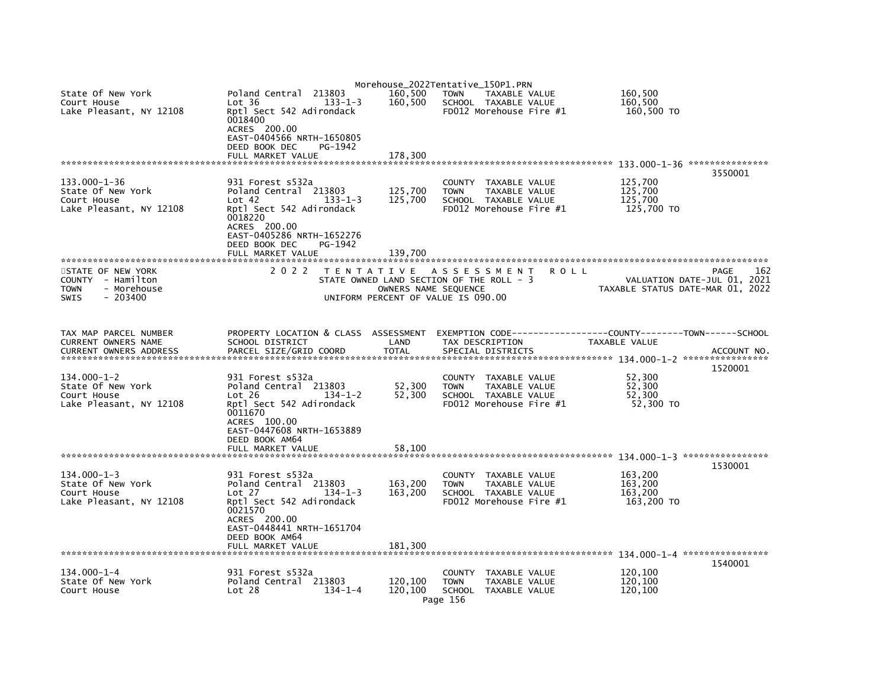|                                                 |                                                                                  |                      | Morehouse_2022Tentative_150P1.PRN                       |                                                               |                             |
|-------------------------------------------------|----------------------------------------------------------------------------------|----------------------|---------------------------------------------------------|---------------------------------------------------------------|-----------------------------|
| State Of New York<br>Court House                | 213803<br>Poland Central<br>$133 - 1 - 3$<br>Lot 36                              | 160,500<br>160,500   | <b>TOWN</b><br>TAXABLE VALUE<br>SCHOOL TAXABLE VALUE    | 160,500<br>160,500                                            |                             |
| Lake Pleasant, NY 12108                         | Rptl Sect 542 Adirondack<br>0018400<br>ACRES 200.00<br>EAST-0404566 NRTH-1650805 |                      | FD012 Morehouse Fire #1                                 | 160,500 TO                                                    |                             |
|                                                 | DEED BOOK DEC<br>PG-1942                                                         |                      |                                                         |                                                               |                             |
|                                                 | FULL MARKET VALUE                                                                | 178.300              |                                                         |                                                               |                             |
|                                                 |                                                                                  |                      |                                                         |                                                               | 3550001                     |
| 133.000-1-36                                    | 931 Forest s532a                                                                 |                      | COUNTY TAXABLE VALUE                                    | 125,700                                                       |                             |
| State Of New York                               | Poland Central 213803                                                            | 125,700              | TAXABLE VALUE<br><b>TOWN</b>                            | 125,700                                                       |                             |
| Court House<br>Lake Pleasant, NY 12108          | Lot 42<br>$133 - 1 - 3$<br>Rptl Sect 542 Adirondack                              | 125,700              | SCHOOL TAXABLE VALUE<br>FD012 Morehouse Fire $#1$       | 125,700<br>125,700 TO                                         |                             |
|                                                 | 0018220                                                                          |                      |                                                         |                                                               |                             |
|                                                 | ACRES 200.00                                                                     |                      |                                                         |                                                               |                             |
|                                                 | EAST-0405286 NRTH-1652276                                                        |                      |                                                         |                                                               |                             |
|                                                 | DEED BOOK DEC<br>PG-1942<br>FULL MARKET VALUE                                    | 139.700              |                                                         |                                                               |                             |
|                                                 |                                                                                  |                      |                                                         |                                                               |                             |
| STATE OF NEW YORK                               | 2 0 2 2                                                                          | T E N T A T I V E    | A S S E S S M E N T                                     | R O L L                                                       | 162<br>PAGE                 |
| COUNTY - Hamilton<br>- Morehouse<br><b>TOWN</b> |                                                                                  | OWNERS NAME SEQUENCE | STATE OWNED LAND SECTION OF THE ROLL - 3                | TAXABLE STATUS DATE-MAR 01, 2022                              | VALUATION DATE-JUL 01, 2021 |
| <b>SWIS</b><br>$-203400$                        |                                                                                  |                      | UNIFORM PERCENT OF VALUE IS 090.00                      |                                                               |                             |
|                                                 |                                                                                  |                      |                                                         |                                                               |                             |
|                                                 |                                                                                  |                      |                                                         |                                                               |                             |
| TAX MAP PARCEL NUMBER                           | PROPERTY LOCATION & CLASS ASSESSMENT                                             |                      |                                                         | EXEMPTION CODE------------------COUNTY-------TOWN------SCHOOL |                             |
| CURRENT OWNERS NAME                             | SCHOOL DISTRICT                                                                  | LAND                 | TAX DESCRIPTION                                         | TAXABLE VALUE                                                 |                             |
| <b>CURRENT OWNERS ADDRESS</b>                   | PARCEL SIZE/GRID COORD                                                           | <b>TOTAL</b>         | SPECIAL DISTRICTS                                       |                                                               | ACCOUNT NO.                 |
|                                                 |                                                                                  |                      |                                                         |                                                               | 1520001                     |
| $134.000 - 1 - 2$                               | 931 Forest s532a                                                                 |                      | COUNTY TAXABLE VALUE                                    | 52,300                                                        |                             |
| State Of New York<br>Court House                | Poland Central 213803<br>Lot 26<br>$134 - 1 - 2$                                 | 52,300<br>52,300     | <b>TOWN</b><br>TAXABLE VALUE<br>SCHOOL TAXABLE VALUE    | 52,300<br>52,300                                              |                             |
| Lake Pleasant, NY 12108                         | Rptl Sect 542 Adirondack                                                         |                      | FD012 Morehouse Fire $#1$                               | 52.300 TO                                                     |                             |
|                                                 | 0011670                                                                          |                      |                                                         |                                                               |                             |
|                                                 | ACRES 100.00<br>EAST-0447608 NRTH-1653889                                        |                      |                                                         |                                                               |                             |
|                                                 | DEED BOOK AM64                                                                   |                      |                                                         |                                                               |                             |
|                                                 | FULL MARKET VALUE                                                                | 58,100               |                                                         |                                                               |                             |
|                                                 |                                                                                  |                      |                                                         |                                                               |                             |
| $134.000 - 1 - 3$                               | 931 Forest s532a                                                                 |                      | COUNTY TAXABLE VALUE                                    | 163,200                                                       | 1530001                     |
| State Of New York                               | Poland Central 213803                                                            | 163,200              | <b>TOWN</b><br>TAXABLE VALUE                            | 163,200                                                       |                             |
| Court House                                     | Lot 27<br>$134 - 1 - 3$                                                          | 163,200              | SCHOOL TAXABLE VALUE                                    | 163,200                                                       |                             |
| Lake Pleasant, NY 12108                         | Rptl Sect 542 Adirondack<br>0021570                                              |                      | FD012 Morehouse Fire #1                                 | 163,200 TO                                                    |                             |
|                                                 | ACRES 200.00                                                                     |                      |                                                         |                                                               |                             |
|                                                 | EAST-0448441 NRTH-1651704                                                        |                      |                                                         |                                                               |                             |
|                                                 | DEED BOOK AM64<br>FULL MARKET VALUE                                              | 181,300              |                                                         |                                                               |                             |
|                                                 |                                                                                  |                      |                                                         |                                                               |                             |
|                                                 |                                                                                  |                      |                                                         |                                                               | 1540001                     |
| $134.000 - 1 - 4$<br>State Of New York          | 931 Forest s532a<br>Poland Central 213803                                        | 120,100              | COUNTY<br>TAXABLE VALUE<br><b>TOWN</b><br>TAXABLE VALUE | 120,100<br>120,100                                            |                             |
| Court House                                     | Lot 28<br>$134 - 1 - 4$                                                          | 120.100              | SCHOOL TAXABLE VALUE                                    | 120,100                                                       |                             |
|                                                 |                                                                                  |                      | Page 156                                                |                                                               |                             |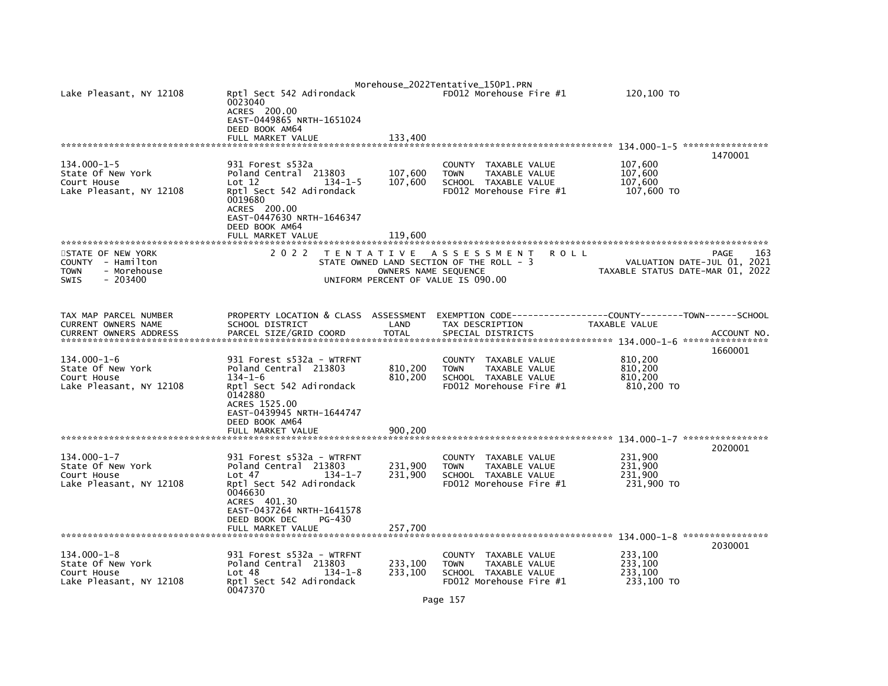| Lake Pleasant, NY 12108                                                                   | Rptl Sect 542 Adirondack<br>0023040<br>ACRES 200.00<br>EAST-0449865 NRTH-1651024<br>DEED BOOK AM64                                                                                              |                               | Morehouse_2022Tentative_150P1.PRN<br>FD012 Morehouse Fire #1                                                      | 120,100 TO                                  |                                            |
|-------------------------------------------------------------------------------------------|-------------------------------------------------------------------------------------------------------------------------------------------------------------------------------------------------|-------------------------------|-------------------------------------------------------------------------------------------------------------------|---------------------------------------------|--------------------------------------------|
|                                                                                           | FULL MARKET VALUE                                                                                                                                                                               | 133,400                       |                                                                                                                   |                                             | 1470001                                    |
| $134.000 - 1 - 5$<br>State Of New York<br>Court House<br>Lake Pleasant, NY 12108          | 931 Forest s532a<br>Poland Central 213803<br>Lot 12<br>$134 - 1 - 5$<br>Rptl Sect 542 Adirondack<br>0019680<br>ACRES 200.00<br>EAST-0447630 NRTH-1646347<br>DEED BOOK AM64<br>FULL MARKET VALUE | 107,600<br>107,600<br>119,600 | <b>COUNTY</b><br>TAXABLE VALUE<br>TAXABLE VALUE<br><b>TOWN</b><br>SCHOOL TAXABLE VALUE<br>FD012 Morehouse Fire #1 | 107,600<br>107,600<br>107,600<br>107,600 TO |                                            |
| STATE OF NEW YORK<br>COUNTY - Hamilton<br>TOWN<br>- Morehouse<br>$-203400$<br><b>SWIS</b> | 2 0 2 2                                                                                                                                                                                         | OWNERS NAME SEQUENCE          | TENTATIVE ASSESSMENT<br>ROLL<br>STATE OWNED LAND SECTION OF THE ROLL - 3<br>UNIFORM PERCENT OF VALUE IS 090.00    | TAXABLE STATUS DATE-MAR 01, 2022            | PAGE<br>163<br>VALUATION DATE-JUL 01, 2021 |
| TAX MAP PARCEL NUMBER<br>CURRENT OWNERS NAME<br><b>CURRENT OWNERS ADDRESS</b>             | PROPERTY LOCATION & CLASS ASSESSMENT<br>SCHOOL DISTRICT<br>PARCEL SIZE/GRID COORD                                                                                                               | LAND<br><b>TOTAL</b>          | EXEMPTION CODE-----------------COUNTY-------TOWN------SCHOOL<br>TAX DESCRIPTION<br>SPECIAL DISTRICTS              | TAXABLE VALUE                               | ACCOUNT NO<br>1660001                      |
| $134.000 - 1 - 6$<br>State Of New York<br>Court House<br>Lake Pleasant, NY 12108          | 931 Forest s532a - WTRFNT<br>Poland Central 213803<br>$134 - 1 - 6$<br>Rptl Sect 542 Adirondack<br>0142880<br>ACRES 1525.00<br>EAST-0439945 NRTH-1644747<br>DEED BOOK AM64<br>FULL MARKET VALUE | 810,200<br>810,200<br>900.200 | <b>COUNTY</b><br>TAXABLE VALUE<br>TAXABLE VALUE<br><b>TOWN</b><br>SCHOOL TAXABLE VALUE<br>FD012 Morehouse Fire #1 | 810,200<br>810,200<br>810,200<br>810,200 TO |                                            |
| *******************************                                                           |                                                                                                                                                                                                 |                               |                                                                                                                   |                                             |                                            |
| $134.000 - 1 - 7$<br>State Of New York<br>Court House<br>Lake Pleasant, NY 12108          | 931 Forest s532a - WTRFNT<br>Poland Central 213803<br>$134 - 1 - 7$<br>Lot 47<br>Rptl Sect 542 Adirondack<br>0046630<br>ACRES 401.30<br>EAST-0437264 NRTH-1641578                               | 231,900<br>231,900            | TAXABLE VALUE<br>COUNTY<br>TAXABLE VALUE<br><b>TOWN</b><br>SCHOOL TAXABLE VALUE<br>FD012 Morehouse Fire #1        | 231,900<br>231,900<br>231,900<br>231,900 TO | 2020001                                    |
| ***************************                                                               | DEED BOOK DEC<br>PG-430<br>FULL MARKET VALUE                                                                                                                                                    | 257,700                       |                                                                                                                   |                                             |                                            |
| $134.000 - 1 - 8$<br>State Of New York<br>Court House<br>Lake Pleasant, NY 12108          | 931 Forest s532a - WTRFNT<br>Poland Central 213803<br>Lot 48<br>$134 - 1 - 8$<br>Rptl Sect 542 Adirondack<br>0047370                                                                            | 233,100<br>233,100            | COUNTY<br>TAXABLE VALUE<br><b>TOWN</b><br>TAXABLE VALUE<br>SCHOOL TAXABLE VALUE<br>FD012 Morehouse Fire #1        | 233,100<br>233,100<br>233.100<br>233,100 TO | 2030001                                    |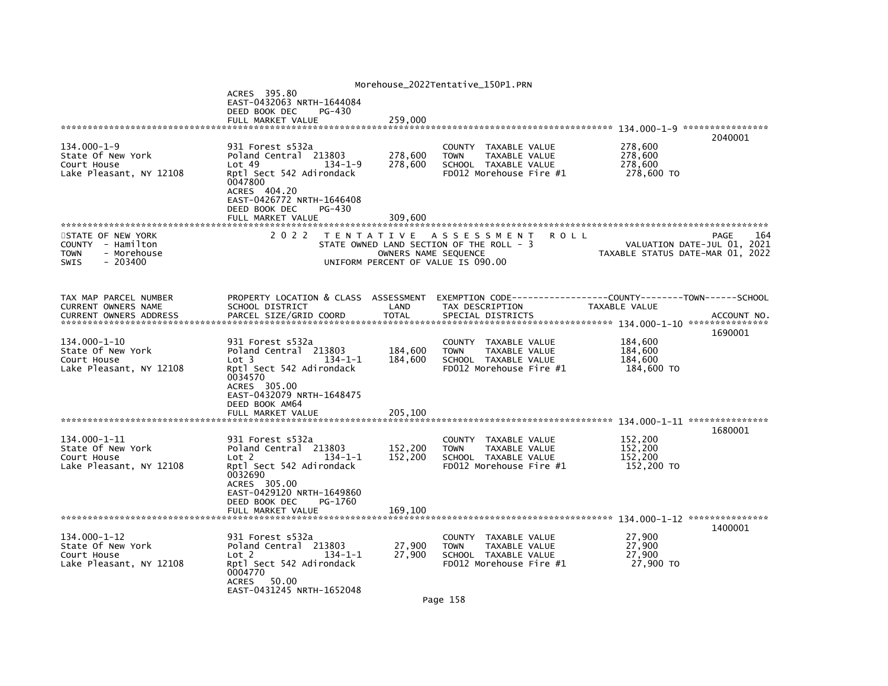|                                                                                                                                                                                                    |                                                                                                                                                  | Morehouse_2022Tentative_150P1.PRN                                                                       |                                                                                                                                |             |
|----------------------------------------------------------------------------------------------------------------------------------------------------------------------------------------------------|--------------------------------------------------------------------------------------------------------------------------------------------------|---------------------------------------------------------------------------------------------------------|--------------------------------------------------------------------------------------------------------------------------------|-------------|
| ACRES 395.80<br>EAST-0432063 NRTH-1644084                                                                                                                                                          |                                                                                                                                                  |                                                                                                         |                                                                                                                                |             |
|                                                                                                                                                                                                    |                                                                                                                                                  |                                                                                                         |                                                                                                                                |             |
|                                                                                                                                                                                                    |                                                                                                                                                  |                                                                                                         |                                                                                                                                | 2040001     |
| 931 Forest s532a<br>Poland Central 213803<br>Lot 49<br>134-1-9<br>Rptl Sect 542 Adirondack<br>0047800<br>ACRES 404.20<br>EAST-0426772 NRTH-1646408<br>DEED BOOK DEC<br>PG-430<br>FULL MARKET VALUE | 278,600<br>278,600<br>309,600                                                                                                                    | COUNTY TAXABLE VALUE<br>TAXABLE VALUE<br><b>TOWN</b><br>SCHOOL TAXABLE VALUE<br>FD012 Morehouse Fire #1 | 278,600<br>278,600<br>278,600<br>278,600 TO                                                                                    |             |
|                                                                                                                                                                                                    |                                                                                                                                                  |                                                                                                         |                                                                                                                                |             |
|                                                                                                                                                                                                    |                                                                                                                                                  |                                                                                                         | VALUATION DATE-JUL 01, 2021<br>TAXABLE STATUS DATE-MAR 01, 2022                                                                | 164<br>PAGE |
| SCHOOL DISTRICT<br>PARCEL SIZE/GRID COORD                                                                                                                                                          | LAND<br><b>TOTAL</b>                                                                                                                             | TAX DESCRIPTION<br>SPECIAL DISTRICTS                                                                    | TAXABLE VALUE                                                                                                                  | ACCOUNT NO. |
|                                                                                                                                                                                                    |                                                                                                                                                  |                                                                                                         |                                                                                                                                |             |
| 931 Forest s532a<br>Poland Central 213803<br>$134 - 1 - 1$<br>Lot <sub>3</sub><br>Rptl Sect 542 Adirondack<br>0034570<br>ACRES 305.00<br>EAST-0432079 NRTH-1648475<br>DEED BOOK AM64               | 184,600<br>184,600                                                                                                                               | COUNTY TAXABLE VALUE<br><b>TOWN</b><br>TAXABLE VALUE<br>SCHOOL TAXABLE VALUE<br>FD012 Morehouse Fire #1 | 184,600<br>184,600<br>184,600<br>184.600 TO                                                                                    | 1690001     |
|                                                                                                                                                                                                    |                                                                                                                                                  |                                                                                                         |                                                                                                                                |             |
| 931 Forest s532a<br>Poland Central 213803<br>$134 - 1 - 1$<br>Lot <sub>2</sub><br>Rptl Sect 542 Adirondack<br>0032690<br>ACRES 305.00<br>EAST-0429120 NRTH-1649860<br>DEED BOOK DEC<br>PG-1760     | 152,200<br>152,200                                                                                                                               | COUNTY TAXABLE VALUE<br><b>TOWN</b><br>TAXABLE VALUE<br>SCHOOL TAXABLE VALUE<br>FD012 Morehouse Fire #1 | 152,200<br>152,200<br>152,200<br>152,200 TO                                                                                    | 1680001     |
| FULL MARKET VALUE                                                                                                                                                                                  | 169.100                                                                                                                                          |                                                                                                         |                                                                                                                                |             |
|                                                                                                                                                                                                    |                                                                                                                                                  |                                                                                                         |                                                                                                                                | 1400001     |
| 931 Forest s532a<br>Poland Central 213803<br>Lot 2<br>$134 - 1 - 1$<br>Rptl Sect 542 Adirondack<br>0004770<br>ACRES<br>50.00                                                                       | 27,900<br>27,900                                                                                                                                 | COUNTY TAXABLE VALUE<br>TAXABLE VALUE<br><b>TOWN</b><br>SCHOOL TAXABLE VALUE<br>FD012 Morehouse Fire #1 | 27,900<br>27,900<br>27,900<br>27,900 TO                                                                                        |             |
|                                                                                                                                                                                                    | DEED BOOK DEC<br>PG-430<br>FULL MARKET VALUE<br>2 0 2 2<br>FULL MARKET VALUE<br>******************************<br>****************************** | 259,000<br>PROPERTY LOCATION & CLASS ASSESSMENT<br>205,100<br>EAST-0431245 NRTH-1652048                 | TENTATIVE ASSESSMENT<br>STATE OWNED LAND SECTION OF THE ROLL - 3<br>OWNERS NAME SEQUENCE<br>UNIFORM PERCENT OF VALUE IS 090.00 | <b>ROLL</b> |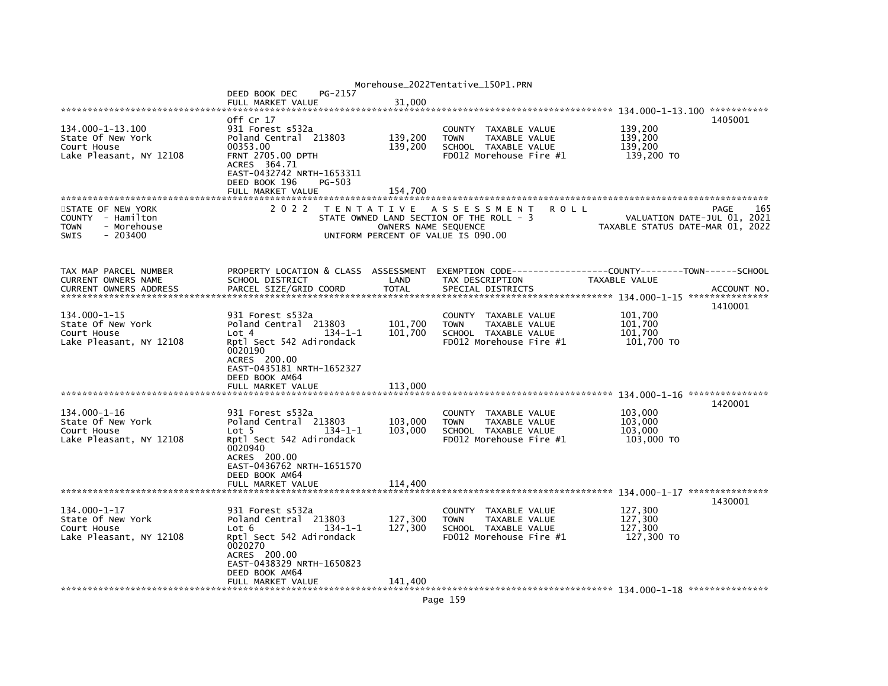|                                        |                                                    |                                    | Morehouse_2022Tentative_150P1.PRN                            |                                  |             |
|----------------------------------------|----------------------------------------------------|------------------------------------|--------------------------------------------------------------|----------------------------------|-------------|
|                                        | PG-2157<br>DEED BOOK DEC                           |                                    |                                                              |                                  |             |
|                                        | FULL MARKET VALUE                                  | 31,000                             |                                                              |                                  |             |
|                                        | off Cr 17                                          |                                    |                                                              | 1405001                          |             |
| 134.000-1-13.100                       | 931 Forest s532a                                   |                                    | COUNTY TAXABLE VALUE                                         | 139,200                          |             |
| State Of New York                      | Poland Central 213803                              | 139,200                            | TAXABLE VALUE<br><b>TOWN</b>                                 | 139,200                          |             |
| Court House                            | 00353.00                                           | 139,200                            | SCHOOL TAXABLE VALUE                                         | 139,200                          |             |
| Lake Pleasant, NY 12108                | <b>FRNT 2705.00 DPTH</b><br>ACRES 364.71           |                                    | FD012 Morehouse Fire #1                                      | 139,200 TO                       |             |
|                                        | EAST-0432742 NRTH-1653311                          |                                    |                                                              |                                  |             |
|                                        | DEED BOOK 196<br>PG-503                            |                                    |                                                              |                                  |             |
|                                        | FULL MARKET VALUE                                  | 154,700                            |                                                              |                                  |             |
| STATE OF NEW YORK                      | 2 0 2 2                                            |                                    | TENTATIVE ASSESSMENT<br>R O L L                              | PAGE                             | 165         |
| COUNTY - Hamilton                      |                                                    |                                    | STATE OWNED LAND SECTION OF THE ROLL - 3                     | VALUATION DATE-JUL 01, 2021      |             |
| <b>TOWN</b><br>- Morehouse             |                                                    | OWNERS NAME SEQUENCE               |                                                              | TAXABLE STATUS DATE-MAR 01, 2022 |             |
| <b>SWIS</b><br>$-203400$               |                                                    | UNIFORM PERCENT OF VALUE IS 090.00 |                                                              |                                  |             |
|                                        |                                                    |                                    |                                                              |                                  |             |
|                                        |                                                    |                                    |                                                              |                                  |             |
| TAX MAP PARCEL NUMBER                  | PROPERTY LOCATION & CLASS ASSESSMENT               |                                    | EXEMPTION CODE-----------------COUNTY-------TOWN------SCHOOL |                                  |             |
| CURRENT OWNERS NAME                    | SCHOOL DISTRICT                                    | LAND                               | TAX DESCRIPTION                                              | TAXABLE VALUE                    |             |
| <b>CURRENT OWNERS ADDRESS</b>          | PARCEL SIZE/GRID COORD                             | <b>TOTAL</b>                       | SPECIAL DISTRICTS                                            |                                  | ACCOUNT NO. |
|                                        |                                                    |                                    |                                                              | 1410001                          |             |
| 134.000-1-15                           | 931 Forest s532a                                   |                                    | COUNTY TAXABLE VALUE                                         | 101,700                          |             |
| State Of New York                      | Poland Central 213803                              | 101,700                            | <b>TOWN</b><br>TAXABLE VALUE                                 | 101,700                          |             |
| Court House<br>Lake Pleasant, NY 12108 | $134 - 1 - 1$<br>Lot 4<br>Rptl Sect 542 Adirondack | 101,700                            | SCHOOL TAXABLE VALUE<br>FD012 Morehouse Fire #1              | 101,700<br>101,700 TO            |             |
|                                        | 0020190                                            |                                    |                                                              |                                  |             |
|                                        | ACRES 200.00                                       |                                    |                                                              |                                  |             |
|                                        | EAST-0435181 NRTH-1652327                          |                                    |                                                              |                                  |             |
|                                        | DEED BOOK AM64                                     |                                    |                                                              |                                  |             |
|                                        | FULL MARKET VALUE                                  | 113,000                            |                                                              |                                  |             |
|                                        |                                                    |                                    |                                                              | 1420001                          |             |
| 134.000-1-16                           | 931 Forest s532a                                   |                                    | COUNTY TAXABLE VALUE                                         | 103,000                          |             |
| State Of New York                      | Poland Central 213803<br>Lot <sub>5</sub>          | 103,000                            | <b>TOWN</b><br><b>TAXABLE VALUE</b>                          | 103,000                          |             |
| Court House<br>Lake Pleasant, NY 12108 | $134 - 1 - 1$<br>Rptl Sect 542 Adirondack          | 103,000                            | SCHOOL TAXABLE VALUE<br>FD012 Morehouse Fire #1              | 103,000<br>103,000 TO            |             |
|                                        | 0020940                                            |                                    |                                                              |                                  |             |
|                                        | ACRES 200.00                                       |                                    |                                                              |                                  |             |
|                                        | EAST-0436762 NRTH-1651570                          |                                    |                                                              |                                  |             |
|                                        | DEED BOOK AM64<br>FULL MARKET VALUE                | 114,400                            |                                                              |                                  |             |
|                                        |                                                    |                                    |                                                              |                                  |             |
|                                        |                                                    |                                    |                                                              | 1430001                          |             |
| 134.000-1-17                           | 931 Forest s532a                                   |                                    | COUNTY TAXABLE VALUE                                         | 127,300                          |             |
| State Of New York<br>Court House       | Poland Central 213803<br>$134 - 1 - 1$<br>Lot 6    | 127,300<br>127,300                 | TAXABLE VALUE<br><b>TOWN</b><br>SCHOOL TAXABLE VALUE         | 127,300<br>127,300               |             |
| Lake Pleasant, NY 12108                | Rptl Sect 542 Adirondack                           |                                    | FD012 Morehouse Fire #1                                      | 127,300 TO                       |             |
|                                        | 0020270                                            |                                    |                                                              |                                  |             |
|                                        | ACRES 200.00                                       |                                    |                                                              |                                  |             |
|                                        | EAST-0438329 NRTH-1650823<br>DEED BOOK AM64        |                                    |                                                              |                                  |             |
|                                        | FULL MARKET VALUE                                  | 141.400                            |                                                              |                                  |             |
|                                        |                                                    |                                    |                                                              |                                  |             |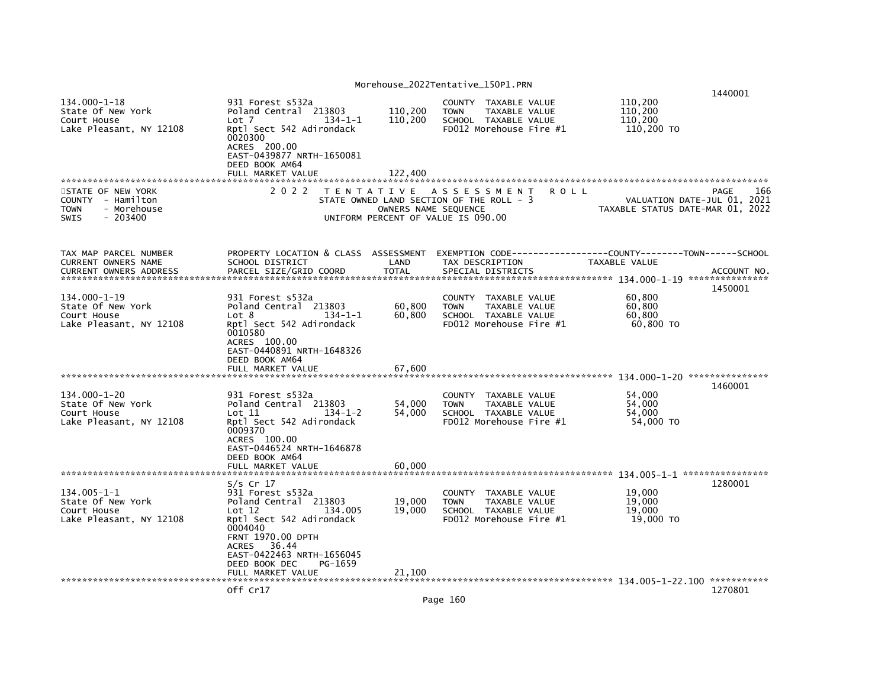| 134.000-1-18<br>State Of New York<br>Court House<br>Lake Pleasant, NY 12108                      | 931 Forest s532a<br>Poland Central 213803<br>Lot 7<br>$134 - 1 - 1$<br>Rptl Sect 542 Adirondack<br>0020300<br>ACRES 200.00<br>EAST-0439877 NRTH-1650081                                                                   | 110,200<br>110,200              | COUNTY TAXABLE VALUE<br><b>TOWN</b><br>TAXABLE VALUE<br>SCHOOL TAXABLE VALUE<br>FD012 Morehouse Fire #1           | 110,200<br>110,200<br>110,200<br>110,200 TO                     | 1440001                |
|--------------------------------------------------------------------------------------------------|---------------------------------------------------------------------------------------------------------------------------------------------------------------------------------------------------------------------------|---------------------------------|-------------------------------------------------------------------------------------------------------------------|-----------------------------------------------------------------|------------------------|
| STATE OF NEW YORK<br>COUNTY - Hamilton<br><b>TOWN</b><br>- Morehouse<br><b>SWIS</b><br>$-203400$ | DEED BOOK AM64<br>FULL MARKET VALUE<br>2 0 2 2                                                                                                                                                                            | 122.400<br>OWNERS NAME SEQUENCE | TENTATIVE ASSESSMENT<br>R O L L<br>STATE OWNED LAND SECTION OF THE ROLL - 3<br>UNIFORM PERCENT OF VALUE IS 090.00 | VALUATION DATE-JUL 01, 2021<br>TAXABLE STATUS DATE-MAR 01, 2022 | PAGE<br>166            |
| TAX MAP PARCEL NUMBER<br>CURRENT OWNERS NAME<br><b>CURRENT OWNERS ADDRESS</b>                    | PROPERTY LOCATION & CLASS ASSESSMENT<br>SCHOOL DISTRICT<br>PARCEL SIZE/GRID COORD                                                                                                                                         | LAND<br><b>TOTAL</b>            | EXEMPTION CODE-----------------COUNTY-------TOWN------SCHOOL<br>TAX DESCRIPTION<br>SPECIAL DISTRICTS              | TAXABLE VALUE                                                   | ACCOUNT NO.<br>1450001 |
| 134.000-1-19<br>State Of New York<br>Court House<br>Lake Pleasant, NY 12108                      | 931 Forest s532a<br>Poland Central 213803<br>$134 - 1 - 1$<br>Lot 8<br>Rptl Sect 542 Adirondack<br>0010580<br>ACRES 100.00<br>EAST-0440891 NRTH-1648326<br>DEED BOOK AM64                                                 | 60,800<br>60,800                | COUNTY TAXABLE VALUE<br>TAXABLE VALUE<br><b>TOWN</b><br>SCHOOL TAXABLE VALUE<br>FD012 Morehouse Fire #1           | 60,800<br>60,800<br>60,800<br>60,800 TO                         |                        |
|                                                                                                  | FULL MARKET VALUE                                                                                                                                                                                                         | 67.600                          |                                                                                                                   |                                                                 |                        |
| 134.000-1-20<br>State Of New York<br>Court House<br>Lake Pleasant, NY 12108                      | 931 Forest s532a<br>Poland Central 213803<br>$134 - 1 - 2$<br>Lot 11<br>Rptl Sect 542 Adirondack<br>0009370<br>ACRES 100.00<br>EAST-0446524 NRTH-1646878                                                                  | 54,000<br>54,000                | COUNTY TAXABLE VALUE<br><b>TAXABLE VALUE</b><br><b>TOWN</b><br>SCHOOL TAXABLE VALUE<br>FD012 Morehouse Fire #1    | 54,000<br>54.000<br>54.000<br>54,000 TO                         | 1460001                |
|                                                                                                  | DEED BOOK AM64<br>FULL MARKET VALUE                                                                                                                                                                                       | 60,000                          |                                                                                                                   |                                                                 |                        |
| 134.005-1-1<br>State Of New York<br>Court House<br>Lake Pleasant, NY 12108                       | S/s Cr 17<br>931 Forest s532a<br>Poland Central 213803<br>134,005<br>Lot 12<br>Rptl Sect 542 Adirondack<br>0004040<br><b>FRNT 1970.00 DPTH</b><br>36.44<br>ACRES<br>EAST-0422463 NRTH-1656045<br>DEED BOOK DEC<br>PG-1659 | 19,000<br>19,000                | COUNTY TAXABLE VALUE<br><b>TOWN</b><br>TAXABLE VALUE<br>SCHOOL TAXABLE VALUE<br>FD012 Morehouse Fire #1           | 19,000<br>19,000<br>19,000<br>19,000 TO                         | 1280001                |
|                                                                                                  | FULL MARKET VALUE                                                                                                                                                                                                         | 21,100                          |                                                                                                                   |                                                                 |                        |
|                                                                                                  | Off Cr17                                                                                                                                                                                                                  |                                 |                                                                                                                   |                                                                 | 1270801                |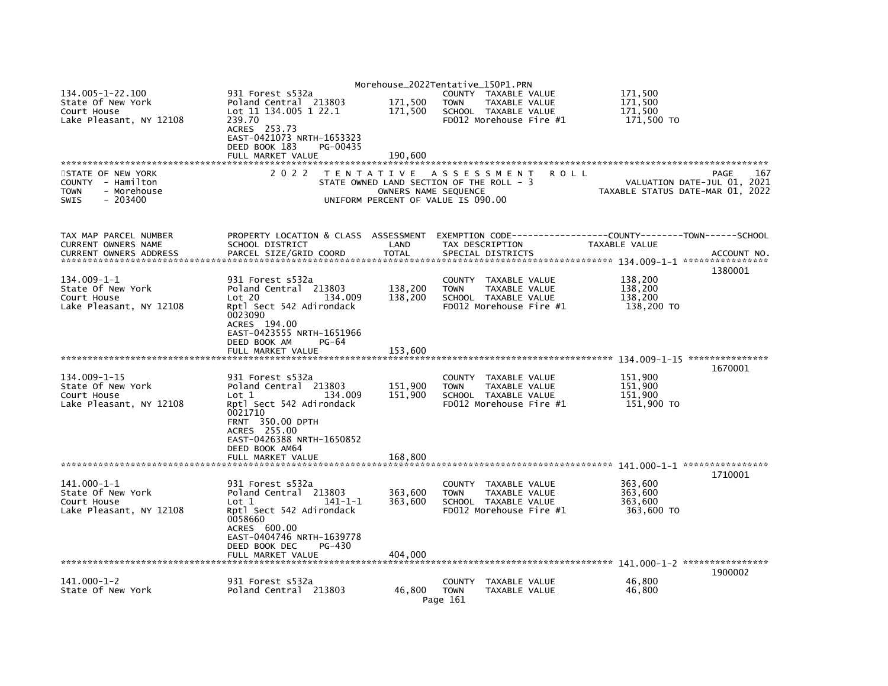|                                                                                           |                                                                                                                                                                       |                                           | Morehouse_2022Tentative_150P1.PRN                                                                       |             |                                             |                                            |
|-------------------------------------------------------------------------------------------|-----------------------------------------------------------------------------------------------------------------------------------------------------------------------|-------------------------------------------|---------------------------------------------------------------------------------------------------------|-------------|---------------------------------------------|--------------------------------------------|
| 134.005-1-22.100<br>State Of New York<br>Court House<br>Lake Pleasant, NY 12108           | 931 Forest s532a<br>Poland Central 213803<br>Lot 11 134.005 1 22.1<br>239.70                                                                                          | 171,500<br>171,500                        | COUNTY TAXABLE VALUE<br><b>TOWN</b><br>TAXABLE VALUE<br>SCHOOL TAXABLE VALUE<br>FD012 Morehouse Fire #1 |             | 171,500<br>171.500<br>171,500<br>171,500 TO |                                            |
|                                                                                           | ACRES 253.73<br>EAST-0421073 NRTH-1653323<br>DEED BOOK 183<br>PG-00435<br>FULL MARKET VALUE                                                                           | 190,600                                   |                                                                                                         |             |                                             |                                            |
|                                                                                           |                                                                                                                                                                       |                                           |                                                                                                         |             |                                             |                                            |
| STATE OF NEW YORK<br>COUNTY - Hamilton<br>- Morehouse<br><b>TOWN</b><br>SWIS<br>$-203400$ | 2 0 2 2                                                                                                                                                               | T E N T A T I V E<br>OWNERS NAME SEQUENCE | A S S E S S M E N T<br>STATE OWNED LAND SECTION OF THE ROLL - 3<br>UNIFORM PERCENT OF VALUE IS 090.00   | <b>ROLL</b> | TAXABLE STATUS DATE-MAR 01, 2022            | PAGE<br>167<br>VALUATION DATE-JUL 01, 2021 |
| TAX MAP PARCEL NUMBER<br>CURRENT OWNERS NAME<br><b>CURRENT OWNERS ADDRESS</b>             | PROPERTY LOCATION & CLASS ASSESSMENT<br>SCHOOL DISTRICT<br>PARCEL SIZE/GRID COORD                                                                                     | LAND<br><b>TOTAL</b>                      | EXEMPTION CODE-----------------COUNTY-------TOWN------SCHOOL<br>TAX DESCRIPTION<br>SPECIAL DISTRICTS    |             | TAXABLE VALUE                               | ACCOUNT NO.                                |
| 134.009-1-1<br>State Of New York<br>Court House<br>Lake Pleasant, NY 12108                | 931 Forest s532a<br>Poland Central 213803<br>Lot 20<br>134.009<br>Rptl Sect 542 Adirondack                                                                            | 138,200<br>138,200                        | COUNTY TAXABLE VALUE<br>TAXABLE VALUE<br><b>TOWN</b><br>SCHOOL TAXABLE VALUE<br>FD012 Morehouse Fire #1 |             | 138,200<br>138,200<br>138,200<br>138,200 TO | 1380001                                    |
|                                                                                           | 0023090<br>ACRES 194.00<br>EAST-0423555 NRTH-1651966<br>DEED BOOK AM<br>PG-64<br>FULL MARKET VALUE                                                                    | 153,600                                   |                                                                                                         |             |                                             |                                            |
|                                                                                           |                                                                                                                                                                       |                                           |                                                                                                         |             |                                             | 1670001                                    |
| $134.009 - 1 - 15$<br>State Of New York<br>Court House<br>Lake Pleasant, NY 12108         | 931 Forest s532a<br>Poland Central 213803<br>134,009<br>Lot 1<br>Rptl Sect 542 Adirondack<br>0021710<br>FRNT 350.00 DPTH<br>ACRES 255.00<br>EAST-0426388 NRTH-1650852 | 151,900<br>151,900                        | COUNTY TAXABLE VALUE<br><b>TOWN</b><br>TAXABLE VALUE<br>SCHOOL TAXABLE VALUE<br>FD012 Morehouse Fire #1 |             | 151,900<br>151,900<br>151,900<br>151,900 TO |                                            |
|                                                                                           | DEED BOOK AM64                                                                                                                                                        |                                           |                                                                                                         |             |                                             |                                            |
|                                                                                           | FULL MARKET VALUE                                                                                                                                                     | 168,800                                   |                                                                                                         |             |                                             | 1710001                                    |
| $141.000 - 1 - 1$<br>State Of New York<br>Court House<br>Lake Pleasant, NY 12108          | 931 Forest s532a<br>Poland Central 213803<br>Lot 1<br>$141 - 1 - 1$<br>Rptl Sect 542 Adirondack<br>0058660<br>ACRES 600.00<br>EAST-0404746 NRTH-1639778               | 363,600<br>363,600                        | COUNTY TAXABLE VALUE<br><b>TOWN</b><br>TAXABLE VALUE<br>SCHOOL TAXABLE VALUE<br>FD012 Morehouse Fire #1 |             | 363,600<br>363,600<br>363,600<br>363,600 TO |                                            |
|                                                                                           | DEED BOOK DEC<br>PG-430<br>FULL MARKET VALUE                                                                                                                          | 404,000                                   |                                                                                                         |             |                                             |                                            |
|                                                                                           |                                                                                                                                                                       |                                           |                                                                                                         |             |                                             | 1900002                                    |
| $141.000 - 1 - 2$<br>State Of New York                                                    | 931 Forest s532a<br>Poland Central 213803                                                                                                                             | 46.800                                    | <b>COUNTY</b><br>TAXABLE VALUE<br><b>TOWN</b><br><b>TAXABLE VALUE</b><br>Page 161                       |             | 46.800<br>46,800                            |                                            |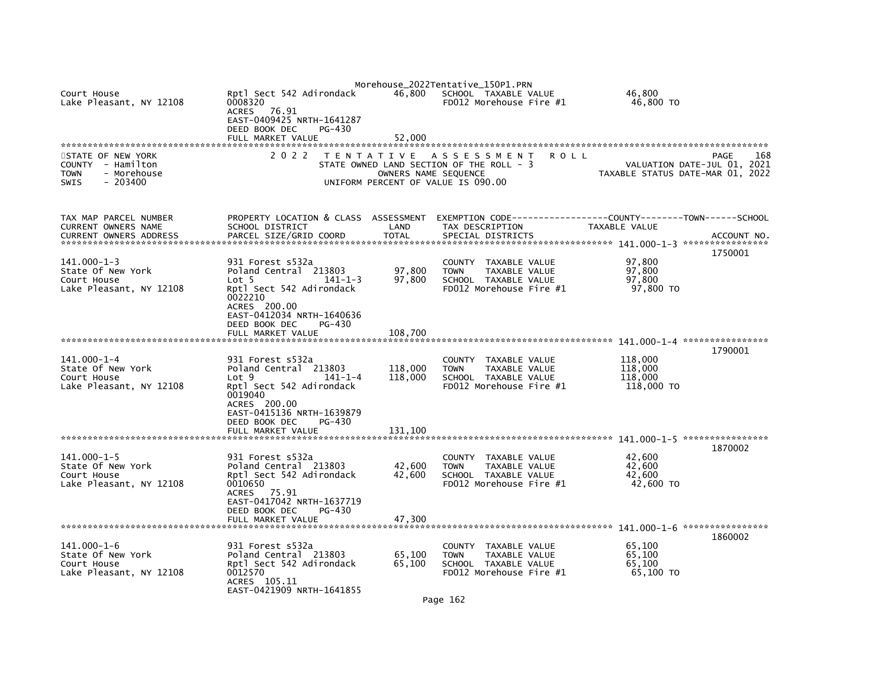|                                                                                                  |                                                                                                                                                                                    |                      | Morehouse_2022Tentative_150P1.PRN                                                                                     |                                                                                           |
|--------------------------------------------------------------------------------------------------|------------------------------------------------------------------------------------------------------------------------------------------------------------------------------------|----------------------|-----------------------------------------------------------------------------------------------------------------------|-------------------------------------------------------------------------------------------|
| Court House<br>Lake Pleasant, NY 12108                                                           | Rptl Sect 542 Adirondack<br>0008320<br>ACRES 76.91<br>EAST-0409425 NRTH-1641287<br>DEED BOOK DEC<br>PG-430                                                                         |                      | 46,800 SCHOOL TAXABLE VALUE<br>FD012 Morehouse Fire #1                                                                | 46,800<br>46,800 TO                                                                       |
|                                                                                                  | FULL MARKET VALUE                                                                                                                                                                  | 52.000               |                                                                                                                       |                                                                                           |
| STATE OF NEW YORK<br>COUNTY - Hamilton<br>- Morehouse<br><b>TOWN</b><br>$-203400$<br><b>SWIS</b> | 2 0 2 2                                                                                                                                                                            | OWNERS NAME SEQUENCE | TENTATIVE ASSESSMENT<br><b>ROLL</b><br>STATE OWNED LAND SECTION OF THE ROLL - 3<br>UNIFORM PERCENT OF VALUE IS 090.00 | 168<br>PAGE<br>VALUATION DATE-JUL 01, 2021<br>TAXABLE STATUS DATE-MAR 01, 2022            |
| TAX MAP PARCEL NUMBER<br>CURRENT OWNERS NAME                                                     | PROPERTY LOCATION & CLASS ASSESSMENT<br>SCHOOL DISTRICT                                                                                                                            | LAND                 | TAX DESCRIPTION                                                                                                       | EXEMPTION CODE------------------COUNTY-------TOWN------SCHOOL<br>TAXABLE VALUE<br>1750001 |
| $141.000 - 1 - 3$<br>State Of New York<br>Court House<br>Lake Pleasant, NY 12108                 | 931 Forest s532a<br>Poland Central 213803<br>$141 - 1 - 3$<br>Lot 5<br>Rptl Sect 542 Adirondack<br>0022210<br>ACRES 200.00<br>EAST-0412034 NRTH-1640636<br>DEED BOOK DEC<br>PG-430 | 97,800<br>97,800     | COUNTY TAXABLE VALUE<br><b>TOWN</b><br>TAXABLE VALUE<br>SCHOOL TAXABLE VALUE<br>FD012 Morehouse Fire #1               | 97,800<br>97,800<br>97,800<br>97.800 TO                                                   |
|                                                                                                  | FULL MARKET VALUE                                                                                                                                                                  | 108,700              |                                                                                                                       |                                                                                           |
| 141.000-1-4<br>State Of New York<br>Court House<br>Lake Pleasant, NY 12108                       | 931 Forest s532a<br>Poland Central 213803<br>Lot 9<br>$141 - 1 - 4$<br>Rptl Sect 542 Adirondack<br>0019040<br>ACRES 200.00<br>EAST-0415136 NRTH-1639879<br>DEED BOOK DEC<br>PG-430 | 118,000<br>118,000   | COUNTY TAXABLE VALUE<br>TAXABLE VALUE<br><b>TOWN</b><br>SCHOOL TAXABLE VALUE<br>FD012 Morehouse Fire #1               | 1790001<br>118,000<br>118,000<br>118,000<br>118,000 TO                                    |
|                                                                                                  |                                                                                                                                                                                    |                      |                                                                                                                       |                                                                                           |
| $141.000 - 1 - 5$<br>State Of New York<br>Court House<br>Lake Pleasant, NY 12108                 | 931 Forest s532a<br>Poland Central 213803<br>Rptl Sect 542 Adirondack<br>0010650<br>ACRES 75.91<br>EAST-0417042 NRTH-1637719<br>DEED BOOK DEC<br>PG-430                            | 42,600<br>42,600     | COUNTY TAXABLE VALUE<br><b>TOWN</b><br>TAXABLE VALUE<br>SCHOOL TAXABLE VALUE<br>FD012 Morehouse Fire #1               | 1870002<br>42,600<br>42,600<br>42,600<br>42,600 TO                                        |
|                                                                                                  | FULL MARKET VALUE                                                                                                                                                                  | 47,300               |                                                                                                                       |                                                                                           |
| $141.000 - 1 - 6$<br>State Of New York<br>Court House<br>Lake Pleasant, NY 12108                 | 931 Forest s532a<br>Poland Central 213803<br>Rptl Sect 542 Adirondack<br>0012570<br>ACRES 105.11<br>EAST-0421909 NRTH-1641855                                                      | 65,100<br>65,100     | COUNTY TAXABLE VALUE<br>TAXABLE VALUE<br><b>TOWN</b><br>SCHOOL TAXABLE VALUE<br>FD012 Morehouse Fire #1               | 1860002<br>65,100<br>65,100<br>65,100<br>65,100 TO                                        |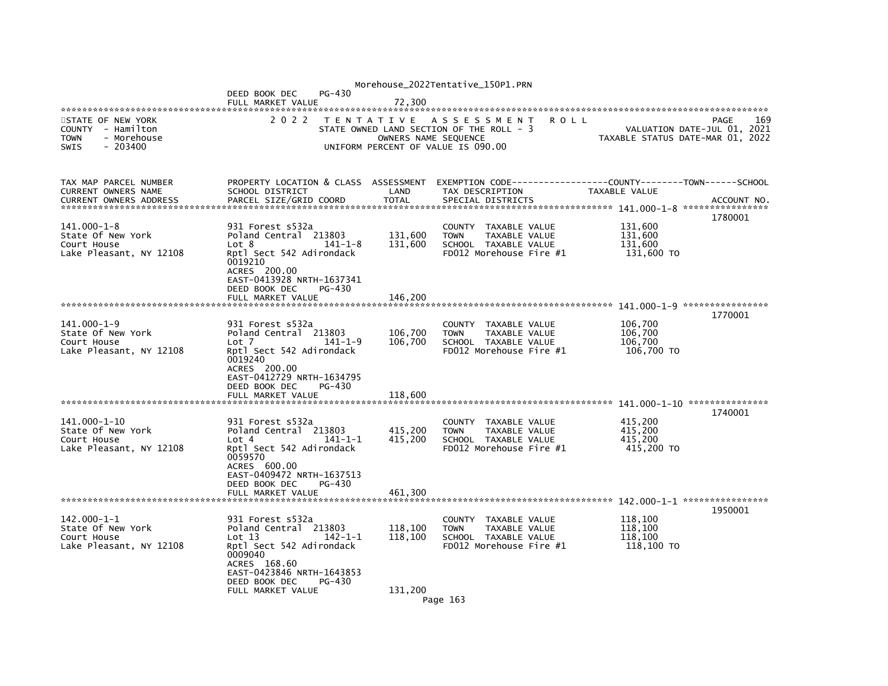|                                                                                                 |                                                                                                                                                                              |                                                                                                        | Morehouse_2022Tentative_150P1.PRN |                                                                                        |                                |         |                                             |                                                                                |
|-------------------------------------------------------------------------------------------------|------------------------------------------------------------------------------------------------------------------------------------------------------------------------------|--------------------------------------------------------------------------------------------------------|-----------------------------------|----------------------------------------------------------------------------------------|--------------------------------|---------|---------------------------------------------|--------------------------------------------------------------------------------|
|                                                                                                 | DEED BOOK DEC<br>FULL MARKET VALUE                                                                                                                                           | PG-430                                                                                                 | 72,300                            |                                                                                        |                                |         |                                             |                                                                                |
| STATE OF NEW YORK<br>COUNTY - Hamilton<br><b>TOWN</b><br>- Morehouse<br><b>SWIS</b><br>- 203400 | 2 0 2 2                                                                                                                                                                      | TENTATIVE ASSESSMENT<br>STATE OWNED LAND SECTION OF THE ROLL - 3<br>UNIFORM PERCENT OF VALUE IS 090.00 | OWNERS NAME SEQUENCE              |                                                                                        |                                | R O L L |                                             | 169<br>PAGE<br>VALUATION DATE-JUL 01, 2021<br>TAXABLE STATUS DATE-MAR 01, 2022 |
| TAX MAP PARCEL NUMBER<br>CURRENT OWNERS NAME<br><b>CURRENT OWNERS ADDRESS</b>                   | PROPERTY LOCATION & CLASS ASSESSMENT<br>SCHOOL DISTRICT<br>PARCEL SIZE/GRID COORD                                                                                            |                                                                                                        | LAND<br><b>TOTAL</b>              | EXEMPTION CODE-----<br>TAX DESCRIPTION<br>SPECIAL DISTRICTS                            |                                |         | TAXABLE VALUE                               | -------------COUNTY--------TOWN------SCHOOL<br>ACCOUNT NO.<br>1780001          |
| $141.000 - 1 - 8$<br>State Of New York<br>Court House<br>Lake Pleasant, NY 12108                | 931 Forest s532a<br>Poland Central 213803<br>Lot 8<br>Rptl Sect 542 Adirondack<br>0019210<br>ACRES 200.00<br>EAST-0413928 NRTH-1637341<br>DEED BOOK DEC<br>FULL MARKET VALUE | 141-1-8<br>PG-430                                                                                      | 131,600<br>131,600<br>146.200     | <b>COUNTY</b><br><b>TOWN</b><br>SCHOOL TAXABLE VALUE<br>FD012 Morehouse Fire #1        | TAXABLE VALUE<br>TAXABLE VALUE |         | 131,600<br>131,600<br>131,600<br>131,600 TO |                                                                                |
|                                                                                                 |                                                                                                                                                                              |                                                                                                        |                                   |                                                                                        |                                |         |                                             | 1770001                                                                        |
| 141.000-1-9<br>State Of New York<br>Court House<br>Lake Pleasant, NY 12108                      | 931 Forest s532a<br>Poland Central 213803<br>Lot 7<br>Rptl Sect 542 Adirondack<br>0019240<br>ACRES 200.00<br>EAST-0412729 NRTH-1634795<br>DEED BOOK DEC<br>FULL MARKET VALUE | $141 - 1 - 9$<br>PG-430                                                                                | 106,700<br>106,700<br>118,600     | COUNTY TAXABLE VALUE<br><b>TOWN</b><br>SCHOOL TAXABLE VALUE<br>FD012 Morehouse Fire #1 | TAXABLE VALUE                  |         | 106,700<br>106.700<br>106,700<br>106,700 TO |                                                                                |
| ********************************                                                                |                                                                                                                                                                              |                                                                                                        |                                   |                                                                                        |                                |         |                                             | 1740001                                                                        |
| 141.000-1-10<br>State Of New York<br>Court House<br>Lake Pleasant, NY 12108                     | 931 Forest s532a<br>Poland Central 213803<br>Lot 4<br>Rptl Sect 542 Adirondack<br>0059570<br>ACRES 600.00<br>EAST-0409472 NRTH-1637513                                       | 141-1-1                                                                                                | 415,200<br>415,200                | COUNTY TAXABLE VALUE<br><b>TOWN</b><br>SCHOOL TAXABLE VALUE<br>FD012 Morehouse Fire #1 | TAXABLE VALUE                  |         | 415,200<br>415.200<br>415.200<br>415,200 TO |                                                                                |
|                                                                                                 | DEED BOOK DEC<br>FULL MARKET VALUE                                                                                                                                           | PG-430                                                                                                 | 461,300                           |                                                                                        |                                |         |                                             |                                                                                |
| 142.000-1-1<br>State Of New York<br>Court House<br>Lake Pleasant, NY 12108                      | 931 Forest s532a<br>Poland Central 213803<br>Lot 13<br>Rptl Sect 542 Adirondack<br>0009040<br>ACRES 168.60<br>EAST-0423846 NRTH-1643853<br>DEED BOOK DEC                     | $142 - 1 - 1$<br>PG-430                                                                                | 118,100<br>118,100                | COUNTY<br><b>TOWN</b><br>SCHOOL TAXABLE VALUE<br>FD012 Morehouse Fire #1               | TAXABLE VALUE<br>TAXABLE VALUE |         | 118,100<br>118,100<br>118,100<br>118,100 TO | 1950001                                                                        |
|                                                                                                 | FULL MARKET VALUE                                                                                                                                                            |                                                                                                        | 131,200                           | Page 163                                                                               |                                |         |                                             |                                                                                |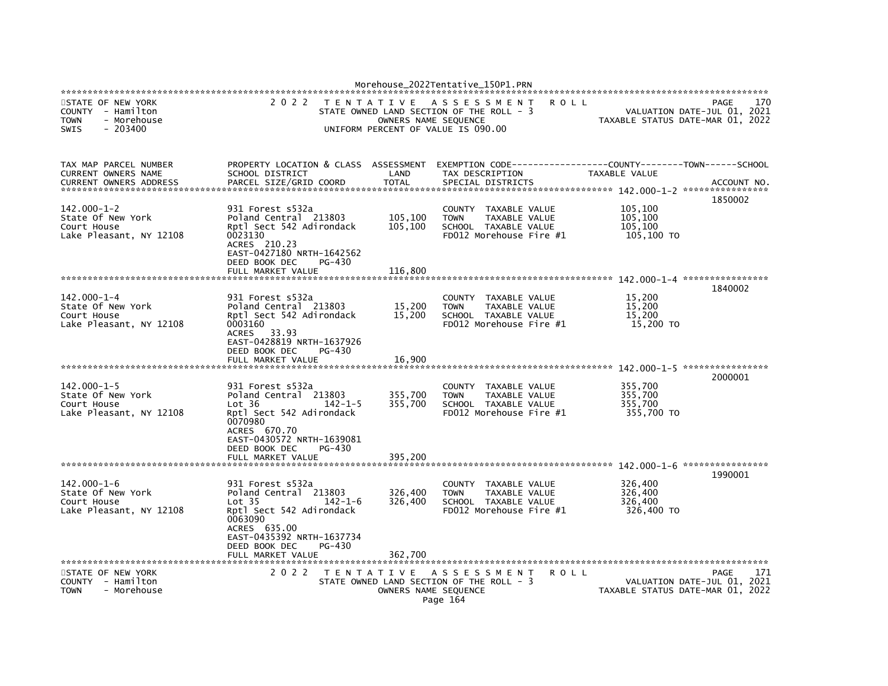|                                                                                                  |                                                                                                                                                                                                |                    | Morehouse_2022Tentative_150P1.PRN                                                                                             |                                             |                                                                                       |
|--------------------------------------------------------------------------------------------------|------------------------------------------------------------------------------------------------------------------------------------------------------------------------------------------------|--------------------|-------------------------------------------------------------------------------------------------------------------------------|---------------------------------------------|---------------------------------------------------------------------------------------|
| STATE OF NEW YORK<br>COUNTY - Hamilton<br><b>TOWN</b><br>- Morehouse<br><b>SWIS</b><br>$-203400$ | 2 0 2 2                                                                                                                                                                                        | T E N T A T I V E  | A S S E S S M E N T<br>STATE OWNED LAND SECTION OF THE ROLL - 3<br>OWNERS NAME SEQUENCE<br>UNIFORM PERCENT OF VALUE IS 090.00 | R O L L                                     | 170<br>PAGE<br>VALUATION DATE-JUL 01, 2021<br>TAXABLE STATUS DATE-MAR 01, 2022        |
| TAX MAP PARCEL NUMBER<br>CURRENT OWNERS NAME                                                     | PROPERTY LOCATION & CLASS<br>SCHOOL DISTRICT                                                                                                                                                   | ASSESSMENT<br>LAND | TAX DESCRIPTION                                                                                                               | TAXABLE VALUE                               |                                                                                       |
| <b>CURRENT OWNERS ADDRESS</b>                                                                    | PARCEL SIZE/GRID COORD                                                                                                                                                                         | <b>TOTAL</b>       | SPECIAL DISTRICTS                                                                                                             |                                             | ACCOUNT NO.                                                                           |
| $142.000 - 1 - 2$<br>State Of New York<br>Court House<br>Lake Pleasant, NY 12108                 | 931 Forest s532a<br>Poland Central 213803<br>Rptl Sect 542 Adirondack<br>0023130<br>ACRES 210.23<br>EAST-0427180 NRTH-1642562                                                                  | 105,100<br>105,100 | TAXABLE VALUE<br>COUNTY<br>TAXABLE VALUE<br><b>TOWN</b><br>SCHOOL TAXABLE VALUE<br>FD012 Morehouse Fire #1                    | 105,100<br>105,100<br>105,100<br>105,100 TO | 1850002                                                                               |
|                                                                                                  | DEED BOOK DEC<br>PG-430<br>FULL MARKET VALUE                                                                                                                                                   | 116,800            |                                                                                                                               |                                             |                                                                                       |
|                                                                                                  |                                                                                                                                                                                                |                    |                                                                                                                               |                                             | 1840002                                                                               |
| 142.000-1-4<br>State Of New York<br>Court House<br>Lake Pleasant, NY 12108                       | 931 Forest s532a<br>Poland Central 213803<br>Rptl Sect 542 Adirondack<br>0003160<br>ACRES<br>33.93<br>EAST-0428819 NRTH-1637926<br>DEED BOOK DEC<br>PG-430                                     | 15,200<br>15,200   | COUNTY TAXABLE VALUE<br>TAXABLE VALUE<br><b>TOWN</b><br>SCHOOL TAXABLE VALUE<br>FD012 Morehouse Fire #1                       | 15,200<br>15,200<br>15,200<br>15,200 TO     |                                                                                       |
|                                                                                                  | FULL MARKET VALUE                                                                                                                                                                              | 16,900             |                                                                                                                               |                                             | 142.000-1-5 *****************                                                         |
| $142.000 - 1 - 5$<br>State Of New York<br>Court House<br>Lake Pleasant, NY 12108                 | 931 Forest s532a<br>Poland Central 213803<br>Lot 36<br>$142 - 1 - 5$<br>Rptl Sect 542 Adirondack<br>0070980<br>ACRES 670.70<br>EAST-0430572 NRTH-1639081<br>DEED BOOK DEC<br>PG-430            | 355,700<br>355,700 | COUNTY TAXABLE VALUE<br><b>TAXABLE VALUE</b><br><b>TOWN</b><br>SCHOOL TAXABLE VALUE<br>FD012 Morehouse Fire #1                | 355,700<br>355,700<br>355,700<br>355,700 TO | 2000001                                                                               |
|                                                                                                  | FULL MARKET VALUE                                                                                                                                                                              | 395,200            |                                                                                                                               |                                             |                                                                                       |
| 142.000-1-6<br>State Of New York<br>Court House<br>Lake Pleasant, NY 12108                       | 931 Forest s532a<br>Poland Central 213803<br>Lot <sub>35</sub><br>$142 - 1 - 6$<br>Rptl Sect 542 Adirondack<br>0063090<br>ACRES 635.00<br>EAST-0435392 NRTH-1637734<br>DEED BOOK DEC<br>PG-430 | 326,400<br>326,400 | TAXABLE VALUE<br>COUNTY<br><b>TOWN</b><br>TAXABLE VALUE<br>SCHOOL TAXABLE VALUE<br>FD012 Morehouse Fire #1                    | 326,400<br>326,400<br>326,400<br>326,400 TO | 1990001                                                                               |
| STATE OF NEW YORK<br>COUNTY - Hamilton<br><b>TOWN</b><br>- Morehouse                             | FULL MARKET VALUE<br>2 0 2 2                                                                                                                                                                   | 362,700            | TENTATIVE ASSESSMENT<br>STATE OWNED LAND SECTION OF THE ROLL - 3<br>OWNERS NAME SEQUENCE<br>Page 164                          | <b>ROLL</b>                                 | 171<br><b>PAGE</b><br>VALUATION DATE-JUL 01, 2021<br>TAXABLE STATUS DATE-MAR 01, 2022 |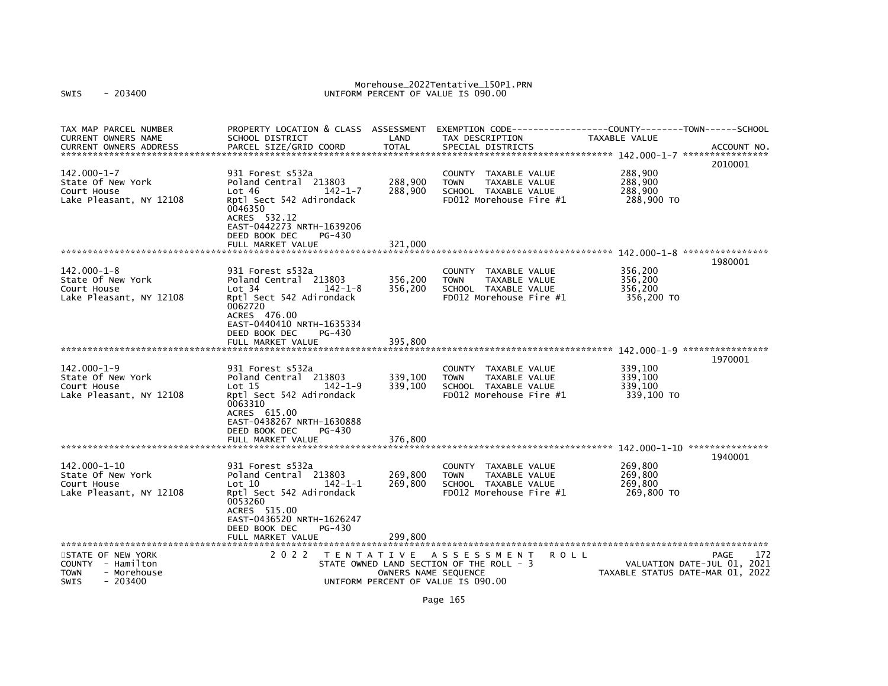# Morehouse\_2022Tentative\_150P1.PRN<br>UNIFORM PERCENT OF VALUE IS 090.00

| TAX MAP PARCEL NUMBER<br><b>CURRENT OWNERS NAME</b><br><b>CURRENT OWNERS ADDRESS</b>      | PROPERTY LOCATION & CLASS ASSESSMENT<br>SCHOOL DISTRICT<br>PARCEL SIZE/GRID COORD                                                                                                                | LAND<br><b>TOTAL</b>                      | EXEMPTION CODE-----------------COUNTY-------TOWN------SCHOOL<br>TAX DESCRIPTION<br>SPECIAL DISTRICTS                     | TAXABLE VALUE                               | ACCOUNT NO.<br>2010001                                                         |
|-------------------------------------------------------------------------------------------|--------------------------------------------------------------------------------------------------------------------------------------------------------------------------------------------------|-------------------------------------------|--------------------------------------------------------------------------------------------------------------------------|---------------------------------------------|--------------------------------------------------------------------------------|
| 142.000-1-7<br>State Of New York<br>Court House<br>Lake Pleasant, NY 12108                | 931 Forest s532a<br>Poland Central 213803<br>Lot 46<br>$142 - 1 - 7$<br>Rptl Sect 542 Adirondack<br>0046350<br>ACRES 532.12<br>EAST-0442273 NRTH-1639206<br>DEED BOOK DEC<br>PG-430              | 288,900<br>288,900                        | <b>COUNTY</b><br>TAXABLE VALUE<br>TAXABLE VALUE<br><b>TOWN</b><br>SCHOOL TAXABLE VALUE<br>FD012 Morehouse Fire #1        | 288,900<br>288,900<br>288,900<br>288,900 TO |                                                                                |
|                                                                                           | FULL MARKET VALUE                                                                                                                                                                                | 321.000                                   |                                                                                                                          |                                             |                                                                                |
|                                                                                           |                                                                                                                                                                                                  |                                           |                                                                                                                          |                                             | 1980001                                                                        |
| $142.000 - 1 - 8$<br>State Of New York<br>Court House<br>Lake Pleasant, NY 12108          | 931 Forest s532a<br>Poland Central 213803<br>Lot 34<br>$142 - 1 - 8$<br>Rptl Sect 542 Adirondack<br>0062720<br>ACRES 476.00<br>EAST-0440410 NRTH-1635334                                         | 356,200<br>356,200                        | <b>COUNTY</b><br>TAXABLE VALUE<br><b>TAXABLE VALUE</b><br><b>TOWN</b><br>SCHOOL TAXABLE VALUE<br>FD012 Morehouse Fire #1 | 356,200<br>356,200<br>356,200<br>356,200 TO |                                                                                |
|                                                                                           | DEED BOOK DEC<br>PG-430                                                                                                                                                                          |                                           |                                                                                                                          |                                             |                                                                                |
|                                                                                           | FULL MARKET VALUE                                                                                                                                                                                | 395,800                                   |                                                                                                                          |                                             |                                                                                |
| $142.000 - 1 - 9$<br>State Of New York<br>Court House<br>Lake Pleasant, NY 12108          | 931 Forest s532a<br>Poland Central 213803<br>$\mathsf{Lot}$ 15<br>$142 - 1 - 9$<br>Rptl Sect 542 Adirondack<br>0063310<br>ACRES 615.00<br>EAST-0438267 NRTH-1630888<br>DEED BOOK DEC<br>$PG-430$ | 339,100<br>339,100                        | <b>COUNTY</b><br>TAXABLE VALUE<br><b>TOWN</b><br>TAXABLE VALUE<br>SCHOOL TAXABLE VALUE<br>FD012 Morehouse Fire #1        | 339,100<br>339.100<br>339,100<br>339,100 TO | 1970001                                                                        |
|                                                                                           | FULL MARKET VALUE                                                                                                                                                                                | 376,800                                   |                                                                                                                          |                                             |                                                                                |
|                                                                                           |                                                                                                                                                                                                  |                                           |                                                                                                                          |                                             | 1940001                                                                        |
| $142.000 - 1 - 10$<br>State Of New York<br>Court House<br>Lake Pleasant, NY 12108         | 931 Forest s532a<br>Poland Central 213803<br>$142 - 1 - 1$<br>Lot 10<br>Rptl Sect 542 Adirondack<br>0053260<br>ACRES 515.00<br>EAST-0436520 NRTH-1626247                                         | 269,800<br>269,800                        | <b>COUNTY</b><br>TAXABLE VALUE<br>TAXABLE VALUE<br><b>TOWN</b><br>SCHOOL TAXABLE VALUE<br>FD012 Morehouse Fire #1        | 269,800<br>269,800<br>269.800<br>269,800 TO |                                                                                |
|                                                                                           | DEED BOOK DEC<br>PG-430<br>FULL MARKET VALUE                                                                                                                                                     | 299.800                                   |                                                                                                                          |                                             |                                                                                |
| *************************                                                                 | **********************                                                                                                                                                                           |                                           |                                                                                                                          |                                             |                                                                                |
| STATE OF NEW YORK<br>COUNTY - Hamilton<br>TOWN<br>- Morehouse<br>$-203400$<br><b>SWIS</b> | 2 0 2 2                                                                                                                                                                                          | T E N T A T I V E<br>OWNERS NAME SEQUENCE | A S S E S S M E N T<br>R O L L<br>STATE OWNED LAND SECTION OF THE ROLL - 3<br>UNIFORM PERCENT OF VALUE IS 090.00         |                                             | 172<br>PAGE<br>VALUATION DATE-JUL 01, 2021<br>TAXABLE STATUS DATE-MAR 01, 2022 |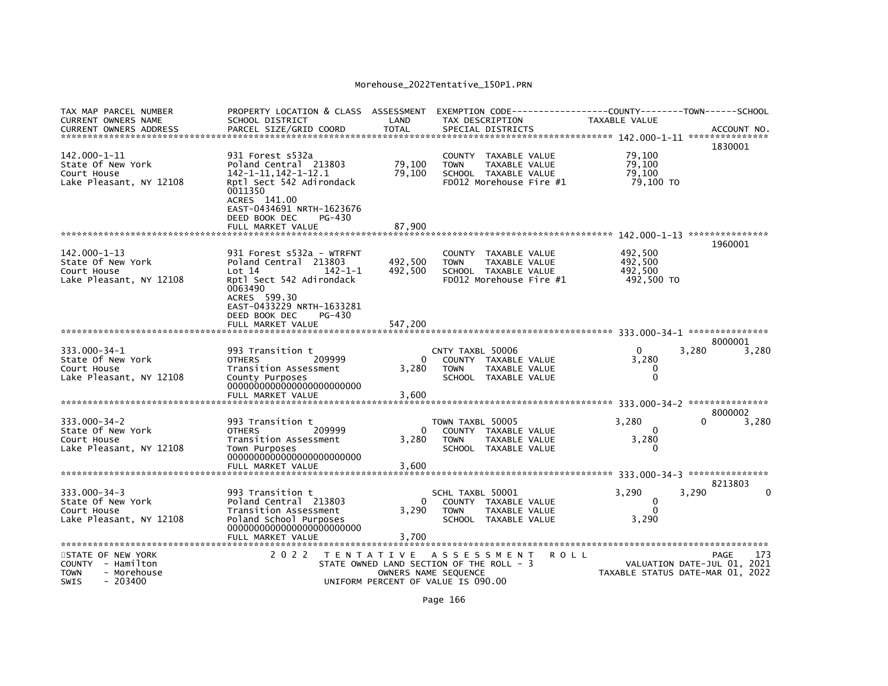| TAX MAP PARCEL NUMBER<br><b>CURRENT OWNERS NAME</b>                                                                       | PROPERTY LOCATION & CLASS ASSESSMENT<br>SCHOOL DISTRICT                                                                                                                                      | LAND                | EXEMPTION CODE-----<br>TAX DESCRIPTION                                                                                         |             | -------------COUNTY--------TOWN------SCHOOL<br><b>TAXABLE VALUE</b> |                                                                                |
|---------------------------------------------------------------------------------------------------------------------------|----------------------------------------------------------------------------------------------------------------------------------------------------------------------------------------------|---------------------|--------------------------------------------------------------------------------------------------------------------------------|-------------|---------------------------------------------------------------------|--------------------------------------------------------------------------------|
| <b>CURRENT OWNERS ADDRESS</b><br>******************************                                                           | PARCEL SIZE/GRID COORD                                                                                                                                                                       | <b>TOTAL</b>        | SPECIAL DISTRICTS                                                                                                              |             |                                                                     | ACCOUNT NO.<br>1830001                                                         |
| $142.000 - 1 - 11$<br>State Of New York<br>Court House<br>Lake Pleasant, NY 12108                                         | 931 Forest s532a<br>Poland Central 213803<br>142-1-11.142-1-12.1<br>Rptl Sect 542 Adirondack<br>0011350<br>ACRES 141.00<br>EAST-0434691 NRTH-1623676                                         | 79.100<br>79,100    | COUNTY TAXABLE VALUE<br><b>TAXABLE VALUE</b><br><b>TOWN</b><br>SCHOOL TAXABLE VALUE<br>FD012 Morehouse Fire #1                 |             | 79,100<br>79.100<br>79.100<br>79,100 TO                             |                                                                                |
|                                                                                                                           | DEED BOOK DEC<br>$PG-430$<br>FULL MARKET VALUE                                                                                                                                               | 87,900              |                                                                                                                                |             |                                                                     | 1960001                                                                        |
| 142.000-1-13<br>State Of New York<br>Court House<br>Lake Pleasant, NY 12108                                               | 931 Forest s532a - WTRFNT<br>Poland Central 213803<br>Lot 14<br>$142 - 1 - 1$<br>Rptl Sect 542 Adirondack<br>0063490<br>ACRES 599.30<br>EAST-0433229 NRTH-1633281<br>DEED BOOK DEC<br>PG-430 | 492,500<br>492,500  | COUNTY TAXABLE VALUE<br><b>TOWN</b><br><b>TAXABLE VALUE</b><br>SCHOOL TAXABLE VALUE<br>FD012 Morehouse Fire #1                 |             | 492,500<br>492,500<br>492,500<br>492,500 TO                         |                                                                                |
|                                                                                                                           | FULL MARKET VALUE                                                                                                                                                                            | 547,200             |                                                                                                                                |             |                                                                     | 8000001                                                                        |
| 333.000-34-1<br>State Of New York<br>Court House<br>Lake Pleasant, NY 12108                                               | 993 Transition t<br>209999<br><b>OTHERS</b><br>Transition Assessment<br>County Purposes<br>FULL MARKET VALUE                                                                                 | 0<br>3,280<br>3,600 | CNTY TAXBL 50006<br>COUNTY TAXABLE VALUE<br>TAXABLE VALUE<br><b>TOWN</b><br>SCHOOL TAXABLE VALUE                               |             | $\Omega$<br>3,280<br>0<br>$\mathbf 0$                               | 3,280<br>3,280                                                                 |
| ********************************                                                                                          |                                                                                                                                                                                              |                     |                                                                                                                                |             |                                                                     | 8000002                                                                        |
| $333.000 - 34 - 2$<br>State Of New York<br>Court House<br>Lake Pleasant, NY 12108                                         | 993 Transition t<br>209999<br><b>OTHERS</b><br>Transition Assessment<br>Town Purposes                                                                                                        | 0<br>3,280          | TOWN TAXBL 50005<br>COUNTY TAXABLE VALUE<br><b>TOWN</b><br>TAXABLE VALUE<br>SCHOOL TAXABLE VALUE                               |             | 3.280<br>$\Omega$<br>3,280<br>$\Omega$                              | 3,280                                                                          |
|                                                                                                                           | FULL MARKET VALUE                                                                                                                                                                            | 3,600               |                                                                                                                                |             |                                                                     |                                                                                |
| $333.000 - 34 - 3$<br>State Of New York<br>Court House<br>Lake Pleasant, NY 12108                                         | 993 Transition t<br>Poland Central 213803<br>Transition Assessment<br>Poland School Purposes<br>FULL MARKET VALUE                                                                            | 0<br>3,290<br>3,700 | SCHL TAXBL 50001<br>COUNTY TAXABLE VALUE<br><b>TOWN</b><br>TAXABLE VALUE<br>SCHOOL TAXABLE VALUE                               |             | 3,290<br>$\Omega$<br>$\Omega$<br>3,290                              | 8213803<br>3,290                                                               |
| **********************<br>STATE OF NEW YORK<br>COUNTY - Hamilton<br><b>TOWN</b><br>- Morehouse<br><b>SWIS</b><br>- 203400 | ***********************<br>2 0 2 2                                                                                                                                                           |                     | TENTATIVE ASSESSMENT<br>STATE OWNED LAND SECTION OF THE ROLL - 3<br>OWNERS NAME SEQUENCE<br>UNIFORM PERCENT OF VALUE IS 090.00 | <b>ROLL</b> |                                                                     | 173<br>PAGE<br>VALUATION DATE-JUL 01, 2021<br>TAXABLE STATUS DATE-MAR 01, 2022 |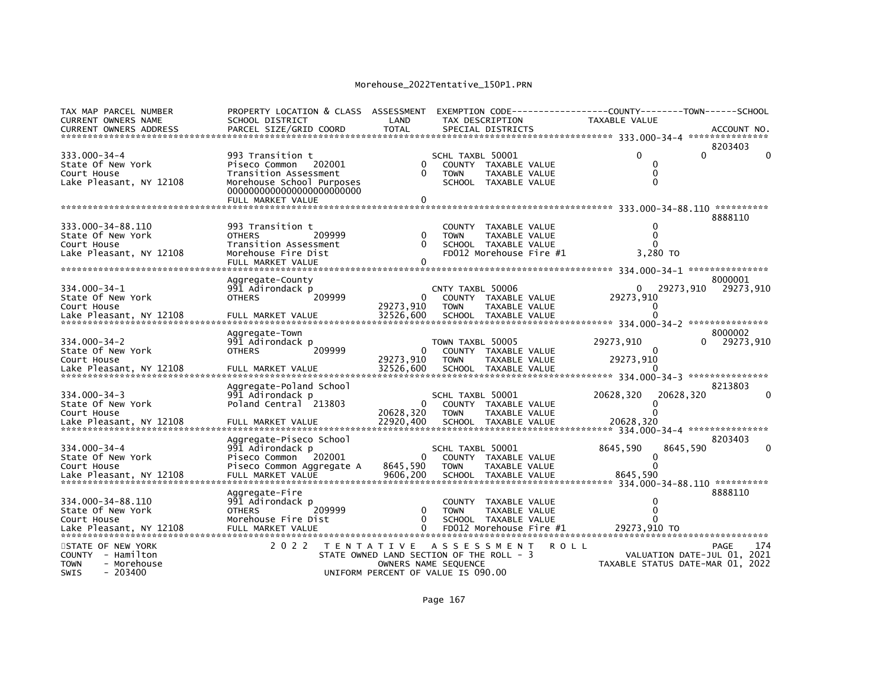| TAX MAP PARCEL NUMBER<br><b>CURRENT OWNERS NAME</b><br><b>CURRENT OWNERS ADDRESS</b>                           | PROPERTY LOCATION & CLASS ASSESSMENT<br>SCHOOL DISTRICT<br>PARCEL SIZE/GRID COORD                                       | LAND<br><b>TOTAL</b>                                                           | EXEMPTION CODE---<br>TAX DESCRIPTION                                                   | SPECIAL DISTRICTS                                                                        |      | -----COUNTY--------TOWN------SCHOOL<br><b>TAXABLE VALUE</b> |           | ACCOUNT NO.                                |
|----------------------------------------------------------------------------------------------------------------|-------------------------------------------------------------------------------------------------------------------------|--------------------------------------------------------------------------------|----------------------------------------------------------------------------------------|------------------------------------------------------------------------------------------|------|-------------------------------------------------------------|-----------|--------------------------------------------|
| *************************                                                                                      |                                                                                                                         |                                                                                |                                                                                        |                                                                                          |      |                                                             |           | 8203403                                    |
| $333.000 - 34 - 4$<br>State Of New York<br>Court House<br>Lake Pleasant, NY 12108                              | 993 Transition t<br>Piseco Common<br>202001<br>Transition Assessment<br>Morehouse School Purposes                       | 0<br>$\Omega$<br>0                                                             | SCHL TAXBL 50001<br><b>TOWN</b>                                                        | COUNTY TAXABLE VALUE<br><b>TAXABLE VALUE</b><br>SCHOOL TAXABLE VALUE                     |      |                                                             | $\Omega$  |                                            |
| ************************                                                                                       | FULL MARKET VALUE                                                                                                       |                                                                                |                                                                                        |                                                                                          |      |                                                             |           |                                            |
| 333.000-34-88.110<br>State Of New York<br>Court House<br>Lake Pleasant, NY 12108<br>**********************     | 993 Transition t<br>209999<br><b>OTHERS</b><br>Transition Assessment<br>Morehouse Fire Dist<br>FULL MARKET VALUE        | 0<br>0<br>0                                                                    | <b>COUNTY</b><br><b>TOWN</b>                                                           | TAXABLE VALUE<br><b>TAXABLE VALUE</b><br>SCHOOL TAXABLE VALUE<br>FD012 Morehouse Fire #1 |      | 3.280 TO                                                    |           | 8888110                                    |
| 334.000-34-1                                                                                                   | Aggregate-County<br>991 Adirondack p                                                                                    |                                                                                | CNTY TAXBL 50006                                                                       |                                                                                          |      | 0                                                           |           | 8000001<br>29273,910                       |
| State Of New York<br>Court House                                                                               | <b>OTHERS</b><br>209999<br>FULL MARKET VALUE                                                                            | 29273.910<br>32526,600                                                         | <b>TOWN</b>                                                                            | COUNTY TAXABLE VALUE<br>TAXABLE VALUE<br>SCHOOL TAXABLE VALUE                            |      | 29273,910                                                   | 29273,910 |                                            |
| Lake Pleasant, NY 12108<br>***********************                                                             |                                                                                                                         |                                                                                |                                                                                        |                                                                                          |      | 334.000-34-2 ****************                               |           |                                            |
| $334.000 - 34 - 2$<br>State Of New York<br>Court House<br>Lake Pleasant, NY 12108                              | Aggregate-Town<br>991 Adirondack p<br>209999<br><b>OTHERS</b><br>FULL MARKET VALUE                                      | 0<br>29273,910<br>32526,600                                                    | TOWN TAXBL 50005<br><b>TOWN</b>                                                        | COUNTY TAXABLE VALUE<br>TAXABLE VALUE<br>SCHOOL TAXABLE VALUE                            |      | 29273,910<br>0<br>29273,910                                 |           | 8000002<br>29273,910                       |
|                                                                                                                | Aggregate-Poland School                                                                                                 |                                                                                |                                                                                        |                                                                                          |      |                                                             |           | 8213803                                    |
| $334.000 - 34 - 3$<br>State Of New York<br>Court House<br>Lake Pleasant, NY 12108                              | 991 Adirondack p<br>Poland Central 213803<br>FULL MARKET VALUE                                                          | 20628,320<br>22920.400                                                         | SCHL TAXBL 50001<br><b>TOWN</b>                                                        | COUNTY TAXABLE VALUE<br><b>TAXABLE VALUE</b><br>SCHOOL TAXABLE VALUE                     |      | 20628,320<br>20628,320                                      | 20628,320 |                                            |
|                                                                                                                | Aggregate-Piseco School                                                                                                 |                                                                                |                                                                                        |                                                                                          |      |                                                             |           | 8203403                                    |
| $334.000 - 34 - 4$<br>State Of New York<br>Court House<br>Lake Pleasant, NY 12108<br>************************* | 991 Adirondack p<br>Piseco Common<br>202001<br>Piseco Common Aggregate A<br>FULL MARKET VALUE<br>********************** | 8645,590<br>9606,200                                                           | SCHL TAXBL 50001<br><b>COUNTY</b><br><b>TOWN</b><br>********************************** | TAXABLE VALUE<br>TAXABLE VALUE<br>SCHOOL TAXABLE VALUE                                   |      | 8645,590<br>8645,590                                        | 8645.590  |                                            |
| 334.000-34-88.110<br>State Of New York<br>Court House<br>Lake Pleasant, NY 12108<br>**********************     | Aqqreqate-Fire<br>991 Adirondack p<br><b>OTHERS</b><br>209999<br>Morehouse Fire Dist<br>FULL MARKET VALUE               | 0<br>$\Omega$<br>$\Omega$                                                      | <b>COUNTY</b><br><b>TOWN</b>                                                           | TAXABLE VALUE<br><b>TAXABLE VALUE</b><br>SCHOOL TAXABLE VALUE<br>FD012 Morehouse Fire #1 |      | 334.000-34-88.110 **********<br>29273.910 то                |           | 8888110                                    |
| STATE OF NEW YORK<br>- Hamilton<br><b>COUNTY</b><br><b>TOWN</b><br>- Morehouse<br><b>SWIS</b><br>$-203400$     | 2 0 2 2<br>T E N T A T I V E                                                                                            | STATE OWNED LAND SECTION OF THE ROLL - 3<br>UNIFORM PERCENT OF VALUE IS 090.00 | A S S E S S M E N T<br>OWNERS NAME SEQUENCE                                            |                                                                                          | ROLL | TAXABLE STATUS DATE-MAR 01, 2022                            |           | 174<br>PAGE<br>VALUATION DATE-JUL 01, 2021 |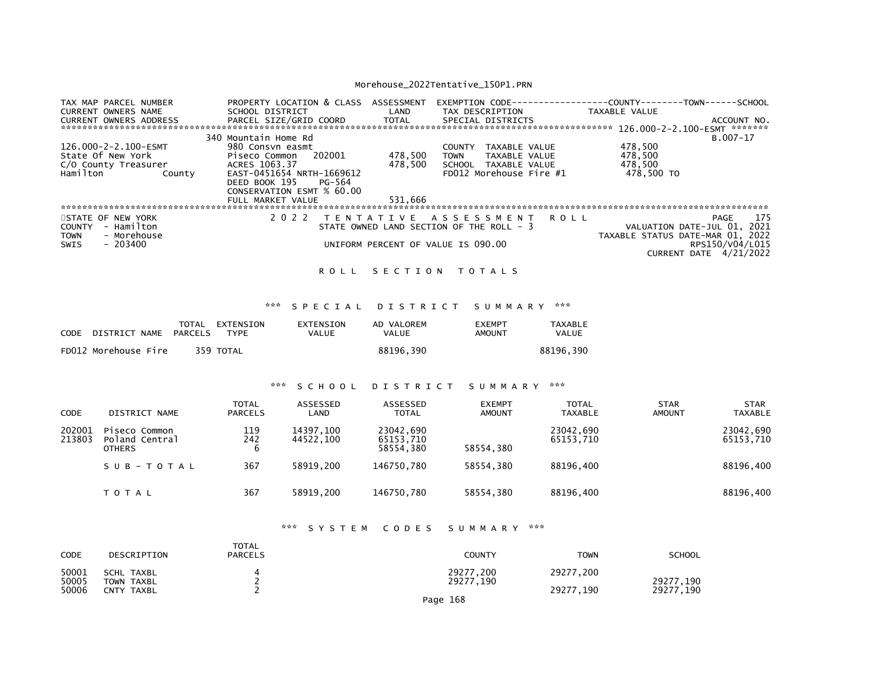| TAX MAP PARCEL NUMBER<br><b>CURRENT OWNERS NAME</b><br><b>CURRENT OWNERS ADDRESS</b> | PROPERTY LOCATION & CLASS<br>SCHOOL DISTRICT<br>PARCEL SIZE/GRID COORD | ASSESSMENT<br>LAND<br>TOTAL | <b>EXEMPTION CODE--</b><br>TAX DESCRIPTION<br>SPECIAL DISTRICTS | ---------COUNTY--------TOWN------SCHOOL<br>TAXABLE VALUE<br>ACCOUNT NO. |
|--------------------------------------------------------------------------------------|------------------------------------------------------------------------|-----------------------------|-----------------------------------------------------------------|-------------------------------------------------------------------------|
|                                                                                      |                                                                        |                             |                                                                 | 126.000-2-2.100-ESMT ********                                           |
|                                                                                      | 340 Mountain Home Rd                                                   |                             |                                                                 | B.007-17                                                                |
| 126.000-2-2.100-ESMT                                                                 | 980 Consvn easmt                                                       |                             | <b>COUNTY</b><br>TAXABLE VALUE                                  | 478,500                                                                 |
| State Of New York                                                                    | 202001<br>Piseco Common                                                | 478,500                     | <b>TOWN</b><br>TAXABLE VALUE                                    | 478,500                                                                 |
| C/O County Treasurer                                                                 | ACRES 1063.37                                                          | 478.500                     | TAXABLE VALUE<br>SCHOOL                                         | 478,500                                                                 |
| Hamilton<br>County                                                                   | EAST-0451654 NRTH-1669612                                              |                             | FD012 Morehouse Fire #1                                         | 478,500 TO                                                              |
|                                                                                      | DEED BOOK 195<br>PG-564                                                |                             |                                                                 |                                                                         |
|                                                                                      | CONSERVATION ESMT % 60.00                                              |                             |                                                                 |                                                                         |
|                                                                                      | FULL MARKET VALUE                                                      | 531,666                     |                                                                 |                                                                         |
|                                                                                      |                                                                        |                             |                                                                 |                                                                         |
| STATE OF NEW YORK                                                                    | 2 0 2 2                                                                |                             | TENTATIVE ASSESSMENT<br>R O L L                                 | 175<br>PAGE                                                             |
| - Hamilton<br>COUNTY                                                                 |                                                                        |                             | STATE OWNED LAND SECTION OF THE ROLL - 3                        | VALUATION DATE-JUL 01, 2021                                             |
| - Morehouse<br><b>TOWN</b>                                                           |                                                                        |                             |                                                                 | TAXABLE STATUS DATE-MAR 01, 2022                                        |
| $-203400$<br>SWIS                                                                    |                                                                        |                             | UNIFORM PERCENT OF VALUE IS 090.00                              | RPS150/V04/L015                                                         |
|                                                                                      |                                                                        |                             |                                                                 | CURRENT DATE 4/21/2022                                                  |

### ROLL SECTION TOTALS

### \*\*\* S P E C I A L D I S T R I C T S U M M A R Y \*\*\*

| CODE | DISTRICT NAME        | PARCELS | TOTAL EXTENSION<br><b>TYPF</b> | EXTENSION<br>VALUE | AD VALOREM<br><b>VALUE</b> | <b>FXFMPT</b><br>AMOUNT | TAXABLE<br>VALUE |
|------|----------------------|---------|--------------------------------|--------------------|----------------------------|-------------------------|------------------|
|      | FD012 Morehouse Fire |         | 359 TOTAL                      |                    | 88196.390                  |                         | 88196.390        |

### \*\*\* S C H O O L D I S T R I C T S U M M A R Y \*\*\*

| CODE             | DISTRICT NAME                                    | <b>TOTAL</b><br><b>PARCELS</b> | ASSESSED<br>LAND       | ASSESSED<br><b>TOTAL</b>            | <b>EXEMPT</b><br><b>AMOUNT</b> | <b>TOTAL</b><br>TAXABLE | <b>STAR</b><br>AMOUNT | <b>STAR</b><br><b>TAXABLE</b> |
|------------------|--------------------------------------------------|--------------------------------|------------------------|-------------------------------------|--------------------------------|-------------------------|-----------------------|-------------------------------|
| 202001<br>213803 | Piseco Common<br>Poland Central<br><b>OTHERS</b> | 119<br>242<br>6                | 14397.100<br>44522.100 | 23042,690<br>65153,710<br>58554.380 | 58554.380                      | 23042,690<br>65153.710  |                       | 23042,690<br>65153,710        |
|                  | SUB-TOTAL                                        | 367                            | 58919.200              | 146750.780                          | 58554.380                      | 88196.400               |                       | 88196,400                     |
|                  | <b>TOTAL</b>                                     | 367                            | 58919.200              | 146750.780                          | 58554.380                      | 88196,400               |                       | 88196,400                     |

### \*\*\* S Y S T E M C O D E S S U M M A R Y \*\*\*

| <b>CODE</b>    | DESCRIPTION                     | <b>TOTAL</b><br><b>PARCELS</b> | COUNTY                 | <b>TOWN</b> | <b>SCHOOL</b> |
|----------------|---------------------------------|--------------------------------|------------------------|-------------|---------------|
| 50001<br>50005 | <b>SCHL TAXBL</b><br>TOWN TAXBL |                                | 29277,200<br>29277,190 | 29277,200   | 29277,190     |
| 50006          | CNTY TAXBL                      |                                | Page 168               | 29277.190   | 29277,190     |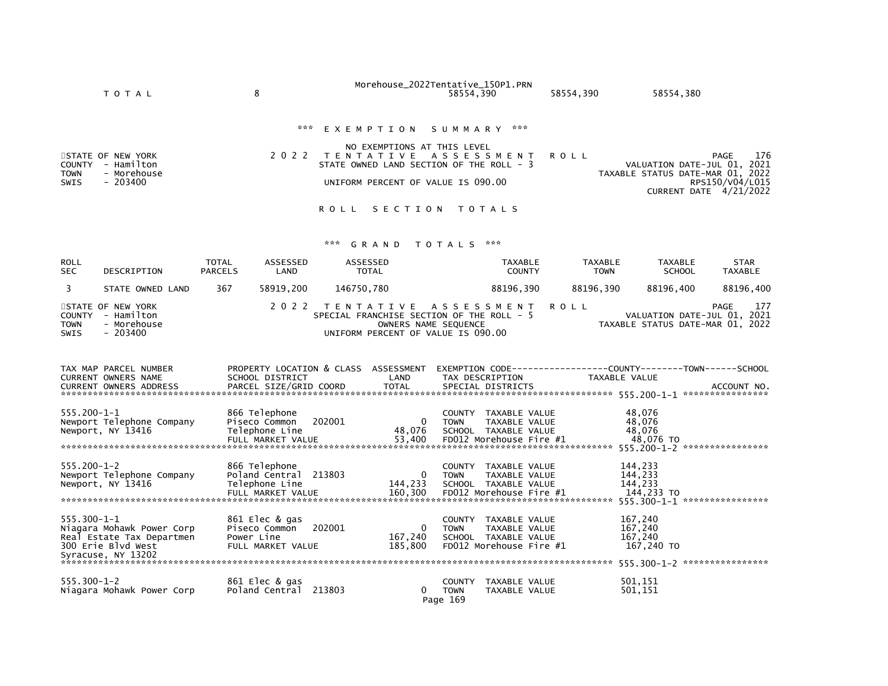|                                             | T O T A L                                                                        | 8                                                                                                          |                  |                                 | Morehouse_2022Tentative_150P1.PRN                                                                                            | 58554,390                                |                                                                                                                        | 58554,390   |                               | 58554,380                                   |                                                                                |
|---------------------------------------------|----------------------------------------------------------------------------------|------------------------------------------------------------------------------------------------------------|------------------|---------------------------------|------------------------------------------------------------------------------------------------------------------------------|------------------------------------------|------------------------------------------------------------------------------------------------------------------------|-------------|-------------------------------|---------------------------------------------|--------------------------------------------------------------------------------|
|                                             |                                                                                  |                                                                                                            | ***              | EXEMPTION                       | NO EXEMPTIONS AT THIS LEVEL                                                                                                  | S U M M A R Y                            | ***                                                                                                                    |             |                               |                                             |                                                                                |
| <b>COUNTY</b>                               | STATE OF NEW YORK<br>- Hamilton                                                  |                                                                                                            | 2 0 2 2          | T E N T A T I V E               | STATE OWNED LAND SECTION OF THE ROLL - 3                                                                                     | ASSESSMENT                               |                                                                                                                        | <b>ROLL</b> |                               |                                             | 176<br>PAGE<br>VALUATION DATE-JUL 01, 2021                                     |
| <b>TOWN</b><br><b>SWIS</b>                  | - Morehouse<br>$-203400$                                                         |                                                                                                            |                  |                                 | UNIFORM PERCENT OF VALUE IS 090.00                                                                                           |                                          |                                                                                                                        |             |                               |                                             | TAXABLE STATUS DATE-MAR 01, 2022<br>RPS150/V04/L015<br>CURRENT DATE 4/21/2022  |
|                                             |                                                                                  |                                                                                                            |                  | <b>ROLL</b>                     | SECTION                                                                                                                      |                                          | <b>TOTALS</b>                                                                                                          |             |                               |                                             |                                                                                |
|                                             |                                                                                  |                                                                                                            |                  | ***                             | GRAND                                                                                                                        | <b>TOTALS</b>                            | ***                                                                                                                    |             |                               |                                             |                                                                                |
| ROLL<br>SEC.                                | DESCRIPTION                                                                      | <b>TOTAL</b><br><b>PARCELS</b>                                                                             | ASSESSED<br>LAND | <b>ASSESSED</b><br><b>TOTAL</b> |                                                                                                                              |                                          | <b>TAXABLE</b><br><b>COUNTY</b>                                                                                        |             | <b>TAXABLE</b><br><b>TOWN</b> | <b>TAXABLE</b><br><b>SCHOOL</b>             | <b>STAR</b><br>TAXABLE                                                         |
| 3                                           | STATE OWNED LAND                                                                 | 367                                                                                                        | 58919,200        | 146750,780                      |                                                                                                                              |                                          | 88196,390                                                                                                              |             | 88196,390                     | 88196,400                                   | 88196,400                                                                      |
| <b>COUNTY</b><br><b>TOWN</b><br><b>SWIS</b> | STATE OF NEW YORK<br>- Hamilton<br>- Morehouse<br>$-203400$                      |                                                                                                            | 2 0 2 2          |                                 | T E N T A T I V E<br>SPECIAL FRANCHISE SECTION OF THE ROLL - 5<br>OWNERS NAME SEQUENCE<br>UNIFORM PERCENT OF VALUE IS 090.00 | A S S E S S M E N T                      |                                                                                                                        | <b>ROLL</b> |                               |                                             | PAGE<br>177<br>VALUATION DATE-JUL 01, 2021<br>TAXABLE STATUS DATE-MAR 01, 2022 |
|                                             | TAX MAP PARCEL NUMBER<br>CURRENT OWNERS NAME<br><b>CURRENT OWNERS ADDRESS</b>    | SCHOOL DISTRICT<br>PARCEL SIZE/GRID COORD                                                                  |                  |                                 | PROPERTY LOCATION & CLASS ASSESSMENT<br>LAND<br><b>TOTAL</b>                                                                 |                                          | TAX DESCRIPTION<br>SPECIAL DISTRICTS                                                                                   |             |                               | TAXABLE VALUE                               | ACCOUNT NO.                                                                    |
| 555.200-1-1                                 | Newport Telephone Company<br>Newport, NY 13416                                   | 866 Telephone<br>Piseco Common<br>Telephone Line<br>FULL MARKET VALUE                                      |                  | 202001                          | 0<br>48,076<br>53,400                                                                                                        | <b>COUNTY</b><br><b>TOWN</b>             | TAXABLE VALUE<br>TAXABLE VALUE<br>SCHOOL TAXABLE VALUE<br>FD012 Morehouse Fire #1                                      |             |                               | 48,076<br>48,076<br>48,076<br>48,076 TO     |                                                                                |
| $555.200 - 1 - 2$                           | Newport Telephone Company<br>Newport, NY 13416<br>****************************** | 866 Telephone<br>Poland Central 213803<br>Telephone Line<br>FULL MARKET VALUE<br>************************* |                  |                                 | 144,233<br>160,300<br>***************                                                                                        | <b>COUNTY</b><br><b>TOWN</b>             | TAXABLE VALUE<br>TAXABLE VALUE<br>SCHOOL TAXABLE VALUE<br>FD012 Morehouse Fire #1<br>********************************* |             |                               | 144,233<br>144,233<br>144,233<br>144,233 TO | 555.300-1-1 *****************                                                  |
| $555.300 - 1 - 1$                           | Niagara Mohawk Power Corp<br>Real Estate Tax Departmen<br>300 Erie Blvd West     | 861 Elec & gas<br>Piseco Common<br>Power Line<br>FULL MARKET VALUE                                         |                  | 202001                          | 0<br>167,240<br>185,800                                                                                                      | <b>COUNTY</b><br><b>TOWN</b>             | TAXABLE VALUE<br>TAXABLE VALUE<br>SCHOOL TAXABLE VALUE<br>FD012 Morehouse Fire #1                                      |             |                               | 167,240<br>167,240<br>167,240<br>167,240 TO |                                                                                |
|                                             | Syracuse, NY 13202                                                               |                                                                                                            |                  |                                 |                                                                                                                              |                                          |                                                                                                                        |             |                               |                                             |                                                                                |
| $555.300 - 1 - 2$                           | Niagara Mohawk Power Corp                                                        | 861 Elec & gas<br>Poland Central 213803                                                                    |                  |                                 | 0                                                                                                                            | <b>COUNTY</b><br><b>TOWN</b><br>Page 169 | TAXABLE VALUE<br>TAXABLE VALUE                                                                                         |             |                               | 501,151<br>501,151                          |                                                                                |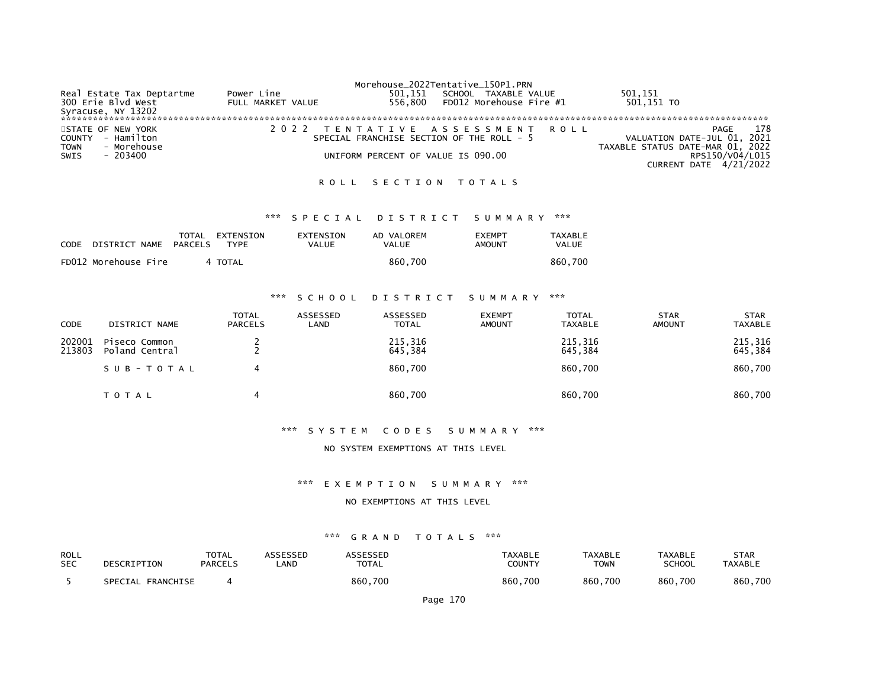| Real Estate Tax Deptartme<br>300 Erie Blvd West<br>Syracuse, NY 13202                    | Power Line<br>FULL MARKET VALUE | Morehouse_2022Tentative_150P1.PRN<br>501,151<br>556.800 FD012 Morehouse Fire $#1$                                 | SCHOOL TAXABLE VALUE | 501,151<br>501,151 TO                                                                                                       |
|------------------------------------------------------------------------------------------|---------------------------------|-------------------------------------------------------------------------------------------------------------------|----------------------|-----------------------------------------------------------------------------------------------------------------------------|
| STATE OF NEW YORK<br>COUNTY - Hamilton<br>- Morehouse<br><b>TOWN</b><br>- 203400<br>SWIS |                                 | 2022 TENTATIVE ASSESSMENT ROLL<br>SPECIAL FRANCHISE SECTION OF THE ROLL - 5<br>UNIFORM PERCENT OF VALUE IS 090.00 |                      | 178<br>PAGE<br>VALUATION DATE-JUL 01, 2021<br>TAXABLE STATUS DATE-MAR 01, 2022<br>RPS150/V04/L015<br>CURRENT DATE 4/21/2022 |

### ROLL SECTION TOTALS

#### \*\*\* S P E C I A L D I S T R I C T S U M M A R Y \*\*\*

| <b>CODE</b> | DISTRICT NAME        | PARCELS | TOTAL EXTENSION<br>TYPF | EXTENSION<br>VALUE | AD VALOREM<br>VALUE | <b>EXEMPT</b><br>AMOUNT | TAXABLE<br>VALUE |
|-------------|----------------------|---------|-------------------------|--------------------|---------------------|-------------------------|------------------|
|             | FD012 Morehouse Fire |         | 4 TOTAL                 |                    | 860.700             |                         | 860.700          |

### \*\*\* S C H O O L D I S T R I C T S U M M A R Y \*\*\*

| <b>CODE</b>      | DISTRICT NAME                   | <b>TOTAL</b><br><b>PARCELS</b> | ASSESSED<br>LAND | ASSESSED<br><b>TOTAL</b> | <b>EXEMPT</b><br><b>AMOUNT</b> | <b>TOTAL</b><br><b>TAXABLE</b> | <b>STAR</b><br><b>AMOUNT</b> | <b>STAR</b><br>TAXABLE |
|------------------|---------------------------------|--------------------------------|------------------|--------------------------|--------------------------------|--------------------------------|------------------------------|------------------------|
| 202001<br>213803 | Piseco Common<br>Poland Central |                                |                  | 215,316<br>645,384       |                                | 215,316<br>645,384             |                              | 215,316<br>645,384     |
|                  | SUB-TOTAL                       |                                |                  | 860,700                  |                                | 860,700                        |                              | 860,700                |
|                  | T O T A L                       | 4                              |                  | 860,700                  |                                | 860,700                        |                              | 860,700                |

#### \*\*\* S Y S T E M C O D E S S U M M A R Y \*\*\*

#### NO SYSTEM EXEMPTIONS AT THIS LEVEL

### \*\*\* E X E M P T I O N S U M M A R Y \*\*\*

### NO EXEMPTIONS AT THIS LEVEL

| ROLL       | DESCRIPTION       | TOTAL   | ASSESSED | ASSESSED | TAXABLE       | <b>TAXABLE</b> | <b>TAXABLE</b> | STAR           |
|------------|-------------------|---------|----------|----------|---------------|----------------|----------------|----------------|
| <b>SEC</b> |                   | PARCELS | LAND     | TOTAL    | <b>COUNTY</b> | <b>TOWN</b>    | <b>SCHOOL</b>  | <b>TAXABLE</b> |
|            | SPECIAL FRANCHISE |         |          | 860,700  | 860.700       | 860,700        | 860,700        | 860,700        |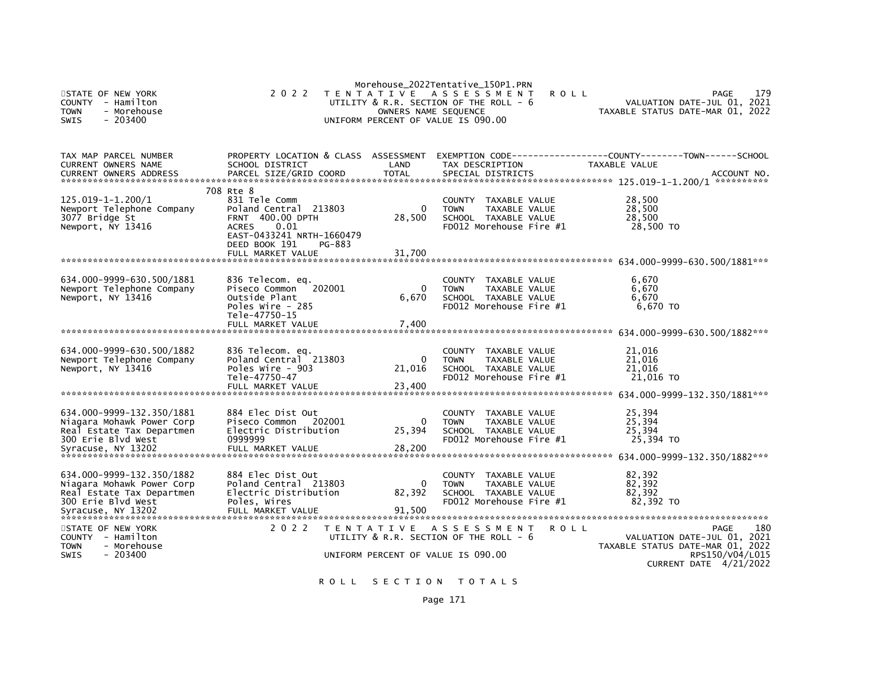| STATE OF NEW YORK<br><b>COUNTY</b><br>- Hamilton<br>- Morehouse<br>Town<br>$-203400$<br><b>SWIS</b>                             | 2 0 2 2                                                                                                                                                                      | OWNERS NAME SEQUENCE  | Morehouse_2022Tentative_150P1.PRN<br>TENTATIVE ASSESSMENT<br><b>ROLL</b><br>UTILITY & R.R. SECTION OF THE ROLL - 6<br>UNIFORM PERCENT OF VALUE IS 090.00 | VALUATION DATE-JUL 01, 2021<br>TAXABLE STATUS DATE-MAR 01, 2022                           | 179<br>PAGE                           |
|---------------------------------------------------------------------------------------------------------------------------------|------------------------------------------------------------------------------------------------------------------------------------------------------------------------------|-----------------------|----------------------------------------------------------------------------------------------------------------------------------------------------------|-------------------------------------------------------------------------------------------|---------------------------------------|
| TAX MAP PARCEL NUMBER<br>CURRENT OWNERS NAME<br><b>CURRENT OWNERS ADDRESS</b>                                                   | PROPERTY LOCATION & CLASS ASSESSMENT<br>SCHOOL DISTRICT<br>PARCEL SIZE/GRID COORD                                                                                            | LAND<br><b>TOTAL</b>  | EXEMPTION CODE----------<br>TAX DESCRIPTION<br>SPECIAL DISTRICTS                                                                                         | -----COUNTY--------TOWN------SCHOOL<br><b>TAXABLE VALUE</b>                               | ACCOUNT NO.                           |
| 125.019-1-1.200/1<br>Newport Telephone Company<br>3077 Bridge St<br>Newport, NY 13416                                           | 708 Rte 8<br>831 Tele Comm<br>Poland Central 213803<br>FRNT 400.00 DPTH<br><b>ACRES</b><br>0.01<br>EAST-0433241 NRTH-1660479<br>DEED BOOK 191<br>PG-883<br>FULL MARKET VALUE | 0<br>28,500<br>31,700 | COUNTY TAXABLE VALUE<br><b>TOWN</b><br><b>TAXABLE VALUE</b><br>SCHOOL TAXABLE VALUE<br>FD012 Morehouse Fire #1                                           | 28,500<br>28,500<br>28,500<br>28,500 TO                                                   |                                       |
|                                                                                                                                 |                                                                                                                                                                              |                       |                                                                                                                                                          |                                                                                           |                                       |
| 634.000-9999-630.500/1881<br>Newport Telephone Company<br>Newport, NY 13416                                                     | 836 Telecom. eq.<br>Piseco Common<br>202001<br>Outside Plant<br>Poles Wire - 285<br>Tele-47750-15                                                                            | $\Omega$<br>6,670     | COUNTY TAXABLE VALUE<br><b>TOWN</b><br><b>TAXABLE VALUE</b><br>SCHOOL TAXABLE VALUE<br>FD012 Morehouse Fire #1                                           | 6.670<br>6.670<br>6,670<br>6,670 TO                                                       |                                       |
|                                                                                                                                 | FULL MARKET VALUE                                                                                                                                                            | 7,400                 |                                                                                                                                                          |                                                                                           |                                       |
| 634.000-9999-630.500/1882<br>Newport Telephone Company<br>Newport, NY 13416                                                     | 836 Telecom. eq.<br>Poland Central 213803<br>Poles Wire - 903<br>Tele-47750-47<br>FULL MARKET VALUE                                                                          | 0<br>21,016<br>23,400 | COUNTY TAXABLE VALUE<br><b>TOWN</b><br>TAXABLE VALUE<br>SCHOOL TAXABLE VALUE<br>FD012 Morehouse Fire #1                                                  | 21,016<br>21,016<br>21.016<br>21,016 TO                                                   |                                       |
|                                                                                                                                 |                                                                                                                                                                              |                       |                                                                                                                                                          |                                                                                           |                                       |
| 634.000-9999-132.350/1881<br>Niagara Mohawk Power Corp<br>Real Estate Tax Departmen<br>300 Erie Blvd West                       | 884 Elec Dist Out<br>Piseco Common<br>202001<br>Electric Distribution<br>0999999                                                                                             | 0<br>25,394           | COUNTY TAXABLE VALUE<br><b>TAXABLE VALUE</b><br><b>TOWN</b><br>SCHOOL TAXABLE VALUE<br>FD012 Morehouse Fire #1                                           | 25,394<br>25,394<br>25,394<br>25,394 TO                                                   |                                       |
| 634.000-9999-132.350/1882<br>Niagara Mohawk Power Corp<br>Real Estate Tax Departmen<br>300 Erie Blyd West<br>Syracuse, NY 13202 | 884 Elec Dist Out<br>Poland Central 213803<br>Electric Distribution<br>Poles, Wires<br>FULL MARKET VALUE                                                                     | 0<br>82,392<br>91,500 | COUNTY TAXABLE VALUE<br>TAXABLE VALUE<br><b>TOWN</b><br>SCHOOL TAXABLE VALUE<br>FD012 Morehouse Fire #1                                                  | 82,392<br>82,392<br>82,392<br>82.392 TO                                                   |                                       |
| STATE OF NEW YORK<br>- Hamilton<br><b>COUNTY</b><br><b>TOWN</b><br>- Morehouse<br><b>SWIS</b><br>$-203400$                      | 2 0 2 2                                                                                                                                                                      |                       | TENTATIVE ASSESSMENT<br>R O L L<br>UTILITY & R.R. SECTION OF THE ROLL - 6<br>UNIFORM PERCENT OF VALUE IS 090.00                                          | VALUATION DATE-JUL 01, 2021<br>TAXABLE STATUS DATE-MAR 01, 2022<br>CURRENT DATE 4/21/2022 | 180<br><b>PAGE</b><br>RPS150/V04/L015 |

ROLL SECTION TOTALS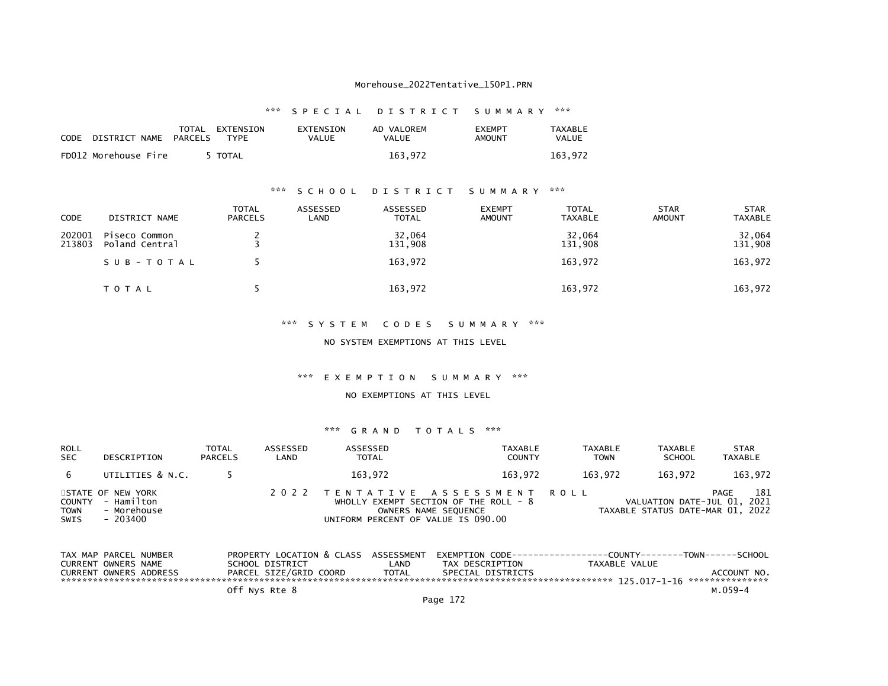|                            |                                | *** SPECIAL DISTRICT SUMMARY *** |                            |                         |                         |  |
|----------------------------|--------------------------------|----------------------------------|----------------------------|-------------------------|-------------------------|--|
| CODE DISTRICT_NAME PARCELS | TOTAL EXTENSION<br><b>TYPF</b> | EXTENSION<br>VALUE               | AD VALOREM<br><b>VALUE</b> | <b>FXFMPT</b><br>AMOUNT | TAXABLE<br><b>VALUE</b> |  |
| FD012 Morehouse Fire       | 5 TOTAL                        |                                  | 163.972                    |                         | 163.972                 |  |

# \*\*\* S C H O O L D I S T R I C T S U M M A R Y \*\*\*

| <b>CODE</b>      | DISTRICT NAME                   | <b>TOTAL</b><br><b>PARCELS</b> | ASSESSED<br>LAND | ASSESSED<br>TOTAL | <b>EXEMPT</b><br><b>AMOUNT</b> | <b>TOTAL</b><br><b>TAXABLE</b> | <b>STAR</b><br><b>AMOUNT</b> | <b>STAR</b><br><b>TAXABLE</b> |
|------------------|---------------------------------|--------------------------------|------------------|-------------------|--------------------------------|--------------------------------|------------------------------|-------------------------------|
| 202001<br>213803 | Piseco Common<br>Poland Central |                                |                  | 32,064<br>131,908 |                                | 32,064<br>131,908              |                              | 32,064<br>131,908             |
|                  | SUB-TOTAL                       |                                |                  | 163,972           |                                | 163,972                        |                              | 163,972                       |
|                  | T O T A L                       |                                |                  | 163,972           |                                | 163,972                        |                              | 163,972                       |

#### \*\*\* S Y S T E M C O D E S S U M M A R Y \*\*\*

### NO SYSTEM EXEMPTIONS AT THIS LEVEL

### \*\*\* E X E M P T I O N S U M M A R Y \*\*\*

#### NO EXEMPTIONS AT THIS LEVEL

| <b>ROLL</b><br><b>SEC</b>                   | DESCRIPTION                                                | <b>TOTAL</b><br><b>PARCELS</b> | ASSESSED<br>LAND | ASSESSED<br><b>TOTAL</b>                                                                     | TAXABLE<br><b>COUNTY</b>              | <b>TAXABLE</b><br><b>TOWN</b> | <b>TAXABLE</b><br><b>SCHOOL</b>                                 | <b>STAR</b><br>TAXABLE |
|---------------------------------------------|------------------------------------------------------------|--------------------------------|------------------|----------------------------------------------------------------------------------------------|---------------------------------------|-------------------------------|-----------------------------------------------------------------|------------------------|
| 6                                           | UTILITIES & N.C.                                           |                                |                  | 163.972                                                                                      | 163.972                               | 163.972                       | 163.972                                                         | 163,972                |
| <b>COUNTY</b><br><b>TOWN</b><br><b>SWIS</b> | STATE OF NEW YORK<br>- Hamilton<br>- Morehouse<br>- 203400 |                                |                  | 2022 TENTATIVE ASSESSMENT ROLL<br>OWNERS NAME SEQUENCE<br>UNIFORM PERCENT OF VALUE IS 090.00 | WHOLLY EXEMPT SECTION OF THE ROLL - 8 |                               | VALUATION DATE-JUL 01, 2021<br>TAXABLE STATUS DATE-MAR 01, 2022 | 181<br>PAGE            |

| TAX MAP PARCEL NUMBER |                        |                        | PROPERTY LOCATION & CLASS ASSESSMENT |                   |               | EXEMPTION CODE------------------COUNTY-------TOWN------SCHOOL |
|-----------------------|------------------------|------------------------|--------------------------------------|-------------------|---------------|---------------------------------------------------------------|
| CURRENT OWNERS NAME   |                        | SCHOOL DISTRICT        | LAND                                 | TAX DESCRIPTION   | TAXABLE VALUE |                                                               |
|                       | CURRENT OWNERS ADDRESS | PARCEL SIZE/GRID COORD | <b>TOTAL</b>                         | SPECIAL DISTRICTS |               | ACCOUNT NO.                                                   |
|                       |                        |                        |                                      |                   |               |                                                               |
|                       |                        | Off Nys Rte 8          |                                      |                   |               | м. 059–4                                                      |
|                       |                        |                        |                                      |                   |               |                                                               |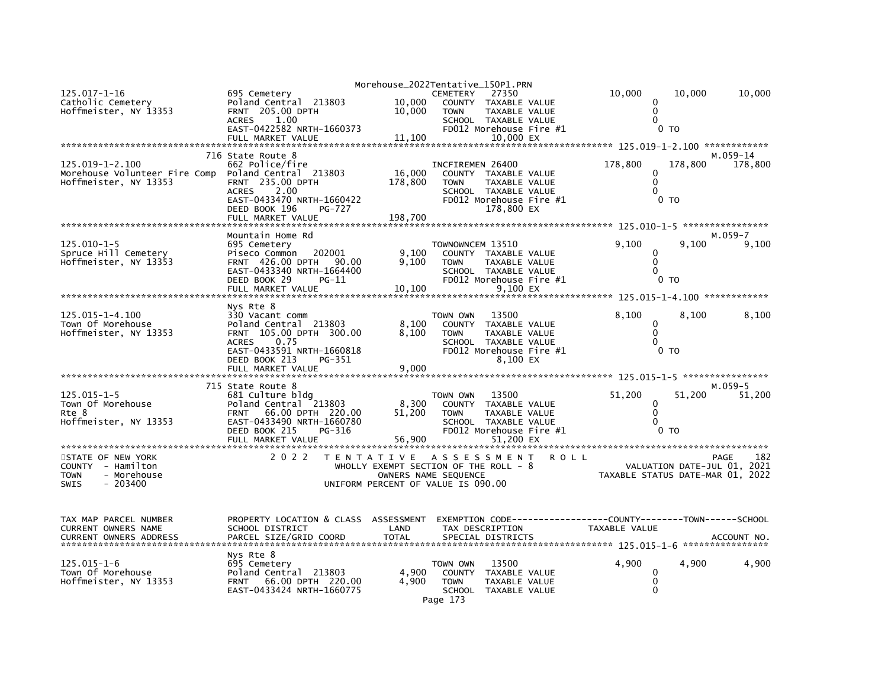| 125.017-1-16<br>Catholic Cemetery                      | 695 Cemetery<br>Poland Central 213803                                     | 10,000       | Morehouse_2022Tentative_150P1.PRN<br><b>CEMETERY</b><br>27350<br>COUNTY TAXABLE VALUE |                      | 10,000                               | 10,000<br>0                                                     | 10,000                         |
|--------------------------------------------------------|---------------------------------------------------------------------------|--------------|---------------------------------------------------------------------------------------|----------------------|--------------------------------------|-----------------------------------------------------------------|--------------------------------|
| Hoffmeister, NY 13353                                  | FRNT 205.00 DPTH<br><b>ACRES</b><br>1.00<br>EAST-0422582 NRTH-1660373     | 10,000       | <b>TOWN</b><br>SCHOOL TAXABLE VALUE<br>FD012 Morehouse Fire #1                        | <b>TAXABLE VALUE</b> |                                      | 0<br>$\mathbf{0}$<br>0 <sub>T</sub>                             |                                |
|                                                        | FULL MARKET VALUE                                                         | 11,100       |                                                                                       | 10,000 EX            |                                      |                                                                 |                                |
|                                                        | 716 State Route 8                                                         |              |                                                                                       |                      |                                      |                                                                 | M.059-14                       |
| $125.019 - 1 - 2.100$<br>Morehouse Volunteer Fire Comp | 662 Police/fire<br>Poland Central 213803                                  | 16,000       | INCFIREMEN 26400<br>COUNTY TAXABLE VALUE                                              |                      | 178,800                              | 178,800<br>0                                                    | 178,800                        |
| Hoffmeister, NY 13353                                  | FRNT 235.00 DPTH<br>2.00<br><b>ACRES</b>                                  | 178,800      | <b>TOWN</b><br>SCHOOL TAXABLE VALUE                                                   | TAXABLE VALUE        |                                      | $\mathbf 0$<br>$\mathbf{0}$                                     |                                |
|                                                        | EAST-0433470 NRTH-1660422<br>DEED BOOK 196<br>PG-727<br>FULL MARKET VALUE | 198,700      | FD012 Morehouse Fire #1<br>178,800 EX                                                 |                      |                                      | 0 <sub>T</sub>                                                  |                                |
|                                                        |                                                                           |              |                                                                                       |                      |                                      |                                                                 |                                |
| $125.010 - 1 - 5$                                      | Mountain Home Rd<br>695 Cemetery                                          |              | TOWNOWNCEM 13510                                                                      |                      | 9,100                                | 9,100                                                           | $M.059 - 7$<br>9,100           |
| Spruce Hill Cemetery                                   | 202001<br>Piseco Common                                                   | 9,100        | COUNTY TAXABLE VALUE                                                                  |                      |                                      | 0                                                               |                                |
| Hoffmeister, NY 13353                                  | FRNT 426.00 DPTH<br>90.00<br>EAST-0433340 NRTH-1664400                    | 9,100        | <b>TOWN</b><br>SCHOOL TAXABLE VALUE                                                   | TAXABLE VALUE        |                                      | $\mathbf 0$<br>$\Omega$                                         |                                |
|                                                        | DEED BOOK 29<br>PG-11                                                     |              | FD012 Morehouse Fire #1                                                               |                      |                                      | 0 <sub>T</sub>                                                  |                                |
|                                                        | FULL MARKET VALUE                                                         | 10,100       |                                                                                       | 9,100 EX             |                                      |                                                                 |                                |
|                                                        | Nys Rte 8                                                                 |              |                                                                                       |                      |                                      |                                                                 |                                |
| 125.015-1-4.100<br>Town Of Morehouse                   | 330 Vacant comm<br>Poland Central 213803                                  | 8,100        | 13500<br>TOWN OWN<br>COUNTY                                                           | TAXABLE VALUE        | 8,100                                | 8,100<br>0                                                      | 8,100                          |
| Hoffmeister, NY 13353                                  | 105.00 DPTH 300.00<br><b>FRNT</b><br><b>ACRES</b><br>0.75                 | 8,100        | <b>TOWN</b><br>SCHOOL TAXABLE VALUE                                                   | <b>TAXABLE VALUE</b> |                                      | $\mathbf{0}$<br>$\Omega$                                        |                                |
|                                                        | EAST-0433591 NRTH-1660818                                                 |              | FD012 Morehouse Fire #1                                                               |                      |                                      | 0 TO                                                            |                                |
|                                                        | DEED BOOK 213<br>PG-351<br>FULL MARKET VALUE                              | 9.000        |                                                                                       | 8,100 EX             |                                      |                                                                 |                                |
|                                                        |                                                                           |              |                                                                                       |                      |                                      |                                                                 |                                |
| $125.015 - 1 - 5$                                      | 715 State Route 8<br>681 Culture bldg                                     |              | 13500<br>TOWN OWN                                                                     |                      | 51,200                               | 51,200                                                          | $M.059-5$<br>51,200            |
| Town Of Morehouse                                      | Poland Central 213803                                                     | 8,300        | COUNTY                                                                                | TAXABLE VALUE        |                                      | 0                                                               |                                |
| Rte 8<br>Hoffmeister, NY 13353                         | 66.00 DPTH 220.00<br><b>FRNT</b><br>EAST-0433490 NRTH-1660780             | 51,200       | <b>TOWN</b><br>SCHOOL TAXABLE VALUE                                                   | TAXABLE VALUE        |                                      | 0<br>$\mathbf{0}$                                               |                                |
|                                                        | DEED BOOK 215<br>PG-316                                                   |              | FD012 Morehouse Fire #1                                                               |                      |                                      | 0 <sub>T</sub>                                                  |                                |
|                                                        | FULL MARKET VALUE                                                         | 56,900       |                                                                                       | 51.200 EX            |                                      |                                                                 |                                |
| STATE OF NEW YORK                                      | 2 0 2 2                                                                   |              | TENTATIVE ASSESSMENT                                                                  | <b>ROLL</b>          |                                      |                                                                 | 182<br><b>PAGE</b>             |
| COUNTY - Hamilton<br>- Morehouse<br><b>TOWN</b>        |                                                                           |              | WHOLLY EXEMPT SECTION OF THE ROLL - 8<br>OWNERS NAME SEQUENCE                         |                      |                                      | VALUATION DATE-JUL 01, 2021<br>TAXABLE STATUS DATE-MAR 01, 2022 |                                |
| $-203400$<br>SWIS                                      |                                                                           |              | UNIFORM PERCENT OF VALUE IS 090.00                                                    |                      |                                      |                                                                 |                                |
| TAX MAP PARCEL NUMBER                                  | PROPERTY LOCATION & CLASS ASSESSMENT                                      |              | EXEMPTION CODE--                                                                      |                      | ------COUNTY--------TOWN------SCHOOL |                                                                 |                                |
| CURRENT OWNERS NAME                                    | SCHOOL DISTRICT                                                           | LAND         | TAX DESCRIPTION                                                                       |                      | TAXABLE VALUE                        |                                                                 |                                |
| <b>CURRENT OWNERS ADDRESS</b>                          | PARCEL SIZE/GRID COORD                                                    | <b>TOTAL</b> | SPECIAL DISTRICTS                                                                     |                      |                                      |                                                                 | ACCOUNT NO<br>**************** |
|                                                        | Nys Rte 8                                                                 |              |                                                                                       |                      |                                      |                                                                 |                                |
| $125.015 - 1 - 6$<br>Town Of Morehouse                 | 695 Cemetery<br>Poland Central 213803                                     | 4,900        | 13500<br>TOWN OWN<br><b>COUNTY</b>                                                    | TAXABLE VALUE        | 4,900                                | 4,900<br>$\mathbf{0}$                                           | 4.900                          |
| Hoffmeister. NY 13353                                  | 66.00 DPTH 220.00<br><b>FRNT</b>                                          | 4.900        | <b>TOWN</b>                                                                           | TAXABLE VALUE        |                                      | 0                                                               |                                |
|                                                        | EAST-0433424 NRTH-1660775                                                 |              | SCHOOL TAXABLE VALUE<br>Page 173                                                      |                      |                                      | 0                                                               |                                |
|                                                        |                                                                           |              |                                                                                       |                      |                                      |                                                                 |                                |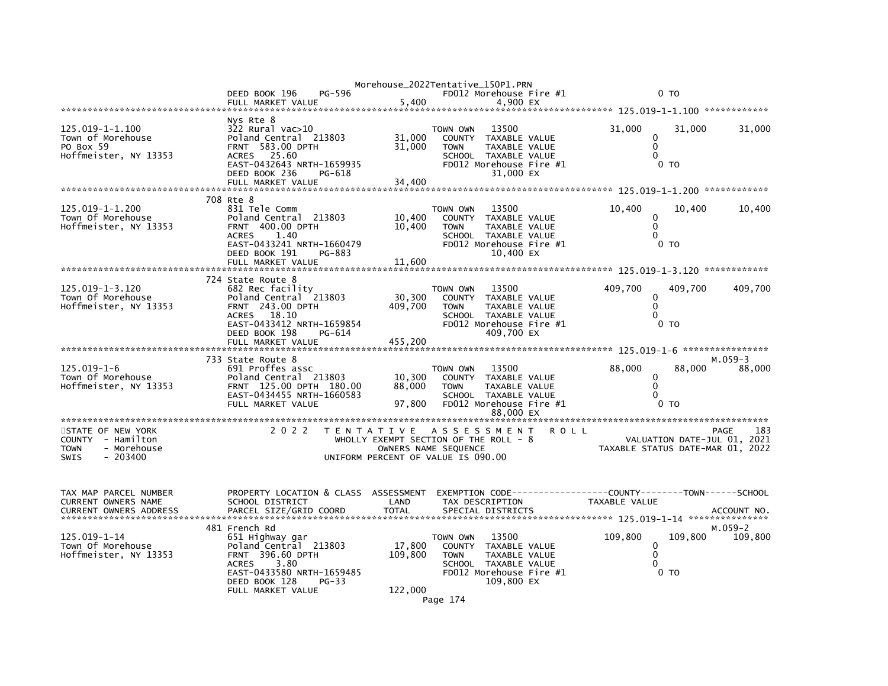|                                                                                           |                                                                                                                                                                                   |                              | Morehouse_2022Tentative_150P1.PRN                                                                                                                    |             |                                                                    |                                     |                      |
|-------------------------------------------------------------------------------------------|-----------------------------------------------------------------------------------------------------------------------------------------------------------------------------------|------------------------------|------------------------------------------------------------------------------------------------------------------------------------------------------|-------------|--------------------------------------------------------------------|-------------------------------------|----------------------|
|                                                                                           | DEED BOOK 196<br>PG-596<br>FULL MARKET VALUE                                                                                                                                      | 5.400                        | FD012 Morehouse Fire #1                                                                                                                              |             |                                                                    | 0 <sub>T</sub>                      |                      |
|                                                                                           |                                                                                                                                                                                   |                              | 4,900 EX                                                                                                                                             |             |                                                                    |                                     |                      |
| 125.019-1-1.100<br>Town of Morehouse<br>PO Box 59<br>Hoffmeister, NY 13353                | Nys Rte 8<br>$322$ Rural vac $>10$<br>Poland Central 213803<br><b>FRNT 583.00 DPTH</b><br>25.60<br><b>ACRES</b><br>EAST-0432643 NRTH-1659935<br>DEED BOOK 236<br>PG-618           | 31,000<br>31,000             | 13500<br>TOWN OWN<br>COUNTY<br>TAXABLE VALUE<br><b>TOWN</b><br>TAXABLE VALUE<br>SCHOOL TAXABLE VALUE<br>FD012 Morehouse Fire #1<br>31,000 EX         |             | 31,000<br>0<br>$\mathbf 0$<br>$\Omega$                             | 31,000<br>0 <sub>T</sub>            | 31,000               |
|                                                                                           | FULL MARKET VALUE                                                                                                                                                                 | 34,400                       |                                                                                                                                                      |             |                                                                    |                                     |                      |
| 125.019-1-1.200<br>Town Of Morehouse<br>Hoffmeister, NY 13353                             | 708 Rte 8<br>831 Tele Comm<br>Poland Central 213803<br>FRNT 400.00 DPTH<br><b>ACRES</b><br>1.40<br>EAST-0433241 NRTH-1660479<br>DEED BOOK 191<br>PG-883                           | 10,400<br>10,400             | TOWN OWN<br>13500<br>COUNTY<br>TAXABLE VALUE<br>TAXABLE VALUE<br><b>TOWN</b><br>SCHOOL TAXABLE VALUE<br>FD012 Morehouse Fire #1<br>10.400 EX         |             | 10,400<br>0<br>$\mathbf 0$<br>$\Omega$                             | 10,400<br>0 то                      | 10,400               |
|                                                                                           | FULL MARKET VALUE                                                                                                                                                                 | 11,600                       |                                                                                                                                                      |             |                                                                    |                                     |                      |
| 125.019-1-3.120<br>Town Of Morehouse<br>Hoffmeister, NY 13353                             | 724 State Route 8<br>682 Rec facility<br>Poland Central 213803<br>FRNT 243.00 DPTH<br>18.10<br><b>ACRES</b><br>EAST-0433412 NRTH-1659854<br>DEED BOOK 198<br>PG-614               | 30,300<br>409,700            | 13500<br>TOWN OWN<br><b>COUNTY</b><br>TAXABLE VALUE<br><b>TOWN</b><br>TAXABLE VALUE<br>SCHOOL TAXABLE VALUE<br>FD012 Morehouse Fire #1<br>409.700 EX |             | 409,700<br>0<br>$\mathbf 0$<br>$\Omega$                            | 409,700<br>0 <sub>T</sub>           | 409,700              |
|                                                                                           | FULL MARKET VALUE                                                                                                                                                                 | 455,200                      |                                                                                                                                                      |             |                                                                    |                                     |                      |
| $125.019 - 1 - 6$<br>Town Of Morehouse<br>Hoffmeister, NY 13353                           | 733 State Route 8<br>691 Proffes assc<br>Poland Central 213803<br>FRNT 125.00 DPTH 180.00<br>EAST-0434455 NRTH-1660583<br>FULL MARKET VALUE                                       | 10,300<br>88,000<br>97,800   | TOWN OWN<br>13500<br>COUNTY TAXABLE VALUE<br><b>TOWN</b><br>TAXABLE VALUE<br>SCHOOL TAXABLE VALUE<br>FD012 Morehouse Fire #1<br>88,000 EX            |             | 88,000<br>0<br>$\mathbf 0$<br>$\Omega$                             | 88,000<br>0 <sub>T</sub>            | $M.059-3$<br>88,000  |
|                                                                                           |                                                                                                                                                                                   |                              |                                                                                                                                                      |             |                                                                    |                                     |                      |
| STATE OF NEW YORK<br>COUNTY - Hamilton<br>- Morehouse<br><b>TOWN</b><br>SWIS<br>$-203400$ | 2 0 2 2                                                                                                                                                                           |                              | TENTATIVE ASSESSMENT<br>WHOLLY EXEMPT SECTION OF THE ROLL - 8<br>OWNERS NAME SEQUENCE<br>UNIFORM PERCENT OF VALUE IS 090.00                          | <b>ROLL</b> | TAXABLE STATUS DATE-MAR 01, 2022                                   | PAGE<br>VALUATION DATE-JUL 01, 2021 | 183                  |
| TAX MAP PARCEL NUMBER<br>CURRENT OWNERS NAME                                              | PROPERTY LOCATION & CLASS ASSESSMENT<br>SCHOOL DISTRICT                                                                                                                           | LAND                         | EXEMPTION CODE----<br>TAX DESCRIPTION                                                                                                                |             | ------------COUNTY--------TOWN------SCHOOL<br><b>TAXABLE VALUE</b> |                                     |                      |
| 125.019-1-14<br>Town Of Morehouse<br>Hoffmeister, NY 13353                                | 481 French Rd<br>651 Highway gar<br>Poland Central 213803<br>FRNT 396.60 DPTH<br>3.80<br><b>ACRES</b><br>EAST-0433580 NRTH-1659485<br>DEED BOOK 128<br>PG-33<br>FULL MARKET VALUE | 17,800<br>109,800<br>122,000 | TOWN OWN<br>13500<br>COUNTY TAXABLE VALUE<br><b>TOWN</b><br>TAXABLE VALUE<br>SCHOOL TAXABLE VALUE<br>FD012 Morehouse Fire #1<br>109,800 EX           |             | 109,800<br>$\mathbf 0$<br>$\mathbf 0$<br>0                         | 109,800<br>0 <sub>T</sub>           | $M.059-2$<br>109,800 |
|                                                                                           |                                                                                                                                                                                   |                              | Page 174                                                                                                                                             |             |                                                                    |                                     |                      |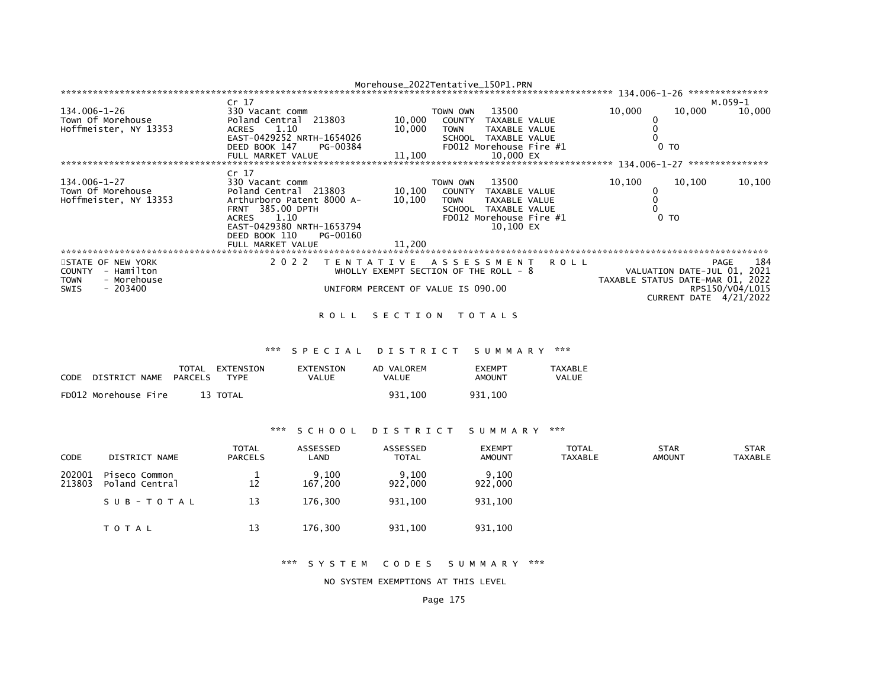|                                 |                              | Morehouse_2022Tentative_150P1.PRN     |                                |             |                                  |                             | *************** |
|---------------------------------|------------------------------|---------------------------------------|--------------------------------|-------------|----------------------------------|-----------------------------|-----------------|
|                                 | Cr <sub>17</sub>             |                                       |                                |             |                                  |                             | м.059-1         |
| 134.006-1-26                    | 330 Vacant comm              | TOWN OWN                              | 13500                          |             | 10,000                           | 10,000                      | 10,000          |
| Town Of Morehouse               | Poland Central 213803        | 10,000                                | <b>COUNTY</b><br>TAXABLE VALUE |             |                                  |                             |                 |
| Hoffmeister, NY 13353           | 1.10<br>ACRES                | 10,000<br><b>TOWN</b>                 | TAXABLE VALUE                  |             |                                  |                             |                 |
|                                 | EAST-0429252 NRTH-1654026    |                                       | <b>TAXABLE VALUE</b><br>SCHOOL |             |                                  |                             |                 |
|                                 | DEED BOOK 147<br>PG-00384    |                                       | FD012 Morehouse Fire #1        |             |                                  | 0 <sub>TO</sub>             |                 |
|                                 | FULL MARKET VALUE            | 11,100                                | 10.000 EX                      |             |                                  |                             |                 |
| ******************************* |                              |                                       |                                |             | 134.006-1-27                     |                             | *************** |
|                                 | Cr <sub>17</sub>             |                                       |                                |             |                                  |                             |                 |
| $134.006 - 1 - 27$              | 330 Vacant comm              | TOWN OWN                              | 13500                          |             | 10,100                           | 10,100                      | 10,100          |
| Town Of Morehouse               | Poland Central 213803        | 10,100                                | <b>COUNTY</b><br>TAXABLE VALUE |             |                                  |                             |                 |
| Hoffmeister, NY 13353           | Arthurboro Patent 8000 A-    | 10,100<br><b>TOWN</b>                 | TAXABLE VALUE                  |             |                                  |                             |                 |
|                                 | FRNT 385.00 DPTH             |                                       | <b>SCHOOL</b><br>TAXABLE VALUE |             |                                  |                             |                 |
|                                 | 1.10<br>ACRES                |                                       | FD012 Morehouse Fire #1        |             |                                  | 0 <sub>T</sub>              |                 |
|                                 | EAST-0429380 NRTH-1653794    |                                       | 10.100 EX                      |             |                                  |                             |                 |
|                                 | DEED BOOK 110<br>PG-00160    |                                       |                                |             |                                  |                             |                 |
|                                 | FULL MARKET VALUE            | 11.200                                |                                |             |                                  |                             |                 |
|                                 |                              |                                       |                                |             |                                  |                             |                 |
| STATE OF NEW YORK               | 2 0 2 2<br>T E N T A T I V E |                                       | A S S E S S M E N T            | <b>ROLL</b> |                                  | PAGE                        | 184             |
| - Hamilton<br><b>COUNTY</b>     |                              | WHOLLY EXEMPT SECTION OF THE ROLL - 8 |                                |             |                                  | VALUATION DATE-JUL 01, 2021 |                 |
|                                 |                              |                                       |                                |             |                                  |                             |                 |
| - Morehouse<br><b>TOWN</b>      |                              |                                       |                                |             | TAXABLE STATUS DATE-MAR 01, 2022 |                             |                 |
| $-203400$<br>SWIS               |                              | UNIFORM PERCENT OF VALUE IS 090.00    |                                |             |                                  |                             | RPS150/V04/L015 |
|                                 |                              |                                       |                                |             |                                  | CURRENT DATE 4/21/2022      |                 |
|                                 |                              |                                       |                                |             |                                  |                             |                 |

### ROLL SECTION TOTALS

#### \*\*\* S P E C I A L D I S T R I C T S U M M A R Y \*\*\*

| CODE | DISTRICT NAME        | TOTAL<br>PARCELS | EXTENSION<br><b>TYPF</b> | EXTENSION<br>VALUE | AD VALOREM<br>VALUE | <b>EXEMPT</b><br>AMOUNT | <b>TAXABLE</b><br>VALUE |
|------|----------------------|------------------|--------------------------|--------------------|---------------------|-------------------------|-------------------------|
|      | FD012 Morehouse Fire |                  | 13 TOTAL                 |                    | 931.100             | 931.100                 |                         |

# \*\*\* S C H O O L D I S T R I C T S U M M A R Y \*\*\*

| <b>CODE</b>      | DISTRICT NAME                   | <b>TOTAL</b><br><b>PARCELS</b> | ASSESSED<br>LAND | ASSESSED<br><b>TOTAL</b> | <b>EXEMPT</b><br><b>AMOUNT</b> | <b>TOTAL</b><br><b>TAXABLE</b> | <b>STAR</b><br><b>AMOUNT</b> | <b>STAR</b><br>TAXABLE |
|------------------|---------------------------------|--------------------------------|------------------|--------------------------|--------------------------------|--------------------------------|------------------------------|------------------------|
| 202001<br>213803 | Piseco Common<br>Poland Central | 12                             | 9,100<br>167.200 | 9,100<br>922,000         | 9,100<br>922,000               |                                |                              |                        |
|                  | SUB-TOTAL                       | 13                             | 176.300          | 931.100                  | 931.100                        |                                |                              |                        |
|                  | T O T A L                       | 13                             | 176,300          | 931,100                  | 931,100                        |                                |                              |                        |

\*\*\* S Y S T E M C O D E S S U M M A R Y \*\*\*

NO SYSTEM EXEMPTIONS AT THIS LEVEL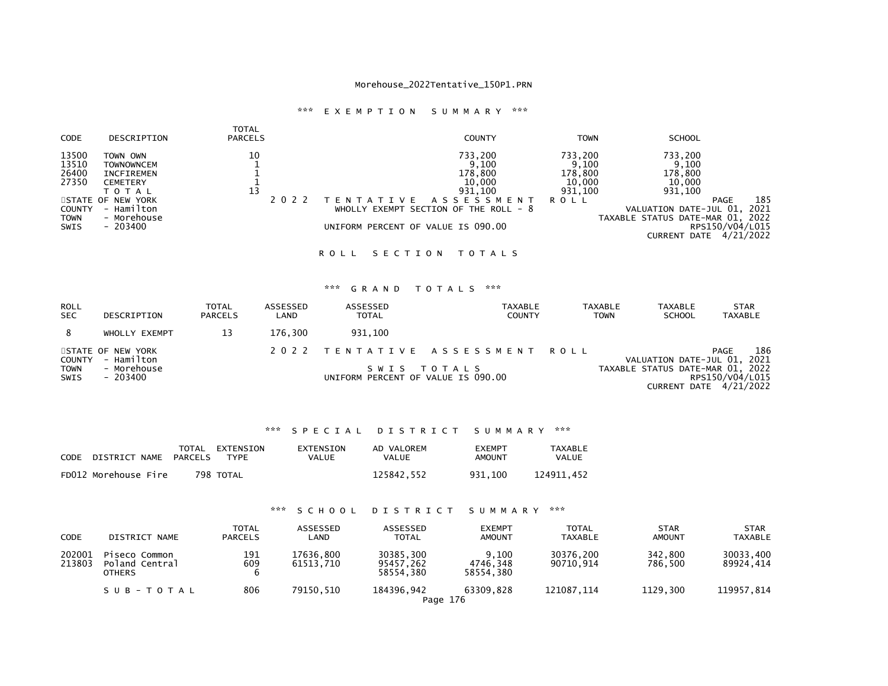# \*\*\* E X E M P T I O N S U M M A R Y \*\*\*

| <b>CODE</b>                                                       | DESCRIPTION                                                                                                                         | TOTAL<br><b>PARCELS</b> | <b>COUNTY</b>                                                                                                                                                               | <b>TOWN</b>                                                     | <b>SCHOOL</b>                                                                                                  |                                                                    |
|-------------------------------------------------------------------|-------------------------------------------------------------------------------------------------------------------------------------|-------------------------|-----------------------------------------------------------------------------------------------------------------------------------------------------------------------------|-----------------------------------------------------------------|----------------------------------------------------------------------------------------------------------------|--------------------------------------------------------------------|
| 13500<br>13510<br>26400<br>27350<br>COUNTY<br>TOWN<br><b>SWIS</b> | TOWN OWN<br><b>TOWNOWNCEM</b><br>INCFIREMEN<br>CEMETERY<br>T O T A L<br>STATE OF NEW YORK<br>- Hamilton<br>- Morehouse<br>$-203400$ | 10<br>13                | 733,200<br>9,100<br>178,800<br>10,000<br>931.100<br>T E N T A T I V E<br>A S S E S S M E N T<br>WHOLLY EXEMPT SECTION OF THE ROLL - 8<br>UNIFORM PERCENT OF VALUE IS 090.00 | 733,200<br>9,100<br>178,800<br>10,000<br>931,100<br><b>ROLL</b> | 733,200<br>9,100<br>178,800<br>10,000<br>931,100<br>VALUATION DATE-JUL 01,<br>TAXABLE STATUS DATE-MAR 01, 2022 | 185<br>PAGE<br>2021<br>RPS150/V04/L015<br>CURRENT DATE $4/21/2022$ |
|                                                                   |                                                                                                                                     |                         |                                                                                                                                                                             |                                                                 |                                                                                                                |                                                                    |

### ROLL SECTION TOTALS

# \*\*\* G R A N D T O T A L S \*\*\*

| <b>ROLL</b><br><b>SEC</b>  | DESCRIPTION                     | TOTAL<br><b>PARCELS</b> | ASSESSED<br>LAND | ASSESSED<br><b>TOTAL</b>           | TAXABLE<br><b>COUNTY</b>       | <b>TAXABLE</b> | <b>TAXABLE</b><br><b>SCHOOL</b><br><b>TOWN</b> | <b>STAR</b><br>TAXABLE                    |
|----------------------------|---------------------------------|-------------------------|------------------|------------------------------------|--------------------------------|----------------|------------------------------------------------|-------------------------------------------|
| 8                          | WHOLLY EXEMPT                   | 13                      | 176.300          | 931.100                            |                                |                |                                                |                                           |
| <b>COUNTY</b>              | STATE OF NEW YORK<br>- Hamilton |                         |                  |                                    | 2022 TENTATIVE ASSESSMENT ROLL |                | VALUATION DATE-JUL 01, 2021                    | 186<br><b>PAGE</b>                        |
| <b>TOWN</b><br><b>SWIS</b> | - Morehouse<br>- 203400         |                         |                  | UNIFORM PERCENT OF VALUE IS 090.00 | SWIS TOTALS                    |                | TAXABLE STATUS DATE-MAR 01, 2022               | RPS150/V04/L015<br>CURRENT DATE 4/21/2022 |

# \*\*\* S P E C I A L D I S T R I C T S U M M A R Y \*\*\*

| CODE | DISTRICT NAME        | PARCELS | TOTAL EXTENSION<br>TYPF. | EXTENSION<br>VALUE | AD VALOREM<br>VALUE | EXEMPT<br>AMOUNT | TAXABLE<br>VALUE |
|------|----------------------|---------|--------------------------|--------------------|---------------------|------------------|------------------|
|      | FD012 Morehouse Fire |         | 798 TOTAL                |                    | 125842.552          | 931.100          | 124911.452       |

# \*\*\* S C H O O L D I S T R I C T S U M M A R Y \*\*\*

| CODE             | DISTRICT NAME                                    | TOTAL<br><b>PARCELS</b> | ASSESSED<br>LAND       | ASSESSED<br><b>TOTAL</b>            | <b>EXEMPT</b><br><b>AMOUNT</b> | <b>TOTAL</b><br>TAXABLE | <b>STAR</b><br><b>AMOUNT</b> | <b>STAR</b><br><b>TAXABLE</b> |
|------------------|--------------------------------------------------|-------------------------|------------------------|-------------------------------------|--------------------------------|-------------------------|------------------------------|-------------------------------|
| 202001<br>213803 | Piseco Common<br>Poland Central<br><b>OTHERS</b> | 191<br>609<br>6         | 17636.800<br>61513.710 | 30385,300<br>95457,262<br>58554.380 | 9.100<br>4746.348<br>58554.380 | 30376.200<br>90710.914  | 342,800<br>786.500           | 30033,400<br>89924,414        |
|                  | SUB-TOTAL                                        | 806                     | 79150.510              | 184396,942<br>Page 176              | 63309.828                      | 121087.114              | 1129.300                     | 119957,814                    |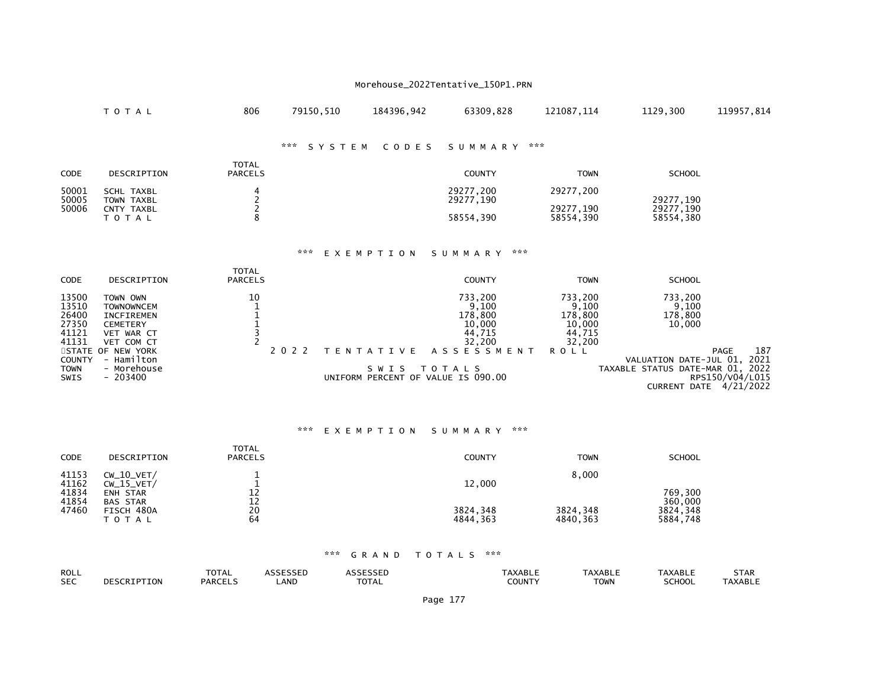|                                                    | TOTAL                                                                                             | 806                            | 79150,510     | 184396,942                | 63309,828                                                  | 121087,114                                                | 1129,300                                                                             | 119957,814                             |
|----------------------------------------------------|---------------------------------------------------------------------------------------------------|--------------------------------|---------------|---------------------------|------------------------------------------------------------|-----------------------------------------------------------|--------------------------------------------------------------------------------------|----------------------------------------|
|                                                    |                                                                                                   |                                | ***<br>SYSTEM | CODES                     | ***<br>SUMMARY                                             |                                                           |                                                                                      |                                        |
| <b>CODE</b>                                        | DESCRIPTION                                                                                       | <b>TOTAL</b><br><b>PARCELS</b> |               |                           | <b>COUNTY</b>                                              | <b>TOWN</b>                                               | <b>SCHOOL</b>                                                                        |                                        |
| 50001<br>50005<br>50006                            | <b>SCHL TAXBL</b><br><b>TOWN TAXBL</b><br>CNTY TAXBL<br>TOTAL                                     | $\frac{2}{2}$<br>8             |               |                           | 29277,200<br>29277,190<br>58554,390                        | 29277,200<br>29277,190<br>58554,390                       | 29277,190<br>29277,190<br>58554,380                                                  |                                        |
|                                                    |                                                                                                   |                                | ***           | EXEMPTION                 | ***<br>SUMMARY                                             |                                                           |                                                                                      |                                        |
| <b>CODE</b>                                        | DESCRIPTION                                                                                       | <b>TOTAL</b><br><b>PARCELS</b> |               |                           | <b>COUNTY</b>                                              | <b>TOWN</b>                                               | <b>SCHOOL</b>                                                                        |                                        |
| 13500<br>13510<br>26400<br>27350<br>41121<br>41131 | TOWN OWN<br><b>TOWNOWNCEM</b><br><b>INCFIREMEN</b><br><b>CEMETERY</b><br>VET WAR CT<br>VET COM CT | 10<br>$\frac{1}{3}$            |               |                           | 733,200<br>9,100<br>178,800<br>10,000<br>44,715<br>32,200  | 733,200<br>9,100<br>178,800<br>10,000<br>44,715<br>32,200 | 733,200<br>9,100<br>178,800<br>10,000                                                |                                        |
| <b>STATE</b><br>COUNTY<br><b>TOWN</b><br>SWIS      | OF NEW YORK<br>- Hamilton<br>- Morehouse<br>$-203400$                                             |                                | 2 0 2 2       | T E N T A T I V E<br>SWIS | ASSESSMENT<br>TOTALS<br>UNIFORM PERCENT OF VALUE IS 090.00 | <b>ROLL</b>                                               | VALUATION DATE-JUL 01,<br>TAXABLE STATUS DATE-MAR 01, 2022<br>CURRENT DATE 4/21/2022 | 187<br>PAGE<br>2021<br>RPS150/V04/L015 |

# \*\*\* E X E M P T I O N S U M M A R Y \*\*\*

| <b>CODE</b>                               | DESCRIPTION                                                                        | <b>TOTAL</b><br><b>PARCELS</b> | <b>COUNTY</b>                  | <b>TOWN</b>                   | <b>SCHOOL</b>                              |
|-------------------------------------------|------------------------------------------------------------------------------------|--------------------------------|--------------------------------|-------------------------------|--------------------------------------------|
| 41153<br>41162<br>41834<br>41854<br>47460 | $CW_10_VET/$<br>$CW_15_VET/$<br>ENH STAR<br><b>BAS STAR</b><br>FISCH 480A<br>ΤΟΤΑΙ | -<br>12<br>12<br>20<br>64      | 12,000<br>3824,348<br>4844,363 | 8.000<br>3824,348<br>4840,363 | 769,300<br>360,000<br>3824,348<br>5884,748 |

| ROLL<br><b>SEC</b> | τοΝ | -~-<br>UIAL<br>- אכי | <b>AND</b> | -^-<br>UIAI | ╌<br><b>COUN</b> | 1.101<br>$T$ $\cap$<br>∣ OWN | ۹DL<br>$\sim$ $\sim$ $\sim$ | $\cdots$<br>JIM<br>$\cdot$ |
|--------------------|-----|----------------------|------------|-------------|------------------|------------------------------|-----------------------------|----------------------------|
|                    |     |                      |            |             |                  |                              |                             |                            |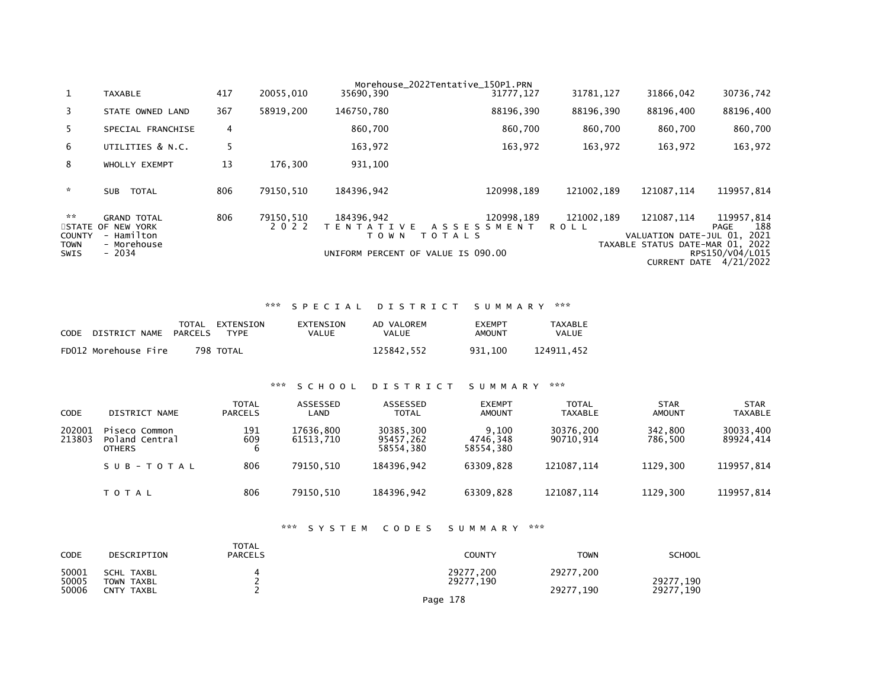| $\mathbf{1}$                               | <b>TAXABLE</b>                                                                  | 417 | 20055.010            | 35690,390                                  | Morehouse 2022Tentative 150P1.PRN<br>31777, 127                               | 31781, 127                | 31866,042                            | 30736,742                                                                                                          |
|--------------------------------------------|---------------------------------------------------------------------------------|-----|----------------------|--------------------------------------------|-------------------------------------------------------------------------------|---------------------------|--------------------------------------|--------------------------------------------------------------------------------------------------------------------|
| 3                                          | STATE OWNED LAND                                                                | 367 | 58919,200            | 146750,780                                 | 88196,390                                                                     | 88196,390                 | 88196,400                            | 88196,400                                                                                                          |
| 5.                                         | SPECIAL FRANCHISE                                                               | 4   |                      | 860,700                                    | 860,700                                                                       | 860.700                   | 860,700                              | 860,700                                                                                                            |
| 6                                          | UTILITIES & N.C.                                                                |     |                      | 163,972                                    | 163,972                                                                       | 163,972                   | 163,972                              | 163,972                                                                                                            |
| 8                                          | WHOLLY EXEMPT                                                                   | 13  | 176.300              | 931,100                                    |                                                                               |                           |                                      |                                                                                                                    |
| $\mathcal{R}$                              | <b>TOTAL</b><br><b>SUB</b>                                                      | 806 | 79150.510            | 184396,942                                 | 120998.189                                                                    | 121002.189                | 121087.114                           | 119957,814                                                                                                         |
| **<br><b>COUNTY</b><br>TOWN<br><b>SWIS</b> | <b>GRAND TOTAL</b><br>STATE OF NEW YORK<br>- Hamilton<br>- Morehouse<br>$-2034$ | 806 | 79150.510<br>2 0 2 2 | 184396.942<br>T E N T A T I V E<br>T O W N | 120998.189<br>ASSESSMENT<br>T O T A L S<br>UNIFORM PERCENT OF VALUE IS 090.00 | 121002.189<br><b>ROLL</b> | 121087.114<br>VALUATION DATE-JUL 01. | 119957.814<br>188<br>PAGE<br>2021<br>TAXABLE STATUS DATE-MAR 01, 2022<br>RPS150/V04/L015<br>CURRENT DATE 4/21/2022 |

### \*\*\* S P E C I A L D I S T R I C T S U M M A R Y \*\*\*

| <b>CODE</b> | DISTRICT NAME        | PARCELS | TOTAL EXTENSION<br>TYPF. | EXTENSION<br>VALUE | AD VALOREM<br>VALUE | <b>EXEMPT</b><br>AMOUNT | TAXABLE<br>VALUE |
|-------------|----------------------|---------|--------------------------|--------------------|---------------------|-------------------------|------------------|
|             | FD012 Morehouse Fire |         | 798 TOTAL                |                    | 125842.552          | 931.100                 | 124911.452       |

### \*\*\* S C H O O L D I S T R I C T S U M M A R Y \*\*\*

| <b>CODE</b>      | DISTRICT NAME                                    | TOTAL<br><b>PARCELS</b> | ASSESSED<br>LAND       | ASSESSED<br><b>TOTAL</b>            | <b>EXEMPT</b><br><b>AMOUNT</b> | <b>TOTAL</b><br><b>TAXABLE</b> | <b>STAR</b><br><b>AMOUNT</b> | <b>STAR</b><br><b>TAXABLE</b> |
|------------------|--------------------------------------------------|-------------------------|------------------------|-------------------------------------|--------------------------------|--------------------------------|------------------------------|-------------------------------|
| 202001<br>213803 | Piseco Common<br>Poland Central<br><b>OTHERS</b> | 191<br>609<br>6         | 17636.800<br>61513.710 | 30385,300<br>95457,262<br>58554.380 | 9,100<br>4746.348<br>58554.380 | 30376,200<br>90710.914         | 342,800<br>786.500           | 30033,400<br>89924,414        |
|                  | SUB-TOTAL                                        | 806                     | 79150.510              | 184396.942                          | 63309.828                      | 121087.114                     | 1129.300                     | 119957,814                    |
|                  | <b>TOTAL</b>                                     | 806                     | 79150.510              | 184396.942                          | 63309.828                      | 121087.114                     | 1129.300                     | 119957,814                    |

# \*\*\* S Y S T E M C O D E S S U M M A R Y \*\*\*

| <b>CODE</b>             | DESCRIPTION                                   | TOTAL<br><b>PARCELS</b> | COUNTY                             | <b>TOWN</b>            | <b>SCHOOL</b>          |
|-------------------------|-----------------------------------------------|-------------------------|------------------------------------|------------------------|------------------------|
| 50001<br>50005<br>50006 | <b>SCHL TAXBL</b><br>TOWN TAXBL<br>CNTY TAXBL |                         | 29277,200<br>29277,190<br>Page 178 | 29277,200<br>29277.190 | 29277,190<br>29277,190 |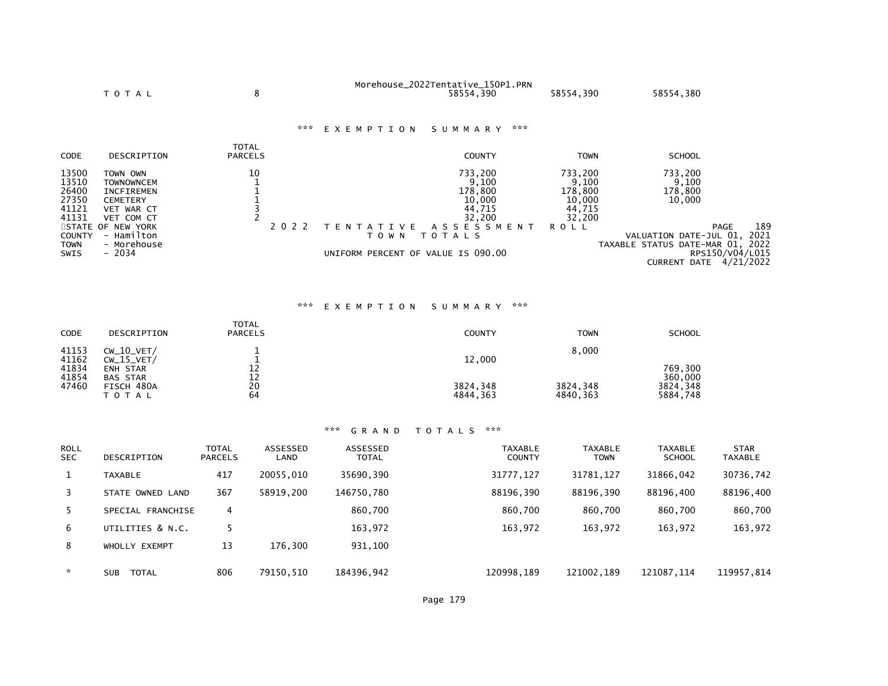|                                                    | <b>TOTAL</b>                                                                                      | 8                              | Morehouse_2022Tentative_150P1.PRN<br>58554,390            | 58554,390                                                 | 58554,380                             |
|----------------------------------------------------|---------------------------------------------------------------------------------------------------|--------------------------------|-----------------------------------------------------------|-----------------------------------------------------------|---------------------------------------|
|                                                    |                                                                                                   | ***                            | EXEMPTION<br>SUMMARY                                      | ***                                                       |                                       |
| CODE                                               | DESCRIPTION                                                                                       | <b>TOTAL</b><br><b>PARCELS</b> | <b>COUNTY</b>                                             | <b>TOWN</b>                                               | <b>SCHOOL</b>                         |
| 13500<br>13510<br>26400<br>27350<br>41121<br>41131 | TOWN OWN<br><b>TOWNOWNCEM</b><br><b>INCFIREMEN</b><br><b>CEMETERY</b><br>VET WAR CT<br>VET COM CT | 10                             | 733,200<br>9,100<br>178,800<br>10,000<br>44,715<br>32,200 | 733,200<br>9,100<br>178,800<br>10,000<br>44,715<br>32,200 | 733,200<br>9,100<br>178,800<br>10,000 |
|                                                    | STATE OF NEW YORK                                                                                 | 2 0 2 2                        | A S S E S S M E N T<br>V E<br>T E N T A T I               | <b>ROLL</b>                                               | PAGI                                  |

41131 VEICUM CI<br>
SZ,200 SZ,200 SZ,200<br>
STATE OF NEW YORK PAGE 189<br>
TO WINT O TALLS TO TALL TO DUE TO WINT OF VALUATION DATE-JUL 01, 2021<br>
TO WINT OF VALUE IS 090.00 TAXABLE STATUS DATE-MAR 01, 2022<br>
TAXABLE STATUS DATE-MA

# \*\*\* E X E M P T I O N S U M M A R Y \*\*\*

| CODE                                      | DESCRIPTION                                                                            | <b>TOTAL</b><br><b>PARCELS</b>                      | <b>COUNTY</b>                  | <b>TOWN</b>                   | <b>SCHOOL</b>                              |
|-------------------------------------------|----------------------------------------------------------------------------------------|-----------------------------------------------------|--------------------------------|-------------------------------|--------------------------------------------|
| 41153<br>41162<br>41834<br>41854<br>47460 | $CW_10_VET/$<br>$CW_15_VET/$<br>ENH STAR<br><b>BAS STAR</b><br>FISCH 480A<br>T O T A L | 12<br>$\begin{array}{c} 12 \\ 20 \end{array}$<br>64 | 12,000<br>3824,348<br>4844,363 | 8,000<br>3824,348<br>4840,363 | 769,300<br>360,000<br>3824,348<br>5884,748 |

| <b>ROLL</b><br>SEC. | DESCRIPTION                | <b>TOTAL</b><br><b>PARCELS</b> | <b>ASSESSED</b><br>LAND | ASSESSED<br><b>TOTAL</b> | TAXABLE<br><b>COUNTY</b> | <b>TAXABLE</b><br><b>TOWN</b> | <b>TAXABLE</b><br><b>SCHOOL</b> | <b>STAR</b><br><b>TAXABLE</b> |
|---------------------|----------------------------|--------------------------------|-------------------------|--------------------------|--------------------------|-------------------------------|---------------------------------|-------------------------------|
| $\mathbf{1}$        | <b>TAXABLE</b>             | 417                            | 20055.010               | 35690,390                | 31777, 127               | 31781, 127                    | 31866,042                       | 30736,742                     |
| 3                   | STATE OWNED LAND           | 367                            | 58919.200               | 146750.780               | 88196,390                | 88196.390                     | 88196,400                       | 88196,400                     |
| -5                  | SPECIAL FRANCHISE          | 4                              |                         | 860.700                  | 860.700                  | 860.700                       | 860,700                         | 860,700                       |
| 6                   | UTILITIES & N.C.           |                                |                         | 163,972                  | 163,972                  | 163,972                       | 163,972                         | 163,972                       |
| 8                   | WHOLLY EXEMPT              | 13                             | 176.300                 | 931,100                  |                          |                               |                                 |                               |
| $\star$             | <b>TOTAL</b><br><b>SUB</b> | 806                            | 79150.510               | 184396,942               | 120998,189               | 121002.189                    | 121087.114                      | 119957,814                    |